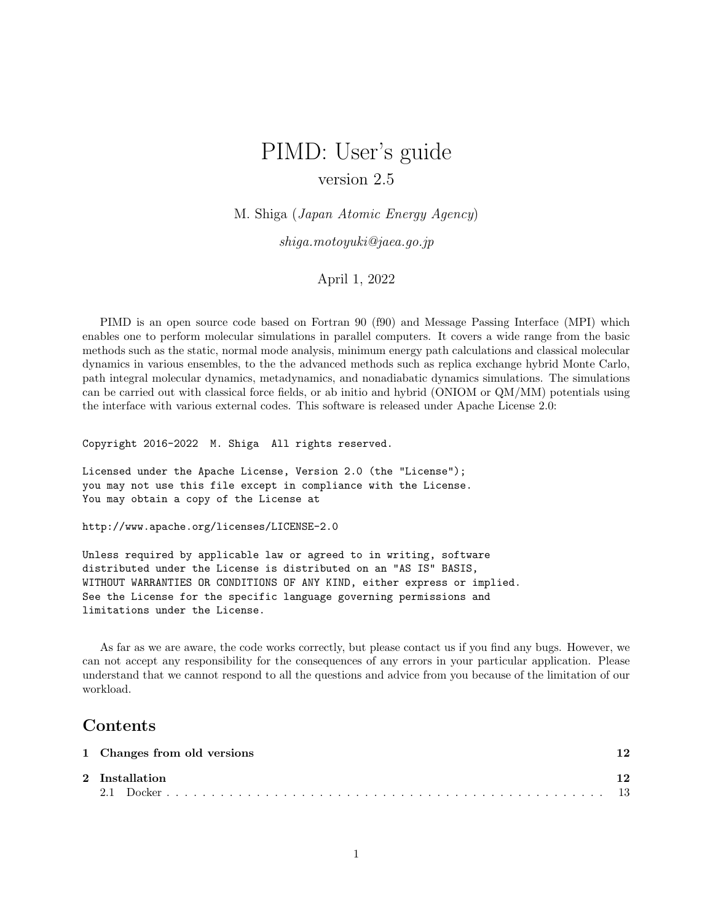# PIMD: User's guide

## version 2.5

M. Shiga (*Japan Atomic Energy Agency*)

*shiga.motoyuki@jaea.go.jp*

April 1, 2022

PIMD is an open source code based on Fortran 90 (f90) and Message Passing Interface (MPI) which enables one to perform molecular simulations in parallel computers. It covers a wide range from the basic methods such as the static, normal mode analysis, minimum energy path calculations and classical molecular dynamics in various ensembles, to the the advanced methods such as replica exchange hybrid Monte Carlo, path integral molecular dynamics, metadynamics, and nonadiabatic dynamics simulations. The simulations can be carried out with classical force fields, or ab initio and hybrid (ONIOM or QM/MM) potentials using the interface with various external codes. This software is released under Apache License 2.0:

Copyright 2016-2022 M. Shiga All rights reserved.

Licensed under the Apache License, Version 2.0 (the "License"); you may not use this file except in compliance with the License. You may obtain a copy of the License at

```
http://www.apache.org/licenses/LICENSE-2.0
```
Unless required by applicable law or agreed to in writing, software distributed under the License is distributed on an "AS IS" BASIS, WITHOUT WARRANTIES OR CONDITIONS OF ANY KIND, either express or implied. See the License for the specific language governing permissions and limitations under the License.

As far as we are aware, the code works correctly, but please contact us if you find any bugs. However, we can not accept any responsibility for the consequences of any errors in your particular application. Please understand that we cannot respond to all the questions and advice from you because of the limitation of our workload.

### **Contents**

| 1 Changes from old versions |  |
|-----------------------------|--|
| 2 Installation              |  |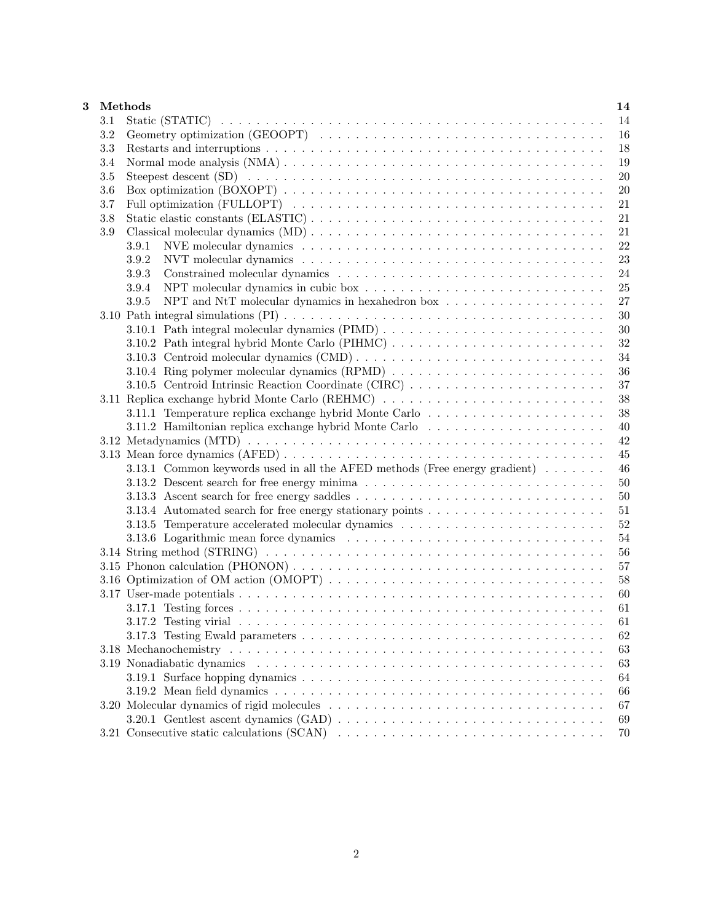| 3 | Methods                                                                                                                        |
|---|--------------------------------------------------------------------------------------------------------------------------------|
|   | 3.1                                                                                                                            |
|   | 3.2                                                                                                                            |
|   | 3.3                                                                                                                            |
|   | 3.4                                                                                                                            |
|   | 3.5                                                                                                                            |
|   | 3.6                                                                                                                            |
|   | Full optimization (FULLOPT) $\dots \dots \dots \dots \dots \dots \dots \dots \dots \dots \dots \dots \dots \dots \dots$<br>3.7 |
|   | 3.8                                                                                                                            |
|   | 3.9                                                                                                                            |
|   | 3.9.1                                                                                                                          |
|   | 3.9.2                                                                                                                          |
|   | 3.9.3                                                                                                                          |
|   | NPT molecular dynamics in cubic box $\dots \dots \dots \dots \dots \dots \dots \dots \dots \dots \dots$<br>3.9.4               |
|   | NPT and NtT molecular dynamics in hexahedron box $\dots \dots \dots \dots \dots \dots \dots$<br>3.9.5                          |
|   |                                                                                                                                |
|   |                                                                                                                                |
|   |                                                                                                                                |
|   |                                                                                                                                |
|   | 3.10.3 Centroid molecular dynamics (CMD)                                                                                       |
|   |                                                                                                                                |
|   | 3.10.5 Centroid Intrinsic Reaction Coordinate (CIRC)                                                                           |
|   |                                                                                                                                |
|   |                                                                                                                                |
|   |                                                                                                                                |
|   |                                                                                                                                |
|   |                                                                                                                                |
|   | 3.13.1 Common keywords used in all the AFED methods (Free energy gradient) $\dots \dots$                                       |
|   |                                                                                                                                |
|   |                                                                                                                                |
|   |                                                                                                                                |
|   |                                                                                                                                |
|   |                                                                                                                                |
|   |                                                                                                                                |
|   |                                                                                                                                |
|   | 3.16 Optimization of OM action (OMOPT) $\dots \dots \dots \dots \dots \dots \dots \dots \dots \dots \dots \dots \dots$         |
|   |                                                                                                                                |
|   |                                                                                                                                |
|   |                                                                                                                                |
|   |                                                                                                                                |
|   |                                                                                                                                |
|   |                                                                                                                                |
|   |                                                                                                                                |
|   |                                                                                                                                |
|   |                                                                                                                                |
|   |                                                                                                                                |
|   |                                                                                                                                |
|   | 3.21 Consecutive static calculations (SCAN)                                                                                    |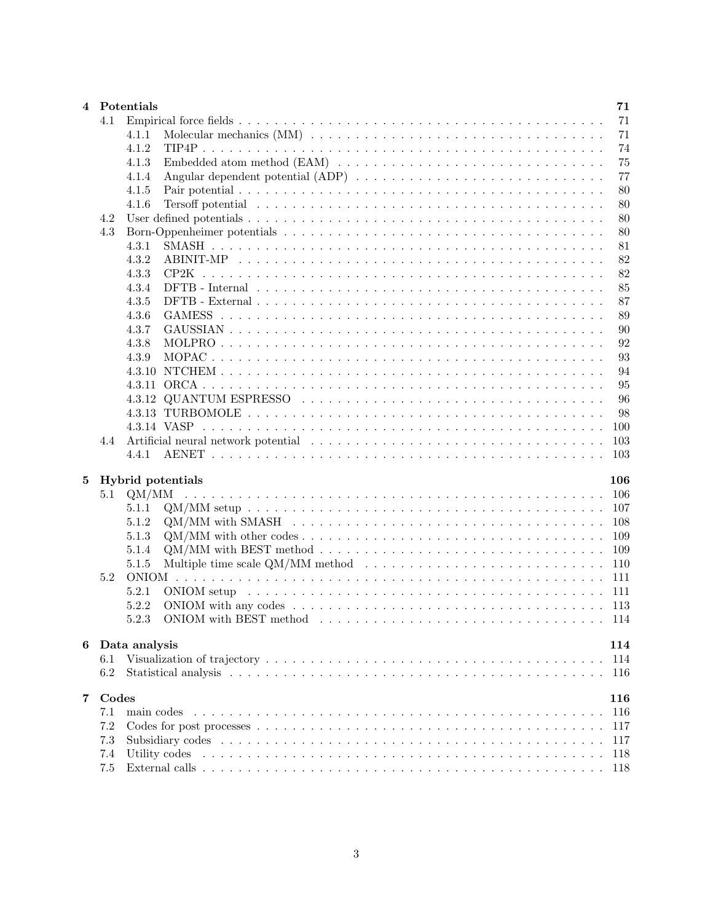|                | 4 Potentials | 71                                                                                                                                   |
|----------------|--------------|--------------------------------------------------------------------------------------------------------------------------------------|
|                | 4.1          | 71                                                                                                                                   |
|                |              | 4.1.1<br>71                                                                                                                          |
|                |              | 4.1.2<br>74                                                                                                                          |
|                |              | 4.1.3<br>75                                                                                                                          |
|                |              | 77<br>4.1.4                                                                                                                          |
|                |              | 4.1.5<br>80                                                                                                                          |
|                |              | 80<br>4.1.6                                                                                                                          |
|                | 4.2          | 80                                                                                                                                   |
|                | 4.3          | 80                                                                                                                                   |
|                |              | 4.3.1<br>81                                                                                                                          |
|                |              | 82<br>4.3.2                                                                                                                          |
|                |              | 82<br>4.3.3                                                                                                                          |
|                |              | 85<br>4.3.4                                                                                                                          |
|                |              | 87<br>4.3.5                                                                                                                          |
|                |              | 89                                                                                                                                   |
|                |              | 4.3.6                                                                                                                                |
|                |              | 90<br>4.3.7                                                                                                                          |
|                |              | 92<br>4.3.8                                                                                                                          |
|                |              | 93<br>4.3.9                                                                                                                          |
|                |              | 94                                                                                                                                   |
|                |              | 95                                                                                                                                   |
|                |              | 96                                                                                                                                   |
|                |              | 98                                                                                                                                   |
|                |              | 100                                                                                                                                  |
|                | 4.4          | 103                                                                                                                                  |
|                |              | 103<br>4.4.1                                                                                                                         |
| 5              |              | <b>Hybrid</b> potentials<br>106                                                                                                      |
|                | 5.1          | 106                                                                                                                                  |
|                |              | 107<br>5.1.1                                                                                                                         |
|                |              | $\text{QM/MM}\text{ setup}\dots\dots\dots\dots\dots\dots\dots\dots\dots\dots\dots\dots\dots\dots\dots\dots$<br>108<br>5.1.2          |
|                |              | $\text{QM}/\text{MM}$ with SMASH $\ldots \ldots \ldots \ldots \ldots \ldots \ldots \ldots \ldots \ldots \ldots \ldots \ldots$<br>109 |
|                |              | 5.1.3                                                                                                                                |
|                |              | 109<br>$QM/MM$ with BEST method $\ldots \ldots \ldots \ldots \ldots \ldots \ldots \ldots \ldots \ldots \ldots$<br>5.1.4              |
|                |              | Multiple time scale QM/MM method $\ldots \ldots \ldots \ldots \ldots \ldots \ldots \ldots \ldots$<br>110<br>5.1.5                    |
|                | 5.2          | 111                                                                                                                                  |
|                |              | 5.2.1                                                                                                                                |
|                |              | 5.2.2                                                                                                                                |
|                |              | 5.2.3                                                                                                                                |
| 6              |              | Data analysis<br>114                                                                                                                 |
|                | 6.1          | 114                                                                                                                                  |
|                | 6.2          | 116                                                                                                                                  |
|                |              |                                                                                                                                      |
| $\overline{7}$ | Codes        | 116                                                                                                                                  |
|                | 7.1          | 116<br>main codes                                                                                                                    |
|                | 7.2          | 117                                                                                                                                  |
|                | 7.3          | 117                                                                                                                                  |
|                | 7.4          | Utility codes<br>118                                                                                                                 |
|                | 7.5          | 118                                                                                                                                  |
|                |              |                                                                                                                                      |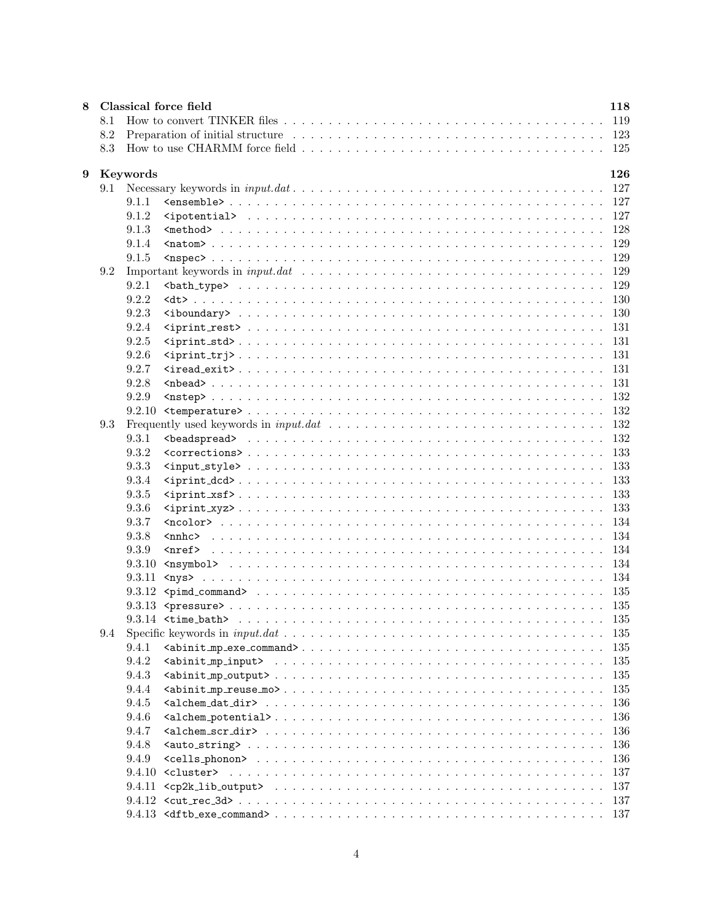|     |            | 118                                                                                                       |
|-----|------------|-----------------------------------------------------------------------------------------------------------|
| 8.1 |            | 119                                                                                                       |
| 8.2 |            | 123                                                                                                       |
| 8.3 |            | 125                                                                                                       |
|     |            |                                                                                                           |
|     |            | 126                                                                                                       |
| 9.1 |            |                                                                                                           |
|     |            |                                                                                                           |
|     |            | 127                                                                                                       |
|     | 9.1.3      | 128                                                                                                       |
|     | 9.1.4      | 129                                                                                                       |
|     |            | 129                                                                                                       |
|     |            | 129                                                                                                       |
|     | 9.2.1      | 129                                                                                                       |
|     | 9.2.2      | 130                                                                                                       |
|     | 9.2.3      | 130                                                                                                       |
|     | 9.2.4      | 131                                                                                                       |
|     | 9.2.5      | 131                                                                                                       |
|     | 9.2.6      | 131                                                                                                       |
|     | 9.2.7      | 131                                                                                                       |
|     | 9.2.8      | 131                                                                                                       |
|     | 9.2.9      | 132                                                                                                       |
|     | 9.2.10     | 132                                                                                                       |
|     |            |                                                                                                           |
|     | 9.3.1      | 132                                                                                                       |
|     | 9.3.2      | 133                                                                                                       |
|     | 9.3.3      | -133                                                                                                      |
|     | 9.3.4      | -133                                                                                                      |
|     | 9.3.5      |                                                                                                           |
|     | 9.3.6      | 133                                                                                                       |
|     | 9.3.7      | -134                                                                                                      |
|     | 9.3.8      | -134                                                                                                      |
|     | 9.3.9      | -134                                                                                                      |
|     | 9.3.10     | -134                                                                                                      |
|     | 9.3.11     | - 134                                                                                                     |
|     |            |                                                                                                           |
|     |            |                                                                                                           |
|     |            |                                                                                                           |
| 9.4 |            | 135                                                                                                       |
|     | 9.4.1      | 135                                                                                                       |
|     | 9.4.2      | 135                                                                                                       |
|     |            | 135                                                                                                       |
|     |            | 135                                                                                                       |
|     |            | 136                                                                                                       |
|     |            | 136                                                                                                       |
|     |            | 136                                                                                                       |
|     |            |                                                                                                           |
|     |            |                                                                                                           |
|     | 9.4.8      | 136<br>136                                                                                                |
|     | 9.4.9      |                                                                                                           |
|     | 9.4.10     | 137<br>137                                                                                                |
|     | 9.4.11     | 137                                                                                                       |
|     | 9.2<br>9.3 | Classical force field<br>Keywords<br>9.1.1<br>9.1.2<br>9.1.5<br>9.4.3<br>9.4.4<br>9.4.5<br>9.4.6<br>9.4.7 |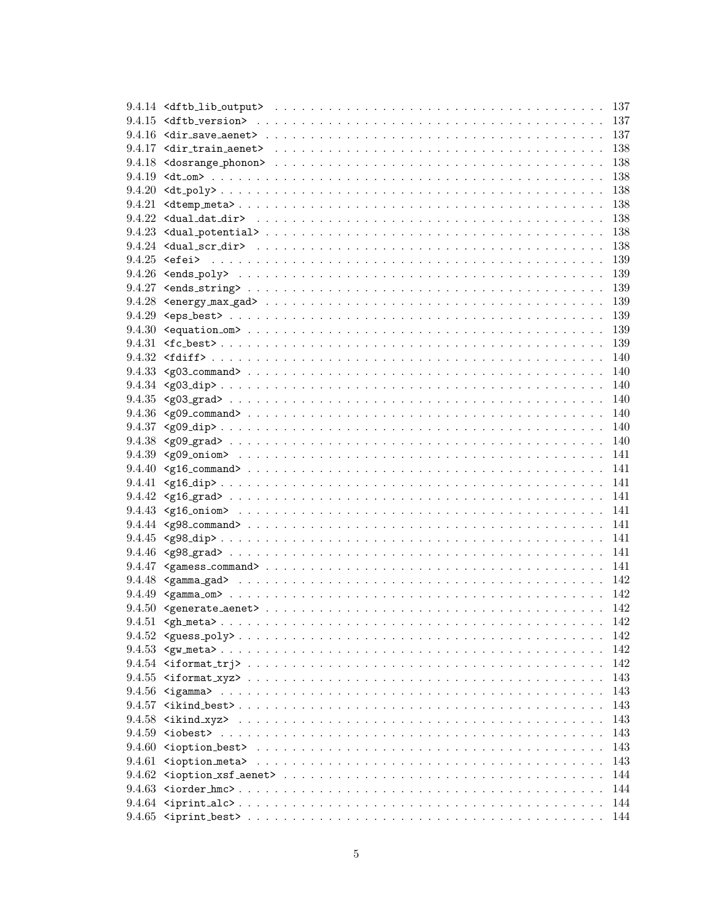| 138   |
|-------|
|       |
|       |
|       |
|       |
|       |
|       |
|       |
|       |
|       |
|       |
|       |
|       |
|       |
|       |
|       |
|       |
|       |
|       |
|       |
|       |
|       |
|       |
|       |
|       |
|       |
| - 141 |
| 142   |
| 142   |
|       |
|       |
| 142   |
| 142   |
| 142   |
| 143   |
| 143   |
| 143   |
| 143   |
| 143   |
| 143   |
| 143   |
| 144   |
| 144   |
| 144   |
| 144   |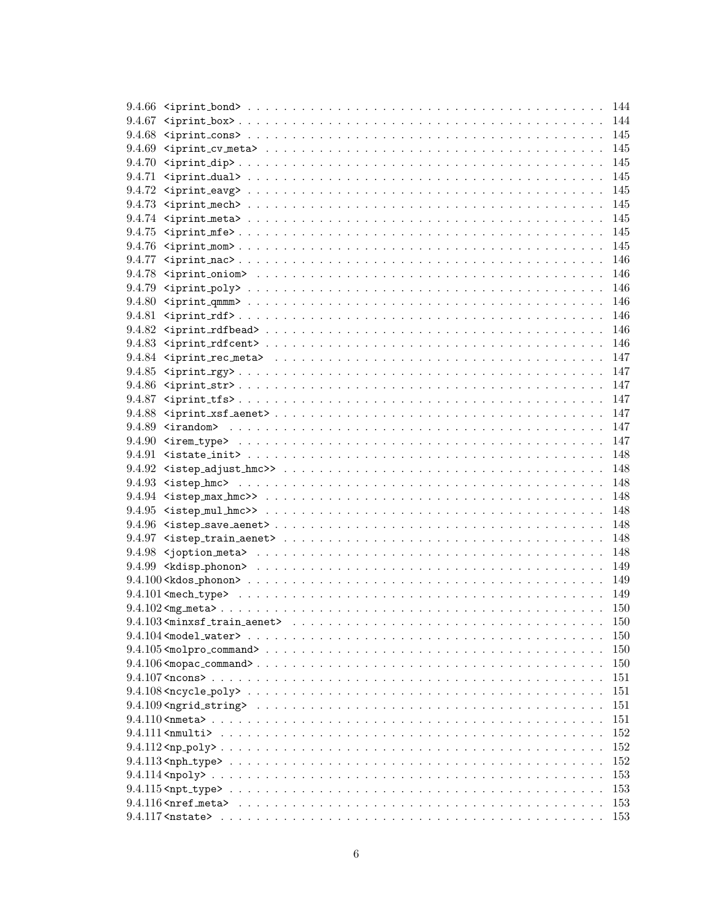| 145                                                                                                                                                                                                                                                               |  |
|-------------------------------------------------------------------------------------------------------------------------------------------------------------------------------------------------------------------------------------------------------------------|--|
| 145                                                                                                                                                                                                                                                               |  |
| 145                                                                                                                                                                                                                                                               |  |
| 145                                                                                                                                                                                                                                                               |  |
| 145                                                                                                                                                                                                                                                               |  |
| 145                                                                                                                                                                                                                                                               |  |
|                                                                                                                                                                                                                                                                   |  |
|                                                                                                                                                                                                                                                                   |  |
|                                                                                                                                                                                                                                                                   |  |
|                                                                                                                                                                                                                                                                   |  |
|                                                                                                                                                                                                                                                                   |  |
|                                                                                                                                                                                                                                                                   |  |
|                                                                                                                                                                                                                                                                   |  |
|                                                                                                                                                                                                                                                                   |  |
|                                                                                                                                                                                                                                                                   |  |
|                                                                                                                                                                                                                                                                   |  |
|                                                                                                                                                                                                                                                                   |  |
|                                                                                                                                                                                                                                                                   |  |
|                                                                                                                                                                                                                                                                   |  |
|                                                                                                                                                                                                                                                                   |  |
|                                                                                                                                                                                                                                                                   |  |
|                                                                                                                                                                                                                                                                   |  |
|                                                                                                                                                                                                                                                                   |  |
|                                                                                                                                                                                                                                                                   |  |
|                                                                                                                                                                                                                                                                   |  |
|                                                                                                                                                                                                                                                                   |  |
| $9.4.95$ $\leq$ $\leq$ $\leq$ $\leq$ $\leq$ $\leq$ $\leq$ $\leq$ $\leq$ $\leq$ $\leq$ $\leq$ $\leq$ $\leq$ $\leq$ $\leq$ $\leq$ $\leq$ $\leq$ $\leq$ $\leq$ $\leq$ $\leq$ $\leq$ $\leq$ $\leq$ $\leq$ $\leq$ $\leq$ $\leq$ $\leq$ $\leq$ $\leq$ $\leq$ $\leq$ $\$ |  |
|                                                                                                                                                                                                                                                                   |  |
|                                                                                                                                                                                                                                                                   |  |
|                                                                                                                                                                                                                                                                   |  |
|                                                                                                                                                                                                                                                                   |  |
|                                                                                                                                                                                                                                                                   |  |
|                                                                                                                                                                                                                                                                   |  |
|                                                                                                                                                                                                                                                                   |  |
|                                                                                                                                                                                                                                                                   |  |
|                                                                                                                                                                                                                                                                   |  |
| -150                                                                                                                                                                                                                                                              |  |
| 150                                                                                                                                                                                                                                                               |  |
| 150                                                                                                                                                                                                                                                               |  |
| 151                                                                                                                                                                                                                                                               |  |
| 151                                                                                                                                                                                                                                                               |  |
| 151                                                                                                                                                                                                                                                               |  |
| 151                                                                                                                                                                                                                                                               |  |
| 152                                                                                                                                                                                                                                                               |  |
| 152                                                                                                                                                                                                                                                               |  |
| 152                                                                                                                                                                                                                                                               |  |
| 153                                                                                                                                                                                                                                                               |  |
| 153                                                                                                                                                                                                                                                               |  |
| 153                                                                                                                                                                                                                                                               |  |
|                                                                                                                                                                                                                                                                   |  |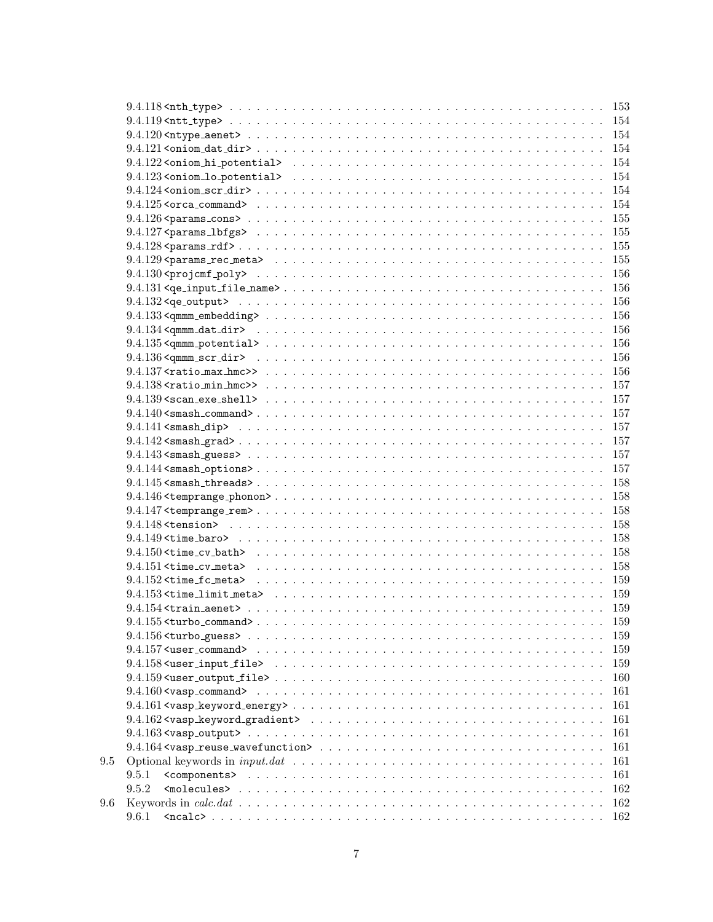|         |       | 159 |
|---------|-------|-----|
|         |       | 159 |
|         |       | 159 |
|         |       | 160 |
|         |       | 161 |
|         |       | 161 |
|         |       | 161 |
|         |       |     |
|         |       | 161 |
|         |       | 161 |
| 9.5     |       | 161 |
|         | 9.5.1 | 161 |
|         | 9.5.2 | 162 |
| $9.6\,$ |       | 162 |
|         | 9.6.1 | 162 |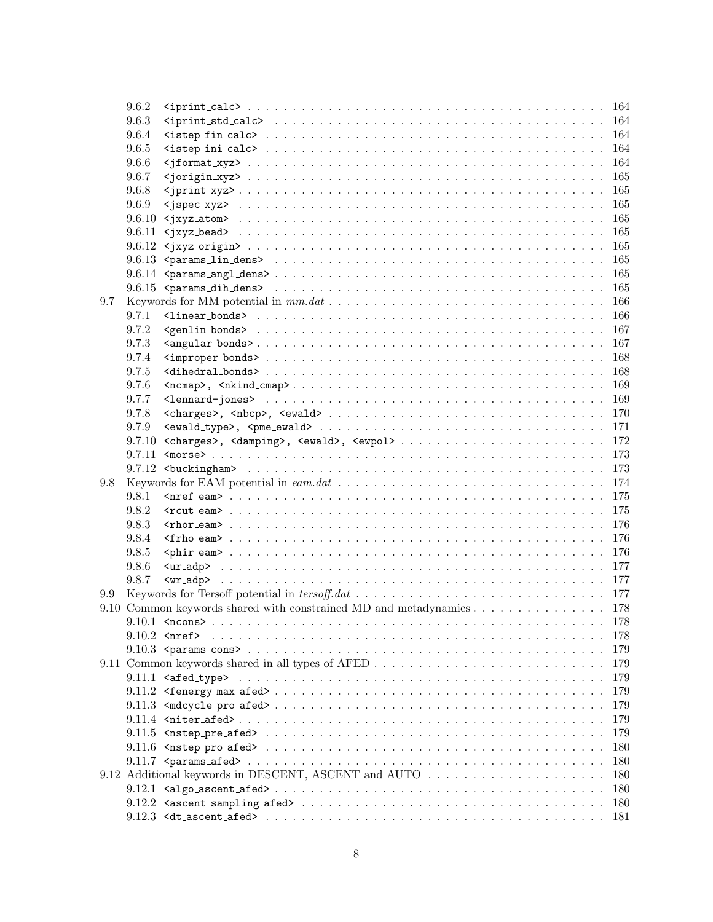|     | 9.6.2 |                                                                                                                  |
|-----|-------|------------------------------------------------------------------------------------------------------------------|
|     | 9.6.3 |                                                                                                                  |
|     | 9.6.4 |                                                                                                                  |
|     | 9.6.5 |                                                                                                                  |
|     | 9.6.6 |                                                                                                                  |
|     | 9.6.7 |                                                                                                                  |
|     | 9.6.8 |                                                                                                                  |
|     | 9.6.9 |                                                                                                                  |
|     |       |                                                                                                                  |
|     |       |                                                                                                                  |
|     |       |                                                                                                                  |
|     |       |                                                                                                                  |
|     |       |                                                                                                                  |
|     |       |                                                                                                                  |
| 9.7 |       |                                                                                                                  |
|     | 9.7.1 |                                                                                                                  |
|     | 9.7.2 |                                                                                                                  |
|     | 9.7.3 |                                                                                                                  |
|     | 9.7.4 |                                                                                                                  |
|     | 9.7.5 |                                                                                                                  |
|     | 9.7.6 |                                                                                                                  |
|     | 9.7.7 |                                                                                                                  |
|     | 9.7.8 |                                                                                                                  |
|     | 9.7.9 |                                                                                                                  |
|     |       |                                                                                                                  |
|     |       |                                                                                                                  |
|     |       |                                                                                                                  |
| 9.8 |       |                                                                                                                  |
|     | 9.8.1 |                                                                                                                  |
|     | 9.8.2 | $\texttt{srcut\_eam>}\dots\dots\dots\dots\dots\dots\dots\dots\dots\dots\dots\dots\dots\dots\dots\dots\dots\dots$ |
|     | 9.8.3 |                                                                                                                  |
|     | 9.8.4 |                                                                                                                  |
|     | 9.8.5 |                                                                                                                  |
|     | 9.8.6 |                                                                                                                  |
|     | 9.8.7 |                                                                                                                  |
| 9.9 |       |                                                                                                                  |
|     |       | 9.10 Common keywords shared with constrained MD and metadynamics 178                                             |
|     |       | . 178<br>$9.10.1$ Sncons> $\ldots$ $\ldots$ $\ldots$ $\ldots$ $\ldots$ $\ldots$                                  |
|     |       | 178                                                                                                              |
|     |       | 179                                                                                                              |
|     |       | 179                                                                                                              |
|     |       | 179                                                                                                              |
|     |       | 179                                                                                                              |
|     |       | 179                                                                                                              |
|     |       | 179                                                                                                              |
|     |       | 179                                                                                                              |
|     |       | 180                                                                                                              |
|     |       | 180                                                                                                              |
|     |       | 180                                                                                                              |
|     |       | 180                                                                                                              |
|     |       | 180                                                                                                              |
|     |       |                                                                                                                  |
|     |       |                                                                                                                  |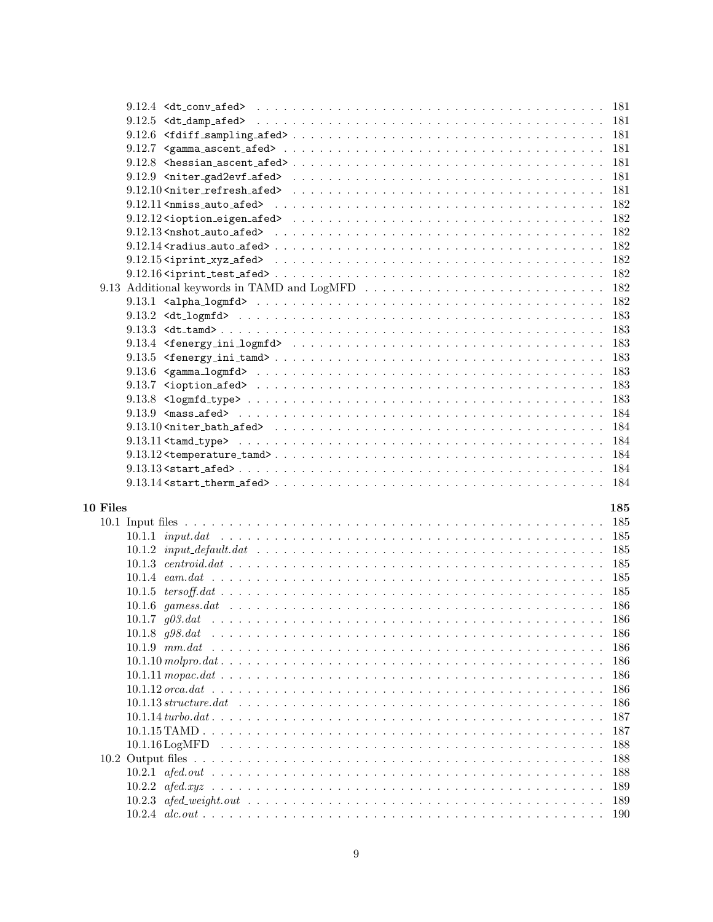| 10 Files |                   |                  |  |  |  |  |  |  |  |  |  | 185        |
|----------|-------------------|------------------|--|--|--|--|--|--|--|--|--|------------|
|          |                   |                  |  |  |  |  |  |  |  |  |  |            |
|          |                   |                  |  |  |  |  |  |  |  |  |  |            |
|          |                   |                  |  |  |  |  |  |  |  |  |  |            |
|          |                   |                  |  |  |  |  |  |  |  |  |  |            |
|          |                   |                  |  |  |  |  |  |  |  |  |  |            |
|          |                   |                  |  |  |  |  |  |  |  |  |  |            |
|          |                   |                  |  |  |  |  |  |  |  |  |  |            |
|          |                   |                  |  |  |  |  |  |  |  |  |  |            |
|          |                   |                  |  |  |  |  |  |  |  |  |  | 186        |
|          | 10.1.8 $q98. dat$ |                  |  |  |  |  |  |  |  |  |  | 186        |
|          |                   |                  |  |  |  |  |  |  |  |  |  |            |
|          |                   |                  |  |  |  |  |  |  |  |  |  | 186        |
|          |                   |                  |  |  |  |  |  |  |  |  |  | 186        |
|          |                   |                  |  |  |  |  |  |  |  |  |  | 186        |
|          |                   |                  |  |  |  |  |  |  |  |  |  | 186        |
|          |                   |                  |  |  |  |  |  |  |  |  |  | 187        |
|          |                   |                  |  |  |  |  |  |  |  |  |  | 187        |
|          |                   | $10.1.16$ LogMFD |  |  |  |  |  |  |  |  |  | 188        |
|          |                   |                  |  |  |  |  |  |  |  |  |  | 188        |
|          |                   |                  |  |  |  |  |  |  |  |  |  | 188        |
|          |                   |                  |  |  |  |  |  |  |  |  |  | 189        |
|          |                   |                  |  |  |  |  |  |  |  |  |  | 189<br>190 |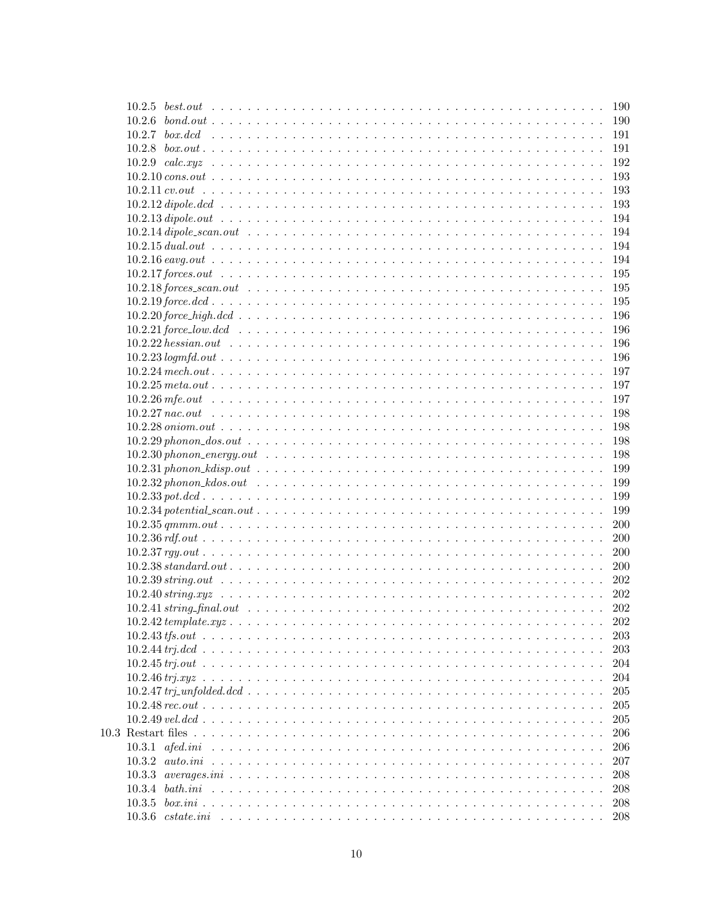| $10.2.20$ force_high. dcd $\ldots$ $\ldots$ $\ldots$ $\ldots$ $\ldots$ $\ldots$ $\ldots$ $\ldots$ $\ldots$ $\ldots$ $\ldots$ $\ldots$ $\ldots$ $\ldots$ $\ldots$ $\ldots$ $\ldots$ $\ldots$ $\ldots$ $\ldots$ $\ldots$ |     |
|------------------------------------------------------------------------------------------------------------------------------------------------------------------------------------------------------------------------|-----|
|                                                                                                                                                                                                                        |     |
|                                                                                                                                                                                                                        |     |
|                                                                                                                                                                                                                        |     |
|                                                                                                                                                                                                                        |     |
|                                                                                                                                                                                                                        |     |
|                                                                                                                                                                                                                        |     |
|                                                                                                                                                                                                                        |     |
|                                                                                                                                                                                                                        |     |
|                                                                                                                                                                                                                        |     |
|                                                                                                                                                                                                                        |     |
|                                                                                                                                                                                                                        |     |
|                                                                                                                                                                                                                        |     |
|                                                                                                                                                                                                                        |     |
|                                                                                                                                                                                                                        |     |
|                                                                                                                                                                                                                        |     |
|                                                                                                                                                                                                                        |     |
|                                                                                                                                                                                                                        |     |
|                                                                                                                                                                                                                        |     |
|                                                                                                                                                                                                                        |     |
|                                                                                                                                                                                                                        |     |
|                                                                                                                                                                                                                        |     |
|                                                                                                                                                                                                                        |     |
|                                                                                                                                                                                                                        | 202 |
|                                                                                                                                                                                                                        | 203 |
|                                                                                                                                                                                                                        | 203 |
|                                                                                                                                                                                                                        | 204 |
|                                                                                                                                                                                                                        | 204 |
|                                                                                                                                                                                                                        | 205 |
|                                                                                                                                                                                                                        | 205 |
|                                                                                                                                                                                                                        |     |
|                                                                                                                                                                                                                        | 205 |
|                                                                                                                                                                                                                        | 206 |
| $10.3.1$ afed.ini                                                                                                                                                                                                      | 206 |
|                                                                                                                                                                                                                        | 207 |
|                                                                                                                                                                                                                        | 208 |
|                                                                                                                                                                                                                        | 208 |
|                                                                                                                                                                                                                        | 208 |
|                                                                                                                                                                                                                        | 208 |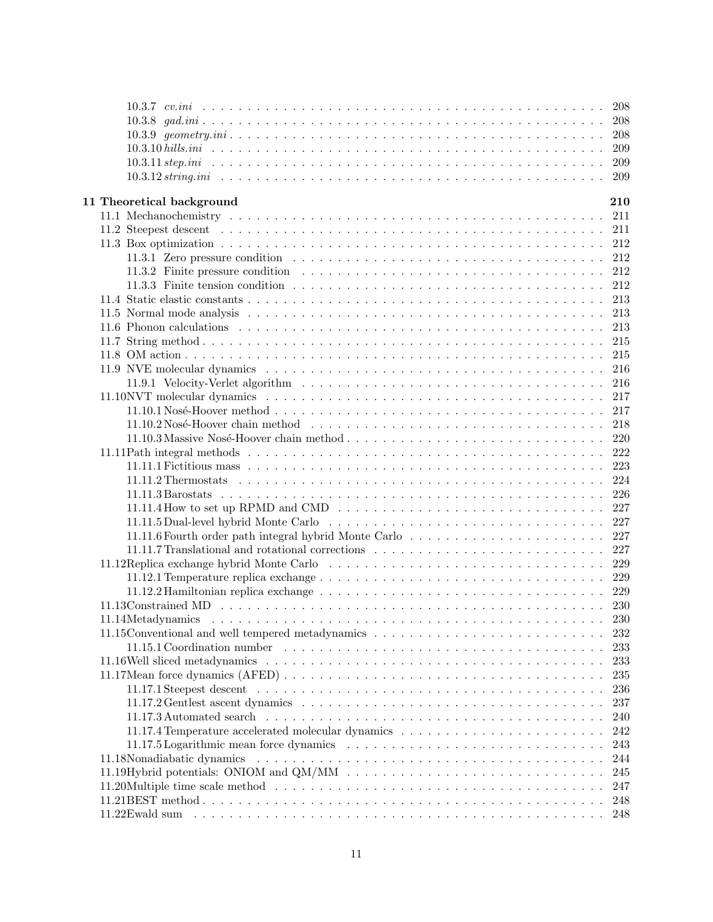| 11 Theoretical background                                                                                                    | 210 |
|------------------------------------------------------------------------------------------------------------------------------|-----|
|                                                                                                                              |     |
|                                                                                                                              |     |
|                                                                                                                              |     |
|                                                                                                                              |     |
|                                                                                                                              |     |
|                                                                                                                              |     |
|                                                                                                                              |     |
|                                                                                                                              |     |
|                                                                                                                              |     |
|                                                                                                                              |     |
|                                                                                                                              |     |
|                                                                                                                              |     |
|                                                                                                                              |     |
|                                                                                                                              |     |
|                                                                                                                              |     |
|                                                                                                                              |     |
|                                                                                                                              |     |
|                                                                                                                              |     |
|                                                                                                                              |     |
|                                                                                                                              |     |
|                                                                                                                              |     |
| 11.11.4 How to set up RPMD and CMD $\ldots \ldots \ldots \ldots \ldots \ldots \ldots \ldots \ldots \ldots \ldots \ldots 227$ |     |
|                                                                                                                              |     |
|                                                                                                                              |     |
|                                                                                                                              |     |
|                                                                                                                              |     |
|                                                                                                                              |     |
|                                                                                                                              |     |
|                                                                                                                              |     |
|                                                                                                                              |     |
|                                                                                                                              | 232 |
|                                                                                                                              | 233 |
|                                                                                                                              | 233 |
|                                                                                                                              | 235 |
|                                                                                                                              | 236 |
|                                                                                                                              | 237 |
|                                                                                                                              | 240 |
|                                                                                                                              | 242 |
|                                                                                                                              | 243 |
|                                                                                                                              | 244 |
|                                                                                                                              | 245 |
|                                                                                                                              | 247 |
|                                                                                                                              | 248 |
|                                                                                                                              | 248 |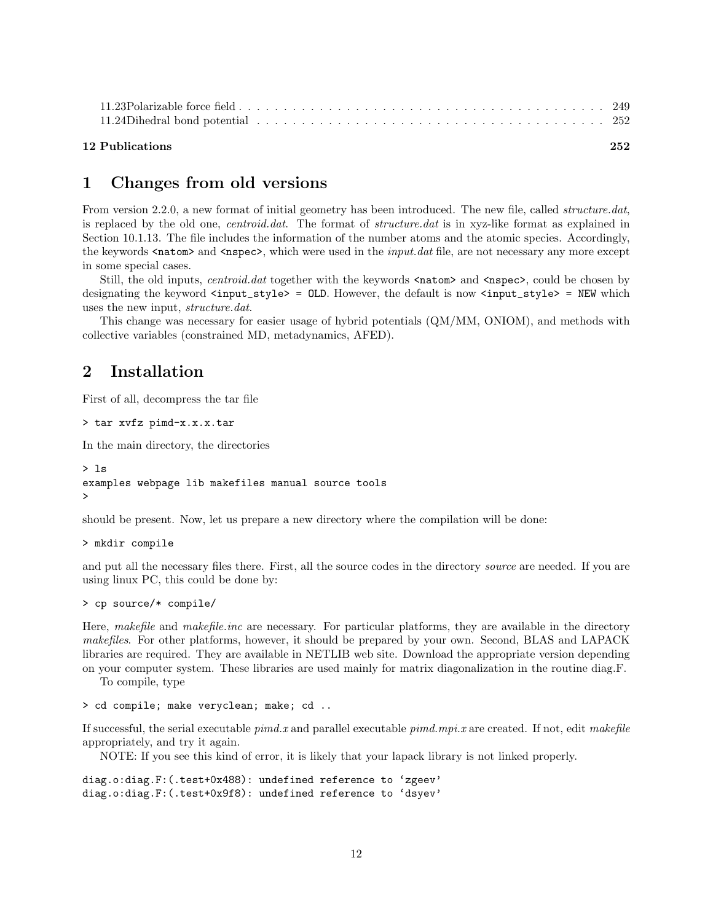### **12 Publications 252**

### **1 Changes from old versions**

From version 2.2.0, a new format of initial geometry has been introduced. The new file, called *structure.dat*, is replaced by the old one, *centroid.dat*. The format of *structure.dat* is in xyz-like format as explained in Section 10.1.13. The file includes the information of the number atoms and the atomic species. Accordingly, the keywords  $\langle \texttt{matom} \rangle$  and  $\langle \texttt{nspec} \rangle$ , which were used in the *input.dat* file, are not necessary any more except in some special cases.

Still, the old inputs, *centroid.dat* together with the keywords  $\epsilon$ **natom** and  $\epsilon$ nspec  $\epsilon$ , could be chosen by designating the keyword  $\langle$ input\_style $\rangle$  = 0LD. However, the default is now  $\langle$ input\_style $\rangle$  = NEW which uses the new input, *structure.dat*.

This change was necessary for easier usage of hybrid potentials (QM/MM, ONIOM), and methods with collective variables (constrained MD, metadynamics, AFED).

### **2 Installation**

First of all, decompress the tar file

```
> tar xvfz pimd-x.x.x.tar
```
In the main directory, the directories

```
> ls
examples webpage lib makefiles manual source tools
>
```
should be present. Now, let us prepare a new directory where the compilation will be done:

> mkdir compile

and put all the necessary files there. First, all the source codes in the directory *source* are needed. If you are using linux PC, this could be done by:

```
> cp source/* compile/
```
Here, *makefile* and *makefile.inc* are necessary. For particular platforms, they are available in the directory *makefiles*. For other platforms, however, it should be prepared by your own. Second, BLAS and LAPACK libraries are required. They are available in NETLIB web site. Download the appropriate version depending on your computer system. These libraries are used mainly for matrix diagonalization in the routine diag.F.

To compile, type

```
> cd compile; make veryclean; make; cd ..
```
If successful, the serial executable *pimd.x* and parallel executable *pimd.mpi.x* are created. If not, edit *makefile* appropriately, and try it again.

NOTE: If you see this kind of error, it is likely that your lapack library is not linked properly.

diag.o:diag.F:(.test+0x488): undefined reference to 'zgeev' diag.o:diag.F:(.test+0x9f8): undefined reference to 'dsyev'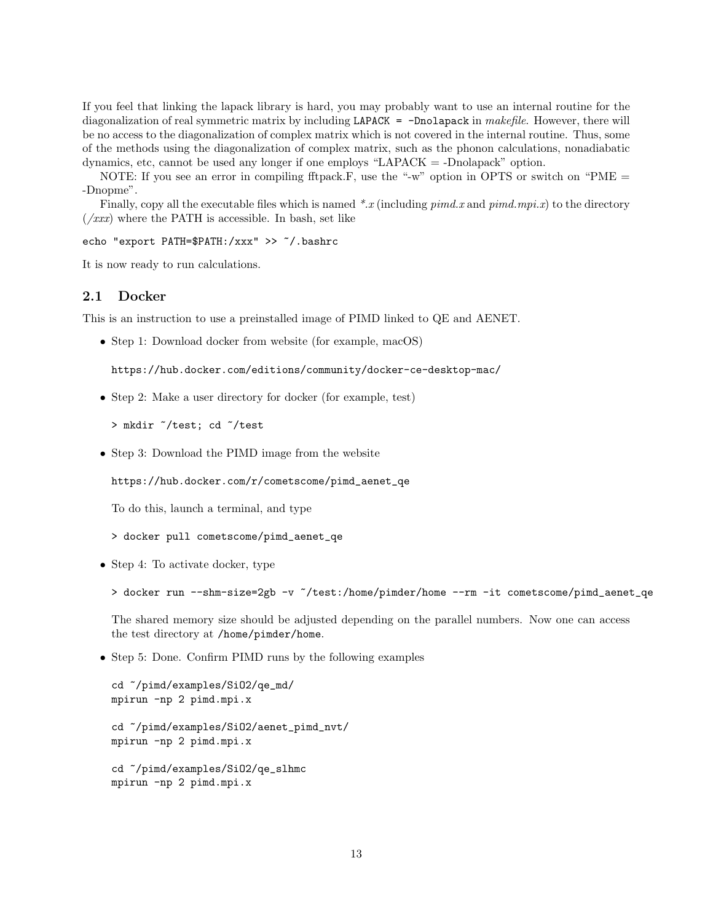If you feel that linking the lapack library is hard, you may probably want to use an internal routine for the diagonalization of real symmetric matrix by including LAPACK = -Dnolapack in *makefile*. However, there will be no access to the diagonalization of complex matrix which is not covered in the internal routine. Thus, some of the methods using the diagonalization of complex matrix, such as the phonon calculations, nonadiabatic dynamics, etc, cannot be used any longer if one employs "LAPACK = -Dnolapack" option.

NOTE: If you see an error in compiling fftpack. F, use the "-w" option in OPTS or switch on "PME  $=$ -Dnopme".

Finally, copy all the executable files which is named *\*.x* (including *pimd.x* and *pimd.mpi.x*) to the directory  $\left(\sqrt{x}xx\right)$  where the PATH is accessible. In bash, set like

echo "export PATH=\$PATH:/xxx" >> ~/.bashrc

It is now ready to run calculations.

### **2.1 Docker**

This is an instruction to use a preinstalled image of PIMD linked to QE and AENET.

• Step 1: Download docker from website (for example, macOS)

https://hub.docker.com/editions/community/docker-ce-desktop-mac/

*•* Step 2: Make a user directory for docker (for example, test)

> mkdir ~/test; cd ~/test

*•* Step 3: Download the PIMD image from the website

https://hub.docker.com/r/cometscome/pimd\_aenet\_qe

To do this, launch a terminal, and type

- > docker pull cometscome/pimd\_aenet\_qe
- Step 4: To activate docker, type
	- > docker run --shm-size=2gb -v ~/test:/home/pimder/home --rm -it cometscome/pimd\_aenet\_qe

The shared memory size should be adjusted depending on the parallel numbers. Now one can access the test directory at /home/pimder/home.

• Step 5: Done. Confirm PIMD runs by the following examples

```
cd ~/pimd/examples/SiO2/qe_md/
mpirun -np 2 pimd.mpi.x
cd ~/pimd/examples/SiO2/aenet_pimd_nvt/
mpirun -np 2 pimd.mpi.x
```

```
cd ~/pimd/examples/SiO2/qe_slhmc
mpirun -np 2 pimd.mpi.x
```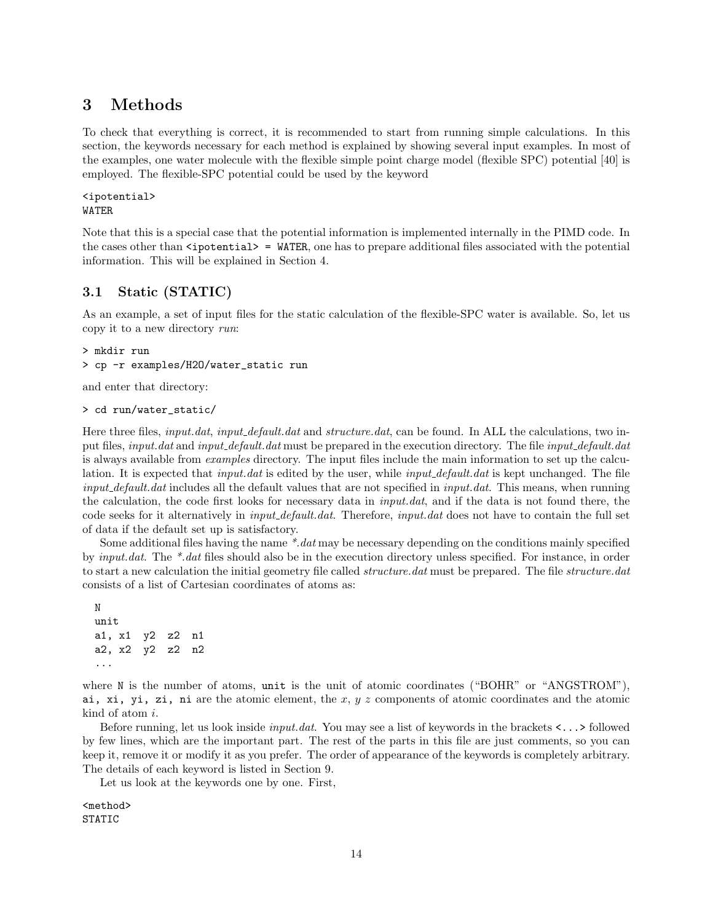### **3 Methods**

To check that everything is correct, it is recommended to start from running simple calculations. In this section, the keywords necessary for each method is explained by showing several input examples. In most of the examples, one water molecule with the flexible simple point charge model (flexible SPC) potential [40] is employed. The flexible-SPC potential could be used by the keyword

```
<ipotential>
WATER
```
Note that this is a special case that the potential information is implemented internally in the PIMD code. In the cases other than  $\langle$ ipotential> = WATER, one has to prepare additional files associated with the potential information. This will be explained in Section 4.

### **3.1 Static (STATIC)**

As an example, a set of input files for the static calculation of the flexible-SPC water is available. So, let us copy it to a new directory *run*:

```
> mkdir run
> cp -r examples/H2O/water_static run
```
and enter that directory:

```
> cd run/water_static/
```
Here three files, *input.dat*, *input default.dat* and *structure.dat*, can be found. In ALL the calculations, two input files, *input.dat* and *input default.dat* must be prepared in the execution directory. The file *input default.dat* is always available from *examples* directory. The input files include the main information to set up the calculation. It is expected that *input.dat* is edited by the user, while *input default.dat* is kept unchanged. The file *input default.dat* includes all the default values that are not specified in *input.dat*. This means, when running the calculation, the code first looks for necessary data in *input.dat*, and if the data is not found there, the code seeks for it alternatively in *input default.dat*. Therefore, *input.dat* does not have to contain the full set of data if the default set up is satisfactory.

Some additional files having the name *\*.dat* may be necessary depending on the conditions mainly specified by *input.dat*. The *\*.dat* files should also be in the execution directory unless specified. For instance, in order to start a new calculation the initial geometry file called *structure.dat* must be prepared. The file *structure.dat* consists of a list of Cartesian coordinates of atoms as:

N unit a1, x1 y2 z2 n1 a2, x2 y2 z2 n2 ...

where N is the number of atoms, unit is the unit of atomic coordinates ("BOHR" or "ANGSTROM"), ai, xi, yi, zi, ni are the atomic element, the *x*, *y z* components of atomic coordinates and the atomic kind of atom *i*.

Before running, let us look inside *input.dat*. You may see a list of keywords in the brackets <...> followed by few lines, which are the important part. The rest of the parts in this file are just comments, so you can keep it, remove it or modify it as you prefer. The order of appearance of the keywords is completely arbitrary. The details of each keyword is listed in Section 9.

Let us look at the keywords one by one. First,

<method> STATIC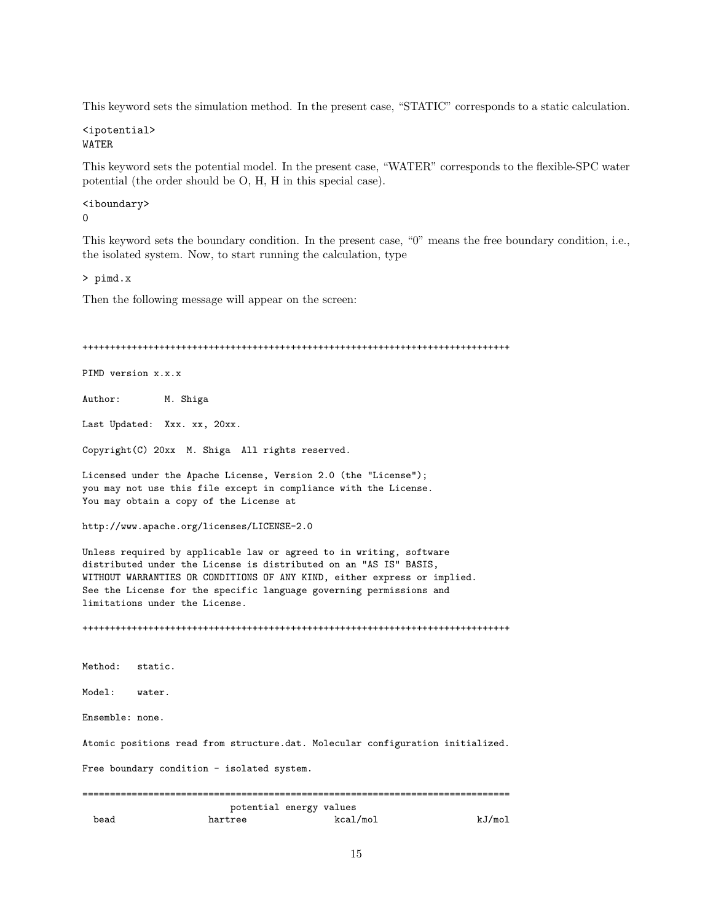This keyword sets the simulation method. In the present case, "STATIC" corresponds to a static calculation.

### <ipotential> WATER

This keyword sets the potential model. In the present case, "WATER" corresponds to the flexible-SPC water potential (the order should be O, H, H in this special case).

<iboundary>  $\Omega$ 

This keyword sets the boundary condition. In the present case, "0" means the free boundary condition, i.e., the isolated system. Now, to start running the calculation, type

> pimd.x

Then the following message will appear on the screen:

++++++++++++++++++++++++++++++++++++++++++++++++++++++++++++++++++++++++++++++

PIMD version x.x.x

Author: M. Shiga

Last Updated: Xxx. xx, 20xx.

Copyright(C) 20xx M. Shiga All rights reserved.

```
Licensed under the Apache License, Version 2.0 (the "License");
you may not use this file except in compliance with the License.
You may obtain a copy of the License at
```

```
http://www.apache.org/licenses/LICENSE-2.0
```
Unless required by applicable law or agreed to in writing, software distributed under the License is distributed on an "AS IS" BASIS, WITHOUT WARRANTIES OR CONDITIONS OF ANY KIND, either express or implied. See the License for the specific language governing permissions and limitations under the License.

++++++++++++++++++++++++++++++++++++++++++++++++++++++++++++++++++++++++++++++

Method: static. Model: water. Ensemble: none. Atomic positions read from structure.dat. Molecular configuration initialized. Free boundary condition - isolated system. ============================================================================== potential energy values bead hartree kcal/mol kJ/mol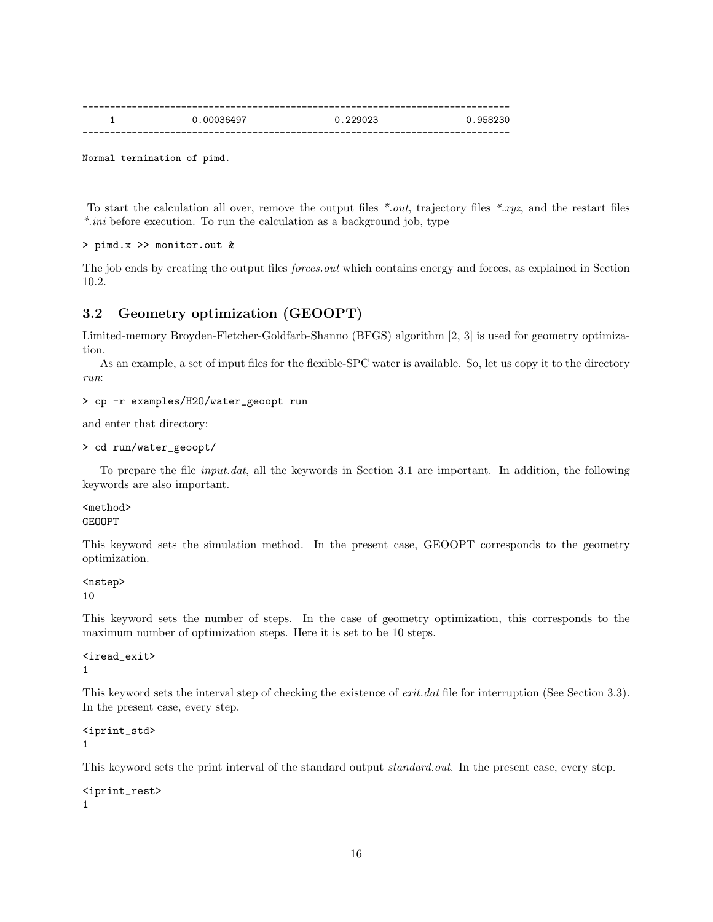| 0.00036497 | 0.229023 | 0.958230 |
|------------|----------|----------|
|            |          |          |

Normal termination of pimd.

To start the calculation all over, remove the output files *\*.out*, trajectory files *\*.xyz*, and the restart files *\*.ini* before execution. To run the calculation as a background job, type

#### > pimd.x >> monitor.out &

The job ends by creating the output files *forces.out* which contains energy and forces, as explained in Section 10.2.

### **3.2 Geometry optimization (GEOOPT)**

Limited-memory Broyden-Fletcher-Goldfarb-Shanno (BFGS) algorithm [2, 3] is used for geometry optimization.

As an example, a set of input files for the flexible-SPC water is available. So, let us copy it to the directory *run*:

```
> cp -r examples/H2O/water_geoopt run
```
and enter that directory:

```
> cd run/water_geoopt/
```
To prepare the file *input.dat*, all the keywords in Section 3.1 are important. In addition, the following keywords are also important.

#### <method> GEOOPT

This keyword sets the simulation method. In the present case, GEOOPT corresponds to the geometry optimization.

#### <nstep>

10

This keyword sets the number of steps. In the case of geometry optimization, this corresponds to the maximum number of optimization steps. Here it is set to be 10 steps.

<iread\_exit> 1

This keyword sets the interval step of checking the existence of *exit.dat* file for interruption (See Section 3.3). In the present case, every step.

<iprint\_std> 1

This keyword sets the print interval of the standard output *standard.out*. In the present case, every step.

<iprint\_rest> 1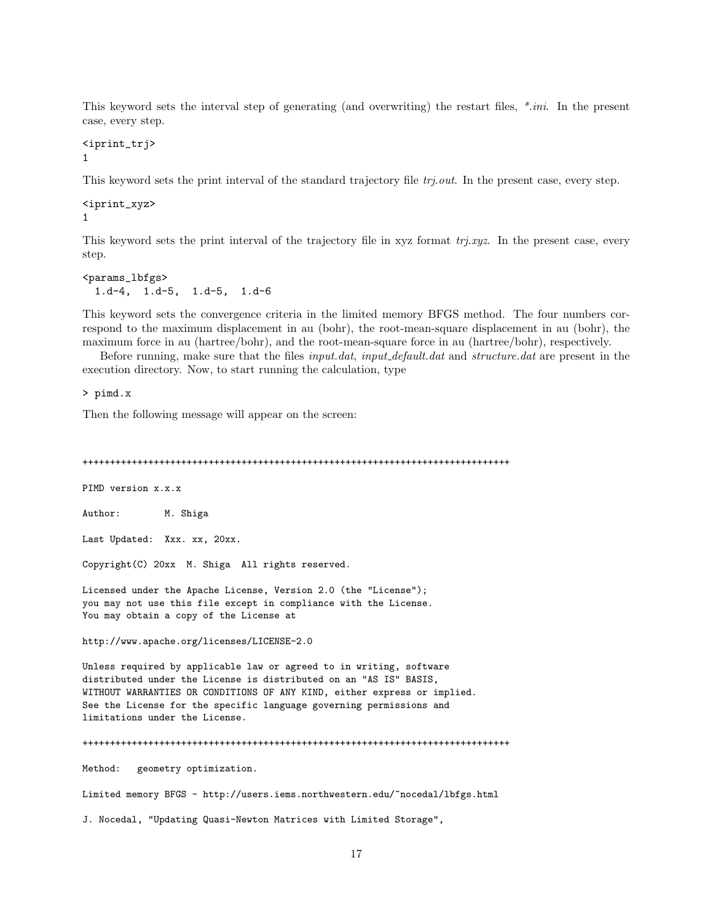This keyword sets the interval step of generating (and overwriting) the restart files, *\*.ini*. In the present case, every step.

<iprint\_trj> 1

This keyword sets the print interval of the standard trajectory file *trj.out*. In the present case, every step.

```
<iprint_xyz>
1
```
This keyword sets the print interval of the trajectory file in xyz format *trj.xyz*. In the present case, every step.

<params\_lbfgs> 1.d-4, 1.d-5, 1.d-5, 1.d-6

This keyword sets the convergence criteria in the limited memory BFGS method. The four numbers correspond to the maximum displacement in au (bohr), the root-mean-square displacement in au (bohr), the maximum force in au (hartree/bohr), and the root-mean-square force in au (hartree/bohr), respectively.

Before running, make sure that the files *input.dat*, *input default.dat* and *structure.dat* are present in the execution directory. Now, to start running the calculation, type

> pimd.x

Then the following message will appear on the screen:

++++++++++++++++++++++++++++++++++++++++++++++++++++++++++++++++++++++++++++++

PIMD version x.x.x

Author: M. Shiga

Last Updated: Xxx. xx, 20xx.

Copyright(C) 20xx M. Shiga All rights reserved.

Licensed under the Apache License, Version 2.0 (the "License"); you may not use this file except in compliance with the License. You may obtain a copy of the License at

http://www.apache.org/licenses/LICENSE-2.0

Unless required by applicable law or agreed to in writing, software distributed under the License is distributed on an "AS IS" BASIS, WITHOUT WARRANTIES OR CONDITIONS OF ANY KIND, either express or implied. See the License for the specific language governing permissions and limitations under the License.

++++++++++++++++++++++++++++++++++++++++++++++++++++++++++++++++++++++++++++++

Method: geometry optimization.

Limited memory BFGS - http://users.iems.northwestern.edu/~nocedal/lbfgs.html

J. Nocedal, "Updating Quasi-Newton Matrices with Limited Storage",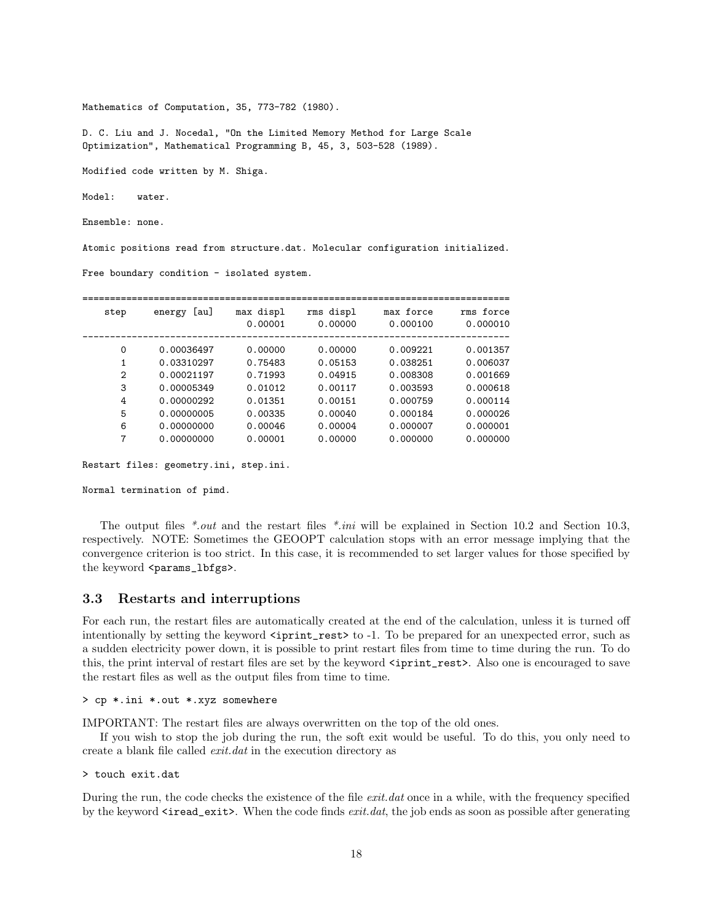Mathematics of Computation, 35, 773-782 (1980).

D. C. Liu and J. Nocedal, "On the Limited Memory Method for Large Scale Optimization", Mathematical Programming B, 45, 3, 503-528 (1989).

Modified code written by M. Shiga.

Model: water.

Ensemble: none.

Atomic positions read from structure.dat. Molecular configuration initialized.

Free boundary condition - isolated system.

| step | [au]<br>energy | max displ<br>0.00001 | rms displ<br>0.00000 | max force<br>0.000100 | rms force<br>0.000010 |
|------|----------------|----------------------|----------------------|-----------------------|-----------------------|
| 0    | 0.00036497     | 0.00000              | 0.00000              | 0.009221              | 0.001357              |
| 1    | 0.03310297     | 0.75483              | 0.05153              | 0.038251              | 0.006037              |
| 2    | 0.00021197     | 0.71993              | 0.04915              | 0.008308              | 0.001669              |
| 3    | 0.00005349     | 0.01012              | 0.00117              | 0.003593              | 0.000618              |
| 4    | 0.00000292     | 0.01351              | 0.00151              | 0.000759              | 0.000114              |
| 5    | 0.00000005     | 0.00335              | 0.00040              | 0.000184              | 0.000026              |
| 6    | 0.00000000     | 0.00046              | 0.00004              | 0.000007              | 0.000001              |
| 7    | 0.00000000     | 0.00001              | 0.00000              | 0.000000              | 0.000000              |
|      |                |                      |                      |                       |                       |

Restart files: geometry.ini, step.ini.

Normal termination of pimd.

The output files *\*.out* and the restart files *\*.ini* will be explained in Section 10.2 and Section 10.3, respectively. NOTE: Sometimes the GEOOPT calculation stops with an error message implying that the convergence criterion is too strict. In this case, it is recommended to set larger values for those specified by the keyword <params\_lbfgs>.

### **3.3 Restarts and interruptions**

For each run, the restart files are automatically created at the end of the calculation, unless it is turned off intentionally by setting the keyword  $\langle$ iprint\_rest> to -1. To be prepared for an unexpected error, such as a sudden electricity power down, it is possible to print restart files from time to time during the run. To do this, the print interval of restart files are set by the keyword  $\epsilon$ iprint\_rest>. Also one is encouraged to save the restart files as well as the output files from time to time.

```
> cp *.ini *.out *.xyz somewhere
```
IMPORTANT: The restart files are always overwritten on the top of the old ones.

If you wish to stop the job during the run, the soft exit would be useful. To do this, you only need to create a blank file called *exit.dat* in the execution directory as

```
> touch exit.dat
```
During the run, the code checks the existence of the file *exit.dat* once in a while, with the frequency specified by the keyword **siread\_exit>**. When the code finds *exit.dat*, the job ends as soon as possible after generating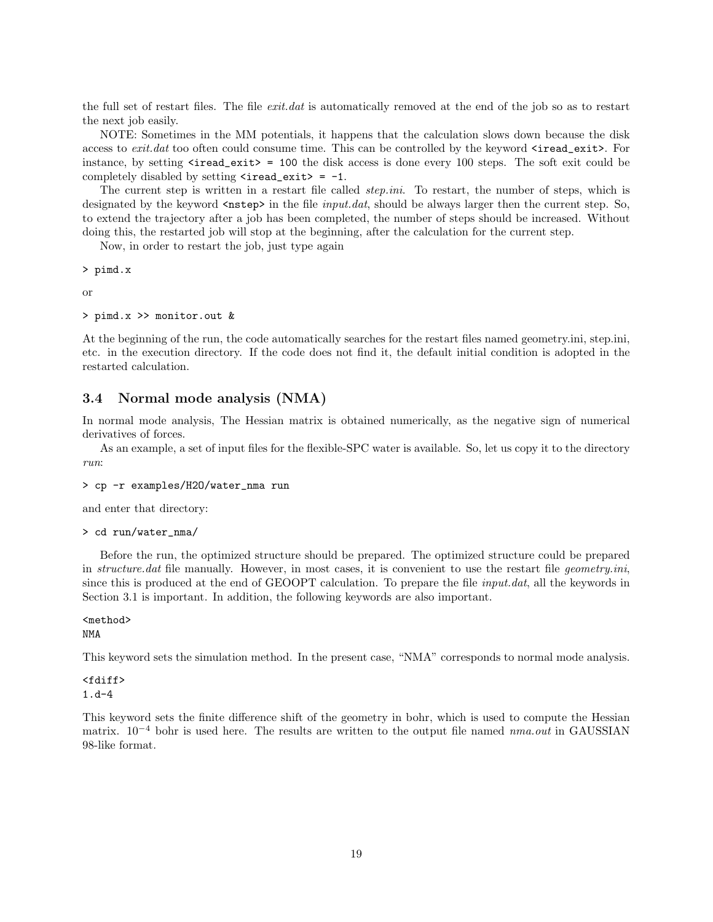the full set of restart files. The file *exit.dat* is automatically removed at the end of the job so as to restart the next job easily.

NOTE: Sometimes in the MM potentials, it happens that the calculation slows down because the disk access to *exit.dat* too often could consume time. This can be controlled by the keyword **siread\_exit>**. For instance, by setting  $\langle$ **iread\_exit> = 100** the disk access is done every 100 steps. The soft exit could be completely disabled by setting  $\langle$ iread\_exit> = -1.

The current step is written in a restart file called *step.ini*. To restart, the number of steps, which is designated by the keyword <nstep> in the file *input.dat*, should be always larger then the current step. So, to extend the trajectory after a job has been completed, the number of steps should be increased. Without doing this, the restarted job will stop at the beginning, after the calculation for the current step.

Now, in order to restart the job, just type again

> pimd.x

or

```
> pimd.x >> monitor.out &
```
At the beginning of the run, the code automatically searches for the restart files named geometry.ini, step.ini, etc. in the execution directory. If the code does not find it, the default initial condition is adopted in the restarted calculation.

### **3.4 Normal mode analysis (NMA)**

In normal mode analysis, The Hessian matrix is obtained numerically, as the negative sign of numerical derivatives of forces.

As an example, a set of input files for the flexible-SPC water is available. So, let us copy it to the directory *run*:

```
> cp -r examples/H2O/water_nma run
```
and enter that directory:

```
> cd run/water_nma/
```
Before the run, the optimized structure should be prepared. The optimized structure could be prepared in *structure.dat* file manually. However, in most cases, it is convenient to use the restart file *geometry.ini*, since this is produced at the end of GEOOPT calculation. To prepare the file *input.dat*, all the keywords in Section 3.1 is important. In addition, the following keywords are also important.

<method> NMA

This keyword sets the simulation method. In the present case, "NMA" corresponds to normal mode analysis.

<fdiff> 1.d-4

This keyword sets the finite difference shift of the geometry in bohr, which is used to compute the Hessian matrix. 10*−*<sup>4</sup> bohr is used here. The results are written to the output file named *nma.out* in GAUSSIAN 98-like format.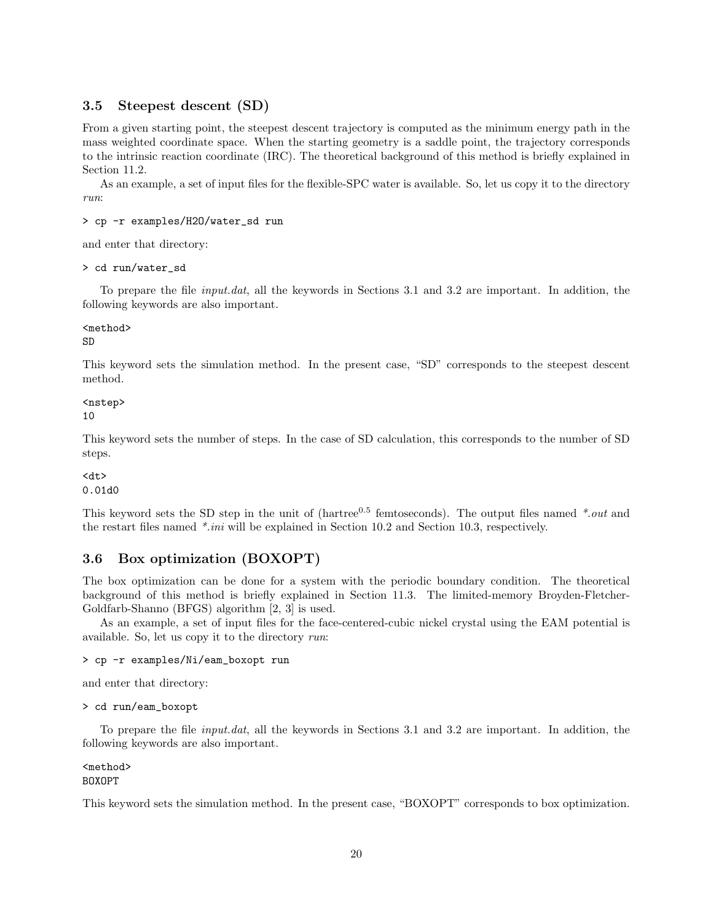### **3.5 Steepest descent (SD)**

From a given starting point, the steepest descent trajectory is computed as the minimum energy path in the mass weighted coordinate space. When the starting geometry is a saddle point, the trajectory corresponds to the intrinsic reaction coordinate (IRC). The theoretical background of this method is briefly explained in Section 11.2.

As an example, a set of input files for the flexible-SPC water is available. So, let us copy it to the directory *run*:

#### > cp -r examples/H2O/water\_sd run

and enter that directory:

### > cd run/water\_sd

To prepare the file *input.dat*, all the keywords in Sections 3.1 and 3.2 are important. In addition, the following keywords are also important.

### <method>

SD

This keyword sets the simulation method. In the present case, "SD" corresponds to the steepest descent method.

### <nstep>

10

This keyword sets the number of steps. In the case of SD calculation, this corresponds to the number of SD steps.

### <dt>

0.01d0

This keyword sets the SD step in the unit of (hartree<sup>0.5</sup> femtoseconds). The output files named *\*.out* and the restart files named *\*.ini* will be explained in Section 10.2 and Section 10.3, respectively.

### **3.6 Box optimization (BOXOPT)**

The box optimization can be done for a system with the periodic boundary condition. The theoretical background of this method is briefly explained in Section 11.3. The limited-memory Broyden-Fletcher-Goldfarb-Shanno (BFGS) algorithm [2, 3] is used.

As an example, a set of input files for the face-centered-cubic nickel crystal using the EAM potential is available. So, let us copy it to the directory *run*:

#### > cp -r examples/Ni/eam\_boxopt run

and enter that directory:

```
> cd run/eam_boxopt
```
To prepare the file *input.dat*, all the keywords in Sections 3.1 and 3.2 are important. In addition, the following keywords are also important.

#### <method> BOXOPT

This keyword sets the simulation method. In the present case, "BOXOPT" corresponds to box optimization.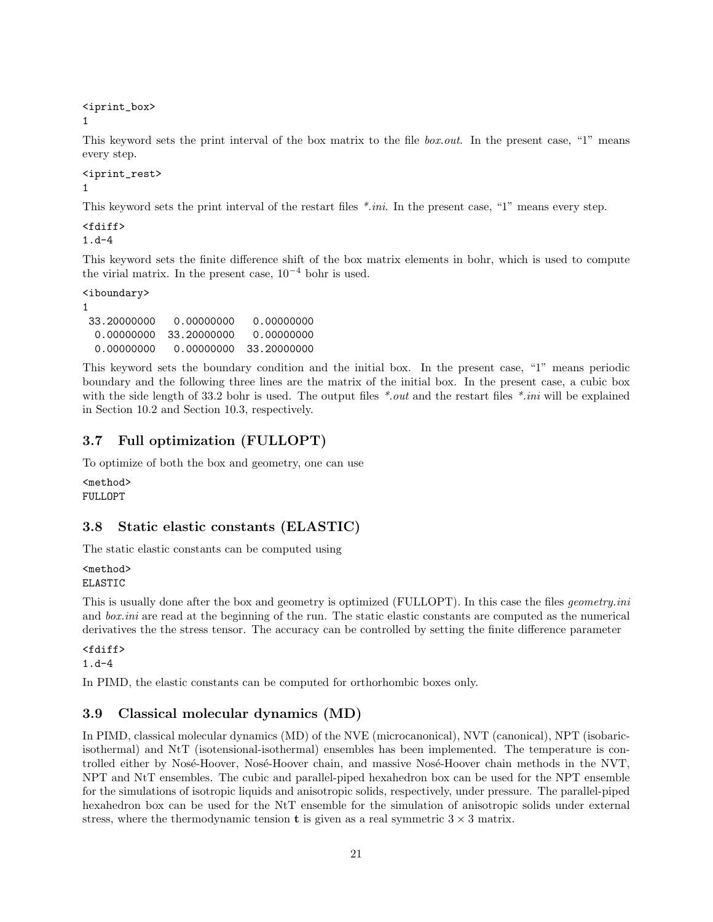<iprint\_box>

1

This keyword sets the print interval of the box matrix to the file *box.out*. In the present case, "1" means every step.

<iprint\_rest> 1

This keyword sets the print interval of the restart files *\*.ini*. In the present case, "1" means every step.

<fdiff>

1.d-4

This keyword sets the finite difference shift of the box matrix elements in bohr, which is used to compute the virial matrix. In the present case, 10*−*<sup>4</sup> bohr is used.

<iboundary>

1

33.20000000 0.00000000 0.00000000 0.00000000 33.20000000 0.00000000 0.00000000 0.00000000 33.20000000

This keyword sets the boundary condition and the initial box. In the present case, "1" means periodic boundary and the following three lines are the matrix of the initial box. In the present case, a cubic box with the side length of 33.2 bohr is used. The output files *\*.out* and the restart files *\*.ini* will be explained in Section 10.2 and Section 10.3, respectively.

### **3.7 Full optimization (FULLOPT)**

To optimize of both the box and geometry, one can use

<method> FULLOPT

### **3.8 Static elastic constants (ELASTIC)**

The static elastic constants can be computed using

<method> ELASTIC

This is usually done after the box and geometry is optimized (FULLOPT). In this case the files *geometry.ini* and *box.ini* are read at the beginning of the run. The static elastic constants are computed as the numerical derivatives the the stress tensor. The accuracy can be controlled by setting the finite difference parameter

<fdiff>

1.d-4

In PIMD, the elastic constants can be computed for orthorhombic boxes only.

### **3.9 Classical molecular dynamics (MD)**

In PIMD, classical molecular dynamics (MD) of the NVE (microcanonical), NVT (canonical), NPT (isobaricisothermal) and NtT (isotensional-isothermal) ensembles has been implemented. The temperature is controlled either by Nosé-Hoover, Nosé-Hoover chain, and massive Nosé-Hoover chain methods in the NVT, NPT and NtT ensembles. The cubic and parallel-piped hexahedron box can be used for the NPT ensemble for the simulations of isotropic liquids and anisotropic solids, respectively, under pressure. The parallel-piped hexahedron box can be used for the NtT ensemble for the simulation of anisotropic solids under external stress, where the thermodynamic tension **t** is given as a real symmetric  $3 \times 3$  matrix.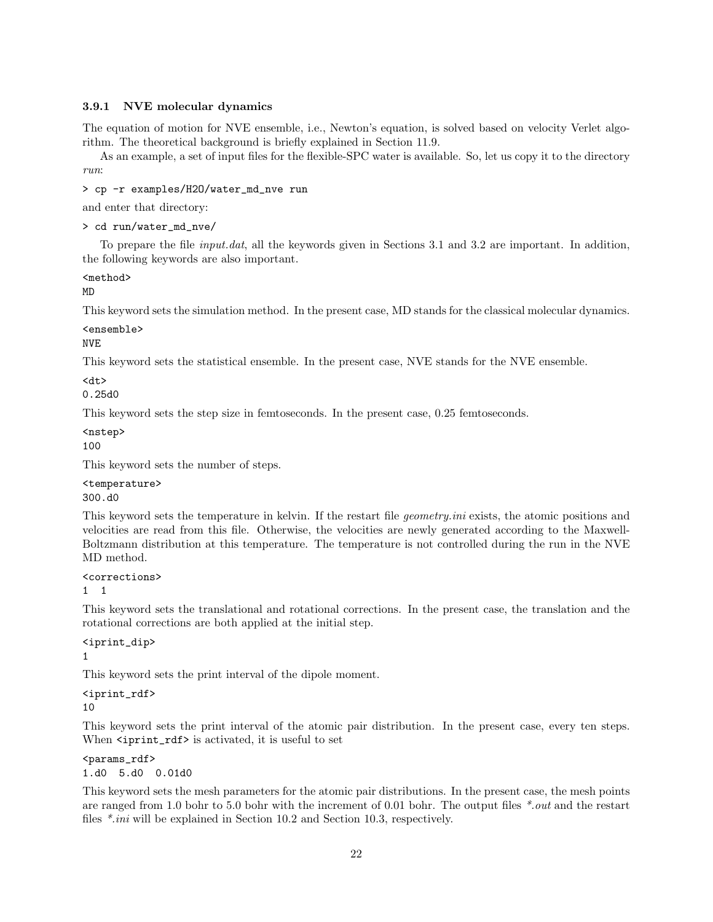### **3.9.1 NVE molecular dynamics**

The equation of motion for NVE ensemble, i.e., Newton's equation, is solved based on velocity Verlet algorithm. The theoretical background is briefly explained in Section 11.9.

As an example, a set of input files for the flexible-SPC water is available. So, let us copy it to the directory *run*:

> cp -r examples/H2O/water\_md\_nve run

and enter that directory:

```
> cd run/water_md_nve/
```
To prepare the file *input.dat*, all the keywords given in Sections 3.1 and 3.2 are important. In addition, the following keywords are also important.

<method>

MD

This keyword sets the simulation method. In the present case, MD stands for the classical molecular dynamics.

<ensemble>

NVE

This keyword sets the statistical ensemble. In the present case, NVE stands for the NVE ensemble.

<dt>

0.25d0

This keyword sets the step size in femtoseconds. In the present case, 0.25 femtoseconds.

<nstep>

100

This keyword sets the number of steps.

<temperature>

300.d0

This keyword sets the temperature in kelvin. If the restart file *geometry.ini* exists, the atomic positions and velocities are read from this file. Otherwise, the velocities are newly generated according to the Maxwell-Boltzmann distribution at this temperature. The temperature is not controlled during the run in the NVE MD method.

<corrections>

1 1

This keyword sets the translational and rotational corrections. In the present case, the translation and the rotational corrections are both applied at the initial step.

<iprint\_dip> 1

This keyword sets the print interval of the dipole moment.

```
<iprint_rdf>
10
```
This keyword sets the print interval of the atomic pair distribution. In the present case, every ten steps. When <iprint\_rdf> is activated, it is useful to set

<params\_rdf> 1.d0 5.d0 0.01d0

This keyword sets the mesh parameters for the atomic pair distributions. In the present case, the mesh points are ranged from 1.0 bohr to 5.0 bohr with the increment of 0.01 bohr. The output files *\*.out* and the restart files *\*.ini* will be explained in Section 10.2 and Section 10.3, respectively.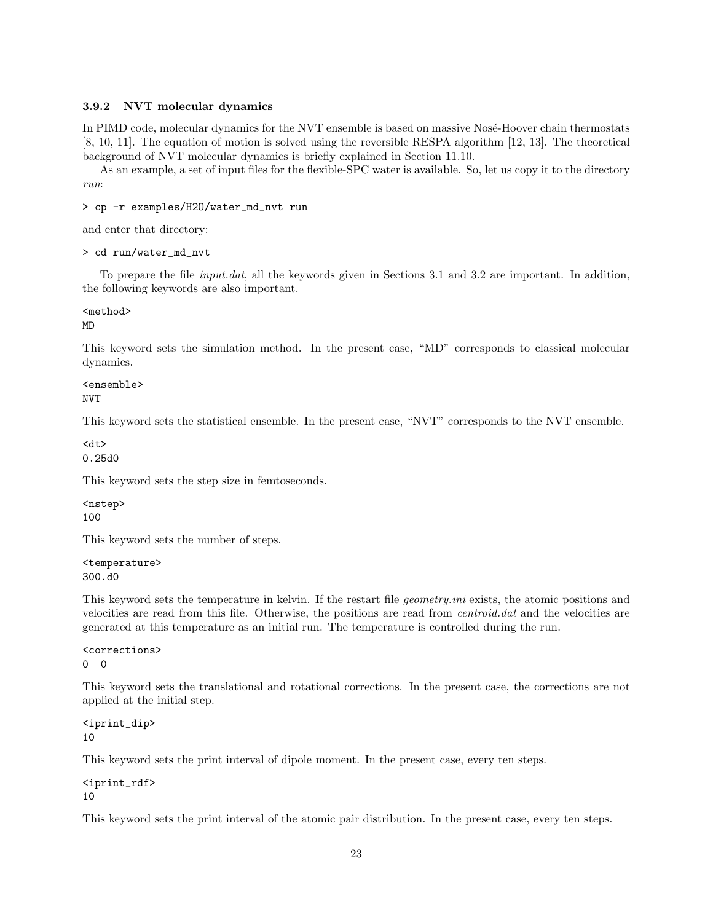### **3.9.2 NVT molecular dynamics**

In PIMD code, molecular dynamics for the NVT ensemble is based on massive Nosé-Hoover chain thermostats [8, 10, 11]. The equation of motion is solved using the reversible RESPA algorithm [12, 13]. The theoretical background of NVT molecular dynamics is briefly explained in Section 11.10.

As an example, a set of input files for the flexible-SPC water is available. So, let us copy it to the directory *run*:

```
> cp -r examples/H2O/water_md_nvt run
```
and enter that directory:

```
> cd run/water_md_nvt
```
To prepare the file *input.dat*, all the keywords given in Sections 3.1 and 3.2 are important. In addition, the following keywords are also important.

<method>

MD

This keyword sets the simulation method. In the present case, "MD" corresponds to classical molecular dynamics.

<ensemble> NVT

This keyword sets the statistical ensemble. In the present case, "NVT" corresponds to the NVT ensemble.

<dt> 0.25d0

This keyword sets the step size in femtoseconds.

<nstep> 100

This keyword sets the number of steps.

```
<temperature>
300.d0
```
This keyword sets the temperature in kelvin. If the restart file *geometry.ini* exists, the atomic positions and velocities are read from this file. Otherwise, the positions are read from *centroid.dat* and the velocities are generated at this temperature as an initial run. The temperature is controlled during the run.

<corrections> 0 0

This keyword sets the translational and rotational corrections. In the present case, the corrections are not applied at the initial step.

<iprint\_dip> 10

This keyword sets the print interval of dipole moment. In the present case, every ten steps.

<iprint\_rdf> 10

This keyword sets the print interval of the atomic pair distribution. In the present case, every ten steps.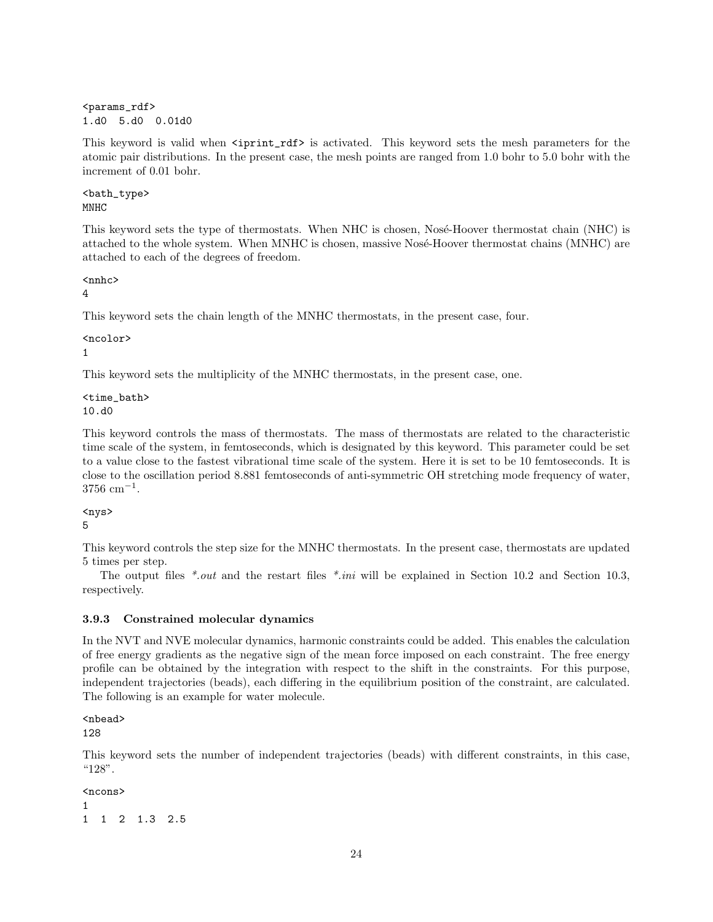```
<params_rdf>
1.d0 5.d0 0.01d0
```
This keyword is valid when  $\langle \text{iprint}_\text{r} \rangle$  is activated. This keyword sets the mesh parameters for the atomic pair distributions. In the present case, the mesh points are ranged from 1.0 bohr to 5.0 bohr with the increment of 0.01 bohr.

<bath\_type> MNHC

This keyword sets the type of thermostats. When NHC is chosen, Nosé-Hoover thermostat chain (NHC) is attached to the whole system. When MNHC is chosen, massive Nosé-Hoover thermostat chains (MNHC) are attached to each of the degrees of freedom.

<nnhc>

4

This keyword sets the chain length of the MNHC thermostats, in the present case, four.

<ncolor>

1

This keyword sets the multiplicity of the MNHC thermostats, in the present case, one.

<time\_bath> 10.d0

This keyword controls the mass of thermostats. The mass of thermostats are related to the characteristic time scale of the system, in femtoseconds, which is designated by this keyword. This parameter could be set to a value close to the fastest vibrational time scale of the system. Here it is set to be 10 femtoseconds. It is close to the oscillation period 8.881 femtoseconds of anti-symmetric OH stretching mode frequency of water, 3756 cm*−*<sup>1</sup> .

<nys> 5

This keyword controls the step size for the MNHC thermostats. In the present case, thermostats are updated 5 times per step.

The output files *\*.out* and the restart files *\*.ini* will be explained in Section 10.2 and Section 10.3, respectively.

### **3.9.3 Constrained molecular dynamics**

In the NVT and NVE molecular dynamics, harmonic constraints could be added. This enables the calculation of free energy gradients as the negative sign of the mean force imposed on each constraint. The free energy profile can be obtained by the integration with respect to the shift in the constraints. For this purpose, independent trajectories (beads), each differing in the equilibrium position of the constraint, are calculated. The following is an example for water molecule.

<nbead>

128

This keyword sets the number of independent trajectories (beads) with different constraints, in this case, "128".

```
<ncons>
1
1 1 2 1.3 2.5
```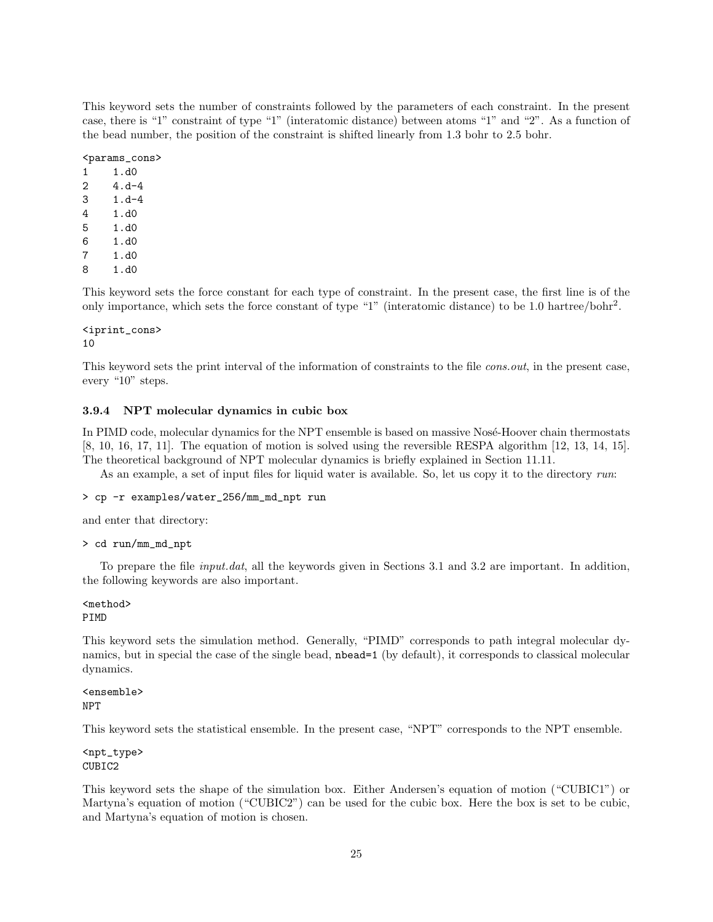This keyword sets the number of constraints followed by the parameters of each constraint. In the present case, there is "1" constraint of type "1" (interatomic distance) between atoms "1" and "2". As a function of the bead number, the position of the constraint is shifted linearly from 1.3 bohr to 2.5 bohr.

<params\_cons>

1 1.d0 2 4.d-4 3 1.d-4 4 1.d0 5 1.d0 6 1.d0 7 1.d0 8 1.d0

This keyword sets the force constant for each type of constraint. In the present case, the first line is of the only importance, which sets the force constant of type "1" (interatomic distance) to be 1.0 hartree/bohr<sup>2</sup> .

<iprint\_cons>

10

This keyword sets the print interval of the information of constraints to the file *cons.out*, in the present case, every "10" steps.

### **3.9.4 NPT molecular dynamics in cubic box**

In PIMD code, molecular dynamics for the NPT ensemble is based on massive Nosé-Hoover chain thermostats [8, 10, 16, 17, 11]. The equation of motion is solved using the reversible RESPA algorithm [12, 13, 14, 15]. The theoretical background of NPT molecular dynamics is briefly explained in Section 11.11.

As an example, a set of input files for liquid water is available. So, let us copy it to the directory *run*:

> cp -r examples/water\_256/mm\_md\_npt run

and enter that directory:

```
> cd run/mm_md_npt
```
To prepare the file *input.dat*, all the keywords given in Sections 3.1 and 3.2 are important. In addition, the following keywords are also important.

### <method>

```
PIMD
```
This keyword sets the simulation method. Generally, "PIMD" corresponds to path integral molecular dynamics, but in special the case of the single bead, nbead=1 (by default), it corresponds to classical molecular dynamics.

<ensemble> NPT

This keyword sets the statistical ensemble. In the present case, "NPT" corresponds to the NPT ensemble.

<npt\_type> CUBIC2

This keyword sets the shape of the simulation box. Either Andersen's equation of motion ("CUBIC1") or Martyna's equation of motion ("CUBIC2") can be used for the cubic box. Here the box is set to be cubic, and Martyna's equation of motion is chosen.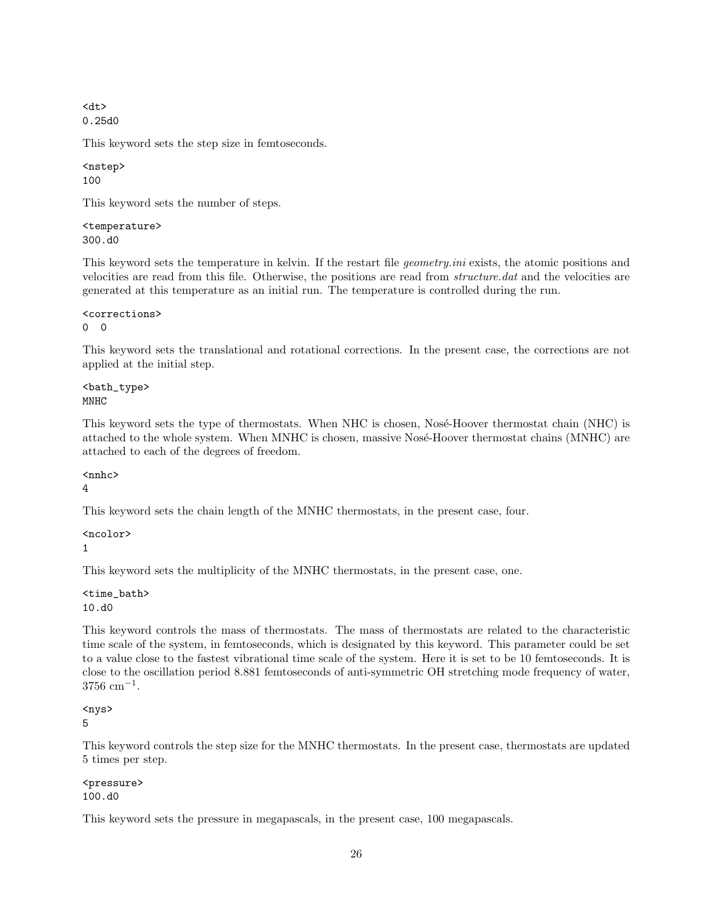<dt> 0.25d0

This keyword sets the step size in femtoseconds.

<nstep> 100

This keyword sets the number of steps.

<temperature> 300.d0

This keyword sets the temperature in kelvin. If the restart file *geometry.ini* exists, the atomic positions and velocities are read from this file. Otherwise, the positions are read from *structure.dat* and the velocities are generated at this temperature as an initial run. The temperature is controlled during the run.

### <corrections>

0 0

This keyword sets the translational and rotational corrections. In the present case, the corrections are not applied at the initial step.

<bath\_type> MNHC

This keyword sets the type of thermostats. When NHC is chosen, Nosé-Hoover thermostat chain (NHC) is attached to the whole system. When MNHC is chosen, massive Nosé-Hoover thermostat chains (MNHC) are attached to each of the degrees of freedom.

<nnhc>

4

This keyword sets the chain length of the MNHC thermostats, in the present case, four.

<ncolor> 1

This keyword sets the multiplicity of the MNHC thermostats, in the present case, one.

<time\_bath> 10.d0

This keyword controls the mass of thermostats. The mass of thermostats are related to the characteristic time scale of the system, in femtoseconds, which is designated by this keyword. This parameter could be set to a value close to the fastest vibrational time scale of the system. Here it is set to be 10 femtoseconds. It is close to the oscillation period 8.881 femtoseconds of anti-symmetric OH stretching mode frequency of water, 3756 cm*−*<sup>1</sup> .

<nys> 5

This keyword controls the step size for the MNHC thermostats. In the present case, thermostats are updated 5 times per step.

<pressure> 100.d0

This keyword sets the pressure in megapascals, in the present case, 100 megapascals.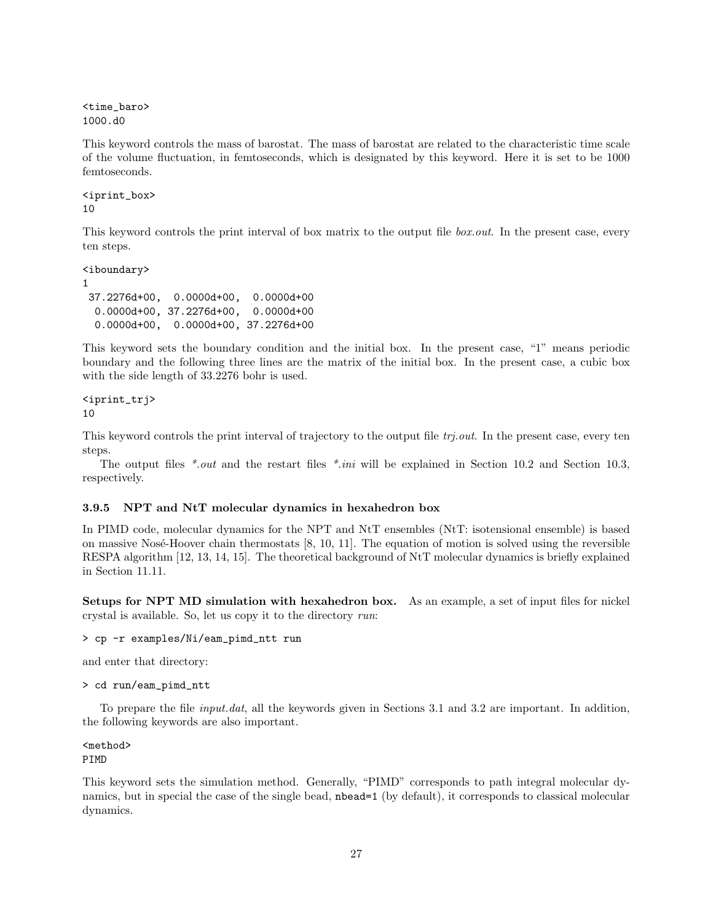<time\_baro> 1000.d0

This keyword controls the mass of barostat. The mass of barostat are related to the characteristic time scale of the volume fluctuation, in femtoseconds, which is designated by this keyword. Here it is set to be 1000 femtoseconds.

<iprint\_box> 10

This keyword controls the print interval of box matrix to the output file *box.out*. In the present case, every ten steps.

```
<iboundary>
1
37.2276d+00, 0.0000d+00, 0.0000d+00
 0.0000d+00, 37.2276d+00, 0.0000d+00
 0.0000d+00, 0.0000d+00, 37.2276d+00
```
This keyword sets the boundary condition and the initial box. In the present case, "1" means periodic boundary and the following three lines are the matrix of the initial box. In the present case, a cubic box with the side length of 33.2276 bohr is used.

<iprint\_trj> 10

This keyword controls the print interval of trajectory to the output file *trj.out*. In the present case, every ten steps.

The output files *\*.out* and the restart files *\*.ini* will be explained in Section 10.2 and Section 10.3, respectively.

### **3.9.5 NPT and NtT molecular dynamics in hexahedron box**

In PIMD code, molecular dynamics for the NPT and NtT ensembles (NtT: isotensional ensemble) is based on massive Nosé-Hoover chain thermostats  $[8, 10, 11]$ . The equation of motion is solved using the reversible RESPA algorithm [12, 13, 14, 15]. The theoretical background of NtT molecular dynamics is briefly explained in Section 11.11.

**Setups for NPT MD simulation with hexahedron box.** As an example, a set of input files for nickel crystal is available. So, let us copy it to the directory *run*:

> cp -r examples/Ni/eam\_pimd\_ntt run

and enter that directory:

```
> cd run/eam_pimd_ntt
```
To prepare the file *input.dat*, all the keywords given in Sections 3.1 and 3.2 are important. In addition, the following keywords are also important.

<method> PIMD

This keyword sets the simulation method. Generally, "PIMD" corresponds to path integral molecular dynamics, but in special the case of the single bead, nbead=1 (by default), it corresponds to classical molecular dynamics.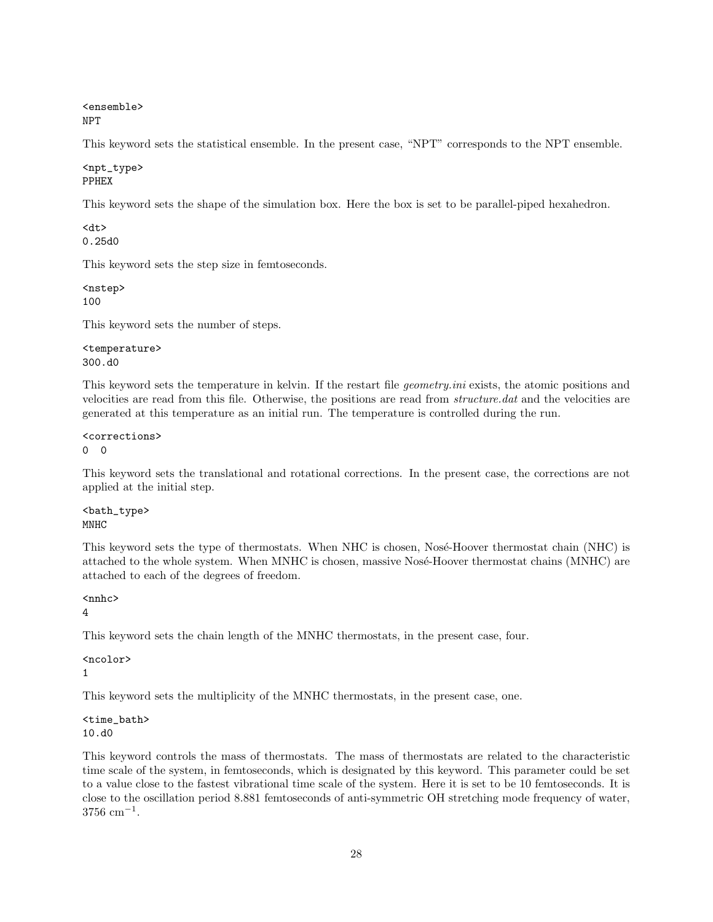<ensemble> NPT

This keyword sets the statistical ensemble. In the present case, "NPT" corresponds to the NPT ensemble.

<npt\_type> PPHEX

This keyword sets the shape of the simulation box. Here the box is set to be parallel-piped hexahedron.

<dt> 0.25d0

This keyword sets the step size in femtoseconds.

<nstep> 100

This keyword sets the number of steps.

<temperature> 300.d0

This keyword sets the temperature in kelvin. If the restart file *geometry.ini* exists, the atomic positions and velocities are read from this file. Otherwise, the positions are read from *structure.dat* and the velocities are generated at this temperature as an initial run. The temperature is controlled during the run.

<corrections> 0 0

This keyword sets the translational and rotational corrections. In the present case, the corrections are not applied at the initial step.

<bath\_type> MNHC

This keyword sets the type of thermostats. When NHC is chosen, Nosé-Hoover thermostat chain (NHC) is attached to the whole system. When MNHC is chosen, massive Nosé-Hoover thermostat chains (MNHC) are attached to each of the degrees of freedom.

 $<sub>nnhc</sub>$ </sub>

4

This keyword sets the chain length of the MNHC thermostats, in the present case, four.

<ncolor>

1

This keyword sets the multiplicity of the MNHC thermostats, in the present case, one.

<time\_bath> 10.d0

This keyword controls the mass of thermostats. The mass of thermostats are related to the characteristic time scale of the system, in femtoseconds, which is designated by this keyword. This parameter could be set to a value close to the fastest vibrational time scale of the system. Here it is set to be 10 femtoseconds. It is close to the oscillation period 8.881 femtoseconds of anti-symmetric OH stretching mode frequency of water, 3756 cm*−*<sup>1</sup> .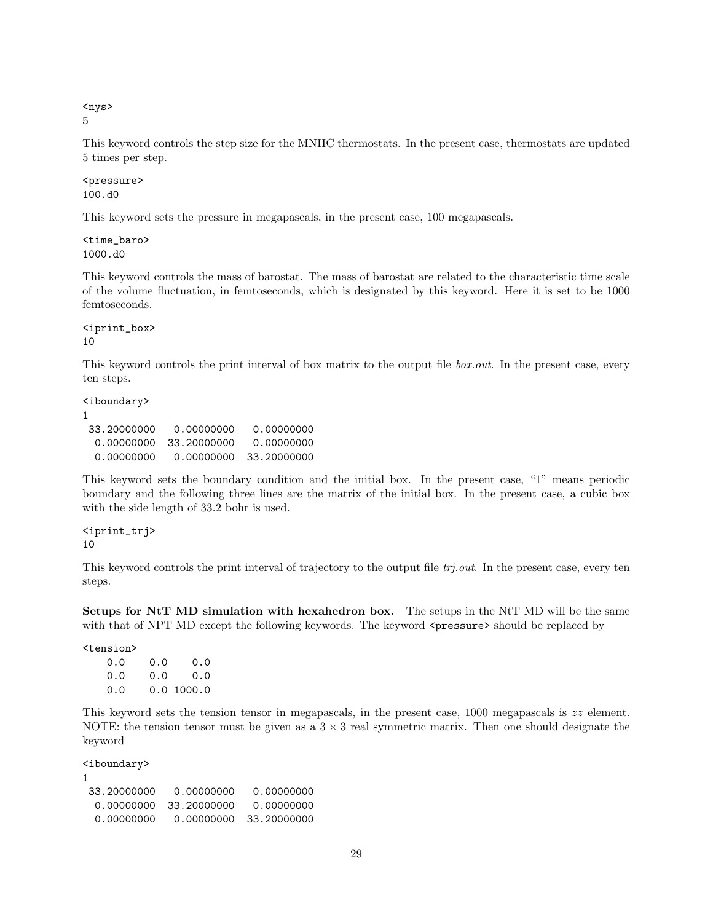<nys> 5

This keyword controls the step size for the MNHC thermostats. In the present case, thermostats are updated 5 times per step.

<pressure> 100.d0

This keyword sets the pressure in megapascals, in the present case, 100 megapascals.

<time\_baro> 1000.d0

This keyword controls the mass of barostat. The mass of barostat are related to the characteristic time scale of the volume fluctuation, in femtoseconds, which is designated by this keyword. Here it is set to be 1000 femtoseconds.

<iprint\_box> 10

This keyword controls the print interval of box matrix to the output file *box.out*. In the present case, every ten steps.

<iboundary> 1 33.20000000 0.00000000 0.00000000 0.00000000 33.20000000 0.00000000 0.00000000 0.00000000 33.20000000

This keyword sets the boundary condition and the initial box. In the present case, "1" means periodic boundary and the following three lines are the matrix of the initial box. In the present case, a cubic box with the side length of 33.2 bohr is used.

<iprint\_trj> 10

This keyword controls the print interval of trajectory to the output file *trj.out*. In the present case, every ten steps.

**Setups for NtT MD simulation with hexahedron box.** The setups in the NtT MD will be the same with that of NPT MD except the following keywords. The keyword  $\epsilon$  ressure> should be replaced by

<tension>

| 0.0 | 0.0 | 0.0        |
|-----|-----|------------|
| 0.0 | 0.0 | 0.0        |
| 0.0 |     | 0.0 1000.0 |

This keyword sets the tension tensor in megapascals, in the present case, 1000 megapascals is *zz* element. NOTE: the tension tensor must be given as a  $3 \times 3$  real symmetric matrix. Then one should designate the keyword

<iboundary>

| 1           |             |                        |
|-------------|-------------|------------------------|
| 33.20000000 | 0.00000000  | 0.00000000             |
| 0.00000000  | 33.20000000 | 0.00000000             |
| 0.00000000  |             | 0.00000000 33.20000000 |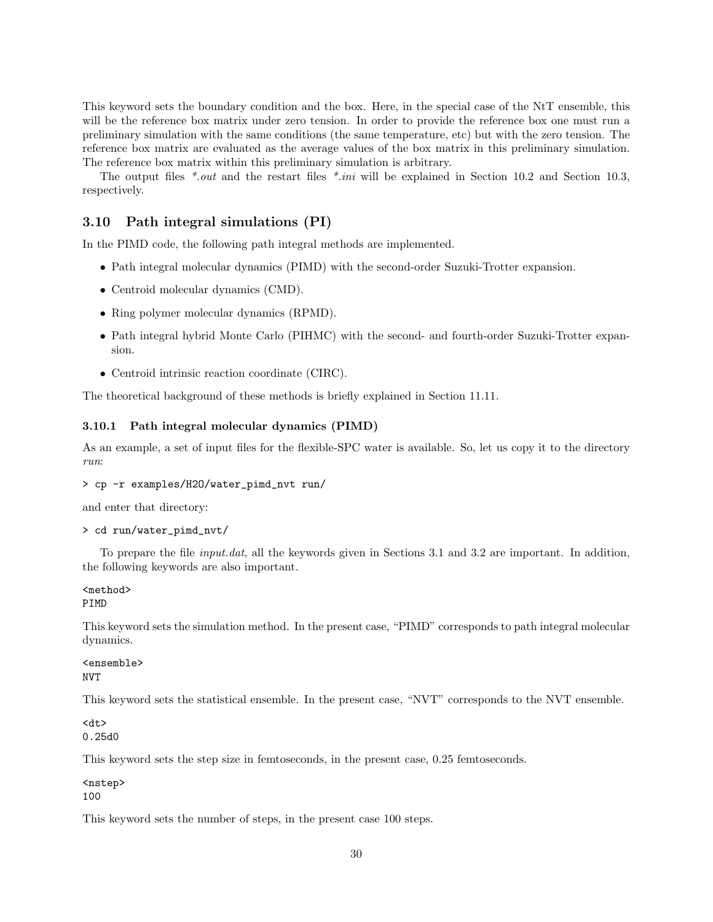This keyword sets the boundary condition and the box. Here, in the special case of the NtT ensemble, this will be the reference box matrix under zero tension. In order to provide the reference box one must run a preliminary simulation with the same conditions (the same temperature, etc) but with the zero tension. The reference box matrix are evaluated as the average values of the box matrix in this preliminary simulation. The reference box matrix within this preliminary simulation is arbitrary.

The output files *\*.out* and the restart files *\*.ini* will be explained in Section 10.2 and Section 10.3, respectively.

### **3.10 Path integral simulations (PI)**

In the PIMD code, the following path integral methods are implemented.

- Path integral molecular dynamics (PIMD) with the second-order Suzuki-Trotter expansion.
- *•* Centroid molecular dynamics (CMD).
- *•* Ring polymer molecular dynamics (RPMD).
- Path integral hybrid Monte Carlo (PIHMC) with the second- and fourth-order Suzuki-Trotter expansion.
- Centroid intrinsic reaction coordinate (CIRC).

The theoretical background of these methods is briefly explained in Section 11.11.

### **3.10.1 Path integral molecular dynamics (PIMD)**

As an example, a set of input files for the flexible-SPC water is available. So, let us copy it to the directory *run*:

```
> cp -r examples/H2O/water_pimd_nvt run/
```
and enter that directory:

```
> cd run/water_pimd_nvt/
```
To prepare the file *input.dat*, all the keywords given in Sections 3.1 and 3.2 are important. In addition, the following keywords are also important.

### <method> PIMD

This keyword sets the simulation method. In the present case, "PIMD" corresponds to path integral molecular dynamics.

<ensemble> NVT

This keyword sets the statistical ensemble. In the present case, "NVT" corresponds to the NVT ensemble.

<dt> 0.25d0

This keyword sets the step size in femtoseconds, in the present case, 0.25 femtoseconds.

<nstep> 100

This keyword sets the number of steps, in the present case 100 steps.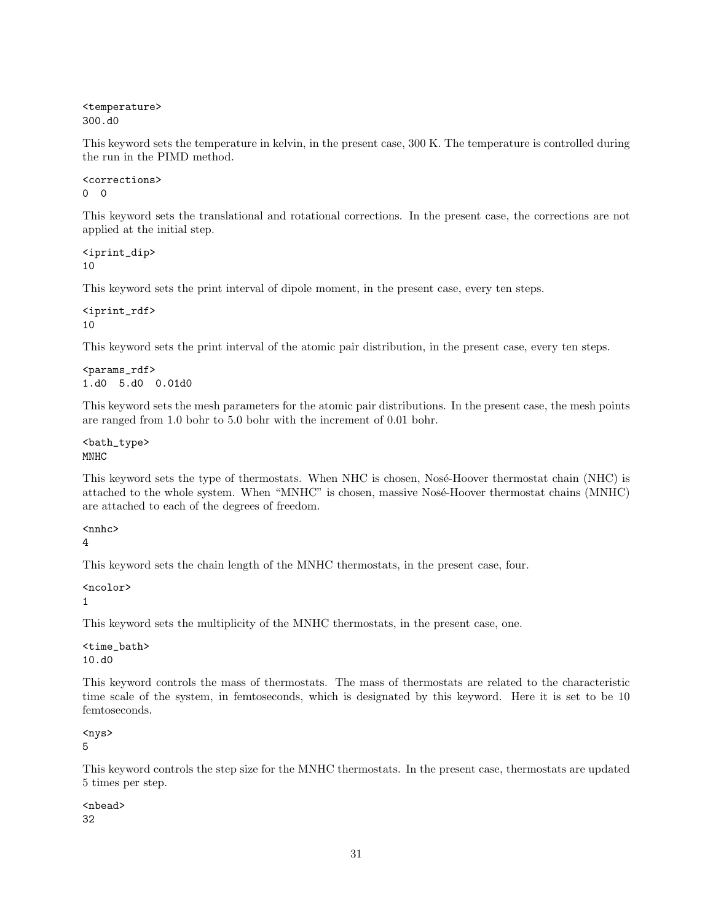<temperature> 300.d0

This keyword sets the temperature in kelvin, in the present case, 300 K. The temperature is controlled during the run in the PIMD method.

<corrections> 0 0

This keyword sets the translational and rotational corrections. In the present case, the corrections are not applied at the initial step.

<iprint\_dip> 10

This keyword sets the print interval of dipole moment, in the present case, every ten steps.

```
<iprint_rdf>
10
```
This keyword sets the print interval of the atomic pair distribution, in the present case, every ten steps.

```
<params_rdf>
1.d0 5.d0 0.01d0
```
This keyword sets the mesh parameters for the atomic pair distributions. In the present case, the mesh points are ranged from 1.0 bohr to 5.0 bohr with the increment of 0.01 bohr.

<bath\_type> MNHC

This keyword sets the type of thermostats. When NHC is chosen, Nosé-Hoover thermostat chain (NHC) is attached to the whole system. When "MNHC" is chosen, massive Nosé-Hoover thermostat chains (MNHC) are attached to each of the degrees of freedom.

 $<sub>nnhc</sub>$ </sub>

4

This keyword sets the chain length of the MNHC thermostats, in the present case, four.

```
<ncolor>
1
```
This keyword sets the multiplicity of the MNHC thermostats, in the present case, one.

<time\_bath> 10.d0

This keyword controls the mass of thermostats. The mass of thermostats are related to the characteristic time scale of the system, in femtoseconds, which is designated by this keyword. Here it is set to be 10 femtoseconds.

<nys>

5

This keyword controls the step size for the MNHC thermostats. In the present case, thermostats are updated 5 times per step.

<nbead>

32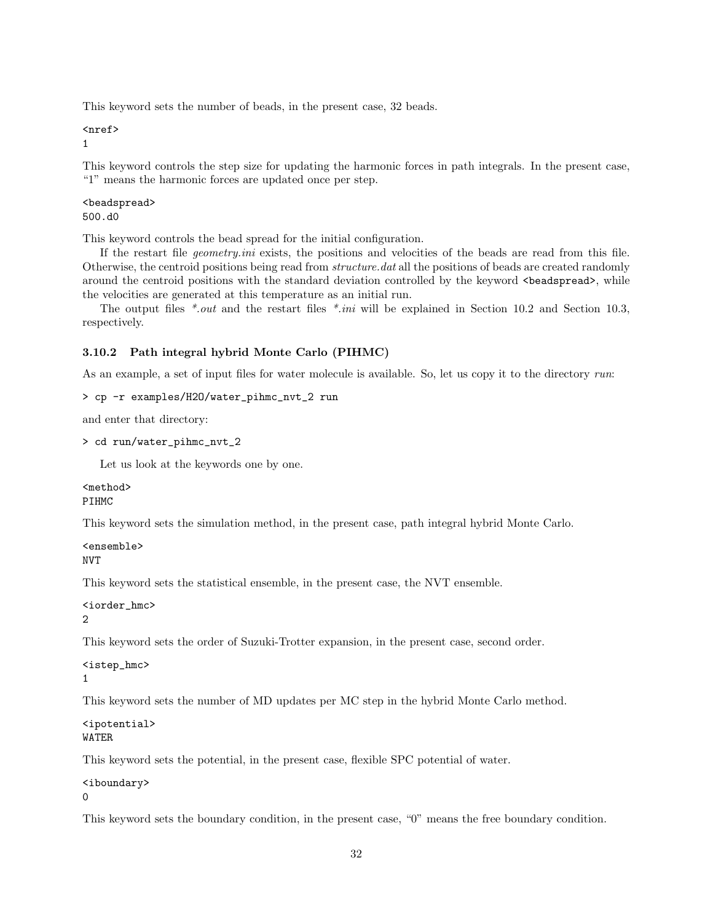This keyword sets the number of beads, in the present case, 32 beads.

<nref>

1

This keyword controls the step size for updating the harmonic forces in path integrals. In the present case, "1" means the harmonic forces are updated once per step.

<beadspread> 500.d0

This keyword controls the bead spread for the initial configuration.

If the restart file *geometry.ini* exists, the positions and velocities of the beads are read from this file. Otherwise, the centroid positions being read from *structure.dat* all the positions of beads are created randomly around the centroid positions with the standard deviation controlled by the keyword <br/>beadspread>, while the velocities are generated at this temperature as an initial run.

The output files *\*.out* and the restart files *\*.ini* will be explained in Section 10.2 and Section 10.3, respectively.

### **3.10.2 Path integral hybrid Monte Carlo (PIHMC)**

As an example, a set of input files for water molecule is available. So, let us copy it to the directory *run*:

> cp -r examples/H2O/water\_pihmc\_nvt\_2 run

and enter that directory:

```
> cd run/water_pihmc_nvt_2
```
Let us look at the keywords one by one.

```
<method>
PIHMC
```
This keyword sets the simulation method, in the present case, path integral hybrid Monte Carlo.

<ensemble> NVT

This keyword sets the statistical ensemble, in the present case, the NVT ensemble.

```
<iorder_hmc>
2
```
This keyword sets the order of Suzuki-Trotter expansion, in the present case, second order.

```
<istep_hmc>
1
```
This keyword sets the number of MD updates per MC step in the hybrid Monte Carlo method.

```
<ipotential>
WATER
```
This keyword sets the potential, in the present case, flexible SPC potential of water.

<iboundary> 0

This keyword sets the boundary condition, in the present case, "0" means the free boundary condition.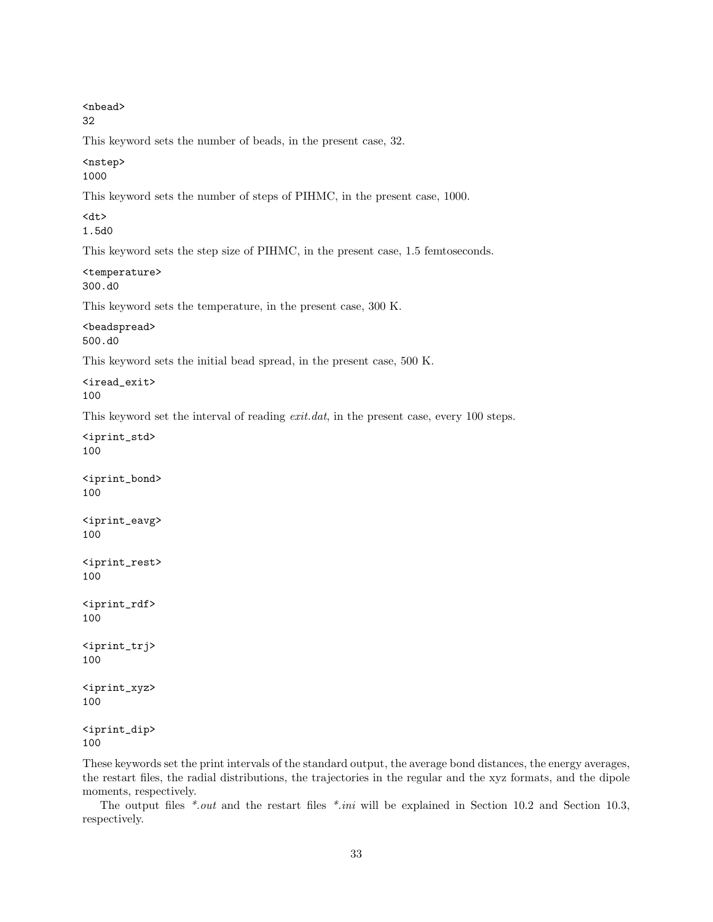<nbead> 32

This keyword sets the number of beads, in the present case, 32.

### <nstep>

1000

This keyword sets the number of steps of PIHMC, in the present case, 1000.

<dt> 1.5d0

This keyword sets the step size of PIHMC, in the present case, 1.5 femtoseconds.

<temperature> 300.d0

This keyword sets the temperature, in the present case, 300 K.

<beadspread> 500.d0

This keyword sets the initial bead spread, in the present case, 500 K.

<iread\_exit> 100

This keyword set the interval of reading *exit.dat*, in the present case, every 100 steps.

```
<iprint_std>
100
```
<iprint\_bond> 100

```
<iprint_eavg>
100
```
<iprint\_rest> 100

<iprint\_rdf> 100

<iprint\_trj> 100

<iprint\_xyz> 100

<iprint\_dip> 100

These keywords set the print intervals of the standard output, the average bond distances, the energy averages, the restart files, the radial distributions, the trajectories in the regular and the xyz formats, and the dipole moments, respectively.

The output files *\*.out* and the restart files *\*.ini* will be explained in Section 10.2 and Section 10.3, respectively.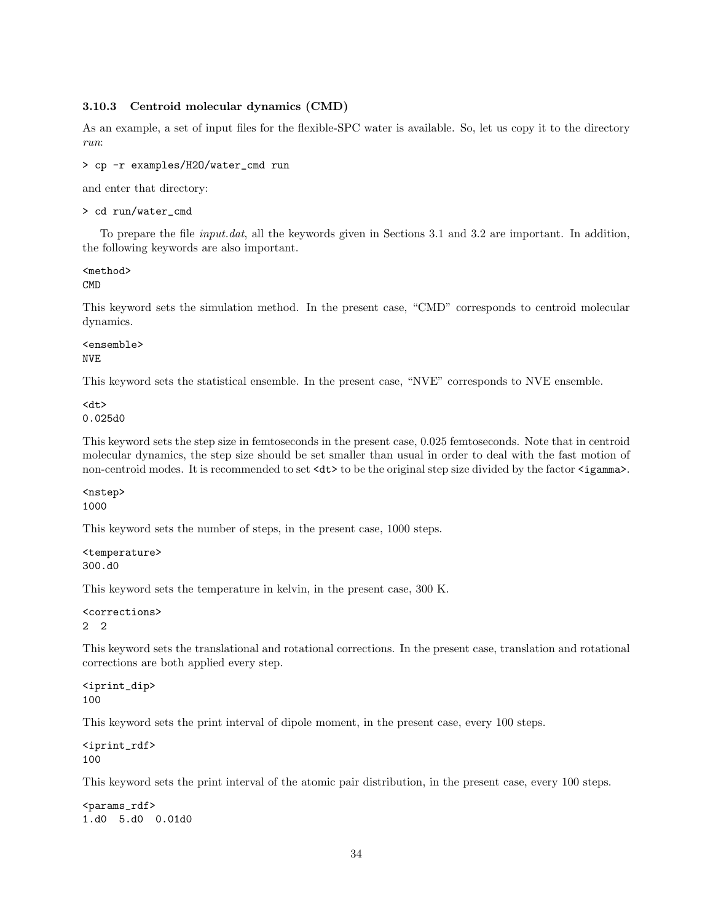### **3.10.3 Centroid molecular dynamics (CMD)**

As an example, a set of input files for the flexible-SPC water is available. So, let us copy it to the directory *run*:

```
> cp -r examples/H2O/water_cmd run
```
and enter that directory:

```
> cd run/water_cmd
```
To prepare the file *input.dat*, all the keywords given in Sections 3.1 and 3.2 are important. In addition, the following keywords are also important.

<method>

CMD

This keyword sets the simulation method. In the present case, "CMD" corresponds to centroid molecular dynamics.

### <ensemble> NVE

This keyword sets the statistical ensemble. In the present case, "NVE" corresponds to NVE ensemble.

<dt> 0.025d0

This keyword sets the step size in femtoseconds in the present case, 0.025 femtoseconds. Note that in centroid molecular dynamics, the step size should be set smaller than usual in order to deal with the fast motion of non-centroid modes. It is recommended to set  $\text{det} > \text{det} > \text{det}$  be the original step size divided by the factor  $\text{signmax}$ .

<nstep> 1000

This keyword sets the number of steps, in the present case, 1000 steps.

<temperature> 300.d0

This keyword sets the temperature in kelvin, in the present case, 300 K.

<corrections> 2 2

This keyword sets the translational and rotational corrections. In the present case, translation and rotational corrections are both applied every step.

<iprint\_dip> 100

This keyword sets the print interval of dipole moment, in the present case, every 100 steps.

<iprint\_rdf> 100

This keyword sets the print interval of the atomic pair distribution, in the present case, every 100 steps.

<params\_rdf> 1.d0 5.d0 0.01d0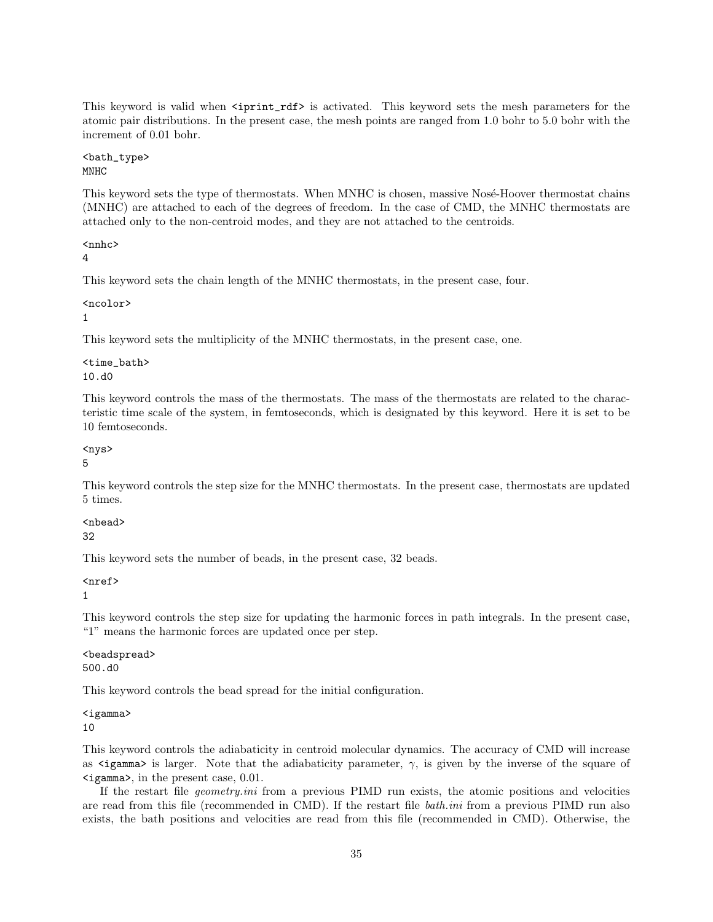This keyword is valid when  $\text{Siprint}_\text{r}$  is activated. This keyword sets the mesh parameters for the atomic pair distributions. In the present case, the mesh points are ranged from 1.0 bohr to 5.0 bohr with the increment of 0.01 bohr.

<bath\_type> MNHC

This keyword sets the type of thermostats. When MNHC is chosen, massive Nosé-Hoover thermostat chains (MNHC) are attached to each of the degrees of freedom. In the case of CMD, the MNHC thermostats are attached only to the non-centroid modes, and they are not attached to the centroids.

 $<sub>nnhc</sub>$ </sub>

4

This keyword sets the chain length of the MNHC thermostats, in the present case, four.

<ncolor>

1

This keyword sets the multiplicity of the MNHC thermostats, in the present case, one.

<time\_bath> 10.d0

This keyword controls the mass of the thermostats. The mass of the thermostats are related to the characteristic time scale of the system, in femtoseconds, which is designated by this keyword. Here it is set to be 10 femtoseconds.

<nys>

5

This keyword controls the step size for the MNHC thermostats. In the present case, thermostats are updated 5 times.

<nbead>

32

This keyword sets the number of beads, in the present case, 32 beads.

<nref>

1

This keyword controls the step size for updating the harmonic forces in path integrals. In the present case, "1" means the harmonic forces are updated once per step.

<beadspread> 500.d0

This keyword controls the bead spread for the initial configuration.

<igamma> 10

This keyword controls the adiabaticity in centroid molecular dynamics. The accuracy of CMD will increase as  $\langle$ igamma> is larger. Note that the adiabaticity parameter,  $\gamma$ , is given by the inverse of the square of  $\zeta$ igamma $\zeta$ , in the present case, 0.01.

If the restart file *geometry.ini* from a previous PIMD run exists, the atomic positions and velocities are read from this file (recommended in CMD). If the restart file *bath.ini* from a previous PIMD run also exists, the bath positions and velocities are read from this file (recommended in CMD). Otherwise, the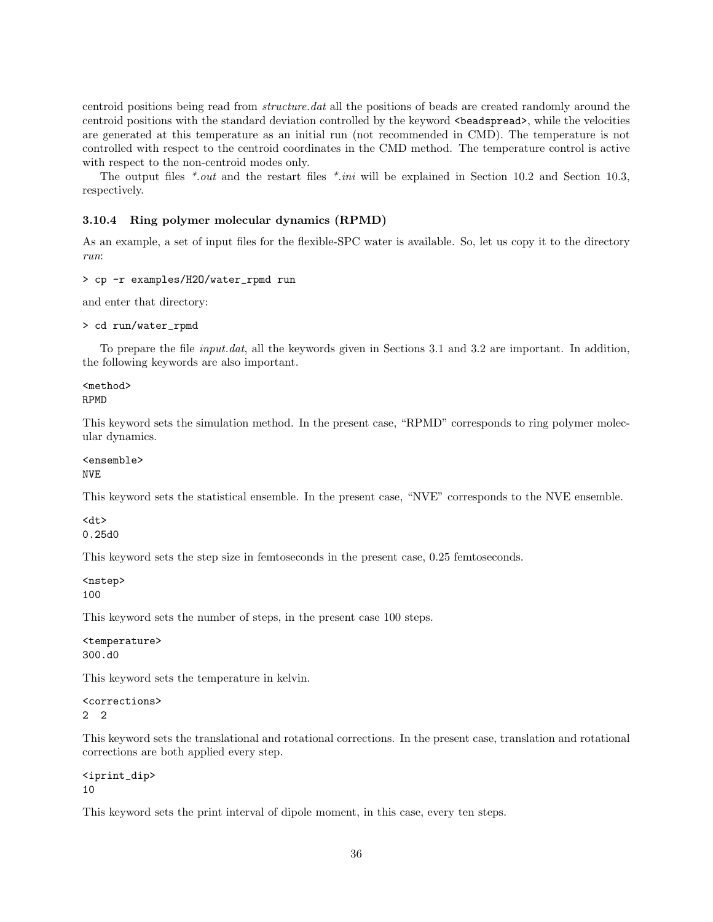centroid positions being read from *structure.dat* all the positions of beads are created randomly around the centroid positions with the standard deviation controlled by the keyword <br/>beadspread>, while the velocities are generated at this temperature as an initial run (not recommended in CMD). The temperature is not controlled with respect to the centroid coordinates in the CMD method. The temperature control is active with respect to the non-centroid modes only.

The output files *\*.out* and the restart files *\*.ini* will be explained in Section 10.2 and Section 10.3, respectively.

### **3.10.4 Ring polymer molecular dynamics (RPMD)**

As an example, a set of input files for the flexible-SPC water is available. So, let us copy it to the directory *run*:

#### > cp -r examples/H2O/water\_rpmd run

and enter that directory:

```
> cd run/water_rpmd
```
To prepare the file *input.dat*, all the keywords given in Sections 3.1 and 3.2 are important. In addition, the following keywords are also important.

#### <method> RPMD

This keyword sets the simulation method. In the present case, "RPMD" corresponds to ring polymer molecular dynamics.

#### <ensemble> NVE

This keyword sets the statistical ensemble. In the present case, "NVE" corresponds to the NVE ensemble.

<dt> 0.25d0

This keyword sets the step size in femtoseconds in the present case, 0.25 femtoseconds.

<nstep> 100

This keyword sets the number of steps, in the present case 100 steps.

```
<temperature>
300.d0
```
This keyword sets the temperature in kelvin.

```
<corrections>
2 2
```
This keyword sets the translational and rotational corrections. In the present case, translation and rotational corrections are both applied every step.

```
<iprint_dip>
10
```
This keyword sets the print interval of dipole moment, in this case, every ten steps.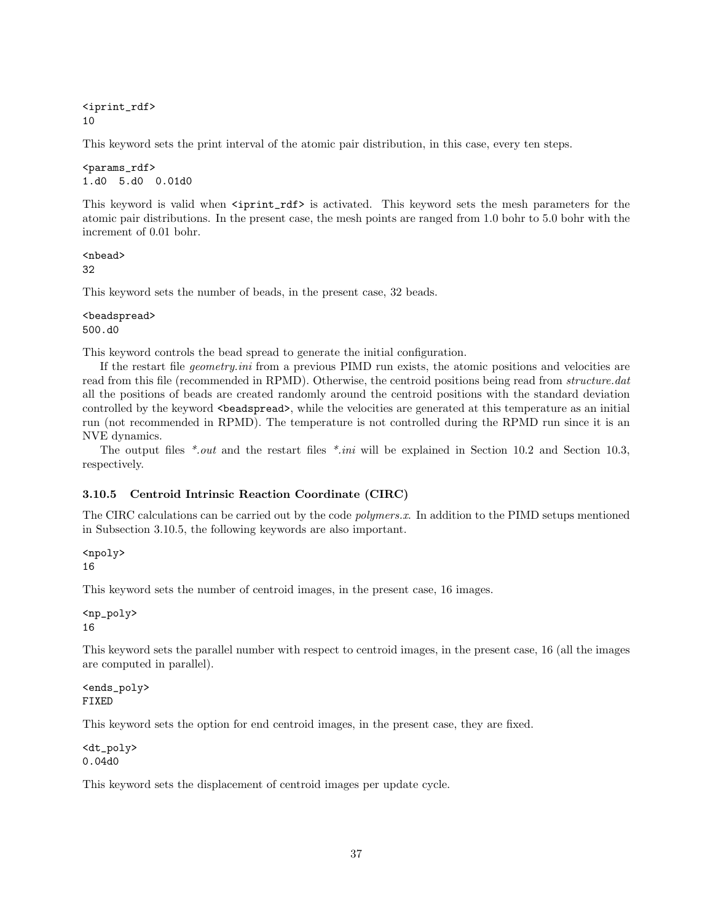<iprint\_rdf> 10

This keyword sets the print interval of the atomic pair distribution, in this case, every ten steps.

<params\_rdf> 1.d0 5.d0 0.01d0

This keyword is valid when  $\langle$ iprint\_rdf> is activated. This keyword sets the mesh parameters for the atomic pair distributions. In the present case, the mesh points are ranged from 1.0 bohr to 5.0 bohr with the increment of 0.01 bohr.

<nbead>

32

This keyword sets the number of beads, in the present case, 32 beads.

#### <beadspread> 500.d0

This keyword controls the bead spread to generate the initial configuration.

If the restart file *geometry.ini* from a previous PIMD run exists, the atomic positions and velocities are read from this file (recommended in RPMD). Otherwise, the centroid positions being read from *structure.dat* all the positions of beads are created randomly around the centroid positions with the standard deviation controlled by the keyword  $\epsilon$ beadspread>, while the velocities are generated at this temperature as an initial run (not recommended in RPMD). The temperature is not controlled during the RPMD run since it is an NVE dynamics.

The output files *\*.out* and the restart files *\*.ini* will be explained in Section 10.2 and Section 10.3, respectively.

# **3.10.5 Centroid Intrinsic Reaction Coordinate (CIRC)**

The CIRC calculations can be carried out by the code *polymers.x*. In addition to the PIMD setups mentioned in Subsection 3.10.5, the following keywords are also important.

<npoly> 16

This keyword sets the number of centroid images, in the present case, 16 images.

<np\_poly> 16

This keyword sets the parallel number with respect to centroid images, in the present case, 16 (all the images are computed in parallel).

<ends\_poly> FIXED

This keyword sets the option for end centroid images, in the present case, they are fixed.

<dt\_poly> 0.04d0

This keyword sets the displacement of centroid images per update cycle.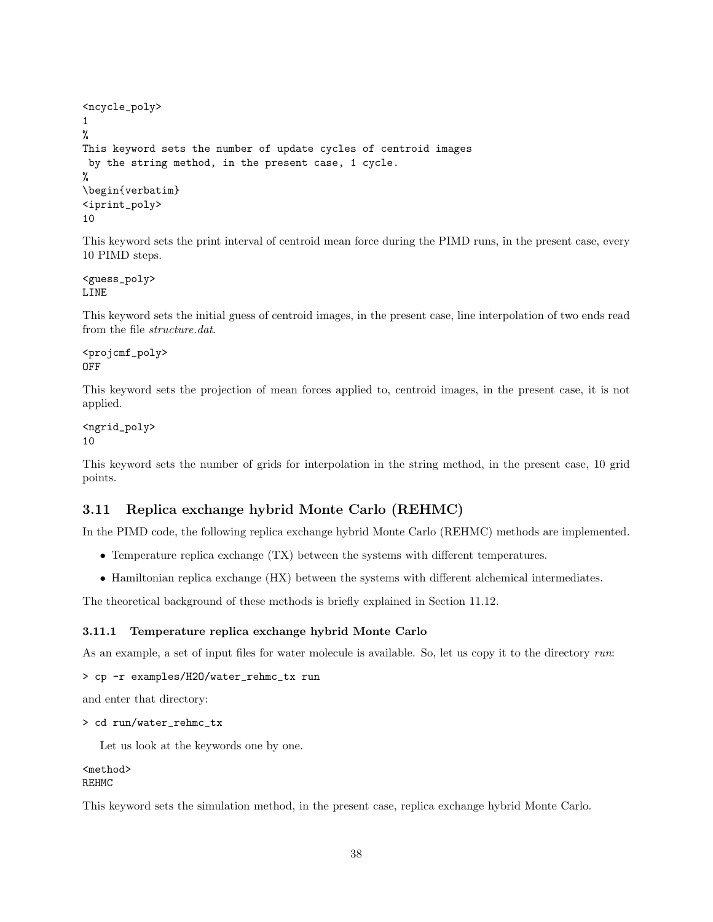```
<ncycle_poly>
1
%
This keyword sets the number of update cycles of centroid images
by the string method, in the present case, 1 cycle.
%
\begin{verbatim}
<iprint_poly>
10
```
This keyword sets the print interval of centroid mean force during the PIMD runs, in the present case, every 10 PIMD steps.

<guess\_poly> LINE

This keyword sets the initial guess of centroid images, in the present case, line interpolation of two ends read from the file *structure.dat*.

<projcmf\_poly> OFF

This keyword sets the projection of mean forces applied to, centroid images, in the present case, it is not applied.

<ngrid\_poly> 10

This keyword sets the number of grids for interpolation in the string method, in the present case, 10 grid points.

# **3.11 Replica exchange hybrid Monte Carlo (REHMC)**

In the PIMD code, the following replica exchange hybrid Monte Carlo (REHMC) methods are implemented.

- Temperature replica exchange (TX) between the systems with different temperatures.
- Hamiltonian replica exchange (HX) between the systems with different alchemical intermediates.

The theoretical background of these methods is briefly explained in Section 11.12.

#### **3.11.1 Temperature replica exchange hybrid Monte Carlo**

As an example, a set of input files for water molecule is available. So, let us copy it to the directory *run*:

> cp -r examples/H2O/water\_rehmc\_tx run

and enter that directory:

```
> cd run/water_rehmc_tx
```
Let us look at the keywords one by one.

```
<method>
REHMC
```
This keyword sets the simulation method, in the present case, replica exchange hybrid Monte Carlo.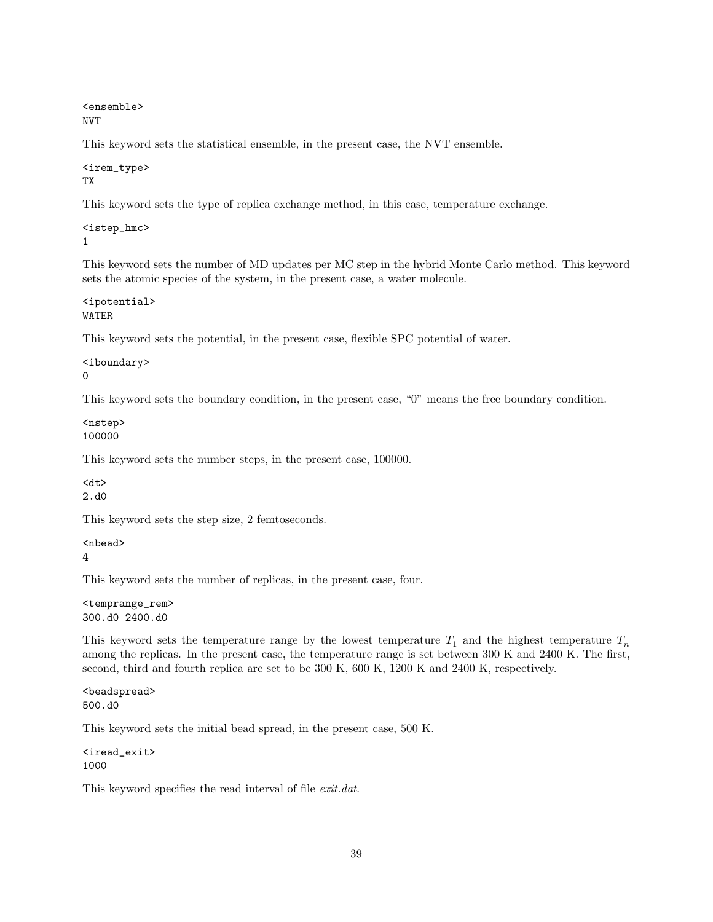<ensemble> NVT

This keyword sets the statistical ensemble, in the present case, the NVT ensemble.

<irem\_type> TX

This keyword sets the type of replica exchange method, in this case, temperature exchange.

<istep\_hmc> 1

This keyword sets the number of MD updates per MC step in the hybrid Monte Carlo method. This keyword sets the atomic species of the system, in the present case, a water molecule.

<ipotential> WATER

This keyword sets the potential, in the present case, flexible SPC potential of water.

<iboundary> 0

This keyword sets the boundary condition, in the present case, "0" means the free boundary condition.

<nstep> 100000

This keyword sets the number steps, in the present case, 100000.

<dt> 2.d0

This keyword sets the step size, 2 femtoseconds.

<nbead>

4

This keyword sets the number of replicas, in the present case, four.

<temprange\_rem> 300.d0 2400.d0

This keyword sets the temperature range by the lowest temperature  $T_1$  and the highest temperature  $T_n$ among the replicas. In the present case, the temperature range is set between 300 K and 2400 K. The first, second, third and fourth replica are set to be 300 K, 600 K, 1200 K and 2400 K, respectively.

<beadspread> 500.d0

This keyword sets the initial bead spread, in the present case, 500 K.

```
<iread_exit>
1000
```
This keyword specifies the read interval of file *exit.dat*.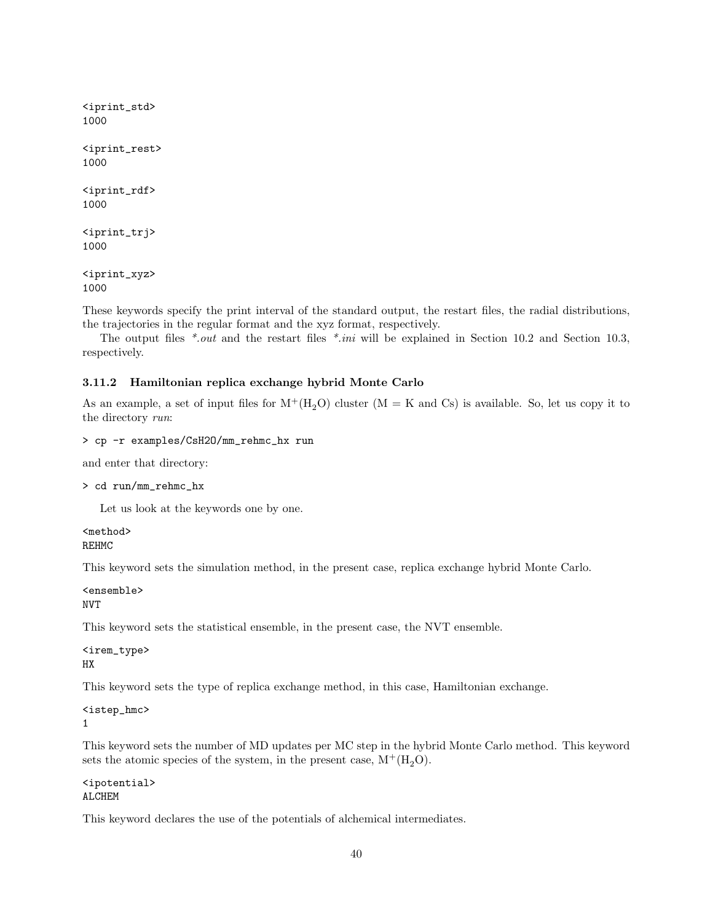```
<iprint_std>
1000
<iprint_rest>
1000
<iprint_rdf>
1000
<iprint_trj>
1000
<iprint_xyz>
1000
```
These keywords specify the print interval of the standard output, the restart files, the radial distributions, the trajectories in the regular format and the xyz format, respectively.

The output files *\*.out* and the restart files *\*.ini* will be explained in Section 10.2 and Section 10.3, respectively.

#### **3.11.2 Hamiltonian replica exchange hybrid Monte Carlo**

As an example, a set of input files for  $M^+(H_2O)$  cluster (M = K and Cs) is available. So, let us copy it to the directory *run*:

```
> cp -r examples/CsH2O/mm_rehmc_hx run
```
and enter that directory:

```
> cd run/mm_rehmc_hx
```
Let us look at the keywords one by one.

```
<method>
REHMC
```
This keyword sets the simulation method, in the present case, replica exchange hybrid Monte Carlo.

```
<ensemble>
NVT
```
This keyword sets the statistical ensemble, in the present case, the NVT ensemble.

```
<irem_type>
HX
```
This keyword sets the type of replica exchange method, in this case, Hamiltonian exchange.

```
<istep_hmc>
1
```
This keyword sets the number of MD updates per MC step in the hybrid Monte Carlo method. This keyword sets the atomic species of the system, in the present case,  $M^+(H_2O)$ .

<ipotential> ALCHEM

This keyword declares the use of the potentials of alchemical intermediates.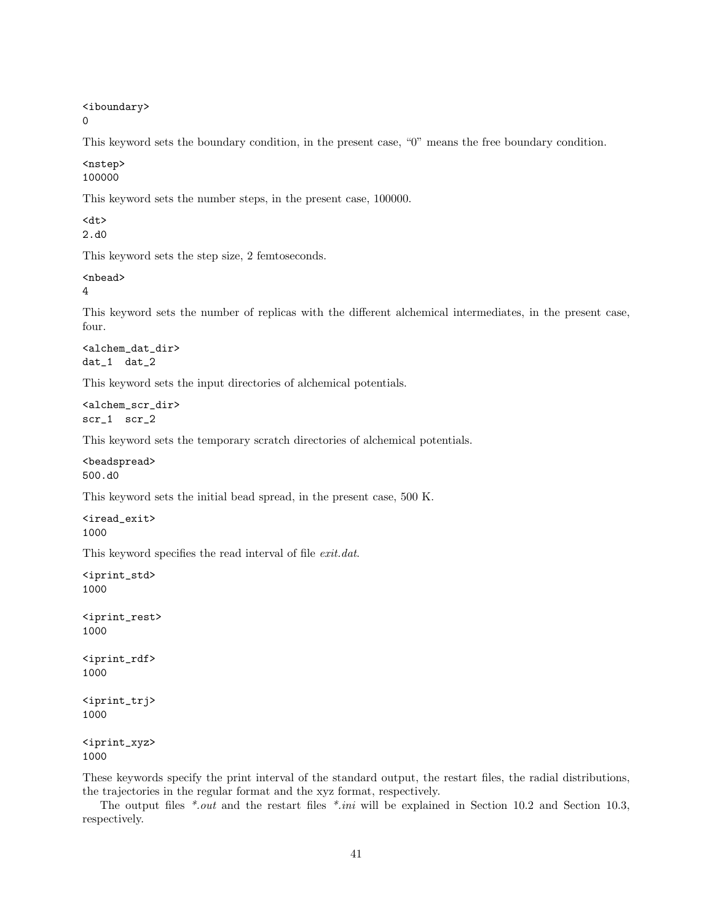<iboundary>

0

This keyword sets the boundary condition, in the present case, "0" means the free boundary condition.

<nstep> 100000

This keyword sets the number steps, in the present case, 100000.

<dt> 2.d0

This keyword sets the step size, 2 femtoseconds.

<nbead>

4

This keyword sets the number of replicas with the different alchemical intermediates, in the present case, four.

<alchem\_dat\_dir> dat\_1 dat\_2

This keyword sets the input directories of alchemical potentials.

<alchem\_scr\_dir> scr\_1 scr\_2

This keyword sets the temporary scratch directories of alchemical potentials.

<beadspread> 500.d0

This keyword sets the initial bead spread, in the present case, 500 K.

<iread\_exit> 1000

This keyword specifies the read interval of file *exit.dat*.

```
<iprint_std>
1000
<iprint_rest>
1000
```
<iprint\_rdf> 1000

```
<iprint_trj>
1000
```

```
<iprint_xyz>
1000
```
These keywords specify the print interval of the standard output, the restart files, the radial distributions, the trajectories in the regular format and the xyz format, respectively.

The output files *\*.out* and the restart files *\*.ini* will be explained in Section 10.2 and Section 10.3, respectively.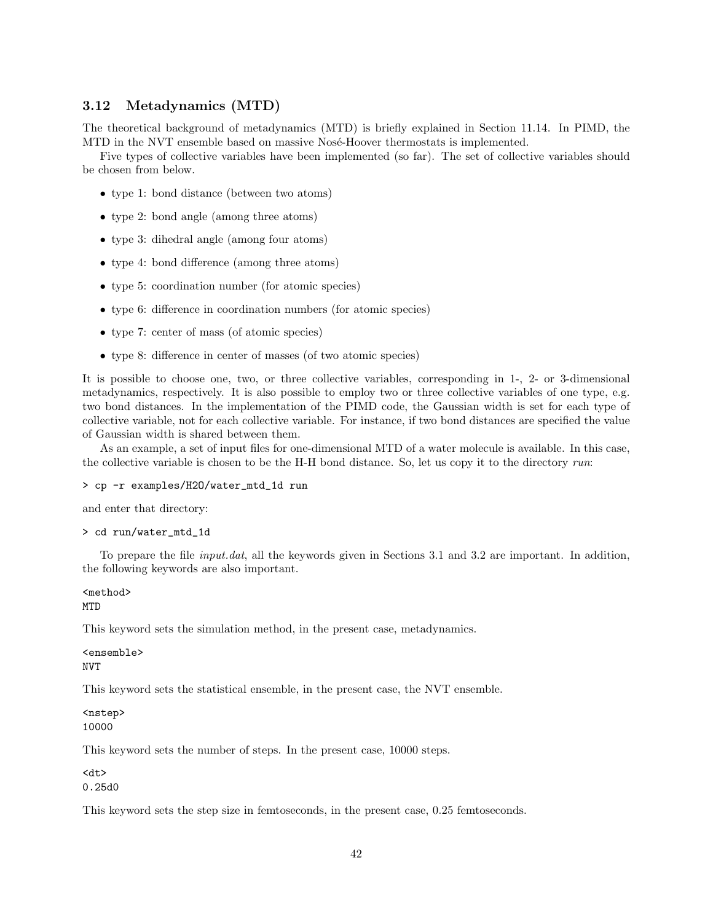# **3.12 Metadynamics (MTD)**

The theoretical background of metadynamics (MTD) is briefly explained in Section 11.14. In PIMD, the MTD in the NVT ensemble based on massive Nosé-Hoover thermostats is implemented.

Five types of collective variables have been implemented (so far). The set of collective variables should be chosen from below.

- type 1: bond distance (between two atoms)
- *•* type 2: bond angle (among three atoms)
- type 3: dihedral angle (among four atoms)
- type 4: bond difference (among three atoms)
- type 5: coordination number (for atomic species)
- type 6: difference in coordination numbers (for atomic species)
- *•* type 7: center of mass (of atomic species)
- type 8: difference in center of masses (of two atomic species)

It is possible to choose one, two, or three collective variables, corresponding in 1-, 2- or 3-dimensional metadynamics, respectively. It is also possible to employ two or three collective variables of one type, e.g. two bond distances. In the implementation of the PIMD code, the Gaussian width is set for each type of collective variable, not for each collective variable. For instance, if two bond distances are specified the value of Gaussian width is shared between them.

As an example, a set of input files for one-dimensional MTD of a water molecule is available. In this case, the collective variable is chosen to be the H-H bond distance. So, let us copy it to the directory *run*:

```
> cp -r examples/H2O/water_mtd_1d run
```
and enter that directory:

```
> cd run/water_mtd_1d
```
To prepare the file *input.dat*, all the keywords given in Sections 3.1 and 3.2 are important. In addition, the following keywords are also important.

<method> MTD

This keyword sets the simulation method, in the present case, metadynamics.

<ensemble> NVT

This keyword sets the statistical ensemble, in the present case, the NVT ensemble.

<nstep> 10000

This keyword sets the number of steps. In the present case, 10000 steps.

<dt> 0.25d0

This keyword sets the step size in femtoseconds, in the present case, 0.25 femtoseconds.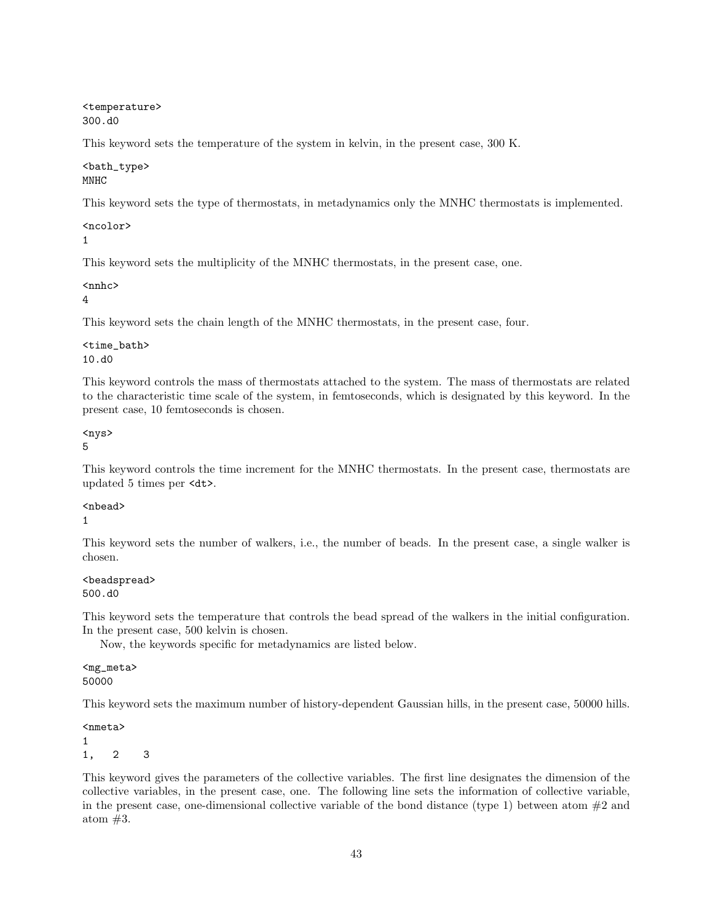<temperature> 300.d0

This keyword sets the temperature of the system in kelvin, in the present case, 300 K.

<bath\_type> MNHC

This keyword sets the type of thermostats, in metadynamics only the MNHC thermostats is implemented.

<ncolor> 1

This keyword sets the multiplicity of the MNHC thermostats, in the present case, one.

<nnhc>

4

This keyword sets the chain length of the MNHC thermostats, in the present case, four.

<time\_bath> 10.d0

This keyword controls the mass of thermostats attached to the system. The mass of thermostats are related to the characteristic time scale of the system, in femtoseconds, which is designated by this keyword. In the present case, 10 femtoseconds is chosen.

<nys>

5

This keyword controls the time increment for the MNHC thermostats. In the present case, thermostats are updated 5 times per <dt>.

<nbead>

1

This keyword sets the number of walkers, i.e., the number of beads. In the present case, a single walker is chosen.

<beadspread>

500.d0

This keyword sets the temperature that controls the bead spread of the walkers in the initial configuration. In the present case, 500 kelvin is chosen.

Now, the keywords specific for metadynamics are listed below.

<mg\_meta> 50000

This keyword sets the maximum number of history-dependent Gaussian hills, in the present case, 50000 hills.

<nmeta> 1 1, 2 3

This keyword gives the parameters of the collective variables. The first line designates the dimension of the collective variables, in the present case, one. The following line sets the information of collective variable, in the present case, one-dimensional collective variable of the bond distance (type 1) between atom  $#2$  and atom  $#3$ .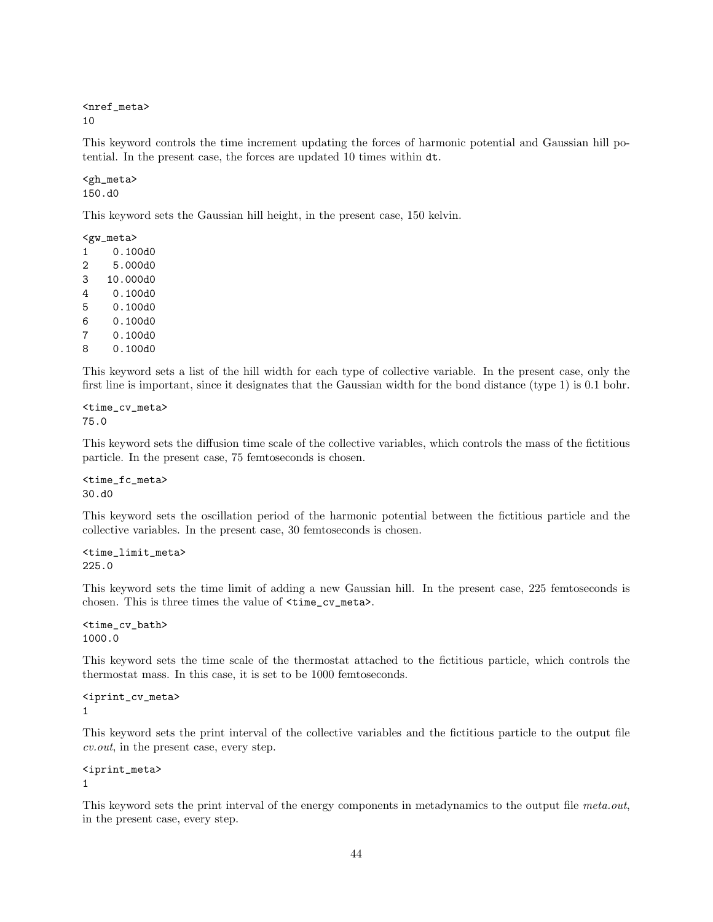<nref\_meta> 10

This keyword controls the time increment updating the forces of harmonic potential and Gaussian hill potential. In the present case, the forces are updated 10 times within dt.

<gh\_meta> 150.d0

This keyword sets the Gaussian hill height, in the present case, 150 kelvin.

<gw\_meta> 1 0.100d0 2 5.000d0 3 10.000d0 4 0.100d0 5 0.100d0 6 0.100d0 7 0.100d0 8 0.100d0

This keyword sets a list of the hill width for each type of collective variable. In the present case, only the first line is important, since it designates that the Gaussian width for the bond distance (type 1) is 0.1 bohr.

<time\_cv\_meta> 75.0

This keyword sets the diffusion time scale of the collective variables, which controls the mass of the fictitious particle. In the present case, 75 femtoseconds is chosen.

<time\_fc\_meta> 30.d0

This keyword sets the oscillation period of the harmonic potential between the fictitious particle and the collective variables. In the present case, 30 femtoseconds is chosen.

<time\_limit\_meta> 225.0

This keyword sets the time limit of adding a new Gaussian hill. In the present case, 225 femtoseconds is chosen. This is three times the value of <time\_cv\_meta>.

<time\_cv\_bath> 1000.0

This keyword sets the time scale of the thermostat attached to the fictitious particle, which controls the thermostat mass. In this case, it is set to be 1000 femtoseconds.

<iprint\_cv\_meta> 1

This keyword sets the print interval of the collective variables and the fictitious particle to the output file *cv.out*, in the present case, every step.

```
<iprint_meta>
1
```
This keyword sets the print interval of the energy components in metadynamics to the output file *meta.out*, in the present case, every step.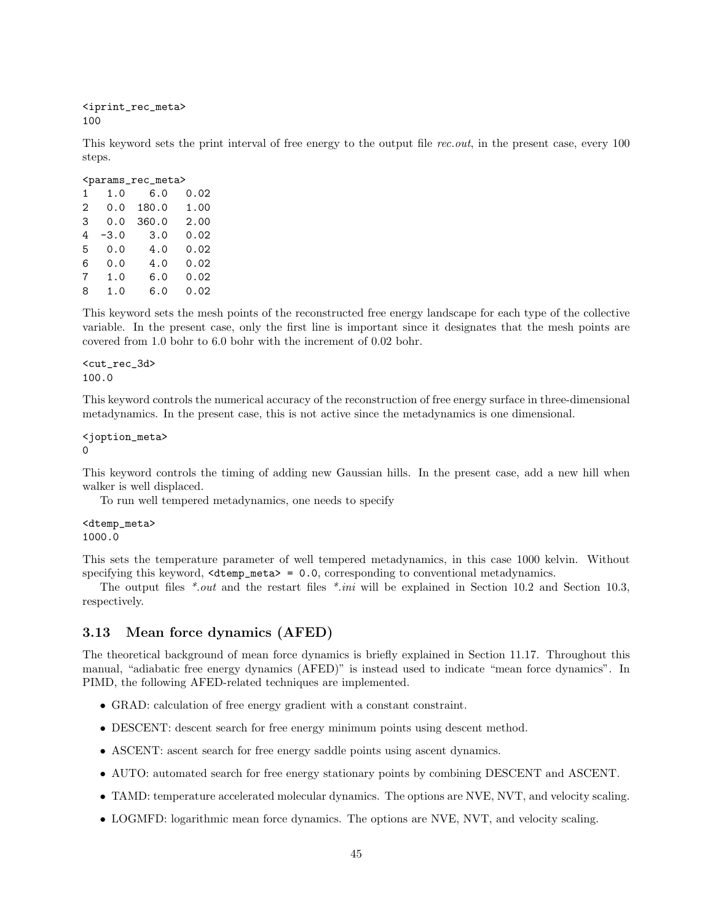<iprint\_rec\_meta> 100

This keyword sets the print interval of free energy to the output file *rec.out*, in the present case, every 100 steps.

|    |        | <params_rec_meta></params_rec_meta> |      |
|----|--------|-------------------------------------|------|
| 1  | 1.0    | 6.0                                 | 0.02 |
| 2. | 0.0    | 180.0                               | 1.00 |
| 3  | 0.0    | 360.0                               | 2.00 |
| 4  | $-3.0$ | 3.0                                 | 0.02 |
| 5  | 0.0    | 4.0                                 | 0.02 |
| 6  | 0.0    | 4.0                                 | 0.02 |
| 7  | 1.0    | 6.0                                 | 0.02 |
| 8  | 1.0    | 6.0                                 | 0.02 |

This keyword sets the mesh points of the reconstructed free energy landscape for each type of the collective variable. In the present case, only the first line is important since it designates that the mesh points are covered from 1.0 bohr to 6.0 bohr with the increment of 0.02 bohr.

# <cut\_rec\_3d> 100.0

This keyword controls the numerical accuracy of the reconstruction of free energy surface in three-dimensional metadynamics. In the present case, this is not active since the metadynamics is one dimensional.

#### <joption\_meta>  $\Omega$

This keyword controls the timing of adding new Gaussian hills. In the present case, add a new hill when walker is well displaced.

To run well tempered metadynamics, one needs to specify

```
<dtemp_meta>
1000.0
```
This sets the temperature parameter of well tempered metadynamics, in this case 1000 kelvin. Without specifying this keyword, <dtemp\_meta> = 0.0, corresponding to conventional metadynamics.

The output files *\*.out* and the restart files *\*.ini* will be explained in Section 10.2 and Section 10.3, respectively.

# **3.13 Mean force dynamics (AFED)**

The theoretical background of mean force dynamics is briefly explained in Section 11.17. Throughout this manual, "adiabatic free energy dynamics (AFED)" is instead used to indicate "mean force dynamics". In PIMD, the following AFED-related techniques are implemented.

- *•* GRAD: calculation of free energy gradient with a constant constraint.
- DESCENT: descent search for free energy minimum points using descent method.
- ASCENT: ascent search for free energy saddle points using ascent dynamics.
- AUTO: automated search for free energy stationary points by combining DESCENT and ASCENT.
- TAMD: temperature accelerated molecular dynamics. The options are NVE, NVT, and velocity scaling.
- LOGMFD: logarithmic mean force dynamics. The options are NVE, NVT, and velocity scaling.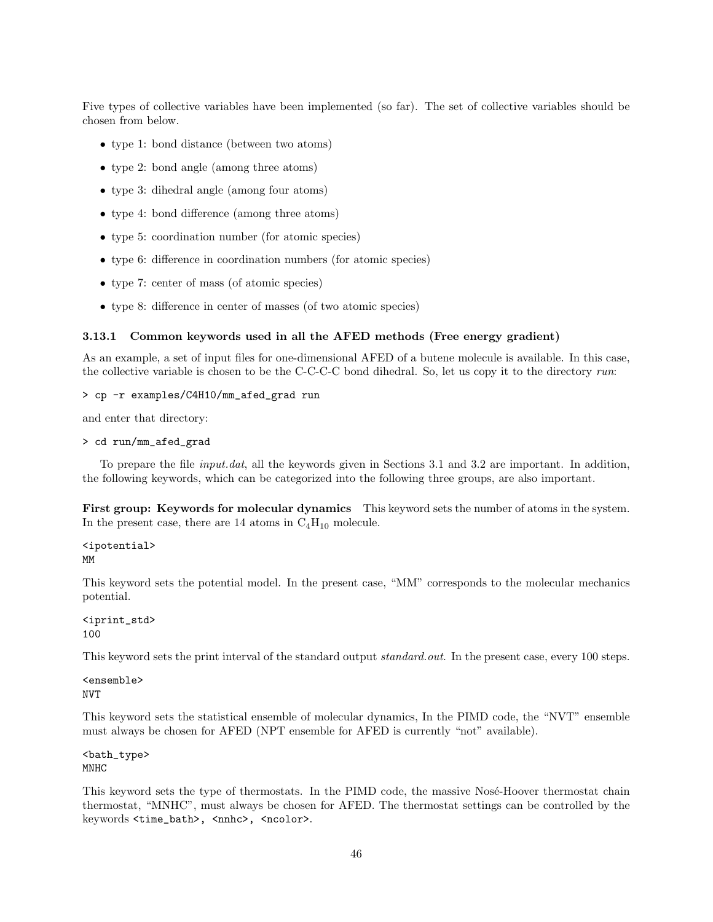Five types of collective variables have been implemented (so far). The set of collective variables should be chosen from below.

- type 1: bond distance (between two atoms)
- *•* type 2: bond angle (among three atoms)
- type 3: dihedral angle (among four atoms)
- type 4: bond difference (among three atoms)
- *•* type 5: coordination number (for atomic species)
- type 6: difference in coordination numbers (for atomic species)
- type 7: center of mass (of atomic species)
- *•* type 8: difference in center of masses (of two atomic species)

#### **3.13.1 Common keywords used in all the AFED methods (Free energy gradient)**

As an example, a set of input files for one-dimensional AFED of a butene molecule is available. In this case, the collective variable is chosen to be the C-C-C-C bond dihedral. So, let us copy it to the directory *run*:

### > cp -r examples/C4H10/mm\_afed\_grad run

and enter that directory:

```
> cd run/mm_afed_grad
```
To prepare the file *input.dat*, all the keywords given in Sections 3.1 and 3.2 are important. In addition, the following keywords, which can be categorized into the following three groups, are also important.

**First group: Keywords for molecular dynamics** This keyword sets the number of atoms in the system. In the present case, there are 14 atoms in  $C_4H_{10}$  molecule.

<ipotential> MM

This keyword sets the potential model. In the present case, "MM" corresponds to the molecular mechanics potential.

```
<iprint_std>
100
```
This keyword sets the print interval of the standard output *standard.out*. In the present case, every 100 steps.

<ensemble> NVT

This keyword sets the statistical ensemble of molecular dynamics, In the PIMD code, the "NVT" ensemble must always be chosen for AFED (NPT ensemble for AFED is currently "not" available).

<bath\_type> MNHC

This keyword sets the type of thermostats. In the PIMD code, the massive Nosé-Hoover thermostat chain thermostat, "MNHC", must always be chosen for AFED. The thermostat settings can be controlled by the keywords <time\_bath>, <nnhc>, <ncolor>.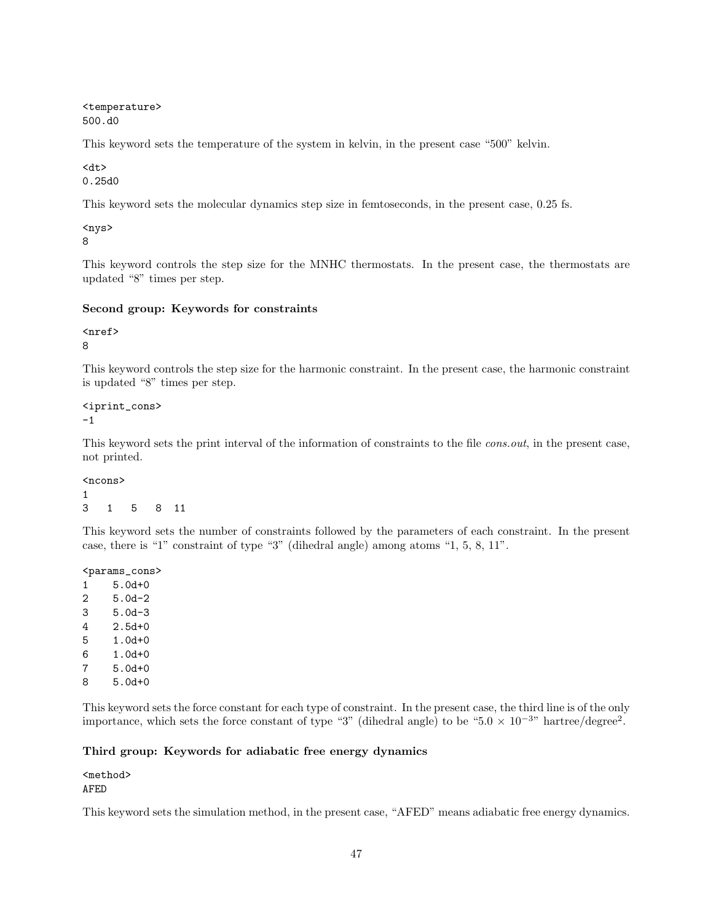<temperature> 500.d0

This keyword sets the temperature of the system in kelvin, in the present case "500" kelvin.

<dt> 0.25d0

This keyword sets the molecular dynamics step size in femtoseconds, in the present case, 0.25 fs.

<nys> 8

This keyword controls the step size for the MNHC thermostats. In the present case, the thermostats are updated "8" times per step.

# **Second group: Keywords for constraints**

<nref> 8

This keyword controls the step size for the harmonic constraint. In the present case, the harmonic constraint is updated "8" times per step.

<iprint\_cons>  $-1$ 

This keyword sets the print interval of the information of constraints to the file *cons.out*, in the present case, not printed.

<ncons> 1 3 1 5 8 11

This keyword sets the number of constraints followed by the parameters of each constraint. In the present case, there is "1" constraint of type "3" (dihedral angle) among atoms "1, 5, 8, 11".

<params\_cons> 1 5.0d+0 2 5.0d-2 3 5.0d-3 4 2.5d+0 5 1.0d+0 6 1.0d+0 7 5.0d+0 8 5.0d+0

This keyword sets the force constant for each type of constraint. In the present case, the third line is of the only importance, which sets the force constant of type "3" (dihedral angle) to be "5.0 *×* 10*−*<sup>3</sup>" hartree/degree<sup>2</sup> .

# **Third group: Keywords for adiabatic free energy dynamics**

<method> AFED

This keyword sets the simulation method, in the present case, "AFED" means adiabatic free energy dynamics.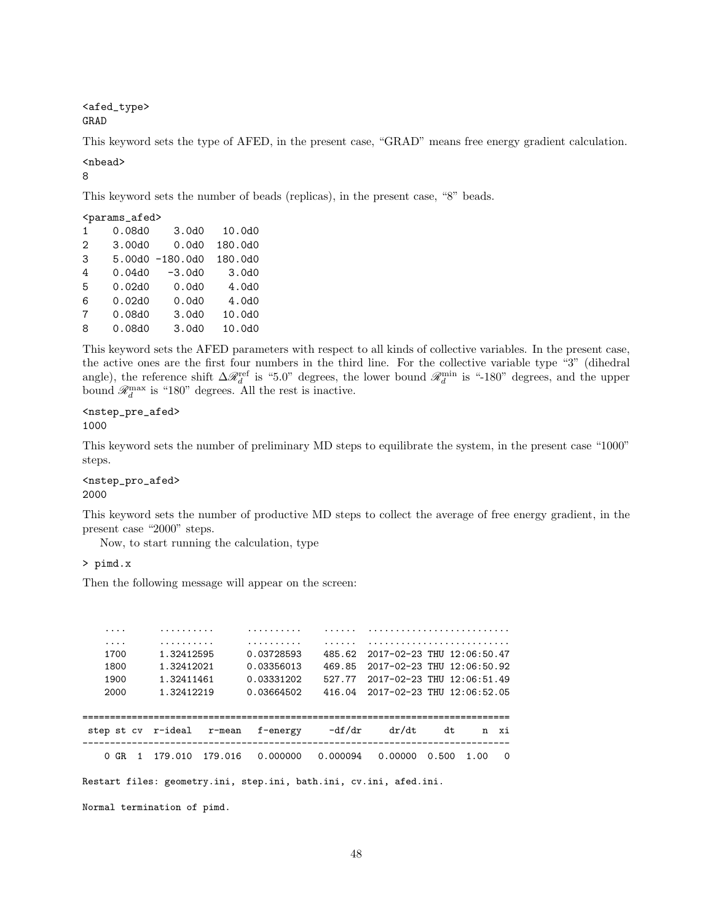### <afed\_type> GRAD

This keyword sets the type of AFED, in the present case, "GRAD" means free energy gradient calculation.

<nbead>

8

This keyword sets the number of beads (replicas), in the present case, "8" beads.

<params\_afed>

| $\mathbf{1}$   | 0.08d0 | 3.0d0              | 10.0d0  |
|----------------|--------|--------------------|---------|
| $\overline{2}$ | 3.00d0 | 0.0d0              | 180.0d0 |
| 3              |        | $5.00d0 - 180.0d0$ | 180.0d0 |
| 4              | 0.04d0 | $-3.0d0$           | 3.0d0   |
| 5              | 0.02d0 | 0.0d0              | 4.0d0   |
| 6              | 0.02d0 | 0.0d0              | 4.0d0   |
| 7              | 0.08d0 | 3.0d0              | 10.0d0  |
| 8              | 0.08d0 | 3.0d0              | 10.0d0  |

This keyword sets the AFED parameters with respect to all kinds of collective variables. In the present case, the active ones are the first four numbers in the third line. For the collective variable type "3" (dihedral angle), the reference shift  $\Delta \mathscr{R}_d^{\text{ref}}$  is "5.0" degrees, the lower bound  $\mathscr{R}_d^{\text{min}}$  is "-180" degrees, and the upper bound  $\mathcal{R}_d^{\max}$  is "180" degrees. All the rest is inactive.

<nstep\_pre\_afed> 1000

This keyword sets the number of preliminary MD steps to equilibrate the system, in the present case "1000" steps.

<nstep\_pro\_afed> 2000

This keyword sets the number of productive MD steps to collect the average of free energy gradient, in the present case "2000" steps.

Now, to start running the calculation, type

> pimd.x

Then the following message will appear on the screen:

| .                   |            |           |            |          |                                     |       |      |          |
|---------------------|------------|-----------|------------|----------|-------------------------------------|-------|------|----------|
| .                   | .          |           | .          |          |                                     |       |      |          |
| 1700                | 1.32412595 |           | 0.03728593 | 485.62   | $2017 - 02 - 23$ THU $12:06:50.47$  |       |      |          |
| 1800                | 1.32412021 |           | 0.03356013 | 469.85   | $2017 - 02 - 23$ THU $12:06:50.92$  |       |      |          |
| 1900                | 1.32411461 |           | 0.03331202 | 527.77   | $2017 - 02 - 23$ THII $12:06:51.49$ |       |      |          |
| 2000                | 1.32412219 |           | 0.03664502 | 416.04   | $2017 - 02 - 23$ THU $12:06:52.05$  |       |      |          |
|                     |            |           |            |          |                                     |       |      |          |
| step st cv r-ideal  |            | $r$ -mean | f-energy   | -df/dr   | dr/dt                               | dt    | n    | xi       |
| GR.<br><sup>n</sup> | 179 010    | 179.016   | 0.000000   | 0.000094 | 0.00000                             | 0.500 | 1 OO | $\Omega$ |

Restart files: geometry.ini, step.ini, bath.ini, cv.ini, afed.ini.

Normal termination of pimd.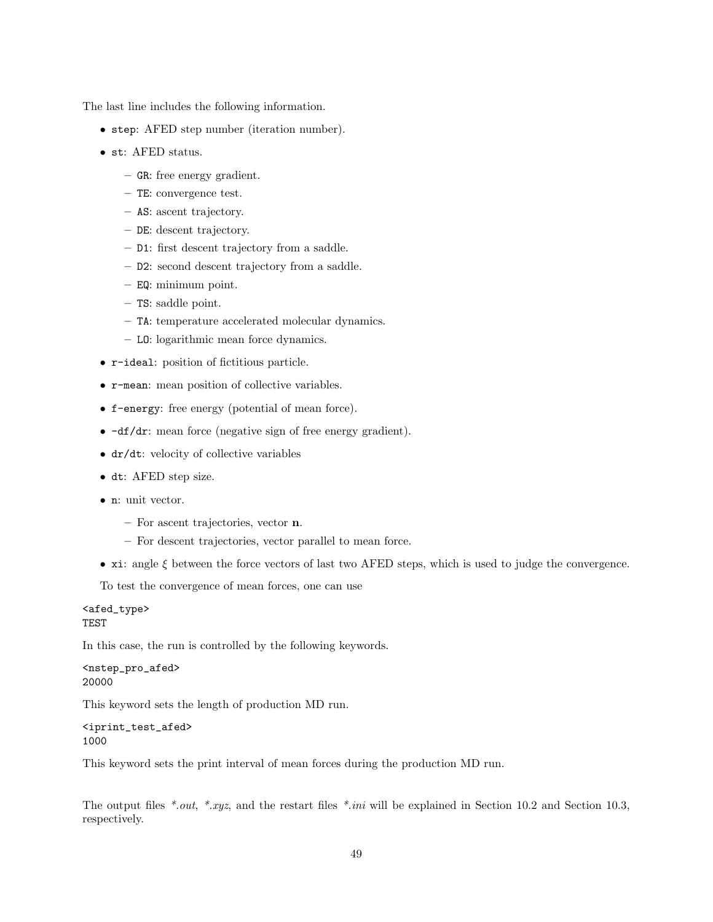The last line includes the following information.

- *•* step: AFED step number (iteration number).
- *•* st: AFED status.
	- **–** GR: free energy gradient.
	- **–** TE: convergence test.
	- **–** AS: ascent trajectory.
	- **–** DE: descent trajectory.
	- **–** D1: first descent trajectory from a saddle.
	- **–** D2: second descent trajectory from a saddle.
	- **–** EQ: minimum point.
	- **–** TS: saddle point.
	- **–** TA: temperature accelerated molecular dynamics.
	- **–** LO: logarithmic mean force dynamics.
- *•* r-ideal: position of fictitious particle.
- *•* r-mean: mean position of collective variables.
- *•* f-energy: free energy (potential of mean force).
- *•* -df/dr: mean force (negative sign of free energy gradient).
- *•* dr/dt: velocity of collective variables
- *•* dt: AFED step size.
- *•* n: unit vector.
	- **–** For ascent trajectories, vector **n**.
	- **–** For descent trajectories, vector parallel to mean force.
- *•* xi: angle *ξ* between the force vectors of last two AFED steps, which is used to judge the convergence.

To test the convergence of mean forces, one can use

<afed\_type> TEST

In this case, the run is controlled by the following keywords.

```
<nstep_pro_afed>
20000
```
This keyword sets the length of production MD run.

<iprint\_test\_afed> 1000

This keyword sets the print interval of mean forces during the production MD run.

The output files *\*.out*, *\*.xyz*, and the restart files *\*.ini* will be explained in Section 10.2 and Section 10.3, respectively.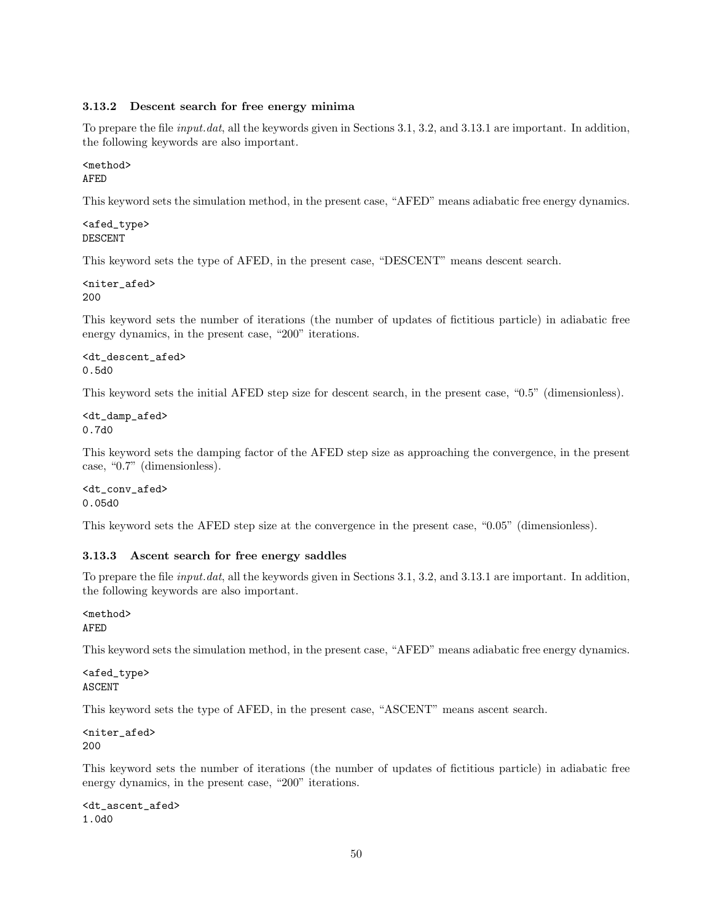### **3.13.2 Descent search for free energy minima**

To prepare the file *input.dat*, all the keywords given in Sections 3.1, 3.2, and 3.13.1 are important. In addition, the following keywords are also important.

#### <method> AFED

This keyword sets the simulation method, in the present case, "AFED" means adiabatic free energy dynamics.

# <afed\_type> DESCENT

This keyword sets the type of AFED, in the present case, "DESCENT" means descent search.

# <niter\_afed> 200

This keyword sets the number of iterations (the number of updates of fictitious particle) in adiabatic free energy dynamics, in the present case, "200" iterations.

## <dt\_descent\_afed> 0.5d0

This keyword sets the initial AFED step size for descent search, in the present case, "0.5" (dimensionless).

## <dt\_damp\_afed> 0.7d0

This keyword sets the damping factor of the AFED step size as approaching the convergence, in the present case, "0.7" (dimensionless).

```
<dt_conv_afed>
0.05d0
```
This keyword sets the AFED step size at the convergence in the present case, "0.05" (dimensionless).

# **3.13.3 Ascent search for free energy saddles**

To prepare the file *input.dat*, all the keywords given in Sections 3.1, 3.2, and 3.13.1 are important. In addition, the following keywords are also important.

#### <method> AFED

This keyword sets the simulation method, in the present case, "AFED" means adiabatic free energy dynamics.

```
<afed_type>
ASCENT
```
This keyword sets the type of AFED, in the present case, "ASCENT" means ascent search.

```
<niter_afed>
200
```
This keyword sets the number of iterations (the number of updates of fictitious particle) in adiabatic free energy dynamics, in the present case, "200" iterations.

```
<dt_ascent_afed>
1.0d0
```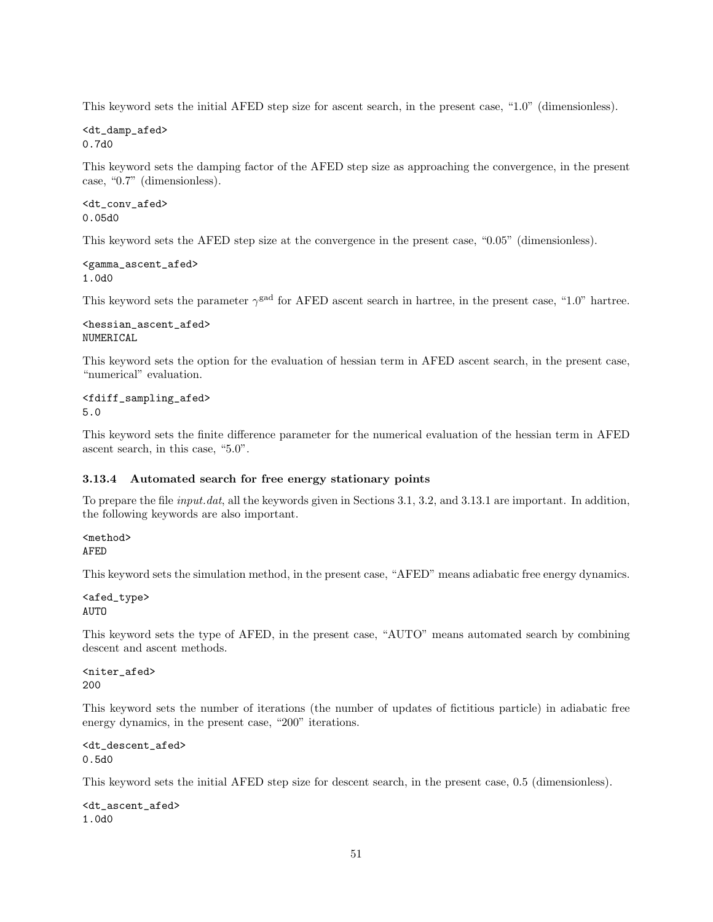This keyword sets the initial AFED step size for ascent search, in the present case, "1.0" (dimensionless).

<dt\_damp\_afed> 0.7d0

This keyword sets the damping factor of the AFED step size as approaching the convergence, in the present case, "0.7" (dimensionless).

<dt\_conv\_afed> 0.05d0

This keyword sets the AFED step size at the convergence in the present case, "0.05" (dimensionless).

<gamma\_ascent\_afed> 1.0d0

This keyword sets the parameter  $\gamma^{\text{gad}}$  for AFED ascent search in hartree, in the present case, "1.0" hartree.

```
<hessian_ascent_afed>
NUMERICAL
```
This keyword sets the option for the evaluation of hessian term in AFED ascent search, in the present case, "numerical" evaluation.

<fdiff\_sampling\_afed> 5.0

This keyword sets the finite difference parameter for the numerical evaluation of the hessian term in AFED ascent search, in this case, "5.0".

# **3.13.4 Automated search for free energy stationary points**

To prepare the file *input.dat*, all the keywords given in Sections 3.1, 3.2, and 3.13.1 are important. In addition, the following keywords are also important.

<method> AFED

This keyword sets the simulation method, in the present case, "AFED" means adiabatic free energy dynamics.

<afed\_type> AUTO

This keyword sets the type of AFED, in the present case, "AUTO" means automated search by combining descent and ascent methods.

<niter\_afed> 200

This keyword sets the number of iterations (the number of updates of fictitious particle) in adiabatic free energy dynamics, in the present case, "200" iterations.

<dt\_descent\_afed> 0.5d0

This keyword sets the initial AFED step size for descent search, in the present case, 0.5 (dimensionless).

<dt\_ascent\_afed> 1.0d0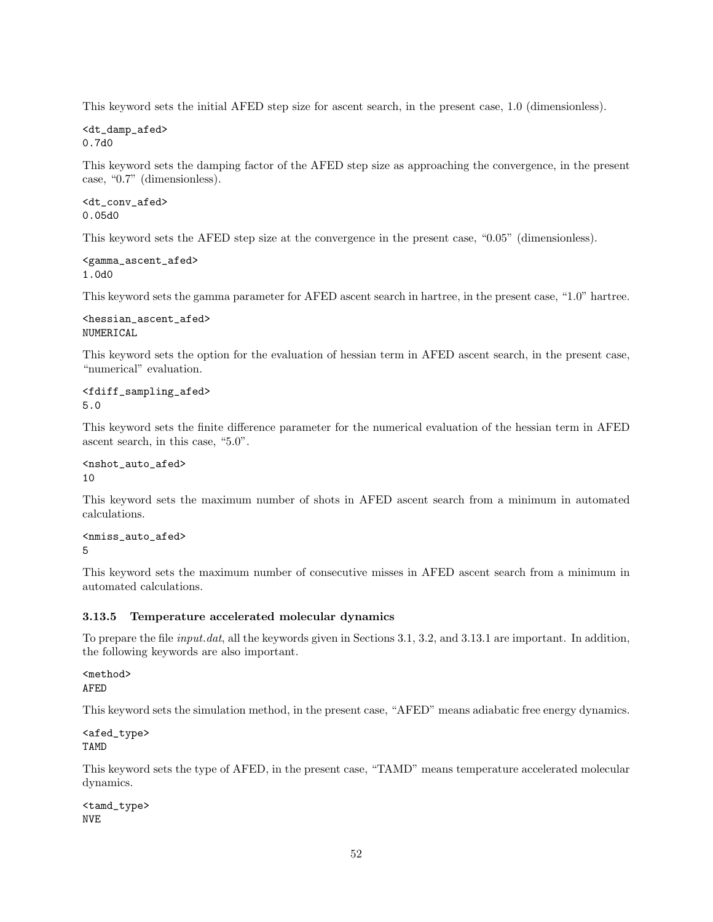This keyword sets the initial AFED step size for ascent search, in the present case, 1.0 (dimensionless).

<dt\_damp\_afed> 0.7d0

This keyword sets the damping factor of the AFED step size as approaching the convergence, in the present case, "0.7" (dimensionless).

<dt\_conv\_afed> 0.05d0

This keyword sets the AFED step size at the convergence in the present case, "0.05" (dimensionless).

```
<gamma_ascent_afed>
1.0d0
```
This keyword sets the gamma parameter for AFED ascent search in hartree, in the present case, "1.0" hartree.

```
<hessian_ascent_afed>
NUMERICAL
```
This keyword sets the option for the evaluation of hessian term in AFED ascent search, in the present case, "numerical" evaluation.

<fdiff\_sampling\_afed> 5.0

This keyword sets the finite difference parameter for the numerical evaluation of the hessian term in AFED ascent search, in this case, "5.0".

<nshot\_auto\_afed> 10

This keyword sets the maximum number of shots in AFED ascent search from a minimum in automated calculations.

<nmiss\_auto\_afed>

5

This keyword sets the maximum number of consecutive misses in AFED ascent search from a minimum in automated calculations.

#### **3.13.5 Temperature accelerated molecular dynamics**

To prepare the file *input.dat*, all the keywords given in Sections 3.1, 3.2, and 3.13.1 are important. In addition, the following keywords are also important.

```
<method>
AFED
```
This keyword sets the simulation method, in the present case, "AFED" means adiabatic free energy dynamics.

<afed\_type> TAMD

This keyword sets the type of AFED, in the present case, "TAMD" means temperature accelerated molecular dynamics.

<tamd\_type> NVE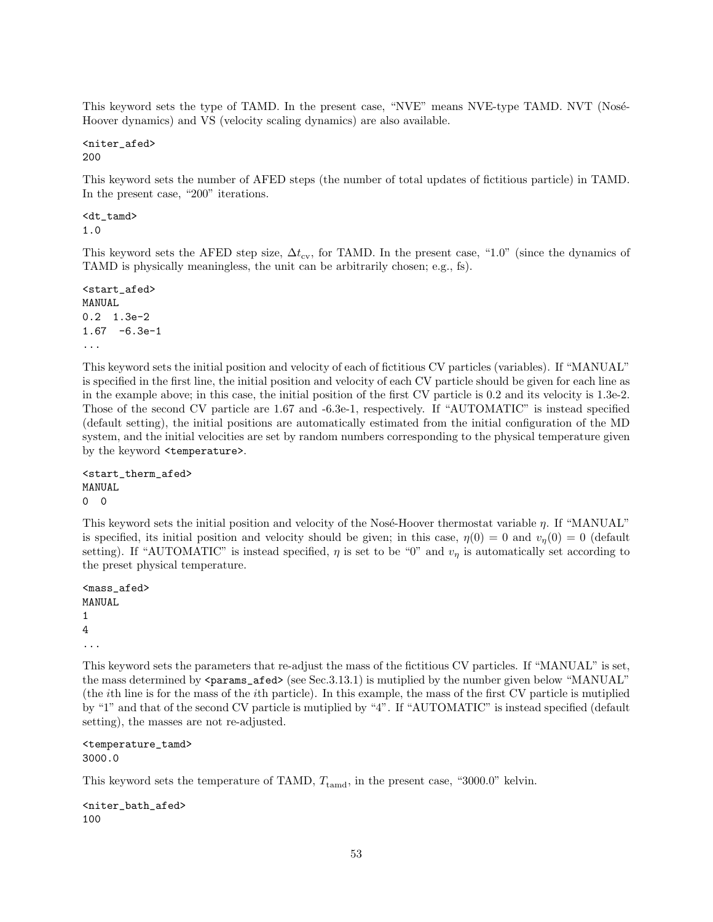This keyword sets the type of TAMD. In the present case, "NVE" means NVE-type TAMD. NVT (Nosé-Hoover dynamics) and VS (velocity scaling dynamics) are also available.

<niter\_afed> 200

This keyword sets the number of AFED steps (the number of total updates of fictitious particle) in TAMD. In the present case, "200" iterations.

<dt\_tamd> 1.0

This keyword sets the AFED step size,  $\Delta t_{\rm cv}$ , for TAMD. In the present case, "1.0" (since the dynamics of TAMD is physically meaningless, the unit can be arbitrarily chosen; e.g., fs).

```
<start_afed>
MANUAL
0.2 1.3e-2
1.67 -6.3e-1
...
```
This keyword sets the initial position and velocity of each of fictitious CV particles (variables). If "MANUAL" is specified in the first line, the initial position and velocity of each CV particle should be given for each line as in the example above; in this case, the initial position of the first CV particle is 0.2 and its velocity is 1.3e-2. Those of the second CV particle are 1.67 and -6.3e-1, respectively. If "AUTOMATIC" is instead specified (default setting), the initial positions are automatically estimated from the initial configuration of the MD system, and the initial velocities are set by random numbers corresponding to the physical temperature given by the keyword <temperature>.

```
<start_therm_afed>
MANUAL
0 0
```
This keyword sets the initial position and velocity of the Nos´e-Hoover thermostat variable *η*. If "MANUAL" is specified, its initial position and velocity should be given; in this case,  $\eta(0) = 0$  and  $v_\eta(0) = 0$  (default setting). If "AUTOMATIC" is instead specified,  $\eta$  is set to be "0" and  $v_n$  is automatically set according to the preset physical temperature.

<mass\_afed> MANUAL 1 4 ...

This keyword sets the parameters that re-adjust the mass of the fictitious CV particles. If "MANUAL" is set, the mass determined by  $\epsilon$  params\_afed> (see Sec.3.13.1) is mutiplied by the number given below "MANUAL" (the *i*th line is for the mass of the *i*th particle). In this example, the mass of the first CV particle is mutiplied by "1" and that of the second CV particle is mutiplied by "4". If "AUTOMATIC" is instead specified (default setting), the masses are not re-adjusted.

```
<temperature_tamd>
3000.0
```
This keyword sets the temperature of TAMD,  $T_{tamd}$ , in the present case, "3000.0" kelvin.

```
<niter_bath_afed>
100
```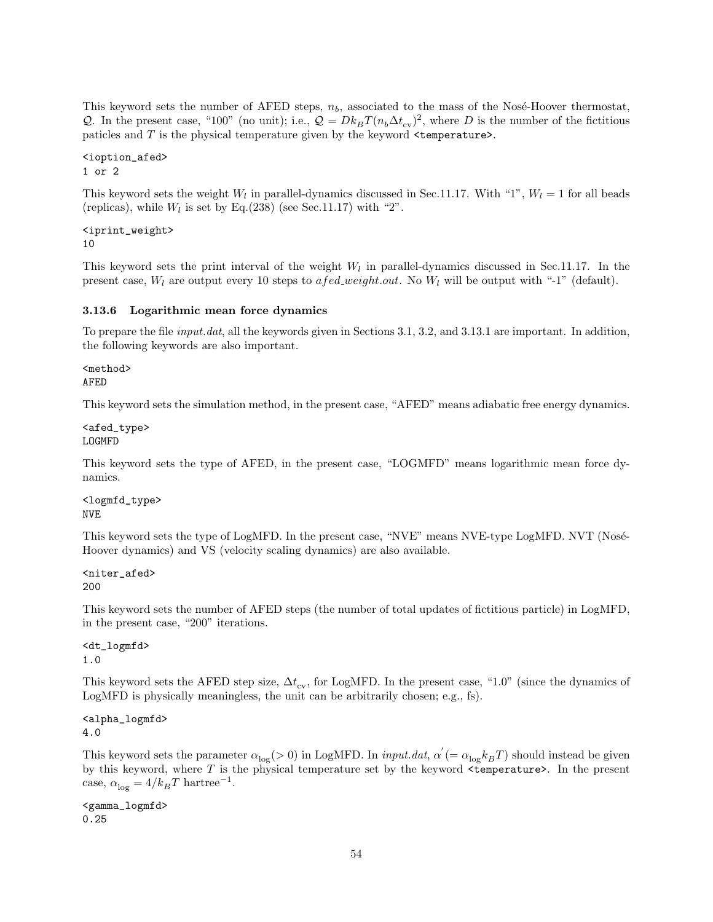This keyword sets the number of AFED steps,  $n_b$ , associated to the mass of the Nosé-Hoover thermostat, *Q*. In the present case, "100" (no unit); i.e.,  $Q = Dk_B T(n_b \Delta t_{\rm cv})^2$ , where *D* is the number of the fictitious paticles and *T* is the physical temperature given by the keyword <temperature>.

<ioption\_afed>

1 or 2

This keyword sets the weight  $W_l$  in parallel-dynamics discussed in Sec.11.17. With "1",  $W_l = 1$  for all beads (replicas), while  $W_l$  is set by Eq.(238) (see Sec.11.17) with "2".

<iprint\_weight> 10

This keyword sets the print interval of the weight  $W_l$  in parallel-dynamics discussed in Sec.11.17. In the present case,  $W_l$  are output every 10 steps to *afed weight.out*. No  $W_l$  will be output with "-1" (default).

### **3.13.6 Logarithmic mean force dynamics**

To prepare the file *input.dat*, all the keywords given in Sections 3.1, 3.2, and 3.13.1 are important. In addition, the following keywords are also important.

<method>

AFED

This keyword sets the simulation method, in the present case, "AFED" means adiabatic free energy dynamics.

#### <afed\_type> LOGMFD

This keyword sets the type of AFED, in the present case, "LOGMFD" means logarithmic mean force dynamics.

<logmfd\_type> NVE

This keyword sets the type of LogMFD. In the present case, "NVE" means NVE-type LogMFD. NVT (Nosé-Hoover dynamics) and VS (velocity scaling dynamics) are also available.

<niter\_afed> 200

This keyword sets the number of AFED steps (the number of total updates of fictitious particle) in LogMFD, in the present case, "200" iterations.

<dt\_logmfd> 1.0

This keyword sets the AFED step size,  $\Delta t_{\rm cv}$ , for LogMFD. In the present case, "1.0" (since the dynamics of LogMFD is physically meaningless, the unit can be arbitrarily chosen; e.g., fs).

<alpha\_logmfd> 4.0

This keyword sets the parameter  $\alpha_{\text{log}}(>0)$  in LogMFD. In *input.dat*,  $\alpha' = \alpha_{\text{log}} k_B T$  should instead be given by this keyword, where  $T$  is the physical temperature set by the keyword  $\leq$  temperature>. In the present case,  $\alpha_{\log} = 4/k_B T$  hartree<sup>-1</sup>.

<gamma\_logmfd> 0.25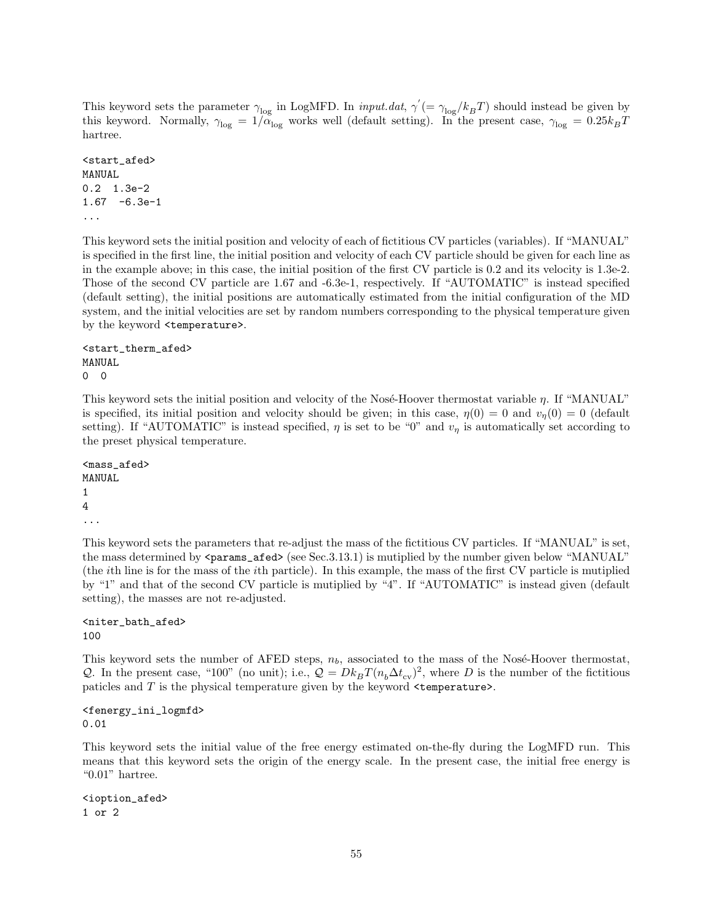This keyword sets the parameter  $\gamma_{\text{log}}$  in LogMFD. In *input.dat*,  $\gamma' = \gamma_{\text{log}}/k_B T$  should instead be given by this keyword. Normally,  $\gamma_{\text{log}} = 1/\alpha_{\text{log}}$  works well (default setting). In the present case,  $\gamma_{\text{log}} = 0.25 k_B T$ hartree.

```
<start_afed>
MANUAL
0.2 1.3e-2
1.67 -6.3e-1
...
```
This keyword sets the initial position and velocity of each of fictitious CV particles (variables). If "MANUAL" is specified in the first line, the initial position and velocity of each CV particle should be given for each line as in the example above; in this case, the initial position of the first CV particle is 0.2 and its velocity is 1.3e-2. Those of the second CV particle are 1.67 and -6.3e-1, respectively. If "AUTOMATIC" is instead specified (default setting), the initial positions are automatically estimated from the initial configuration of the MD system, and the initial velocities are set by random numbers corresponding to the physical temperature given by the keyword <temperature>.

<start\_therm\_afed> MANUAL 0 0

This keyword sets the initial position and velocity of the Nos´e-Hoover thermostat variable *η*. If "MANUAL" is specified, its initial position and velocity should be given; in this case,  $\eta(0) = 0$  and  $v_n(0) = 0$  (default setting). If "AUTOMATIC" is instead specified,  $\eta$  is set to be "0" and  $v_\eta$  is automatically set according to the preset physical temperature.

```
<mass_afed>
MANUAL
1
4
...
```
This keyword sets the parameters that re-adjust the mass of the fictitious CV particles. If "MANUAL" is set, the mass determined by  $\epsilon$  params\_afed> (see Sec.3.13.1) is mutiplied by the number given below "MANUAL" (the *i*th line is for the mass of the *i*th particle). In this example, the mass of the first CV particle is mutiplied by "1" and that of the second CV particle is mutiplied by "4". If "AUTOMATIC" is instead given (default setting), the masses are not re-adjusted.

<niter\_bath\_afed> 100

This keyword sets the number of AFED steps,  $n_b$ , associated to the mass of the Nosé-Hoover thermostat, *Q*. In the present case, "100" (no unit); i.e.,  $Q = Dk_B T(n_b \Delta t_{\rm cv})^2$ , where *D* is the number of the fictitious paticles and *T* is the physical temperature given by the keyword <temperature>.

<fenergy\_ini\_logmfd> 0.01

This keyword sets the initial value of the free energy estimated on-the-fly during the LogMFD run. This means that this keyword sets the origin of the energy scale. In the present case, the initial free energy is "0.01" hartree.

<ioption\_afed> 1 or 2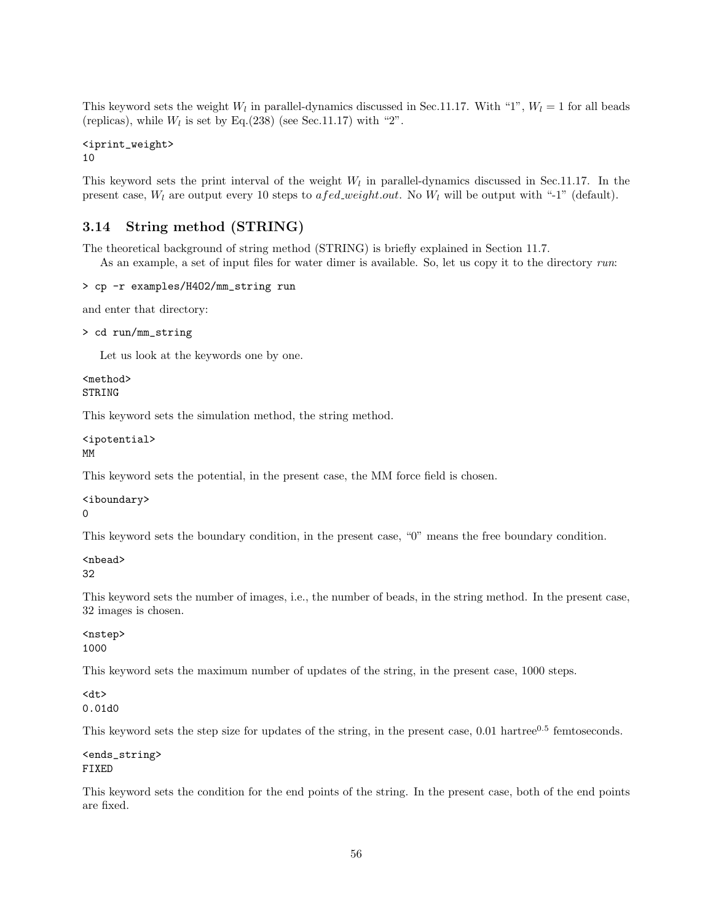This keyword sets the weight  $W_l$  in parallel-dynamics discussed in Sec.11.17. With "1",  $W_l = 1$  for all beads (replicas), while  $W_l$  is set by Eq.(238) (see Sec.11.17) with "2".

<iprint\_weight> 10

This keyword sets the print interval of the weight  $W_l$  in parallel-dynamics discussed in Sec.11.17. In the present case, *W<sup>l</sup>* are output every 10 steps to *afed weight.out*. No *W<sup>l</sup>* will be output with "-1" (default).

# **3.14 String method (STRING)**

The theoretical background of string method (STRING) is briefly explained in Section 11.7.

As an example, a set of input files for water dimer is available. So, let us copy it to the directory *run*:

### > cp -r examples/H4O2/mm\_string run

and enter that directory:

```
> cd run/mm_string
```
Let us look at the keywords one by one.

<method> STRING

This keyword sets the simulation method, the string method.

```
<ipotential>
MM
```
This keyword sets the potential, in the present case, the MM force field is chosen.

<iboundary>  $\Omega$ 

This keyword sets the boundary condition, in the present case, "0" means the free boundary condition.

<nbead> 32

This keyword sets the number of images, i.e., the number of beads, in the string method. In the present case, 32 images is chosen.

<nstep> 1000

This keyword sets the maximum number of updates of the string, in the present case, 1000 steps.

<dt> 0.01d0

This keyword sets the step size for updates of the string, in the present case,  $0.01$  hartree<sup> $0.5$ </sup> femtoseconds.

<ends\_string> FIXED

This keyword sets the condition for the end points of the string. In the present case, both of the end points are fixed.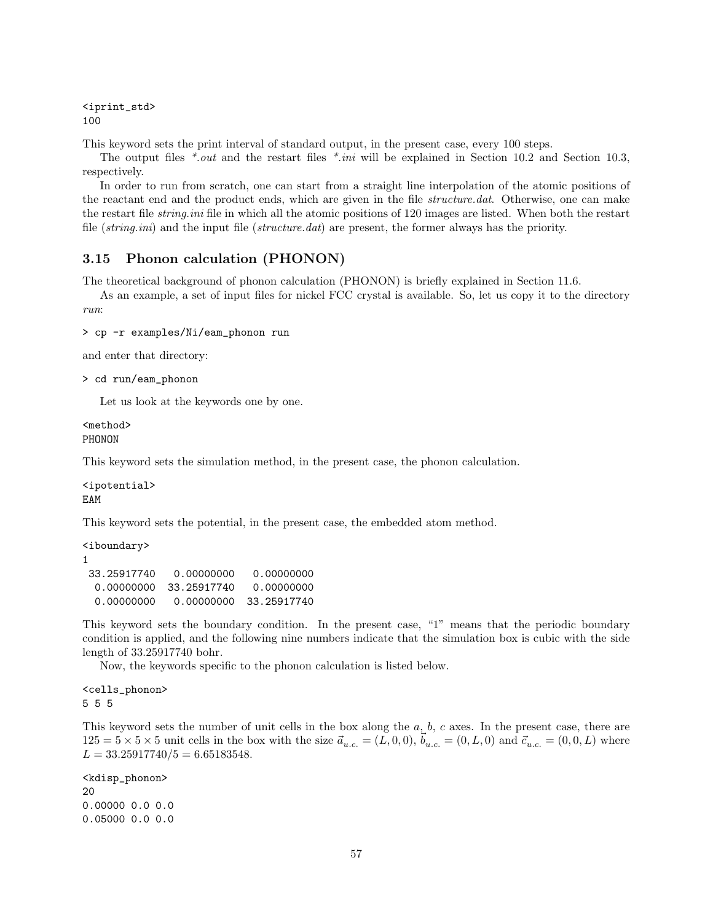<iprint\_std> 100

This keyword sets the print interval of standard output, in the present case, every 100 steps.

The output files *\*.out* and the restart files *\*.ini* will be explained in Section 10.2 and Section 10.3, respectively.

In order to run from scratch, one can start from a straight line interpolation of the atomic positions of the reactant end and the product ends, which are given in the file *structure.dat*. Otherwise, one can make the restart file *string.ini* file in which all the atomic positions of 120 images are listed. When both the restart file (*string.ini*) and the input file (*structure.dat*) are present, the former always has the priority.

### **3.15 Phonon calculation (PHONON)**

The theoretical background of phonon calculation (PHONON) is briefly explained in Section 11.6.

As an example, a set of input files for nickel FCC crystal is available. So, let us copy it to the directory *run*:

```
> cp -r examples/Ni/eam_phonon run
```
and enter that directory:

```
> cd run/eam_phonon
```
Let us look at the keywords one by one.

#### <method> PHONON

This keyword sets the simulation method, in the present case, the phonon calculation.

```
<ipotential>
EAM
```
This keyword sets the potential, in the present case, the embedded atom method.

```
<iboundary>
1
33.25917740 0.00000000 0.00000000
 0.00000000 33.25917740 0.00000000
 0.00000000 0.00000000 33.25917740
```
This keyword sets the boundary condition. In the present case, "1" means that the periodic boundary condition is applied, and the following nine numbers indicate that the simulation box is cubic with the side length of 33.25917740 bohr.

Now, the keywords specific to the phonon calculation is listed below.

<cells\_phonon> 5 5 5

This keyword sets the number of unit cells in the box along the *a*, *b*, *c* axes. In the present case, there are  $125 = 5 \times 5 \times 5$  unit cells in the box with the size  $\vec{a}_{u.c.} = (L, 0, 0), \vec{b}_{u.c.} = (0, L, 0)$  and  $\vec{c}_{u.c.} = (0, 0, L)$  where *L* = 33*.*25917740*/*5 = 6*.*65183548.

```
<kdisp_phonon>
20
0.00000 0.0 0.0
0.05000 0.0 0.0
```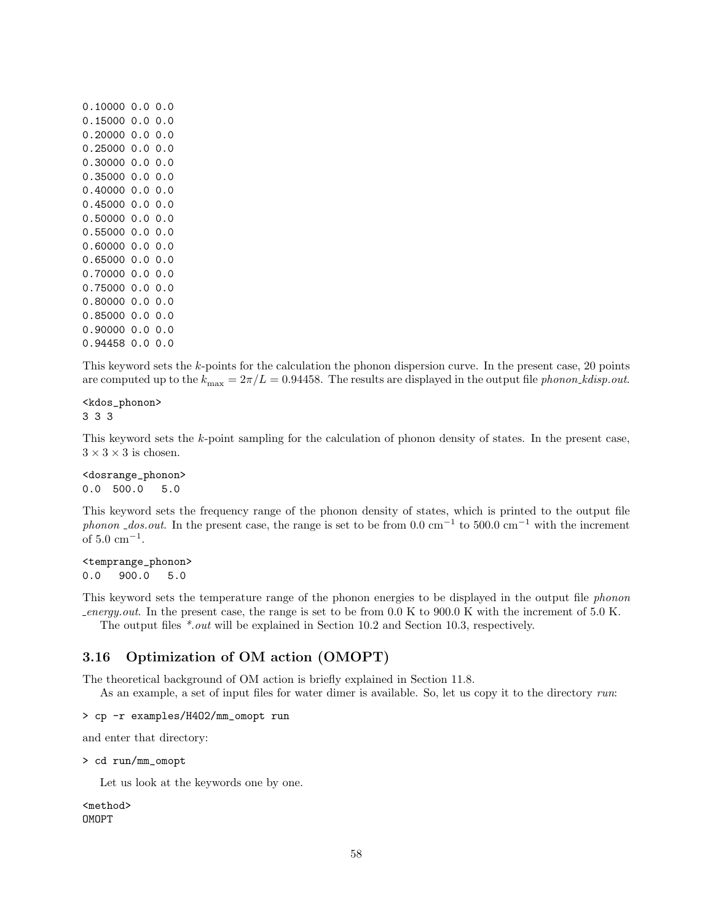0.10000 0.0 0.0 0.15000 0.0 0.0 0.20000 0.0 0.0 0.25000 0.0 0.0 0.30000 0.0 0.0 0.35000 0.0 0.0 0.40000 0.0 0.0 0.45000 0.0 0.0 0.50000 0.0 0.0 0.55000 0.0 0.0 0.60000 0.0 0.0 0.65000 0.0 0.0 0.70000 0.0 0.0 0.75000 0.0 0.0 0.80000 0.0 0.0 0.85000 0.0 0.0 0.90000 0.0 0.0 0.94458 0.0 0.0

This keyword sets the *k*-points for the calculation the phonon dispersion curve. In the present case, 20 points are computed up to the  $k_{\text{max}} = 2\pi/L = 0.94458$ . The results are displayed in the output file *phonon-kdisp.out.* 

<kdos\_phonon> 3 3 3

This keyword sets the *k*-point sampling for the calculation of phonon density of states. In the present case,  $3 \times 3 \times 3$  is chosen.

<dosrange\_phonon> 0.0 500.0 5.0

This keyword sets the frequency range of the phonon density of states, which is printed to the output file *phonon dos.out*. In the present case, the range is set to be from 0.0 cm*−*<sup>1</sup> to 500.0 cm*−*<sup>1</sup> with the increment of 5.0 cm*−*<sup>1</sup> .

<temprange\_phonon> 0.0 900.0 5.0

This keyword sets the temperature range of the phonon energies to be displayed in the output file *phonon energy.out*. In the present case, the range is set to be from 0.0 K to 900.0 K with the increment of 5.0 K.

The output files *\*.out* will be explained in Section 10.2 and Section 10.3, respectively.

# **3.16 Optimization of OM action (OMOPT)**

The theoretical background of OM action is briefly explained in Section 11.8.

As an example, a set of input files for water dimer is available. So, let us copy it to the directory *run*:

```
> cp -r examples/H4O2/mm_omopt run
```
and enter that directory:

```
> cd run/mm_omopt
```
Let us look at the keywords one by one.

<method> OMOPT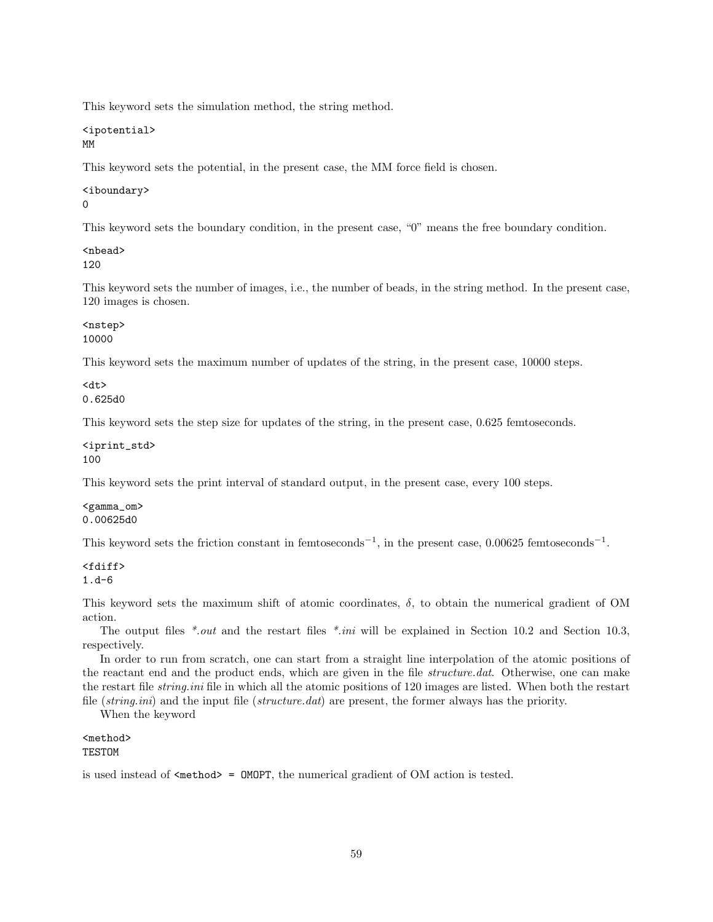This keyword sets the simulation method, the string method.

<ipotential> MM

This keyword sets the potential, in the present case, the MM force field is chosen.

<iboundary> 0

This keyword sets the boundary condition, in the present case, "0" means the free boundary condition.

<nbead> 120

This keyword sets the number of images, i.e., the number of beads, in the string method. In the present case, 120 images is chosen.

<nstep> 10000

This keyword sets the maximum number of updates of the string, in the present case, 10000 steps.

<dt> 0.625d0

This keyword sets the step size for updates of the string, in the present case, 0.625 femtoseconds.

<iprint\_std> 100

This keyword sets the print interval of standard output, in the present case, every 100 steps.

<gamma\_om> 0.00625d0

This keyword sets the friction constant in femtoseconds*−*<sup>1</sup> , in the present case, 0.00625 femtoseconds*−*<sup>1</sup> .

# <fdiff>

1.d-6

This keyword sets the maximum shift of atomic coordinates,  $\delta$ , to obtain the numerical gradient of OM action.

The output files *\*.out* and the restart files *\*.ini* will be explained in Section 10.2 and Section 10.3, respectively.

In order to run from scratch, one can start from a straight line interpolation of the atomic positions of the reactant end and the product ends, which are given in the file *structure.dat*. Otherwise, one can make the restart file *string.ini* file in which all the atomic positions of 120 images are listed. When both the restart file (*string.ini*) and the input file (*structure.dat*) are present, the former always has the priority.

When the keyword

#### <method> **TESTOM**

is used instead of  $\epsilon$ method> = OMOPT, the numerical gradient of OM action is tested.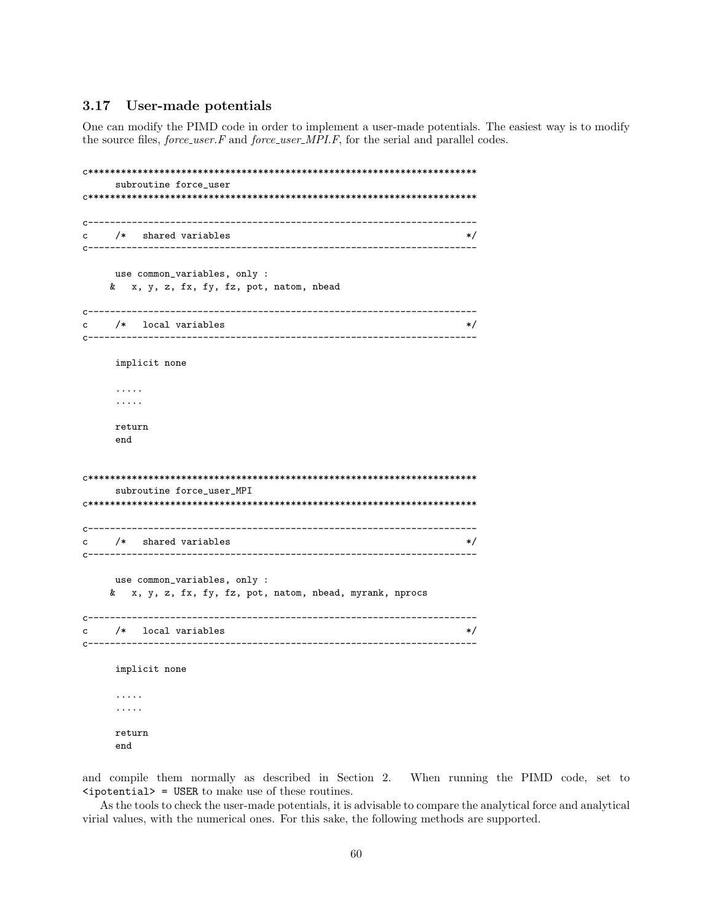### **3.17 User-made potentials**

end

One can modify the PIMD code in order to implement a user-made potentials. The easiest way is to modify the source files, *force\_user.F* and *force\_user\_MPI.F*, for the serial and parallel codes.

```
c***********************************************************************
     subroutine force_user
c***********************************************************************
c-----------------------------------------------------------------------
c /* shared variables */
c-----------------------------------------------------------------------
     use common_variables, only :
    & x, y, z, fx, fy, fz, pot, natom, nbead
c-----------------------------------------------------------------------
c /* local variables */c-----------------------------------------------------------------------
     implicit none
     .....
     .....
     return
     end
c***********************************************************************
     subroutine force_user_MPI
c***********************************************************************
    c-----------------------------------------------------------------------
c /* shared variables \star/c-----------------------------------------------------------------------
     use common_variables, only :
    & x, y, z, fx, fy, fz, pot, natom, nbead, myrank, nprocs
c-----------------------------------------------------------------------
c /* local variables \star/
c-----------------------------------------------------------------------
     implicit none
     .....
     .....
     return
```
and compile them normally as described in Section 2. When running the PIMD code, set to  $\epsilon$ ipotential> = USER to make use of these routines.

As the tools to check the user-made potentials, it is advisable to compare the analytical force and analytical virial values, with the numerical ones. For this sake, the following methods are supported.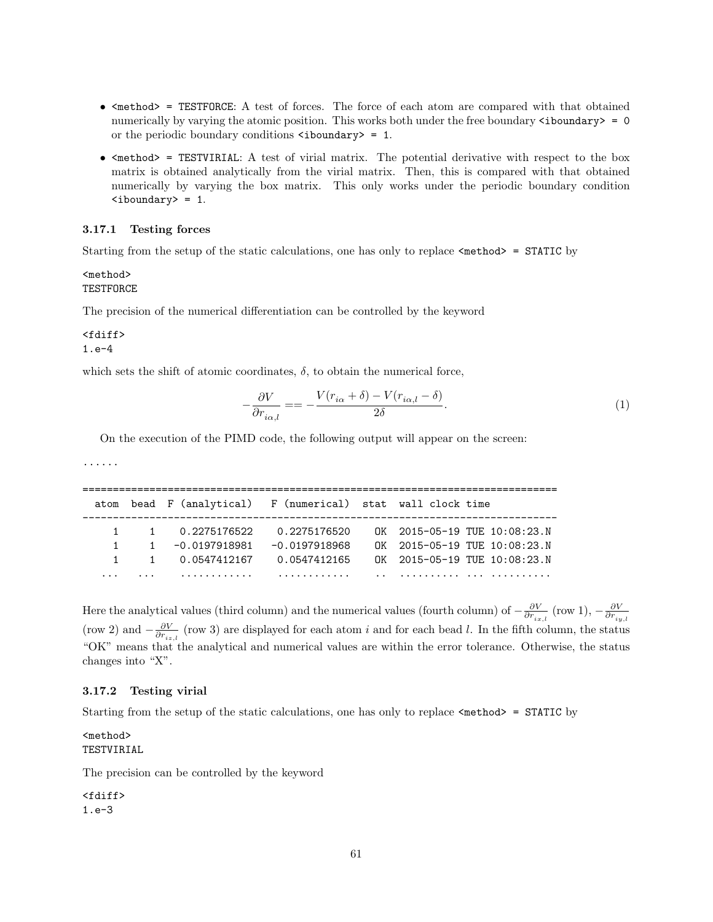- $\epsilon$  = TESTFORCE: A test of forces. The force of each atom are compared with that obtained numerically by varying the atomic position. This works both under the free boundary  $\langle$  iboundary  $\rangle$  = 0 or the periodic boundary conditions  $\langle$  iboundary > = 1.
- $\epsilon$  = TESTVIRIAL: A test of virial matrix. The potential derivative with respect to the box matrix is obtained analytically from the virial matrix. Then, this is compared with that obtained numerically by varying the box matrix. This only works under the periodic boundary condition  $\langle$ iboundary> = 1.

#### **3.17.1 Testing forces**

Starting from the setup of the static calculations, one has only to replace  $\zeta$  method = STATIC by

#### <method> **TESTFORCE**

The precision of the numerical differentiation can be controlled by the keyword

# <fdiff>

### 1.e-4

which sets the shift of atomic coordinates,  $\delta$ , to obtain the numerical force,

$$
-\frac{\partial V}{\partial r_{i\alpha,l}} = -\frac{V(r_{i\alpha} + \delta) - V(r_{i\alpha,l} - \delta)}{2\delta}.
$$
\n(1)

On the execution of the PIMD code, the following output will appear on the screen:

......

|                      |          |                  |                 | atom bead F (analytical) F (numerical) stat wall clock time |
|----------------------|----------|------------------|-----------------|-------------------------------------------------------------|
|                      |          |                  | 0.2275176520    | $0K$ 2015-05-19 TUE 10:08:23.N                              |
| $1 \quad \Box$       |          | 1 -0.0197918981  | $-0.0197918968$ | $0K$ 2015-05-19 TUE 10:08:23.N                              |
|                      |          | 1 1 0.0547412167 | 0.0547412165    | $0K$ 2015-05-19 TUE 10:08:23.N                              |
| $\ddot{\phantom{a}}$ | $\cdots$ |                  |                 |                                                             |

Here the analytical values (third column) and the numerical values (fourth column) of  $-\frac{\partial V}{\partial r_{ix,l}}$  (row 1),  $-\frac{\partial V}{\partial r_{iy,l}}$ (row 2) and  $-\frac{\partial V}{\partial r_{iz,l}}$  (row 3) are displayed for each atom *i* and for each bead *l*. In the fifth column, the status "OK" means that the analytical and numerical values are within the error tolerance. Otherwise, the status changes into "X".

### **3.17.2 Testing virial**

Starting from the setup of the static calculations, one has only to replace  $\zeta$  method = STATIC by

#### <method> TESTVIRIAL

The precision can be controlled by the keyword

<fdiff> 1.e-3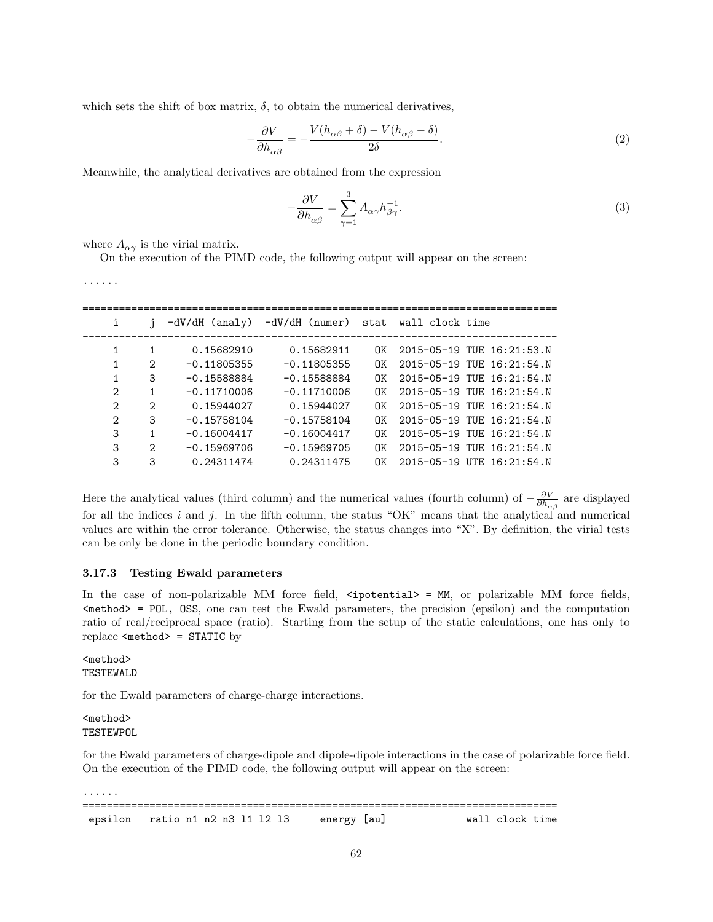which sets the shift of box matrix,  $\delta$ , to obtain the numerical derivatives,

$$
-\frac{\partial V}{\partial h_{\alpha\beta}} = -\frac{V(h_{\alpha\beta} + \delta) - V(h_{\alpha\beta} - \delta)}{2\delta}.
$$
\n(2)

Meanwhile, the analytical derivatives are obtained from the expression

$$
-\frac{\partial V}{\partial h_{\alpha\beta}} = \sum_{\gamma=1}^{3} A_{\alpha\gamma} h_{\beta\gamma}^{-1}.
$$
 (3)

where  $A_{\alpha\gamma}$  is the virial matrix.

On the execution of the PIMD code, the following output will appear on the screen:

......

| i                 | j.                | $-dV/dH$ (analy) |               |     | -dV/dH (numer) stat wall clock time |
|-------------------|-------------------|------------------|---------------|-----|-------------------------------------|
|                   |                   | 0.15682910       | 0.15682911    | nĸ. | $2015 - 05 - 19$ TUE $16:21:53$ . N |
|                   | $\mathcal{L}$     | $-0.11805355$    | $-0.11805355$ | 0K. | 2015-05-19 TUE 16:21:54.N           |
|                   | 3                 | $-0.15588884$    | $-0.15588884$ | nĸ. | $2015 - 05 - 19$ TUE $16:21:54$ . N |
| $\mathfrak{D}$    |                   | $-0.11710006$    | $-0.11710006$ | nĸ. | $2015 - 05 - 19$ TUE $16:21:54$ . N |
| $\mathcal{D}_{1}$ | $\mathfrak{D}$    | 0.15944027       | 0.15944027    | nĸ. | $2015 - 05 - 19$ TUE $16:21:54$ . N |
| $\mathfrak{D}$    | 3                 | $-0.15758104$    | $-0.15758104$ | nĸ. | 2015-05-19 TUE 16:21:54 N           |
| 3                 | 1                 | $-0.16004417$    | $-0.16004417$ | nĸ. | $2015 - 05 - 19$ TUE $16:21:54$ . N |
| 3                 | $\mathcal{D}_{1}$ | $-0.15969706$    | $-0.15969705$ | ΠK  | $2015 - 05 - 19$ TUE $16:21:54$ . N |
| 3                 | 3                 | 0.24311474       | 0.24311475    | ΠK  | $2015 - 05 - 19$ UTF $16:21:54$ . N |
|                   |                   |                  |               |     |                                     |

Here the analytical values (third column) and the numerical values (fourth column) of  $-\frac{\partial V}{\partial h_{\alpha\beta}}$  are displayed for all the indices *i* and *j*. In the fifth column, the status "OK" means that the analytical and numerical values are within the error tolerance. Otherwise, the status changes into "X". By definition, the virial tests can be only be done in the periodic boundary condition.

#### **3.17.3 Testing Ewald parameters**

In the case of non-polarizable MM force field,  $\langle$ ipotential> = MM, or polarizable MM force fields,  $\epsilon$ method> = POL, OSS, one can test the Ewald parameters, the precision (epsilon) and the computation ratio of real/reciprocal space (ratio). Starting from the setup of the static calculations, one has only to replace <method> = STATIC by

#### <method> TESTEWALD

for the Ewald parameters of charge-charge interactions.

<method> **TESTEWPOL** 

for the Ewald parameters of charge-dipole and dipole-dipole interactions in the case of polarizable force field. On the execution of the PIMD code, the following output will appear on the screen:

| . |                                             |                 |
|---|---------------------------------------------|-----------------|
|   | epsilon ratio n1 n2 n3 11 12 13 energy [au] | wall clock time |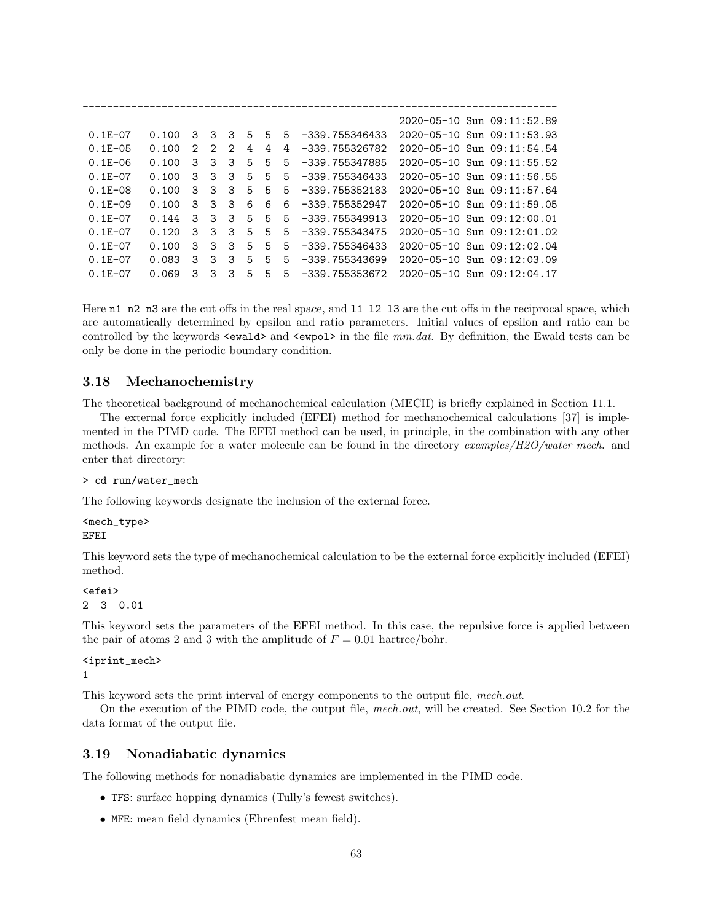------------------------------------------------------------------------------ 2020-05-10 Sun 09:11:52.89 0.1E-07 0.100 3 3 3 5 5 5 -339.755346433 2020-05-10 Sun 09:11:53.93 0.1E-05 0.100 2 2 2 4 4 4 -339.755326782 2020-05-10 Sun 09:11:54.54 0.1E-06 0.100 3 3 3 5 5 5 -339.755347885 2020-05-10 Sun 09:11:55.52 0.1E-07 0.100 3 3 3 5 5 5 -339.755346433 2020-05-10 Sun 09:11:56.55 0.1E-08 0.100 3 3 3 5 5 5 -339.755352183 2020-05-10 Sun 09:11:57.64 0.1E-09 0.100 3 3 3 6 6 6 -339.755352947 2020-05-10 Sun 09:11:59.05 0.1E-07 0.144 3 3 3 5 5 5 -339.755349913 2020-05-10 Sun 09:12:00.01 0.1E-07 0.120 3 3 3 5 5 5 -339.755343475 2020-05-10 Sun 09:12:01.02 0.1E-07 0.100 3 3 3 5 5 5 -339.755346433 2020-05-10 Sun 09:12:02.04 0.1E-07 0.083 3 3 3 5 5 5 -339.755343699 2020-05-10 Sun 09:12:03.09 0.1E-07 0.069 3 3 3 5 5 5 -339.755353672 2020-05-10 Sun 09:12:04.17

Here n1 n2 n3 are the cut offs in the real space, and 11 12 13 are the cut offs in the reciprocal space, which are automatically determined by epsilon and ratio parameters. Initial values of epsilon and ratio can be controlled by the keywords <ewald> and <ewpol> in the file  $mm.dat$ . By definition, the Ewald tests can be only be done in the periodic boundary condition.

# **3.18 Mechanochemistry**

The theoretical background of mechanochemical calculation (MECH) is briefly explained in Section 11.1.

The external force explicitly included (EFEI) method for mechanochemical calculations [37] is implemented in the PIMD code. The EFEI method can be used, in principle, in the combination with any other methods. An example for a water molecule can be found in the directory *examples/H2O/water mech*. and enter that directory:

```
> cd run/water_mech
```
The following keywords designate the inclusion of the external force.

<mech\_type> EFEI

This keyword sets the type of mechanochemical calculation to be the external force explicitly included (EFEI) method.

<efei>

```
2 3 0.01
```
This keyword sets the parameters of the EFEI method. In this case, the repulsive force is applied between the pair of atoms 2 and 3 with the amplitude of  $F = 0.01$  hartree/bohr.

<iprint\_mech>

1

This keyword sets the print interval of energy components to the output file, *mech.out*.

On the execution of the PIMD code, the output file, *mech.out*, will be created. See Section 10.2 for the data format of the output file.

# **3.19 Nonadiabatic dynamics**

The following methods for nonadiabatic dynamics are implemented in the PIMD code.

- *•* TFS: surface hopping dynamics (Tully's fewest switches).
- *•* MFE: mean field dynamics (Ehrenfest mean field).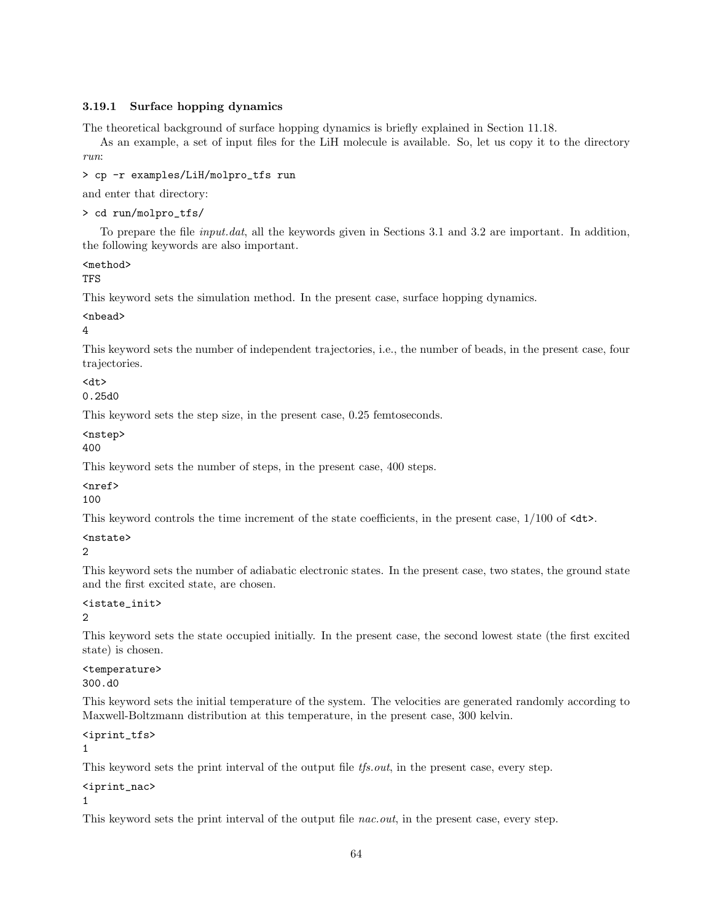## **3.19.1 Surface hopping dynamics**

The theoretical background of surface hopping dynamics is briefly explained in Section 11.18.

As an example, a set of input files for the LiH molecule is available. So, let us copy it to the directory *run*:

> cp -r examples/LiH/molpro\_tfs run

and enter that directory:

```
> cd run/molpro_tfs/
```
To prepare the file *input.dat*, all the keywords given in Sections 3.1 and 3.2 are important. In addition, the following keywords are also important.

### <method>

TFS

This keyword sets the simulation method. In the present case, surface hopping dynamics.

<nbead>

4

This keyword sets the number of independent trajectories, i.e., the number of beads, in the present case, four trajectories.

<dt>

0.25d0

This keyword sets the step size, in the present case, 0.25 femtoseconds.

<nstep>

400

This keyword sets the number of steps, in the present case, 400 steps.

<nref>

100

This keyword controls the time increment of the state coefficients, in the present case,  $1/100$  of  $\langle dt \rangle$ .

<nstate>

 $\mathcal{L}$ 

This keyword sets the number of adiabatic electronic states. In the present case, two states, the ground state and the first excited state, are chosen.

<istate\_init>

2

This keyword sets the state occupied initially. In the present case, the second lowest state (the first excited state) is chosen.

<temperature> 300.d0

This keyword sets the initial temperature of the system. The velocities are generated randomly according to Maxwell-Boltzmann distribution at this temperature, in the present case, 300 kelvin.

<iprint\_tfs>

1

This keyword sets the print interval of the output file *tfs.out*, in the present case, every step.

<iprint\_nac>

1

This keyword sets the print interval of the output file *nac.out*, in the present case, every step.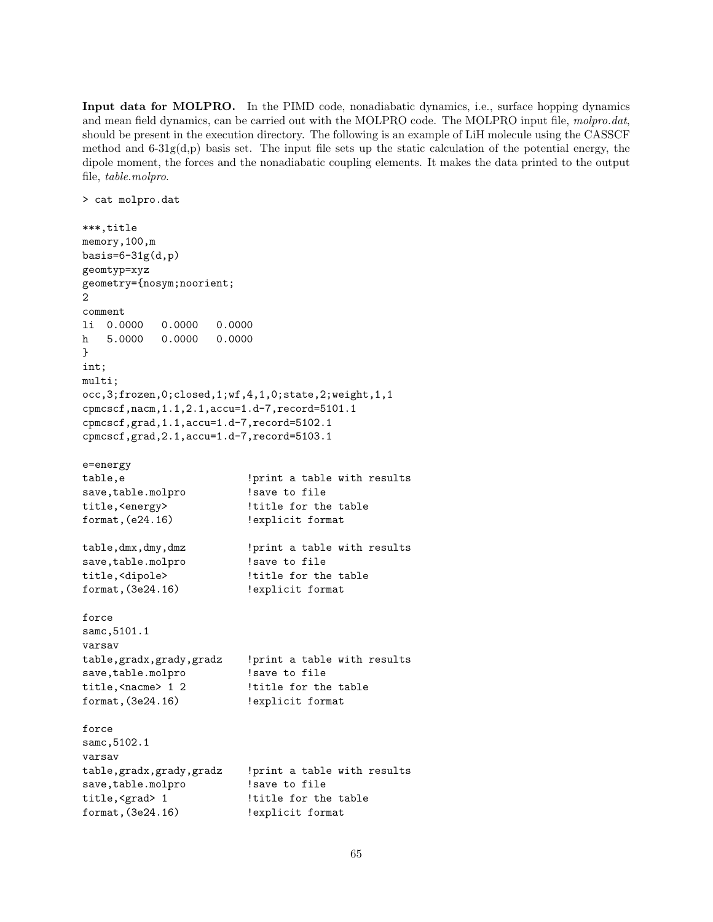**Input data for MOLPRO.** In the PIMD code, nonadiabatic dynamics, i.e., surface hopping dynamics and mean field dynamics, can be carried out with the MOLPRO code. The MOLPRO input file, *molpro.dat*, should be present in the execution directory. The following is an example of LiH molecule using the CASSCF method and  $6-31g(d,p)$  basis set. The input file sets up the static calculation of the potential energy, the dipole moment, the forces and the nonadiabatic coupling elements. It makes the data printed to the output file, *table.molpro*.

```
> cat molpro.dat
***,title
memory,100,m
basis=6-31g(d,p)geomtyp=xyz
geometry={nosym;noorient;
2
comment
li 0.0000 0.0000 0.0000
h 5.0000 0.0000 0.0000
}
int;
multi;
occ,3;frozen,0;closed,1;wf,4,1,0;state,2;weight,1,1
cpmcscf,nacm,1.1,2.1,accu=1.d-7,record=5101.1
cpmcscf,grad,1.1,accu=1.d-7,record=5102.1
cpmcscf,grad,2.1,accu=1.d-7,record=5103.1
e=energy
table, e \qquad \qquad \text{!print a table with results}save,table.molpro !save to file
title,<energy> !title for the table
format,(e24.16) !explicit format
table,dmx,dmy,dmz !print a table with results
save,table.molpro !save to file
title,<dipole> !title for the table
format,(3e24.16) !explicit format
force
samc,5101.1
varsav
table,gradx,grady,gradz !print a table with results
save,table.molpro !save to file
title,<nacme> 1 2 !title for the table
format,(3e24.16) !explicit format
force
samc,5102.1
varsav
table,gradx,grady,gradz !print a table with results
save,table.molpro !save to file
title,<grad> 1 !title for the table
format,(3e24.16) !explicit format
```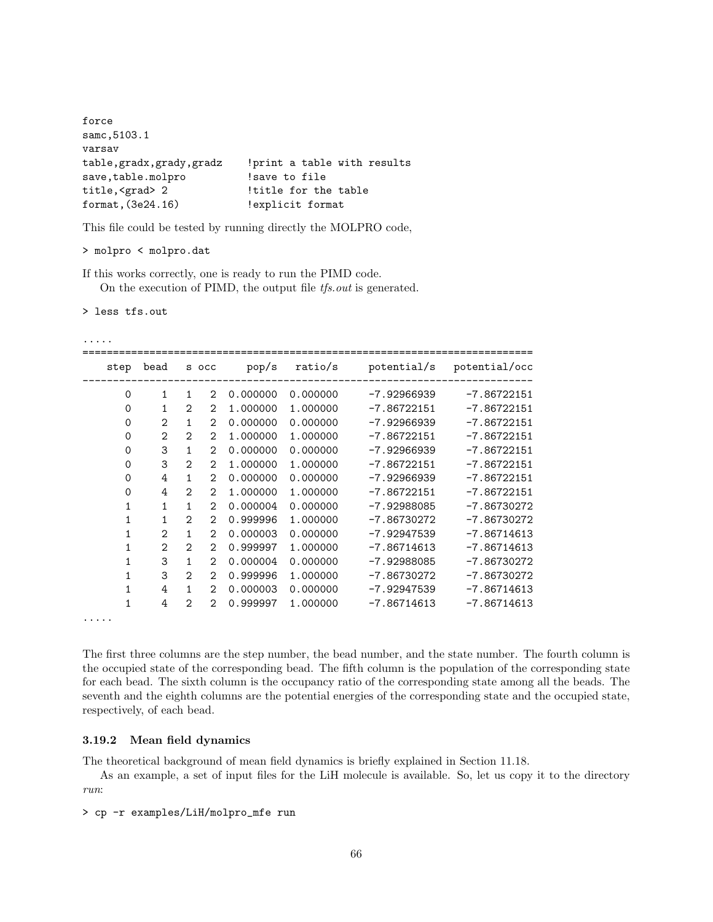force samc,5103.1 varsav table,gradx,grady,gradz !print a table with results save,table.molpro !save to file title,<grad> 2 !title for the table format,(3e24.16) !explicit format

This file could be tested by running directly the MOLPRO code,

> molpro < molpro.dat

If this works correctly, one is ready to run the PIMD code. On the execution of PIMD, the output file *tfs.out* is generated.

> less tfs.out

.....

| step |              | bead           |                | s occ             | pop/s    | ratio/s  | potential/s   | potential/occ |
|------|--------------|----------------|----------------|-------------------|----------|----------|---------------|---------------|
|      | $\Omega$     | 1              | 1              | $\mathfrak{D}$    | 0.000000 | 0.000000 | $-7.92966939$ | $-7.86722151$ |
|      | $\Omega$     | 1              | $\mathcal{D}$  | $\mathfrak{D}$    | 1.000000 | 1.000000 | $-7.86722151$ | $-7.86722151$ |
|      | $\Omega$     | $\overline{2}$ | $\mathbf{1}$   | 2                 | 0.000000 | 0.000000 | $-7.92966939$ | $-7.86722151$ |
|      | $\Omega$     | $\overline{2}$ | $\overline{2}$ | $\mathcal{D}_{1}$ | 1.000000 | 1.000000 | $-7.86722151$ | $-7.86722151$ |
|      | $\Omega$     | 3              | $\mathbf{1}$   | $\overline{2}$    | 0.000000 | 0.000000 | $-7.92966939$ | $-7.86722151$ |
|      | $\Omega$     | 3              | $\mathcal{D}$  | $\mathfrak{D}$    | 1.000000 | 1.000000 | $-7.86722151$ | $-7.86722151$ |
|      | $\Omega$     | $\overline{4}$ | $\mathbf{1}$   | $\mathfrak{D}$    | 0.000000 | 0.000000 | $-7.92966939$ | $-7.86722151$ |
|      | $\Omega$     | 4              | $\mathcal{D}$  | 2                 | 1.000000 | 1.000000 | $-7.86722151$ | $-7.86722151$ |
|      | $\mathbf{1}$ | $\mathbf{1}$   | $\mathbf{1}$   | $\mathfrak{D}$    | 0.000004 | 0.000000 | $-7.92988085$ | $-7.86730272$ |
|      | 1            | $\mathbf{1}$   | $\mathcal{D}$  | $\mathfrak{D}$    | 0.999996 | 1.000000 | $-7.86730272$ | $-7.86730272$ |
|      | 1            | $\mathfrak{D}$ | $\mathbf{1}$   | $\mathfrak{D}$    | 0.000003 | 0.000000 | $-7.92947539$ | $-7.86714613$ |
|      | 1            | $\overline{2}$ | $\overline{2}$ | 2                 | 0.999997 | 1.000000 | $-7.86714613$ | $-7.86714613$ |
|      | 1            | 3              | $\mathbf{1}$   | $\mathbf{2}$      | 0.000004 | 0.000000 | $-7.92988085$ | $-7.86730272$ |
|      | 1            | 3              | $\mathcal{D}$  | $\mathfrak{D}$    | 0.999996 | 1.000000 | $-7.86730272$ | $-7.86730272$ |
|      | 1            | 4              | $\mathbf{1}$   | $\mathfrak{D}$    | 0.000003 | 0.000000 | $-7.92947539$ | $-7.86714613$ |
|      | 1            | 4              | $\overline{2}$ | $\mathfrak{D}$    | 0.999997 | 1.000000 | $-7.86714613$ | $-7.86714613$ |
|      |              |                |                |                   |          |          |               |               |

The first three columns are the step number, the bead number, and the state number. The fourth column is the occupied state of the corresponding bead. The fifth column is the population of the corresponding state for each bead. The sixth column is the occupancy ratio of the corresponding state among all the beads. The seventh and the eighth columns are the potential energies of the corresponding state and the occupied state, respectively, of each bead.

#### **3.19.2 Mean field dynamics**

The theoretical background of mean field dynamics is briefly explained in Section 11.18.

As an example, a set of input files for the LiH molecule is available. So, let us copy it to the directory *run*:

#### > cp -r examples/LiH/molpro\_mfe run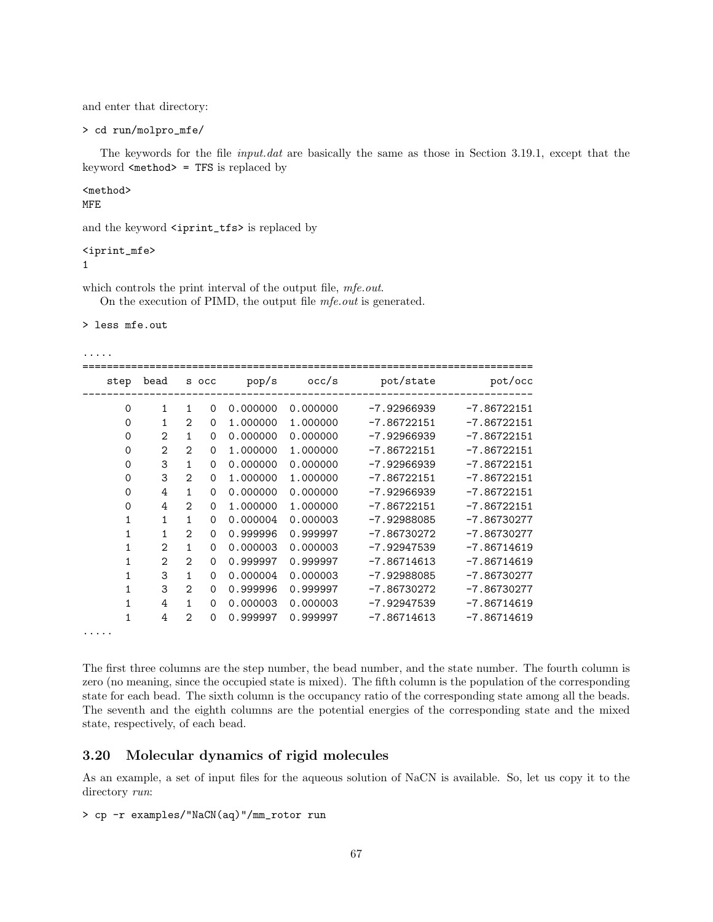and enter that directory:

```
> cd run/molpro_mfe/
```
The keywords for the file *input.dat* are basically the same as those in Section 3.19.1, except that the keyword <method> = TFS is replaced by

# <method>

MFE

and the keyword <iprint\_tfs> is replaced by

# <iprint\_mfe>

1

which controls the print interval of the output file, *mfe.out*. On the execution of PIMD, the output file *mfe.out* is generated.

> less mfe.out

.....

| step     | bead           |                             | s occ    | pop/s    | occ/s    | pot/state     | pot/occ       |
|----------|----------------|-----------------------------|----------|----------|----------|---------------|---------------|
| $\Omega$ | 1              | $\mathbf{1}$                | 0        | 0.000000 | 0.000000 | $-7.92966939$ | $-7.86722151$ |
| $\Omega$ | 1              | $\mathcal{D}_{\mathcal{L}}$ | $\Omega$ | 1.000000 | 1.000000 | $-7.86722151$ | $-7.86722151$ |
| 0        | $\mathcal{D}$  | 1                           | $\Omega$ | 0.000000 | 0.000000 | $-7.92966939$ | $-7.86722151$ |
| $\Omega$ | $\mathfrak{D}$ | $\mathcal{D}_{\mathcal{L}}$ | $\Omega$ | 1.000000 | 1.000000 | $-7.86722151$ | $-7.86722151$ |
| $\Omega$ | 3              | $\mathbf{1}$                | $\Omega$ | 0.000000 | 0.000000 | $-7.92966939$ | $-7.86722151$ |
| $\Omega$ | 3              | $\mathcal{D}_{\mathcal{L}}$ | $\Omega$ | 1.000000 | 1.000000 | $-7.86722151$ | $-7.86722151$ |
| $\Omega$ | 4              | $\mathbf{1}$                | $\Omega$ | 0.000000 | 0.000000 | $-7.92966939$ | $-7.86722151$ |
| $\Omega$ | 4              | $\overline{2}$              | $\Omega$ | 1.000000 | 1.000000 | $-7.86722151$ | $-7.86722151$ |
| 1        | 1              | 1                           | $\Omega$ | 0.000004 | 0.000003 | $-7.92988085$ | $-7.86730277$ |
| 1        | 1              | $\mathcal{D}$               | $\Omega$ | 0.999996 | 0.999997 | $-7.86730272$ | $-7.86730277$ |
| 1        | $\mathfrak{D}$ | 1                           | $\Omega$ | 0.000003 | 0.000003 | $-7.92947539$ | $-7.86714619$ |
| 1        | $\mathfrak{D}$ | $\mathfrak{D}$              | $\Omega$ | 0.999997 | 0.999997 | $-7.86714613$ | $-7.86714619$ |
|          | 3              | 1                           | $\Omega$ | 0.000004 | 0.000003 | $-7.92988085$ | $-7.86730277$ |
|          | 3              | $\mathcal{D}_{\mathcal{L}}$ | $\Omega$ | 0.999996 | 0.999997 | $-7.86730272$ | $-7.86730277$ |
|          | 4              | $\mathbf{1}$                | $\Omega$ | 0.000003 | 0.000003 | $-7.92947539$ | $-7.86714619$ |
| 1        | 4              | $\mathfrak{D}$              | $\Omega$ | 0.999997 | 0.999997 | $-7.86714613$ | $-7.86714619$ |
|          |                |                             |          |          |          |               |               |

The first three columns are the step number, the bead number, and the state number. The fourth column is zero (no meaning, since the occupied state is mixed). The fifth column is the population of the corresponding state for each bead. The sixth column is the occupancy ratio of the corresponding state among all the beads. The seventh and the eighth columns are the potential energies of the corresponding state and the mixed state, respectively, of each bead.

# **3.20 Molecular dynamics of rigid molecules**

As an example, a set of input files for the aqueous solution of NaCN is available. So, let us copy it to the directory *run*:

```
> cp -r examples/"NaCN(aq)"/mm_rotor run
```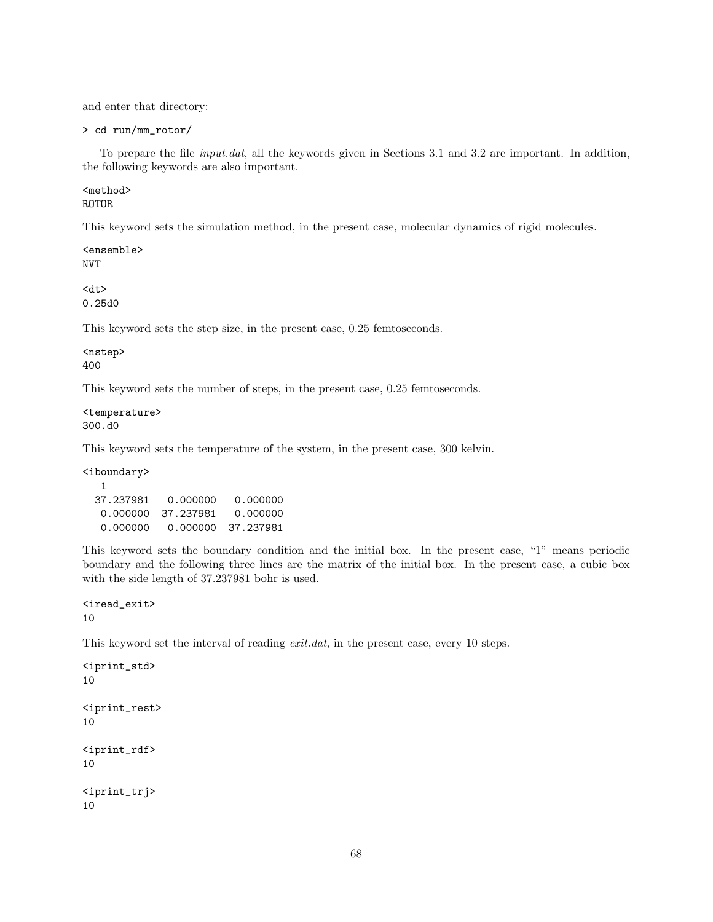and enter that directory:

```
> cd run/mm_rotor/
```
To prepare the file *input.dat*, all the keywords given in Sections 3.1 and 3.2 are important. In addition, the following keywords are also important.

<method> ROTOR

This keyword sets the simulation method, in the present case, molecular dynamics of rigid molecules.

<ensemble> NVT

<dt> 0.25d0

This keyword sets the step size, in the present case, 0.25 femtoseconds.

<nstep> 400

This keyword sets the number of steps, in the present case, 0.25 femtoseconds.

<temperature> 300.d0

This keyword sets the temperature of the system, in the present case, 300 kelvin.

<iboundary>

1 37.237981 0.000000 0.000000 0.000000 37.237981 0.000000 0.000000 0.000000 37.237981

This keyword sets the boundary condition and the initial box. In the present case, "1" means periodic boundary and the following three lines are the matrix of the initial box. In the present case, a cubic box with the side length of 37.237981 bohr is used.

<iread\_exit> 10

This keyword set the interval of reading *exit.dat*, in the present case, every 10 steps.

```
<iprint_std>
10
<iprint_rest>
10
<iprint_rdf>
10
<iprint_trj>
10
```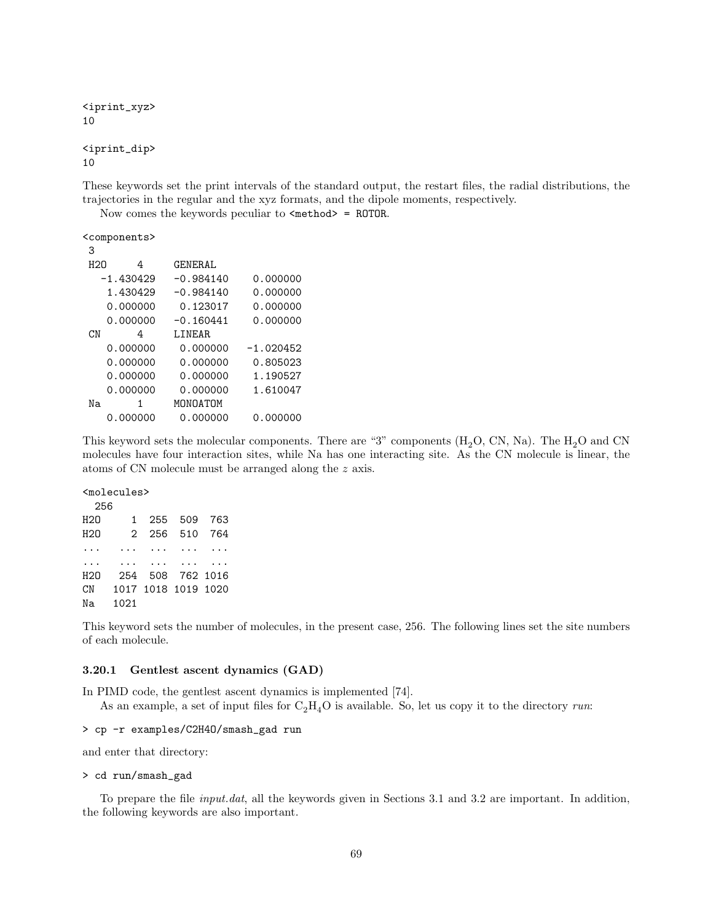```
<iprint_xyz>
10
```

```
<iprint_dip>
10
```
These keywords set the print intervals of the standard output, the restart files, the radial distributions, the trajectories in the regular and the xyz formats, and the dipole moments, respectively.

Now comes the keywords peculiar to <method> = ROTOR.

```
<components>
3
H2O 4 GENERAL
  -1.430429 -0.984140 0.0000001.430429 -0.984140 0.000000
   0.000000 0.123017 0.000000
   0.000000 -0.160441 0.000000
CN 4 LINEAR
   0.000000 0.000000 -1.020452
   0.000000 0.000000 0.805023
   0.000000 0.000000 1.190527
   0.000000 0.000000 1.610047
Na 1 MONOATOM
   0.000000 0.000000 0.000000
```
This keyword sets the molecular components. There are "3" components  $(H_2O, CN, Na)$ . The  $H_2O$  and CN molecules have four interaction sites, while Na has one interacting site. As the CN molecule is linear, the atoms of CN molecule must be arranged along the *z* axis.

#### <molecules>

| 256             |      |     |                                                  |      |
|-----------------|------|-----|--------------------------------------------------|------|
| H <sub>20</sub> | 1.   | 255 | 509                                              | 763  |
| H <sub>20</sub> | 2    | 256 | 510                                              | -764 |
|                 |      | .   |                                                  |      |
|                 |      |     | $\sim$ $\sim$ $\sim$ $\sim$ $\sim$ $\sim$ $\sim$ |      |
| H <sub>20</sub> |      |     | 254 508 762 1016                                 |      |
| $\text{CN}$     |      |     | 1017 1018 1019 1020                              |      |
| Na              | 1021 |     |                                                  |      |

This keyword sets the number of molecules, in the present case, 256. The following lines set the site numbers of each molecule.

#### **3.20.1 Gentlest ascent dynamics (GAD)**

In PIMD code, the gentlest ascent dynamics is implemented [74]. As an example, a set of input files for  $C_2H_4O$  is available. So, let us copy it to the directory *run*:

### > cp -r examples/C2H4O/smash\_gad run

and enter that directory:

```
> cd run/smash_gad
```
To prepare the file *input.dat*, all the keywords given in Sections 3.1 and 3.2 are important. In addition, the following keywords are also important.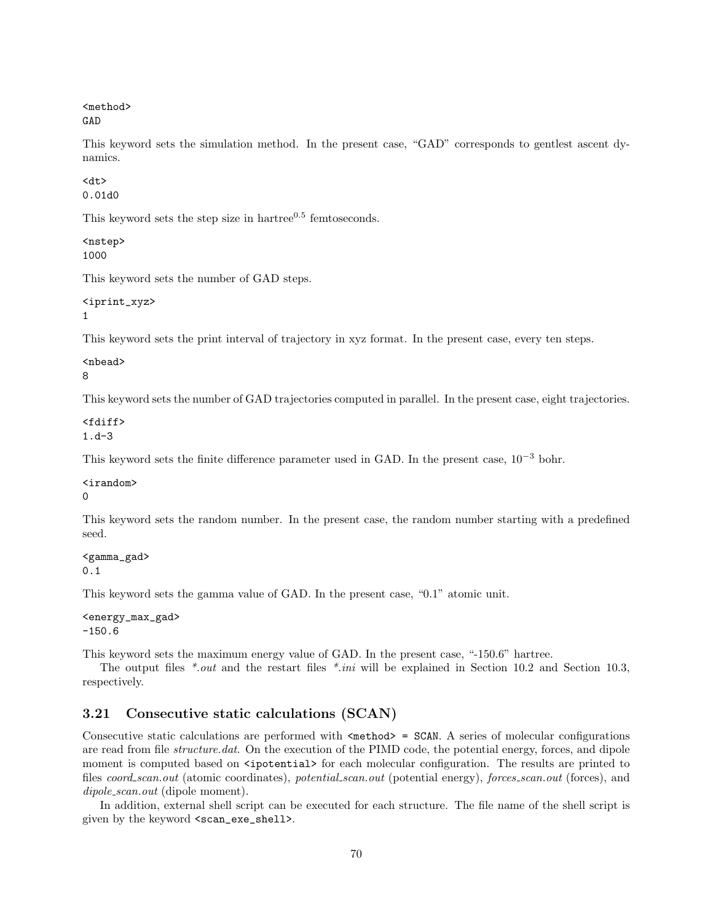### <method> GAD

This keyword sets the simulation method. In the present case, "GAD" corresponds to gentlest ascent dynamics.

#### <dt> 0.01d0

This keyword sets the step size in hartree<sup>0.5</sup> femtoseconds.

## <nstep> 1000

This keyword sets the number of GAD steps.

#### <iprint\_xyz> 1

This keyword sets the print interval of trajectory in xyz format. In the present case, every ten steps.

#### <nbead> 8

This keyword sets the number of GAD trajectories computed in parallel. In the present case, eight trajectories.

<fdiff> 1.d-3

This keyword sets the finite difference parameter used in GAD. In the present case, 10*−*<sup>3</sup> bohr.

# <irandom>

 $\Omega$ 

This keyword sets the random number. In the present case, the random number starting with a predefined seed.

#### <gamma\_gad> 0.1

This keyword sets the gamma value of GAD. In the present case, "0.1" atomic unit.

<energy\_max\_gad> -150.6

This keyword sets the maximum energy value of GAD. In the present case, "-150.6" hartree.

The output files *\*.out* and the restart files *\*.ini* will be explained in Section 10.2 and Section 10.3, respectively.

# **3.21 Consecutive static calculations (SCAN)**

Consecutive static calculations are performed with  $\epsilon$ method $>$  = SCAN. A series of molecular configurations are read from file *structure.dat*. On the execution of the PIMD code, the potential energy, forces, and dipole moment is computed based on  $\leq$  ipotential for each molecular configuration. The results are printed to files *coord scan.out* (atomic coordinates), *potential scan.out* (potential energy), *forces scan.out* (forces), and *dipole scan.out* (dipole moment).

In addition, external shell script can be executed for each structure. The file name of the shell script is given by the keyword <scan\_exe\_shell>.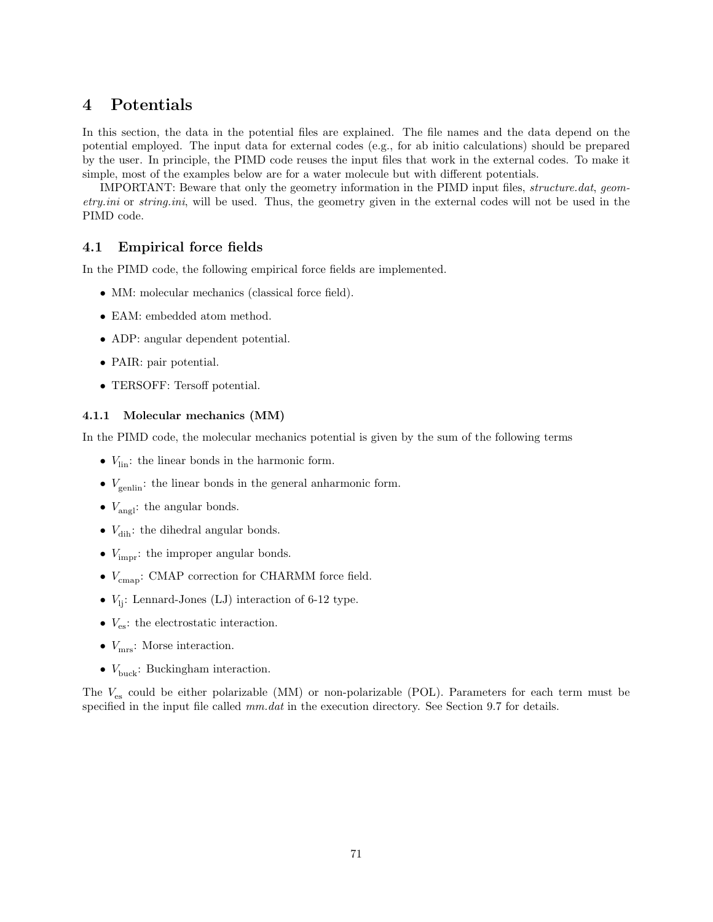# **4 Potentials**

In this section, the data in the potential files are explained. The file names and the data depend on the potential employed. The input data for external codes (e.g., for ab initio calculations) should be prepared by the user. In principle, the PIMD code reuses the input files that work in the external codes. To make it simple, most of the examples below are for a water molecule but with different potentials.

IMPORTANT: Beware that only the geometry information in the PIMD input files, *structure.dat*, *geometry.ini* or *string.ini*, will be used. Thus, the geometry given in the external codes will not be used in the PIMD code.

# **4.1 Empirical force fields**

In the PIMD code, the following empirical force fields are implemented.

- *•* MM: molecular mechanics (classical force field).
- EAM: embedded atom method.
- *•* ADP: angular dependent potential.
- *•* PAIR: pair potential.
- *•* TERSOFF: Tersoff potential.

### **4.1.1 Molecular mechanics (MM)**

In the PIMD code, the molecular mechanics potential is given by the sum of the following terms

- $V_{lin}$ : the linear bonds in the harmonic form.
- $V_{\text{genlin}}$ : the linear bonds in the general anharmonic form.
- $V_{\text{ang}}$ : the angular bonds.
- $V_{\text{dih}}$ : the dihedral angular bonds.
- $V_{\text{impr}}$ : the improper angular bonds.
- $V_{\text{cman}}$ : CMAP correction for CHARMM force field.
- *• V*lj: Lennard-Jones (LJ) interaction of 6-12 type.
- $V_{\text{es}}$ : the electrostatic interaction.
- $V_{\text{mrs}}$ : Morse interaction.
- $V_{\text{buck}}$ : Buckingham interaction.

The *V*es could be either polarizable (MM) or non-polarizable (POL). Parameters for each term must be specified in the input file called *mm.dat* in the execution directory. See Section 9.7 for details.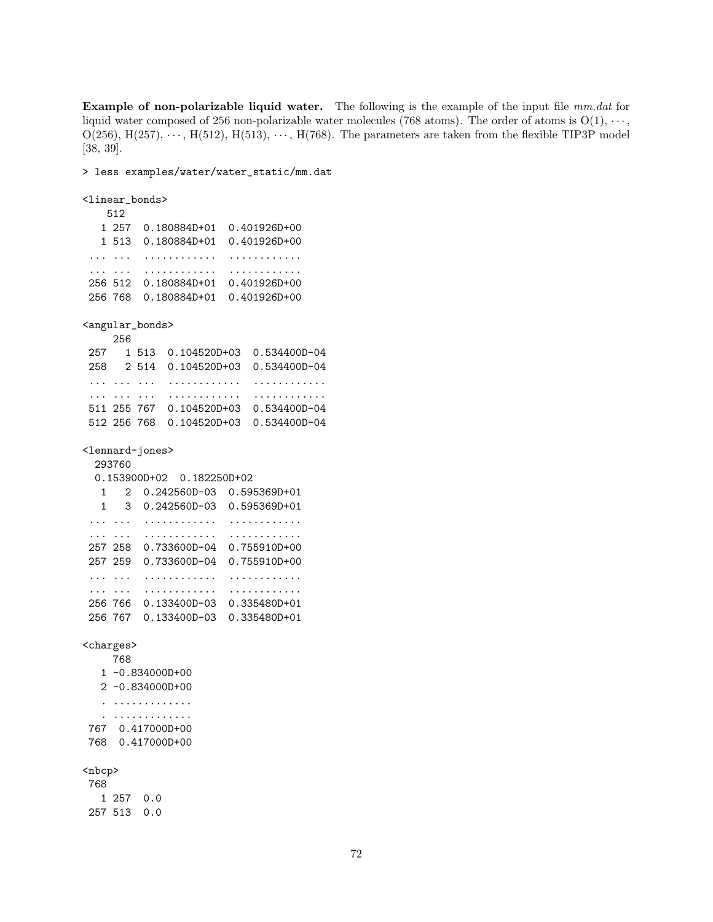**Example of non-polarizable liquid water.** The following is the example of the input file *mm.dat* for liquid water composed of 256 non-polarizable water molecules (768 atoms). The order of atoms is  $O(1), \cdots$ ,  $O(256)$ ,  $H(257)$ ,  $\cdots$ ,  $H(512)$ ,  $H(513)$ ,  $\cdots$ ,  $H(768)$ . The parameters are taken from the flexible TIP3P model [38, 39].

> less examples/water/water\_static/mm.dat <linear\_bonds> 512 1 257 0.180884D+01 0.401926D+00 1 513 0.180884D+01 0.401926D+00 ... ... ............ ............ ... ... ............ ............ 256 512 0.180884D+01 0.401926D+00 256 768 0.180884D+01 0.401926D+00 <angular\_bonds> 256 257 1 513 0.104520D+03 0.534400D-04 258 2 514 0.104520D+03 0.534400D-04 ... ... ... ............ ............ ... ... ... ............ ............ 511 255 767 0.104520D+03 0.534400D-04 512 256 768 0.104520D+03 0.534400D-04 <lennard-jones> 293760 0.153900D+02 0.182250D+02 1 2 0.242560D-03 0.595369D+01 1 3 0.242560D-03 0.595369D+01 ... ... ............ ............ ... ... ............ ............ 257 258 0.733600D-04 0.755910D+00 257 259 0.733600D-04 0.755910D+00 ... ... ............ ............ ... ... ............ ............ 256 766 0.133400D-03 0.335480D+01 256 767 0.133400D-03 0.335480D+01 <charges> 768 1 -0.834000D+00 2 -0.834000D+00 . ............. . ............. 767 0.417000D+00

# <nbcp>

768 1 257 0.0 257 513 0.0

768 0.417000D+00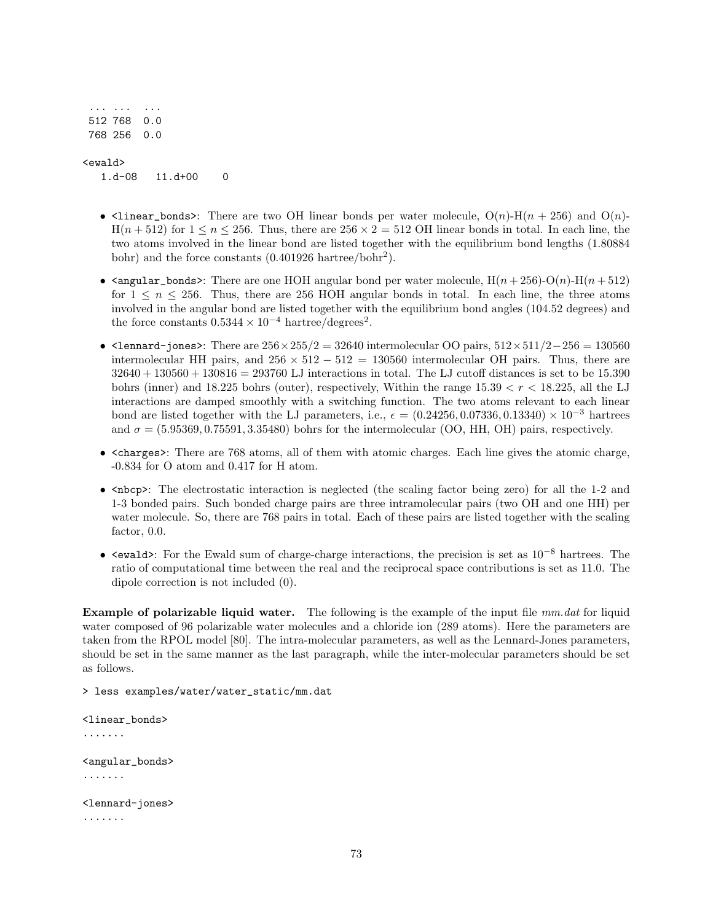... ... ... 512 768 0.0 768 256 0.0 <ewald> 1.d-08 11.d+00 0

- $\leq$  linear\_bonds>: There are two OH linear bonds per water molecule,  $O(n)$ -H( $n + 256$ ) and  $O(n)$ - $H(n+512)$  for  $1 \leq n \leq 256$ . Thus, there are  $256 \times 2 = 512$  OH linear bonds in total. In each line, the two atoms involved in the linear bond are listed together with the equilibrium bond lengths (1.80884 bohr) and the force constants  $(0.401926 \text{ hartree/bohr}^2)$ .
- $\epsilon$  <angular\_bonds>: There are one HOH angular bond per water molecule,  $H(n+256)-O(n)$ - $H(n+512)$ for  $1 \leq n \leq 256$ . Thus, there are 256 HOH angular bonds in total. In each line, the three atoms involved in the angular bond are listed together with the equilibrium bond angles (104.52 degrees) and the force constants  $0.5344 \times 10^{-4}$  hartree/degrees<sup>2</sup>.
- *•* <lennard-jones>: There are 256*×*255*/*2 = 32640 intermolecular OO pairs, 512*×*511*/*2*−*256 = 130560 intermolecular HH pairs, and  $256 \times 512 - 512 = 130560$  intermolecular OH pairs. Thus, there are  $32640 + 130560 + 130816 = 293760$  LJ interactions in total. The LJ cutoff distances is set to be 15.390 bohrs (inner) and 18.225 bohrs (outer), respectively, Within the range  $15.39 < r < 18.225$ , all the LJ interactions are damped smoothly with a switching function. The two atoms relevant to each linear bond are listed together with the LJ parameters, i.e.,  $\epsilon = (0.24256, 0.07336, 0.13340) \times 10^{-3}$  hartrees and  $\sigma = (5.95369, 0.75591, 3.35480)$  bohrs for the intermolecular (OO, HH, OH) pairs, respectively.
- <charges>: There are 768 atoms, all of them with atomic charges. Each line gives the atomic charge, -0.834 for O atom and 0.417 for H atom.
- $\epsilon$  **hbcp>**: The electrostatic interaction is neglected (the scaling factor being zero) for all the 1-2 and 1-3 bonded pairs. Such bonded charge pairs are three intramolecular pairs (two OH and one HH) per water molecule. So, there are 768 pairs in total. Each of these pairs are listed together with the scaling factor, 0.0.
- *•* <ewald>: For the Ewald sum of charge-charge interactions, the precision is set as 10*−*<sup>8</sup> hartrees. The ratio of computational time between the real and the reciprocal space contributions is set as 11.0. The dipole correction is not included (0).

**Example of polarizable liquid water.** The following is the example of the input file *mm.dat* for liquid water composed of 96 polarizable water molecules and a chloride ion (289 atoms). Here the parameters are taken from the RPOL model [80]. The intra-molecular parameters, as well as the Lennard-Jones parameters, should be set in the same manner as the last paragraph, while the inter-molecular parameters should be set as follows.

> less examples/water/water\_static/mm.dat

```
<linear_bonds>
.......
<angular_bonds>
.......
<lennard-jones>
.......
```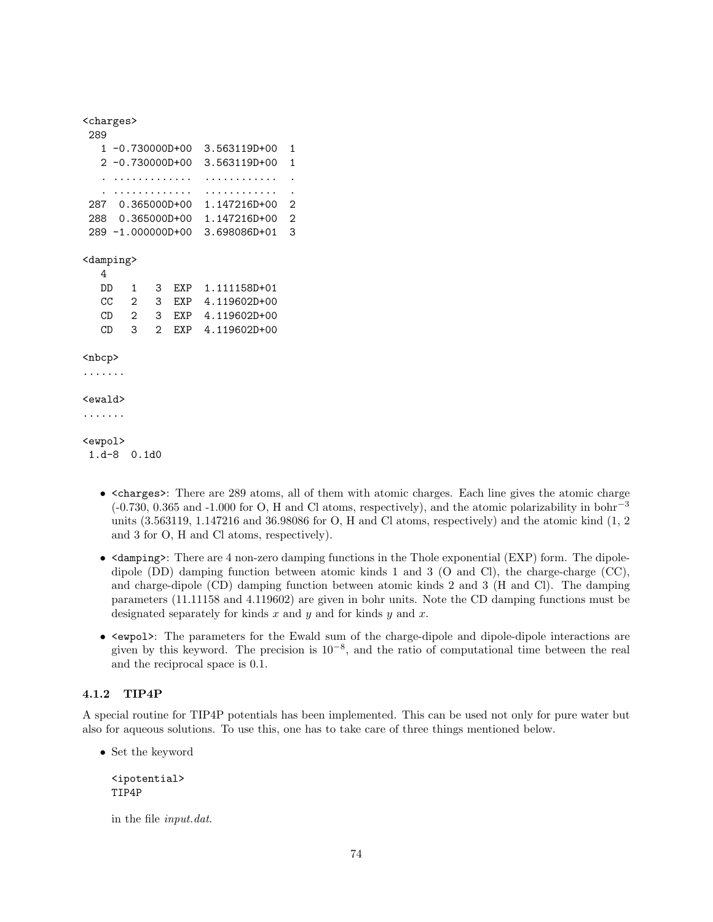```
<charges>
289
  1 -0.730000D+00 3.563119D+00 1
  2 -0.730000D+00 3.563119D+00 1
    . ............. ............ .
   . ............. ............ .
287 0.365000D+00 1.147216D+00 2
288 0.365000D+00 1.147216D+00 2
289 -1.000000D+00 3.698086D+01 3
<damping>
  4
  DD 1 3 EXP 1.111158D+01
  CC 2 3 EXP 4.119602D+00
  CD 2 3 EXP 4.119602D+00
  CD 3 2 EXP 4.119602D+00
<nbcp>
.......
<ewald>
.......
<ewpol>
1.d-8 0.1d0
```
- <charges>: There are 289 atoms, all of them with atomic charges. Each line gives the atomic charge (-0.730, 0.365 and -1.000 for O, H and Cl atoms, respectively), and the atomic polarizability in bohr*−*<sup>3</sup> units  $(3.563119, 1.147216, and 36.98086, for O, H, and Cl, atoms, respectively)$  and the atomic kind  $(1, 2)$ and 3 for O, H and Cl atoms, respectively).
- <damping>: There are 4 non-zero damping functions in the Thole exponential (EXP) form. The dipoledipole (DD) damping function between atomic kinds 1 and 3 (O and Cl), the charge-charge (CC), and charge-dipole (CD) damping function between atomic kinds 2 and 3 (H and Cl). The damping parameters (11.11158 and 4.119602) are given in bohr units. Note the CD damping functions must be designated separately for kinds *x* and *y* and for kinds *y* and *x*.
- $\epsilon$  <ewpol>: The parameters for the Ewald sum of the charge-dipole and dipole-dipole interactions are given by this keyword. The precision is 10*−*<sup>8</sup> , and the ratio of computational time between the real and the reciprocal space is 0.1.

#### **4.1.2 TIP4P**

A special routine for TIP4P potentials has been implemented. This can be used not only for pure water but also for aqueous solutions. To use this, one has to take care of three things mentioned below.

*•* Set the keyword

```
<ipotential>
TIP4P
```
in the file *input.dat*.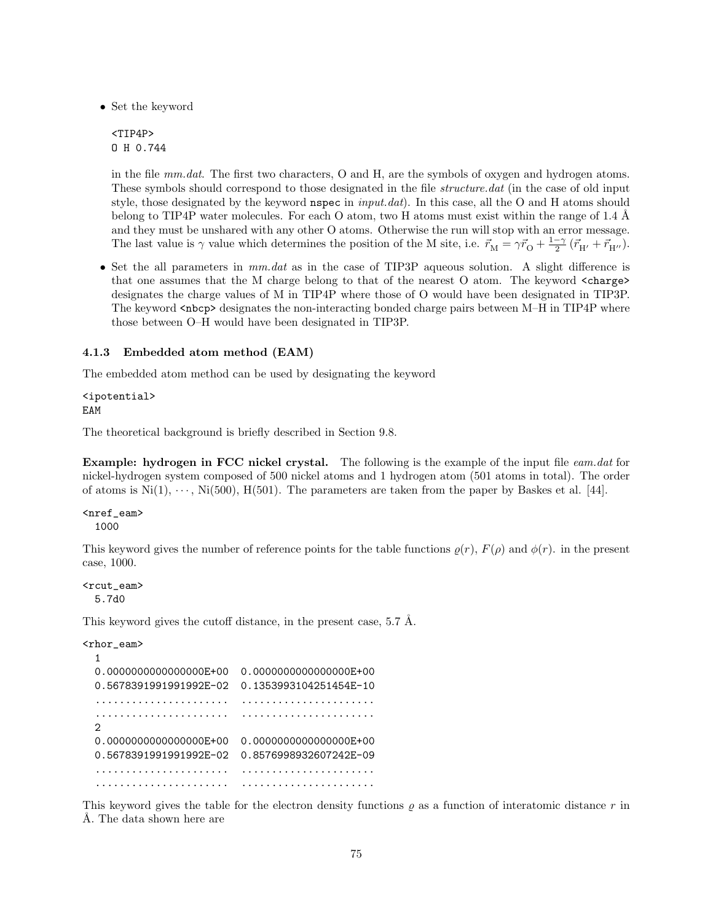*•* Set the keyword

<TIP4P> O H 0.744

in the file *mm.dat*. The first two characters, O and H, are the symbols of oxygen and hydrogen atoms. These symbols should correspond to those designated in the file *structure.dat* (in the case of old input style, those designated by the keyword nspec in *input.dat*). In this case, all the O and H atoms should belong to TIP4P water molecules. For each O atom, two H atoms must exist within the range of 1.4  $\AA$ and they must be unshared with any other O atoms. Otherwise the run will stop with an error message. The last value is  $\gamma$  value which determines the position of the M site, i.e.  $\vec{r}_{\rm M} = \gamma \vec{r}_{\rm O} + \frac{1-\gamma}{2} (\vec{r}_{\rm H'} + \vec{r}_{\rm H''})$ .

*•* Set the all parameters in *mm.dat* as in the case of TIP3P aqueous solution. A slight difference is that one assumes that the M charge belong to that of the nearest O atom. The keyword  $\langle$ charge> designates the charge values of M in TIP4P where those of O would have been designated in TIP3P. The keyword  $\langle$ nbcp> designates the non-interacting bonded charge pairs between M–H in TIP4P where those between O–H would have been designated in TIP3P.

## **4.1.3 Embedded atom method (EAM)**

The embedded atom method can be used by designating the keyword

<ipotential> EAM

The theoretical background is briefly described in Section 9.8.

**Example: hydrogen in FCC nickel crystal.** The following is the example of the input file *eam.dat* for nickel-hydrogen system composed of 500 nickel atoms and 1 hydrogen atom (501 atoms in total). The order of atoms is  $Ni(1), \dots, Ni(500), H(501)$ . The parameters are taken from the paper by Baskes et al. [44].

<nref\_eam> 1000

This keyword gives the number of reference points for the table functions  $\rho(r)$ ,  $F(\rho)$  and  $\phi(r)$ . in the present case, 1000.

<rcut\_eam> 5.7d0

This keyword gives the cutoff distance, in the present case,  $5.7 \text{ Å}.$ 

```
<rhor_eam>
```

```
1
0.0000000000000000E+00 0.0000000000000000E+00
0.5678391991991992E-02 0.1353993104251454E-10
...................... ......................
...................... ......................
\mathcal{D}0.0000000000000000E+00 0.0000000000000000E+00
0.5678391991991992E-02 0.8576998932607242E-09
...................... ......................
...................... ......................
```
This keyword gives the table for the electron density functions  $\varrho$  as a function of interatomic distance  $r$  in A. The data shown here are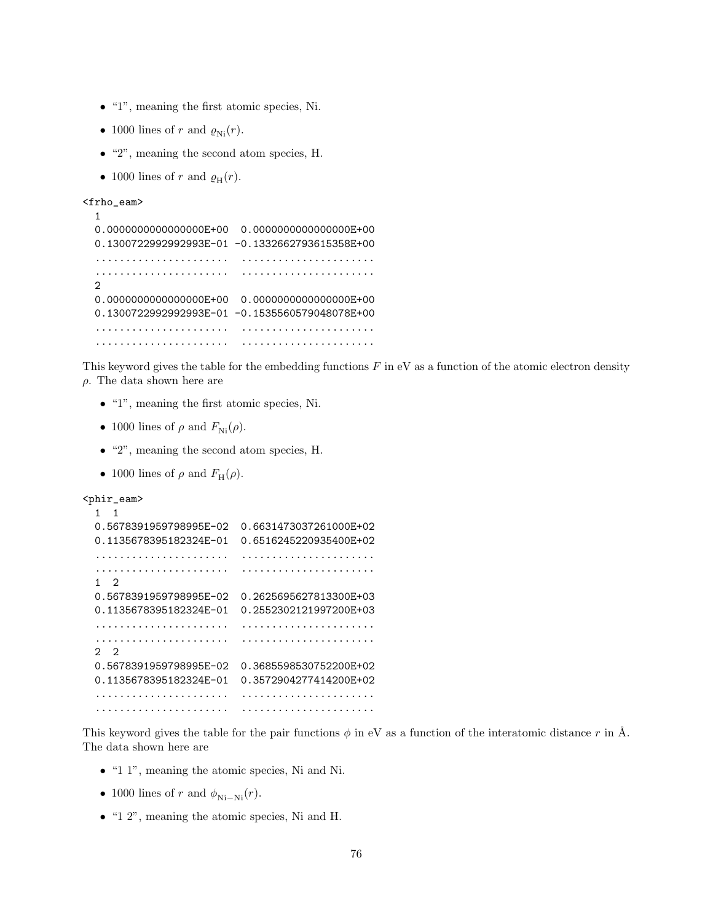- *•* "1", meaning the first atomic species, Ni.
- 1000 lines of *r* and  $\varrho_{\text{Ni}}(r)$ .
- *•* "2", meaning the second atom species, H.
- 1000 lines of *r* and  $\varrho_H(r)$ .

```
<frho_eam>
 1
 0.0000000000000000E+00 0.0000000000000000E+00
 0.1300722992992993E-01 -0.1332662793615358E+00
  ...................... ......................
  ...................... ......................
 2
 0.0000000000000000E+00 0.0000000000000000E+00
 0.1300722992992993E-01 -0.1535560579048078E+00
  ...................... ......................
  ...................... ......................
```
This keyword gives the table for the embedding functions *F* in eV as a function of the atomic electron density *ρ*. The data shown here are

- *•* "1", meaning the first atomic species, Ni.
- 1000 lines of  $\rho$  and  $F_{\text{Ni}}(\rho)$ .
- *•* "2", meaning the second atom species, H.
- 1000 lines of  $\rho$  and  $F_H(\rho)$ .

```
<phir_eam>
```

```
1 1
0.5678391959798995E-02 0.6631473037261000E+02
0.1135678395182324E-01 0.6516245220935400E+02
...................... ......................
...................... ......................
1 2
0.5678391959798995E-02 0.2625695627813300E+03
0.1135678395182324E-01 0.2552302121997200E+03
...................... ......................
...................... ......................
2 2
0.5678391959798995E-02 0.3685598530752200E+02
0.1135678395182324E-01 0.3572904277414200E+02
...................... ......................
...................... ......................
```
This keyword gives the table for the pair functions  $\phi$  in eV as a function of the interatomic distance r in  $\AA$ . The data shown here are

- *•* "1 1", meaning the atomic species, Ni and Ni.
- 1000 lines of *r* and  $\phi_{\text{Ni}-\text{Ni}}(r)$ .
- *•* "1 2", meaning the atomic species, Ni and H.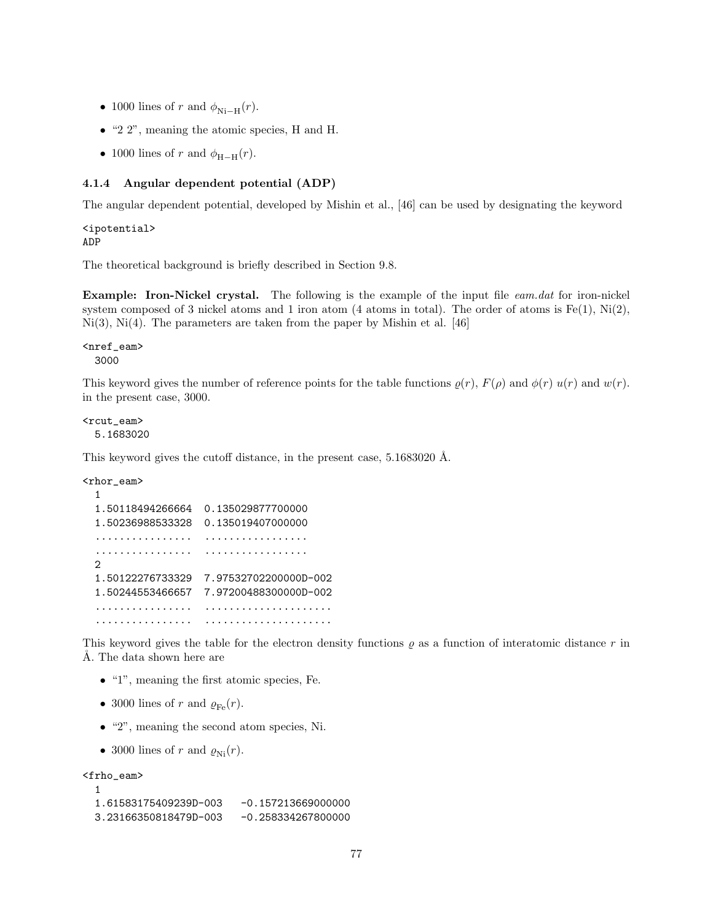- 1000 lines of *r* and  $\phi_{\text{Ni}-\text{H}}(r)$ .
- *•* "2 2", meaning the atomic species, H and H.
- 1000 lines of *r* and  $\phi_{H-H}(r)$ .

#### **4.1.4 Angular dependent potential (ADP)**

The angular dependent potential, developed by Mishin et al., [46] can be used by designating the keyword

```
<ipotential>
ADP
```
The theoretical background is briefly described in Section 9.8.

**Example: Iron-Nickel crystal.** The following is the example of the input file *eam.dat* for iron-nickel system composed of 3 nickel atoms and 1 iron atom (4 atoms in total). The order of atoms is  $Fe(1)$ ,  $Ni(2)$ ,  $Ni(3)$ ,  $Ni(4)$ . The parameters are taken from the paper by Mishin et al. [46]

<nref\_eam> 3000

This keyword gives the number of reference points for the table functions  $\rho(r)$ ,  $F(\rho)$  and  $\phi(r)$  *u*(*r*) and *w*(*r*). in the present case, 3000.

<rcut\_eam> 5.1683020

This keyword gives the cutoff distance, in the present case,  $5.1683020$  Å.

```
<rhor_eam>
```

```
1
1.50118494266664 0.135029877700000
1.50236988533328 0.135019407000000
................ .................
................ .................
2
1.50122276733329 7.97532702200000D-002
1.50244553466657 7.97200488300000D-002
................ .....................
................ .....................
```
This keyword gives the table for the electron density functions  $\rho$  as a function of interatomic distance  $r$  in A. The data shown here are

- *•* "1", meaning the first atomic species, Fe.
- 3000 lines of *r* and  $\varrho_{\text{Fe}}(r)$ .
- *•* "2", meaning the second atom species, Ni.
- 3000 lines of *r* and  $\varrho_{\text{Ni}}(r)$ .

<frho\_eam>

```
1
1.61583175409239D-003 -0.157213669000000
3.23166350818479D-003 -0.258334267800000
```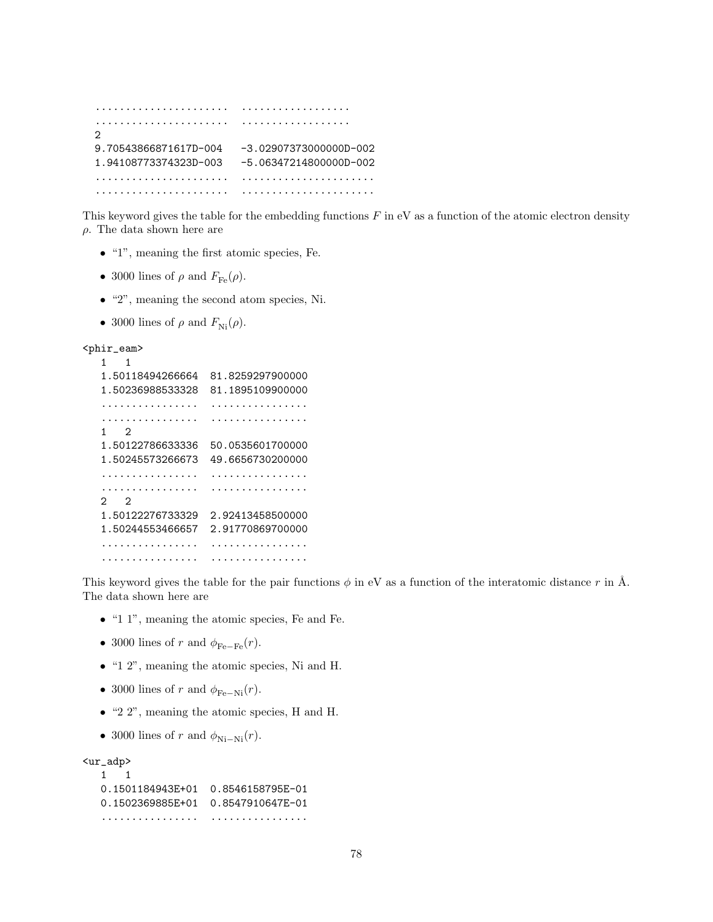...................... .................. ...................... .................. 2 9.70543866871617D-004 -3.02907373000000D-002 1.94108773374323D-003 -5.06347214800000D-002 ...................... ...................... ...................... ......................

This keyword gives the table for the embedding functions *F* in eV as a function of the atomic electron density *ρ*. The data shown here are

- *•* "1", meaning the first atomic species, Fe.
- 3000 lines of  $\rho$  and  $F_{\text{Fe}}(\rho)$ .
- *•* "2", meaning the second atom species, Ni.
- 3000 lines of  $\rho$  and  $F_{\text{Ni}}(\rho)$ .

```
<phir_eam>
```

```
1 1
1.50118494266664 81.8259297900000
1.50236988533328 81.1895109900000
................ ................
................ ................
1 2
1.50122786633336 50.0535601700000
1.50245573266673 49.6656730200000
................ ................
................ ................
2 2
1.50122276733329 2.92413458500000
1.50244553466657 2.91770869700000
................ ................
................ ................
```
This keyword gives the table for the pair functions  $\phi$  in eV as a function of the interatomic distance r in Å. The data shown here are

- *•* "1 1", meaning the atomic species, Fe and Fe.
- 3000 lines of *r* and  $\phi_{\text{Fe}-\text{Fe}}(r)$ .
- *•* "1 2", meaning the atomic species, Ni and H.
- 3000 lines of *r* and  $\phi_{\text{Fe}-\text{Ni}}(r)$ .
- *•* "2 2", meaning the atomic species, H and H.
- 3000 lines of *r* and  $\phi_{\text{Ni}-\text{Ni}}(r)$ .

```
<ur_adp>
```
1 1 0.1501184943E+01 0.8546158795E-01 0.1502369885E+01 0.8547910647E-01 ................ ................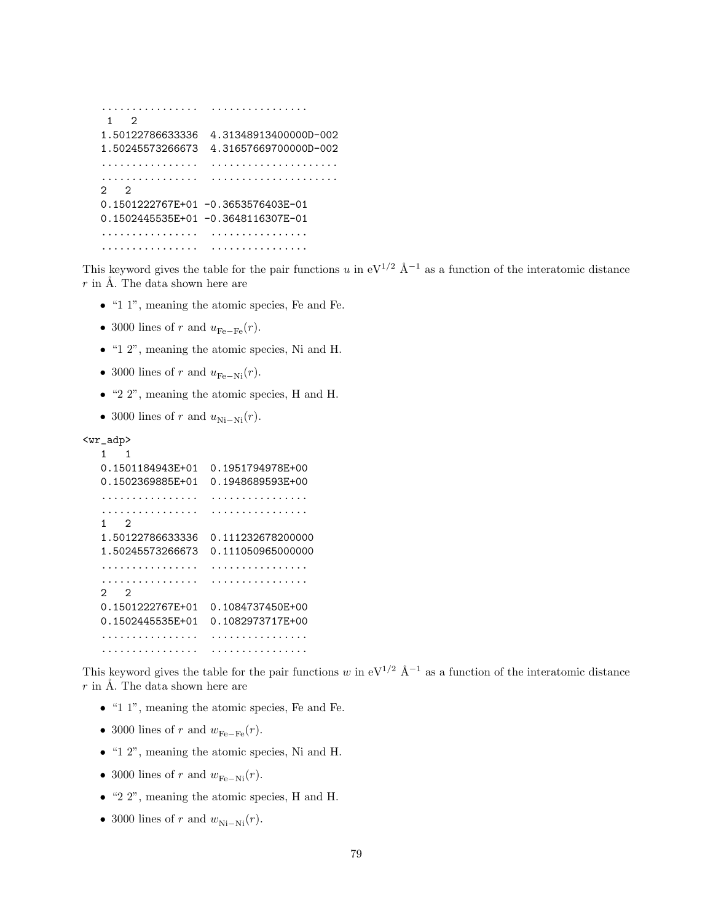```
................ ................
 1 2
1.50122786633336 4.31348913400000D-002
1.50245573266673 4.31657669700000D-002
................ .....................
................ .....................
2 2
0.1501222767E+01 -0.3653576403E-01
0.1502445535E+01 -0.3648116307E-01
................ ................
................ ................
```
This keyword gives the table for the pair functions *u* in eV<sup>1/2</sup>  $\AA^{-1}$  as a function of the interatomic distance *r* in Å. The data shown here are

- *•* "1 1", meaning the atomic species, Fe and Fe.
- 3000 lines of *r* and  $u_{\text{Fe}-\text{Fe}}(r)$ .
- *•* "1 2", meaning the atomic species, Ni and H.
- 3000 lines of *r* and  $u_{\text{Fe}-\text{Ni}}(r)$ .
- *•* "2 2", meaning the atomic species, H and H.
- 3000 lines of *r* and  $u_{\text{Ni}-\text{Ni}}(r)$ .

<wr\_adp>

```
1 1
0.1501184943E+01 0.1951794978E+00
0.1502369885E+01 0.1948689593E+00
................ ................
................ ................
1 2
1.50122786633336 0.111232678200000
1.50245573266673 0.111050965000000
................ ................
................ ................
2 2
0.1501222767E+01 0.1084737450E+00
0.1502445535E+01 0.1082973717E+00
................ ................
................ ................
```
This keyword gives the table for the pair functions *w* in eV<sup>1/2</sup> Å<sup>-1</sup> as a function of the interatomic distance  $r$  in  $A$ . The data shown here are

- *•* "1 1", meaning the atomic species, Fe and Fe.
- 3000 lines of *r* and  $w_{\text{Fe}-\text{Fe}}(r)$ .
- *•* "1 2", meaning the atomic species, Ni and H.
- 3000 lines of *r* and  $w_{\text{Fe}-\text{Ni}}(r)$ .
- *•* "2 2", meaning the atomic species, H and H.
- *•* 3000 lines of *r* and  $w_{\text{Ni−Ni}}(r)$ .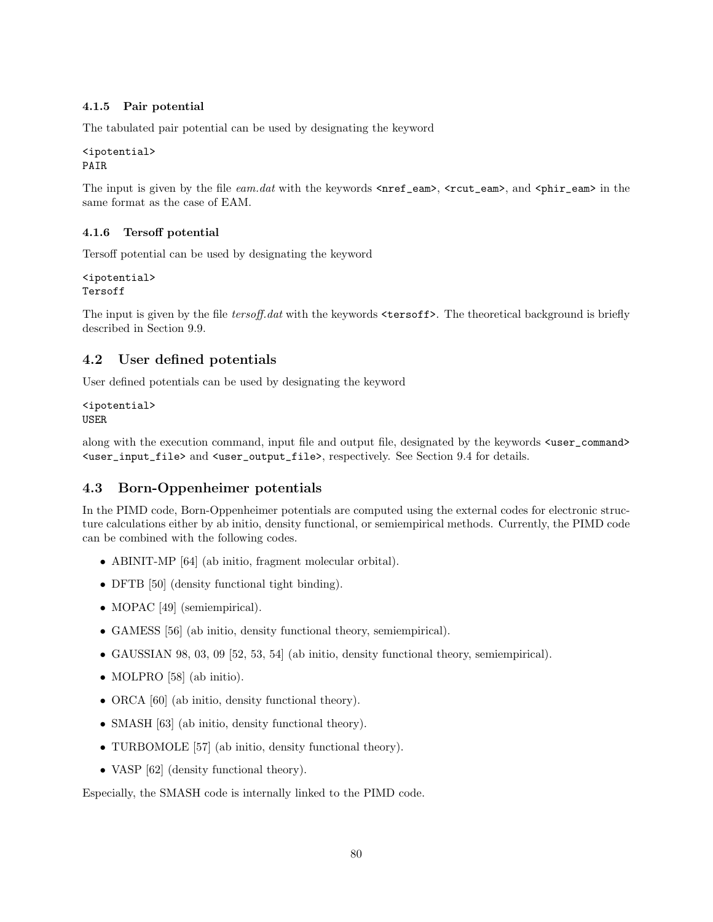## **4.1.5 Pair potential**

The tabulated pair potential can be used by designating the keyword

```
<ipotential>
PAIR
```
The input is given by the file  $eam.dat$  with the keywords  $\langle \text{rret\_eam}\rangle$ ,  $\langle \text{rcut\_eam}\rangle$ , and  $\langle \text{phir\_eam}\rangle$  in the same format as the case of EAM.

## **4.1.6 Tersoff potential**

Tersoff potential can be used by designating the keyword

```
<ipotential>
Tersoff
```
The input is given by the file *tersoff.dat* with the keywords <tersoff>. The theoretical background is briefly described in Section 9.9.

## **4.2 User defined potentials**

User defined potentials can be used by designating the keyword

```
<ipotential>
USER
```
along with the execution command, input file and output file, designated by the keywords  $\leq$ user\_command> <user\_input\_file> and <user\_output\_file>, respectively. See Section 9.4 for details.

# **4.3 Born-Oppenheimer potentials**

In the PIMD code, Born-Oppenheimer potentials are computed using the external codes for electronic structure calculations either by ab initio, density functional, or semiempirical methods. Currently, the PIMD code can be combined with the following codes.

- ABINIT-MP [64] (ab initio, fragment molecular orbital).
- DFTB [50] (density functional tight binding).
- MOPAC [49] (semiempirical).
- *•* GAMESS [56] (ab initio, density functional theory, semiempirical).
- *•* GAUSSIAN 98, 03, 09 [52, 53, 54] (ab initio, density functional theory, semiempirical).
- *•* MOLPRO [58] (ab initio).
- ORCA [60] (ab initio, density functional theory).
- SMASH [63] (ab initio, density functional theory).
- TURBOMOLE [57] (ab initio, density functional theory).
- VASP [62] (density functional theory).

Especially, the SMASH code is internally linked to the PIMD code.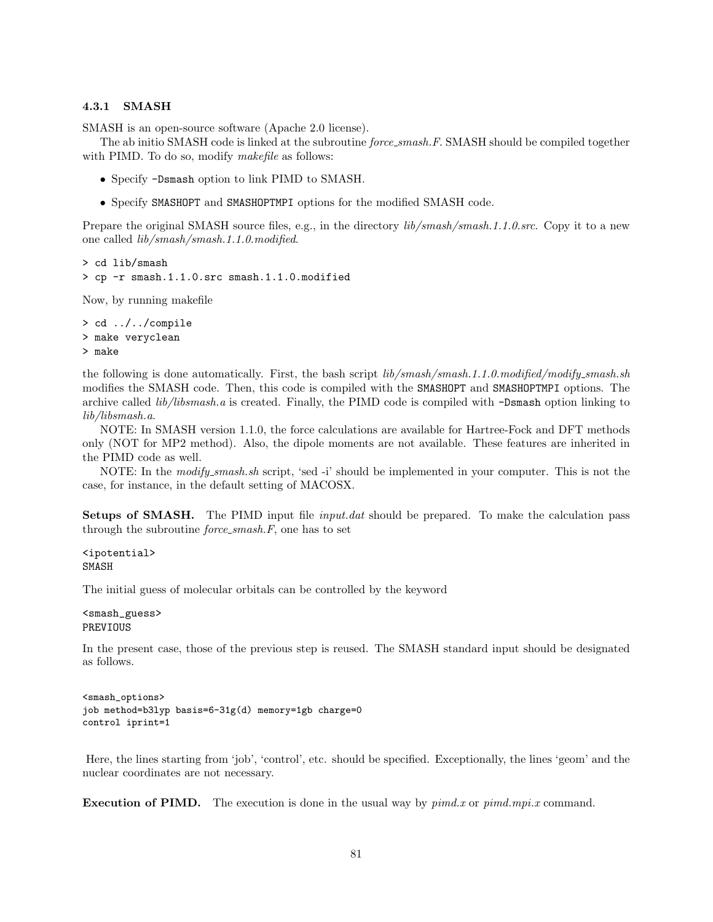#### **4.3.1 SMASH**

SMASH is an open-source software (Apache 2.0 license).

The ab initio SMASH code is linked at the subroutine *force smash.F*. SMASH should be compiled together with PIMD. To do so, modify *makefile* as follows:

- *•* Specify -Dsmash option to link PIMD to SMASH.
- Specify SMASHOPT and SMASHOPTMPI options for the modified SMASH code.

Prepare the original SMASH source files, e.g., in the directory *lib/smash/smash.1.1.0.src*. Copy it to a new one called *lib/smash/smash.1.1.0.modified*.

```
> cd lib/smash
> cp -r smash.1.1.0.src smash.1.1.0.modified
```
Now, by running makefile

```
> cd ../../compile
> make veryclean
> make
```
the following is done automatically. First, the bash script *lib/smash/smash.1.1.0.modified/modify smash.sh* modifies the SMASH code. Then, this code is compiled with the SMASHOPT and SMASHOPTMPI options. The archive called *lib/libsmash.a* is created. Finally, the PIMD code is compiled with -Dsmash option linking to *lib/libsmash.a*.

NOTE: In SMASH version 1.1.0, the force calculations are available for Hartree-Fock and DFT methods only (NOT for MP2 method). Also, the dipole moments are not available. These features are inherited in the PIMD code as well.

NOTE: In the *modify smash.sh* script, 'sed -i' should be implemented in your computer. This is not the case, for instance, in the default setting of MACOSX.

**Setups of SMASH.** The PIMD input file *input.dat* should be prepared. To make the calculation pass through the subroutine *force smash.F*, one has to set

<ipotential> **SMASH** 

The initial guess of molecular orbitals can be controlled by the keyword

<smash\_guess> PREVIOUS

In the present case, those of the previous step is reused. The SMASH standard input should be designated as follows.

```
<smash_options>
job method=b3lyp basis=6-31g(d) memory=1gb charge=0
control iprint=1
```
Here, the lines starting from 'job', 'control', etc. should be specified. Exceptionally, the lines 'geom' and the nuclear coordinates are not necessary.

**Execution of PIMD.** The execution is done in the usual way by *pimd.x* or *pimd.mpi.x* command.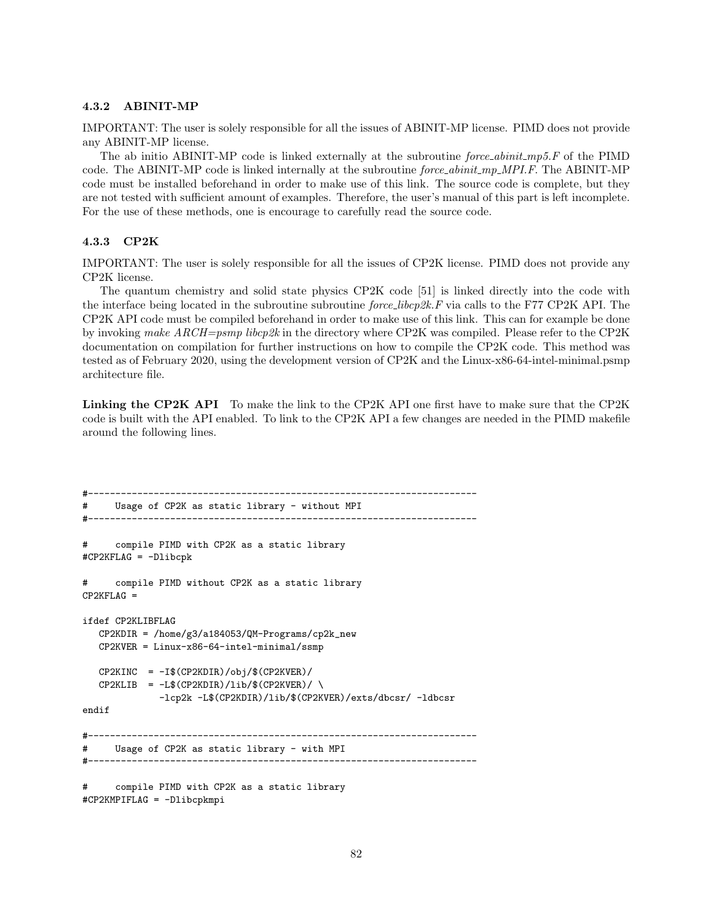#### **4.3.2 ABINIT-MP**

IMPORTANT: The user is solely responsible for all the issues of ABINIT-MP license. PIMD does not provide any ABINIT-MP license.

The ab initio ABINIT-MP code is linked externally at the subroutine *force abinit mp5.F* of the PIMD code. The ABINIT-MP code is linked internally at the subroutine *force abinit mp MPI.F*. The ABINIT-MP code must be installed beforehand in order to make use of this link. The source code is complete, but they are not tested with sufficient amount of examples. Therefore, the user's manual of this part is left incomplete. For the use of these methods, one is encourage to carefully read the source code.

#### **4.3.3 CP2K**

IMPORTANT: The user is solely responsible for all the issues of CP2K license. PIMD does not provide any CP2K license.

The quantum chemistry and solid state physics CP2K code [51] is linked directly into the code with the interface being located in the subroutine subroutine *force libcp2k.F* via calls to the F77 CP2K API. The CP2K API code must be compiled beforehand in order to make use of this link. This can for example be done by invoking *make ARCH=psmp libcp2k* in the directory where CP2K was compiled. Please refer to the CP2K documentation on compilation for further instructions on how to compile the CP2K code. This method was tested as of February 2020, using the development version of CP2K and the Linux-x86-64-intel-minimal.psmp architecture file.

**Linking the CP2K API** To make the link to the CP2K API one first have to make sure that the CP2K code is built with the API enabled. To link to the CP2K API a few changes are needed in the PIMD makefile around the following lines.

```
#-----------------------------------------------------------------------
# Usage of CP2K as static library - without MPI
#-----------------------------------------------------------------------
     compile PIMD with CP2K as a static library
#CP2KFLAG = -Dlibcpk
     compile PIMD without CP2K as a static library
CP2KFLAG =
ifdef CP2KLIBFLAG
  CP2KDIR = /home/g3/a184053/QM-Programs/cp2k_new
  CP2KVER = Linux-x86-64-intel-minimal/ssmp
  CP2KINC = -I$(CP2KDIR)/obj$(CP2KVER)/CP2KLIB = -L$(CP2KDIR)/lib$(CP2KVER)/\n-lcp2k -L$(CP2KDIR)/lib/$(CP2KVER)/exts/dbcsr/ -ldbcsr
endif
#-----------------------------------------------------------------------
# Usage of CP2K as static library - with MPI
     #-----------------------------------------------------------------------
     compile PIMD with CP2K as a static library
#CP2KMPIFLAG = -Dlibcpkmpi
```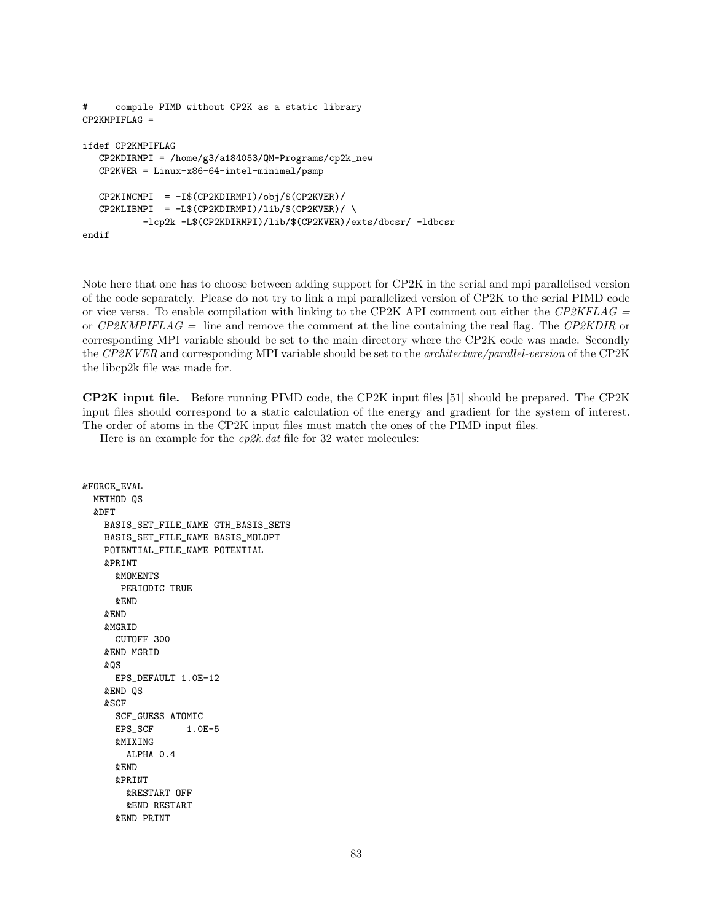```
# compile PIMD without CP2K as a static library
CP2KMPIFLAG =
ifdef CP2KMPIFLAG
  CP2KDIRMPI = /home/g3/a184053/QM-Programs/cp2k_new
  CP2KVER = Linux-x86-64-intel-minimal/psmp
  CP2KINCMPI = -I$(CP2KDIRMPI)/obj$(CP2KVER)/CP2KLIBMPI = -L$(CP2KDIRMPI)/lib$(CP2KVER)/\n-lcp2k -L$(CP2KDIRMPI)/lib/$(CP2KVER)/exts/dbcsr/ -ldbcsr
endif
```
Note here that one has to choose between adding support for CP2K in the serial and mpi parallelised version of the code separately. Please do not try to link a mpi parallelized version of CP2K to the serial PIMD code or vice versa. To enable compilation with linking to the CP2K API comment out either the *CP2KFLAG =* or *CP2KMPIFLAG =* line and remove the comment at the line containing the real flag. The *CP2KDIR* or corresponding MPI variable should be set to the main directory where the CP2K code was made. Secondly the *CP2KVER* and corresponding MPI variable should be set to the *architecture/parallel-version* of the CP2K the libcp2k file was made for.

**CP2K input file.** Before running PIMD code, the CP2K input files [51] should be prepared. The CP2K input files should correspond to a static calculation of the energy and gradient for the system of interest. The order of atoms in the CP2K input files must match the ones of the PIMD input files.

Here is an example for the *cp2k.dat* file for 32 water molecules:

&FORCE\_EVAL METHOD QS &DFT BASIS\_SET\_FILE\_NAME GTH\_BASIS\_SETS BASIS\_SET\_FILE\_NAME BASIS\_MOLOPT POTENTIAL\_FILE\_NAME POTENTIAL &PRINT &MOMENTS PERIODIC TRUE &END &END &MGRID CUTOFF 300 &END MGRID &QS EPS\_DEFAULT 1.0E-12 &END QS &SCF SCF\_GUESS ATOMIC EPS\_SCF 1.0E-5 &MIXING ALPHA 0.4  $k$ END &PRINT &RESTART OFF &END RESTART &END PRINT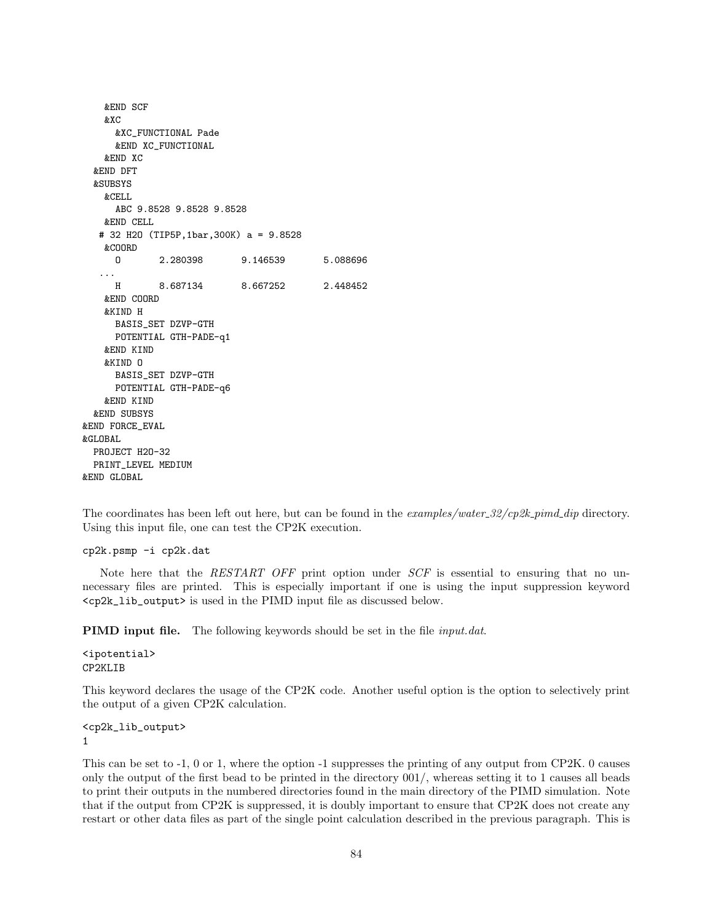&END SCF  $&XC$ &XC\_FUNCTIONAL Pade &END XC\_FUNCTIONAL &END XC &END DFT &SUBSYS &CELL ABC 9.8528 9.8528 9.8528 &END CELL # 32 H2O (TIP5P,1bar,300K) a = 9.8528 &COORD O 2.280398 9.146539 5.088696 ... H 8.687134 8.667252 2.448452 &END COORD &KIND H BASIS\_SET DZVP-GTH POTENTIAL GTH-PADE-q1 &END KIND &KIND O BASIS\_SET DZVP-GTH POTENTIAL GTH-PADE-q6 &END KIND &END SUBSYS &END FORCE\_EVAL &GLOBAL PROJECT H2O-32 PRINT\_LEVEL MEDIUM &END GLOBAL

The coordinates has been left out here, but can be found in the *examples/water 32/cp2k pimd dip* directory. Using this input file, one can test the CP2K execution.

```
cp2k.psmp -i cp2k.dat
```
Note here that the *RESTART OFF* print option under *SCF* is essential to ensuring that no unnecessary files are printed. This is especially important if one is using the input suppression keyword <cp2k\_lib\_output> is used in the PIMD input file as discussed below.

**PIMD input file.** The following keywords should be set in the file *input.dat*.

<ipotential> CP2KLIB

This keyword declares the usage of the CP2K code. Another useful option is the option to selectively print the output of a given CP2K calculation.

<cp2k\_lib\_output> 1

This can be set to -1, 0 or 1, where the option -1 suppresses the printing of any output from CP2K. 0 causes only the output of the first bead to be printed in the directory 001/, whereas setting it to 1 causes all beads to print their outputs in the numbered directories found in the main directory of the PIMD simulation. Note that if the output from CP2K is suppressed, it is doubly important to ensure that CP2K does not create any restart or other data files as part of the single point calculation described in the previous paragraph. This is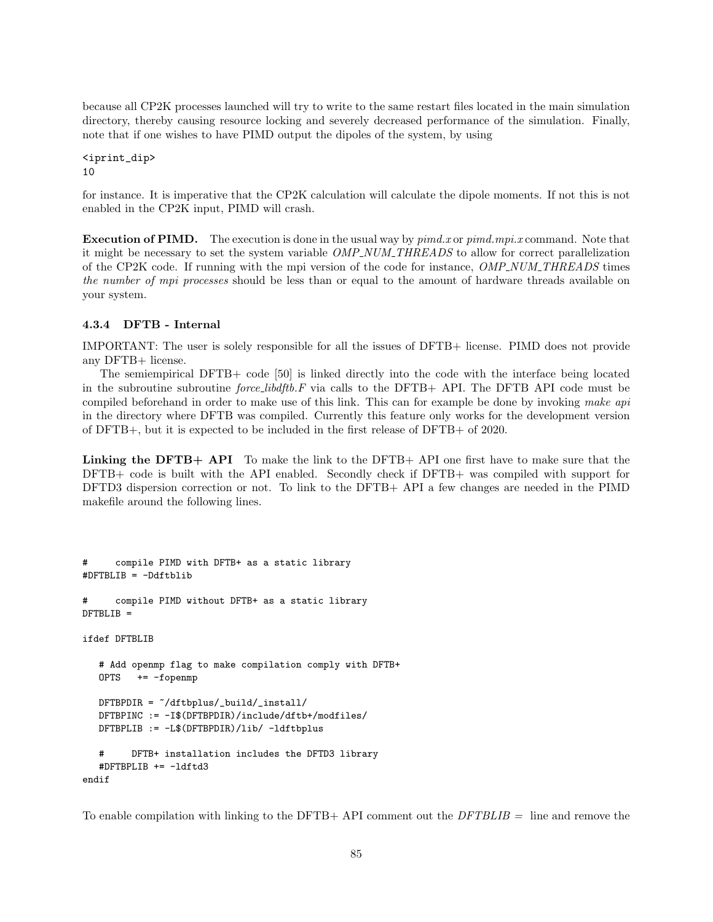because all CP2K processes launched will try to write to the same restart files located in the main simulation directory, thereby causing resource locking and severely decreased performance of the simulation. Finally, note that if one wishes to have PIMD output the dipoles of the system, by using

<iprint\_dip> 10

for instance. It is imperative that the CP2K calculation will calculate the dipole moments. If not this is not enabled in the CP2K input, PIMD will crash.

**Execution of PIMD.** The execution is done in the usual way by *pimd.x* or *pimd.mpi.x* command. Note that it might be necessary to set the system variable *OMP NUM THREADS* to allow for correct parallelization of the CP2K code. If running with the mpi version of the code for instance, *OMP NUM THREADS* times *the number of mpi processes* should be less than or equal to the amount of hardware threads available on your system.

#### **4.3.4 DFTB - Internal**

IMPORTANT: The user is solely responsible for all the issues of DFTB+ license. PIMD does not provide any DFTB+ license.

The semiempirical DFTB+ code [50] is linked directly into the code with the interface being located in the subroutine subroutine *force libdftb.F* via calls to the DFTB+ API. The DFTB API code must be compiled beforehand in order to make use of this link. This can for example be done by invoking *make api* in the directory where DFTB was compiled. Currently this feature only works for the development version of DFTB+, but it is expected to be included in the first release of DFTB+ of 2020.

**Linking the DFTB+ API** To make the link to the DFTB+ API one first have to make sure that the DFTB+ code is built with the API enabled. Secondly check if DFTB+ was compiled with support for DFTD3 dispersion correction or not. To link to the DFTB+ API a few changes are needed in the PIMD makefile around the following lines.

```
compile PIMD with DFTB+ as a static library
#DFTBLIB = -Ddftblib
      compile PIMD without DFTB+ as a static library
DFTBLIB =
ifdef DFTBLIB
   # Add openmp flag to make compilation comply with DFTB+
  OPTS += -fopenmp
  DFTBPDIR = ~/dftbplus/_build/_install/
  DFTBPINC := -I$(DFTBPDIR)/include/dftb+/modfiles/
  DFTBPLIB := -L$(DFTBPDIR)/lib/ -ldftbplus
         DFTB+ installation includes the DFTD3 library
   #DFTBPLIB += -ldftd3
endif
```
To enable compilation with linking to the DFTB+ API comment out the *DFTBLIB =* line and remove the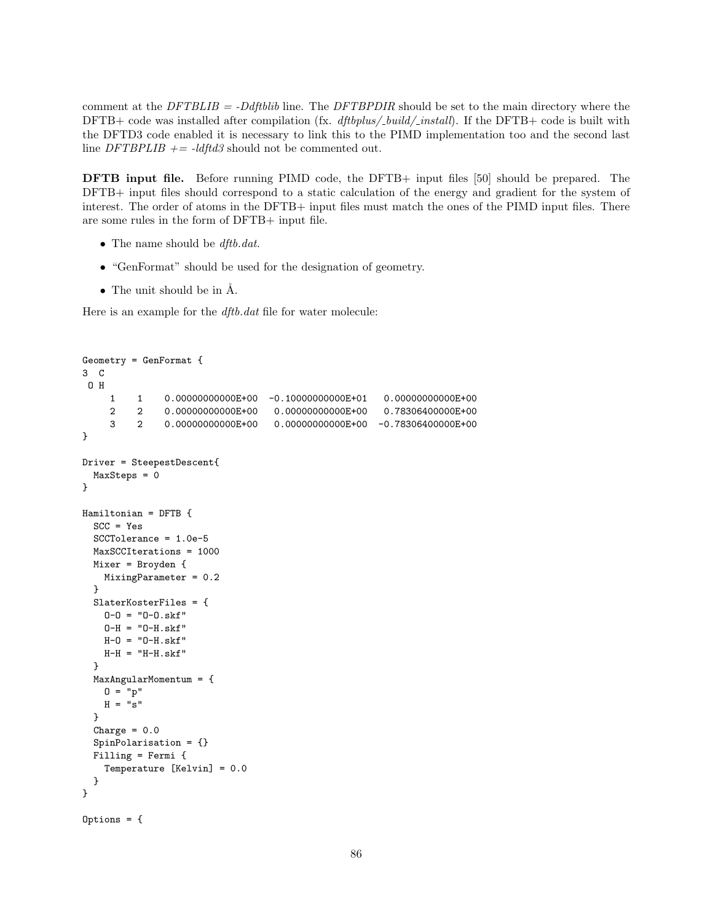comment at the *DFTBLIB = -Ddftblib* line. The *DFTBPDIR* should be set to the main directory where the DFTB+ code was installed after compilation (fx. *dftbplus/ build/ install*). If the DFTB+ code is built with the DFTD3 code enabled it is necessary to link this to the PIMD implementation too and the second last line *DFTBPLIB*  $+=$  -*ldftd3* should not be commented out.

**DFTB input file.** Before running PIMD code, the DFTB+ input files [50] should be prepared. The DFTB+ input files should correspond to a static calculation of the energy and gradient for the system of interest. The order of atoms in the DFTB+ input files must match the ones of the PIMD input files. There are some rules in the form of DFTB+ input file.

- *•* The name should be *dftb.dat*.
- *•* "GenFormat" should be used for the designation of geometry.
- The unit should be in  $\AA$ .

Here is an example for the *dftb.dat* file for water molecule:

```
Geometry = GenFormat {
3 C
O H
     1 1 0.00000000000E+00 -0.10000000000E+01 0.00000000000E+00
     2 2 0.00000000000E+00 0.00000000000E+00 0.78306400000E+00
     3 2 0.00000000000E+00 0.00000000000E+00 -0.78306400000E+00
}
Driver = SteepestDescent{
  MaxSteps = 0
}
Hamiltonian = DFTB {
  SCC = Yes
  SCCTolerance = 1.0e-5
  MaxSCCIterations = 1000
  Mixer = Broyden {
   MixingParameter = 0.2
  }
  SlaterKosterFiles = {
    0-0 = "0-0.skf"0-H = "0-H.skf"H - 0 = "0 - H \cdot skf"H-H = "H-H.skf"}
  MaxAngularMomentum = {
   0 = "p"H = "s"}
  Charge = 0.0SpinPolarisation = {}
  Filling = Fermi {
    Temperature [Kelvin] = 0.0
  }
}
Options = {
```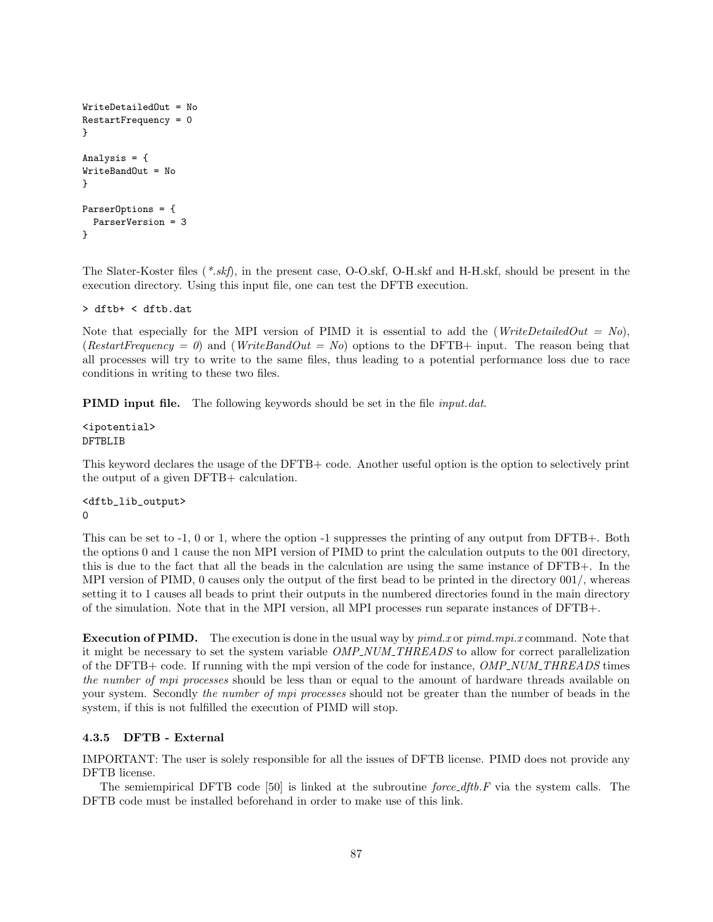```
WriteDetailedOut = No
RestartFrequency = 0
}
Analysis = {
WriteBandOut = No
}
ParserOptions = {
 ParserVersion = 3
}
```
The Slater-Koster files (*\*.skf*), in the present case, O-O.skf, O-H.skf and H-H.skf, should be present in the execution directory. Using this input file, one can test the DFTB execution.

#### > dftb+ < dftb.dat

Note that especially for the MPI version of PIMD it is essential to add the *(WriteDetailedOut = No*), (*RestartFrequency = 0*) and (*WriteBandOut = No*) options to the DFTB+ input. The reason being that all processes will try to write to the same files, thus leading to a potential performance loss due to race conditions in writing to these two files.

**PIMD input file.** The following keywords should be set in the file *input.dat*.

#### <ipotential> DFTBLIB

This keyword declares the usage of the DFTB+ code. Another useful option is the option to selectively print the output of a given DFTB+ calculation.

<dftb\_lib\_output>  $\Omega$ 

This can be set to -1, 0 or 1, where the option -1 suppresses the printing of any output from DFTB+. Both the options 0 and 1 cause the non MPI version of PIMD to print the calculation outputs to the 001 directory, this is due to the fact that all the beads in the calculation are using the same instance of DFTB+. In the MPI version of PIMD, 0 causes only the output of the first bead to be printed in the directory 001/, whereas setting it to 1 causes all beads to print their outputs in the numbered directories found in the main directory of the simulation. Note that in the MPI version, all MPI processes run separate instances of DFTB+.

**Execution of PIMD.** The execution is done in the usual way by  $p$ *imd.x* or  $p$ *imd.mpi.x* command. Note that it might be necessary to set the system variable *OMP NUM THREADS* to allow for correct parallelization of the DFTB+ code. If running with the mpi version of the code for instance, *OMP NUM THREADS* times *the number of mpi processes* should be less than or equal to the amount of hardware threads available on your system. Secondly *the number of mpi processes* should not be greater than the number of beads in the system, if this is not fulfilled the execution of PIMD will stop.

#### **4.3.5 DFTB - External**

IMPORTANT: The user is solely responsible for all the issues of DFTB license. PIMD does not provide any DFTB license.

The semiempirical DFTB code [50] is linked at the subroutine *force dftb.F* via the system calls. The DFTB code must be installed beforehand in order to make use of this link.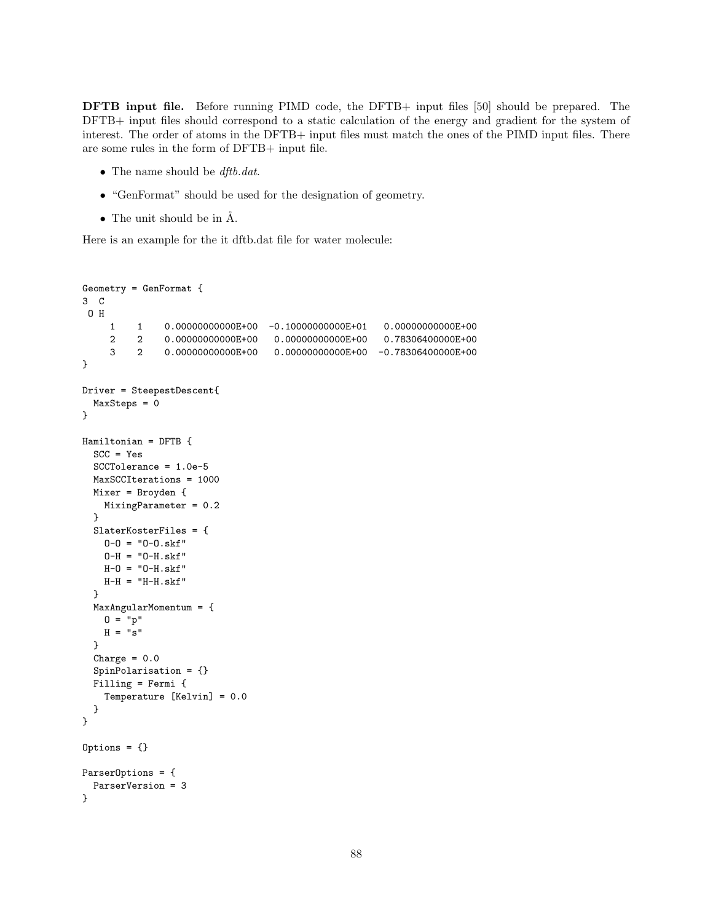**DFTB input file.** Before running PIMD code, the DFTB+ input files [50] should be prepared. The DFTB+ input files should correspond to a static calculation of the energy and gradient for the system of interest. The order of atoms in the DFTB+ input files must match the ones of the PIMD input files. There are some rules in the form of DFTB+ input file.

- *•* The name should be *dftb.dat*.
- *•* "GenFormat" should be used for the designation of geometry.
- The unit should be in  $\AA$ .

Here is an example for the it dftb.dat file for water molecule:

```
Geometry = GenFormat {
3 C
 O H
     1 1 0.00000000000E+00 -0.10000000000E+01 0.00000000000E+00
     2 2 0.00000000000E+00 0.00000000000E+00 0.78306400000E+00
     3 2 0.00000000000E+00 0.00000000000E+00 -0.78306400000E+00
}
Driver = SteepestDescent{
  MaxSteps = 0
}
Hamiltonian = DFTB {
  SCC = YesSCCTolerance = 1.0e-5
  MaxSCCIterations = 1000
  Mixer = Broyden {
   MixingParameter = 0.2
  }
  SlaterKosterFiles = {
   0-0 = "0-0.skf"0-H = "0-H.skf"H - 0 = "0 - H \cdot skf"H-H = "H-H.skf"}
  MaxAngularMomentum = {
   0 = "p"H = "s"}
  Charge = 0.0SpinPolarisation = {}
  Filling = Fermi {
    Temperature [Kelvin] = 0.0
  }
}
Options = {}
ParserOptions = {
  ParserVersion = 3
}
```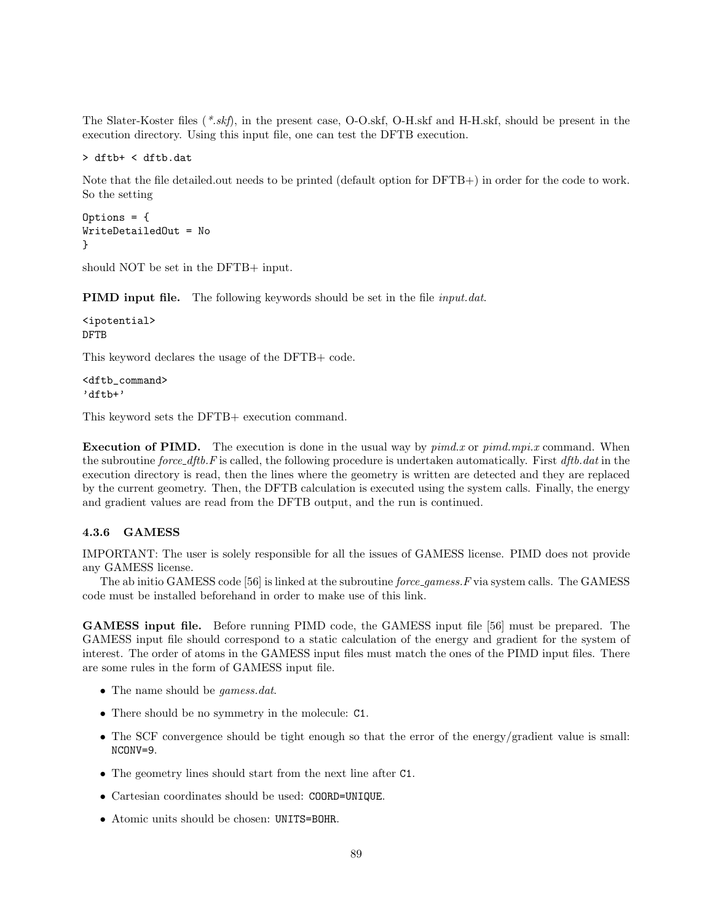The Slater-Koster files (*\*.skf*), in the present case, O-O.skf, O-H.skf and H-H.skf, should be present in the execution directory. Using this input file, one can test the DFTB execution.

> dftb+ < dftb.dat

Note that the file detailed.out needs to be printed (default option for DFTB+) in order for the code to work. So the setting

```
Options = {
WriteDetailedOut = No
}
```
should NOT be set in the DFTB+ input.

**PIMD input file.** The following keywords should be set in the file *input.dat*.

```
<ipotential>
DFTB
```
This keyword declares the usage of the DFTB+ code.

```
<dftb_command>
'dftb+'
```
This keyword sets the DFTB+ execution command.

**Execution of PIMD.** The execution is done in the usual way by  $p \text{ im}d.x$  or  $p \text{ im}d.mpi.x$  command. When the subroutine *force dftb.F* is called, the following procedure is undertaken automatically. First *dftb.dat* in the execution directory is read, then the lines where the geometry is written are detected and they are replaced by the current geometry. Then, the DFTB calculation is executed using the system calls. Finally, the energy and gradient values are read from the DFTB output, and the run is continued.

#### **4.3.6 GAMESS**

IMPORTANT: The user is solely responsible for all the issues of GAMESS license. PIMD does not provide any GAMESS license.

The ab initio GAMESS code [56] is linked at the subroutine *force gamess.F* via system calls. The GAMESS code must be installed beforehand in order to make use of this link.

**GAMESS input file.** Before running PIMD code, the GAMESS input file [56] must be prepared. The GAMESS input file should correspond to a static calculation of the energy and gradient for the system of interest. The order of atoms in the GAMESS input files must match the ones of the PIMD input files. There are some rules in the form of GAMESS input file.

- *•* The name should be *gamess.dat*.
- *•* There should be no symmetry in the molecule: C1.
- The SCF convergence should be tight enough so that the error of the energy/gradient value is small: NCONV=9.
- *•* The geometry lines should start from the next line after C1.
- *•* Cartesian coordinates should be used: COORD=UNIQUE.
- *•* Atomic units should be chosen: UNITS=BOHR.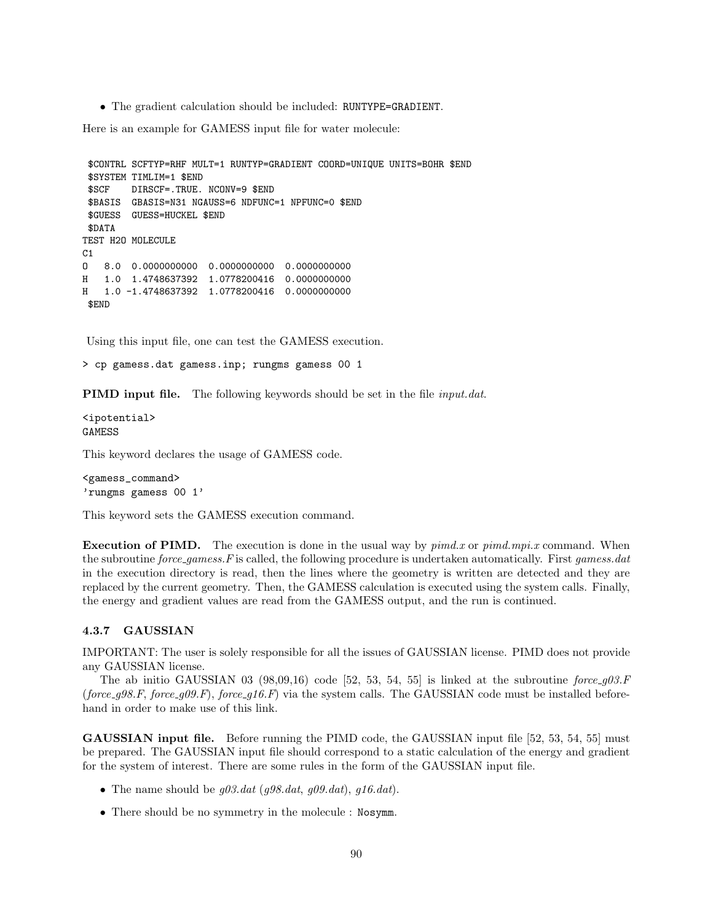*•* The gradient calculation should be included: RUNTYPE=GRADIENT.

Here is an example for GAMESS input file for water molecule:

```
$CONTRL SCFTYP=RHF MULT=1 RUNTYP=GRADIENT COORD=UNIQUE UNITS=BOHR $END
 $SYSTEM TIMLIM=1 $END
 $SCF DIRSCF=.TRUE. NCONV=9 $END
 $BASIS GBASIS=N31 NGAUSS=6 NDFUNC=1 NPFUNC=0 $END
 $GUESS GUESS=HUCKEL $END
 $DATA
TEST H2O MOLECULE
C<sub>1</sub>O 8.0 0.0000000000 0.0000000000 0.0000000000
H 1.0 1.4748637392 1.0778200416 0.0000000000
H 1.0 -1.4748637392 1.0778200416 0.0000000000
 $END
```
Using this input file, one can test the GAMESS execution.

> cp gamess.dat gamess.inp; rungms gamess 00 1

**PIMD input file.** The following keywords should be set in the file *input.dat*.

<ipotential> GAMESS

This keyword declares the usage of GAMESS code.

```
<gamess_command>
'rungms gamess 00 1'
```
This keyword sets the GAMESS execution command.

**Execution of PIMD.** The execution is done in the usual way by *pimd.x* or *pimd.mpi.x* command. When the subroutine *force gamess.F* is called, the following procedure is undertaken automatically. First *gamess.dat* in the execution directory is read, then the lines where the geometry is written are detected and they are replaced by the current geometry. Then, the GAMESS calculation is executed using the system calls. Finally, the energy and gradient values are read from the GAMESS output, and the run is continued.

#### **4.3.7 GAUSSIAN**

IMPORTANT: The user is solely responsible for all the issues of GAUSSIAN license. PIMD does not provide any GAUSSIAN license.

The ab initio GAUSSIAN 03 (98,09,16) code [52, 53, 54, 55] is linked at the subroutine  $force_{q}03.F$ (*force*  $q98.F$ , *force*  $q09.F$ ), *force*  $q16.F$ ) via the system calls. The GAUSSIAN code must be installed beforehand in order to make use of this link.

**GAUSSIAN input file.** Before running the PIMD code, the GAUSSIAN input file [52, 53, 54, 55] must be prepared. The GAUSSIAN input file should correspond to a static calculation of the energy and gradient for the system of interest. There are some rules in the form of the GAUSSIAN input file.

- *•* The name should be *g03.dat* (*g98.dat*, *g09.dat*), *g16.dat*).
- *•* There should be no symmetry in the molecule : Nosymm.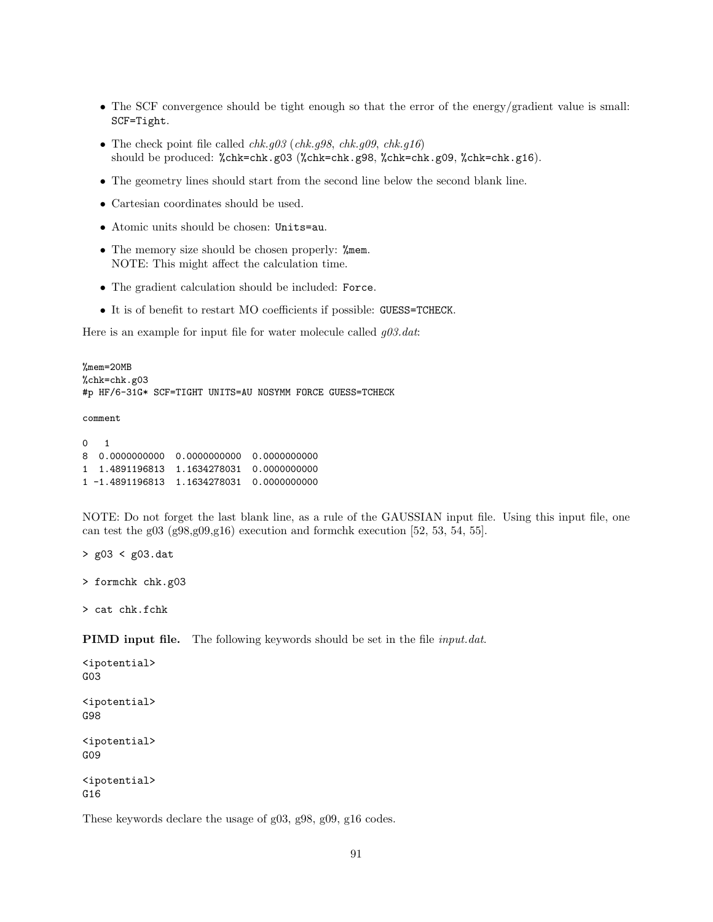- The SCF convergence should be tight enough so that the error of the energy/gradient value is small: SCF=Tight.
- *•* The check point file called *chk.g03* (*chk.g98*, *chk.g09*, *chk.g16*) should be produced: %chk=chk.g03 (%chk=chk.g98, %chk=chk.g09, %chk=chk.g16).
- The geometry lines should start from the second line below the second blank line.
- *•* Cartesian coordinates should be used.
- Atomic units should be chosen: Units=au.
- The memory size should be chosen properly: %mem. NOTE: This might affect the calculation time.
- *•* The gradient calculation should be included: Force.
- *•* It is of benefit to restart MO coefficients if possible: GUESS=TCHECK.

Here is an example for input file for water molecule called *g03.dat*:

```
%mem=20MB
%chk=chk.g03
#p HF/6-31G* SCF=TIGHT UNITS=AU NOSYMM FORCE GUESS=TCHECK
```

```
comment
```

```
0 1
8 0.0000000000 0.0000000000 0.0000000000
1 1.4891196813 1.1634278031 0.0000000000
1 -1.4891196813 1.1634278031 0.0000000000
```
NOTE: Do not forget the last blank line, as a rule of the GAUSSIAN input file. Using this input file, one can test the g03 (g98,g09,g16) execution and formchk execution [52, 53, 54, 55].

> g03 < g03.dat

> formchk chk.g03

> cat chk.fchk

**PIMD input file.** The following keywords should be set in the file *input.dat*.

```
<ipotential>
G03
<ipotential>
G98
<ipotential>
G09
<ipotential>
G16
```
These keywords declare the usage of g03, g98, g09, g16 codes.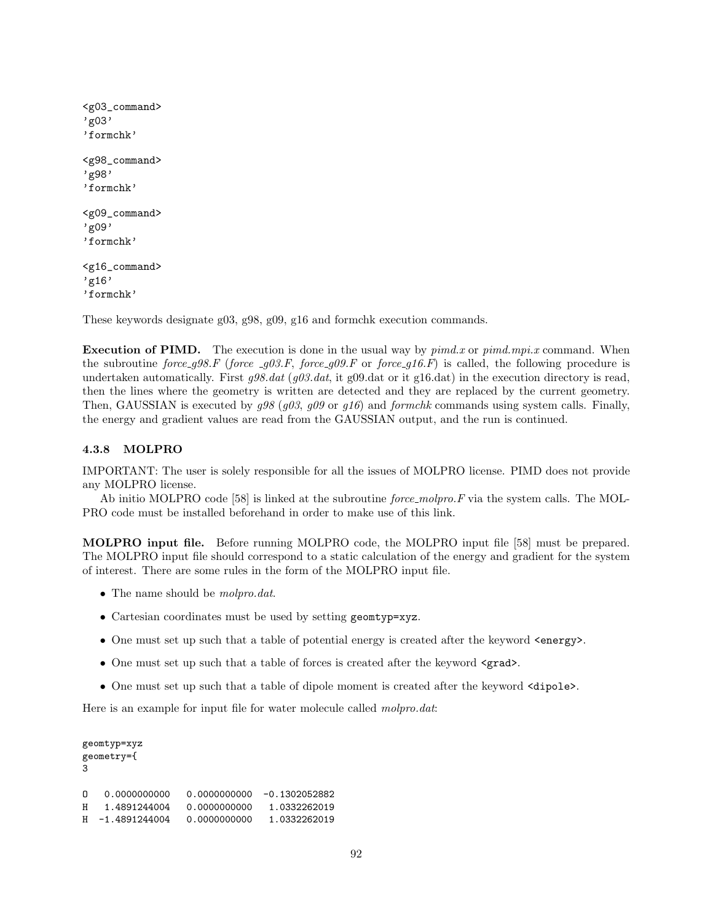```
<g03_command>
'g03'
'formchk'
<g98_command>
'g98'
'formchk'
<g09_command>
'g09'
'formchk'
<g16_command>
'g16'
'formchk'
```
These keywords designate g03, g98, g09, g16 and formchk execution commands.

**Execution of PIMD.** The execution is done in the usual way by *pimd.x* or *pimd.mpi.x* command. When the subroutine *force g98.F* (*force g03.F*, *force g09.F* or *force g16.F*) is called, the following procedure is undertaken automatically. First *g98.dat* (*g03.dat*, it g09.dat or it g16.dat) in the execution directory is read, then the lines where the geometry is written are detected and they are replaced by the current geometry. Then, GAUSSIAN is executed by *g98* (*g03*, *g09* or *g16*) and *formchk* commands using system calls. Finally, the energy and gradient values are read from the GAUSSIAN output, and the run is continued.

#### **4.3.8 MOLPRO**

IMPORTANT: The user is solely responsible for all the issues of MOLPRO license. PIMD does not provide any MOLPRO license.

Ab initio MOLPRO code [58] is linked at the subroutine *force molpro.F* via the system calls. The MOL-PRO code must be installed beforehand in order to make use of this link.

**MOLPRO input file.** Before running MOLPRO code, the MOLPRO input file [58] must be prepared. The MOLPRO input file should correspond to a static calculation of the energy and gradient for the system of interest. There are some rules in the form of the MOLPRO input file.

- *•* The name should be *molpro.dat*.
- Cartesian coordinates must be used by setting geomtyp=xyz.
- One must set up such that a table of potential energy is created after the keyword  $\langle$ energy>.
- One must set up such that a table of forces is created after the keyword  $\langle \text{grad} \rangle$ .
- One must set up such that a table of dipole moment is created after the keyword  $\langle$ dipole>.

Here is an example for input file for water molecule called *molpro.dat*:

```
geomtyp=xyz
geometry={
3
O 0.0000000000 0.0000000000 -0.1302052882
H 1.4891244004 0.0000000000 1.0332262019
H -1.4891244004  0.0000000000  1.0332262019
```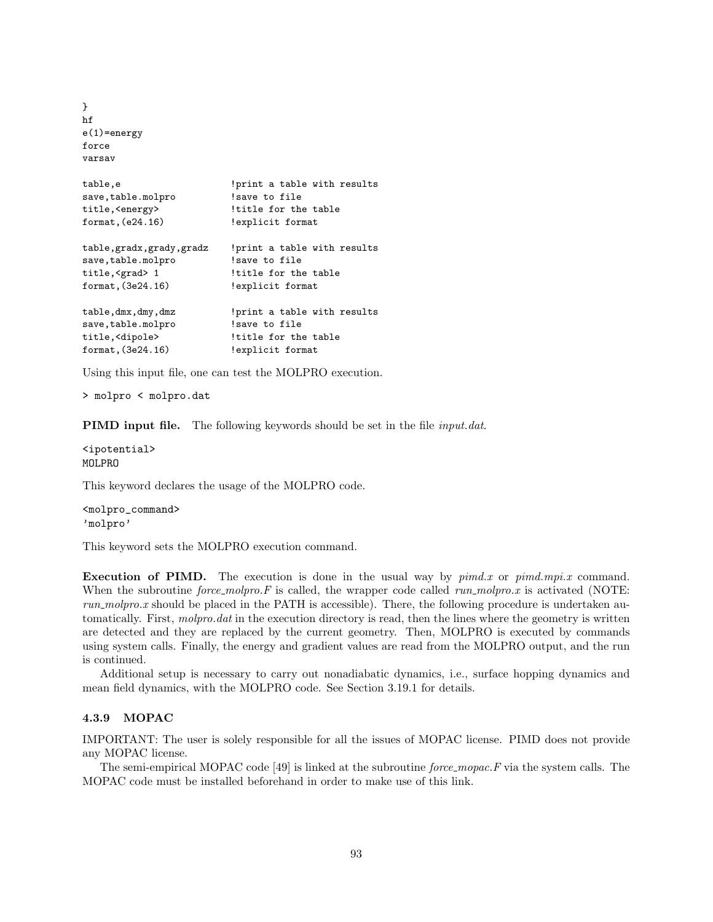```
}
hf
e(1)=energy
force
varsav
table, e \qquad \qquad !print a table with results
save,table.molpro !save to file
title,<energy> !title for the table
format,(e24.16) !explicit format
table,gradx,grady,gradz !print a table with results
save,table.molpro !save to file
title,<grad> 1 !title for the table
format,(3e24.16) !explicit format
table,dmx,dmy,dmz !print a table with results
save,table.molpro !save to file
title,<dipole> !title for the table
format,(3e24.16) !explicit format
```
Using this input file, one can test the MOLPRO execution.

> molpro < molpro.dat

**PIMD input file.** The following keywords should be set in the file *input.dat*.

<ipotential> MOLPRO

This keyword declares the usage of the MOLPRO code.

```
<molpro_command>
'molpro'
```
This keyword sets the MOLPRO execution command.

**Execution of PIMD.** The execution is done in the usual way by *pimd.x* or *pimd.mpi.x* command. When the subroutine *force\_molpro.F* is called, the wrapper code called  $run\_molpro.x$  is activated (NOTE: *run\_molpro.x* should be placed in the PATH is accessible). There, the following procedure is undertaken automatically. First, *molpro.dat* in the execution directory is read, then the lines where the geometry is written are detected and they are replaced by the current geometry. Then, MOLPRO is executed by commands using system calls. Finally, the energy and gradient values are read from the MOLPRO output, and the run is continued.

Additional setup is necessary to carry out nonadiabatic dynamics, i.e., surface hopping dynamics and mean field dynamics, with the MOLPRO code. See Section 3.19.1 for details.

#### **4.3.9 MOPAC**

IMPORTANT: The user is solely responsible for all the issues of MOPAC license. PIMD does not provide any MOPAC license.

The semi-empirical MOPAC code [49] is linked at the subroutine *force mopac.F* via the system calls. The MOPAC code must be installed beforehand in order to make use of this link.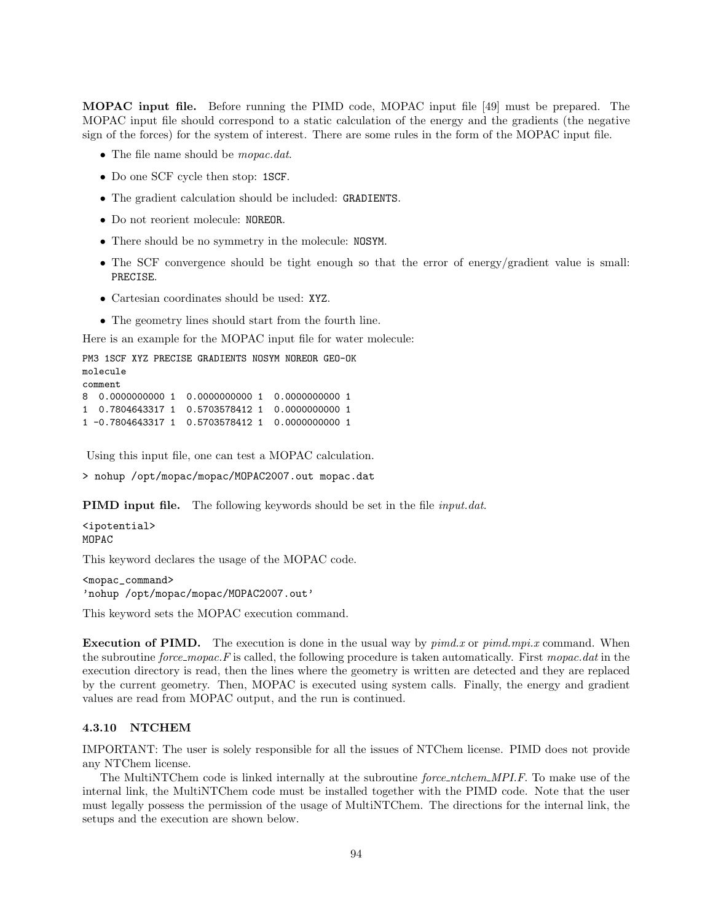**MOPAC input file.** Before running the PIMD code, MOPAC input file [49] must be prepared. The MOPAC input file should correspond to a static calculation of the energy and the gradients (the negative sign of the forces) for the system of interest. There are some rules in the form of the MOPAC input file.

- *•* The file name should be *mopac.dat*.
- *•* Do one SCF cycle then stop: 1SCF.
- *•* The gradient calculation should be included: GRADIENTS.
- *•* Do not reorient molecule: NOREOR.
- There should be no symmetry in the molecule: NOSYM.
- The SCF convergence should be tight enough so that the error of energy/gradient value is small: PRECISE.
- *•* Cartesian coordinates should be used: XYZ.
- *•* The geometry lines should start from the fourth line.

Here is an example for the MOPAC input file for water molecule:

```
PM3 1SCF XYZ PRECISE GRADIENTS NOSYM NOREOR GEO-OK
```

```
molecule
comment
8 0.0000000000 1 0.0000000000 1 0.0000000000 1
1 0.7804643317 1 0.5703578412 1 0.0000000000 1
1 -0.7804643317 1 0.5703578412 1 0.0000000000 1
```
Using this input file, one can test a MOPAC calculation.

> nohup /opt/mopac/mopac/MOPAC2007.out mopac.dat

**PIMD input file.** The following keywords should be set in the file *input.dat*.

<ipotential> MOPAC

This keyword declares the usage of the MOPAC code.

<mopac\_command> 'nohup /opt/mopac/mopac/MOPAC2007.out'

This keyword sets the MOPAC execution command.

**Execution of PIMD.** The execution is done in the usual way by  $p \text{ im}d.x$  or  $p \text{ im}d.mpi.x$  command. When the subroutine *force mopac.F* is called, the following procedure is taken automatically. First *mopac.dat* in the execution directory is read, then the lines where the geometry is written are detected and they are replaced by the current geometry. Then, MOPAC is executed using system calls. Finally, the energy and gradient values are read from MOPAC output, and the run is continued.

## **4.3.10 NTCHEM**

IMPORTANT: The user is solely responsible for all the issues of NTChem license. PIMD does not provide any NTChem license.

The MultiNTChem code is linked internally at the subroutine *force ntchem MPI.F*. To make use of the internal link, the MultiNTChem code must be installed together with the PIMD code. Note that the user must legally possess the permission of the usage of MultiNTChem. The directions for the internal link, the setups and the execution are shown below.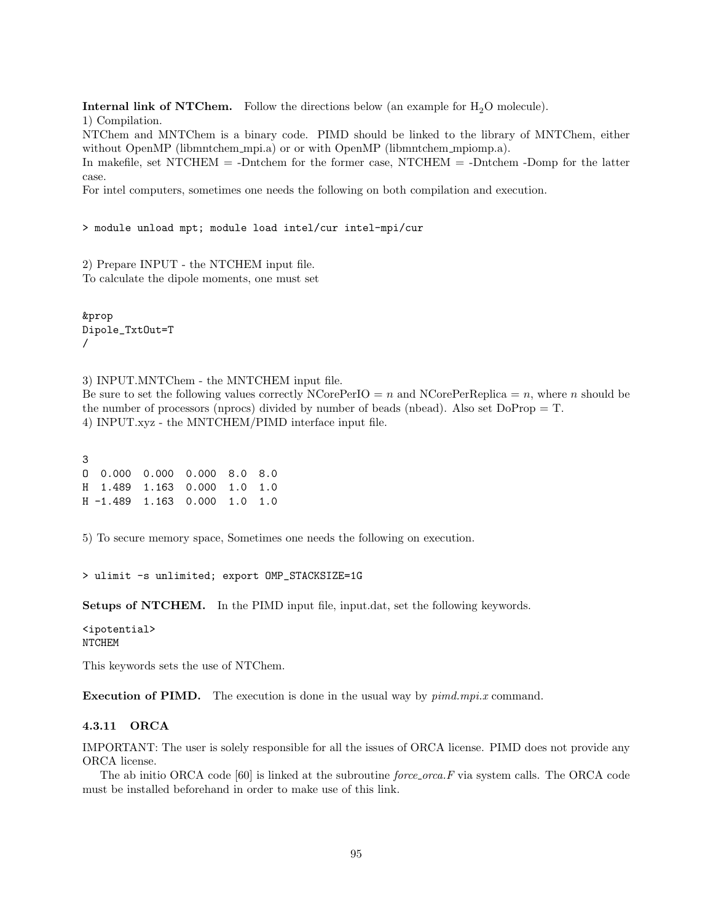**Internal link of NTChem.** Follow the directions below (an example for  $H_2O$  molecule). 1) Compilation.

NTChem and MNTChem is a binary code. PIMD should be linked to the library of MNTChem, either without OpenMP (libmntchem\_mpi.a) or or with OpenMP (libmntchem\_mpiomp.a).

In makefile, set NTCHEM = -Dntchem for the former case, NTCHEM = -Dntchem -Domp for the latter case.

For intel computers, sometimes one needs the following on both compilation and execution.

> module unload mpt; module load intel/cur intel-mpi/cur

2) Prepare INPUT - the NTCHEM input file. To calculate the dipole moments, one must set

&prop Dipole\_TxtOut=T /

3) INPUT.MNTChem - the MNTCHEM input file. Be sure to set the following values correctly NCorePerIO =  $n$  and NCorePerReplica =  $n$ , where  $n$  should be the number of processors (nprocs) divided by number of beads (nbead). Also set DoProp = T. 4) INPUT.xyz - the MNTCHEM/PIMD interface input file.

3 O 0.000 0.000 0.000 8.0 8.0 H 1.489 1.163 0.000 1.0 1.0 H -1.489 1.163 0.000 1.0 1.0

5) To secure memory space, Sometimes one needs the following on execution.

> ulimit -s unlimited; export OMP\_STACKSIZE=1G

**Setups of NTCHEM.** In the PIMD input file, input.dat, set the following keywords.

<ipotential> NTCHEM

This keywords sets the use of NTChem.

**Execution of PIMD.** The execution is done in the usual way by *pimd.mpi.x* command.

#### **4.3.11 ORCA**

IMPORTANT: The user is solely responsible for all the issues of ORCA license. PIMD does not provide any ORCA license.

The ab initio ORCA code [60] is linked at the subroutine *force orca.F* via system calls. The ORCA code must be installed beforehand in order to make use of this link.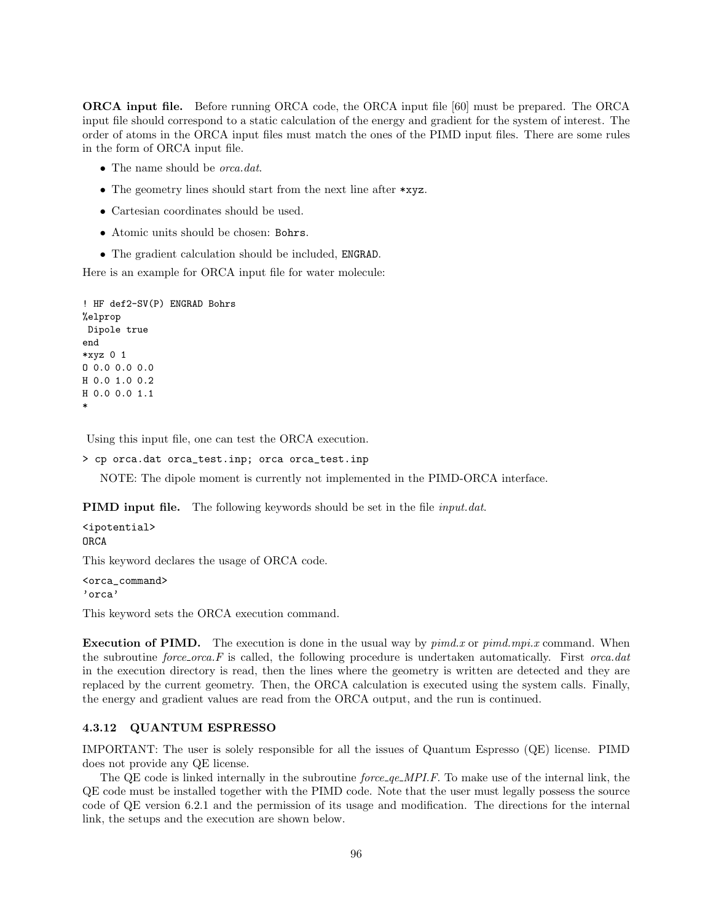**ORCA input file.** Before running ORCA code, the ORCA input file [60] must be prepared. The ORCA input file should correspond to a static calculation of the energy and gradient for the system of interest. The order of atoms in the ORCA input files must match the ones of the PIMD input files. There are some rules in the form of ORCA input file.

- *•* The name should be *orca.dat*.
- The geometry lines should start from the next line after \*xyz.
- *•* Cartesian coordinates should be used.
- *•* Atomic units should be chosen: Bohrs.
- *•* The gradient calculation should be included, ENGRAD.

Here is an example for ORCA input file for water molecule:

```
! HF def2-SV(P) ENGRAD Bohrs
%elprop
 Dipole true
end
*xyz 0 1
O 0.0 0.0 0.0
H 0.0 1.0 0.2
H 0.0 0.0 1.1
*
```
Using this input file, one can test the ORCA execution.

> cp orca.dat orca\_test.inp; orca orca\_test.inp

NOTE: The dipole moment is currently not implemented in the PIMD-ORCA interface.

**PIMD input file.** The following keywords should be set in the file *input.dat*.

<ipotential> ORCA

This keyword declares the usage of ORCA code.

```
<orca_command>
'orca'
```
This keyword sets the ORCA execution command.

**Execution of PIMD.** The execution is done in the usual way by  $p \text{ im}d.x$  or  $p \text{ im}d.mpi.x$  command. When the subroutine *force orca.F* is called, the following procedure is undertaken automatically. First *orca.dat* in the execution directory is read, then the lines where the geometry is written are detected and they are replaced by the current geometry. Then, the ORCA calculation is executed using the system calls. Finally, the energy and gradient values are read from the ORCA output, and the run is continued.

## **4.3.12 QUANTUM ESPRESSO**

IMPORTANT: The user is solely responsible for all the issues of Quantum Espresso (QE) license. PIMD does not provide any QE license.

The QE code is linked internally in the subroutine *force qe MPI.F*. To make use of the internal link, the QE code must be installed together with the PIMD code. Note that the user must legally possess the source code of QE version 6.2.1 and the permission of its usage and modification. The directions for the internal link, the setups and the execution are shown below.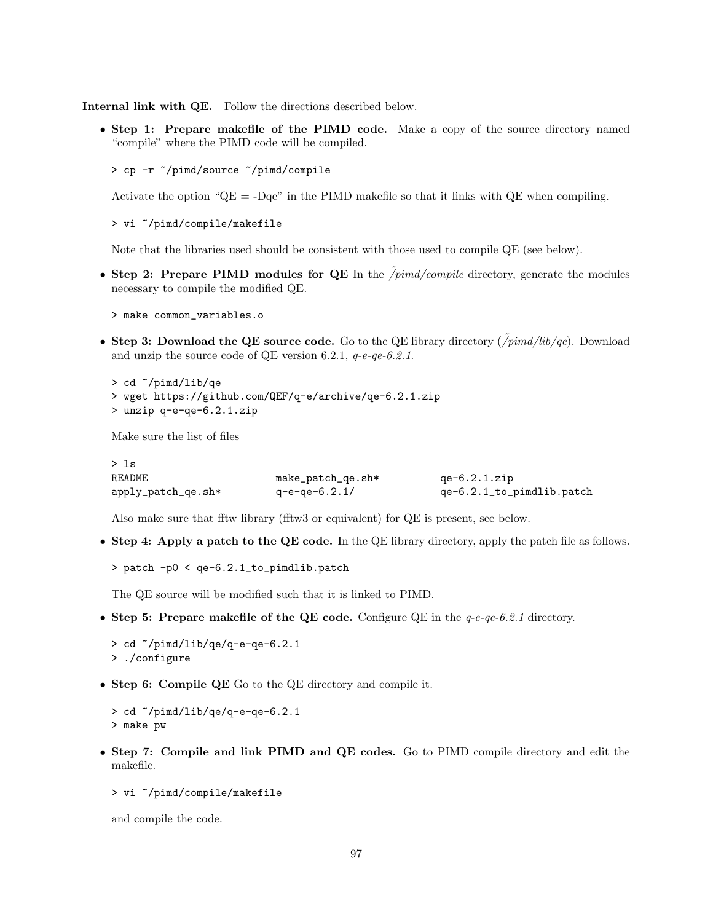**Internal link with QE.** Follow the directions described below.

• **Step 1: Prepare makefile of the PIMD code.** Make a copy of the source directory named "compile" where the PIMD code will be compiled.

> cp -r ~/pimd/source ~/pimd/compile

Activate the option " $QE = -Dqe$ " in the PIMD makefile so that it links with  $QE$  when compiling.

> vi ~/pimd/compile/makefile

Note that the libraries used should be consistent with those used to compile QE (see below).

• **Step 2: Prepare PIMD modules for QE** In the  $\overline{\text{/pimd}/\text{compile}}$  directory, generate the modules necessary to compile the modified QE.

> make common\_variables.o

*•* **Step 3: Download the QE source code.** Go to the QE library directory (*˜/pimd/lib/qe*). Download and unzip the source code of QE version 6.2.1, *q-e-qe-6.2.1*.

```
> cd ~/pimd/lib/qe
> wget https://github.com/QEF/q-e/archive/qe-6.2.1.zip
> unzip q-e-qe-6.2.1.zip
```
Make sure the list of files

 $\sim 1e$ 

| - 10               |                   |                           |
|--------------------|-------------------|---------------------------|
| README             | make_patch_qe.sh* | qe-6.2.1.zip              |
| apply_patch_qe.sh* | q-e-qe-6.2.1/     | qe-6.2.1_to_pimdlib.patch |

Also make sure that fftw library (fftw3 or equivalent) for QE is present, see below.

• **Step 4: Apply a patch to the QE code.** In the QE library directory, apply the patch file as follows.

> patch -p0 < qe-6.2.1\_to\_pimdlib.patch

The QE source will be modified such that it is linked to PIMD.

*•* **Step 5: Prepare makefile of the QE code.** Configure QE in the *q-e-qe-6.2.1* directory.

```
> cd ~/pimd/lib/qe/q-e-qe-6.2.1
> ./configure
```
*•* **Step 6: Compile QE** Go to the QE directory and compile it.

```
> cd ~/pimd/lib/qe/q-e-qe-6.2.1
> make pw
```
*•* **Step 7: Compile and link PIMD and QE codes.** Go to PIMD compile directory and edit the makefile.

```
> vi ~/pimd/compile/makefile
```
and compile the code.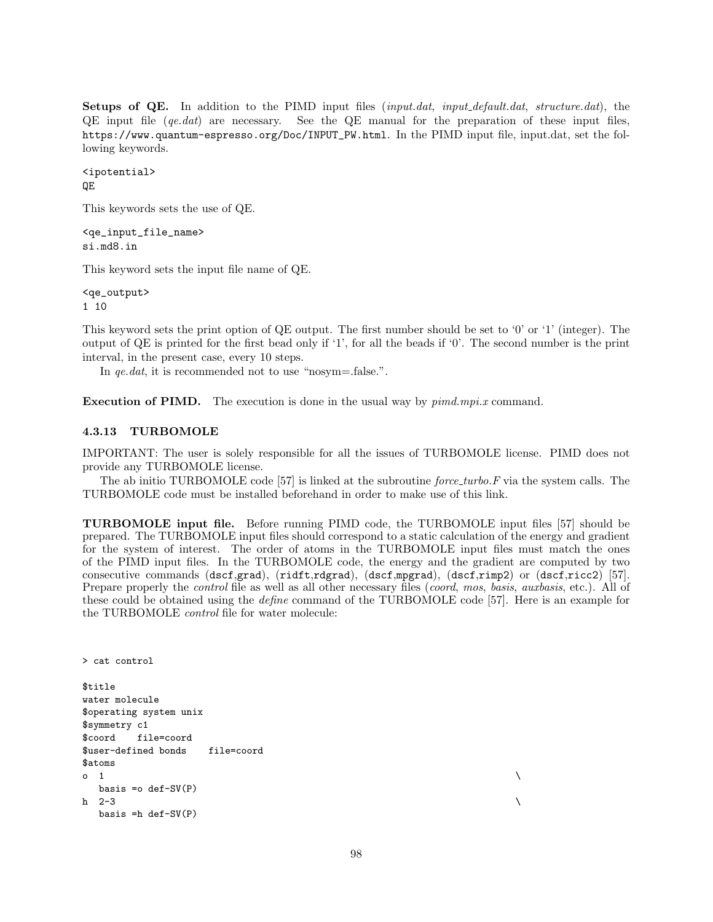**Setups of QE.** In addition to the PIMD input files (*input.dat*, *input default.dat*, *structure.dat*), the QE input file (*qe.dat*) are necessary. See the QE manual for the preparation of these input files, https://www.quantum-espresso.org/Doc/INPUT\_PW.html. In the PIMD input file, input.dat, set the following keywords.

<ipotential> QE

This keywords sets the use of QE.

<qe\_input\_file\_name> si.md8.in

This keyword sets the input file name of QE.

<qe\_output> 1 10

This keyword sets the print option of QE output. The first number should be set to '0' or '1' (integer). The output of QE is printed for the first bead only if '1', for all the beads if '0'. The second number is the print interval, in the present case, every 10 steps.

In *qe.dat*, it is recommended not to use "nosym=.false.".

**Execution of PIMD.** The execution is done in the usual way by *pimd.mpi.x* command.

## **4.3.13 TURBOMOLE**

IMPORTANT: The user is solely responsible for all the issues of TURBOMOLE license. PIMD does not provide any TURBOMOLE license.

The ab initio TURBOMOLE code [57] is linked at the subroutine *force turbo.F* via the system calls. The TURBOMOLE code must be installed beforehand in order to make use of this link.

**TURBOMOLE input file.** Before running PIMD code, the TURBOMOLE input files [57] should be prepared. The TURBOMOLE input files should correspond to a static calculation of the energy and gradient for the system of interest. The order of atoms in the TURBOMOLE input files must match the ones of the PIMD input files. In the TURBOMOLE code, the energy and the gradient are computed by two consecutive commands (dscf,grad), (ridft,rdgrad), (dscf,mpgrad), (dscf,rimp2) or (dscf,ricc2) [57]. Prepare properly the *control* file as well as all other necessary files (*coord*, *mos*, *basis*, *auxbasis*, etc.). All of these could be obtained using the *define* command of the TURBOMOLE code [57]. Here is an example for the TURBOMOLE *control* file for water molecule:

> cat control

```
$title
water molecule
$operating system unix
$symmetry c1
$coord file=coord
$user-defined bonds file=coord
$atoms
o 1 \sqrt{ }basis =o def-SV(P)
h 2-3 \simbasis =h def-SV(P)
```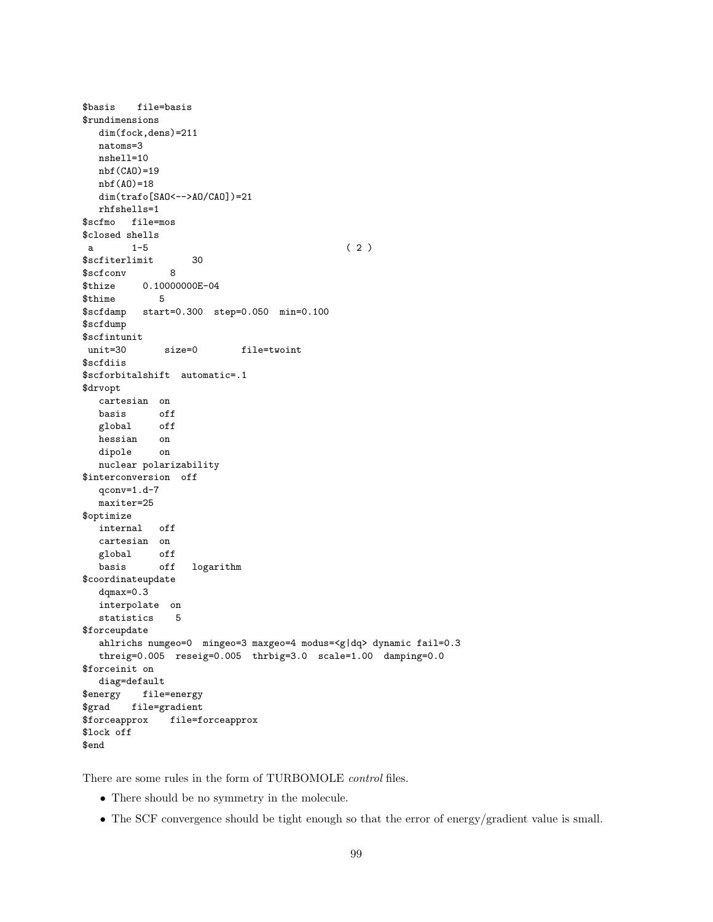```
$basis file=basis
$rundimensions
  dim(fock,dens)=211
  natoms=3
  nshell=10
  nbf(CAO)=19
  nbf(A0)=18dim(trafo[SAO<-->AO/CAO])=21
  rhfshells=1
$scfmo file=mos
$closed shells
a 1-5 ( 2 )
$scfiterlimit 30
$scfconv 8
$thize 0.10000000E-04
$thime 5
$scfdamp start=0.300 step=0.050 min=0.100
$scfdump
$scfintunit
unit=30 size=0 file=twoint
$scfdiis
$scforbitalshift automatic=.1
$drvopt
  cartesian on
  basis off
  global off
  hessian on
  dipole on
  nuclear polarizability
$interconversion off
  qconv=1.d-7
  maxiter=25
$optimize
  internal off
  cartesian on
  global off<br>basis off
  basis off logarithm
$coordinateupdate
  dqmax=0.3
  interpolate on
  statistics 5
$forceupdate
  ahlrichs numgeo=0 mingeo=3 maxgeo=4 modus=<g|dq> dynamic fail=0.3
  threig=0.005 reseig=0.005 thrbig=3.0 scale=1.00 damping=0.0
$forceinit on
  diag=default
$energy file=energy
$grad file=gradient
$forceapprox file=forceapprox
$lock off
$end
```
There are some rules in the form of TURBOMOLE *control* files.

- *•* There should be no symmetry in the molecule.
- The SCF convergence should be tight enough so that the error of energy/gradient value is small.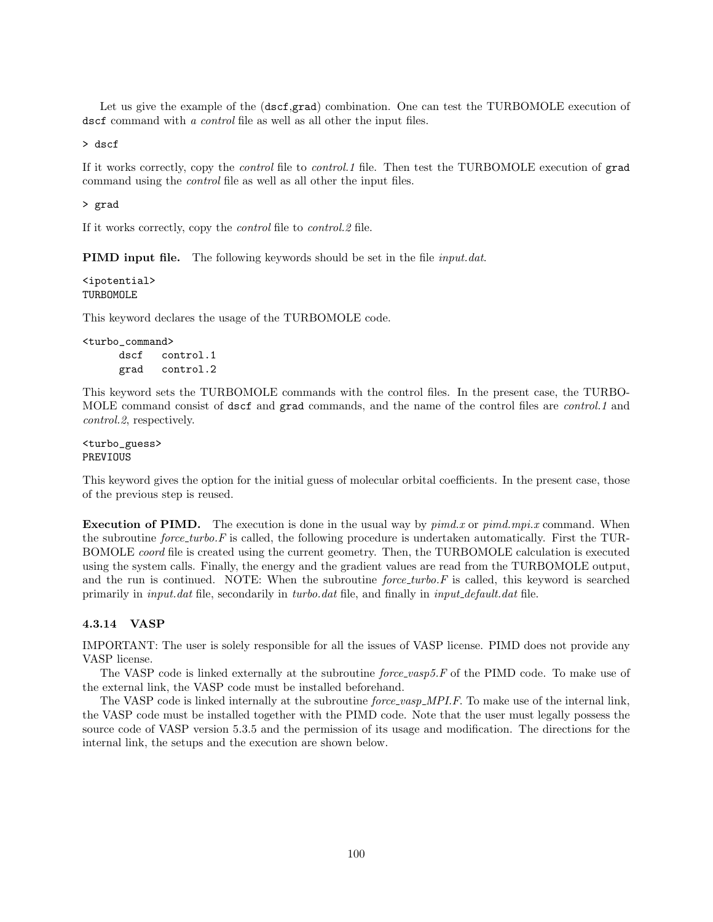Let us give the example of the (dscf,grad) combination. One can test the TURBOMOLE execution of dscf command with *a control* file as well as all other the input files.

> dscf

If it works correctly, copy the *control* file to *control.1* file. Then test the TURBOMOLE execution of grad command using the *control* file as well as all other the input files.

> grad

If it works correctly, copy the *control* file to *control.2* file.

**PIMD input file.** The following keywords should be set in the file *input.dat*.

<ipotential> TURBOMOLE

This keyword declares the usage of the TURBOMOLE code.

```
<turbo_command>
     dscf control.1
     grad control.2
```
This keyword sets the TURBOMOLE commands with the control files. In the present case, the TURBO-MOLE command consist of dscf and grad commands, and the name of the control files are *control.1* and *control.2*, respectively.

<turbo\_guess> PREVIOUS

This keyword gives the option for the initial guess of molecular orbital coefficients. In the present case, those of the previous step is reused.

**Execution of PIMD.** The execution is done in the usual way by  $p$ *imd.x* or  $p$ *imd.mpi.x* command. When the subroutine *force\_turbo.F* is called, the following procedure is undertaken automatically. First the TUR-BOMOLE *coord* file is created using the current geometry. Then, the TURBOMOLE calculation is executed using the system calls. Finally, the energy and the gradient values are read from the TURBOMOLE output, and the run is continued. NOTE: When the subroutine *force turbo.F* is called, this keyword is searched primarily in *input.dat* file, secondarily in *turbo.dat* file, and finally in *input default.dat* file.

#### **4.3.14 VASP**

IMPORTANT: The user is solely responsible for all the issues of VASP license. PIMD does not provide any VASP license.

The VASP code is linked externally at the subroutine *force vasp5.F* of the PIMD code. To make use of the external link, the VASP code must be installed beforehand.

The VASP code is linked internally at the subroutine *force vasp MPI.F*. To make use of the internal link, the VASP code must be installed together with the PIMD code. Note that the user must legally possess the source code of VASP version 5.3.5 and the permission of its usage and modification. The directions for the internal link, the setups and the execution are shown below.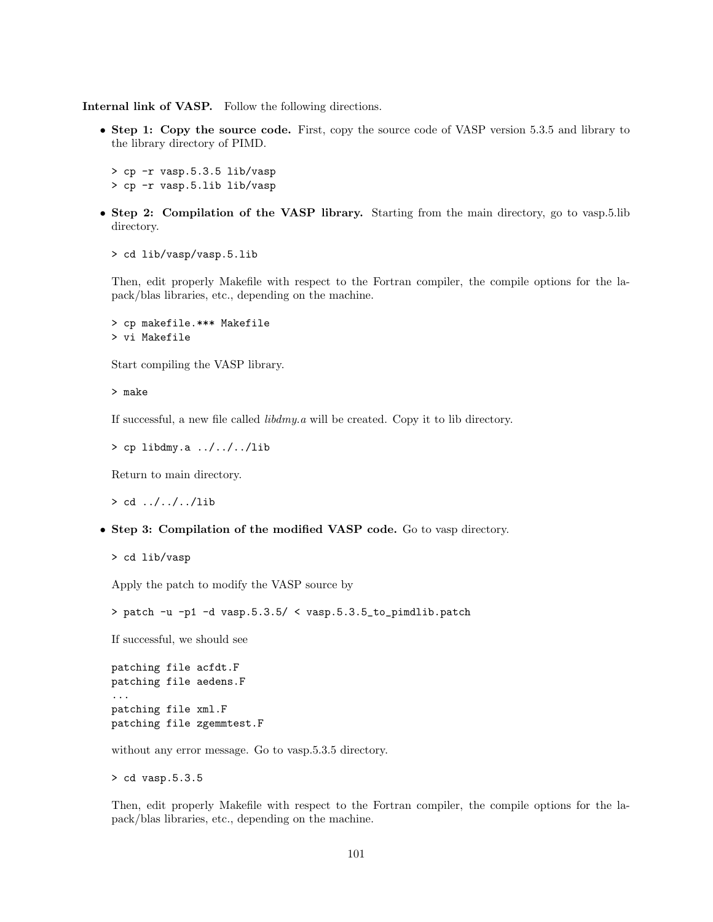**Internal link of VASP.** Follow the following directions.

• **Step 1: Copy the source code.** First, copy the source code of VASP version 5.3.5 and library to the library directory of PIMD.

> cp -r vasp.5.3.5 lib/vasp > cp -r vasp.5.lib lib/vasp

• **Step 2: Compilation of the VASP library.** Starting from the main directory, go to vasp.5.lib directory.

> cd lib/vasp/vasp.5.lib

Then, edit properly Makefile with respect to the Fortran compiler, the compile options for the lapack/blas libraries, etc., depending on the machine.

> cp makefile.\*\*\* Makefile > vi Makefile

Start compiling the VASP library.

> make

If successful, a new file called *libdmy.a* will be created. Copy it to lib directory.

> cp libdmy.a ../../../lib

Return to main directory.

 $> cd$  ../../../lib

*•* **Step 3: Compilation of the modified VASP code.** Go to vasp directory.

> cd lib/vasp

Apply the patch to modify the VASP source by

> patch -u -p1 -d vasp.5.3.5/ < vasp.5.3.5\_to\_pimdlib.patch

If successful, we should see

```
patching file acfdt.F
patching file aedens.F
...
patching file xml.F
patching file zgemmtest.F
```
without any error message. Go to vasp.5.3.5 directory.

> cd vasp.5.3.5

Then, edit properly Makefile with respect to the Fortran compiler, the compile options for the lapack/blas libraries, etc., depending on the machine.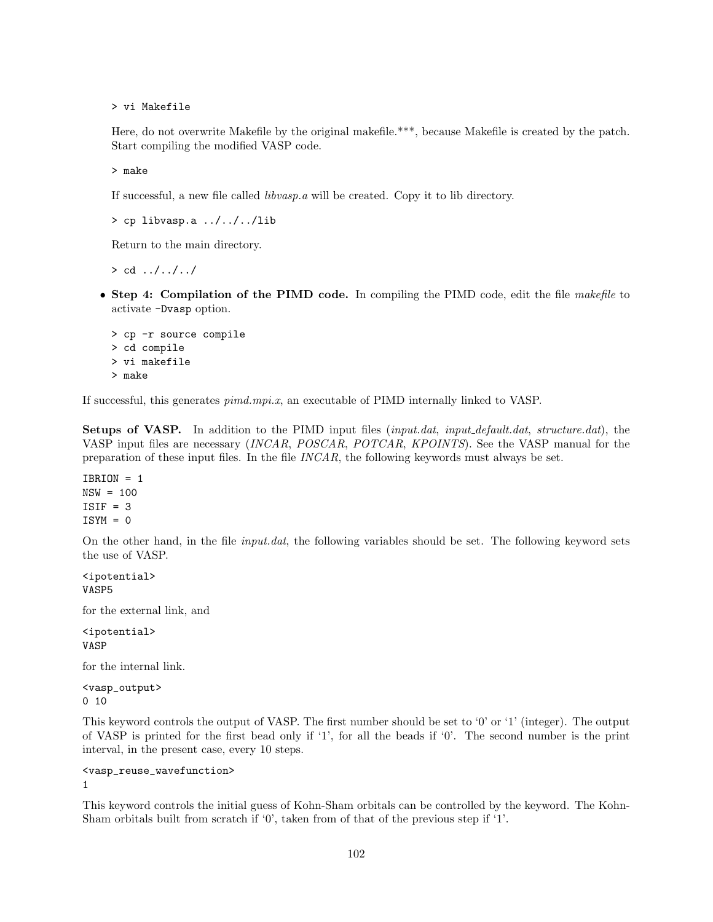> vi Makefile

Here, do not overwrite Makefile by the original makefile.\*\*\*, because Makefile is created by the patch. Start compiling the modified VASP code.

> make

If successful, a new file called *libvasp.a* will be created. Copy it to lib directory.

> cp libvasp.a ../../../lib

Return to the main directory.

> cd ../../../

*•* **Step 4: Compilation of the PIMD code.** In compiling the PIMD code, edit the file *makefile* to activate -Dvasp option.

```
> cp -r source compile
> cd compile
> vi makefile
> make
```
If successful, this generates *pimd.mpi.x*, an executable of PIMD internally linked to VASP.

**Setups of VASP.** In addition to the PIMD input files (*input.dat*, *input default.dat*, *structure.dat*), the VASP input files are necessary (*INCAR*, *POSCAR*, *POTCAR*, *KPOINTS*). See the VASP manual for the preparation of these input files. In the file *INCAR*, the following keywords must always be set.

IBRION = 1 NSW = 100  $ISIF = 3$  $ISYM = 0$ 

On the other hand, in the file *input.dat*, the following variables should be set. The following keyword sets the use of VASP.

<ipotential> VASP5

for the external link, and

<ipotential> VASP

for the internal link.

```
<vasp_output>
0 10
```
This keyword controls the output of VASP. The first number should be set to '0' or '1' (integer). The output of VASP is printed for the first bead only if '1', for all the beads if '0'. The second number is the print interval, in the present case, every 10 steps.

```
<vasp_reuse_wavefunction>
```
1

This keyword controls the initial guess of Kohn-Sham orbitals can be controlled by the keyword. The Kohn-Sham orbitals built from scratch if '0', taken from of that of the previous step if '1'.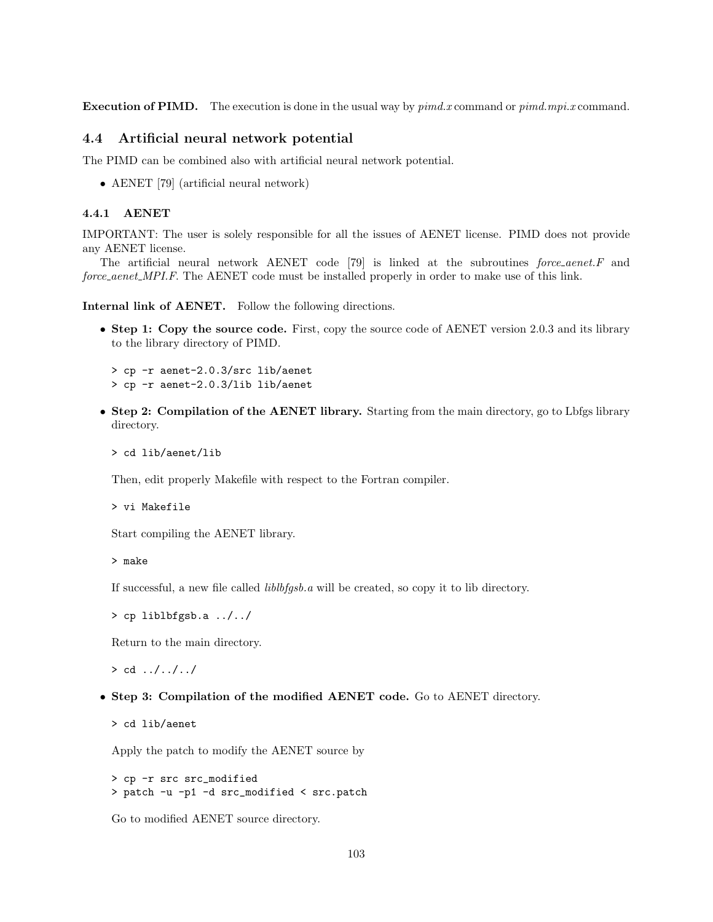**Execution of PIMD.** The execution is done in the usual way by  $pimd.x$  command or  $pimd.mpi.x$  command.

#### **4.4 Artificial neural network potential**

The PIMD can be combined also with artificial neural network potential.

*•* AENET [79] (artificial neural network)

#### **4.4.1 AENET**

IMPORTANT: The user is solely responsible for all the issues of AENET license. PIMD does not provide any AENET license.

The artificial neural network AENET code [79] is linked at the subroutines *force aenet.F* and *force\_aenet\_MPI.F.* The AENET code must be installed properly in order to make use of this link.

**Internal link of AENET.** Follow the following directions.

• **Step 1: Copy the source code.** First, copy the source code of AENET version 2.0.3 and its library to the library directory of PIMD.

> cp -r aenet-2.0.3/src lib/aenet

- > cp -r aenet-2.0.3/lib lib/aenet
- **Step 2: Compilation of the AENET library.** Starting from the main directory, go to Lbfgs library directory.

> cd lib/aenet/lib

Then, edit properly Makefile with respect to the Fortran compiler.

> vi Makefile

Start compiling the AENET library.

> make

If successful, a new file called *liblbfgsb.a* will be created, so copy it to lib directory.

> cp liblbfgsb.a ../../

Return to the main directory.

 $> cd$  ../../../

*•* **Step 3: Compilation of the modified AENET code.** Go to AENET directory.

> cd lib/aenet

Apply the patch to modify the AENET source by

> cp -r src src\_modified > patch -u -p1 -d src\_modified < src.patch

Go to modified AENET source directory.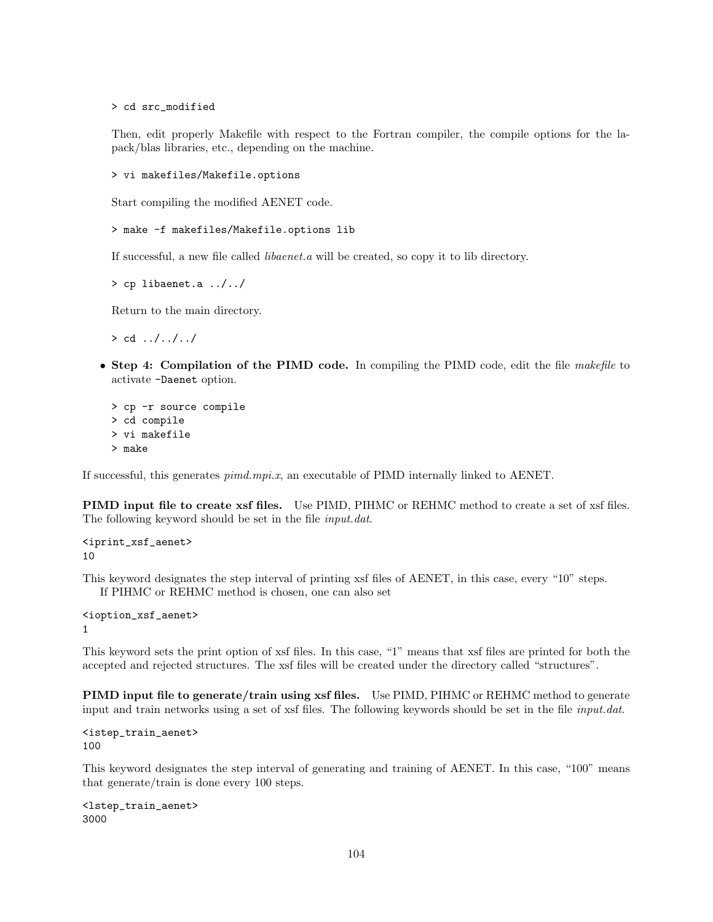> cd src\_modified

Then, edit properly Makefile with respect to the Fortran compiler, the compile options for the lapack/blas libraries, etc., depending on the machine.

```
> vi makefiles/Makefile.options
```
Start compiling the modified AENET code.

```
> make -f makefiles/Makefile.options lib
```
If successful, a new file called *libaenet.a* will be created, so copy it to lib directory.

> cp libaenet.a ../../

Return to the main directory.

> cd ../../../

*•* **Step 4: Compilation of the PIMD code.** In compiling the PIMD code, edit the file *makefile* to activate -Daenet option.

> cp -r source compile > cd compile > vi makefile > make

If successful, this generates *pimd.mpi.x*, an executable of PIMD internally linked to AENET.

**PIMD input file to create xsf files.** Use PIMD, PIHMC or REHMC method to create a set of xsf files. The following keyword should be set in the file *input.dat*.

<iprint\_xsf\_aenet> 10

This keyword designates the step interval of printing xsf files of AENET, in this case, every "10" steps. If PIHMC or REHMC method is chosen, one can also set

<ioption\_xsf\_aenet> 1

This keyword sets the print option of xsf files. In this case, "1" means that xsf files are printed for both the accepted and rejected structures. The xsf files will be created under the directory called "structures".

**PIMD input file to generate/train using xsf files.** Use PIMD, PIHMC or REHMC method to generate input and train networks using a set of xsf files. The following keywords should be set in the file *input.dat*.

```
<istep_train_aenet>
100
```
This keyword designates the step interval of generating and training of AENET. In this case, "100" means that generate/train is done every 100 steps.

```
<lstep_train_aenet>
3000
```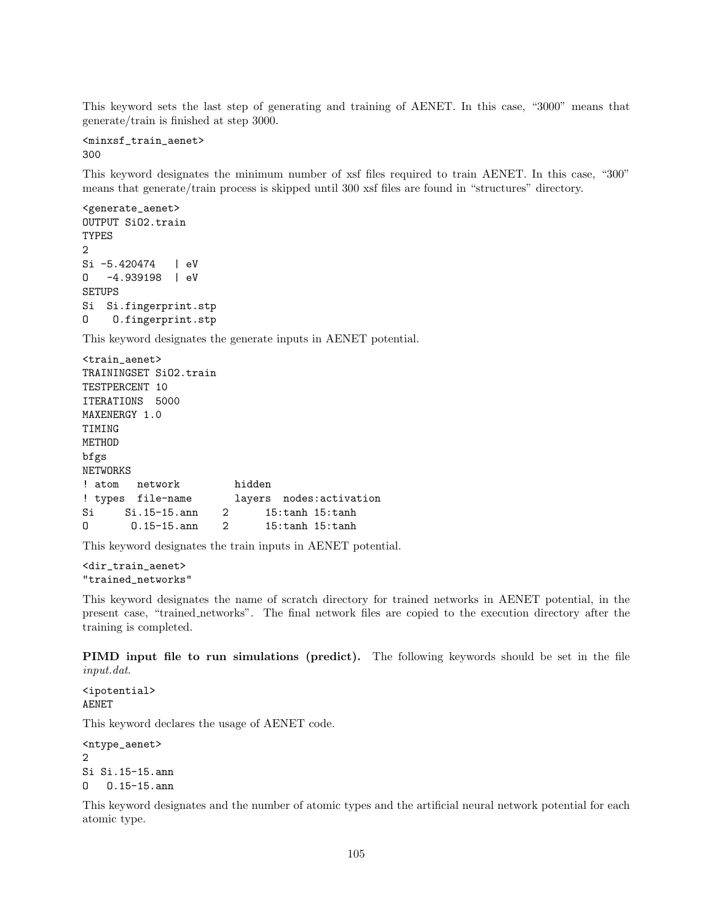This keyword sets the last step of generating and training of AENET. In this case, "3000" means that generate/train is finished at step 3000.

<minxsf\_train\_aenet> 300

This keyword designates the minimum number of xsf files required to train AENET. In this case, "300" means that generate/train process is skipped until 300 xsf files are found in "structures" directory.

```
<generate_aenet>
OUTPUT SiO2.train
TYPES
2
Si -5.420474 | eV
O -4.939198 | eV
SETUPS
Si Si.fingerprint.stp
O O.fingerprint.stp
```
This keyword designates the generate inputs in AENET potential.

```
<train_aenet>
TRAININGSET SiO2.train
TESTPERCENT 10
ITERATIONS 5000
MAXENERGY 1.0
TIMING
METHOD
bfgs
NETWORKS
! atom network hidden
! types file-name layers nodes:activation
Si Si.15-15.ann 2 15:tanh 15:tanh
O O.15-15.ann 2 15:tanh 15:tanh
```
This keyword designates the train inputs in AENET potential.

```
<dir_train_aenet>
"trained_networks"
```
This keyword designates the name of scratch directory for trained networks in AENET potential, in the present case, "trained networks". The final network files are copied to the execution directory after the training is completed.

**PIMD input file to run simulations (predict).** The following keywords should be set in the file *input.dat*.

<ipotential> AENET This keyword declares the usage of AENET code. <ntype\_aenet> 2

```
Si Si.15-15.ann
O O.15-15.ann
```
This keyword designates and the number of atomic types and the artificial neural network potential for each atomic type.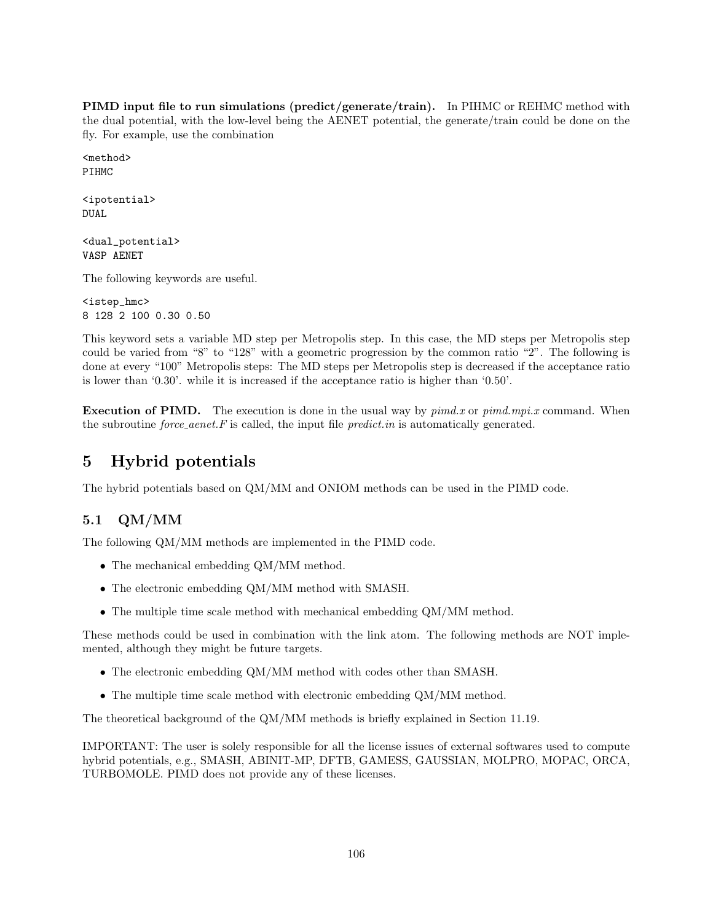**PIMD input file to run simulations (predict/generate/train).** In PIHMC or REHMC method with the dual potential, with the low-level being the AENET potential, the generate/train could be done on the fly. For example, use the combination

<method> PIHMC

<ipotential> DUAL

<dual\_potential> VASP AENET

The following keywords are useful.

<istep\_hmc> 8 128 2 100 0.30 0.50

This keyword sets a variable MD step per Metropolis step. In this case, the MD steps per Metropolis step could be varied from "8" to "128" with a geometric progression by the common ratio "2". The following is done at every "100" Metropolis steps: The MD steps per Metropolis step is decreased if the acceptance ratio is lower than '0.30'. while it is increased if the acceptance ratio is higher than '0.50'.

**Execution of PIMD.** The execution is done in the usual way by *pimd.x* or *pimd.mpi.x* command. When the subroutine *force aenet.F* is called, the input file *predict.in* is automatically generated.

# **5 Hybrid potentials**

The hybrid potentials based on QM/MM and ONIOM methods can be used in the PIMD code.

# **5.1 QM/MM**

The following QM/MM methods are implemented in the PIMD code.

- The mechanical embedding  $QM/MM$  method.
- *•* The electronic embedding QM/MM method with SMASH.
- The multiple time scale method with mechanical embedding QM/MM method.

These methods could be used in combination with the link atom. The following methods are NOT implemented, although they might be future targets.

- *•* The electronic embedding QM/MM method with codes other than SMASH.
- *•* The multiple time scale method with electronic embedding QM/MM method.

The theoretical background of the QM/MM methods is briefly explained in Section 11.19.

IMPORTANT: The user is solely responsible for all the license issues of external softwares used to compute hybrid potentials, e.g., SMASH, ABINIT-MP, DFTB, GAMESS, GAUSSIAN, MOLPRO, MOPAC, ORCA, TURBOMOLE. PIMD does not provide any of these licenses.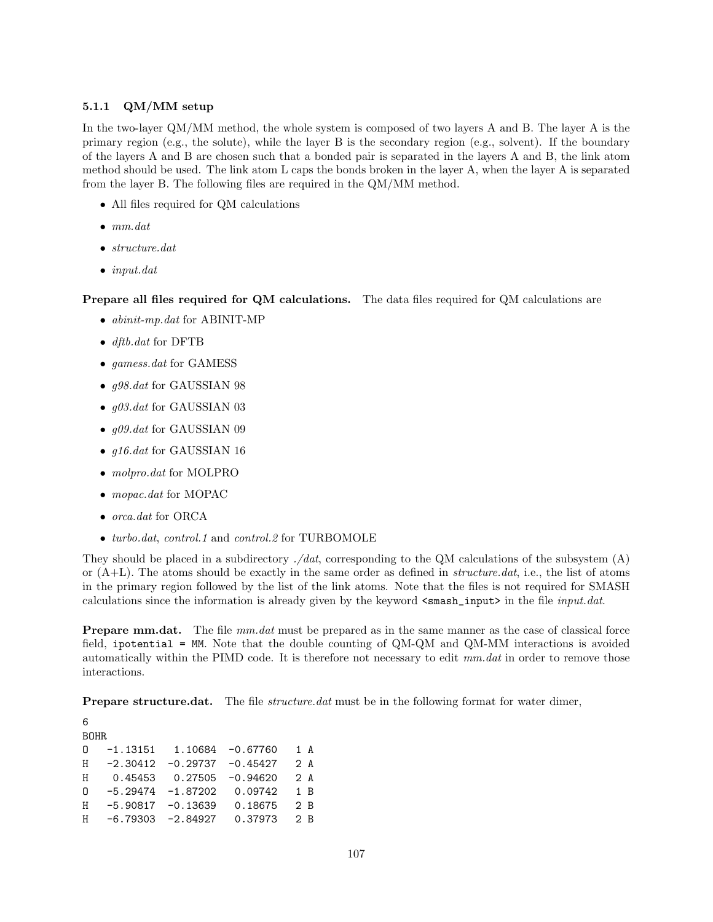#### **5.1.1 QM/MM setup**

In the two-layer QM/MM method, the whole system is composed of two layers A and B. The layer A is the primary region (e.g., the solute), while the layer B is the secondary region (e.g., solvent). If the boundary of the layers A and B are chosen such that a bonded pair is separated in the layers A and B, the link atom method should be used. The link atom L caps the bonds broken in the layer A, when the layer A is separated from the layer B. The following files are required in the QM/MM method.

- *•* All files required for QM calculations
- *• mm.dat*
- *• structure.dat*
- *• input.dat*

**Prepare all files required for QM calculations.** The data files required for QM calculations are

- *• abinit-mp.dat* for ABINIT-MP
- *• dftb.dat* for DFTB
- *• gamess.dat* for GAMESS
- *• g98.dat* for GAUSSIAN 98
- *• g03.dat* for GAUSSIAN 03
- *• g09.dat* for GAUSSIAN 09
- *• g16.dat* for GAUSSIAN 16
- *• molpro.dat* for MOLPRO
- *• mopac.dat* for MOPAC
- *• orca.dat* for ORCA
- *• turbo.dat*, *control.1* and *control.2* for TURBOMOLE

They should be placed in a subdirectory *./dat*, corresponding to the QM calculations of the subsystem (A) or (A+L). The atoms should be exactly in the same order as defined in *structure.dat*, i.e., the list of atoms in the primary region followed by the list of the link atoms. Note that the files is not required for SMASH calculations since the information is already given by the keyword <smash\_input> in the file *input.dat*.

**Prepare mm.dat.** The file  $mm.dat$  must be prepared as in the same manner as the case of classical force field, ipotential = MM. Note that the double counting of QM-QM and QM-MM interactions is avoided automatically within the PIMD code. It is therefore not necessary to edit *mm.dat* in order to remove those interactions.

**Prepare structure.dat.** The file *structure.dat* must be in the following format for water dimer,

| 6     |                      |                      |                     |                |
|-------|----------------------|----------------------|---------------------|----------------|
| BOHR. |                      |                      |                     |                |
| 0     | $-1.13151$           |                      | $1.10684 - 0.67760$ | $1 \text{ A}$  |
| H     | $-2.30412$           | $-0.29737 - 0.45427$ |                     | 2A             |
| H     | 0.45453              | 0.27505              | $-0.94620$          | 2A             |
| 0     | $-5.29474$           | $-1.87202$           | 0.09742             | $1 \text{ } B$ |
| H     | $-5.90817$           | $-0.13639$           | 0.18675             | 2B             |
| H     | $-6.79303 - 2.84927$ |                      | 0.37973             | 2 <sub>B</sub> |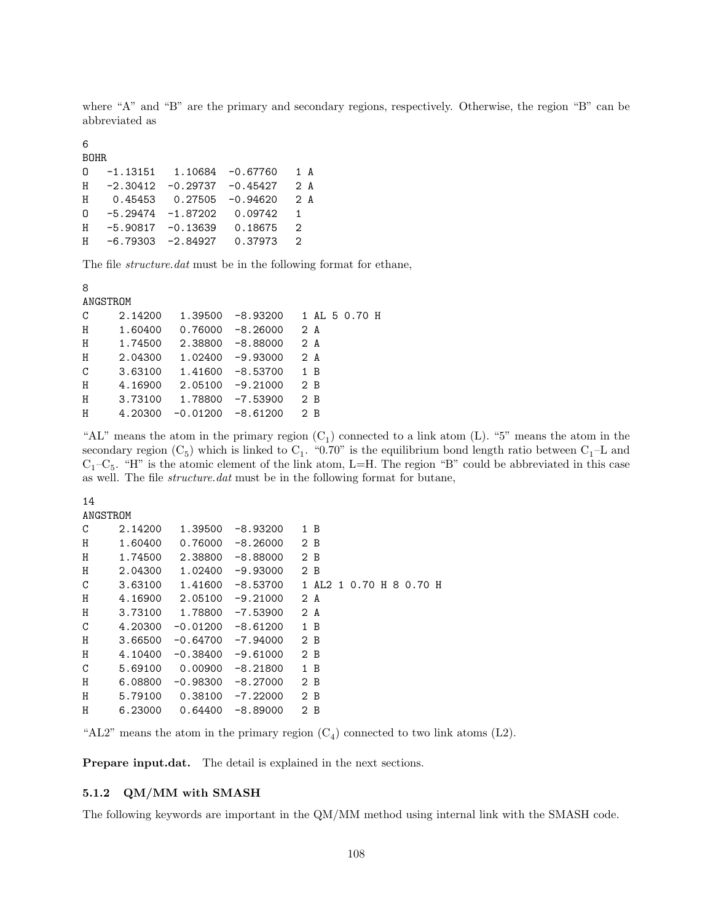where "A" and "B" are the primary and secondary regions, respectively. Otherwise, the region "B" can be abbreviated as

6

| <b>BOHR</b>  |            |                                 |         |                             |
|--------------|------------|---------------------------------|---------|-----------------------------|
| <sup>n</sup> |            | $-1.13151$ $1.10684$ $-0.67760$ |         | $1 \text{ A}$               |
| H            | $-2.30412$ | $-0.29737 - 0.45427$            |         | 2A                          |
| H            |            | $0.45453$ $0.27505$ $-0.94620$  |         | 2A                          |
| <sup>n</sup> |            | $-5.29474 - 1.87202$            | 0.09742 | 1                           |
| H            |            | $-5.90817 - 0.13639$            | 0.18675 | $\mathcal{D}_{\mathcal{L}}$ |
| H            |            | $-6.79303 -2.84927$             | 0.37973 | $2^{1}$                     |
|              |            |                                 |         |                             |

The file *structure.dat* must be in the following format for ethane,

8 ANGSTROM C 2.14200 1.39500 -8.93200 1 AL 5 0.70 H H 1.60400 0.76000 -8.26000 2 A H 1.74500 2.38800 -8.88000 2 A H 2.04300 1.02400 -9.93000 2 A C 3.63100 1.41600 -8.53700 1 B H 4.16900 2.05100 -9.21000 2 B H 3.73100 1.78800 -7.53900 2 B H 4.20300 -0.01200 -8.61200 2 B

"AL" means the atom in the primary region  $(C_1)$  connected to a link atom  $(L)$ . "5" means the atom in the secondary region  $(C_5)$  which is linked to  $C_1$ . "0.70" is the equilibrium bond length ratio between  $C_1$ -L and  $C_1 - C_5$ . "H" is the atomic element of the link atom, L=H. The region "B" could be abbreviated in this case as well. The file *structure.dat* must be in the following format for butane,

14 ANGSTROM

| C | 2.14200 | 1.39500         | $-8.93200$ | 1 B                     |
|---|---------|-----------------|------------|-------------------------|
| H | 1.60400 | 0.76000         | $-8.26000$ | 2 B                     |
| H | 1.74500 | 2.38800         | -8.88000   | 2 B                     |
| H | 2.04300 | 1.02400         | $-9.93000$ | 2 B                     |
| C | 3.63100 | 1.41600         | -8.53700   | 1 AL2 1 0.70 H 8 0.70 H |
| H | 4.16900 | 2.05100         | $-9.21000$ | 2 A                     |
| H |         | 3.73100 1.78800 | -7.53900   | 2 A                     |
| C | 4.20300 | $-0.01200$      | -8.61200   | 1 B                     |
| H | 3.66500 | -0.64700        | -7.94000   | 2 B                     |
| H | 4.10400 | -0.38400        | $-9.61000$ | 2 B                     |
| C | 5.69100 | 0.00900         | $-8.21800$ | 1 B                     |
| Η | 6.08800 | $-0.98300$      | -8.27000   | 2B                      |
| H | 5.79100 | 0.38100         | -7.22000   | 2 B                     |
| H | 6.23000 | 0.64400         | $-8.89000$ | 2B                      |

"AL2" means the atom in the primary region  $(C_4)$  connected to two link atoms (L2).

**Prepare input.dat.** The detail is explained in the next sections.

## **5.1.2 QM/MM with SMASH**

The following keywords are important in the QM/MM method using internal link with the SMASH code.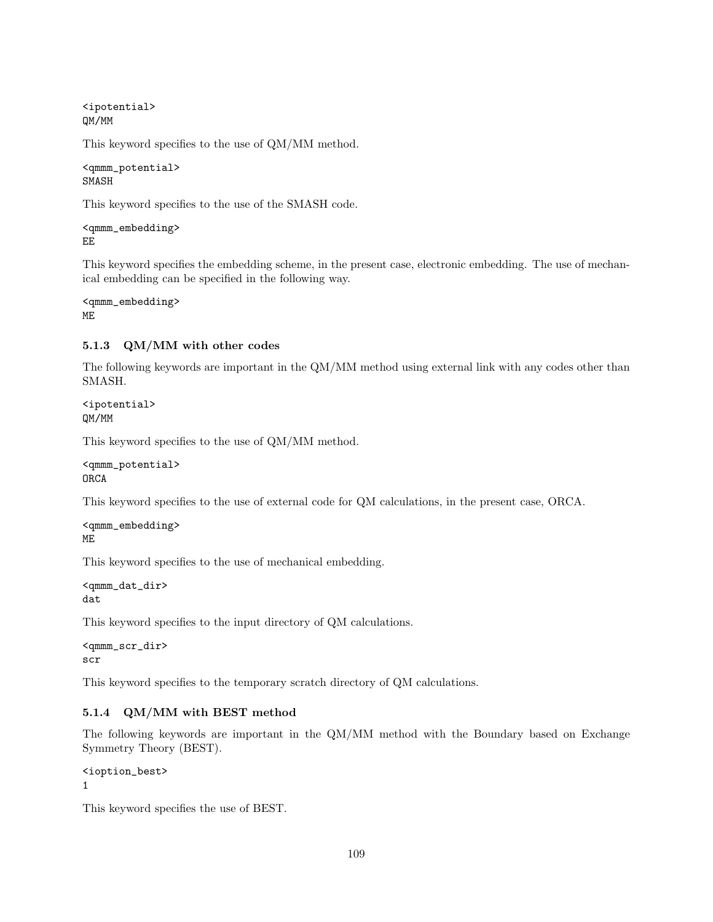<ipotential> QM/MM

This keyword specifies to the use of QM/MM method.

```
<qmmm_potential>
SMASH
```
This keyword specifies to the use of the SMASH code.

```
<qmmm_embedding>
EE
```
This keyword specifies the embedding scheme, in the present case, electronic embedding. The use of mechanical embedding can be specified in the following way.

<qmmm\_embedding> ME

# **5.1.3 QM/MM with other codes**

The following keywords are important in the QM/MM method using external link with any codes other than SMASH.

<ipotential> QM/MM

This keyword specifies to the use of QM/MM method.

```
<qmmm_potential>
ORCA
```
This keyword specifies to the use of external code for QM calculations, in the present case, ORCA.

```
<qmmm_embedding>
ME
```
This keyword specifies to the use of mechanical embedding.

```
<qmmm_dat_dir>
dat
```
This keyword specifies to the input directory of QM calculations.

```
<qmmm_scr_dir>
scr
```
This keyword specifies to the temporary scratch directory of QM calculations.

## **5.1.4 QM/MM with BEST method**

The following keywords are important in the QM/MM method with the Boundary based on Exchange Symmetry Theory (BEST).

```
<ioption_best>
```
1

This keyword specifies the use of BEST.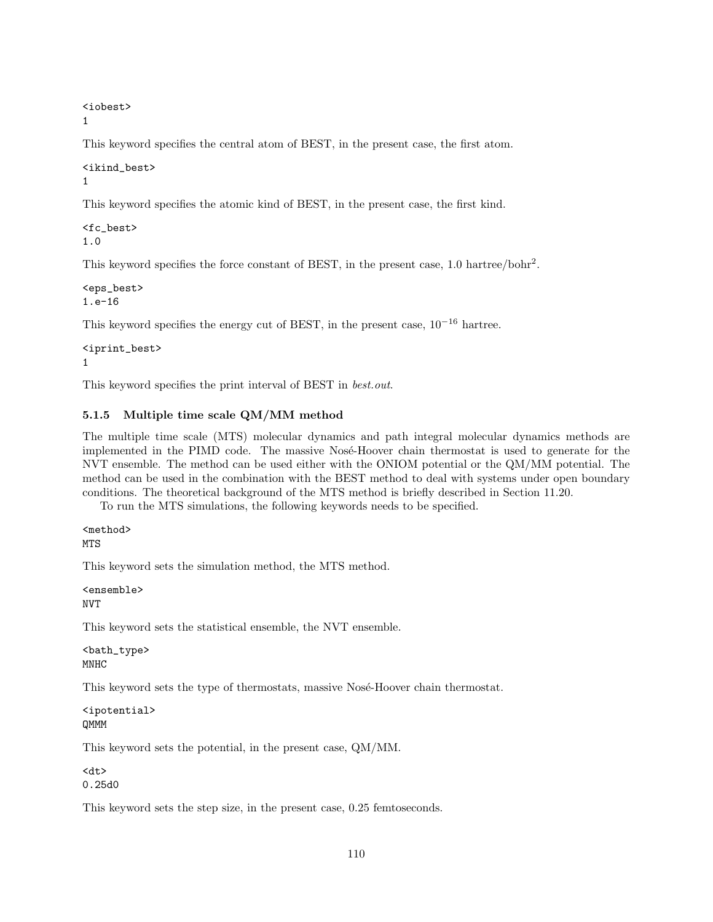<iobest> 1

This keyword specifies the central atom of BEST, in the present case, the first atom.

```
<ikind_best>
1
```
This keyword specifies the atomic kind of BEST, in the present case, the first kind.

```
<fc_best>
1.0
```
This keyword specifies the force constant of BEST, in the present case, 1.0 hartree/bohr<sup>2</sup>.

<eps\_best> 1.e-16

This keyword specifies the energy cut of BEST, in the present case, 10*−*<sup>16</sup> hartree.

```
<iprint_best>
1
```
This keyword specifies the print interval of BEST in *best.out*.

# **5.1.5 Multiple time scale QM/MM method**

The multiple time scale (MTS) molecular dynamics and path integral molecular dynamics methods are implemented in the PIMD code. The massive Nosé-Hoover chain thermostat is used to generate for the NVT ensemble. The method can be used either with the ONIOM potential or the QM/MM potential. The method can be used in the combination with the BEST method to deal with systems under open boundary conditions. The theoretical background of the MTS method is briefly described in Section 11.20.

To run the MTS simulations, the following keywords needs to be specified.

<method> MTS

This keyword sets the simulation method, the MTS method.

```
<ensemble>
NVT
```
This keyword sets the statistical ensemble, the NVT ensemble.

<bath\_type> MNHC

This keyword sets the type of thermostats, massive Nosé-Hoover chain thermostat.

```
<ipotential>
QMMM
```
This keyword sets the potential, in the present case, QM/MM.

<dt> 0.25d0

This keyword sets the step size, in the present case, 0.25 femtoseconds.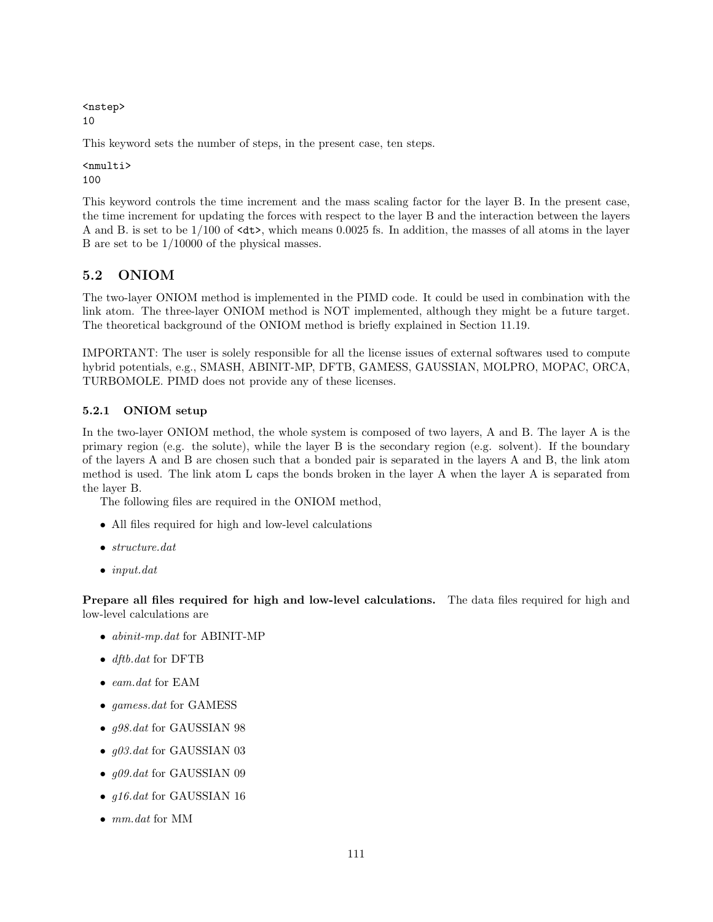<nstep> 10

This keyword sets the number of steps, in the present case, ten steps.

<nmulti> 100

This keyword controls the time increment and the mass scaling factor for the layer B. In the present case, the time increment for updating the forces with respect to the layer B and the interaction between the layers A and B. is set to be 1*/*100 of <dt>, which means 0.0025 fs. In addition, the masses of all atoms in the layer B are set to be 1*/*10000 of the physical masses.

# **5.2 ONIOM**

The two-layer ONIOM method is implemented in the PIMD code. It could be used in combination with the link atom. The three-layer ONIOM method is NOT implemented, although they might be a future target. The theoretical background of the ONIOM method is briefly explained in Section 11.19.

IMPORTANT: The user is solely responsible for all the license issues of external softwares used to compute hybrid potentials, e.g., SMASH, ABINIT-MP, DFTB, GAMESS, GAUSSIAN, MOLPRO, MOPAC, ORCA, TURBOMOLE. PIMD does not provide any of these licenses.

# **5.2.1 ONIOM setup**

In the two-layer ONIOM method, the whole system is composed of two layers, A and B. The layer A is the primary region (e.g. the solute), while the layer B is the secondary region (e.g. solvent). If the boundary of the layers A and B are chosen such that a bonded pair is separated in the layers A and B, the link atom method is used. The link atom L caps the bonds broken in the layer A when the layer A is separated from the layer B.

The following files are required in the ONIOM method,

- *•* All files required for high and low-level calculations
- *• structure.dat*
- *• input.dat*

**Prepare all files required for high and low-level calculations.** The data files required for high and low-level calculations are

- *• abinit-mp.dat* for ABINIT-MP
- *• dftb.dat* for DFTB
- *• eam.dat* for EAM
- *• gamess.dat* for GAMESS
- *• g98.dat* for GAUSSIAN 98
- *• g03.dat* for GAUSSIAN 03
- *• g09.dat* for GAUSSIAN 09
- *• g16.dat* for GAUSSIAN 16
- *• mm.dat* for MM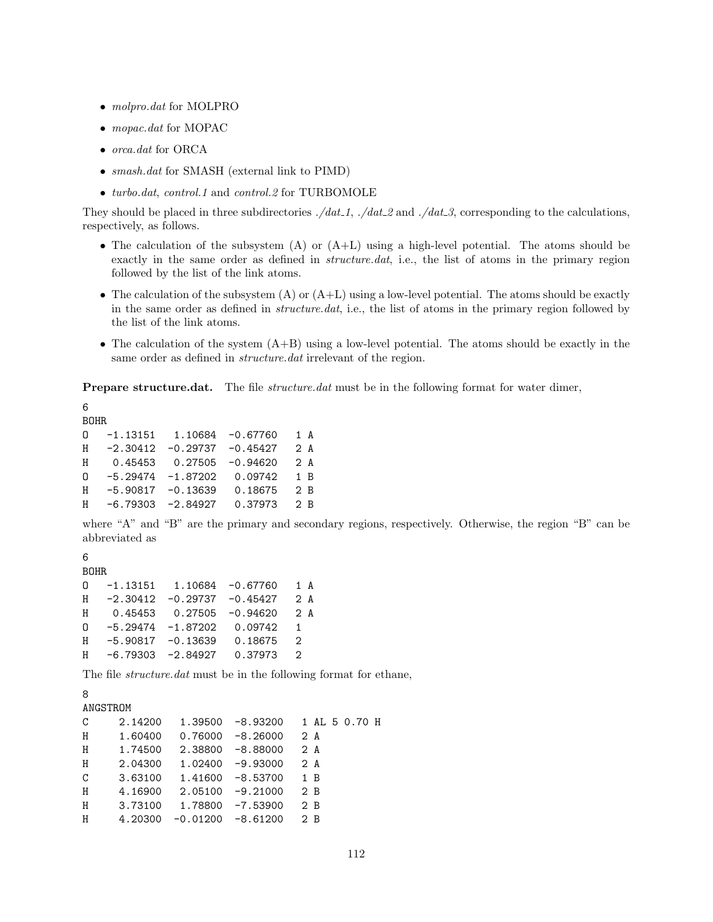- *• molpro.dat* for MOLPRO
- *• mopac.dat* for MOPAC
- *• orca.dat* for ORCA
- *• smash.dat* for SMASH (external link to PIMD)
- *• turbo.dat*, *control.1* and *control.2* for TURBOMOLE

They should be placed in three subdirectories *./dat 1*, *./dat 2* and *./dat 3*, corresponding to the calculations, respectively, as follows.

- The calculation of the subsystem (A) or (A+L) using a high-level potential. The atoms should be exactly in the same order as defined in *structure.dat*, i.e., the list of atoms in the primary region followed by the list of the link atoms.
- The calculation of the subsystem (A) or  $(A+L)$  using a low-level potential. The atoms should be exactly in the same order as defined in *structure.dat*, i.e., the list of atoms in the primary region followed by the list of the link atoms.
- The calculation of the system  $(A+B)$  using a low-level potential. The atoms should be exactly in the same order as defined in *structure.dat* irrelevant of the region.

**Prepare structure.dat.** The file *structure.dat* must be in the following format for water dimer,

| 6           |                      |          |                      |                |
|-------------|----------------------|----------|----------------------|----------------|
| <b>BOHR</b> |                      |          |                      |                |
| 0           | $-1.13151$           | 1.10684  | $-0.67760$           | $1 \text{ A}$  |
| Η           | $-2.30412$           |          | $-0.29737 - 0.45427$ | 2A             |
| Η           | 0.45453              | 0.27505  | $-0.94620$           | 2A             |
| 0           | $-5.29474$           | -1.87202 | 0.09742              | 1 B            |
| Η           | $-5.90817$           | -0.13639 | 0.18675              | 2B             |
| H           | $-6.79303 - 2.84927$ |          | 0.37973              | 2 <sub>B</sub> |
|             |                      |          |                      |                |

where "A" and "B" are the primary and secondary regions, respectively. Otherwise, the region "B" can be abbreviated as

6 BOHR

| U. | $-1.13151$ $1.10684$ $-0.67760$ |         | 1 A           |
|----|---------------------------------|---------|---------------|
| н  | $-2.30412 - 0.29737 - 0.45427$  |         | 2A            |
| H  | $0.45453$ $0.27505$ $-0.94620$  |         | 2A            |
| U  | $-5.29474 -1.87202$             | 0.09742 | $\mathbf{1}$  |
| н  | $-5.90817 - 0.13639$            | 0.18675 | $2^{1}$       |
| H  | -6.79303 -2.84927               | 0.37973 | $\mathcal{P}$ |

The file *structure.dat* must be in the following format for ethane,

8 ANGSTROM

| ANGSIKUM |         |                      |                     |               |  |  |
|----------|---------|----------------------|---------------------|---------------|--|--|
| C        | 2.14200 |                      | $1.39500 - 8.93200$ | 1 AL 5 0.70 H |  |  |
| H        | 1.60400 |                      | $0.76000 - 8.26000$ | 2 A           |  |  |
| H        | 1.74500 |                      | $2.38800 - 8.88000$ | 2 A           |  |  |
| H        | 2.04300 |                      | $1.02400 - 9.93000$ | 2 A           |  |  |
| C        | 3.63100 |                      | $1.41600 - 8.53700$ | 1 B           |  |  |
| H        | 4.16900 |                      | $2.05100 - 9.21000$ | 2B            |  |  |
| H        | 3.73100 |                      | $1.78800 - 7.53900$ | 2B            |  |  |
| H        | 4.20300 | $-0.01200 - 8.61200$ |                     | 2B            |  |  |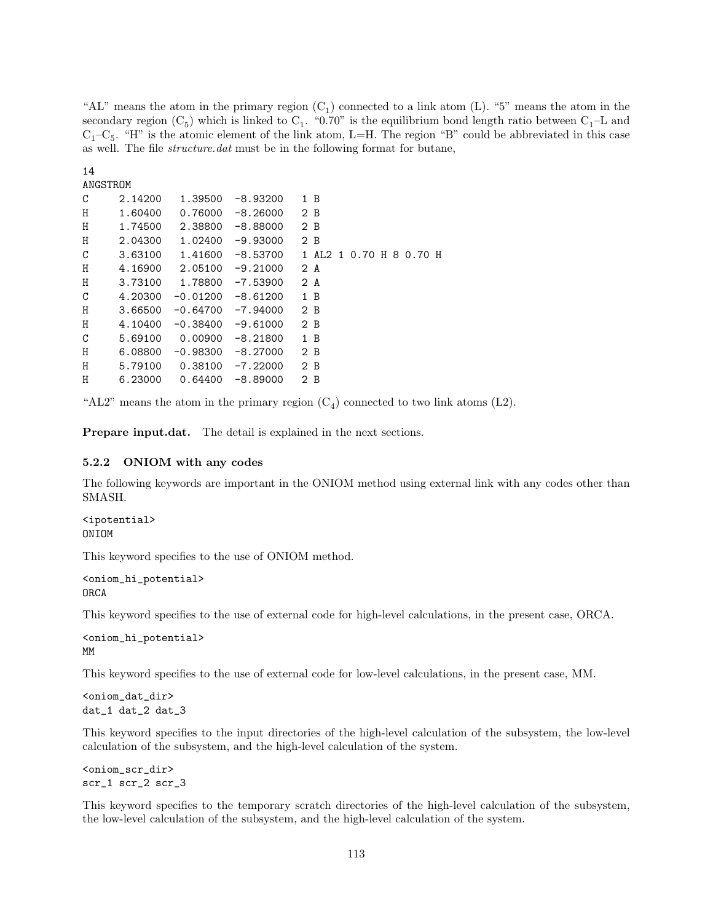"AL" means the atom in the primary region  $(C_1)$  connected to a link atom  $(L)$ . "5" means the atom in the secondary region  $(C_5)$  which is linked to  $C_1$ . "0.70" is the equilibrium bond length ratio between  $C_1$ -L and  $C_1 - C_5$ . "H" is the atomic element of the link atom, L=H. The region "B" could be abbreviated in this case as well. The file *structure.dat* must be in the following format for butane,

| 14 |          |            |            |                         |
|----|----------|------------|------------|-------------------------|
|    | ANGSTROM |            |            |                         |
| C  | 2.14200  | 1.39500    | $-8.93200$ | 1 B                     |
| Η  | 1.60400  | 0.76000    | $-8.26000$ | 2B                      |
| Η  | 1.74500  | 2.38800    | $-8.88000$ | 2 B                     |
| Η  | 2.04300  | 1.02400    | $-9.93000$ | 2B                      |
| C  | 3.63100  | 1.41600    | $-8.53700$ | 1 AL2 1 0.70 H 8 0.70 H |
| Η  | 4.16900  | 2.05100    | $-9.21000$ | 2A                      |
| Η  | 3.73100  | 1.78800    | $-7.53900$ | 2 A                     |
| C  | 4.20300  | $-0.01200$ | $-8.61200$ | 1 B                     |
| Η  | 3.66500  | $-0.64700$ | $-7.94000$ | 2 B                     |
| Η  | 4.10400  | $-0.38400$ | $-9.61000$ | 2B                      |
| C  | 5.69100  | 0.00900    | $-8.21800$ | 1 B                     |
| Η  | 6.08800  | $-0.98300$ | $-8.27000$ | 2B                      |
|    |          |            |            |                         |

H 5.79100 0.38100 -7.22000 2 B H 6.23000 0.64400 -8.89000 2 B

"AL2" means the atom in the primary region  $(C_4)$  connected to two link atoms (L2).

**Prepare input.dat.** The detail is explained in the next sections.

## **5.2.2 ONIOM with any codes**

The following keywords are important in the ONIOM method using external link with any codes other than SMASH.

```
<ipotential>
ONIOM
```
This keyword specifies to the use of ONIOM method.

```
<oniom_hi_potential>
ORCA
```
This keyword specifies to the use of external code for high-level calculations, in the present case, ORCA.

```
<oniom_hi_potential>
MM
```
This keyword specifies to the use of external code for low-level calculations, in the present case, MM.

```
<oniom_dat_dir>
dat_1 dat_2 dat_3
```
This keyword specifies to the input directories of the high-level calculation of the subsystem, the low-level calculation of the subsystem, and the high-level calculation of the system.

```
<oniom_scr_dir>
scr_1 scr_2 scr_3
```
This keyword specifies to the temporary scratch directories of the high-level calculation of the subsystem, the low-level calculation of the subsystem, and the high-level calculation of the system.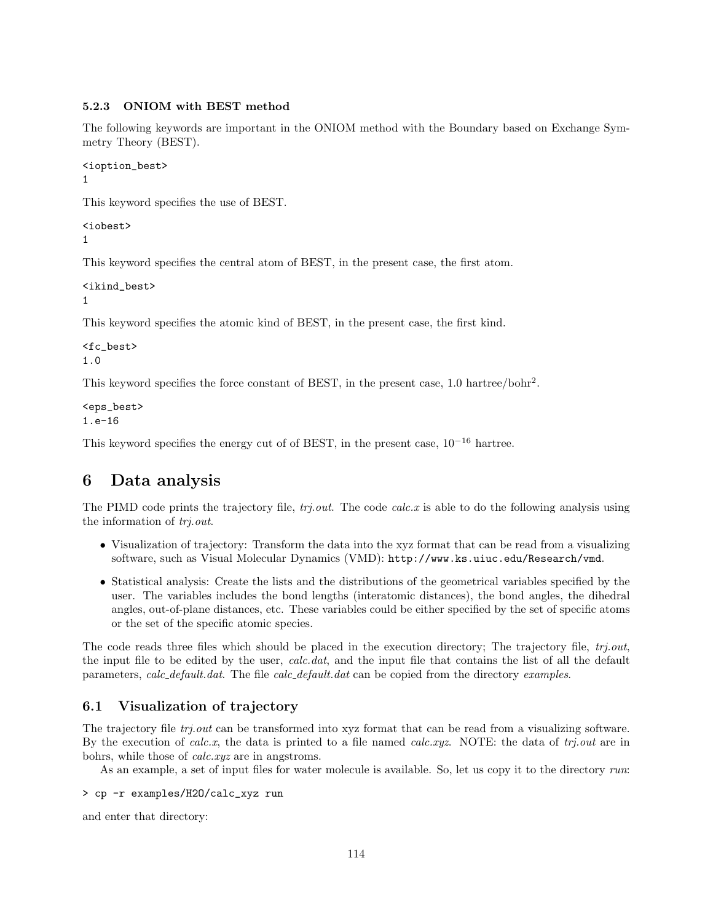# **5.2.3 ONIOM with BEST method**

The following keywords are important in the ONIOM method with the Boundary based on Exchange Symmetry Theory (BEST).

<ioption\_best> 1

This keyword specifies the use of BEST.

<iobest> 1

This keyword specifies the central atom of BEST, in the present case, the first atom.

<ikind\_best> 1

This keyword specifies the atomic kind of BEST, in the present case, the first kind.

<fc\_best> 1.0

This keyword specifies the force constant of BEST, in the present case, 1.0 hartree/bohr<sup>2</sup>.

<eps\_best> 1.e-16

This keyword specifies the energy cut of of BEST, in the present case, 10*−*<sup>16</sup> hartree.

# **6 Data analysis**

The PIMD code prints the trajectory file, *trj.out*. The code *calc.x* is able to do the following analysis using the information of *trj.out*.

- Visualization of trajectory: Transform the data into the xyz format that can be read from a visualizing software, such as Visual Molecular Dynamics (VMD): http://www.ks.uiuc.edu/Research/vmd.
- *•* Statistical analysis: Create the lists and the distributions of the geometrical variables specified by the user. The variables includes the bond lengths (interatomic distances), the bond angles, the dihedral angles, out-of-plane distances, etc. These variables could be either specified by the set of specific atoms or the set of the specific atomic species.

The code reads three files which should be placed in the execution directory; The trajectory file, *trj.out*, the input file to be edited by the user, *calc.dat*, and the input file that contains the list of all the default parameters, *calc default.dat*. The file *calc default.dat* can be copied from the directory *examples*.

# **6.1 Visualization of trajectory**

The trajectory file *trj.out* can be transformed into xyz format that can be read from a visualizing software. By the execution of *calc.x*, the data is printed to a file named *calc.xyz*. NOTE: the data of *trj.out* are in bohrs, while those of *calc.xyz* are in angstroms.

As an example, a set of input files for water molecule is available. So, let us copy it to the directory *run*:

## > cp -r examples/H2O/calc\_xyz run

and enter that directory: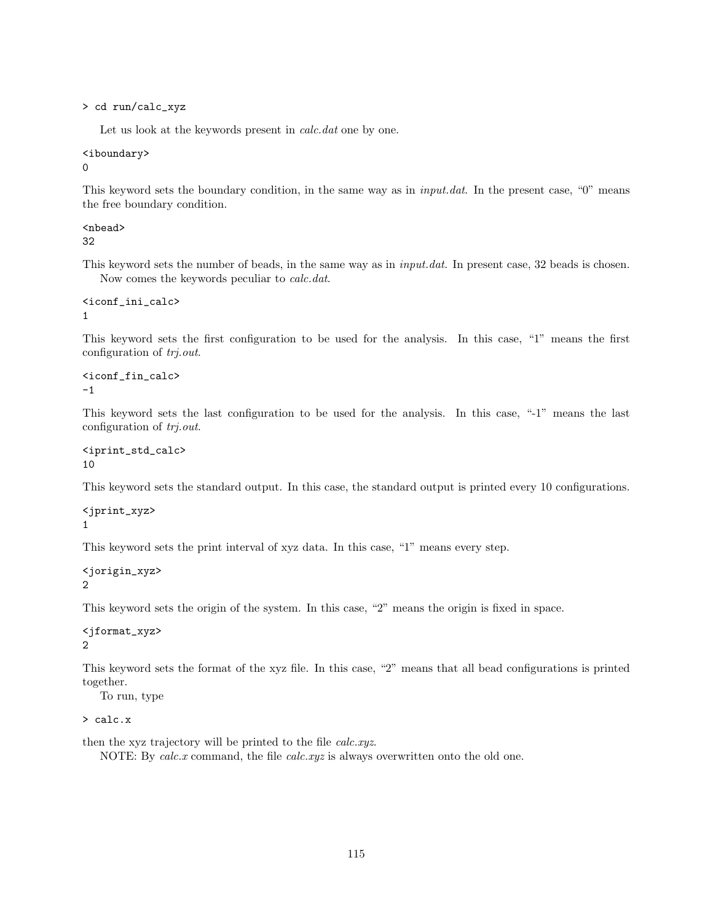> cd run/calc\_xyz

Let us look at the keywords present in *calc.dat* one by one.

```
<iboundary>
```
0

This keyword sets the boundary condition, in the same way as in *input.dat*. In the present case, "0" means the free boundary condition.

<nbead>

32

This keyword sets the number of beads, in the same way as in *input.dat*. In present case, 32 beads is chosen. Now comes the keywords peculiar to *calc.dat*.

<iconf\_ini\_calc> 1

This keyword sets the first configuration to be used for the analysis. In this case, "1" means the first configuration of *trj.out*.

<iconf\_fin\_calc> -1

This keyword sets the last configuration to be used for the analysis. In this case, "-1" means the last configuration of *trj.out*.

<iprint\_std\_calc> 10

This keyword sets the standard output. In this case, the standard output is printed every 10 configurations.

<jprint\_xyz> 1

This keyword sets the print interval of xyz data. In this case, "1" means every step.

<jorigin\_xyz> 2

This keyword sets the origin of the system. In this case, "2" means the origin is fixed in space.

<jformat\_xyz> 2

This keyword sets the format of the xyz file. In this case, "2" means that all bead configurations is printed together.

To run, type

```
> calc.x
```
then the xyz trajectory will be printed to the file *calc.xyz*.

NOTE: By *calc.x* command, the file *calc.xyz* is always overwritten onto the old one.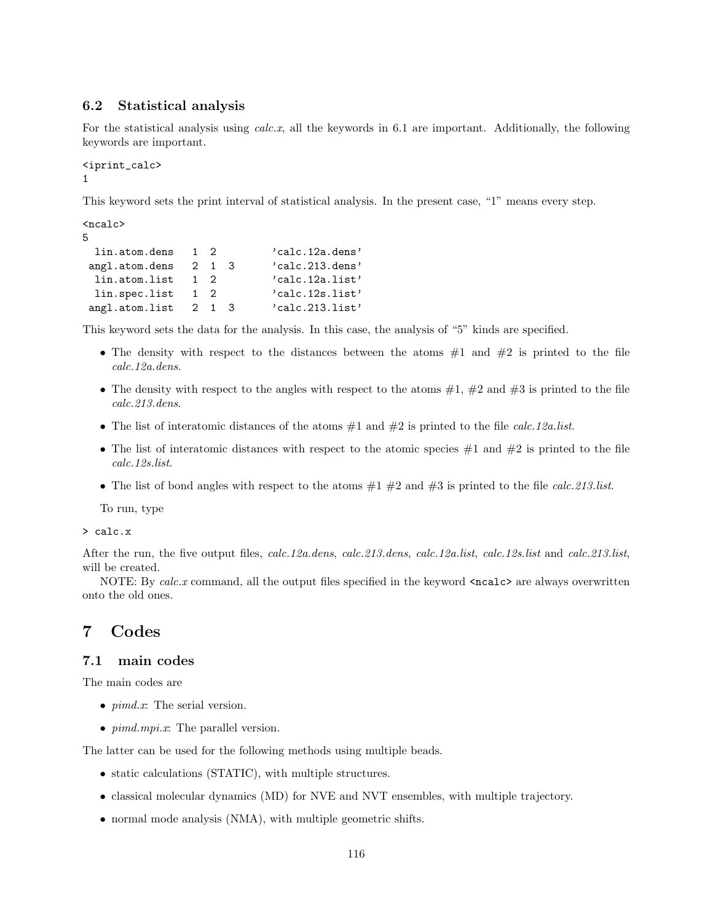# **6.2 Statistical analysis**

For the statistical analysis using *calc.x*, all the keywords in 6.1 are important. Additionally, the following keywords are important.

<iprint\_calc> 1

This keyword sets the print interval of statistical analysis. In the present case, "1" means every step.

```
<ncalc>
5
 lin.atom.dens 1 2 'calc.12a.dens'
angl.atom.dens 2 1 3 'calc.213.dens'
 lin.atom.list 1 2 'calc.12a.list'
 lin.spec.list 1 2 'calc.12s.list'
angl.atom.list 2 1 3 'calc.213.list'
```
This keyword sets the data for the analysis. In this case, the analysis of "5" kinds are specified.

- The density with respect to the distances between the atoms  $#1$  and  $#2$  is printed to the file *calc.12a.dens*.
- The density with respect to the angles with respect to the atoms  $\#1, \#2$  and  $\#3$  is printed to the file *calc.213.dens*.
- The list of interatomic distances of the atoms  $#1$  and  $#2$  is printed to the file *calc.12a.list.*
- The list of interatomic distances with respect to the atomic species  $#1$  and  $#2$  is printed to the file *calc.12s.list*.
- The list of bond angles with respect to the atoms  $#1 \#2$  and  $#3$  is printed to the file *calc.213.list*.

To run, type

```
> calc.x
```
After the run, the five output files, *calc.12a.dens*, *calc.213.dens*, *calc.12a.list*, *calc.12s.list* and *calc.213.list*, will be created.

NOTE: By *calc.x* command, all the output files specified in the keyword <ncalc> are always overwritten onto the old ones.

# **7 Codes**

# **7.1 main codes**

The main codes are

- *• pimd.x*: The serial version.
- *• pimd.mpi.x*: The parallel version.

The latter can be used for the following methods using multiple beads.

- *•* static calculations (STATIC), with multiple structures.
- classical molecular dynamics (MD) for NVE and NVT ensembles, with multiple trajectory.
- *•* normal mode analysis (NMA), with multiple geometric shifts.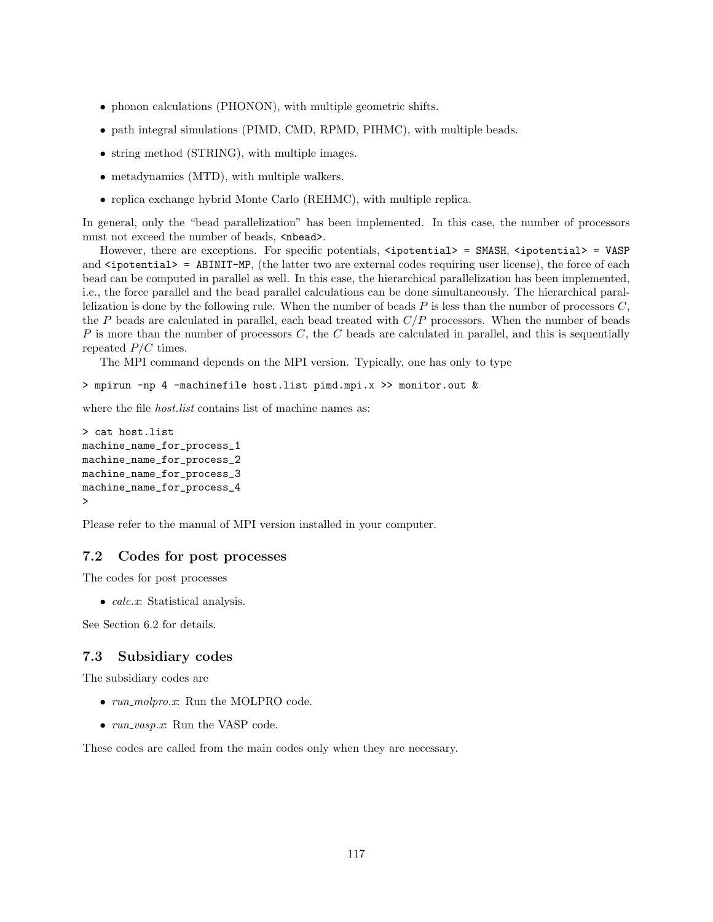- phonon calculations (PHONON), with multiple geometric shifts.
- *•* path integral simulations (PIMD, CMD, RPMD, PIHMC), with multiple beads.
- *•* string method (STRING), with multiple images.
- metadynamics (MTD), with multiple walkers.
- replica exchange hybrid Monte Carlo (REHMC), with multiple replica.

In general, only the "bead parallelization" has been implemented. In this case, the number of processors must not exceed the number of beads, <nbead>.

However, there are exceptions. For specific potentials, <ipotential> = SMASH, <ipotential> = VASP and  $\langle$ ipotential> = ABINIT-MP, (the latter two are external codes requiring user license), the force of each bead can be computed in parallel as well. In this case, the hierarchical parallelization has been implemented, i.e., the force parallel and the bead parallel calculations can be done simultaneously. The hierarchical parallelization is done by the following rule. When the number of beads *P* is less than the number of processors *C*, the *P* beads are calculated in parallel, each bead treated with *C/P* processors. When the number of beads *P* is more than the number of processors *C*, the *C* beads are calculated in parallel, and this is sequentially repeated *P/C* times.

The MPI command depends on the MPI version. Typically, one has only to type

> mpirun -np 4 -machinefile host.list pimd.mpi.x >> monitor.out &

where the file *host.list* contains list of machine names as:

```
> cat host.list
machine_name_for_process_1
machine_name_for_process_2
machine_name_for_process_3
machine_name_for_process_4
>
```
Please refer to the manual of MPI version installed in your computer.

# **7.2 Codes for post processes**

The codes for post processes

*• calc.x*: Statistical analysis.

See Section 6.2 for details.

### **7.3 Subsidiary codes**

The subsidiary codes are

- *• run molpro.x*: Run the MOLPRO code.
- *• run vasp.x*: Run the VASP code.

These codes are called from the main codes only when they are necessary.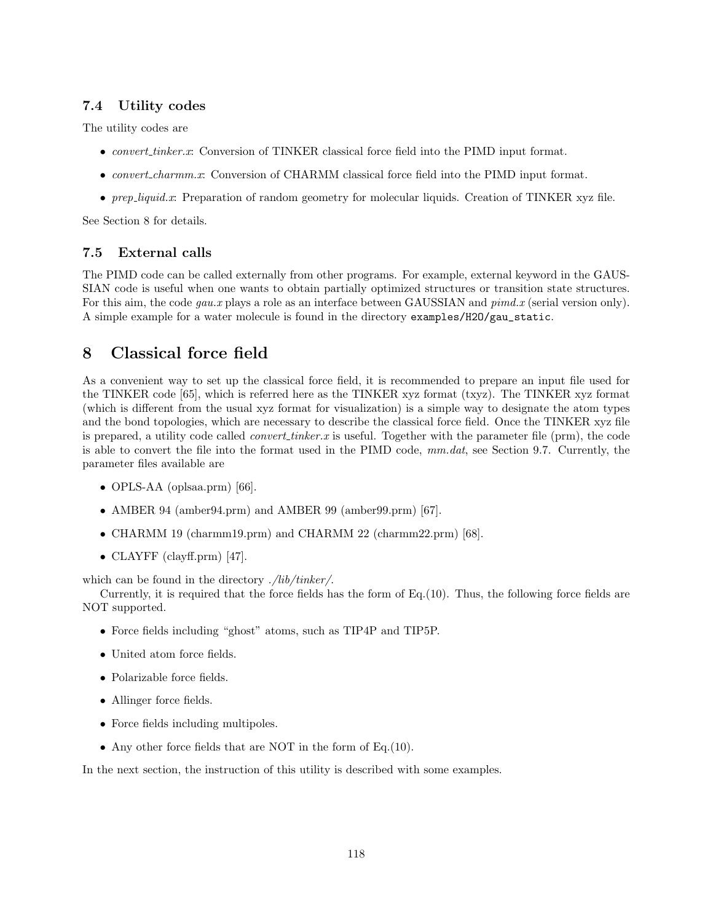# **7.4 Utility codes**

The utility codes are

- *convert\_tinker.x*: Conversion of TINKER classical force field into the PIMD input format.
- *convert\_charmm.x*: Conversion of CHARMM classical force field into the PIMD input format.
- *prep\_liquid.x*: Preparation of random geometry for molecular liquids. Creation of TINKER xyz file.

See Section 8 for details.

# **7.5 External calls**

The PIMD code can be called externally from other programs. For example, external keyword in the GAUS-SIAN code is useful when one wants to obtain partially optimized structures or transition state structures. For this aim, the code *gau.x* plays a role as an interface between GAUSSIAN and *pimd.x* (serial version only). A simple example for a water molecule is found in the directory examples/H2O/gau\_static.

# **8 Classical force field**

As a convenient way to set up the classical force field, it is recommended to prepare an input file used for the TINKER code [65], which is referred here as the TINKER xyz format (txyz). The TINKER xyz format (which is different from the usual xyz format for visualization) is a simple way to designate the atom types and the bond topologies, which are necessary to describe the classical force field. Once the TINKER xyz file is prepared, a utility code called *convert tinker.x* is useful. Together with the parameter file (prm), the code is able to convert the file into the format used in the PIMD code, *mm.dat*, see Section 9.7. Currently, the parameter files available are

- *•* OPLS-AA (oplsaa.prm) [66].
- *•* AMBER 94 (amber94.prm) and AMBER 99 (amber99.prm) [67].
- *•* CHARMM 19 (charmm19.prm) and CHARMM 22 (charmm22.prm) [68].
- *•* CLAYFF (clayff.prm) [47].

which can be found in the directory *./lib/tinker/*.

Currently, it is required that the force fields has the form of  $Eq.(10)$ . Thus, the following force fields are NOT supported.

- *•* Force fields including "ghost" atoms, such as TIP4P and TIP5P.
- *•* United atom force fields.
- Polarizable force fields.
- Allinger force fields.
- *•* Force fields including multipoles.
- Any other force fields that are NOT in the form of Eq.(10).

In the next section, the instruction of this utility is described with some examples.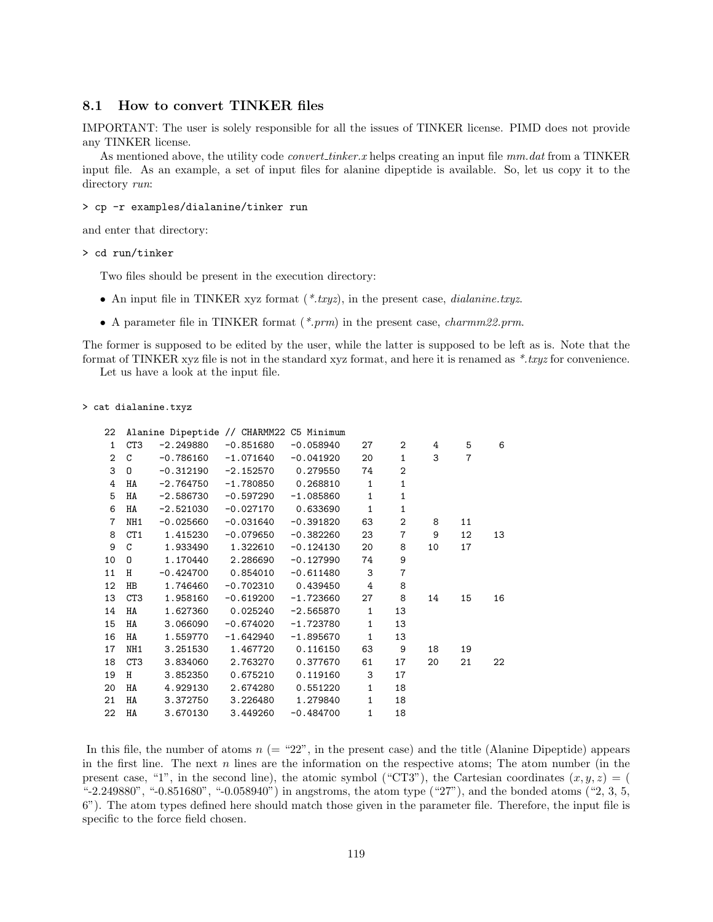## **8.1 How to convert TINKER files**

IMPORTANT: The user is solely responsible for all the issues of TINKER license. PIMD does not provide any TINKER license.

As mentioned above, the utility code *convert tinker.x* helps creating an input file *mm.dat* from a TINKER input file. As an example, a set of input files for alanine dipeptide is available. So, let us copy it to the directory *run*:

## > cp -r examples/dialanine/tinker run

and enter that directory:

> cd run/tinker

Two files should be present in the execution directory:

- *•* An input file in TINKER xyz format (*\*.txyz*), in the present case, *dialanine.txyz*.
- *•* A parameter file in TINKER format (*\*.prm*) in the present case, *charmm22.prm*.

The former is supposed to be edited by the user, while the latter is supposed to be left as is. Note that the format of TINKER xyz file is not in the standard xyz format, and here it is renamed as *\*.txyz* for convenience.

Let us have a look at the input file.

> cat dialanine.txyz

| 22             |                 | Alanine Dipeptide // CHARMM22 C5 Minimum |             |             |              |                |    |                |    |
|----------------|-----------------|------------------------------------------|-------------|-------------|--------------|----------------|----|----------------|----|
| $\mathbf{1}$   | CT <sub>3</sub> | $-2.249880$                              | $-0.851680$ | $-0.058940$ | 27           | 2              | 4  | 5              | 6  |
| $\overline{2}$ | C               | $-0.786160$                              | $-1.071640$ | $-0.041920$ | 20           | $\mathbf{1}$   | 3  | $\overline{7}$ |    |
| 3              | 0               | $-0.312190$                              | $-2.152570$ | 0.279550    | 74           | $\overline{2}$ |    |                |    |
| 4              | HA              | $-2.764750$                              | $-1.780850$ | 0.268810    | $\mathbf{1}$ | $\mathbf{1}$   |    |                |    |
| 5              | HA              | $-2.586730$                              | $-0.597290$ | $-1.085860$ | $\mathbf{1}$ | $\mathbf 1$    |    |                |    |
| 6              | HA              | $-2.521030$                              | $-0.027170$ | 0.633690    | $\mathbf{1}$ | $\mathbf{1}$   |    |                |    |
| $\overline{7}$ | NH1             | $-0.025660$                              | $-0.031640$ | $-0.391820$ | 63           | $\overline{2}$ | 8  | 11             |    |
| 8              | CT <sub>1</sub> | 1.415230                                 | $-0.079650$ | $-0.382260$ | 23           | $\overline{7}$ | 9  | 12             | 13 |
| 9              | C               | 1.933490                                 | 1.322610    | $-0.124130$ | 20           | 8              | 10 | 17             |    |
| 10             | $\Omega$        | 1.170440                                 | 2.286690    | $-0.127990$ | 74           | 9              |    |                |    |
| 11             | H               | $-0.424700$                              | 0.854010    | $-0.611480$ | 3            | $\overline{7}$ |    |                |    |
| 12             | HB              | 1.746460                                 | $-0.702310$ | 0.439450    | 4            | 8              |    |                |    |
| 13             | CT <sub>3</sub> | 1.958160                                 | $-0.619200$ | $-1.723660$ | 27           | 8              | 14 | 15             | 16 |
| 14             | HA              | 1.627360                                 | 0.025240    | $-2.565870$ | $\mathbf{1}$ | 13             |    |                |    |
| 15             | HA              | 3.066090                                 | $-0.674020$ | $-1.723780$ | $\mathbf{1}$ | 13             |    |                |    |
| 16             | HA              | 1.559770                                 | $-1.642940$ | $-1.895670$ | $\mathbf{1}$ | 13             |    |                |    |
| 17             | NH <sub>1</sub> | 3.251530                                 | 1.467720    | 0.116150    | 63           | 9              | 18 | 19             |    |
| 18             | CT <sub>3</sub> | 3.834060                                 | 2.763270    | 0.377670    | 61           | 17             | 20 | 21             | 22 |
| 19             | H               | 3.852350                                 | 0.675210    | 0.119160    | 3            | 17             |    |                |    |
| 20             | HA              | 4.929130                                 | 2.674280    | 0.551220    | $\mathbf{1}$ | 18             |    |                |    |
| 21             | HA              | 3.372750                                 | 3.226480    | 1.279840    | $\mathbf{1}$ | 18             |    |                |    |
| 22             | HA              | 3.670130                                 | 3.449260    | $-0.484700$ | $\mathbf{1}$ | 18             |    |                |    |

In this file, the number of atoms  $n (= "22"')$ , in the present case) and the title (Alanine Dipeptide) appears in the first line. The next *n* lines are the information on the respective atoms; The atom number (in the present case, "1", in the second line), the atomic symbol ("CT3"), the Cartesian coordinates  $(x, y, z) = ($ "-2.249880", "-0.851680", "-0.058940") in angstroms, the atom type ("27"), and the bonded atoms ("2, 3, 5, 6"). The atom types defined here should match those given in the parameter file. Therefore, the input file is specific to the force field chosen.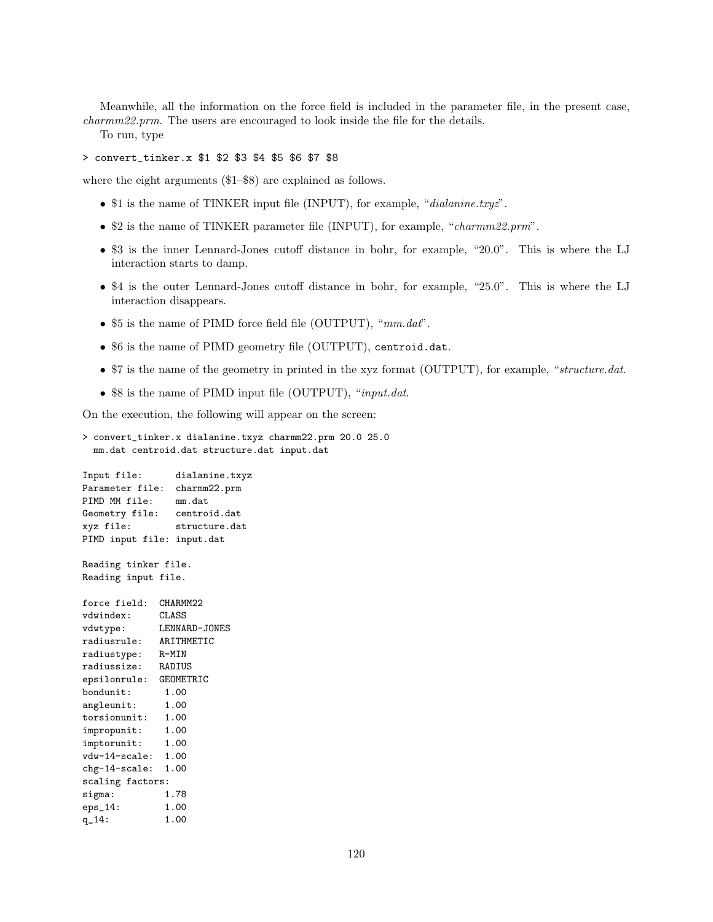Meanwhile, all the information on the force field is included in the parameter file, in the present case, *charmm22.prm*. The users are encouraged to look inside the file for the details.

To run, type

> convert\_tinker.x \$1 \$2 \$3 \$4 \$5 \$6 \$7 \$8

where the eight arguments (\$1–\$8) are explained as follows.

- *•* \$1 is the name of TINKER input file (INPUT), for example, "*dialanine.txyz*".
- *•* \$2 is the name of TINKER parameter file (INPUT), for example, "*charmm22.prm*".
- \$3 is the inner Lennard-Jones cutoff distance in bohr, for example, "20.0". This is where the LJ interaction starts to damp.
- \$4 is the outer Lennard-Jones cutoff distance in bohr, for example, "25.0". This is where the LJ interaction disappears.
- *•* \$5 is the name of PIMD force field file (OUTPUT), "*mm.dat*".
- *•* \$6 is the name of PIMD geometry file (OUTPUT), centroid.dat.
- *•* \$7 is the name of the geometry in printed in the xyz format (OUTPUT), for example, "*structure.dat*.
- *•* \$8 is the name of PIMD input file (OUTPUT), "*input.dat*.

On the execution, the following will appear on the screen:

```
> convert_tinker.x dialanine.txyz charmm22.prm 20.0 25.0
  mm.dat centroid.dat structure.dat input.dat
```
Input file: dialanine.txyz Parameter file: charmm22.prm PIMD MM file: mm.dat Geometry file: centroid.dat xyz file: structure.dat PIMD input file: input.dat Reading tinker file. Reading input file. force field: CHARMM22 vdwindex: CLASS vdwtype: LENNARD-JONES radiusrule: ARITHMETIC radiustype: R-MIN radiussize: RADIUS epsilonrule: GEOMETRIC bondunit: 1.00 angleunit: 1.00 torsionunit: 1.00 impropunit: 1.00 imptorunit: 1.00 vdw-14-scale: 1.00 chg-14-scale: 1.00 scaling factors: sigma: 1.78 eps\_14: 1.00 q\_14: 1.00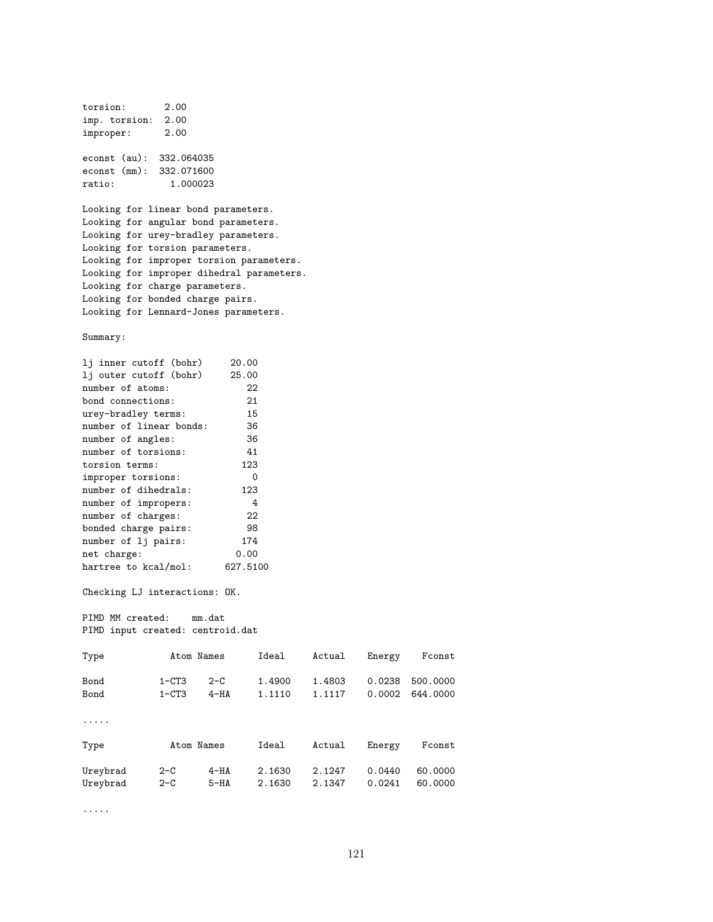torsion: 2.00 imp. torsion: 2.00 improper: 2.00 econst (au): 332.064035 econst (mm): 332.071600 ratio: 1.000023 Looking for linear bond parameters. Looking for angular bond parameters. Looking for urey-bradley parameters. Looking for torsion parameters. Looking for improper torsion parameters. Looking for improper dihedral parameters. Looking for charge parameters. Looking for bonded charge pairs. Looking for Lennard-Jones parameters.

Summary:

| lj inner cutoff (bohr)  | 20.00          |
|-------------------------|----------------|
| lj outer cutoff (bohr)  | 25.00          |
| number of atoms:        | 22             |
| bond connections:       | 21             |
| urey-bradley terms:     | 15             |
| number of linear bonds: | 36             |
| number of angles:       | 36             |
| number of torsions:     | 41             |
| torsion terms:          | 123            |
| improper torsions:      | 0              |
| number of dihedrals:    | 123            |
| number of impropers:    | $\overline{4}$ |
| number of charges:      | 22             |
| bonded charge pairs:    | 98             |
| number of lj pairs:     | 174            |
| net charge:             | 0.00           |
| hartree to kcal/mol:    | 627.5100       |

Checking LJ interactions: OK.

PIMD MM created: mm.dat PIMD input created: centroid.dat

| Type     | Atom Names |         | Ideal  | Actual | Energy | Fconst   |
|----------|------------|---------|--------|--------|--------|----------|
| Bond     | $1 - CT3$  | $2 - C$ | 1.4900 | 1.4803 | 0.0238 | 500,0000 |
| Bond     | $1 - CT3$  | $4-HA$  | 1.1110 | 1.1117 | 0.0002 | 644,0000 |
| .        |            |         |        |        |        |          |
| Type     | Atom Names |         | Ideal  | Actual | Energy | Fconst   |
| Ureybrad | $2 - C$    | $4-HA$  | 2.1630 | 2.1247 | 0.0440 | 60,0000  |
| Ureybrad | $2 - C$    | $5-HA$  | 2.1630 | 2.1347 | 0.0241 | 60,0000  |

.....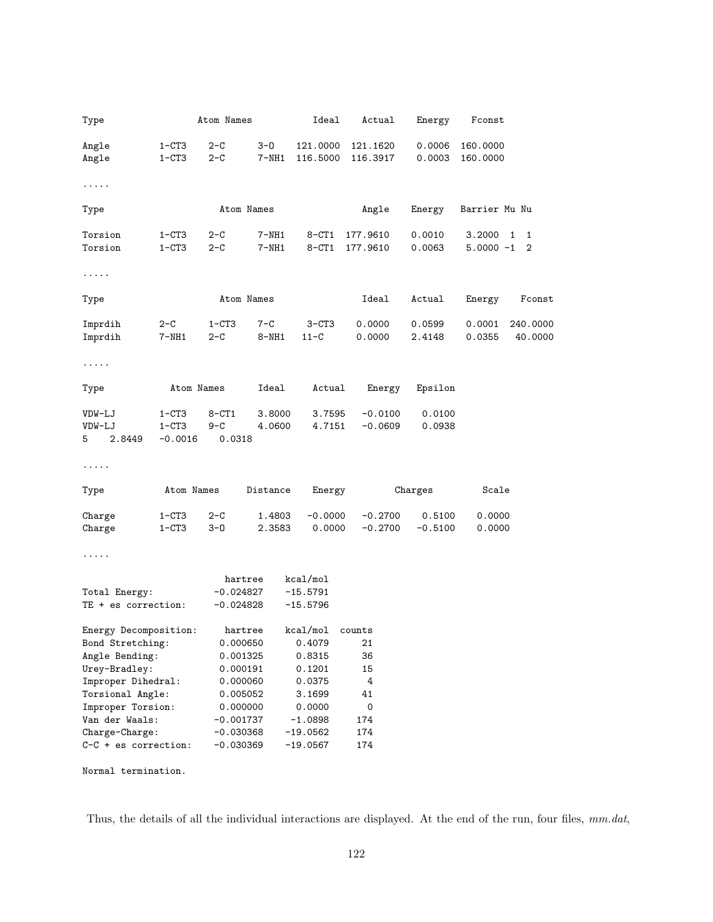| Type                                                                                                                                                          |                                     | Atom Names                                                                                     |                  | Ideal                                                                           | Actual                                          | Energy              | Fconst                                             |  |
|---------------------------------------------------------------------------------------------------------------------------------------------------------------|-------------------------------------|------------------------------------------------------------------------------------------------|------------------|---------------------------------------------------------------------------------|-------------------------------------------------|---------------------|----------------------------------------------------|--|
| Angle<br>Angle                                                                                                                                                | $1 - CT3$<br>$1 - CT3$              | $2 - C$<br>$2 - C$                                                                             | $3 - 0$<br>7-NH1 | 121.0000<br>116.5000                                                            | 121.1620<br>116.3917                            | 0.0006<br>0.0003    | 160.0000<br>160.0000                               |  |
| .                                                                                                                                                             |                                     |                                                                                                |                  |                                                                                 |                                                 |                     |                                                    |  |
| Type                                                                                                                                                          |                                     | Atom Names                                                                                     |                  |                                                                                 | Angle                                           | Energy              | Barrier Mu Nu                                      |  |
| Torsion<br>Torsion                                                                                                                                            | $1 - CT3$<br>$1 - CT3$              | $2 - C$<br>$2-C$                                                                               | 7-NH1<br>$7-NH1$ | $8-CT1$<br>$8-CT1$                                                              | 177.9610<br>177.9610                            | 0.0010<br>0.0063    | 3.2000<br>1<br>1<br>$5.0000 - 1$<br>$\overline{2}$ |  |
| .                                                                                                                                                             |                                     |                                                                                                |                  |                                                                                 |                                                 |                     |                                                    |  |
| Type                                                                                                                                                          |                                     | Atom Names                                                                                     |                  |                                                                                 | Ideal                                           | Actual              | Energy<br>Fconst                                   |  |
| Imprdih<br>Imprdih                                                                                                                                            | $2 - C$<br>7-NH1                    | $1 - CT3$<br>$2 - C$                                                                           | $7 - C$<br>8-NH1 | $3 - CT3$<br>$11-C$                                                             | 0.0000<br>0.0000                                | 0.0599<br>2.4148    | 0.0001<br>240.0000<br>0.0355<br>40.0000            |  |
| .                                                                                                                                                             |                                     |                                                                                                |                  |                                                                                 |                                                 |                     |                                                    |  |
| Type                                                                                                                                                          | Atom Names                          |                                                                                                | Ideal            | Actual                                                                          | Energy                                          | Epsilon             |                                                    |  |
| VDW-LJ<br>VDW-LJ<br>2.8449<br>5.                                                                                                                              | $1 - CT3$<br>$1 - CT3$<br>$-0.0016$ | $8-CT1$<br>$9-C$<br>0.0318                                                                     | 3.8000<br>4.0600 | 3.7595<br>4.7151                                                                | $-0.0100$<br>$-0.0609$                          | 0.0100<br>0.0938    |                                                    |  |
| .                                                                                                                                                             |                                     |                                                                                                |                  |                                                                                 |                                                 |                     |                                                    |  |
| Type                                                                                                                                                          | Atom Names                          |                                                                                                | Distance         | Energy                                                                          |                                                 | Charges             | Scale                                              |  |
| Charge<br>Charge                                                                                                                                              | $1 - CT3$<br>$1 - CT3$              | $2 - C$<br>$3 - 0$                                                                             | 1.4803<br>2.3583 | $-0.0000$<br>0.0000                                                             | $-0.2700$<br>$-0.2700$                          | 0.5100<br>$-0.5100$ | 0.0000<br>0.0000                                   |  |
| .                                                                                                                                                             |                                     |                                                                                                |                  |                                                                                 |                                                 |                     |                                                    |  |
| Total Energy:<br>TE + es correction:                                                                                                                          |                                     | hartree<br>$-0.024827$<br>$-0.024828$                                                          |                  | kcal/mol<br>$-15.5791$<br>$-15.5796$                                            |                                                 |                     |                                                    |  |
| Energy Decomposition:<br>Bond Stretching:<br>Angle Bending:<br>Urey-Bradley:<br>Improper Dihedral:<br>Torsional Angle:<br>Improper Torsion:<br>Van der Waals: |                                     | hartree<br>0.000650<br>0.001325<br>0.000191<br>0.000060<br>0.005052<br>0.000000<br>$-0.001737$ |                  | kcal/mol<br>0.4079<br>0.8315<br>0.1201<br>0.0375<br>3.1699<br>0.0000<br>-1.0898 | counts<br>21<br>36<br>15<br>4<br>41<br>0<br>174 |                     |                                                    |  |
| Charge-Charge:<br>$C-C + es correction:$                                                                                                                      |                                     | -0.030368<br>$-0.030369$                                                                       |                  | $-19.0562$<br>$-19.0567$                                                        | 174<br>174                                      |                     |                                                    |  |

Normal termination.

Thus, the details of all the individual interactions are displayed. At the end of the run, four files, *mm.dat*,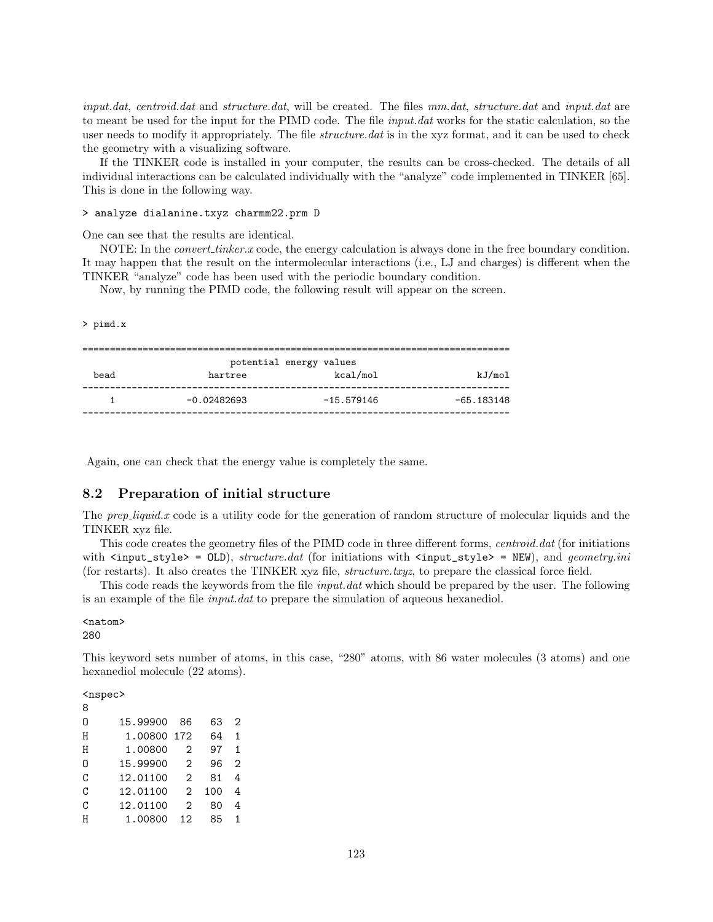*input.dat*, *centroid.dat* and *structure.dat*, will be created. The files *mm.dat*, *structure.dat* and *input.dat* are to meant be used for the input for the PIMD code. The file *input.dat* works for the static calculation, so the user needs to modify it appropriately. The file *structure.dat* is in the xyz format, and it can be used to check the geometry with a visualizing software.

If the TINKER code is installed in your computer, the results can be cross-checked. The details of all individual interactions can be calculated individually with the "analyze" code implemented in TINKER [65]. This is done in the following way.

## > analyze dialanine.txyz charmm22.prm D

One can see that the results are identical.

NOTE: In the *convert tinker.x* code, the energy calculation is always done in the free boundary condition. It may happen that the result on the intermolecular interactions (i.e., LJ and charges) is different when the TINKER "analyze" code has been used with the periodic boundary condition.

Now, by running the PIMD code, the following result will appear on the screen.

#### > pimd.x

| potential energy values |               |              |              |  |  |  |  |
|-------------------------|---------------|--------------|--------------|--|--|--|--|
| bead                    | hartree       | kcal/mol     | kJ/mol       |  |  |  |  |
|                         | $-0.02482693$ | $-15.579146$ | $-65.183148$ |  |  |  |  |
|                         |               |              |              |  |  |  |  |

Again, one can check that the energy value is completely the same.

## **8.2 Preparation of initial structure**

The *prep liquid.x* code is a utility code for the generation of random structure of molecular liquids and the TINKER xyz file.

This code creates the geometry files of the PIMD code in three different forms, *centroid.dat* (for initiations with  $\langle$ input\_style> = 0LD), *structure.dat* (for initiations with  $\langle$ input\_style> = NEW), and *geometry.ini* (for restarts). It also creates the TINKER xyz file, *structure.txyz*, to prepare the classical force field.

This code reads the keywords from the file *input.dat* which should be prepared by the user. The following is an example of the file *input.dat* to prepare the simulation of aqueous hexanediol.

<natom>

280

This keyword sets number of atoms, in this case, "280" atoms, with 86 water molecules (3 atoms) and one hexanediol molecule (22 atoms).

<nspec>

 $\circ$ 

| ပ |             |                   |     |                   |
|---|-------------|-------------------|-----|-------------------|
| 0 | 15.99900    | 86                | 63  | 2                 |
| Η | 1.00800 172 |                   | 64  | 1                 |
| Η | 1.00800     | 2                 | 97  | 1                 |
| 0 | 15.99900    | 2                 | 96  | $\mathcal{D}_{1}$ |
| C | 12.01100    | $\mathcal{D}_{1}$ | 81  | 4                 |
| C | 12.01100    | 2                 | 100 | 4                 |
| C | 12.01100    | $\mathcal{D}_{1}$ | 80  | 4                 |
| Η | 1.00800     | 12                | 85  |                   |
|   |             |                   |     |                   |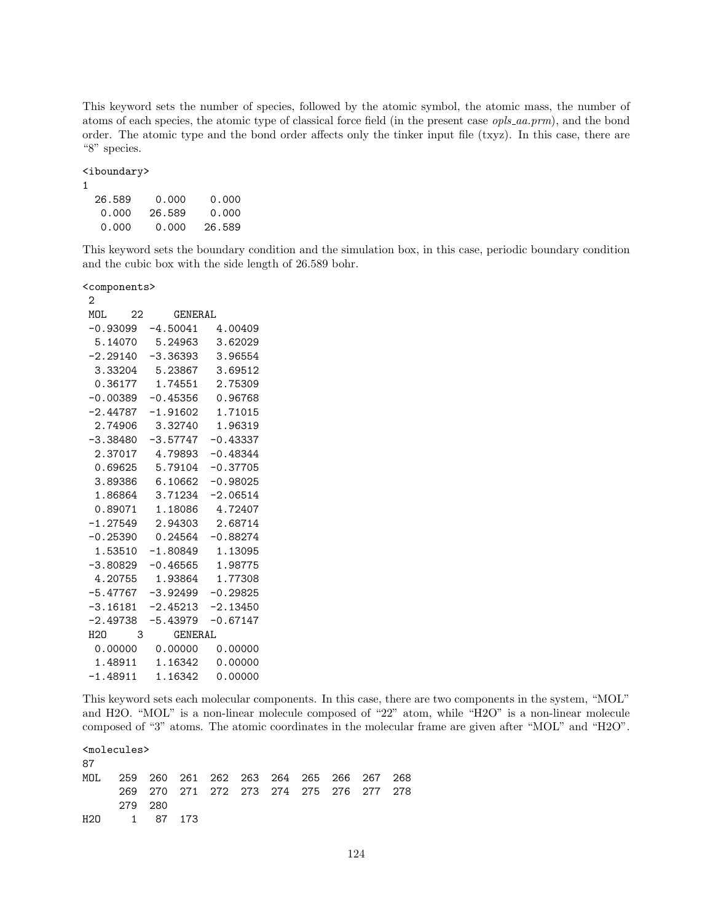This keyword sets the number of species, followed by the atomic symbol, the atomic mass, the number of atoms of each species, the atomic type of classical force field (in the present case *opls aa.prm*), and the bond order. The atomic type and the bond order affects only the tinker input file (txyz). In this case, there are "8" species.

<iboundary>

1

| 26.589 | 0.000  | 0.000  |
|--------|--------|--------|
| 0.000  | 26.589 | 0.000  |
| 0.000  | 0.000  | 26.589 |

This keyword sets the boundary condition and the simulation box, in this case, periodic boundary condition and the cubic box with the side length of 26.589 bohr.

<components> 2 MOL 22 GENERAL  $-0.93099 -4.50041$  4.00409 5.14070 5.24963 3.62029 -2.29140 -3.36393 3.96554 3.33204 5.23867 3.69512 0.36177 1.74551 2.75309 -0.00389 -0.45356 0.96768 -2.44787 -1.91602 1.71015 2.74906 3.32740 1.96319  $-3.38480 -3.57747 -0.43337$ 2.37017 4.79893 -0.48344 0.69625 5.79104 -0.37705 3.89386 6.10662 -0.98025 1.86864 3.71234 -2.06514 0.89071 1.18086 4.72407 -1.27549 2.94303 2.68714  $-0.25390$  0.24564  $-0.88274$ 1.53510 -1.80849 1.13095 -3.80829 -0.46565 1.98775 4.20755 1.93864 1.77308 -5.47767 -3.92499 -0.29825  $-3.16181 -2.45213 -2.13450$  $-2.49738$   $-5.43979$   $-0.67147$ H2O 3 GENERAL 0.00000 0.00000 0.00000 1.48911 1.16342 0.00000 -1.48911 1.16342 0.00000

This keyword sets each molecular components. In this case, there are two components in the system, "MOL" and H2O. "MOL" is a non-linear molecule composed of "22" atom, while "H2O" is a non-linear molecule composed of "3" atoms. The atomic coordinates in the molecular frame are given after "MOL" and "H2O".

<molecules> 87 MOL 259 260 261 262 263 264 265 266 267 268 269 270 271 272 273 274 275 276 277 278 279 280 H2O 1 87 173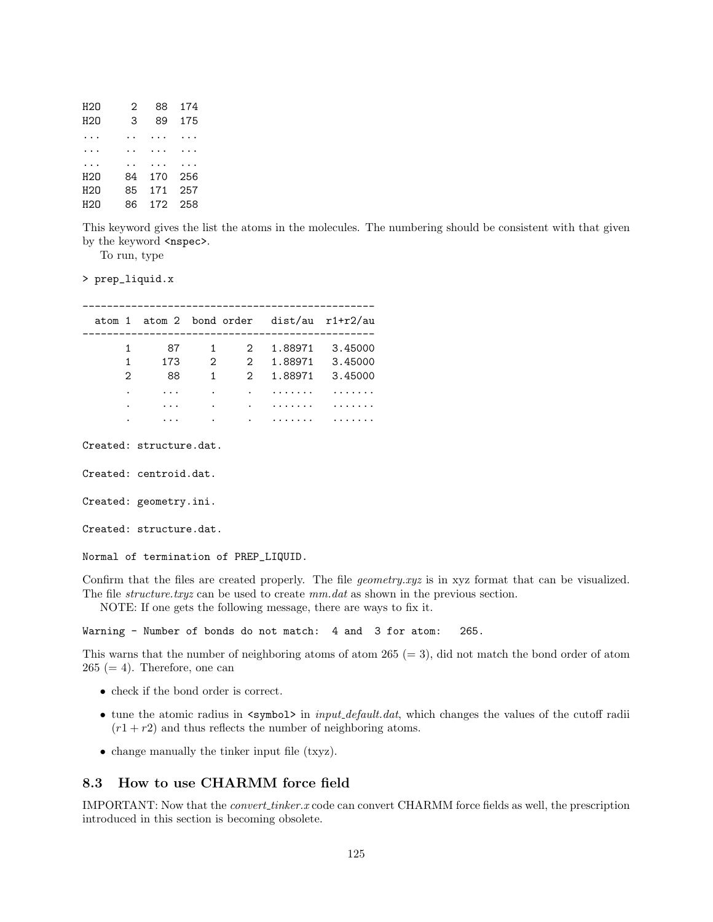| H <sub>20</sub> | 2  | 88  | 174 |
|-----------------|----|-----|-----|
| H <sub>20</sub> | 3  | 89  | 175 |
|                 |    |     |     |
|                 |    |     |     |
|                 |    |     |     |
| H <sub>20</sub> | 84 | 170 | 256 |
| H <sub>20</sub> | 85 | 171 | 257 |
| H <sub>20</sub> | 86 | 172 | 258 |

This keyword gives the list the atoms in the molecules. The numbering should be consistent with that given by the keyword <nspec>.

To run, type

> prep\_liquid.x

|               |     |              |               | atom 1 atom 2 bond order dist/au r1+r2/au |                 |
|---------------|-----|--------------|---------------|-------------------------------------------|-----------------|
|               | 87  | $\mathbf{1}$ | $\mathbf{2}$  | 1.88971                                   | 3.45000         |
| 1             | 173 | $2^{\circ}$  | $\mathcal{P}$ |                                           | 1.88971 3.45000 |
| $\mathcal{L}$ | 88  | $\mathbf{1}$ | $\mathcal{P}$ | 1.88971                                   | 3.45000         |
|               |     | $\bullet$    |               |                                           |                 |
|               |     | $\bullet$    |               |                                           |                 |
|               |     | ٠            |               |                                           |                 |

Created: structure.dat.

Created: centroid.dat.

Created: geometry.ini.

Created: structure.dat.

Normal of termination of PREP\_LIQUID.

Confirm that the files are created properly. The file *geometry.xyz* is in xyz format that can be visualized. The file *structure.txyz* can be used to create *mm.dat* as shown in the previous section.

NOTE: If one gets the following message, there are ways to fix it.

Warning - Number of bonds do not match: 4 and 3 for atom: 265.

This warns that the number of neighboring atoms of atom  $265 (= 3)$ , did not match the bond order of atom  $265 (= 4)$ . Therefore, one can

- *•* check if the bond order is correct.
- tune the atomic radius in  $\langle \text{symbol} \rangle$  in *input default.dat*, which changes the values of the cutoff radii  $(r1 + r2)$  and thus reflects the number of neighboring atoms.
- change manually the tinker input file (txyz).

## **8.3 How to use CHARMM force field**

IMPORTANT: Now that the *convert tinker.x* code can convert CHARMM force fields as well, the prescription introduced in this section is becoming obsolete.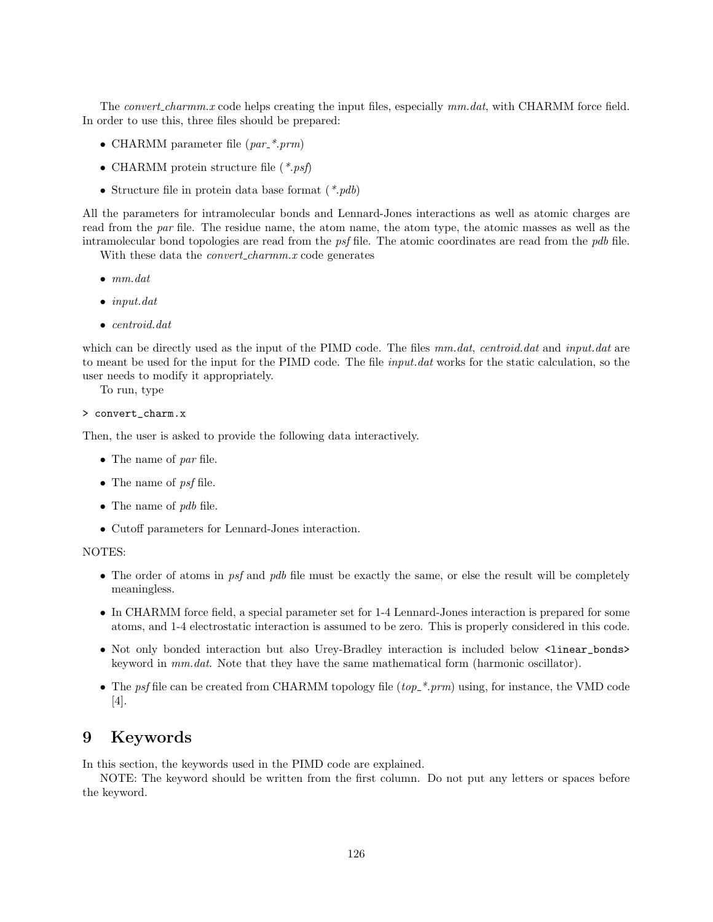The *convert charmm.x* code helps creating the input files, especially *mm.dat*, with CHARMM force field. In order to use this, three files should be prepared:

- *•* CHARMM parameter file (*par \*.prm*)
- *•* CHARMM protein structure file (*\*.psf*)
- *•* Structure file in protein data base format (*\*.pdb*)

All the parameters for intramolecular bonds and Lennard-Jones interactions as well as atomic charges are read from the *par* file. The residue name, the atom name, the atom type, the atomic masses as well as the intramolecular bond topologies are read from the *psf* file. The atomic coordinates are read from the *pdb* file.

With these data the *convert charmm.x* code generates

- *• mm.dat*
- *• input.dat*
- *• centroid.dat*

which can be directly used as the input of the PIMD code. The files *mm.dat*, *centroid.dat* and *input.dat* are to meant be used for the input for the PIMD code. The file *input.dat* works for the static calculation, so the user needs to modify it appropriately.

To run, type

```
> convert_charm.x
```
Then, the user is asked to provide the following data interactively.

- *•* The name of *par* file.
- *•* The name of *psf* file.
- *•* The name of *pdb* file.
- *•* Cutoff parameters for Lennard-Jones interaction.

## NOTES:

- The order of atoms in *psf* and *pdb* file must be exactly the same, or else the result will be completely meaningless.
- In CHARMM force field, a special parameter set for 1-4 Lennard-Jones interaction is prepared for some atoms, and 1-4 electrostatic interaction is assumed to be zero. This is properly considered in this code.
- Not only bonded interaction but also Urey-Bradley interaction is included below <linear\_bonds> keyword in *mm.dat*. Note that they have the same mathematical form (harmonic oscillator).
- *•* The *psf* file can be created from CHARMM topology file (*top \*.prm*) using, for instance, the VMD code [4].

# **9 Keywords**

In this section, the keywords used in the PIMD code are explained.

NOTE: The keyword should be written from the first column. Do not put any letters or spaces before the keyword.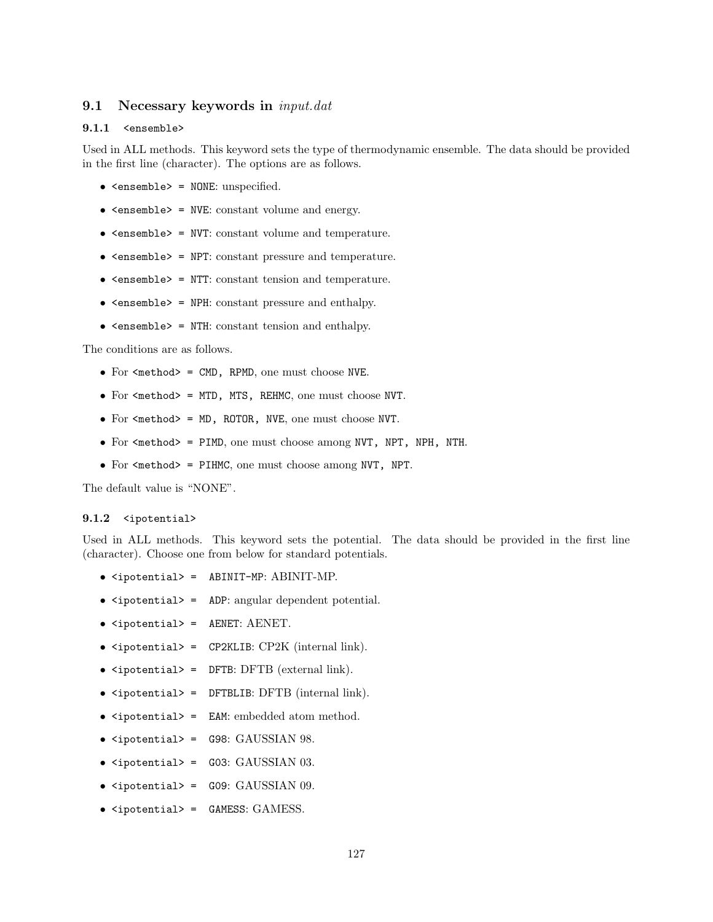## **9.1 Necessary keywords in** *input.dat*

#### **9.1.1** <ensemble>

Used in ALL methods. This keyword sets the type of thermodynamic ensemble. The data should be provided in the first line (character). The options are as follows.

- *•* <ensemble> = NONE: unspecified.
- $\epsilon$  <ensemble> = NVE: constant volume and energy.
- $\leq$  **Example>** = NVT: constant volume and temperature.
- *•* <ensemble> = NPT: constant pressure and temperature.
- $\epsilon$  **<ensemble>** = NTT: constant tension and temperature.
- *•* <ensemble> = NPH: constant pressure and enthalpy.
- *•* <ensemble> = NTH: constant tension and enthalpy.

The conditions are as follows.

- For <method> = CMD, RPMD, one must choose NVE.
- For <method> = MTD, MTS, REHMC, one must choose NVT.
- For <method> = MD, ROTOR, NVE, one must choose NVT.
- For <method> = PIMD, one must choose among NVT, NPT, NPH, NTH.
- For <method> = PIHMC, one must choose among NVT, NPT.

The default value is "NONE".

#### **9.1.2** <ipotential>

Used in ALL methods. This keyword sets the potential. The data should be provided in the first line (character). Choose one from below for standard potentials.

- *•* <ipotential> = ABINIT-MP: ABINIT-MP.
- *•* <ipotential> = ADP: angular dependent potential.
- *•* <ipotential> = AENET: AENET.
- *•* <ipotential> = CP2KLIB: CP2K (internal link).
- *•* <ipotential> = DFTB: DFTB (external link).
- *•* <ipotential> = DFTBLIB: DFTB (internal link).
- *•* <ipotential> = EAM: embedded atom method.
- *•* <ipotential> = G98: GAUSSIAN 98.
- *•* <ipotential> = G03: GAUSSIAN 03.
- *•* <ipotential> = G09: GAUSSIAN 09.
- *•* <ipotential> = GAMESS: GAMESS.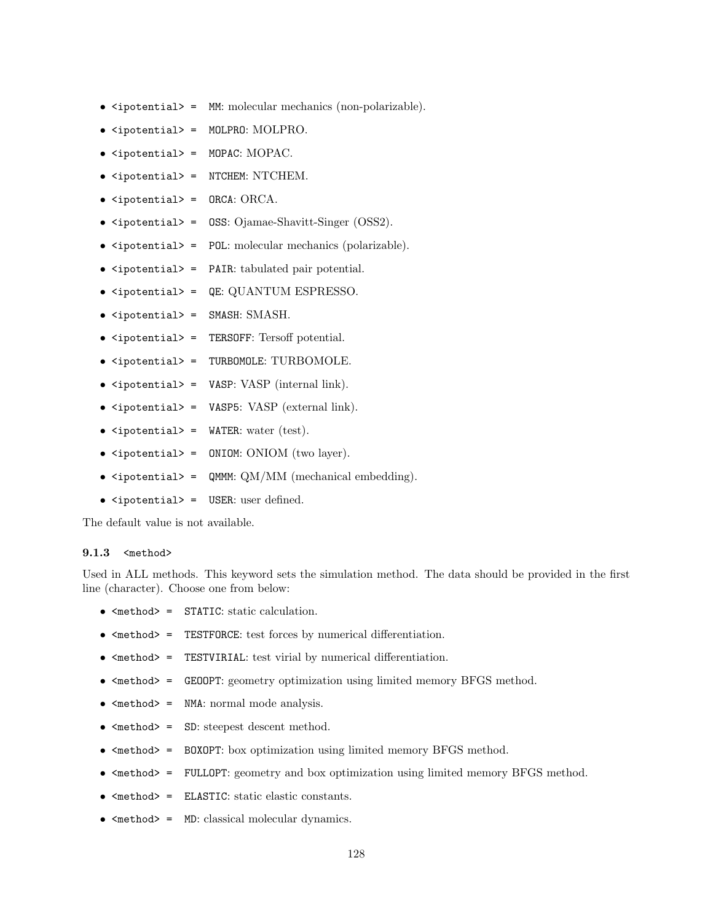- *•* <ipotential> = MM: molecular mechanics (non-polarizable).
- *•* <ipotential> = MOLPRO: MOLPRO.
- *•* <ipotential> = MOPAC: MOPAC.
- *•* <ipotential> = NTCHEM: NTCHEM.
- *•* <ipotential> = ORCA: ORCA.
- *•* <ipotential> = OSS: Ojamae-Shavitt-Singer (OSS2).
- *•* <ipotential> = POL: molecular mechanics (polarizable).
- *•* <ipotential> = PAIR: tabulated pair potential.
- *•* <ipotential> = QE: QUANTUM ESPRESSO.
- *•* <ipotential> = SMASH: SMASH.
- *•* <ipotential> = TERSOFF: Tersoff potential.
- *•* <ipotential> = TURBOMOLE: TURBOMOLE.
- *•* <ipotential> = VASP: VASP (internal link).
- *•* <ipotential> = VASP5: VASP (external link).
- *•* <ipotential> = WATER: water (test).
- *•* <ipotential> = ONIOM: ONIOM (two layer).
- $\epsilon$ ipotential> = QMMM: QM/MM (mechanical embedding).
- *•* <ipotential> = USER: user defined.

The default value is not available.

#### **9.1.3** <method>

Used in ALL methods. This keyword sets the simulation method. The data should be provided in the first line (character). Choose one from below:

- $\langle \text{method} \rangle$  = STATIC: static calculation.
- $\leq$  **hethod>** = **TESTFORCE**: test forces by numerical differentiation.
- $\leq$  **hethod>** = **TESTVIRIAL**: test virial by numerical differentiation.
- $\epsilon$  = GEOOPT: geometry optimization using limited memory BFGS method.
- $\langle \text{method} \rangle$  = NMA: normal mode analysis.
- $\langle \text{method} \rangle$  = SD: steepest descent method.
- $\epsilon$  **example**  $\epsilon$  **= BOXOPT:** box optimization using limited memory BFGS method.
- <method> = FULLOPT: geometry and box optimization using limited memory BFGS method.
- $\langle \text{method} \rangle$  = ELASTIC: static elastic constants.
- $\epsilon$  **/method>** = MD: classical molecular dynamics.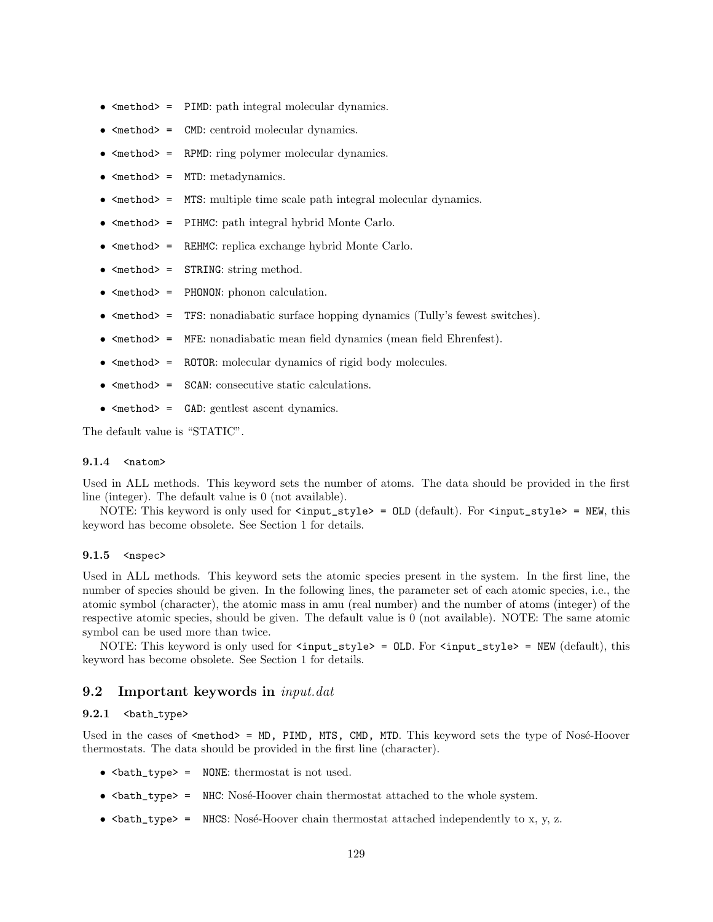- $\epsilon$  **/method>** = PIMD: path integral molecular dynamics.
- $\langle \text{method} \rangle$  = CMD: centroid molecular dynamics.
- $\leq$  method> = RPMD: ring polymer molecular dynamics.
- $\langle \text{method} \rangle$  = MTD: metadynamics.
- *•* <method> = MTS: multiple time scale path integral molecular dynamics.
- *•* <method> = PIHMC: path integral hybrid Monte Carlo.
- $\epsilon$  **/\***  $\epsilon$  **/\***  $\epsilon$  **/\***  $\epsilon$  **/\***  $\epsilon$  **/\***  $\epsilon$  **/\***  $\epsilon$  **/\***  $\epsilon$  **/\***  $\epsilon$  **/\***  $\epsilon$  **/\***  $\epsilon$  **/\***  $\epsilon$  **/\***  $\epsilon$  **/\***  $\epsilon$  **/\***  $\epsilon$  **/\***  $\epsilon$  **/\***  $\epsilon$  **/\***  $\epsilon$  **/\***  $\epsilon$  **/\***  $\epsilon$  **/\***  $\epsilon$  **/\***  $\epsilon$  **/\***
- *•* <method> = STRING: string method.
- $\langle \text{method} \rangle$  = PHONON: phonon calculation.
- $\epsilon$  **/**  $\epsilon$  **/**  $\epsilon$  **/**  $\epsilon$  **/**  $\epsilon$  **/**  $\epsilon$  **/**  $\epsilon$  **/**  $\epsilon$  **/**  $\epsilon$  **/**  $\epsilon$  **/**  $\epsilon$  **/**  $\epsilon$  **/**  $\epsilon$  **/**  $\epsilon$  **/**  $\epsilon$  **/**  $\epsilon$  **/**  $\epsilon$  **/**  $\epsilon$  **/**  $\epsilon$  **/**  $\epsilon$  **/**  $\epsilon$  **/**  $\epsilon$  **/**  $\epsilon$  **/**  $\epsilon$  **/**  $\epsilon$
- $\epsilon$  **/method>** = MFE: nonadiabatic mean field dynamics (mean field Ehrenfest).
- $\epsilon$  **/\***  $\epsilon$  **/\***  $\epsilon$  **/\***  $\epsilon$  **/\***  $\epsilon$  **/\***  $\epsilon$  /\*  $\epsilon$  /\*  $\epsilon$  /\*  $\epsilon$  /\*  $\epsilon$  /\*  $\epsilon$  /\*  $\epsilon$  /\*  $\epsilon$  /\*  $\epsilon$  /\*  $\epsilon$  /\*  $\epsilon$  /\*  $\epsilon$  /\*  $\epsilon$  /\*  $\epsilon$  /\*  $\epsilon$  /\*  $\epsilon$  /\*  $\epsilon$  /\*  $\epsilon$  /\*  $\epsilon$  /\*  $\epsilon$  /\*  $\epsilon$  /\*  $\epsilon$  /\*  $\$
- $\epsilon$  **/method>** = SCAN: consecutive static calculations.
- $\langle \text{method} \rangle$  = GAD: gentlest ascent dynamics.

The default value is "STATIC".

#### 9.1.4 < natom>

Used in ALL methods. This keyword sets the number of atoms. The data should be provided in the first line (integer). The default value is 0 (not available).

NOTE: This keyword is only used for <input\_style> = OLD (default). For <input\_style> = NEW, this keyword has become obsolete. See Section 1 for details.

## 9.1.5 <nspec>

Used in ALL methods. This keyword sets the atomic species present in the system. In the first line, the number of species should be given. In the following lines, the parameter set of each atomic species, i.e., the atomic symbol (character), the atomic mass in amu (real number) and the number of atoms (integer) of the respective atomic species, should be given. The default value is 0 (not available). NOTE: The same atomic symbol can be used more than twice.

NOTE: This keyword is only used for  $\langle \text{input_style} \rangle = \text{OLD}$ . For  $\langle \text{input_style} \rangle = \text{NEW}$  (default), this keyword has become obsolete. See Section 1 for details.

## **9.2 Important keywords in** *input.dat*

## $9.2.1$  <br/> <br/>bath\_type>

Used in the cases of  $\zeta$ method> = MD, PIMD, MTS, CMD, MTD. This keyword sets the type of Nosé-Hoover thermostats. The data should be provided in the first line (character).

- $$
- $\triangleleft$   $\triangleleft$   $\triangleleft$   $\triangleleft$   $\triangleleft$   $\triangleleft$   $\triangleleft$   $\triangleleft$   $\triangleleft$   $\triangleleft$   $\triangleleft$   $\triangleleft$   $\triangleleft$   $\triangleleft$   $\triangleleft$   $\triangleleft$   $\triangleleft$   $\triangleleft$   $\triangleleft$   $\triangleleft$   $\triangleleft$   $\triangleleft$   $\triangleleft$   $\triangleleft$   $\triangleleft$   $\triangleleft$   $\triangleleft$   $\triangleleft$   $\triangleleft$   $\triangleleft$   $\triangleleft$   $\triangleleft$   $\triangleleft$   $\triangleleft$   $\triangleleft$   $\triangleleft$   $\triangleleft$
- *•* <bath\_type> = NHCS: Nos´e-Hoover chain thermostat attached independently to x, y, z.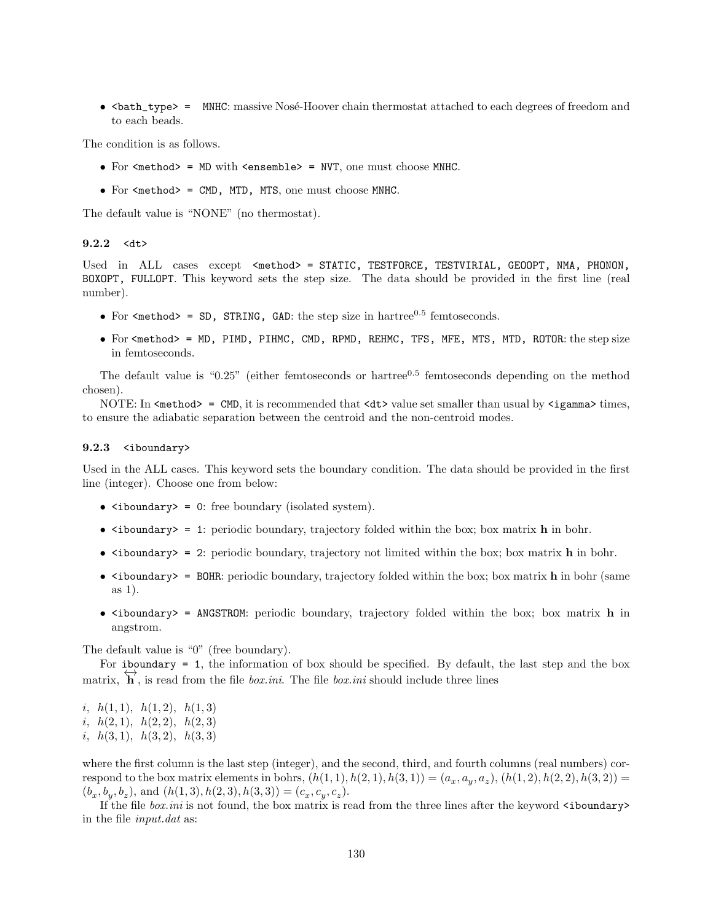•  $\delta$  <br/>bath\_type> = MNHC: massive Nosé-Hoover chain thermostat attached to each degrees of freedom and to each beads.

The condition is as follows.

- For <method> = MD with <ensemble> = NVT, one must choose MNHC.
- For <method> = CMD, MTD, MTS, one must choose MNHC.

The default value is "NONE" (no thermostat).

## **9.2.2** <dt>

Used in ALL cases except <method> = STATIC, TESTFORCE, TESTVIRIAL, GEOOPT, NMA, PHONON, BOXOPT, FULLOPT. This keyword sets the step size. The data should be provided in the first line (real number).

- For <method> = SD, STRING, GAD: the step size in hartree<sup>0.5</sup> femtoseconds.
- For <method> = MD, PIMD, PIHMC, CMD, RPMD, REHMC, TFS, MFE, MTS, MTD, ROTOR: the step size in femtoseconds.

The default value is "0.25" (either femtoseconds or hartree<sup>0.5</sup> femtoseconds depending on the method chosen).

NOTE: In  $\text{Kmethod}$  = CMD, it is recommended that  $\text{dt}$  value set smaller than usual by  $\text{sigma}$  igamma imes, to ensure the adiabatic separation between the centroid and the non-centroid modes.

#### **9.2.3** <iboundary>

Used in the ALL cases. This keyword sets the boundary condition. The data should be provided in the first line (integer). Choose one from below:

- $\langle$ iboundary> = 0: free boundary (isolated system).
- $\leq$  iboundary = 1: periodic boundary, trajectory folded within the box; box matrix **h** in bohr.
- $\leq$  iboundary = 2: periodic boundary, trajectory not limited within the box; box matrix **h** in bohr.
- $\leq$  thoundary = BOHR: periodic boundary, trajectory folded within the box; box matrix **h** in bohr (same as 1).
- $\leq$  iboundary = ANGSTROM: periodic boundary, trajectory folded within the box; box matrix **h** in angstrom.

The default value is "0" (free boundary).

For iboundary = 1, the information of box should be specified. By default, the last step and the box  $\overrightarrow{h}$ , is read from the file *box.ini*. The file *box.ini* should include three lines

*i*, *h*(1*,* 1), *h*(1*,* 2), *h*(1*,* 3)  $i, h(2,1), h(2,2), h(2,3)$ *i*, *h*(3*,* 1), *h*(3*,* 2), *h*(3*,* 3)

where the first column is the last step (integer), and the second, third, and fourth columns (real numbers) correspond to the box matrix elements in bohrs,  $(h(1,1), h(2,1), h(3,1)) = (a_x, a_y, a_z), (h(1,2), h(2,2), h(3,2)) =$  $(b_x, b_y, b_z)$ , and  $(h(1, 3), h(2, 3), h(3, 3)) = (c_x, c_y, c_z)$ .

If the file *box.ini* is not found, the box matrix is read from the three lines after the keyword  $\leq$ **iboundary** in the file *input.dat* as: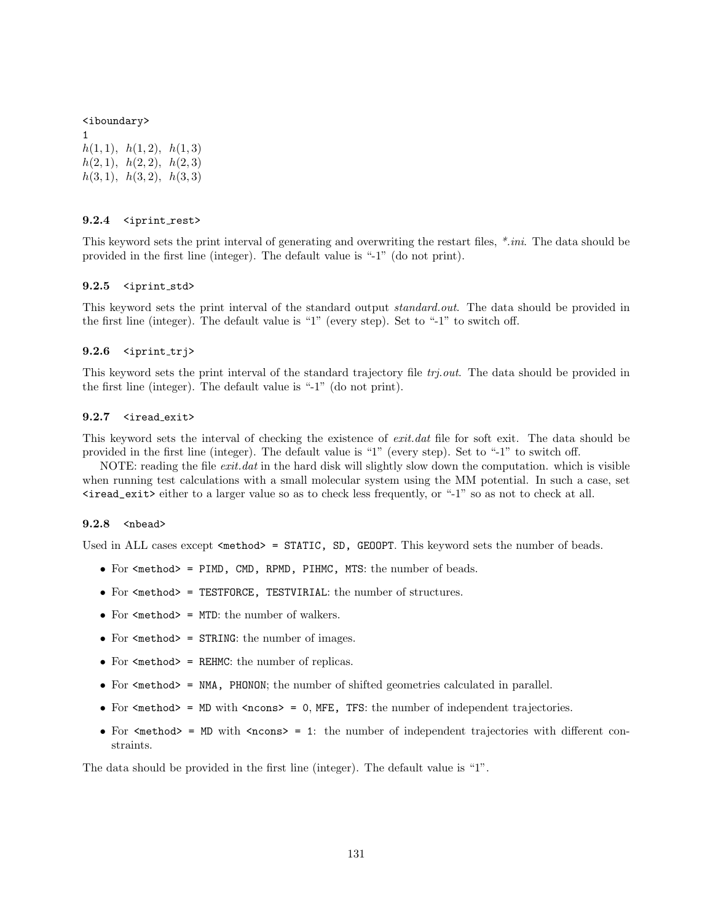#### <iboundary>

| 1 |                        |  |
|---|------------------------|--|
|   | h(1,1), h(1,2), h(1,3) |  |
|   | h(2,1), h(2,2), h(2,3) |  |
|   | h(3,1), h(3,2), h(3,3) |  |

#### **9.2.4** <iprint rest>

This keyword sets the print interval of generating and overwriting the restart files, *\*.ini*. The data should be provided in the first line (integer). The default value is "-1" (do not print).

## 9.2.5 <iprint\_std>

This keyword sets the print interval of the standard output *standard.out*. The data should be provided in the first line (integer). The default value is "1" (every step). Set to "-1" to switch off.

## $9.2.6$   $\le$  iprint\_trj>

This keyword sets the print interval of the standard trajectory file *trj.out*. The data should be provided in the first line (integer). The default value is "-1" (do not print).

## **9.2.7** <iread exit>

This keyword sets the interval of checking the existence of *exit.dat* file for soft exit. The data should be provided in the first line (integer). The default value is "1" (every step). Set to "-1" to switch off.

NOTE: reading the file *exit.dat* in the hard disk will slightly slow down the computation. which is visible when running test calculations with a small molecular system using the MM potential. In such a case, set  $\epsilon$ iread\_exit> either to a larger value so as to check less frequently, or "-1" so as not to check at all.

#### **9.2.8** <nbead>

Used in ALL cases except  $\langle \text{method} \rangle = \text{STATIC}$ , SD, GEOOPT. This keyword sets the number of beads.

- For <method> = PIMD, CMD, RPMD, PIHMC, MTS: the number of beads.
- For <method> = TESTFORCE, TESTVIRIAL: the number of structures.
- For  $\langle \text{method} \rangle$  = MTD: the number of walkers.
- For <method> = STRING: the number of images.
- For  $\epsilon$ method> = REHMC: the number of replicas.
- For  $\zeta$ method> = NMA, PHONON; the number of shifted geometries calculated in parallel.
- For  $\epsilon$ method> = MD with  $\epsilon$ ncons> = 0, MFE, TFS: the number of independent trajectories.
- For  $\epsilon$  method > = MD with  $\epsilon$ ncons > = 1: the number of independent trajectories with different constraints.

The data should be provided in the first line (integer). The default value is "1".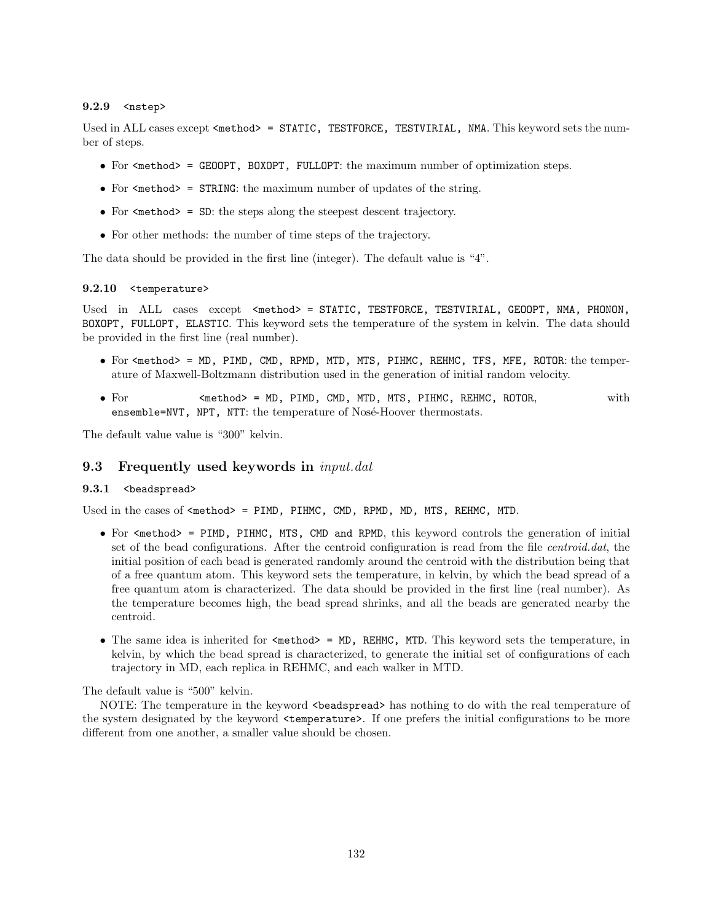#### **9.2.9** <nstep>

Used in ALL cases except <method> = STATIC, TESTFORCE, TESTVIRIAL, NMA. This keyword sets the number of steps.

- For  $\epsilon$ method> = GEOOPT, BOXOPT, FULLOPT: the maximum number of optimization steps.
- For  $\epsilon$  method > = STRING: the maximum number of updates of the string.
- For <method> = SD: the steps along the steepest descent trajectory.
- For other methods: the number of time steps of the trajectory.

The data should be provided in the first line (integer). The default value is "4".

#### **9.2.10** <temperature>

Used in ALL cases except <method> = STATIC, TESTFORCE, TESTVIRIAL, GEOOPT, NMA, PHONON, BOXOPT, FULLOPT, ELASTIC. This keyword sets the temperature of the system in kelvin. The data should be provided in the first line (real number).

- For <method> = MD, PIMD, CMD, RPMD, MTD, MTS, PIHMC, REHMC, TFS, MFE, ROTOR: the temperature of Maxwell-Boltzmann distribution used in the generation of initial random velocity.
- For  $\leq$ method> = MD, PIMD, CMD, MTD, MTS, PIHMC, REHMC, ROTOR, with ensemble=NVT, NPT, NTT: the temperature of Nosé-Hoover thermostats.

The default value value is "300" kelvin.

## **9.3 Frequently used keywords in** *input.dat*

## 9.3.1 <br />beadspread>

Used in the cases of  $\epsilon$ method> = PIMD, PIHMC, CMD, RPMD, MD, MTS, REHMC, MTD.

- For  $\epsilon$ method> = PIMD, PIHMC, MTS, CMD and RPMD, this keyword controls the generation of initial set of the bead configurations. After the centroid configuration is read from the file *centroid.dat*, the initial position of each bead is generated randomly around the centroid with the distribution being that of a free quantum atom. This keyword sets the temperature, in kelvin, by which the bead spread of a free quantum atom is characterized. The data should be provided in the first line (real number). As the temperature becomes high, the bead spread shrinks, and all the beads are generated nearby the centroid.
- The same idea is inherited for  $\langle \text{method} \rangle = \text{MD}$ , REHMC, MTD. This keyword sets the temperature, in kelvin, by which the bead spread is characterized, to generate the initial set of configurations of each trajectory in MD, each replica in REHMC, and each walker in MTD.

The default value is "500" kelvin.

NOTE: The temperature in the keyword <br/>beadspread> has nothing to do with the real temperature of the system designated by the keyword <temperature>. If one prefers the initial configurations to be more different from one another, a smaller value should be chosen.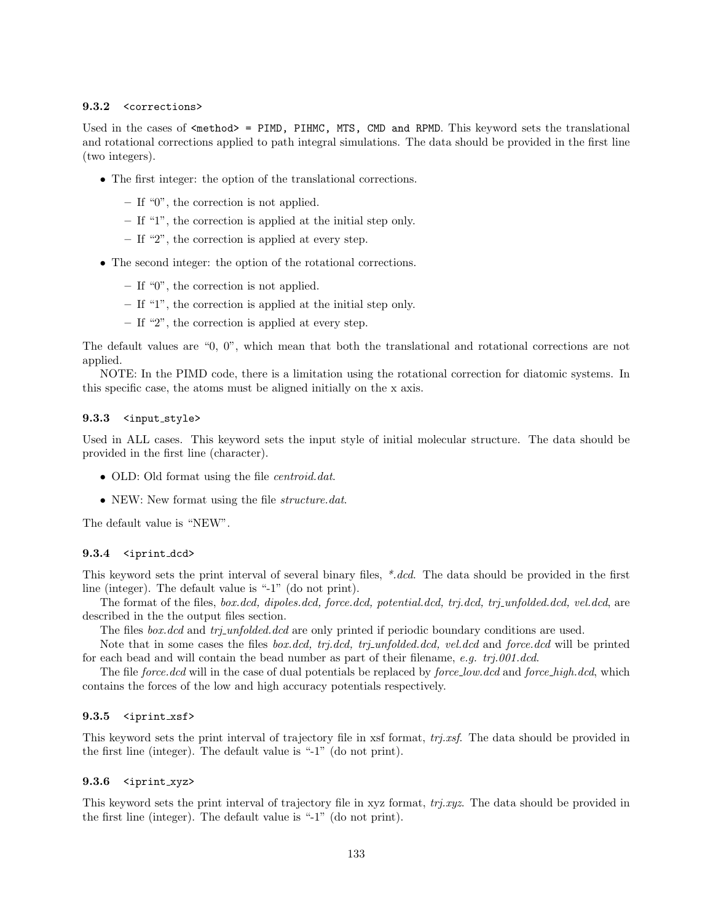#### **9.3.2** <corrections>

Used in the cases of  $\epsilon$ method> = PIMD, PIHMC, MTS, CMD and RPMD. This keyword sets the translational and rotational corrections applied to path integral simulations. The data should be provided in the first line (two integers).

- *•* The first integer: the option of the translational corrections.
	- **–** If "0", the correction is not applied.
	- **–** If "1", the correction is applied at the initial step only.
	- **–** If "2", the correction is applied at every step.
- The second integer: the option of the rotational corrections.
	- **–** If "0", the correction is not applied.
	- **–** If "1", the correction is applied at the initial step only.
	- **–** If "2", the correction is applied at every step.

The default values are "0, 0", which mean that both the translational and rotational corrections are not applied.

NOTE: In the PIMD code, there is a limitation using the rotational correction for diatomic systems. In this specific case, the atoms must be aligned initially on the x axis.

## 9.3.3 <input\_style>

Used in ALL cases. This keyword sets the input style of initial molecular structure. The data should be provided in the first line (character).

- *•* OLD: Old format using the file *centroid.dat*.
- *•* NEW: New format using the file *structure.dat*.

The default value is "NEW".

#### **9.3.4** <iprint dcd>

This keyword sets the print interval of several binary files, *\*.dcd*. The data should be provided in the first line (integer). The default value is "-1" (do not print).

The format of the files, *box.dcd, dipoles.dcd, force.dcd, potential.dcd, trj.dcd, trj unfolded.dcd, vel.dcd*, are described in the the output files section.

The files *box.dcd* and *trj unfolded.dcd* are only printed if periodic boundary conditions are used.

Note that in some cases the files *box.dcd, trj.dcd, trj unfolded.dcd, vel.dcd* and *force.dcd* will be printed for each bead and will contain the bead number as part of their filename, *e.g. trj.001.dcd*.

The file *force.dcd* will in the case of dual potentials be replaced by *force low.dcd* and *force high.dcd*, which contains the forces of the low and high accuracy potentials respectively.

## **9.3.5** <iprint xsf>

This keyword sets the print interval of trajectory file in xsf format, *trj.xsf*. The data should be provided in the first line (integer). The default value is "-1" (do not print).

## **9.3.6** <iprint xyz>

This keyword sets the print interval of trajectory file in xyz format, *trj.xyz*. The data should be provided in the first line (integer). The default value is "-1" (do not print).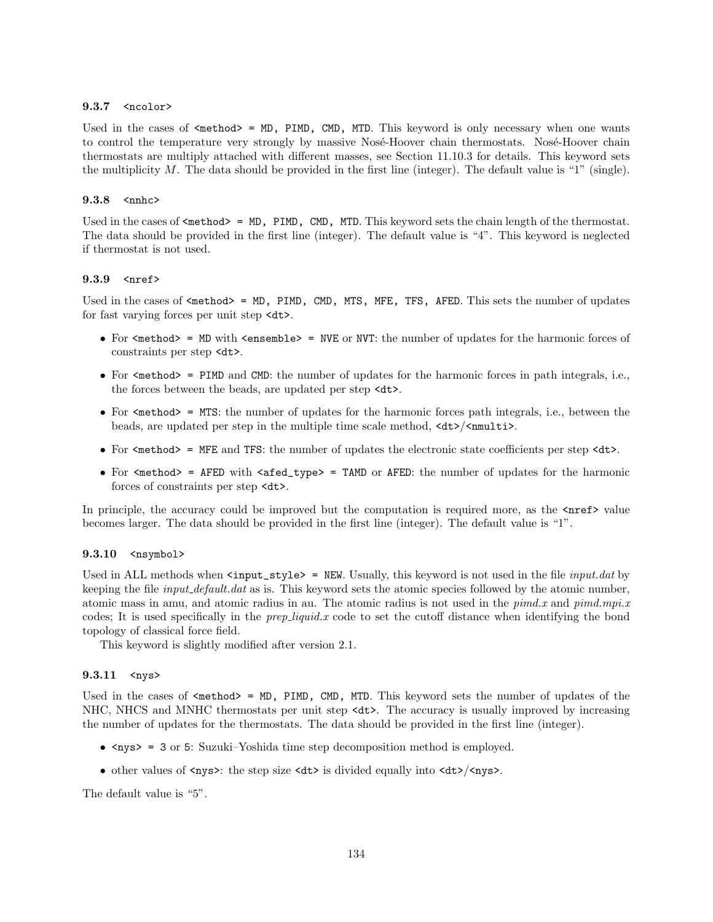#### **9.3.7** <ncolor>

Used in the cases of  $\langle \text{method} \rangle = \text{MD}$ , PIMD, CMD, MTD. This keyword is only necessary when one wants to control the temperature very strongly by massive Nosé-Hoover chain thermostats. Nosé-Hoover chain thermostats are multiply attached with different masses, see Section 11.10.3 for details. This keyword sets the multiplicity  $M$ . The data should be provided in the first line (integer). The default value is "1" (single).

## 9.3.8 <mhc>

Used in the cases of  $\langle \text{method} \rangle = \text{MD}$ , PIMD, CMD, MTD. This keyword sets the chain length of the thermostat. The data should be provided in the first line (integer). The default value is "4". This keyword is neglected if thermostat is not used.

#### **9.3.9** <nref>

Used in the cases of  $\zeta$ method> = MD, PIMD, CMD, MTS, MFE, TFS, AFED. This sets the number of updates for fast varying forces per unit step <dt>.

- For  $\epsilon$  = MD with  $\epsilon$  nsemble > = NVE or NVT: the number of updates for the harmonic forces of constraints per step <dt>.
- For  $\epsilon$  method > = PIMD and CMD: the number of updates for the harmonic forces in path integrals, i.e., the forces between the beads, are updated per step <dt>.
- For  $\epsilon$  method > = MTS: the number of updates for the harmonic forces path integrals, i.e., between the beads, are updated per step in the multiple time scale method, <dt>*/*<nmulti>.
- For  $\epsilon$  method > = MFE and TFS: the number of updates the electronic state coefficients per step  $\langle dt \rangle$ .
- For  $\mathsf{S}$  For  $\mathsf{S}$  = AFED with  $\mathsf{S}$  afed\_type> = TAMD or AFED: the number of updates for the harmonic forces of constraints per step <dt>.

In principle, the accuracy could be improved but the computation is required more, as the  $\langle$ nref> value becomes larger. The data should be provided in the first line (integer). The default value is "1".

#### **9.3.10** <nsymbol>

Used in ALL methods when  $\langle \text{input\_style} \rangle = \text{NEW}$ . Usually, this keyword is not used in the file *input.dat* by keeping the file *input default.dat* as is. This keyword sets the atomic species followed by the atomic number, atomic mass in amu, and atomic radius in au. The atomic radius is not used in the *pimd.x* and *pimd.mpi.x* codes; It is used specifically in the *prep liquid.x* code to set the cutoff distance when identifying the bond topology of classical force field.

This keyword is slightly modified after version 2.1.

#### **9.3.11** <nys>

Used in the cases of  $\epsilon$ method> = MD, PIMD, CMD, MTD. This keyword sets the number of updates of the NHC, NHCS and MNHC thermostats per unit step <dt>. The accuracy is usually improved by increasing the number of updates for the thermostats. The data should be provided in the first line (integer).

- $\langle n \rangle$  = 3 or 5: Suzuki–Yoshida time step decomposition method is employed.
- other values of  $\langle \text{nys} \rangle$ : the step size  $\langle \text{dt} \rangle$  is divided equally into  $\langle \text{dt} \rangle / \langle \text{nys} \rangle$ .

The default value is "5".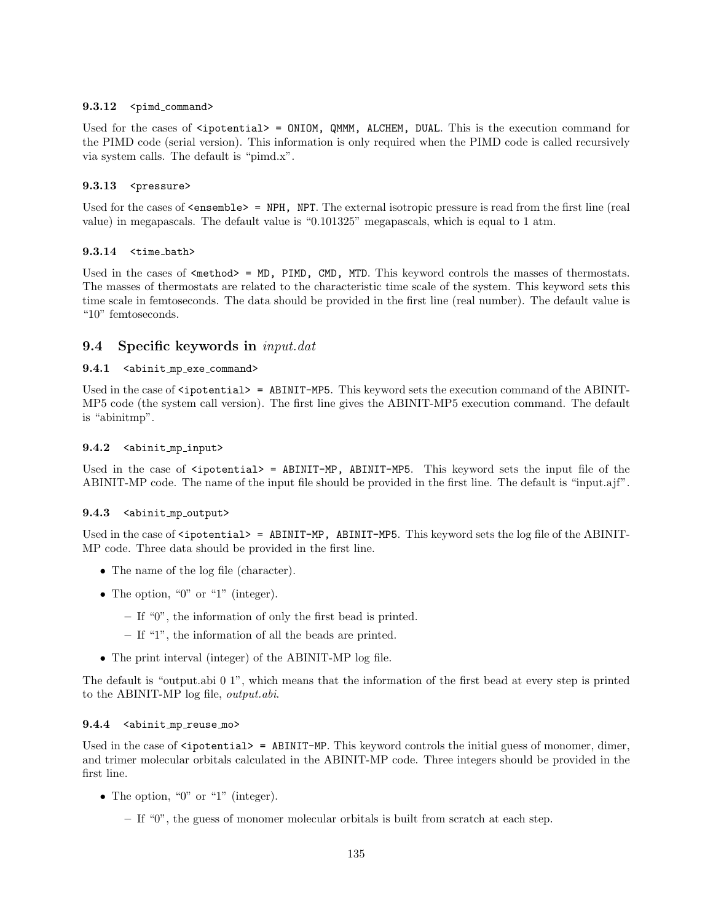## 9.3.12 <pimd\_command>

Used for the cases of  $\leq$ ipotential> = ONIOM, QMMM, ALCHEM, DUAL. This is the execution command for the PIMD code (serial version). This information is only required when the PIMD code is called recursively via system calls. The default is "pimd.x".

## **9.3.13** <pressure>

Used for the cases of  $\epsilon$ nsemble $\epsilon$  = NPH, NPT. The external isotropic pressure is read from the first line (real value) in megapascals. The default value is "0.101325" megapascals, which is equal to 1 atm.

## **9.3.14** <time bath>

Used in the cases of  $\langle \text{method} \rangle = \text{MD}$ , PIMD, CMD, MTD. This keyword controls the masses of thermostats. The masses of thermostats are related to the characteristic time scale of the system. This keyword sets this time scale in femtoseconds. The data should be provided in the first line (real number). The default value is "10" femtoseconds.

# **9.4 Specific keywords in** *input.dat*

## 9.4.1 <abinit\_mp\_exe\_command>

Used in the case of  $\langle$ ipotential> = ABINIT-MP5. This keyword sets the execution command of the ABINIT-MP5 code (the system call version). The first line gives the ABINIT-MP5 execution command. The default is "abinitmp".

## **9.4.2** <abinit mp input>

Used in the case of  $\epsilon$ ipotential> = ABINIT-MP, ABINIT-MP5. This keyword sets the input file of the ABINIT-MP code. The name of the input file should be provided in the first line. The default is "input.ajf".

## **9.4.3** <abinit mp output>

Used in the case of  $\langle$ ipotential> = ABINIT-MP, ABINIT-MP5. This keyword sets the log file of the ABINIT-MP code. Three data should be provided in the first line.

- The name of the log file (character).
- The option, "0" or "1" (integer).
	- **–** If "0", the information of only the first bead is printed.
	- **–** If "1", the information of all the beads are printed.
- *•* The print interval (integer) of the ABINIT-MP log file.

The default is "output.abi 0 1", which means that the information of the first bead at every step is printed to the ABINIT-MP log file, *output.abi*.

## **9.4.4** <abinit mp reuse mo>

Used in the case of  $\langle$ ipotential> = ABINIT-MP. This keyword controls the initial guess of monomer, dimer, and trimer molecular orbitals calculated in the ABINIT-MP code. Three integers should be provided in the first line.

- The option, "0" or "1" (integer).
	- **–** If "0", the guess of monomer molecular orbitals is built from scratch at each step.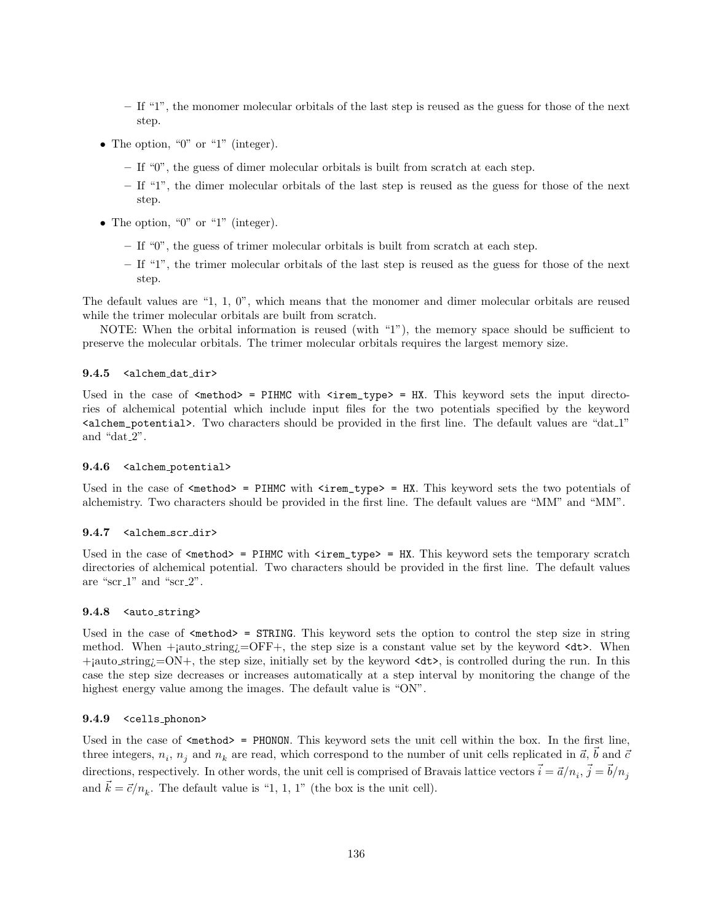- **–** If "1", the monomer molecular orbitals of the last step is reused as the guess for those of the next step.
- The option, "0" or "1" (integer).
	- **–** If "0", the guess of dimer molecular orbitals is built from scratch at each step.
	- **–** If "1", the dimer molecular orbitals of the last step is reused as the guess for those of the next step.
- The option, "0" or "1" (integer).
	- **–** If "0", the guess of trimer molecular orbitals is built from scratch at each step.
	- **–** If "1", the trimer molecular orbitals of the last step is reused as the guess for those of the next step.

The default values are "1, 1, 0", which means that the monomer and dimer molecular orbitals are reused while the trimer molecular orbitals are built from scratch.

NOTE: When the orbital information is reused (with "1"), the memory space should be sufficient to preserve the molecular orbitals. The trimer molecular orbitals requires the largest memory size.

## **9.4.5** <alchem dat dir>

Used in the case of  $\langle \text{method} \rangle$  = PIHMC with  $\langle \text{irem_type} \rangle$  = HX. This keyword sets the input directories of alchemical potential which include input files for the two potentials specified by the keyword  $\epsilon$ alchem\_potential>. Two characters should be provided in the first line. The default values are "dat.1" and "dat 2".

#### **9.4.6** <alchem potential>

Used in the case of  $\epsilon$ method> = PIHMC with  $\epsilon$ irem\_type> = HX. This keyword sets the two potentials of alchemistry. Two characters should be provided in the first line. The default values are "MM" and "MM".

## 9.4.7 <alchem\_scr\_dir>

Used in the case of  $\epsilon$ method> = PIHMC with  $\epsilon$ irem\_type> = HX. This keyword sets the temporary scratch directories of alchemical potential. Two characters should be provided in the first line. The default values are "scr 1" and "scr 2".

#### 9.4.8 <auto\_string>

Used in the case of  $\epsilon$ method> = STRING. This keyword sets the option to control the step size in string method. When  $+i$ auto string;  $=$ OFF $+$ , the step size is a constant value set by the keyword  $<$ dt>. When  $+i$ auto string;  $=$  ON+, the step size, initially set by the keyword  $\langle dt \rangle$ , is controlled during the run. In this case the step size decreases or increases automatically at a step interval by monitoring the change of the highest energy value among the images. The default value is "ON".

## **9.4.9** <cells phonon>

Used in the case of  $\epsilon$  = PHONON. This keyword sets the unit cell within the box. In the first line, three integers,  $n_i$ ,  $n_j$  and  $n_k$  are read, which correspond to the number of unit cells replicated in  $\vec{a}$ ,  $\vec{b}$  and  $\vec{c}$ directions, respectively. In other words, the unit cell is comprised of Bravais lattice vectors  $\vec{i} = \vec{a}/n_i$ ,  $\vec{j} = \vec{b}/n_j$ and  $\vec{k} = \vec{c}/n_k$ . The default value is "1, 1, 1" (the box is the unit cell).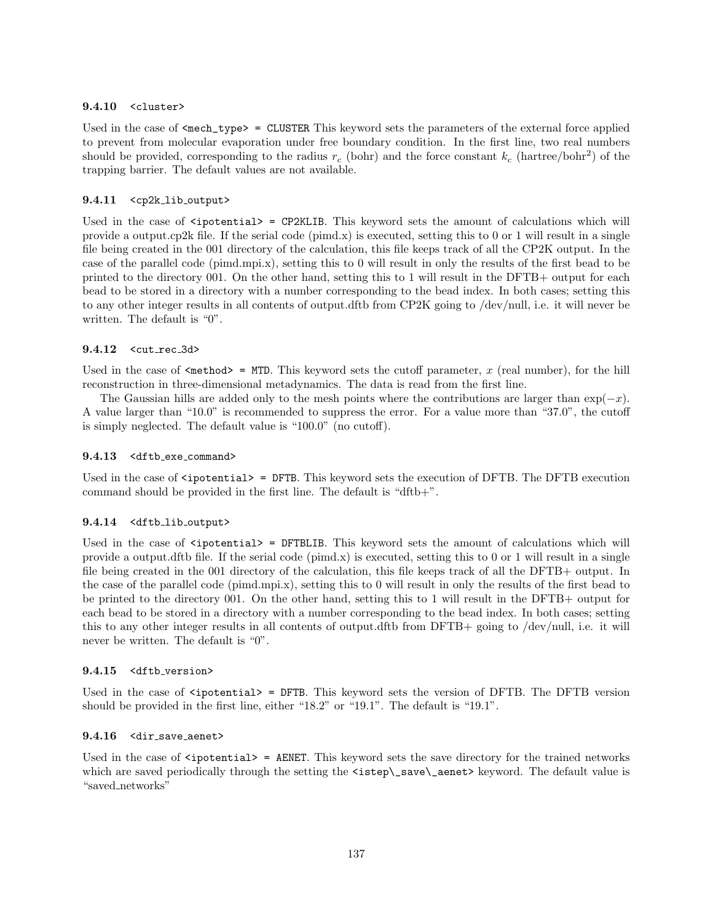#### **9.4.10** <cluster>

Used in the case of  $\langle \text{mech}_type \rangle$  = CLUSTER This keyword sets the parameters of the external force applied to prevent from molecular evaporation under free boundary condition. In the first line, two real numbers should be provided, corresponding to the radius  $r_c$  (bohr) and the force constant  $k_c$  (hartree/bohr<sup>2</sup>) of the trapping barrier. The default values are not available.

#### **9.4.11** <cp2k lib output>

Used in the case of  $\epsilon$ ipotential> = CP2KLIB. This keyword sets the amount of calculations which will provide a output.cp2k file. If the serial code (pimd.x) is executed, setting this to 0 or 1 will result in a single file being created in the 001 directory of the calculation, this file keeps track of all the CP2K output. In the case of the parallel code (pimd.mpi.x), setting this to 0 will result in only the results of the first bead to be printed to the directory 001. On the other hand, setting this to 1 will result in the DFTB+ output for each bead to be stored in a directory with a number corresponding to the bead index. In both cases; setting this to any other integer results in all contents of output.dftb from CP2K going to /dev/null, i.e. it will never be written. The default is "0".

## 9.4.12 <cut\_rec\_3d>

Used in the case of  $\epsilon$  method  $\epsilon$  = MTD. This keyword sets the cutoff parameter, x (real number), for the hill reconstruction in three-dimensional metadynamics. The data is read from the first line.

The Gaussian hills are added only to the mesh points where the contributions are larger than exp(*−x*). A value larger than "10.0" is recommended to suppress the error. For a value more than "37.0", the cutoff is simply neglected. The default value is "100.0" (no cutoff).

#### 9.4.13 <dftb\_exe\_command>

Used in the case of  $\langle$ ipotential> = DFTB. This keyword sets the execution of DFTB. The DFTB execution command should be provided in the first line. The default is "dftb+".

#### 9.4.14 <dftb\_lib\_output>

Used in the case of  $\epsilon$ ipotential> = DFTBLIB. This keyword sets the amount of calculations which will provide a output.dftb file. If the serial code (pimd.x) is executed, setting this to 0 or 1 will result in a single file being created in the 001 directory of the calculation, this file keeps track of all the DFTB+ output. In the case of the parallel code (pimd.mpi.x), setting this to 0 will result in only the results of the first bead to be printed to the directory 001. On the other hand, setting this to 1 will result in the DFTB+ output for each bead to be stored in a directory with a number corresponding to the bead index. In both cases; setting this to any other integer results in all contents of output.dftb from DFTB+ going to /dev/null, i.e. it will never be written. The default is "0".

### 9.4.15 <dftb\_version>

Used in the case of  $\epsilon$  ipotential> = DFTB. This keyword sets the version of DFTB. The DFTB version should be provided in the first line, either "18.2" or "19.1". The default is "19.1".

#### 9.4.16 <dir\_save\_aenet>

Used in the case of  $\epsilon$  ipotential> = AENET. This keyword sets the save directory for the trained networks which are saved periodically through the setting the <istep\\_save\\_aenet> keyword. The default value is "saved networks"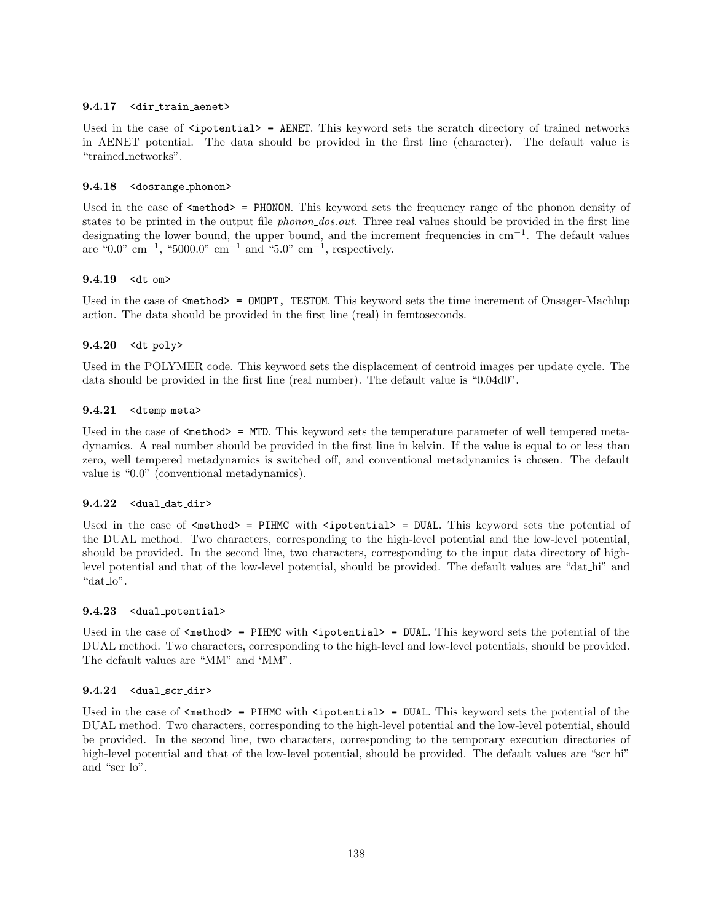## 9.4.17 <dir\_train\_aenet>

Used in the case of  $\epsilon$ ipotential> = AENET. This keyword sets the scratch directory of trained networks in AENET potential. The data should be provided in the first line (character). The default value is "trained networks".

## **9.4.18** <dosrange phonon>

Used in the case of  $\epsilon$ method = PHONON. This keyword sets the frequency range of the phonon density of states to be printed in the output file *phonon dos.out*. Three real values should be provided in the first line designating the lower bound, the upper bound, and the increment frequencies in cm*−*<sup>1</sup> . The default values are "0.0" cm*−*<sup>1</sup> , "5000.0" cm*−*<sup>1</sup> and "5.0" cm*−*<sup>1</sup> , respectively.

## 9.4.19 <dt\_om>

Used in the case of  $\zeta$  method = 0MOPT, TESTOM. This keyword sets the time increment of Onsager-Machlup action. The data should be provided in the first line (real) in femtoseconds.

## **9.4.20** <dt poly>

Used in the POLYMER code. This keyword sets the displacement of centroid images per update cycle. The data should be provided in the first line (real number). The default value is "0.04d0".

## **9.4.21** <dtemp meta>

Used in the case of  $\epsilon$  method = MTD. This keyword sets the temperature parameter of well tempered metadynamics. A real number should be provided in the first line in kelvin. If the value is equal to or less than zero, well tempered metadynamics is switched off, and conventional metadynamics is chosen. The default value is "0.0" (conventional metadynamics).

#### **9.4.22** <dual dat dir>

Used in the case of  $\epsilon$ method> = PIHMC with  $\epsilon$ ipotential> = DUAL. This keyword sets the potential of the DUAL method. Two characters, corresponding to the high-level potential and the low-level potential, should be provided. In the second line, two characters, corresponding to the input data directory of highlevel potential and that of the low-level potential, should be provided. The default values are "dat hi" and "dat lo".

#### **9.4.23** <dual potential>

Used in the case of  $\zeta$  = PIHMC with  $\zeta$  ipotential = DUAL. This keyword sets the potential of the DUAL method. Two characters, corresponding to the high-level and low-level potentials, should be provided. The default values are "MM" and 'MM".

## **9.4.24** <dual scr dir>

Used in the case of  $\zeta$  = PIHMC with  $\zeta$  ipotential = DUAL. This keyword sets the potential of the DUAL method. Two characters, corresponding to the high-level potential and the low-level potential, should be provided. In the second line, two characters, corresponding to the temporary execution directories of high-level potential and that of the low-level potential, should be provided. The default values are "scr hi" and "scr lo".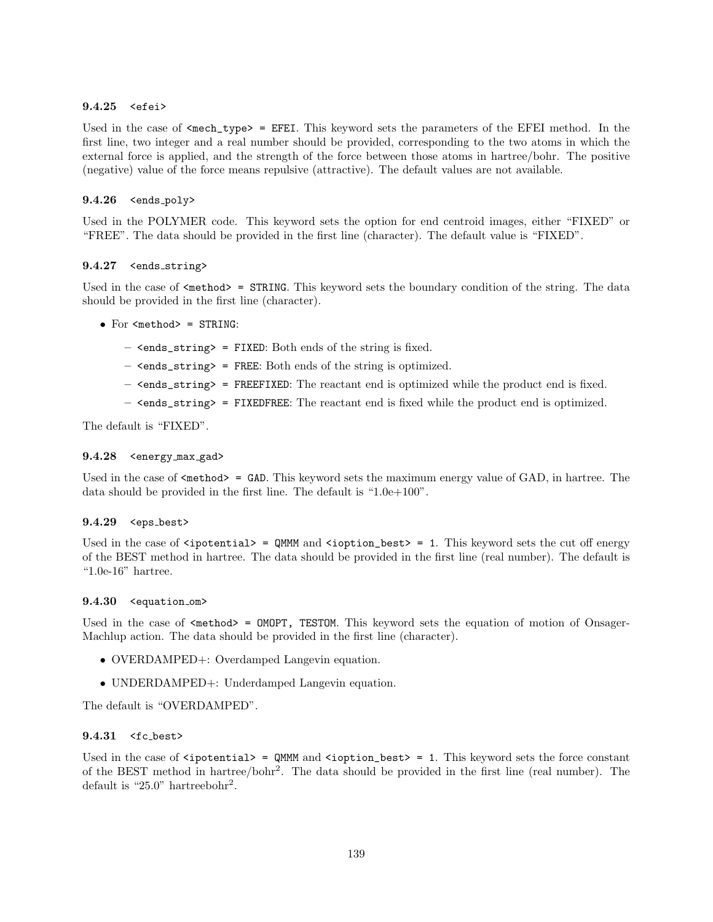#### **9.4.25** <efei>

Used in the case of  $\epsilon$ mech\_type $\epsilon$  = EFEI. This keyword sets the parameters of the EFEI method. In the first line, two integer and a real number should be provided, corresponding to the two atoms in which the external force is applied, and the strength of the force between those atoms in hartree/bohr. The positive (negative) value of the force means repulsive (attractive). The default values are not available.

# 9.4.26 <ends\_poly>

Used in the POLYMER code. This keyword sets the option for end centroid images, either "FIXED" or "FREE". The data should be provided in the first line (character). The default value is "FIXED".

#### **9.4.27** <ends string>

Used in the case of  $\epsilon$ method> = STRING. This keyword sets the boundary condition of the string. The data should be provided in the first line (character).

- For <method> = STRING:
	- **–** <ends\_string> = FIXED: Both ends of the string is fixed.
	- **–** <ends\_string> = FREE: Both ends of the string is optimized.
	- **–** <ends\_string> = FREEFIXED: The reactant end is optimized while the product end is fixed.
	- **–** <ends\_string> = FIXEDFREE: The reactant end is fixed while the product end is optimized.

The default is "FIXED".

## 9.4.28 <energy\_max\_gad>

Used in the case of  $\zeta$  method = GAD. This keyword sets the maximum energy value of GAD, in hartree. The data should be provided in the first line. The default is "1.0e+100".

#### **9.4.29** <eps best>

Used in the case of  $\langle$ ipotential> = QMMM and  $\langle$ ioption\_best> = 1. This keyword sets the cut off energy of the BEST method in hartree. The data should be provided in the first line (real number). The default is "1.0e-16" hartree.

#### 9.4.30 <equation\_om>

Used in the case of  $\epsilon$ method> = OMOPT, TESTOM. This keyword sets the equation of motion of Onsager-Machlup action. The data should be provided in the first line (character).

- OVERDAMPED+: Overdamped Langevin equation.
- *•* UNDERDAMPED+: Underdamped Langevin equation.

The default is "OVERDAMPED".

## **9.4.31** <fc best>

Used in the case of  $\langle$ ipotential> = QMMM and  $\langle$ ioption\_best> = 1. This keyword sets the force constant of the BEST method in hartree/bohr<sup>2</sup> . The data should be provided in the first line (real number). The default is "25.0" hartreebohr<sup>2</sup>.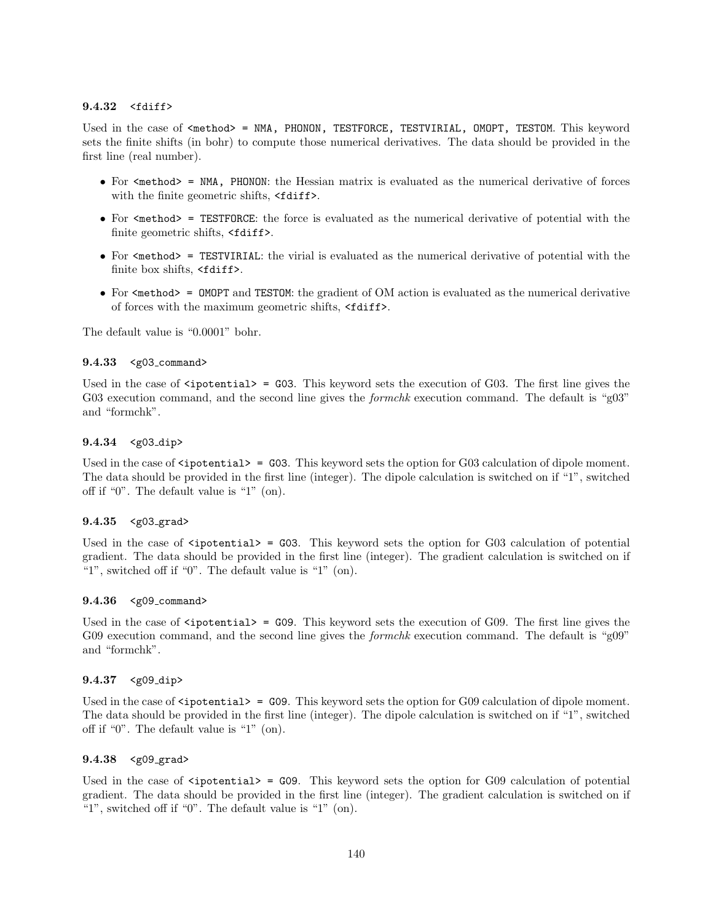#### **9.4.32** <fdiff>

Used in the case of <method> = NMA, PHONON, TESTFORCE, TESTVIRIAL, OMOPT, TESTOM. This keyword sets the finite shifts (in bohr) to compute those numerical derivatives. The data should be provided in the first line (real number).

- For  $\epsilon$ method> = NMA, PHONON: the Hessian matrix is evaluated as the numerical derivative of forces with the finite geometric shifts,  $\leq$ fdiff>.
- For  $\epsilon$  **rethod** = **TESTFORCE**: the force is evaluated as the numerical derivative of potential with the finite geometric shifts, <fdiff>.
- For  $\epsilon$  **restrict Formular is evaluated as the numerical derivative of potential with the** finite box shifts, <fdiff>.
- For  $\epsilon$ method > = OMOPT and TESTOM: the gradient of OM action is evaluated as the numerical derivative of forces with the maximum geometric shifts, <fdiff>.

The default value is "0.0001" bohr.

## **9.4.33** <g03 command>

Used in the case of  $\langle$ ipotential> = G03. This keyword sets the execution of G03. The first line gives the G03 execution command, and the second line gives the *formchk* execution command. The default is "g03" and "formchk".

## **9.4.34** <g03 dip>

Used in the case of  $\langle$ ipotential> = G03. This keyword sets the option for G03 calculation of dipole moment. The data should be provided in the first line (integer). The dipole calculation is switched on if "1", switched off if "0". The default value is "1" (on).

#### **9.4.35** <g03 grad>

Used in the case of  $\epsilon$  ipotential = G03. This keyword sets the option for G03 calculation of potential gradient. The data should be provided in the first line (integer). The gradient calculation is switched on if "1", switched off if "0". The default value is "1" (on).

## **9.4.36** <g09 command>

Used in the case of  $\langle$ ipotential> = G09. This keyword sets the execution of G09. The first line gives the G09 execution command, and the second line gives the *formchk* execution command. The default is "g09" and "formchk".

## **9.4.37** <g09 dip>

Used in the case of  $\text{Lipotential} > = 0.09$ . This keyword sets the option for G09 calculation of dipole moment. The data should be provided in the first line (integer). The dipole calculation is switched on if "1", switched off if "0". The default value is "1" (on).

#### **9.4.38** <g09 grad>

Used in the case of  $\epsilon$  ipotential = G09. This keyword sets the option for G09 calculation of potential gradient. The data should be provided in the first line (integer). The gradient calculation is switched on if "1", switched off if "0". The default value is "1" (on).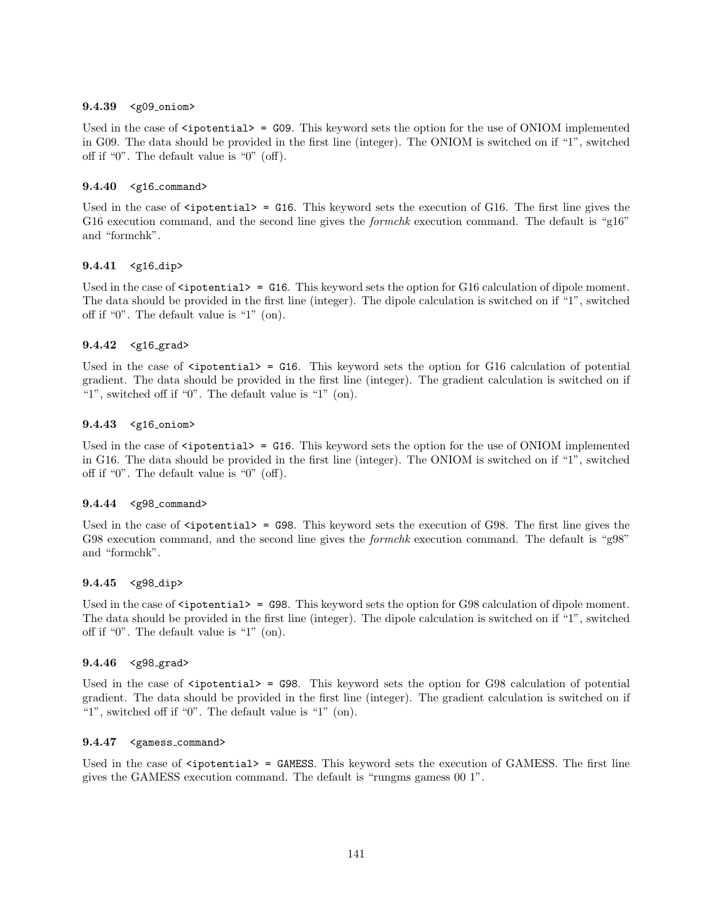## **9.4.39** <g09 oniom>

Used in the case of  $\langle$ ipotential> = G09. This keyword sets the option for the use of ONIOM implemented in G09. The data should be provided in the first line (integer). The ONIOM is switched on if "1", switched off if "0". The default value is "0" (off).

## **9.4.40** <g16 command>

Used in the case of  $\langle$ ipotential> = G16. This keyword sets the execution of G16. The first line gives the G16 execution command, and the second line gives the *formchk* execution command. The default is "g16" and "formchk".

## **9.4.41** <g16 dip>

Used in the case of  $\langle$ ipotential> = G16. This keyword sets the option for G16 calculation of dipole moment. The data should be provided in the first line (integer). The dipole calculation is switched on if "1", switched off if "0". The default value is "1" (on).

## **9.4.42** <g16 grad>

Used in the case of  $\epsilon$ ipotential> = G16. This keyword sets the option for G16 calculation of potential gradient. The data should be provided in the first line (integer). The gradient calculation is switched on if "1", switched off if "0". The default value is "1" (on).

## **9.4.43** <g16 oniom>

Used in the case of  $\langle$ ipotential> = G16. This keyword sets the option for the use of ONIOM implemented in G16. The data should be provided in the first line (integer). The ONIOM is switched on if "1", switched off if "0". The default value is "0" (off).

#### **9.4.44** <g98 command>

Used in the case of  $\langle$ ipotential> = G98. This keyword sets the execution of G98. The first line gives the G98 execution command, and the second line gives the *formchk* execution command. The default is "g98" and "formchk".

## **9.4.45** <g98 dip>

Used in the case of  $\langle$ ipotential> = G98. This keyword sets the option for G98 calculation of dipole moment. The data should be provided in the first line (integer). The dipole calculation is switched on if "1", switched off if "0". The default value is "1" (on).

#### **9.4.46** <g98 grad>

Used in the case of  $\epsilon$  ipotential = G98. This keyword sets the option for G98 calculation of potential gradient. The data should be provided in the first line (integer). The gradient calculation is switched on if "1", switched off if "0". The default value is "1" (on).

#### **9.4.47** <gamess command>

Used in the case of  $\langle$ ipotential> = GAMESS. This keyword sets the execution of GAMESS. The first line gives the GAMESS execution command. The default is "rungms gamess 00 1".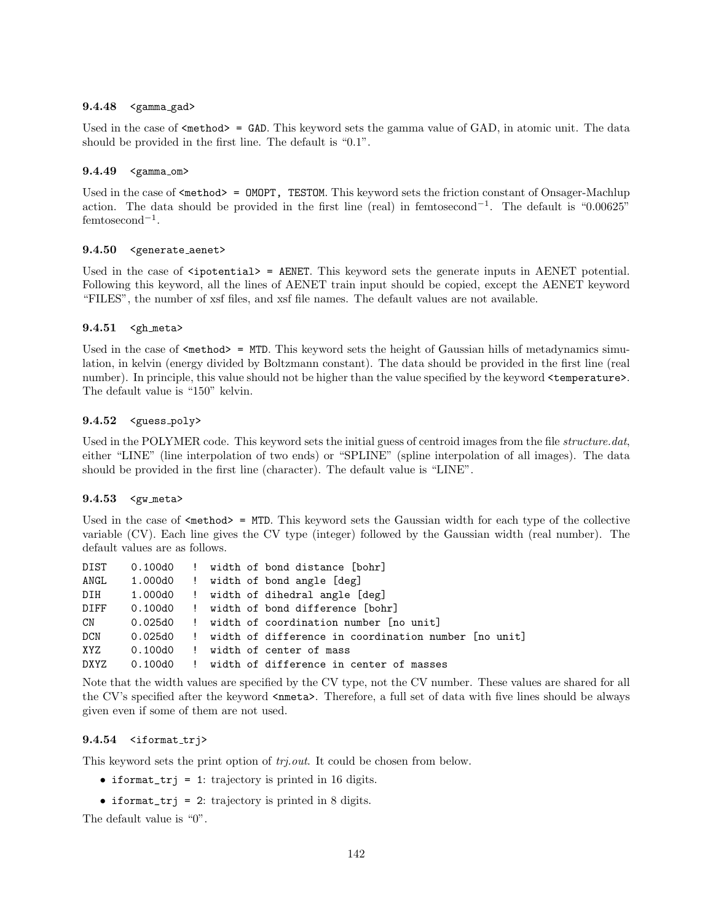## **9.4.48** <gamma gad>

Used in the case of  $\langle \text{method} \rangle = \langle \text{GAD} \rangle$ . This keyword sets the gamma value of  $\langle \text{GAD} \rangle$ , in atomic unit. The data should be provided in the first line. The default is "0.1".

## 9.4.49 <gamma\_om>

Used in the case of  $\zeta$  method =  $\zeta$  = 0MOPT, TESTOM. This keyword sets the friction constant of Onsager-Machlup action. The data should be provided in the first line (real) in femtosecond*−*<sup>1</sup> . The default is "0.00625" femtosecond*−*<sup>1</sup> .

## **9.4.50** <generate aenet>

Used in the case of  $\epsilon$ ipotential> = AENET. This keyword sets the generate inputs in AENET potential. Following this keyword, all the lines of AENET train input should be copied, except the AENET keyword "FILES", the number of xsf files, and xsf file names. The default values are not available.

#### **9.4.51** <gh meta>

Used in the case of  $\epsilon$  = MTD. This keyword sets the height of Gaussian hills of metadynamics simulation, in kelvin (energy divided by Boltzmann constant). The data should be provided in the first line (real number). In principle, this value should not be higher than the value specified by the keyword <temperature>. The default value is "150" kelvin.

## **9.4.52** <guess poly>

Used in the POLYMER code. This keyword sets the initial guess of centroid images from the file *structure.dat*, either "LINE" (line interpolation of two ends) or "SPLINE" (spline interpolation of all images). The data should be provided in the first line (character). The default value is "LINE".

## **9.4.53** <gw meta>

Used in the case of  $\epsilon$  method = MTD. This keyword sets the Gaussian width for each type of the collective variable (CV). Each line gives the CV type (integer) followed by the Gaussian width (real number). The default values are as follows.

| DIST |  |  | 0.100d0 ! width of bond distance [bohr]                        |
|------|--|--|----------------------------------------------------------------|
|      |  |  | ANGL 1.000d0 ! width of bond angle [deg]                       |
|      |  |  | DIH 1.000d0 ! width of dihedral angle [deg]                    |
| DIFF |  |  | 0.100d0 ! width of bond difference [bohr]                      |
|      |  |  | CN 0.025d0 ! width of coordination number [no unit]            |
| DCN  |  |  | 0.025d0 ! width of difference in coordination number [no unit] |
|      |  |  | XYZ 0.100d0 ! width of center of mass                          |
| DXYZ |  |  | 0.100d0 ! width of difference in center of masses              |

Note that the width values are specified by the CV type, not the CV number. These values are shared for all the CV's specified after the keyword <nmeta>. Therefore, a full set of data with five lines should be always given even if some of them are not used.

#### **9.4.54** <iformat trj>

This keyword sets the print option of *trj.out*. It could be chosen from below.

- iformat\_trj = 1: trajectory is printed in 16 digits.
- iformat\_trj = 2: trajectory is printed in 8 digits.

The default value is "0".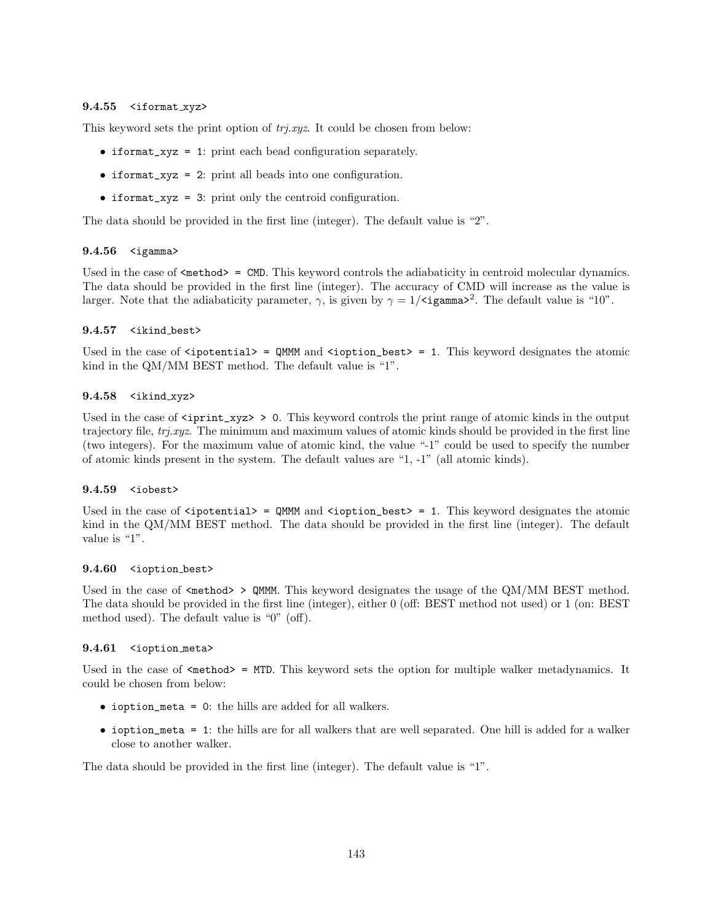## 9.4.55 <iformat\_xyz>

This keyword sets the print option of *trj.xyz*. It could be chosen from below:

- iformat\_xyz = 1: print each bead configuration separately.
- iformat\_xyz = 2: print all beads into one configuration.
- iformat\_xyz = 3: print only the centroid configuration.

The data should be provided in the first line (integer). The default value is "2".

#### **9.4.56** <igamma>

Used in the case of  $\zeta$  method  $\zeta$  = CMD. This keyword controls the adiabaticity in centroid molecular dynamics. The data should be provided in the first line (integer). The accuracy of CMD will increase as the value is larger. Note that the adiabaticity parameter,  $\gamma$ , is given by  $\gamma = 1/\text{sigma}^2$ . The default value is "10".

#### **9.4.57** <ikind best>

Used in the case of  $\langle$ ipotential> = QMMM and  $\langle$ ioption\_best> = 1. This keyword designates the atomic kind in the QM/MM BEST method. The default value is "1".

## **9.4.58** <ikind xyz>

Used in the case of  $\langle \text{iprint}_x yz \rangle > 0$ . This keyword controls the print range of atomic kinds in the output trajectory file, *trj.xyz*. The minimum and maximum values of atomic kinds should be provided in the first line (two integers). For the maximum value of atomic kind, the value "-1" could be used to specify the number of atomic kinds present in the system. The default values are "1, -1" (all atomic kinds).

## **9.4.59** <iobest>

Used in the case of  $\langle$ ipotential> = QMMM and  $\langle$ ioption\_best> = 1. This keyword designates the atomic kind in the QM/MM BEST method. The data should be provided in the first line (integer). The default value is "1".

#### **9.4.60** <ioption best>

Used in the case of  $\zeta$ method> > QMMM. This keyword designates the usage of the QM/MM BEST method. The data should be provided in the first line (integer), either 0 (off: BEST method not used) or 1 (on: BEST method used). The default value is "0" (off).

## 9.4.61 <ioption\_meta>

Used in the case of  $\epsilon$ method = MTD. This keyword sets the option for multiple walker metadynamics. It could be chosen from below:

- *•* ioption\_meta = 0: the hills are added for all walkers.
- ioption\_meta = 1: the hills are for all walkers that are well separated. One hill is added for a walker close to another walker.

The data should be provided in the first line (integer). The default value is "1".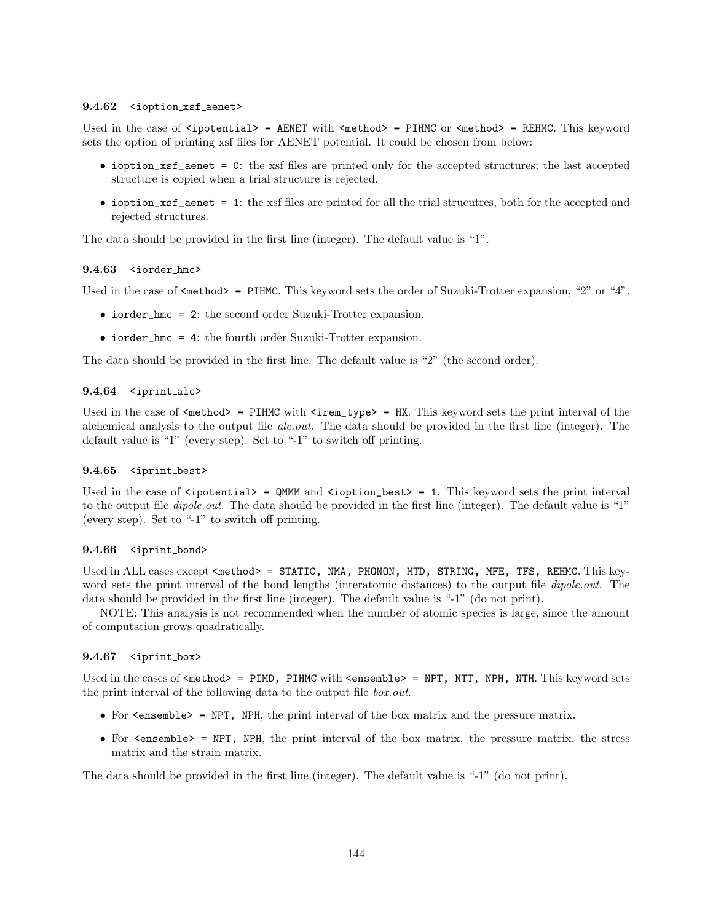#### 9.4.62 <ioption\_xsf\_aenet>

Used in the case of  $\langle$ ipotential> = AENET with  $\langle$ method> = PIHMC or  $\langle$ method> = REHMC. This keyword sets the option of printing xsf files for AENET potential. It could be chosen from below:

- ioption\_xsf\_aenet = 0: the xsf files are printed only for the accepted structures; the last accepted structure is copied when a trial structure is rejected.
- ioption\_xsf\_aenet = 1: the xsf files are printed for all the trial strucutres, both for the accepted and rejected structures.

The data should be provided in the first line (integer). The default value is "1".

#### **9.4.63** <iorder hmc>

Used in the case of  $\zeta$  method = PIHMC. This keyword sets the order of Suzuki-Trotter expansion, "2" or "4".

- iorder\_hmc = 2: the second order Suzuki-Trotter expansion.
- iorder\_hmc = 4: the fourth order Suzuki-Trotter expansion.

The data should be provided in the first line. The default value is "2" (the second order).

## **9.4.64** <iprint alc>

Used in the case of  $\epsilon$ method> = PIHMC with  $\epsilon$ irem\_type> = HX. This keyword sets the print interval of the alchemical analysis to the output file *alc.out*. The data should be provided in the first line (integer). The default value is "1" (every step). Set to "-1" to switch off printing.

#### **9.4.65** <iprint best>

Used in the case of  $\langle$ ipotential> = QMMM and  $\langle$ ioption\_best> = 1. This keyword sets the print interval to the output file *dipole.out*. The data should be provided in the first line (integer). The default value is "1" (every step). Set to "-1" to switch off printing.

#### 9.4.66 <iprint\_bond>

Used in ALL cases except <method> = STATIC, NMA, PHONON, MTD, STRING, MFE, TFS, REHMC. This keyword sets the print interval of the bond lengths (interatomic distances) to the output file *dipole.out*. The data should be provided in the first line (integer). The default value is "-1" (do not print).

NOTE: This analysis is not recommended when the number of atomic species is large, since the amount of computation grows quadratically.

#### **9.4.67** <iprint box>

Used in the cases of  $\zeta$ method> = PIMD, PIHMC with  $\zeta$ ensemble> = NPT, NTT, NPH, NTH. This keyword sets the print interval of the following data to the output file *box.out*.

- For  $\epsilon$ **nsemble>** = NPT, NPH, the print interval of the box matrix and the pressure matrix.
- For  $\epsilon$ **nsemble>** = NPT, NPH, the print interval of the box matrix, the pressure matrix, the stress matrix and the strain matrix.

The data should be provided in the first line (integer). The default value is "-1" (do not print).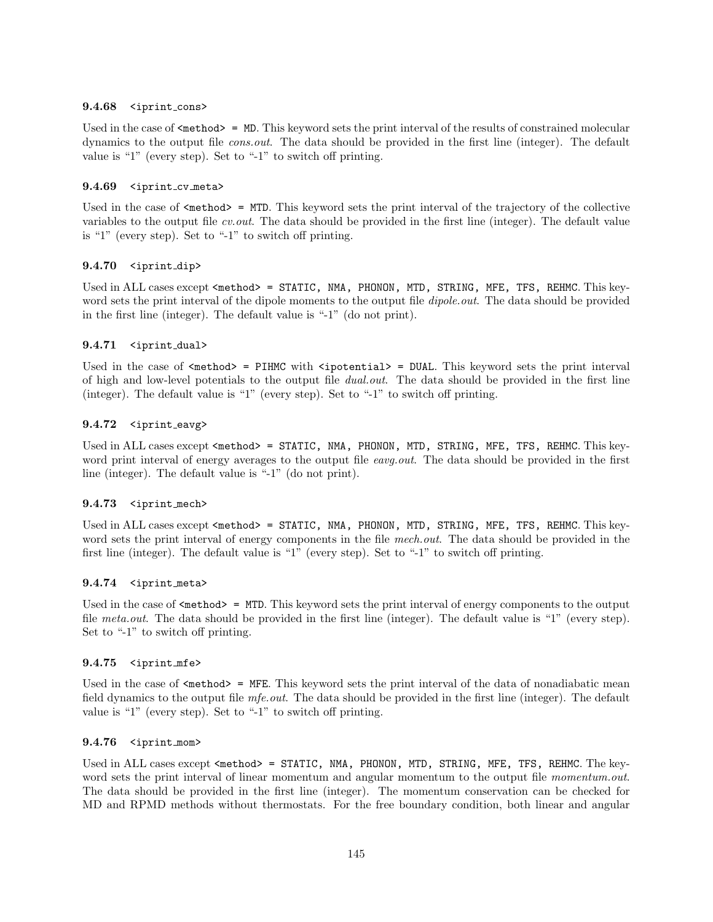# 9.4.68 <iprint\_cons>

Used in the case of  $\zeta$  method  $\geq$  = MD. This keyword sets the print interval of the results of constrained molecular dynamics to the output file *cons.out*. The data should be provided in the first line (integer). The default value is "1" (every step). Set to "-1" to switch off printing.

## 9.4.69 <iprint\_cv\_meta>

Used in the case of  $\epsilon$  method = MTD. This keyword sets the print interval of the trajectory of the collective variables to the output file *cv.out*. The data should be provided in the first line (integer). The default value is "1" (every step). Set to "-1" to switch off printing.

# **9.4.70** <iprint dip>

Used in ALL cases except <method> = STATIC, NMA, PHONON, MTD, STRING, MFE, TFS, REHMC. This keyword sets the print interval of the dipole moments to the output file *dipole.out*. The data should be provided in the first line (integer). The default value is "-1" (do not print).

# **9.4.71** <iprint dual>

Used in the case of  $\epsilon$ method> = PIHMC with  $\epsilon$ ipotential> = DUAL. This keyword sets the print interval of high and low-level potentials to the output file *dual.out*. The data should be provided in the first line (integer). The default value is "1" (every step). Set to "-1" to switch off printing.

# 9.4.72 <iprint\_eavg>

Used in ALL cases except <method> = STATIC, NMA, PHONON, MTD, STRING, MFE, TFS, REHMC. This keyword print interval of energy averages to the output file *eavg.out*. The data should be provided in the first line (integer). The default value is "-1" (do not print).

## **9.4.73** <iprint mech>

Used in ALL cases except <method> = STATIC, NMA, PHONON, MTD, STRING, MFE, TFS, REHMC. This keyword sets the print interval of energy components in the file *mech.out*. The data should be provided in the first line (integer). The default value is "1" (every step). Set to "-1" to switch off printing.

### **9.4.74** <iprint meta>

Used in the case of  $\langle \text{method} \rangle$  = MTD. This keyword sets the print interval of energy components to the output file *meta.out*. The data should be provided in the first line (integer). The default value is "1" (every step). Set to "-1" to switch off printing.

# **9.4.75** <iprint mfe>

Used in the case of  $\epsilon$ method = MFE. This keyword sets the print interval of the data of nonadiabatic mean field dynamics to the output file *mfe.out*. The data should be provided in the first line (integer). The default value is "1" (every step). Set to "-1" to switch off printing.

# **9.4.76** <iprint mom>

Used in ALL cases except <method> = STATIC, NMA, PHONON, MTD, STRING, MFE, TFS, REHMC. The keyword sets the print interval of linear momentum and angular momentum to the output file *momentum.out*. The data should be provided in the first line (integer). The momentum conservation can be checked for MD and RPMD methods without thermostats. For the free boundary condition, both linear and angular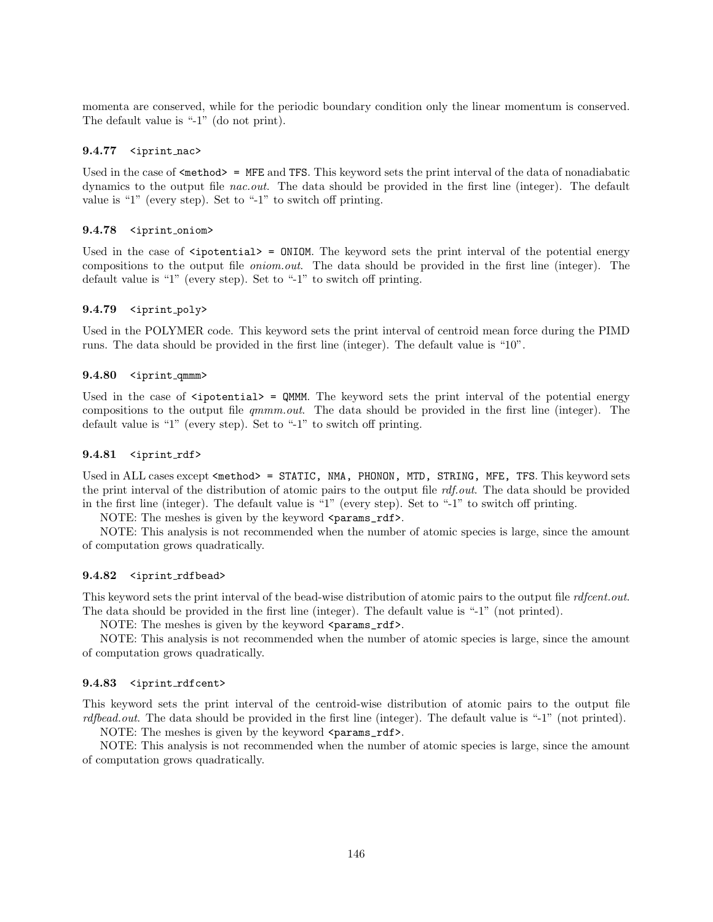momenta are conserved, while for the periodic boundary condition only the linear momentum is conserved. The default value is "-1" (do not print).

## **9.4.77** <iprint nac>

Used in the case of  $\epsilon$ method $\epsilon$  = MFE and TFS. This keyword sets the print interval of the data of nonadiabatic dynamics to the output file *nac.out*. The data should be provided in the first line (integer). The default value is "1" (every step). Set to "-1" to switch off printing.

# 9.4.78 <iprint\_oniom>

Used in the case of  $\epsilon$  ipotential = ONIOM. The keyword sets the print interval of the potential energy compositions to the output file *oniom.out*. The data should be provided in the first line (integer). The default value is "1" (every step). Set to "-1" to switch off printing.

#### **9.4.79** <iprint poly>

Used in the POLYMER code. This keyword sets the print interval of centroid mean force during the PIMD runs. The data should be provided in the first line (integer). The default value is "10".

#### **9.4.80** <iprint qmmm>

Used in the case of  $\epsilon$ ipotential> = QMMM. The keyword sets the print interval of the potential energy compositions to the output file *qmmm.out*. The data should be provided in the first line (integer). The default value is "1" (every step). Set to "-1" to switch off printing.

## **9.4.81** <iprint rdf>

Used in ALL cases except <method> = STATIC, NMA, PHONON, MTD, STRING, MFE, TFS. This keyword sets the print interval of the distribution of atomic pairs to the output file *rdf.out*. The data should be provided in the first line (integer). The default value is "1" (every step). Set to "-1" to switch off printing.

NOTE: The meshes is given by the keyword <params\_rdf>.

NOTE: This analysis is not recommended when the number of atomic species is large, since the amount of computation grows quadratically.

## **9.4.82** <iprint rdfbead>

This keyword sets the print interval of the bead-wise distribution of atomic pairs to the output file *rdfcent.out*. The data should be provided in the first line (integer). The default value is "-1" (not printed).

NOTE: The meshes is given by the keyword <params\_rdf>.

NOTE: This analysis is not recommended when the number of atomic species is large, since the amount of computation grows quadratically.

#### **9.4.83** <iprint rdfcent>

This keyword sets the print interval of the centroid-wise distribution of atomic pairs to the output file *rdfbead.out*. The data should be provided in the first line (integer). The default value is "-1" (not printed).

NOTE: The meshes is given by the keyword  $\epsilon$  params\_rdf>.

NOTE: This analysis is not recommended when the number of atomic species is large, since the amount of computation grows quadratically.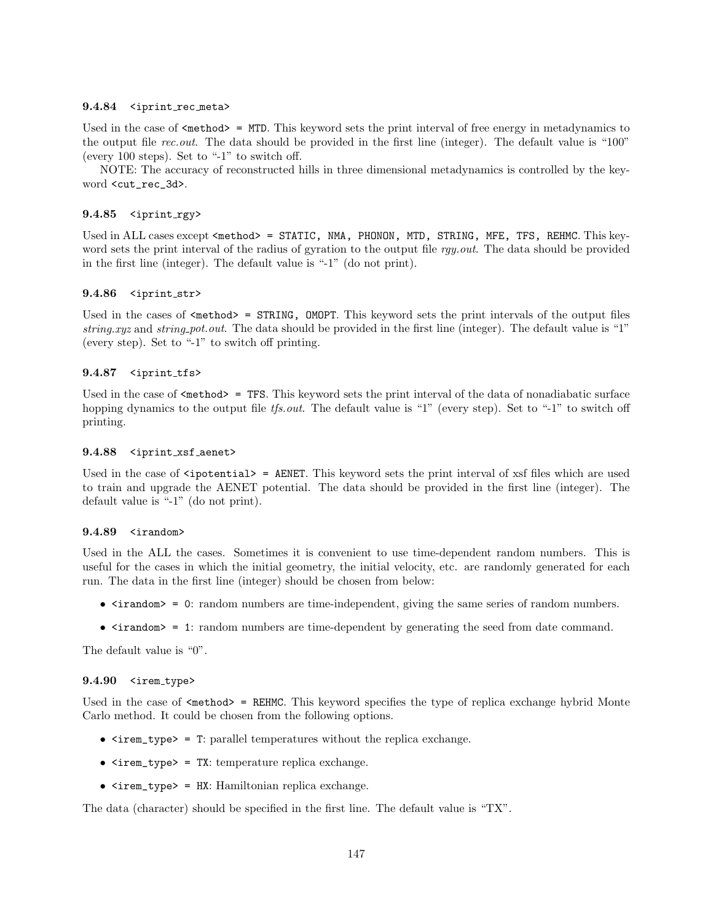#### 9.4.84 <iprint\_rec\_meta>

Used in the case of  $\langle \text{method} \rangle$  = MTD. This keyword sets the print interval of free energy in metadynamics to the output file *rec.out*. The data should be provided in the first line (integer). The default value is "100" (every 100 steps). Set to "-1" to switch off.

NOTE: The accuracy of reconstructed hills in three dimensional metadynamics is controlled by the keyword <cut\_rec\_3d>.

#### **9.4.85** <iprint rgy>

Used in ALL cases except <method> = STATIC, NMA, PHONON, MTD, STRING, MFE, TFS, REHMC. This keyword sets the print interval of the radius of gyration to the output file *rgy.out*. The data should be provided in the first line (integer). The default value is "-1" (do not print).

## **9.4.86** <iprint str>

Used in the cases of  $\zeta$  method = STRING, OMOPT. This keyword sets the print intervals of the output files *string.xyz* and *string pot.out*. The data should be provided in the first line (integer). The default value is "1" (every step). Set to "-1" to switch off printing.

# $9.4.87$   $\langle$ iprint\_tfs>

Used in the case of  $\zeta$  method = TFS. This keyword sets the print interval of the data of nonadiabatic surface hopping dynamics to the output file *tfs.out*. The default value is "1" (every step). Set to "-1" to switch off printing.

#### **9.4.88** <iprint xsf aenet>

Used in the case of  $\langle$ ipotential> = AENET. This keyword sets the print interval of xsf files which are used to train and upgrade the AENET potential. The data should be provided in the first line (integer). The default value is "-1" (do not print).

#### **9.4.89** <irandom>

Used in the ALL the cases. Sometimes it is convenient to use time-dependent random numbers. This is useful for the cases in which the initial geometry, the initial velocity, etc. are randomly generated for each run. The data in the first line (integer) should be chosen from below:

- $\epsilon$  irandom > = 0: random numbers are time-independent, giving the same series of random numbers.
- $\epsilon$  irandom> = 1: random numbers are time-dependent by generating the seed from date command.

The default value is "0".

# **9.4.90** <irem type>

Used in the case of  $\epsilon$ method> = REHMC. This keyword specifies the type of replica exchange hybrid Monte Carlo method. It could be chosen from the following options.

- $\langle$ **irem\_type>** = T: parallel temperatures without the replica exchange.
- $\langle$ irem\_type> = TX: temperature replica exchange.
- $\text{Circm\_type}$  = HX: Hamiltonian replica exchange.

The data (character) should be specified in the first line. The default value is "TX".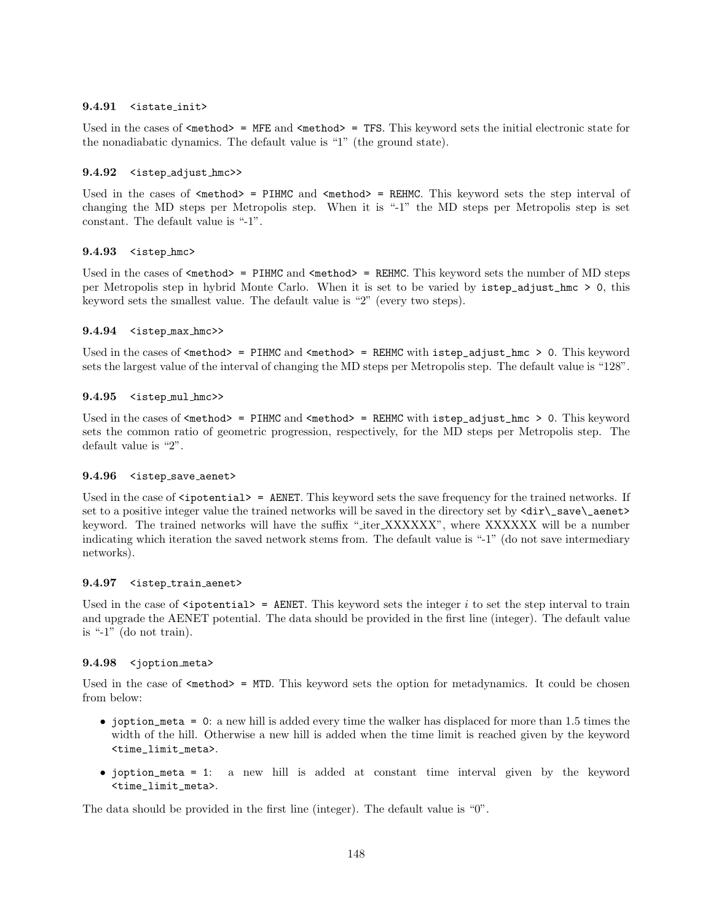# **9.4.91** <istate init>

Used in the cases of  $\epsilon$ method> = MFE and  $\epsilon$ method> = TFS. This keyword sets the initial electronic state for the nonadiabatic dynamics. The default value is "1" (the ground state).

## **9.4.92** <istep adjust hmc>>

Used in the cases of  $\zeta$ method > = PIHMC and  $\zeta$ method > = REHMC. This keyword sets the step interval of changing the MD steps per Metropolis step. When it is "-1" the MD steps per Metropolis step is set constant. The default value is "-1".

# **9.4.93** <istep hmc>

Used in the cases of  $\zeta$  method> = PIHMC and  $\zeta$  method> = REHMC. This keyword sets the number of MD steps per Metropolis step in hybrid Monte Carlo. When it is set to be varied by istep\_adjust\_hmc > 0, this keyword sets the smallest value. The default value is "2" (every two steps).

# **9.4.94** <istep max hmc>>

Used in the cases of  $\zeta$  = PIHMC and  $\zeta$  method> = REHMC with istep\_adjust\_hmc > 0. This keyword sets the largest value of the interval of changing the MD steps per Metropolis step. The default value is "128".

### **9.4.95** <istep mul hmc>>

Used in the cases of  $\zeta$  = PIHMC and  $\zeta$  method = REHMC with istep\_adjust\_hmc > 0. This keyword sets the common ratio of geometric progression, respectively, for the MD steps per Metropolis step. The default value is "2".

### 9.4.96 <istep\_save\_aenet>

Used in the case of  $\langle$ ipotential> = AENET. This keyword sets the save frequency for the trained networks. If set to a positive integer value the trained networks will be saved in the directory set by  $\langle \text{dir}\rangle$ \_save $\setminus$ \_aenet> keyword. The trained networks will have the suffix " iter XXXXXX", where XXXXXX will be a number indicating which iteration the saved network stems from. The default value is "-1" (do not save intermediary networks).

# 9.4.97 <istep\_train\_aenet>

Used in the case of  $\leq$  ipotential = AENET. This keyword sets the integer i to set the step interval to train and upgrade the AENET potential. The data should be provided in the first line (integer). The default value is "-1" (do not train).

# **9.4.98** <joption meta>

Used in the case of  $\epsilon$ method> = MTD. This keyword sets the option for metadynamics. It could be chosen from below:

- joption\_meta = 0: a new hill is added every time the walker has displaced for more than 1.5 times the width of the hill. Otherwise a new hill is added when the time limit is reached given by the keyword <time\_limit\_meta>.
- *•* joption\_meta = 1: a new hill is added at constant time interval given by the keyword <time\_limit\_meta>.

The data should be provided in the first line (integer). The default value is "0".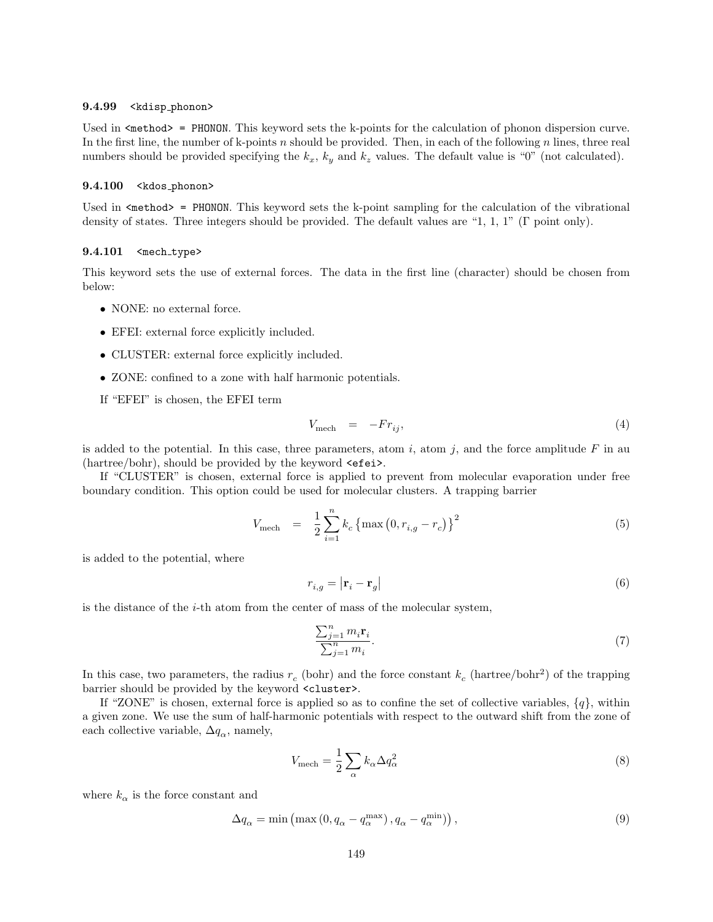## 9.4.99 <kdisp\_phonon>

Used in  $\epsilon$  = PHONON. This keyword sets the k-points for the calculation of phonon dispersion curve. In the first line, the number of k-points *n* should be provided. Then, in each of the following *n* lines, three real numbers should be provided specifying the  $k_x$ ,  $k_y$  and  $k_z$  values. The default value is "0" (not calculated).

# **9.4.100** <kdos phonon>

Used in  $\epsilon$  = PHONON. This keyword sets the k-point sampling for the calculation of the vibrational density of states. Three integers should be provided. The default values are "1, 1, 1" (Γ point only).

#### 9.4.101 <mech\_type>

This keyword sets the use of external forces. The data in the first line (character) should be chosen from below:

- NONE: no external force.
- *•* EFEI: external force explicitly included.
- *•* CLUSTER: external force explicitly included.
- *•* ZONE: confined to a zone with half harmonic potentials.

If "EFEI" is chosen, the EFEI term

$$
V_{\text{mech}} = -F r_{ij},\tag{4}
$$

is added to the potential. In this case, three parameters, atom  $i$ , atom  $j$ , and the force amplitude  $F$  in au (hartree/bohr), should be provided by the keyword <efei>.

If "CLUSTER" is chosen, external force is applied to prevent from molecular evaporation under free boundary condition. This option could be used for molecular clusters. A trapping barrier

$$
V_{\text{mech}} = \frac{1}{2} \sum_{i=1}^{n} k_c \left\{ \max \left( 0, r_{i,g} - r_c \right) \right\}^2 \tag{5}
$$

is added to the potential, where

$$
r_{i,g} = |\mathbf{r}_i - \mathbf{r}_g| \tag{6}
$$

is the distance of the *i*-th atom from the center of mass of the molecular system,

$$
\frac{\sum_{j=1}^{n} m_i \mathbf{r}_i}{\sum_{j=1}^{n} m_i}.
$$
\n(7)

In this case, two parameters, the radius  $r_c$  (bohr) and the force constant  $k_c$  (hartree/bohr<sup>2</sup>) of the trapping barrier should be provided by the keyword <cluster>.

If "ZONE" is chosen, external force is applied so as to confine the set of collective variables,  $\{q\}$ , within a given zone. We use the sum of half-harmonic potentials with respect to the outward shift from the zone of each collective variable,  $\Delta q_\alpha$ , namely,

$$
V_{\text{mech}} = \frac{1}{2} \sum_{\alpha} k_{\alpha} \Delta q_{\alpha}^2 \tag{8}
$$

where  $k_{\alpha}$  is the force constant and

$$
\Delta q_{\alpha} = \min\left(\max\left(0, q_{\alpha} - q_{\alpha}^{\max}\right), q_{\alpha} - q_{\alpha}^{\min}\right)\right),\tag{9}
$$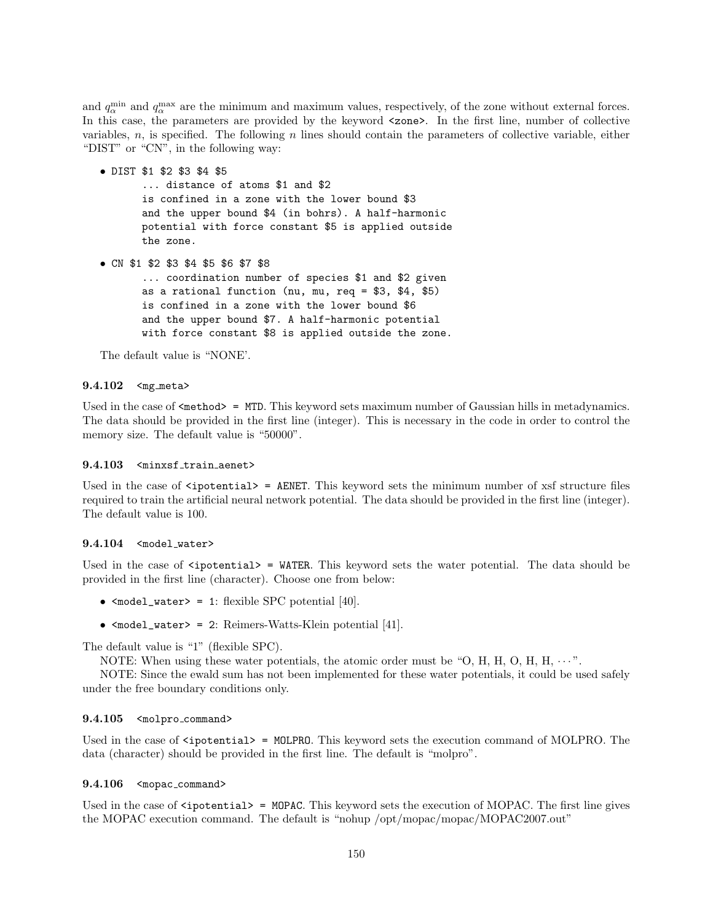and  $q_\alpha^{\text{min}}$  and  $q_\alpha^{\text{max}}$  are the minimum and maximum values, respectively, of the zone without external forces. In this case, the parameters are provided by the keyword  $\langle$ zone $\rangle$ . In the first line, number of collective variables, *n*, is specified. The following *n* lines should contain the parameters of collective variable, either "DIST" or "CN", in the following way:

```
• DIST $1 $2 $3 $4 $5
       ... distance of atoms $1 and $2
       is confined in a zone with the lower bound $3
      and the upper bound $4 (in bohrs). A half-harmonic
      potential with force constant $5 is applied outside
      the zone.
• CN $1 $2 $3 $4 $5 $6 $7 $8
       ... coordination number of species $1 and $2 given
       as a rational function (nu, mu, req = $3, $4, $5)
       is confined in a zone with the lower bound $6
       and the upper bound $7. A half-harmonic potential
      with force constant $8 is applied outside the zone.
```
The default value is "NONE'.

# **9.4.102** <mg meta>

Used in the case of  $\zeta$  method  $\geq$  MTD. This keyword sets maximum number of Gaussian hills in metadynamics. The data should be provided in the first line (integer). This is necessary in the code in order to control the memory size. The default value is "50000".

# 9.4.103 <minxsf\_train\_aenet>

Used in the case of  $\leq$  ipotential> = AENET. This keyword sets the minimum number of xsf structure files required to train the artificial neural network potential. The data should be provided in the first line (integer). The default value is 100.

#### **9.4.104** <model water>

Used in the case of  $\epsilon$  ipotential> = WATER. This keyword sets the water potential. The data should be provided in the first line (character). Choose one from below:

- $\leq$ model\_water> = 1: flexible SPC potential [40].
- <model\_water> = 2: Reimers-Watts-Klein potential [41].

The default value is "1" (flexible SPC).

NOTE: When using these water potentials, the atomic order must be "O, H, H, O, H, H, *· · ·* ".

NOTE: Since the ewald sum has not been implemented for these water potentials, it could be used safely under the free boundary conditions only.

#### 9.4.105 <molpro\_command>

Used in the case of  $\leq$  ipotential> = MOLPRO. This keyword sets the execution command of MOLPRO. The data (character) should be provided in the first line. The default is "molpro".

# 9.4.106 <mopac\_command>

Used in the case of <ipotential> = MOPAC. This keyword sets the execution of MOPAC. The first line gives the MOPAC execution command. The default is "nohup /opt/mopac/mopac/MOPAC2007.out"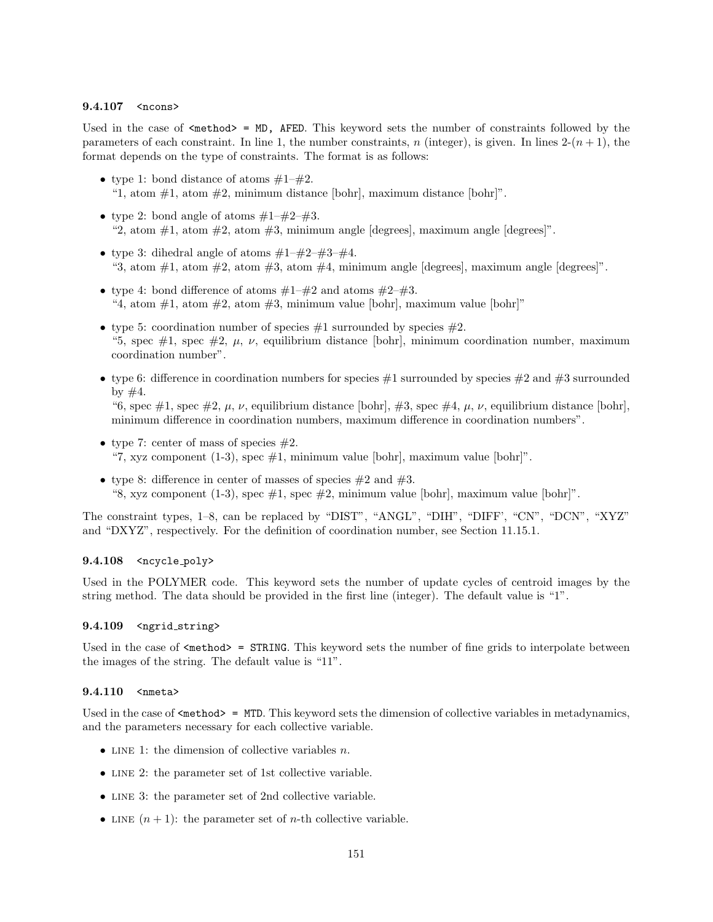## **9.4.107** <ncons>

Used in the case of  $\epsilon$ method> = MD, AFED. This keyword sets the number of constraints followed by the parameters of each constraint. In line 1, the number constraints, *n* (integer), is given. In lines  $2-(n+1)$ , the format depends on the type of constraints. The format is as follows:

- type 1: bond distance of atoms  $\#1-\#2$ . "1, atom  $#1$ , atom  $#2$ , minimum distance [bohr], maximum distance [bohr]".
- type 2: bond angle of atoms  $\#1-\#2-\#3$ . "2, atom  $\#1$ , atom  $\#2$ , atom  $\#3$ , minimum angle [degrees], maximum angle [degrees]".
- type 3: dihedral angle of atoms  $\#1-\#2-\#3-\#4$ . "3, atom  $\#1$ , atom  $\#2$ , atom  $\#3$ , atom  $\#4$ , minimum angle [degrees], maximum angle [degrees]".
- type 4: bond difference of atoms  $\#1-\#2$  and atoms  $\#2-\#3$ . "4, atom  $\#1$ , atom  $\#2$ , atom  $\#3$ , minimum value [bohr], maximum value [bohr]"
- type 5: coordination number of species  $#1$  surrounded by species  $#2$ . "5, spec  $\#1$ , spec  $\#2$ ,  $\mu$ ,  $\nu$ , equilibrium distance [bohr], minimum coordination number, maximum coordination number".
- type 6: difference in coordination numbers for species  $\#1$  surrounded by species  $\#2$  and  $\#3$  surrounded by  $#4$ .

"6, spec  $\#1$ , spec  $\#2$ ,  $\mu$ ,  $\nu$ , equilibrium distance [bohr],  $\#3$ , spec  $\#4$ ,  $\mu$ ,  $\nu$ , equilibrium distance [bohr], minimum difference in coordination numbers, maximum difference in coordination numbers".

- type 7: center of mass of species  $#2$ . "7, xyz component  $(1-3)$ , spec  $\#1$ , minimum value [bohr], maximum value [bohr]".
- type 8: difference in center of masses of species  $#2$  and  $#3$ . "8, xyz component  $(1-3)$ , spec  $\#1$ , spec  $\#2$ , minimum value [bohr], maximum value [bohr]".

The constraint types, 1–8, can be replaced by "DIST", "ANGL", "DIH", "DIFF', "CN", "DCN", "XYZ" and "DXYZ", respectively. For the definition of coordination number, see Section 11.15.1.

## **9.4.108** <ncycle poly>

Used in the POLYMER code. This keyword sets the number of update cycles of centroid images by the string method. The data should be provided in the first line (integer). The default value is "1".

# 9.4.109 <ngrid\_string>

Used in the case of  $\epsilon$ method> = STRING. This keyword sets the number of fine grids to interpolate between the images of the string. The default value is "11".

# **9.4.110** <nmeta>

Used in the case of  $\zeta$  method  $\geq$  = MTD. This keyword sets the dimension of collective variables in metadynamics, and the parameters necessary for each collective variable.

- LINE 1: the dimension of collective variables *n*.
- LINE 2: the parameter set of 1st collective variable.
- LINE 3: the parameter set of 2nd collective variable.
- LINE  $(n+1)$ : the parameter set of *n*-th collective variable.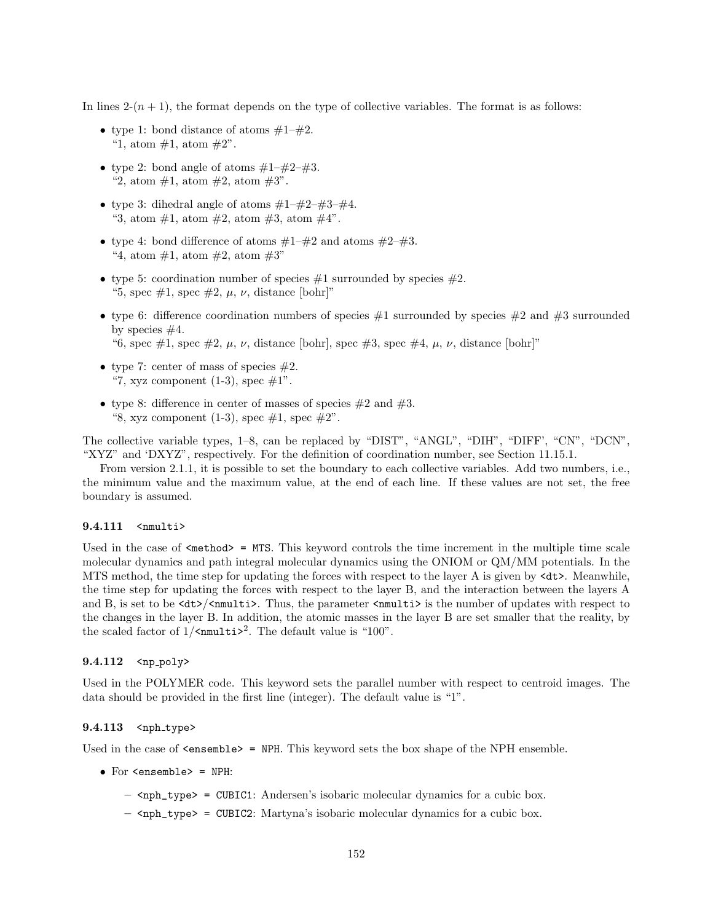In lines  $2-(n+1)$ , the format depends on the type of collective variables. The format is as follows:

- type 1: bond distance of atoms  $\#1-\#2$ . "1, atom  $\#1$ , atom  $\#2$ ".
- type 2: bond angle of atoms  $\#1-\#2-\#3$ . "2, atom  $\#1$ , atom  $\#2$ , atom  $\#3$ ".
- type 3: dihedral angle of atoms  $\#1-\#2-\#3-\#4$ . "3, atom  $\#1$ , atom  $\#2$ , atom  $\#3$ , atom  $\#4$ ".
- type 4: bond difference of atoms  $\#1-\#2$  and atoms  $\#2-\#3$ . "4, atom  $\#1$ , atom  $\#2$ , atom  $\#3"$
- type 5: coordination number of species  $\#1$  surrounded by species  $\#2$ . "5, spec  $\#1$ , spec  $\#2$ ,  $\mu$ ,  $\nu$ , distance [bohr]"
- type 6: difference coordination numbers of species  $\#1$  surrounded by species  $\#2$  and  $\#3$  surrounded by species  $#4$ .

"6, spec  $\#1$ , spec  $\#2$ ,  $\mu$ ,  $\nu$ , distance [bohr], spec  $\#3$ , spec  $\#4$ ,  $\mu$ ,  $\nu$ , distance [bohr]"

- type 7: center of mass of species  $#2$ . "7, xyz component  $(1-3)$ , spec  $\#1$ ".
- type 8: difference in center of masses of species  $#2$  and  $#3$ . "8, xyz component  $(1-3)$ , spec  $\#1$ , spec  $\#2$ ".

The collective variable types, 1–8, can be replaced by "DIST", "ANGL", "DIH", "DIFF', "CN", "DCN", "XYZ" and 'DXYZ", respectively. For the definition of coordination number, see Section 11.15.1.

From version 2.1.1, it is possible to set the boundary to each collective variables. Add two numbers, i.e., the minimum value and the maximum value, at the end of each line. If these values are not set, the free boundary is assumed.

# **9.4.111** <nmulti>

Used in the case of  $\epsilon$  method = MTS. This keyword controls the time increment in the multiple time scale molecular dynamics and path integral molecular dynamics using the ONIOM or QM/MM potentials. In the MTS method, the time step for updating the forces with respect to the layer A is given by  $\langle dt \rangle$ . Meanwhile, the time step for updating the forces with respect to the layer B, and the interaction between the layers A and B, is set to be  $\text{dt}>/\text{mmulti}$ . Thus, the parameter  $\text{mmulti}>$  is the number of updates with respect to the changes in the layer B. In addition, the atomic masses in the layer B are set smaller that the reality, by the scaled factor of  $1/\text{cm}$ ulti><sup>2</sup>. The default value is "100".

# **9.4.112** <np poly>

Used in the POLYMER code. This keyword sets the parallel number with respect to centroid images. The data should be provided in the first line (integer). The default value is "1".

#### **9.4.113** <nph type>

Used in the case of  $\epsilon$ nsemble> = NPH. This keyword sets the box shape of the NPH ensemble.

- *•* For <ensemble> = NPH:
	- **–** <nph\_type> = CUBIC1: Andersen's isobaric molecular dynamics for a cubic box.
	- **–** <nph\_type> = CUBIC2: Martyna's isobaric molecular dynamics for a cubic box.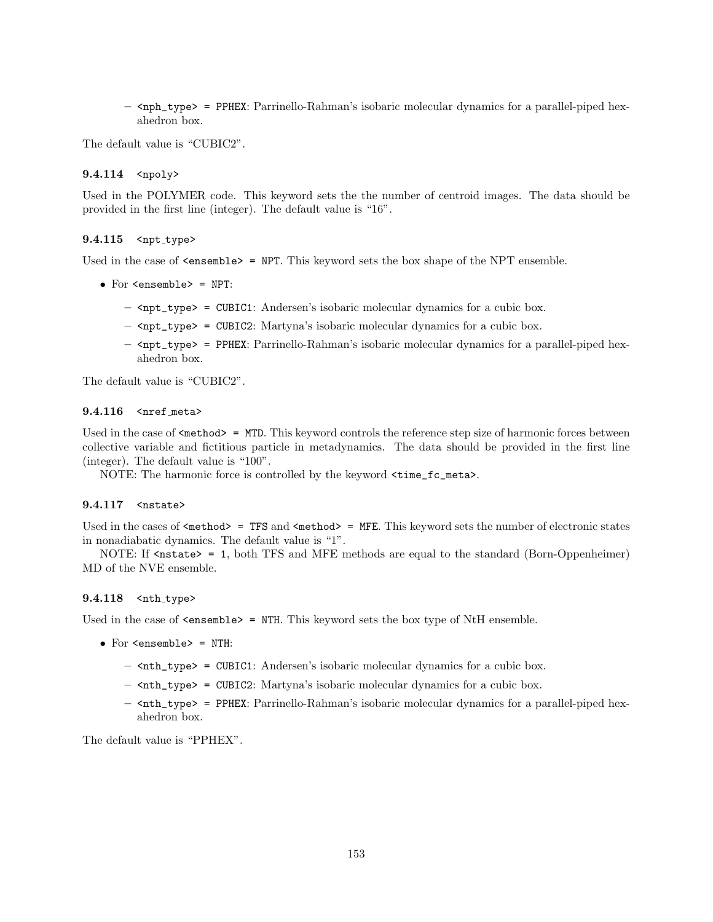**–** <nph\_type> = PPHEX: Parrinello-Rahman's isobaric molecular dynamics for a parallel-piped hexahedron box.

The default value is "CUBIC2".

#### **9.4.114** <npoly>

Used in the POLYMER code. This keyword sets the the number of centroid images. The data should be provided in the first line (integer). The default value is "16".

#### **9.4.115** <upt\_type>

Used in the case of  $\epsilon$ nsemble> = NPT. This keyword sets the box shape of the NPT ensemble.

- *•* For <ensemble> = NPT:
	- **–** <npt\_type> = CUBIC1: Andersen's isobaric molecular dynamics for a cubic box.
	- **–** <npt\_type> = CUBIC2: Martyna's isobaric molecular dynamics for a cubic box.
	- **–** <npt\_type> = PPHEX: Parrinello-Rahman's isobaric molecular dynamics for a parallel-piped hexahedron box.

The default value is "CUBIC2".

#### **9.4.116** <nref meta>

Used in the case of  $\langle \text{method} \rangle$  = MTD. This keyword controls the reference step size of harmonic forces between collective variable and fictitious particle in metadynamics. The data should be provided in the first line (integer). The default value is "100".

NOTE: The harmonic force is controlled by the keyword <time\_fc\_meta>.

# **9.4.117** <nstate>

Used in the cases of  $\langle \text{method}\rangle = \text{TFS}$  and  $\langle \text{method}\rangle = \text{MFE}$ . This keyword sets the number of electronic states in nonadiabatic dynamics. The default value is "1".

NOTE: If  $\kappa$  state> = 1, both TFS and MFE methods are equal to the standard (Born-Oppenheimer) MD of the NVE ensemble.

#### **9.4.118** <nth type>

Used in the case of  $\epsilon$ nsemble> = NTH. This keyword sets the box type of NtH ensemble.

- *•* For <ensemble> = NTH:
	- **–** <nth\_type> = CUBIC1: Andersen's isobaric molecular dynamics for a cubic box.
	- **–** <nth\_type> = CUBIC2: Martyna's isobaric molecular dynamics for a cubic box.
	- **–** <nth\_type> = PPHEX: Parrinello-Rahman's isobaric molecular dynamics for a parallel-piped hexahedron box.

The default value is "PPHEX".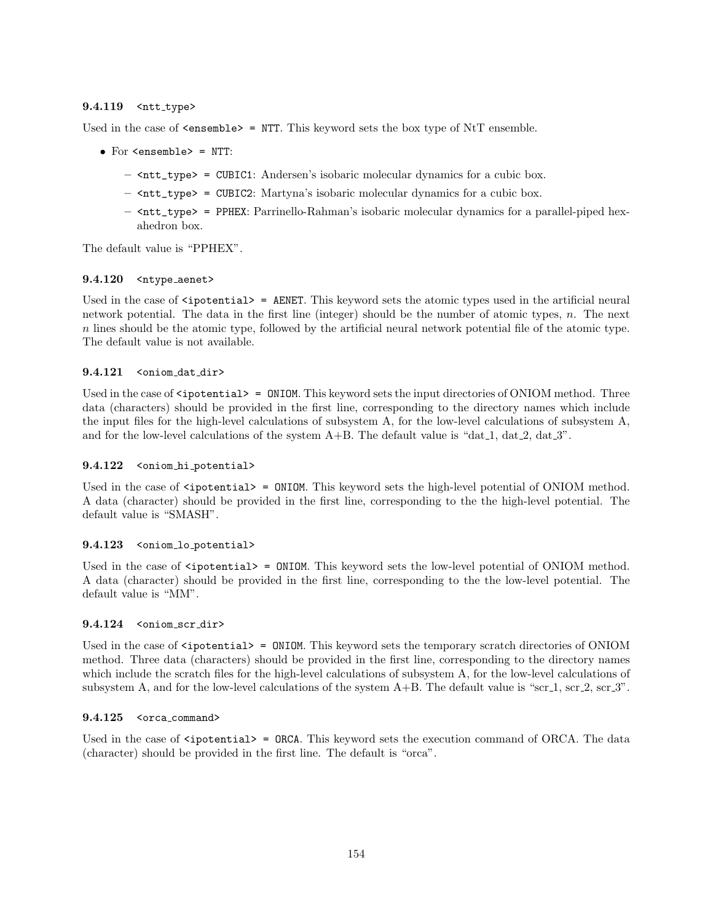# 9.4.119 <ntt\_type>

Used in the case of  $\epsilon$ nsemble> = NTT. This keyword sets the box type of NtT ensemble.

- *•* For <ensemble> = NTT:
	- **–** <ntt\_type> = CUBIC1: Andersen's isobaric molecular dynamics for a cubic box.
	- **–** <ntt\_type> = CUBIC2: Martyna's isobaric molecular dynamics for a cubic box.
	- **–** <ntt\_type> = PPHEX: Parrinello-Rahman's isobaric molecular dynamics for a parallel-piped hexahedron box.

The default value is "PPHEX".

#### 9.4.120 <ntype\_aenet>

Used in the case of  $\langle$ ipotential> = AENET. This keyword sets the atomic types used in the artificial neural network potential. The data in the first line (integer) should be the number of atomic types, *n*. The next *n* lines should be the atomic type, followed by the artificial neural network potential file of the atomic type. The default value is not available.

# **9.4.121** <oniom dat dir>

Used in the case of  $\langle$ ipotential> =  $ONIOM$ . This keyword sets the input directories of ONIOM method. Three data (characters) should be provided in the first line, corresponding to the directory names which include the input files for the high-level calculations of subsystem A, for the low-level calculations of subsystem A, and for the low-level calculations of the system  $A+B$ . The default value is "dat 1, dat 2, dat 3".

#### **9.4.122** <oniom hi potential>

Used in the case of  $\langle$ ipotential> = ONIOM. This keyword sets the high-level potential of ONIOM method. A data (character) should be provided in the first line, corresponding to the the high-level potential. The default value is "SMASH".

### **9.4.123** <oniom lo potential>

Used in the case of  $\leq$ ipotential> = ONIOM. This keyword sets the low-level potential of ONIOM method. A data (character) should be provided in the first line, corresponding to the the low-level potential. The default value is "MM".

# **9.4.124** <oniom scr dir>

Used in the case of  $\langle$ ipotential> = ONIOM. This keyword sets the temporary scratch directories of ONIOM method. Three data (characters) should be provided in the first line, corresponding to the directory names which include the scratch files for the high-level calculations of subsystem A, for the low-level calculations of subsystem A, and for the low-level calculations of the system  $A+B$ . The default value is "scr  $-1$ , scr  $-2$ , scr  $-3$ ".

# **9.4.125** <orca command>

Used in the case of  $\langle$ ipotential> = ORCA. This keyword sets the execution command of ORCA. The data (character) should be provided in the first line. The default is "orca".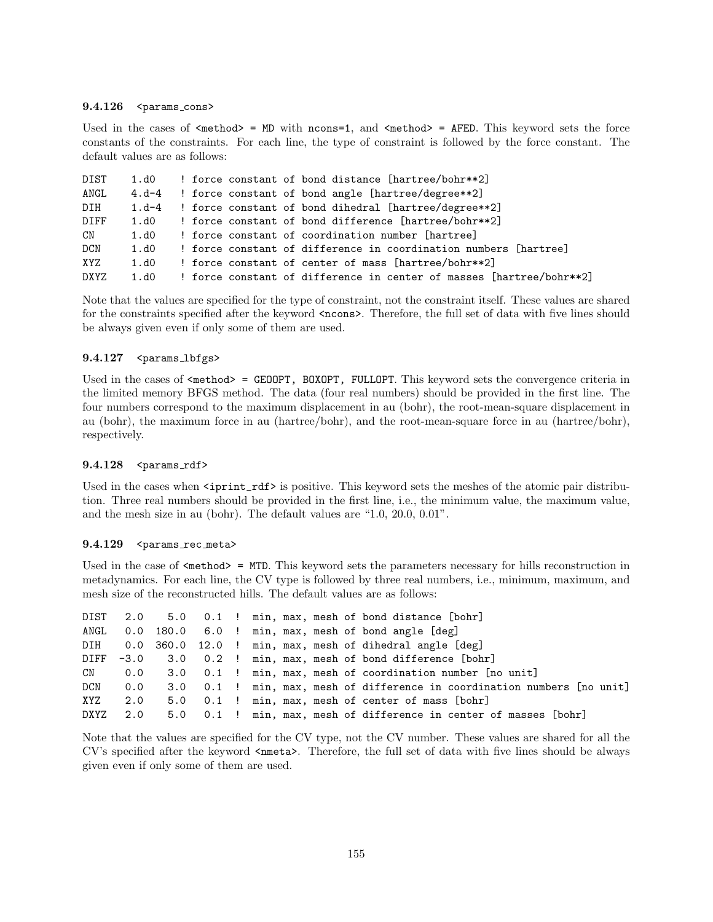## 9.4.126 <params\_cons>

Used in the cases of  $\zeta$ method > = MD with ncons=1, and  $\zeta$ method > = AFED. This keyword sets the force constants of the constraints. For each line, the type of constraint is followed by the force constant. The default values are as follows:

| DIST |      |  |  | 1.d0    ! force constant of bond distance [hartree/bohr**2]          |
|------|------|--|--|----------------------------------------------------------------------|
| ANGL |      |  |  | 4.d-4 ! force constant of bond angle [hartree/degree**2]             |
| DIH  |      |  |  | 1.d-4 ! force constant of bond dihedral [hartree/degree**2]          |
| DIFF |      |  |  | 1.d0    ! force constant of bond difference [hartree/bohr**2]        |
| CN   |      |  |  | 1.d0    ! force constant of coordination number [hartree]            |
| DCN  | 1.d0 |  |  | ! force constant of difference in coordination numbers [hartree]     |
| XYZ  |      |  |  | 1.d0 : force constant of center of mass [hartree/bohr**2]            |
| DXYZ | 1.d0 |  |  | ! force constant of difference in center of masses [hartree/bohr**2] |

Note that the values are specified for the type of constraint, not the constraint itself. These values are shared for the constraints specified after the keyword  $\alpha$  cons>. Therefore, the full set of data with five lines should be always given even if only some of them are used.

## 9.4.127 <params\_lbfgs>

Used in the cases of  $\epsilon$ method> = GEOOPT, BOXOPT, FULLOPT. This keyword sets the convergence criteria in the limited memory BFGS method. The data (four real numbers) should be provided in the first line. The four numbers correspond to the maximum displacement in au (bohr), the root-mean-square displacement in au (bohr), the maximum force in au (hartree/bohr), and the root-mean-square force in au (hartree/bohr), respectively.

#### **9.4.128** <params rdf>

Used in the cases when  $\text{approx}$   $\text{approx}$  is positive. This keyword sets the meshes of the atomic pair distribution. Three real numbers should be provided in the first line, i.e., the minimum value, the maximum value, and the mesh size in au (bohr). The default values are "1.0, 20.0, 0.01".

## 9.4.129 <params\_rec\_meta>

Used in the case of  $\langle\text{method}\rangle$  = MTD. This keyword sets the parameters necessary for hills reconstruction in metadynamics. For each line, the CV type is followed by three real numbers, i.e., minimum, maximum, and mesh size of the reconstructed hills. The default values are as follows:

```
DIST 2.0 5.0 0.1 ! min, max, mesh of bond distance [bohr]
ANGL 0.0 180.0 6.0 ! min, max, mesh of bond angle [deg]
DIH 0.0 360.0 12.0 ! min, max, mesh of dihedral angle [deg]
DIFF -3.0 3.0 0.2 ! min, max, mesh of bond difference [bohr]
CN 0.0 3.0 0.1 ! min, max, mesh of coordination number [no unit]
DCN 0.0 3.0 0.1 ! min, max, mesh of difference in coordination numbers [no unit]
XYZ 2.0 5.0 0.1 ! min, max, mesh of center of mass [bohr]
DXYZ 2.0 5.0 0.1 ! min, max, mesh of difference in center of masses [bohr]
```
Note that the values are specified for the CV type, not the CV number. These values are shared for all the CV's specified after the keyword  $\langle$ nmeta>. Therefore, the full set of data with five lines should be always given even if only some of them are used.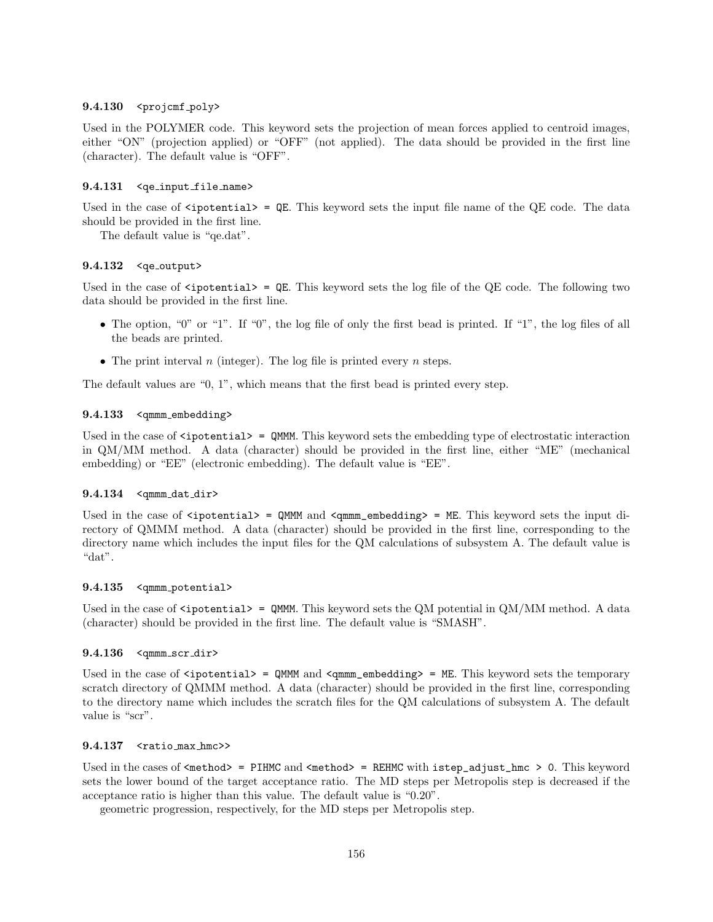# 9.4.130 <projcmf\_poly>

Used in the POLYMER code. This keyword sets the projection of mean forces applied to centroid images, either "ON" (projection applied) or "OFF" (not applied). The data should be provided in the first line (character). The default value is "OFF".

#### **9.4.131** <qe input file name>

Used in the case of  $\langle$ ipotential> = QE. This keyword sets the input file name of the QE code. The data should be provided in the first line.

The default value is "qe.dat".

#### **9.4.132** <qe output>

Used in the case of  $\langle$ ipotential> = QE. This keyword sets the log file of the QE code. The following two data should be provided in the first line.

- The option, "0" or "1". If "0", the log file of only the first bead is printed. If "1", the log files of all the beads are printed.
- *•* The print interval *n* (integer). The log file is printed every *n* steps.

The default values are "0, 1", which means that the first bead is printed every step.

## **9.4.133** <qmmm embedding>

Used in the case of  $\langle$ ipotential> = QMMM. This keyword sets the embedding type of electrostatic interaction in QM/MM method. A data (character) should be provided in the first line, either "ME" (mechanical embedding) or "EE" (electronic embedding). The default value is "EE".

#### **9.4.134** <qmmm dat dir>

Used in the case of  $\epsilon$  ipotential> = QMMM and  $\epsilon$ qmmm\_embedding> = ME. This keyword sets the input directory of QMMM method. A data (character) should be provided in the first line, corresponding to the directory name which includes the input files for the QM calculations of subsystem A. The default value is "dat".

## 9.4.135 <qmmm\_potential>

Used in the case of  $\langle$ ipotential> = QMMM. This keyword sets the QM potential in QM/MM method. A data (character) should be provided in the first line. The default value is "SMASH".

# **9.4.136** <qmmm scr dir>

Used in the case of  $\langle$ ipotential> = QMMM and  $\langle$ qmmm\_embedding> = ME. This keyword sets the temporary scratch directory of QMMM method. A data (character) should be provided in the first line, corresponding to the directory name which includes the scratch files for the QM calculations of subsystem A. The default value is "scr".

#### **9.4.137** <ratio max hmc>>

Used in the cases of  $\zeta$  = PIHMC and  $\zeta$  method = REHMC with istep\_adjust\_hmc > 0. This keyword sets the lower bound of the target acceptance ratio. The MD steps per Metropolis step is decreased if the acceptance ratio is higher than this value. The default value is "0.20".

geometric progression, respectively, for the MD steps per Metropolis step.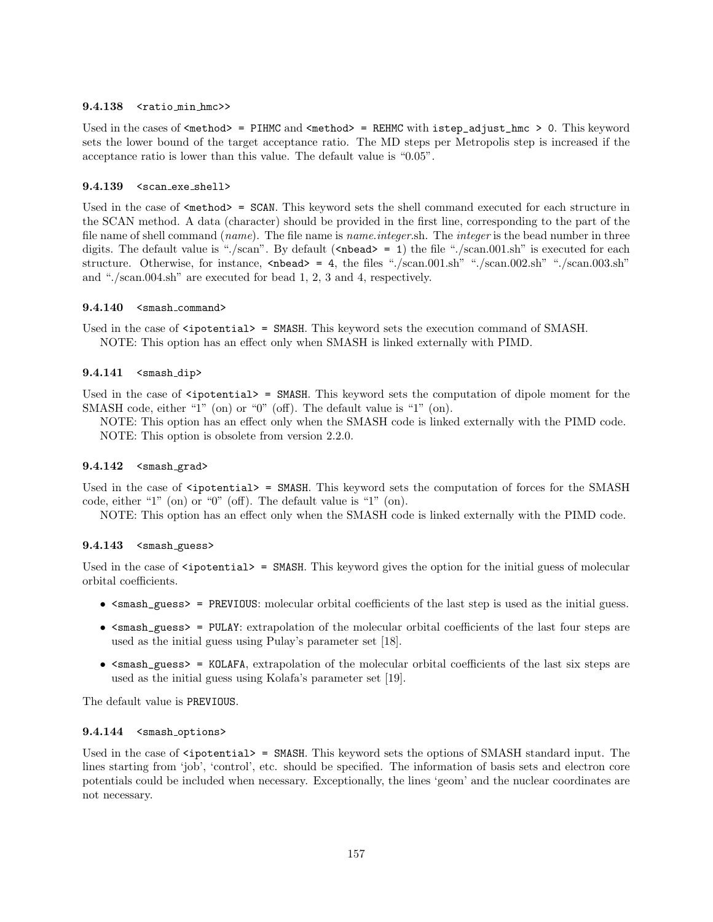#### **9.4.138** <ratio min hmc>>

Used in the cases of  $\zeta$  = PIHMC and  $\zeta$  method = REHMC with istep\_adjust\_hmc > 0. This keyword sets the lower bound of the target acceptance ratio. The MD steps per Metropolis step is increased if the acceptance ratio is lower than this value. The default value is "0.05".

# **9.4.139** <scan exe shell>

Used in the case of <method> = SCAN. This keyword sets the shell command executed for each structure in the SCAN method. A data (character) should be provided in the first line, corresponding to the part of the file name of shell command (*name*). The file name is *name*.*integer*.sh. The *integer* is the bead number in three digits. The default value is "./scan". By default ( $\epsilon$ nbead> = 1) the file "./scan.001.sh" is executed for each structure. Otherwise, for instance,  $\langle \text{nbead}\rangle = 4$ , the files "./scan.001.sh" "./scan.002.sh" "./scan.003.sh" and "./scan.004.sh" are executed for bead 1, 2, 3 and 4, respectively.

## 9.4.140 <smash\_command>

Used in the case of  $\langle$ ipotential> = SMASH. This keyword sets the execution command of SMASH. NOTE: This option has an effect only when SMASH is linked externally with PIMD.

# **9.4.141** <smash dip>

Used in the case of  $\langle$ ipotential> = SMASH. This keyword sets the computation of dipole moment for the SMASH code, either "1" (on) or "0" (off). The default value is "1" (on).

NOTE: This option has an effect only when the SMASH code is linked externally with the PIMD code. NOTE: This option is obsolete from version 2.2.0.

# **9.4.142** <smash grad>

Used in the case of  $\langle$ ipotential> = SMASH. This keyword sets the computation of forces for the SMASH code, either "1" (on) or "0" (off). The default value is "1" (on).

NOTE: This option has an effect only when the SMASH code is linked externally with the PIMD code.

#### **9.4.143** <smash guess>

Used in the case of  $\text{NASH}$ . This keyword gives the option for the initial guess of molecular orbital coefficients.

- $\frac{\text{38}}{2}$  <smash\_guess> = PREVIOUS: molecular orbital coefficients of the last step is used as the initial guess.
- $\frac{1}{2}$  <smash\_guess> = PULAY: extrapolation of the molecular orbital coefficients of the last four steps are used as the initial guess using Pulay's parameter set [18].
- $\frac{\text{38}}{2}$  <smash\_guess> = KOLAFA, extrapolation of the molecular orbital coefficients of the last six steps are used as the initial guess using Kolafa's parameter set [19].

The default value is PREVIOUS.

## 9.4.144 <smash\_options>

Used in the case of  $\langle$ ipotential> = SMASH. This keyword sets the options of SMASH standard input. The lines starting from 'job', 'control', etc. should be specified. The information of basis sets and electron core potentials could be included when necessary. Exceptionally, the lines 'geom' and the nuclear coordinates are not necessary.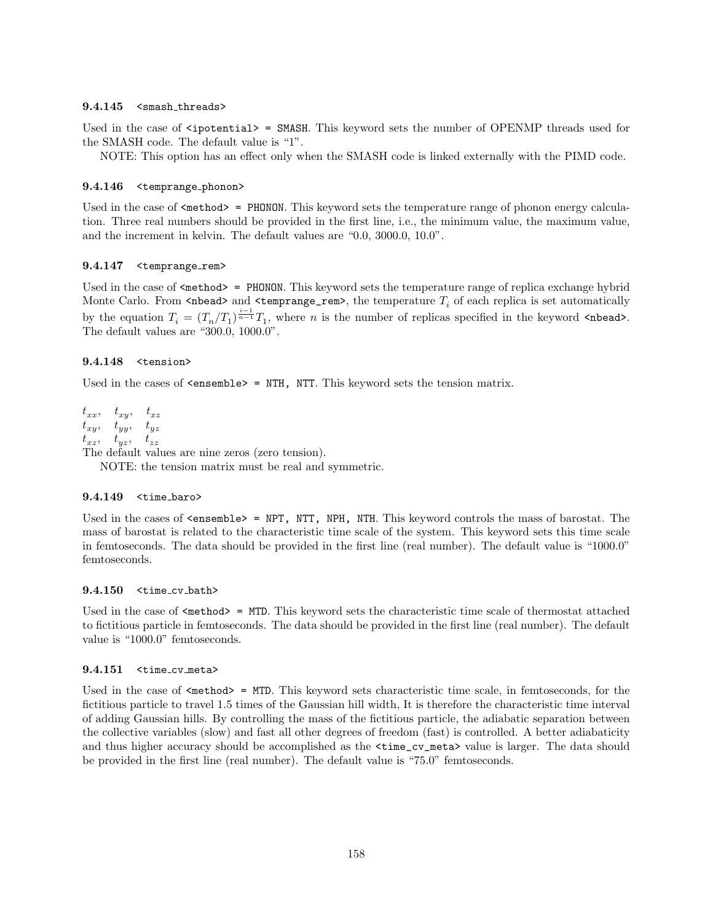## 9.4.145 <smash\_threads>

Used in the case of  $\langle$ ipotential> = SMASH. This keyword sets the number of OPENMP threads used for the SMASH code. The default value is "1".

NOTE: This option has an effect only when the SMASH code is linked externally with the PIMD code.

#### **9.4.146** <temprange phonon>

Used in the case of  $\epsilon$  method = PHONON. This keyword sets the temperature range of phonon energy calculation. Three real numbers should be provided in the first line, i.e., the minimum value, the maximum value, and the increment in kelvin. The default values are "0.0, 3000.0, 10.0".

#### 9.4.147 <temprange\_rem>

Used in the case of  $\epsilon$ method $\epsilon$  = PHONON. This keyword sets the temperature range of replica exchange hybrid Monte Carlo. From  $\zeta$  **choose**  $\zeta$   $\zeta$  **temprange\_rem>**, the temperature  $T_i$  of each replica is set automatically by the equation  $T_i = (T_n/T_1)^{\frac{i-1}{n-1}}T_1$ , where *n* is the number of replicas specified in the keyword <nbead>. The default values are "300.0, 1000.0".

#### **9.4.148** <tension>

Used in the cases of  $\epsilon$ nsemble> = NTH, NTT. This keyword sets the tension matrix.

 $t_{xx}$ *,*  $t_{xy}$ *,*  $t_{xz}$  $t_{xy}$ *, t<sub>yy</sub>, t<sub>yz</sub>*  $t_{xz}$ *,*  $t_{yz}$ *,*  $t_{zz}$ The default values are nine zeros (zero tension).

NOTE: the tension matrix must be real and symmetric.

# **9.4.149** <time baro>

Used in the cases of  $\epsilon$ nsemble> = NPT, NTT, NPH, NTH. This keyword controls the mass of barostat. The mass of barostat is related to the characteristic time scale of the system. This keyword sets this time scale in femtoseconds. The data should be provided in the first line (real number). The default value is "1000.0" femtoseconds.

## 9.4.150 <time\_cv\_bath>

Used in the case of  $\langle \text{method} \rangle$  = MTD. This keyword sets the characteristic time scale of thermostat attached to fictitious particle in femtoseconds. The data should be provided in the first line (real number). The default value is "1000.0" femtoseconds.

# 9.4.151 <time\_cv\_meta>

Used in the case of  $\epsilon$ method> = MTD. This keyword sets characteristic time scale, in femtoseconds, for the fictitious particle to travel 1.5 times of the Gaussian hill width, It is therefore the characteristic time interval of adding Gaussian hills. By controlling the mass of the fictitious particle, the adiabatic separation between the collective variables (slow) and fast all other degrees of freedom (fast) is controlled. A better adiabaticity and thus higher accuracy should be accomplished as the <time\_cv\_meta> value is larger. The data should be provided in the first line (real number). The default value is "75.0" femtoseconds.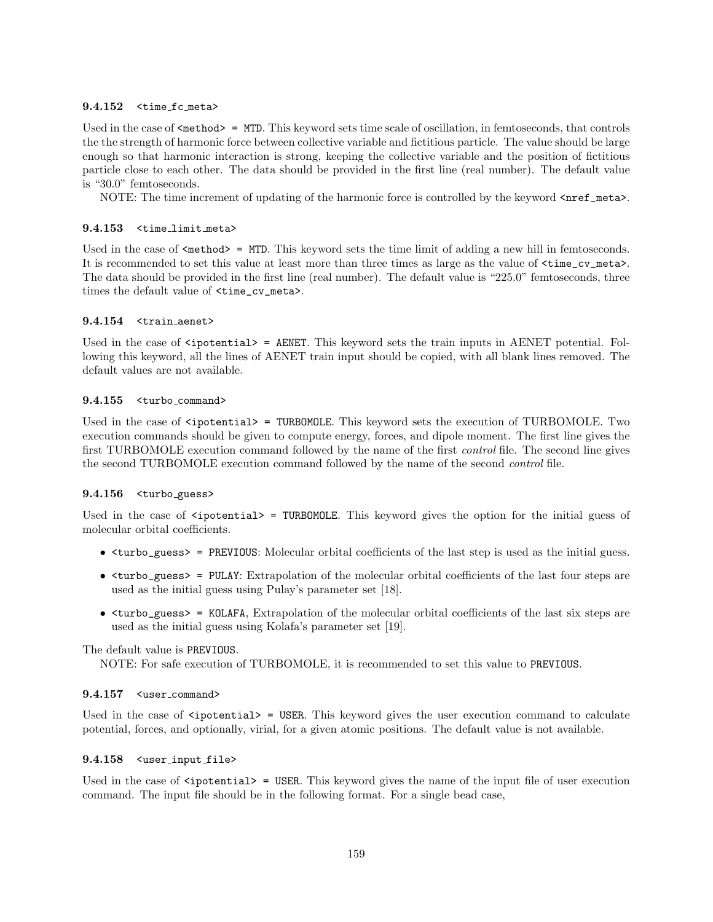# **9.4.152** <time fc meta>

Used in the case of  $\epsilon$ method $\epsilon$  = MTD. This keyword sets time scale of oscillation, in femtoseconds, that controls the the strength of harmonic force between collective variable and fictitious particle. The value should be large enough so that harmonic interaction is strong, keeping the collective variable and the position of fictitious particle close to each other. The data should be provided in the first line (real number). The default value is "30.0" femtoseconds.

NOTE: The time increment of updating of the harmonic force is controlled by the keyword  $\langle$ nref\_meta>.

# **9.4.153** <time limit meta>

Used in the case of  $\langle \text{method} \rangle$  = MTD. This keyword sets the time limit of adding a new hill in femtoseconds. It is recommended to set this value at least more than three times as large as the value of <time\_cv\_meta>. The data should be provided in the first line (real number). The default value is "225.0" femtoseconds, three times the default value of  $\times$ time\_cv\_meta>.

# **9.4.154** <train aenet>

Used in the case of  $\leq$  ipotential> = AENET. This keyword sets the train inputs in AENET potential. Following this keyword, all the lines of AENET train input should be copied, with all blank lines removed. The default values are not available.

# 9.4.155 <turbo\_command>

Used in the case of  $\leq$  ipotential> = TURBOMOLE. This keyword sets the execution of TURBOMOLE. Two execution commands should be given to compute energy, forces, and dipole moment. The first line gives the first TURBOMOLE execution command followed by the name of the first *control* file. The second line gives the second TURBOMOLE execution command followed by the name of the second *control* file.

### 9.4.156 <turbo\_guess>

Used in the case of  $\epsilon$  ipotential> = TURBOMOLE. This keyword gives the option for the initial guess of molecular orbital coefficients.

- $\times$ turbo\_guess> = PREVIOUS: Molecular orbital coefficients of the last step is used as the initial guess.
- $\times$ turbo\_guess> = PULAY: Extrapolation of the molecular orbital coefficients of the last four steps are used as the initial guess using Pulay's parameter set [18].
- $\times$ turbo\_guess> = KOLAFA, Extrapolation of the molecular orbital coefficients of the last six steps are used as the initial guess using Kolafa's parameter set [19].

The default value is PREVIOUS.

NOTE: For safe execution of TURBOMOLE, it is recommended to set this value to PREVIOUS.

### 9.4.157 <user\_command>

Used in the case of  $\epsilon$  ipotential = USER. This keyword gives the user execution command to calculate potential, forces, and optionally, virial, for a given atomic positions. The default value is not available.

### **9.4.158** <user input file>

Used in the case of  $\langle$ ipotential> = USER. This keyword gives the name of the input file of user execution command. The input file should be in the following format. For a single bead case,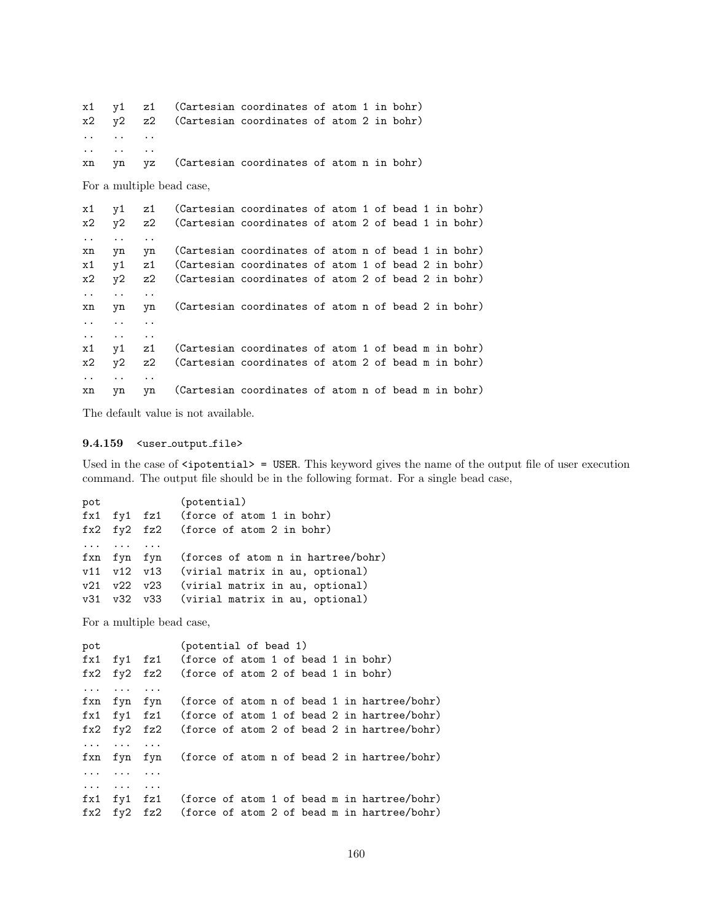x1 y1 z1 (Cartesian coordinates of atom 1 in bohr) x2 y2 z2 (Cartesian coordinates of atom 2 in bohr) .. .. .. .. .. .. xn yn yz (Cartesian coordinates of atom n in bohr) For a multiple bead case, x1 y1 z1 (Cartesian coordinates of atom 1 of bead 1 in bohr) x2 y2 z2 (Cartesian coordinates of atom 2 of bead 1 in bohr) .. .. .. xn yn yn (Cartesian coordinates of atom n of bead 1 in bohr) x1 y1 z1 (Cartesian coordinates of atom 1 of bead 2 in bohr) x2 y2 z2 (Cartesian coordinates of atom 2 of bead 2 in bohr) .. .. .. xn yn yn (Cartesian coordinates of atom n of bead 2 in bohr) .. .. .. .. .. .. x1 y1 z1 (Cartesian coordinates of atom 1 of bead m in bohr) x2 y2 z2 (Cartesian coordinates of atom 2 of bead m in bohr) .. .. .. xn yn yn (Cartesian coordinates of atom n of bead m in bohr)

The default value is not available.

#### 9.4.159 <user\_output\_file>

Used in the case of  $\langle$ ipotential> = USER. This keyword gives the name of the output file of user execution command. The output file should be in the following format. For a single bead case,

|                                                       | pot (potential)                                |
|-------------------------------------------------------|------------------------------------------------|
|                                                       | fx1 fy1 fz1 (force of atom 1 in bohr)          |
|                                                       | $f x2 f y2 f z2$ (force of atom 2 in bohr)     |
| $\cdot\cdot\cdot$ $\cdot\cdot\cdot$ $\cdot\cdot\cdot$ |                                                |
|                                                       |                                                |
|                                                       | fxn fyn fyn (forces of atom n in hartree/bohr) |
|                                                       | v11 v12 v13 (virial matrix in au, optional)    |
|                                                       | v21 v22 v23 (virial matrix in au, optional)    |

For a multiple bead case,

pot (potential of bead 1) fx1 fy1 fz1 (force of atom 1 of bead 1 in bohr) fx2 fy2 fz2 (force of atom 2 of bead 1 in bohr) ... ... ... fxn fyn fyn (force of atom n of bead 1 in hartree/bohr) fx1 fy1 fz1 (force of atom 1 of bead 2 in hartree/bohr) fx2 fy2 fz2 (force of atom 2 of bead 2 in hartree/bohr) ... ... ... fxn fyn fyn (force of atom n of bead 2 in hartree/bohr) ... ... ... ... ... ... fx1 fy1 fz1 (force of atom 1 of bead m in hartree/bohr) fx2 fy2 fz2 (force of atom 2 of bead m in hartree/bohr)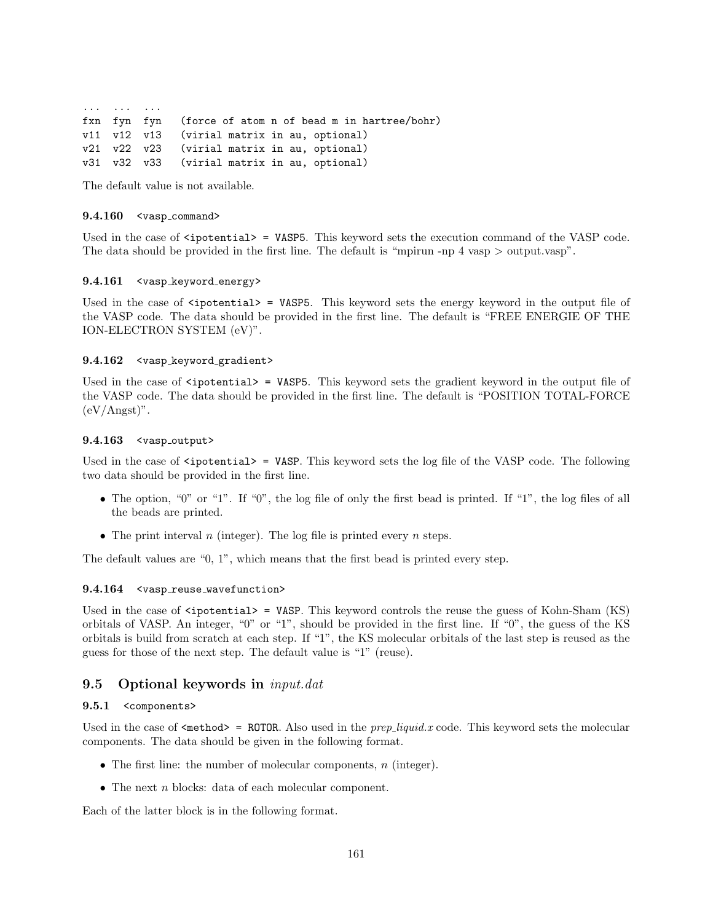```
... ... ...
fxn fyn fyn (force of atom n of bead m in hartree/bohr)
v11 v12 v13 (virial matrix in au, optional)
v21 v22 v23 (virial matrix in au, optional)
v31 v32 v33 (virial matrix in au, optional)
```
The default value is not available.

# 9.4.160 <vasp\_command>

Used in the case of  $\langle$ ipotential> = VASP5. This keyword sets the execution command of the VASP code. The data should be provided in the first line. The default is "mpirun -np 4 vasp *>* output.vasp".

## **9.4.161** <vasp keyword energy>

Used in the case of  $\epsilon$  ipotential> = VASP5. This keyword sets the energy keyword in the output file of the VASP code. The data should be provided in the first line. The default is "FREE ENERGIE OF THE ION-ELECTRON SYSTEM (eV)".

## **9.4.162** <vasp keyword gradient>

Used in the case of  $\langle$ ipotential> = VASP5. This keyword sets the gradient keyword in the output file of the VASP code. The data should be provided in the first line. The default is "POSITION TOTAL-FORCE  $(eV/Angst)$ ".

# 9.4.163 <vasp\_output>

Used in the case of  $\langle$ ipotential> = VASP. This keyword sets the log file of the VASP code. The following two data should be provided in the first line.

- The option, "0" or "1". If "0", the log file of only the first bead is printed. If "1", the log files of all the beads are printed.
- *•* The print interval *n* (integer). The log file is printed every *n* steps.

The default values are "0, 1", which means that the first bead is printed every step.

## 9.4.164 <vasp\_reuse\_wavefunction>

Used in the case of  $\leq$  ipotential> = VASP. This keyword controls the reuse the guess of Kohn-Sham (KS) orbitals of VASP. An integer, "0" or "1", should be provided in the first line. If "0", the guess of the KS orbitals is build from scratch at each step. If "1", the KS molecular orbitals of the last step is reused as the guess for those of the next step. The default value is "1" (reuse).

# **9.5 Optional keywords in** *input.dat*

#### **9.5.1** <components>

Used in the case of  $\epsilon$ method> = ROTOR. Also used in the *prep\_liquid.x* code. This keyword sets the molecular components. The data should be given in the following format.

- *•* The first line: the number of molecular components, *n* (integer).
- *•* The next *n* blocks: data of each molecular component.

Each of the latter block is in the following format.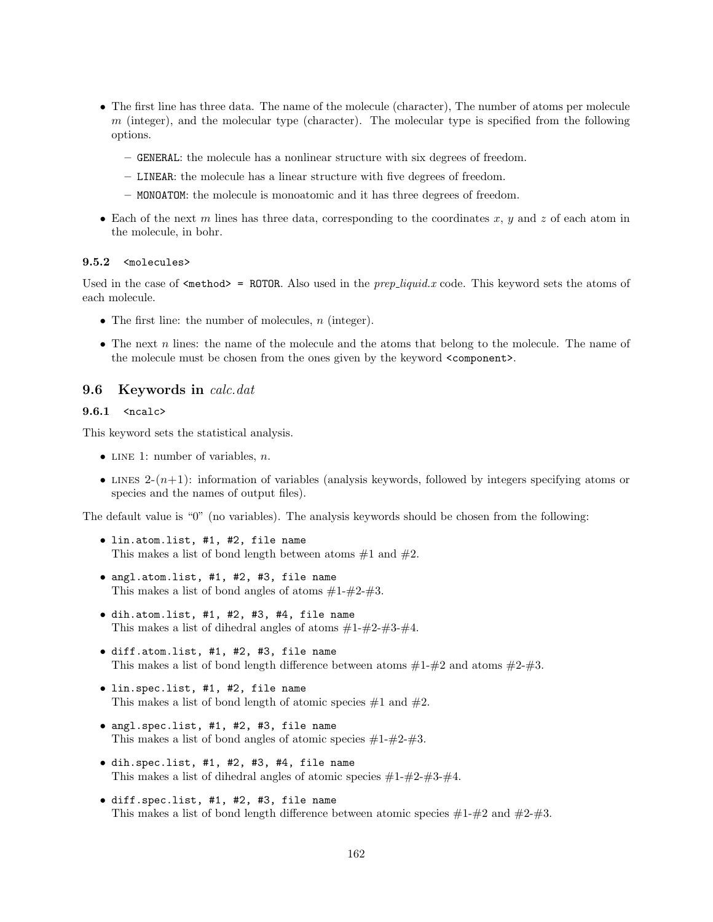- The first line has three data. The name of the molecule (character), The number of atoms per molecule *m* (integer), and the molecular type (character). The molecular type is specified from the following options.
	- **–** GENERAL: the molecule has a nonlinear structure with six degrees of freedom.
	- **–** LINEAR: the molecule has a linear structure with five degrees of freedom.
	- **–** MONOATOM: the molecule is monoatomic and it has three degrees of freedom.
- *•* Each of the next *m* lines has three data, corresponding to the coordinates *x*, *y* and *z* of each atom in the molecule, in bohr.

### **9.5.2** <molecules>

Used in the case of  $\langle \text{method}\rangle = \text{ROTOR}$ . Also used in the *prep\_liquid.x* code. This keyword sets the atoms of each molecule.

- *•* The first line: the number of molecules, *n* (integer).
- The next *n* lines: the name of the molecule and the atoms that belong to the molecule. The name of the molecule must be chosen from the ones given by the keyword <component>.

# **9.6 Keywords in** *calc.dat*

## **9.6.1** <ncalc>

This keyword sets the statistical analysis.

- LINE 1: number of variables, *n*.
- LINES  $2-(n+1)$ : information of variables (analysis keywords, followed by integers specifying atoms or species and the names of output files).

The default value is "0" (no variables). The analysis keywords should be chosen from the following:

- *•* lin.atom.list, #1, #2, file name This makes a list of bond length between atoms  $#1$  and  $#2$ .
- *•* angl.atom.list, #1, #2, #3, file name This makes a list of bond angles of atoms  $\#1-\#2-\#3$ .
- *•* dih.atom.list, #1, #2, #3, #4, file name This makes a list of dihedral angles of atoms  $\#1-\#2-\#3-\#4$ .
- *•* diff.atom.list, #1, #2, #3, file name This makes a list of bond length difference between atoms  $\#1-\#2$  and atoms  $\#2-\#3$ .
- *•* lin.spec.list, #1, #2, file name This makes a list of bond length of atomic species  $#1$  and  $#2$ .
- *•* angl.spec.list, #1, #2, #3, file name This makes a list of bond angles of atomic species  $\#1-\#2-\#3$ .
- *•* dih.spec.list, #1, #2, #3, #4, file name This makes a list of dihedral angles of atomic species #1-#2-#3-#4.
- *•* diff.spec.list, #1, #2, #3, file name This makes a list of bond length difference between atomic species  $\#1-\#2$  and  $\#2-\#3$ .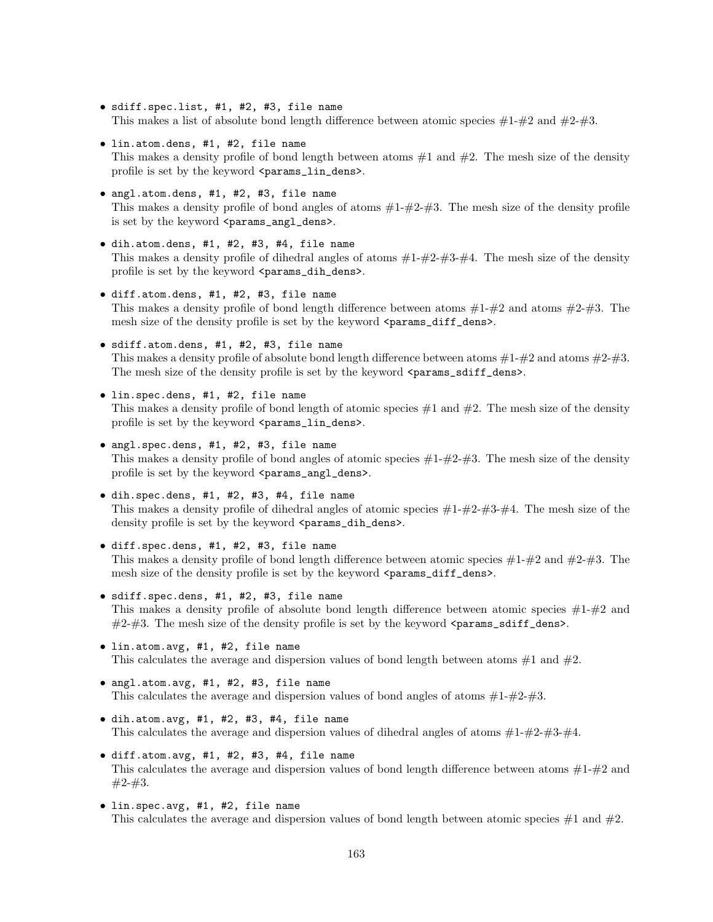- *•* sdiff.spec.list, #1, #2, #3, file name This makes a list of absolute bond length difference between atomic species  $\#1-\#2$  and  $\#2-\#3$ .
- *•* lin.atom.dens, #1, #2, file name This makes a density profile of bond length between atoms  $\#1$  and  $\#2$ . The mesh size of the density profile is set by the keyword <params\_lin\_dens>.
- *•* angl.atom.dens, #1, #2, #3, file name This makes a density profile of bond angles of atoms  $\#1-\#2-\#3$ . The mesh size of the density profile is set by the keyword <params\_angl\_dens>.
- *•* dih.atom.dens, #1, #2, #3, #4, file name This makes a density profile of dihedral angles of atoms  $\#1-\#2-\#3-\#4$ . The mesh size of the density profile is set by the keyword <params\_dih\_dens>.
- *•* diff.atom.dens, #1, #2, #3, file name This makes a density profile of bond length difference between atoms  $\#1-\#2$  and atoms  $\#2-\#3$ . The mesh size of the density profile is set by the keyword  $\epsilon$  params\_diff\_dens>.
- *•* sdiff.atom.dens, #1, #2, #3, file name This makes a density profile of absolute bond length difference between atoms  $\#1-\#2$  and atoms  $\#2-\#3$ . The mesh size of the density profile is set by the keyword  $\epsilon$  arams\_sdiff\_dens>.
- *•* lin.spec.dens, #1, #2, file name This makes a density profile of bond length of atomic species  $\#1$  and  $\#2$ . The mesh size of the density profile is set by the keyword <params\_lin\_dens>.
- *•* angl.spec.dens, #1, #2, #3, file name This makes a density profile of bond angles of atomic species  $\#1-\#2-\#3$ . The mesh size of the density profile is set by the keyword <params\_angl\_dens>.
- *•* dih.spec.dens, #1, #2, #3, #4, file name This makes a density profile of dihedral angles of atomic species  $\#1-\#2-\#3-\#4$ . The mesh size of the density profile is set by the keyword <params\_dih\_dens>.
- *•* diff.spec.dens, #1, #2, #3, file name This makes a density profile of bond length difference between atomic species  $\#1-\#2$  and  $\#2-\#3$ . The mesh size of the density profile is set by the keyword <params\_diff\_dens>.
- *•* sdiff.spec.dens, #1, #2, #3, file name This makes a density profile of absolute bond length difference between atomic species  $#1-\#2$  and  $\#2-\#3$ . The mesh size of the density profile is set by the keyword  $\epsilon$  params\_sdiff\_dens>.
- *•* lin.atom.avg, #1, #2, file name This calculates the average and dispersion values of bond length between atoms  $#1$  and  $#2$ .
- *•* angl.atom.avg, #1, #2, #3, file name This calculates the average and dispersion values of bond angles of atoms  $\#1-\#2-\#3$ .
- *•* dih.atom.avg, #1, #2, #3, #4, file name This calculates the average and dispersion values of dihedral angles of atoms  $\#1-\#2-\#3-\#4$ .
- *•* diff.atom.avg, #1, #2, #3, #4, file name This calculates the average and dispersion values of bond length difference between atoms  $#1-\#2$  and  $#2 - #3.$
- *•* lin.spec.avg, #1, #2, file name This calculates the average and dispersion values of bond length between atomic species  $#1$  and  $#2$ .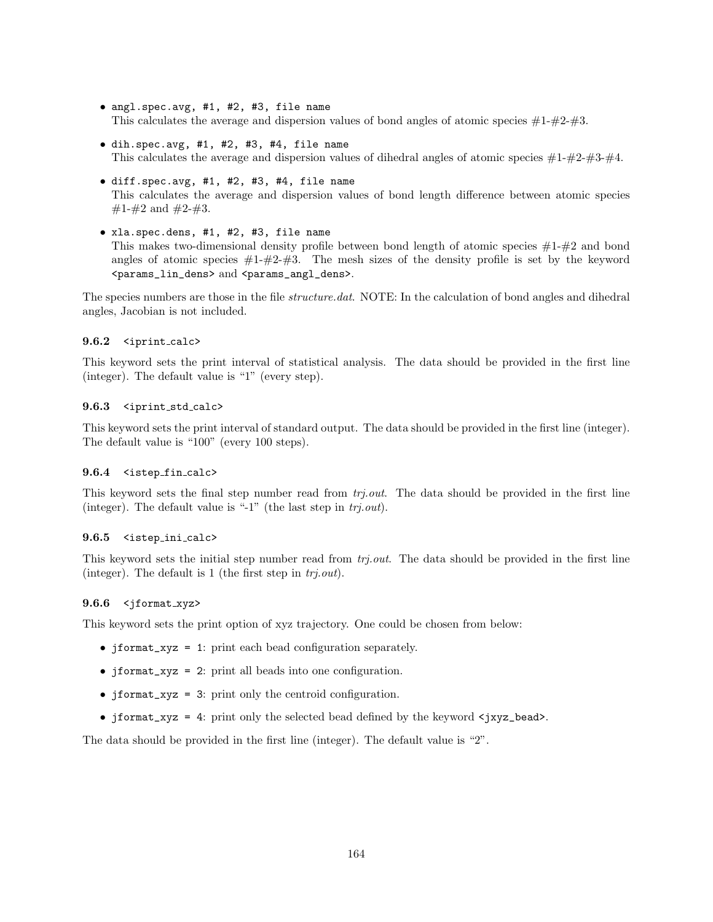- *•* angl.spec.avg, #1, #2, #3, file name This calculates the average and dispersion values of bond angles of atomic species  $#1-\#2-\#3$ .
- *•* dih.spec.avg, #1, #2, #3, #4, file name This calculates the average and dispersion values of dihedral angles of atomic species  $\#1-\#2-\#3-\#4$ .
- *•* diff.spec.avg, #1, #2, #3, #4, file name This calculates the average and dispersion values of bond length difference between atomic species  $\#1-\#2$  and  $\#2-\#3$ .
- *•* xla.spec.dens, #1, #2, #3, file name This makes two-dimensional density profile between bond length of atomic species  $\#1-\#2$  and bond angles of atomic species  $\#1-\#2-\#3$ . The mesh sizes of the density profile is set by the keyword <params\_lin\_dens> and <params\_angl\_dens>.

The species numbers are those in the file *structure.dat*. NOTE: In the calculation of bond angles and dihedral angles, Jacobian is not included.

# 9.6.2 <iprint\_calc>

This keyword sets the print interval of statistical analysis. The data should be provided in the first line (integer). The default value is "1" (every step).

# 9.6.3 <iprint\_std\_calc>

This keyword sets the print interval of standard output. The data should be provided in the first line (integer). The default value is "100" (every 100 steps).

# **9.6.4** <istep fin calc>

This keyword sets the final step number read from *trj.out*. The data should be provided in the first line (integer). The default value is "-1" (the last step in *trj.out*).

# **9.6.5** <istep ini calc>

This keyword sets the initial step number read from *trj.out*. The data should be provided in the first line (integer). The default is 1 (the first step in *trj.out*).

# **9.6.6** <jformat xyz>

This keyword sets the print option of xyz trajectory. One could be chosen from below:

- *•* jformat\_xyz = 1: print each bead configuration separately.
- *•* jformat\_xyz = 2: print all beads into one configuration.
- **jformat\_xyz = 3:** print only the centroid configuration.
- jformat\_xyz = 4: print only the selected bead defined by the keyword  $\langle$ jxyz\_bead>.

The data should be provided in the first line (integer). The default value is "2".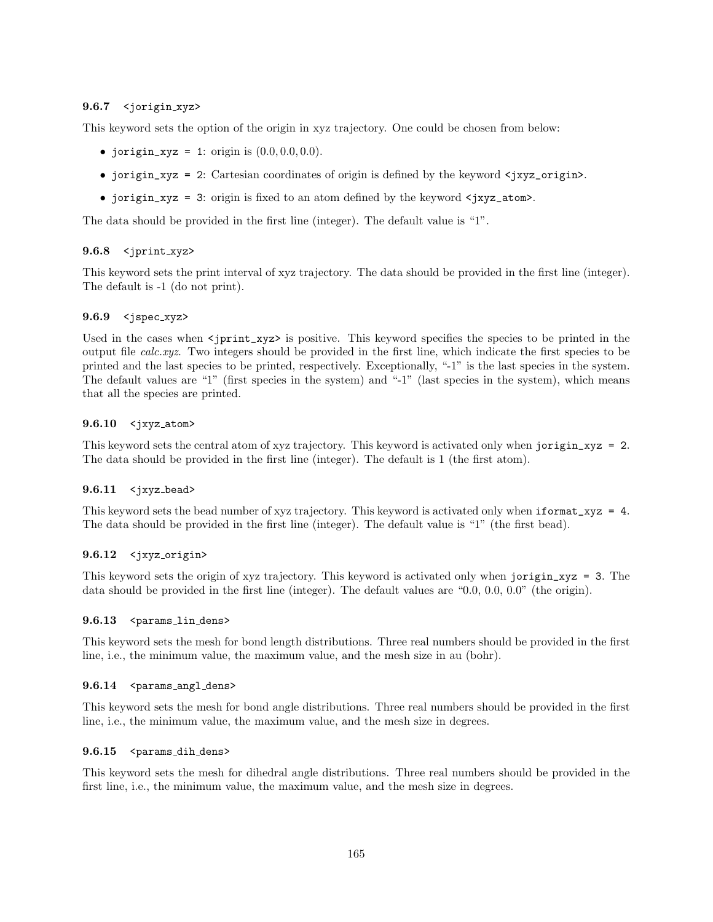# **9.6.7** <jorigin xyz>

This keyword sets the option of the origin in xyz trajectory. One could be chosen from below:

- *•* jorigin\_xyz = 1: origin is (0*.*0*,* 0*.*0*,* 0*.*0).
- jorigin\_xyz = 2: Cartesian coordinates of origin is defined by the keyword  $\langle ixyz \rangle$  origin.
- jorigin\_xyz = 3: origin is fixed to an atom defined by the keyword <jxyz\_atom>.

The data should be provided in the first line (integer). The default value is "1".

# **9.6.8** <jprint xyz>

This keyword sets the print interval of xyz trajectory. The data should be provided in the first line (integer). The default is -1 (do not print).

# **9.6.9** <jspec xyz>

Used in the cases when  $\langle$  iprint\_xyz> is positive. This keyword specifies the species to be printed in the output file *calc.xyz*. Two integers should be provided in the first line, which indicate the first species to be printed and the last species to be printed, respectively. Exceptionally, "-1" is the last species in the system. The default values are "1" (first species in the system) and "-1" (last species in the system), which means that all the species are printed.

# **9.6.10** <jxyz atom>

This keyword sets the central atom of xyz trajectory. This keyword is activated only when jorigin\_xyz = 2. The data should be provided in the first line (integer). The default is 1 (the first atom).

# **9.6.11** <jxyz bead>

This keyword sets the bead number of xyz trajectory. This keyword is activated only when iformat\_xyz = 4. The data should be provided in the first line (integer). The default value is "1" (the first bead).

# **9.6.12** <jxyz origin>

This keyword sets the origin of xyz trajectory. This keyword is activated only when jorigin\_xyz = 3. The data should be provided in the first line (integer). The default values are "0.0, 0.0, 0.0" (the origin).

# 9.6.13 <params\_lin\_dens>

This keyword sets the mesh for bond length distributions. Three real numbers should be provided in the first line, i.e., the minimum value, the maximum value, and the mesh size in au (bohr).

# 9.6.14 <params\_angl\_dens>

This keyword sets the mesh for bond angle distributions. Three real numbers should be provided in the first line, i.e., the minimum value, the maximum value, and the mesh size in degrees.

# 9.6.15 <params\_dih\_dens>

This keyword sets the mesh for dihedral angle distributions. Three real numbers should be provided in the first line, i.e., the minimum value, the maximum value, and the mesh size in degrees.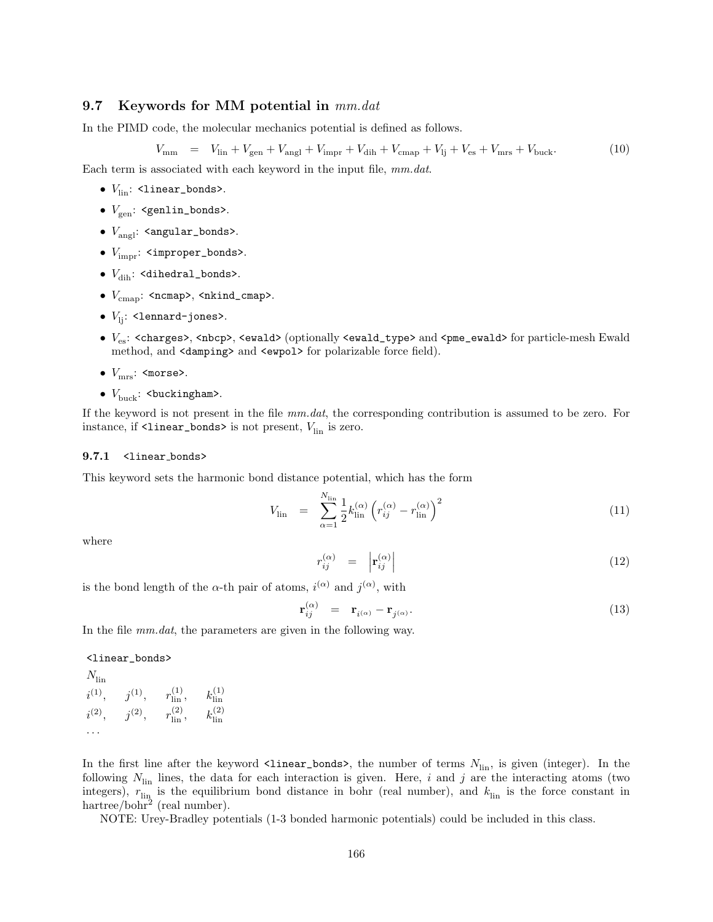# **9.7 Keywords for MM potential in** *mm.dat*

In the PIMD code, the molecular mechanics potential is defined as follows.

$$
V_{\text{mm}} = V_{\text{lin}} + V_{\text{gen}} + V_{\text{angl}} + V_{\text{impr}} + V_{\text{dih}} + V_{\text{cmap}} + V_{\text{lj}} + V_{\text{es}} + V_{\text{mrs}} + V_{\text{buck}}.
$$
 (10)

Each term is associated with each keyword in the input file, *mm.dat*.

- $V_{\text{lin}}$ : <linear\_bonds>.
- *• V*gen: <genlin\_bonds>.
- $V_{\text{angl}}$ : <angular\_bonds>.
- *• V*impr: <improper\_bonds>.
- $V_{\text{dih}}$ : <dihedral\_bonds>.
- $V_{\text{cman}}$ : <ncmap>, <nkind\_cmap>.
- $V_{1i}$ : <lennard-jones>.
- $V_{\text{es}}$ : <charges>, <nbcp>, <ewald> (optionally <ewald\_type> and <pme\_ewald> for particle-mesh Ewald method, and <damping> and <ewpol> for polarizable force field).
- $V_{\text{mrs}}$ : <morse>.
- $V_{\text{buck}}$ : <br/> **//>
containg ham>.**

If the keyword is not present in the file *mm.dat*, the corresponding contribution is assumed to be zero. For instance, if <linear\_bonds> is not present,  $V_{lin}$  is zero.

#### 9.7.1 <linear\_bonds>

This keyword sets the harmonic bond distance potential, which has the form

$$
V_{\text{lin}} = \sum_{\alpha=1}^{N_{\text{lin}}} \frac{1}{2} k_{\text{lin}}^{(\alpha)} \left( r_{ij}^{(\alpha)} - r_{\text{lin}}^{(\alpha)} \right)^2 \tag{11}
$$

where

$$
r_{ij}^{(\alpha)} = \left| \mathbf{r}_{ij}^{(\alpha)} \right| \tag{12}
$$

is the bond length of the *α*-th pair of atoms,  $i^{(\alpha)}$  and  $j^{(\alpha)}$ , with

$$
\mathbf{r}_{ij}^{(\alpha)} = \mathbf{r}_{i^{(\alpha)}} - \mathbf{r}_{j^{(\alpha)}}.
$$
 (13)

In the file *mm.dat*, the parameters are given in the following way.

<linear\_bonds>

*N*lin  $i^{(1)}$  $\, \, , \, \, j^{(1)}, \, \, r^{(1)}_{\text{lin}}, \, k^{(1)}_{\text{lin}}$ lin  $i^{(2)}$  $\, \, , \, \, j^{(2)}, \, \, r_{\text{lin}}^{(2)}, \, k_{\text{lin}}^{(2)}$ lin *· · ·*

In the first line after the keyword <linear\_bonds>, the number of terms  $N_{lin}$ , is given (integer). In the following  $N_{lin}$  lines, the data for each interaction is given. Here, *i* and *j* are the interacting atoms (two integers),  $r_{\text{lin}}$  is the equilibrium bond distance in bohr (real number), and  $k_{\text{lin}}$  is the force constant in hartree/bohr<sup>2</sup> (real number).

NOTE: Urey-Bradley potentials (1-3 bonded harmonic potentials) could be included in this class.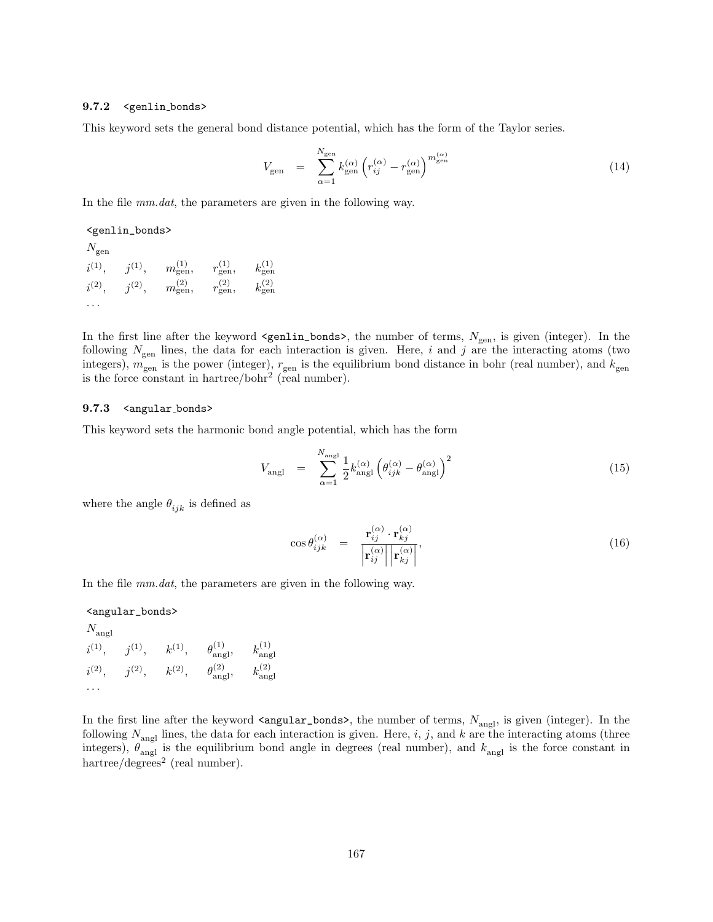# **9.7.2** <genlin bonds>

This keyword sets the general bond distance potential, which has the form of the Taylor series.

$$
V_{\text{gen}} = \sum_{\alpha=1}^{N_{\text{gen}}} k_{\text{gen}}^{(\alpha)} \left( r_{ij}^{(\alpha)} - r_{\text{gen}}^{(\alpha)} \right)^{m_{\text{gen}}^{(\alpha)}}
$$
(14)

In the file *mm.dat*, the parameters are given in the following way.

#### <genlin\_bonds>

*N*gen  $i^{(1)}, \quad j^{(1)}, \quad m_{\text{gen}}^{(1)}, \quad r_{\text{gen}}^{(1)}, \quad k$ (1) gen  $i^{(2)}, \, j^{(2)}, \, m_{\text{gen}}^{(2)}, \, r_{\text{gen}}^{(2)}, \, k$ (2) gen *· · ·*

In the first line after the keyword **<genlin\_bonds>**, the number of terms,  $N_{\text{gen}}$ , is given (integer). In the following  $N_{\text{gen}}$  lines, the data for each interaction is given. Here, *i* and *j* are the interacting atoms (two integers),  $m_{gen}$  is the power (integer),  $r_{gen}$  is the equilibrium bond distance in bohr (real number), and  $k_{gen}$ is the force constant in hartree/bohr<sup>2</sup> (real number).

## 9.7.3 <angular\_bonds>

This keyword sets the harmonic bond angle potential, which has the form

$$
V_{\text{angl}} = \sum_{\alpha=1}^{N_{\text{angl}}} \frac{1}{2} k_{\text{angl}}^{(\alpha)} \left( \theta_{ijk}^{(\alpha)} - \theta_{\text{angl}}^{(\alpha)} \right)^2 \tag{15}
$$

where the angle  $\theta_{ijk}$  is defined as

$$
\cos \theta_{ijk}^{(\alpha)} = \frac{\mathbf{r}_{ij}^{(\alpha)} \cdot \mathbf{r}_{kj}^{(\alpha)}}{\left| \mathbf{r}_{ij}^{(\alpha)} \right| \left| \mathbf{r}_{kj}^{(\alpha)} \right|},\tag{16}
$$

In the file *mm.dat*, the parameters are given in the following way.

# <angular\_bonds>

*N*angl  $i^{(1)}, \quad j^{(1)}, \quad k^{(1)}, \quad \theta_{\text{angl}}^{(1)}, \quad k_{\text{angl}}^{(1)}$ angl  $i^{(2)}, \, j^{(2)}, \, k^{(2)}, \, \theta_{\text{angl}}^{(2)}, \, k_{\text{angl}}^{(2)}$ angl *· · ·*

In the first line after the keyword **<angular\_bonds>**, the number of terms,  $N_{\text{angl}}$ , is given (integer). In the following  $N_{\text{angl}}$  lines, the data for each interaction is given. Here, *i*, *j*, and *k* are the interacting atoms (three integers),  $\theta_{\text{angl}}$  is the equilibrium bond angle in degrees (real number), and  $k_{\text{angl}}$  is the force constant in hartree/degrees<sup>2</sup> (real number).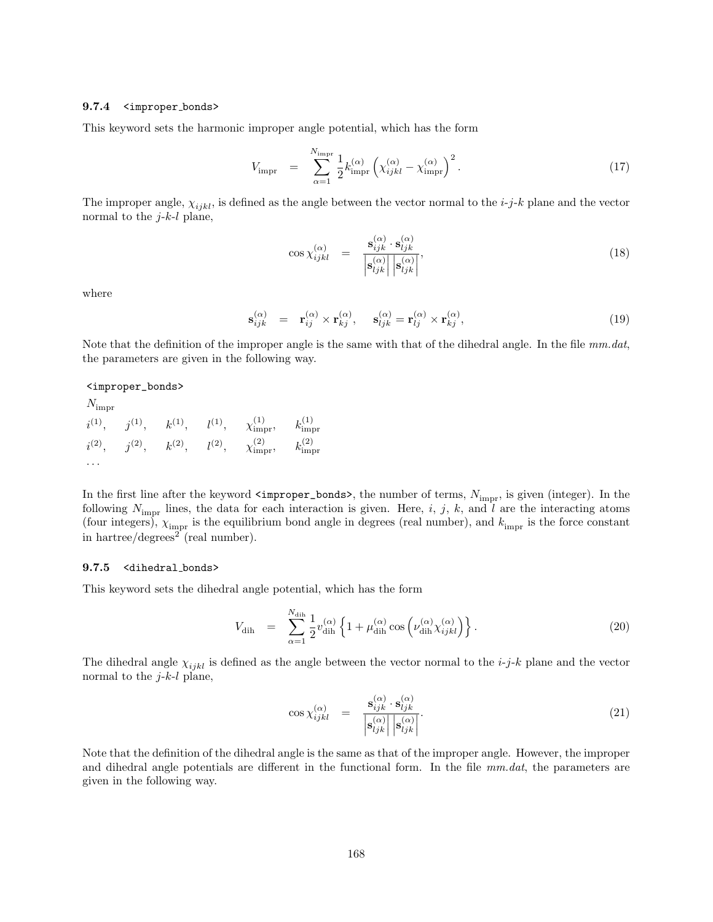## **9.7.4** <improper bonds>

This keyword sets the harmonic improper angle potential, which has the form

$$
V_{\text{impr}} = \sum_{\alpha=1}^{N_{\text{impr}}} \frac{1}{2} k_{\text{impr}}^{(\alpha)} \left( \chi_{ijkl}^{(\alpha)} - \chi_{\text{impr}}^{(\alpha)} \right)^2.
$$
 (17)

The improper angle,  $\chi_{ijkl}$ , is defined as the angle between the vector normal to the *i*-*j*-*k* plane and the vector normal to the *j*-*k*-*l* plane,

$$
\cos \chi_{ijkl}^{(\alpha)} = \frac{\mathbf{s}_{ijk}^{(\alpha)} \cdot \mathbf{s}_{ljk}^{(\alpha)}}{\left| \mathbf{s}_{ljk}^{(\alpha)} \right| \left| \mathbf{s}_{ljk}^{(\alpha)} \right|},\tag{18}
$$

where

$$
\mathbf{s}_{ijk}^{(\alpha)} = \mathbf{r}_{ij}^{(\alpha)} \times \mathbf{r}_{kj}^{(\alpha)}, \quad \mathbf{s}_{ijk}^{(\alpha)} = \mathbf{r}_{lj}^{(\alpha)} \times \mathbf{r}_{kj}^{(\alpha)}, \tag{19}
$$

Note that the definition of the improper angle is the same with that of the dihedral angle. In the file *mm.dat*, the parameters are given in the following way.

#### <improper\_bonds>

| $N_{\rm{impr}}$ |           |           |           |                             |                                    |
|-----------------|-----------|-----------|-----------|-----------------------------|------------------------------------|
| $i^{(1)}$ .     | $i^{(1)}$ | $k^{(1)}$ | $l^{(1)}$ | $\chi^{(1)}_{\text{impr}},$ | $k_{\rm{impr}}^{\left( 1\right) }$ |
| $i^{(2)}$       | $i^{(2)}$ | $k^{(2)}$ | $l^{(2)}$ | $\chi^{(2)}_{\rm{impr}},$   | $k_{\rm{impr}}^{\left( 2\right) }$ |
| $\cdots$        |           |           |           |                             |                                    |

In the first line after the keyword  $\langle$ **improper\_bonds>**, the number of terms,  $N_{\text{impr}}$ , is given (integer). In the following  $N_{\text{impr}}$  lines, the data for each interaction is given. Here, *i*, *j*, *k*, and *l* are the interacting atoms (four integers),  $\chi_{\rm{impr}}$  is the equilibrium bond angle in degrees (real number), and  $k_{\rm{impr}}$  is the force constant in hartree/degrees<sup>2</sup> (real number).

### **9.7.5** <dihedral bonds>

This keyword sets the dihedral angle potential, which has the form

$$
V_{\text{dih}} = \sum_{\alpha=1}^{N_{\text{dih}}} \frac{1}{2} v_{\text{dih}}^{(\alpha)} \left\{ 1 + \mu_{\text{dih}}^{(\alpha)} \cos \left( \nu_{\text{dih}}^{(\alpha)} \chi_{ijkl}^{(\alpha)} \right) \right\}.
$$
 (20)

The dihedral angle  $\chi_{ijkl}$  is defined as the angle between the vector normal to the *i*-*j*-*k* plane and the vector normal to the *j*-*k*-*l* plane,

$$
\cos \chi_{ijkl}^{(\alpha)} = \frac{\mathbf{s}_{ijk}^{(\alpha)} \cdot \mathbf{s}_{ljk}^{(\alpha)}}{\left| \mathbf{s}_{ljk}^{(\alpha)} \right| \left| \mathbf{s}_{ljk}^{(\alpha)} \right|}.
$$
\n(21)

Note that the definition of the dihedral angle is the same as that of the improper angle. However, the improper and dihedral angle potentials are different in the functional form. In the file *mm.dat*, the parameters are given in the following way.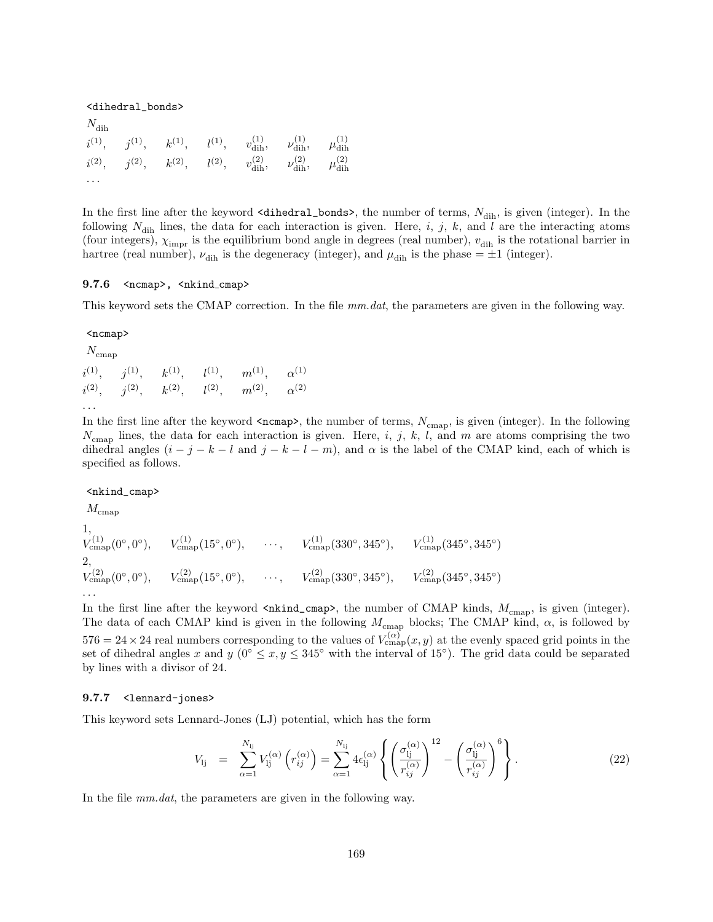<dihedral\_bonds>

| $N_{\rm dih}$ |  |  |                                                                                                                                                                                             |  |
|---------------|--|--|---------------------------------------------------------------------------------------------------------------------------------------------------------------------------------------------|--|
|               |  |  | $i^{(1)}, \hspace{0.5cm} j^{(1)}, \hspace{0.5cm} k^{(1)}, \hspace{0.5cm} l^{(1)}, \hspace{0.5cm} v^{(1)}_{\rm dih}, \hspace{0.5cm} \nu^{(1)}_{\rm dih}, \hspace{0.5cm} \mu^{(1)}_{\rm dih}$ |  |
|               |  |  | $i^{(2)}, \quad j^{(2)}, \quad k^{(2)}, \quad l^{(2)}, \quad v_{\text{dih}}^{(2)}, \quad v_{\text{dih}}^{(2)}, \quad \mu_{\text{dih}}^{(2)}$                                                |  |
| $\cdot$       |  |  |                                                                                                                                                                                             |  |

In the first line after the keyword  $\alpha$  integral bonds>, the number of terms,  $N_{\text{dip}}$ , is given (integer). In the following  $N_{\text{dih}}$  lines, the data for each interaction is given. Here, *i*, *j*, *k*, and *l* are the interacting atoms (four integers),  $\chi_{\rm{impr}}$  is the equilibrium bond angle in degrees (real number),  $v_{\rm{dih}}$  is the rotational barrier in hartree (real number),  $\nu_{\text{dih}}$  is the degeneracy (integer), and  $\mu_{\text{dih}}$  is the phase  $=\pm 1$  (integer).

#### 9.7.6 <ncmap>, <nkind\_cmap>

This keyword sets the CMAP correction. In the file *mm.dat*, the parameters are given in the following way.

<ncmap>

*N*cmap  $i^{(1)}$ , *j* (1) , *k* (1) , *l* (1) , *m*(1) , *α* (1)  $i^{(2)}$ , *j* (2) , *k* (2) , *l* (2) , *m*(2) , *α* (2) *· · ·*

In the first line after the keyword  $\langle ncmap \rangle$ , the number of terms,  $N_{cmap}$ , is given (integer). In the following  $N_{\text{cmap}}$  lines, the data for each interaction is given. Here, *i*, *j*, *k*, *l*, and *m* are atoms comprising the two dihedral angles  $(i - j - k - l$  and  $j - k - l - m$ , and  $\alpha$  is the label of the CMAP kind, each of which is specified as follows.

<nkind\_cmap>

*M*cmap

1,  $V_{\text{cmap}}^{(1)}(0^{\circ}, 0^{\circ}), \quad V_{\text{cmap}}^{(1)}(15^{\circ}, 0^{\circ}), \quad \cdots, \quad V_{\text{cmap}}^{(1)}(330^{\circ}, 345^{\circ}), \quad V_{\text{cmap}}^{(1)}(345^{\circ}, 345^{\circ})$ 2,  $V_{\text{cmap}}^{(2)}(0^{\circ}, 0^{\circ}), \quad V_{\text{cmap}}^{(2)}(15^{\circ}, 0^{\circ}), \quad \cdots, \quad V_{\text{cmap}}^{(2)}(330^{\circ}, 345^{\circ}), \quad V_{\text{cmap}}^{(2)}(345^{\circ}, 345^{\circ})$ *· · ·*

In the first line after the keyword  $\langle \text{nkind\_cmap} \rangle$ , the number of CMAP kinds,  $M_{\text{cmap}}$ , is given (integer). The data of each CMAP kind is given in the following  $M_{\text{cmap}}$  blocks; The CMAP kind,  $\alpha$ , is followed by  $576 = 24 \times 24$  real numbers corresponding to the values of  $V_{\text{cmap}}^{(\alpha)}(x, y)$  at the evenly spaced grid points in the set of dihedral angles x and  $y$  ( $0$ °  $\leq x, y \leq 345$ ° with the interval of 15<sup>°</sup>). The grid data could be separated by lines with a divisor of 24.

# **9.7.7** <lennard-jones>

This keyword sets Lennard-Jones (LJ) potential, which has the form

$$
V_{lj} = \sum_{\alpha=1}^{N_{lj}} V_{lj}^{(\alpha)} \left( r_{ij}^{(\alpha)} \right) = \sum_{\alpha=1}^{N_{lj}} 4 \epsilon_{lj}^{(\alpha)} \left\{ \left( \frac{\sigma_{lj}^{(\alpha)}}{r_{ij}^{(\alpha)}} \right)^{12} - \left( \frac{\sigma_{lj}^{(\alpha)}}{r_{ij}^{(\alpha)}} \right)^{6} \right\}.
$$
 (22)

In the file *mm.dat*, the parameters are given in the following way.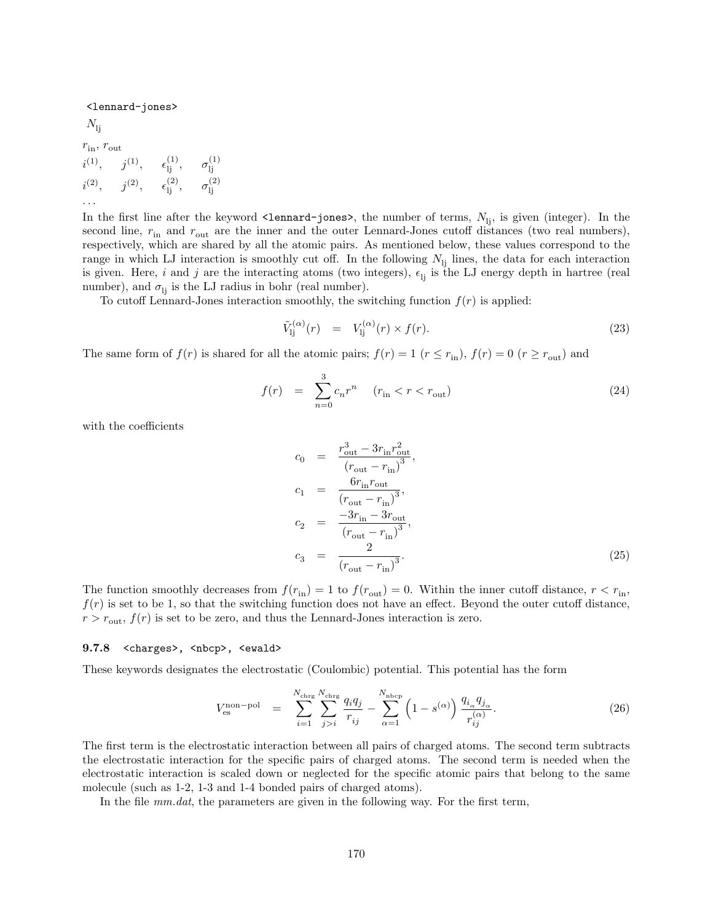$$
\begin{aligned} &\texttt{}\\ &N_{lj} \\ &r_{\text{in}},\,r_{\text{out}} \\ &i^{(1)},\quad j^{(1)},\quad \epsilon_{lj}^{(1)},\quad \sigma_{lj}^{(1)} \\ &i^{(2)},\quad j^{(2)},\quad \epsilon_{lj}^{(2)},\quad \sigma_{lj}^{(2)} \\ &\cdots \end{aligned}
$$

In the first line after the keyword  $\Omega$  interactional steps. The number of terms,  $N_{\text{li}}$ , is given (integer). In the second line, *r*in and *r*out are the inner and the outer Lennard-Jones cutoff distances (two real numbers), respectively, which are shared by all the atomic pairs. As mentioned below, these values correspond to the range in which LJ interaction is smoothly cut off. In the following  $N_{\rm{li}}$  lines, the data for each interaction is given. Here, *i* and *j* are the interacting atoms (two integers),  $\epsilon_{lj}$  is the LJ energy depth in hartree (real number), and  $\sigma_{li}$  is the LJ radius in bohr (real number).

To cutoff Lennard-Jones interaction smoothly, the switching function  $f(r)$  is applied:

$$
\tilde{V}_{lj}^{(\alpha)}(r) = V_{lj}^{(\alpha)}(r) \times f(r). \tag{23}
$$

The same form of  $f(r)$  is shared for all the atomic pairs;  $f(r) = 1$  ( $r \le r_{\rm in}$ ),  $f(r) = 0$  ( $r \ge r_{\rm out}$ ) and

$$
f(r) = \sum_{n=0}^{3} c_n r^n \quad (r_{\text{in}} < r < r_{\text{out}})
$$
 (24)

with the coefficients

$$
c_0 = \frac{r_{\text{out}}^3 - 3r_{\text{in}}r_{\text{out}}^2}{(r_{\text{out}} - r_{\text{in}})^3},
$$
  
\n
$$
c_1 = \frac{6r_{\text{in}}r_{\text{out}}}{(r_{\text{out}} - r_{\text{in}})^3},
$$
  
\n
$$
c_2 = \frac{-3r_{\text{in}} - 3r_{\text{out}}}{(r_{\text{out}} - r_{\text{in}})^3},
$$
  
\n
$$
c_3 = \frac{2}{(r_{\text{out}} - r_{\text{in}})^3}.
$$
\n(25)

The function smoothly decreases from  $f(r_{\text{in}}) = 1$  to  $f(r_{\text{out}}) = 0$ . Within the inner cutoff distance,  $r < r_{\text{in}}$ ,  $f(r)$  is set to be 1, so that the switching function does not have an effect. Beyond the outer cutoff distance,  $r > r_{\text{out}}$ ,  $f(r)$  is set to be zero, and thus the Lennard-Jones interaction is zero.

## 9.7.8 <charges>, <nbcp>, <ewald>

These keywords designates the electrostatic (Coulombic) potential. This potential has the form

$$
V_{\rm es}^{\rm non-pol} = \sum_{i=1}^{N_{\rm chrg}} \sum_{j>i}^{N_{\rm chrg}} \frac{q_i q_j}{r_{ij}} - \sum_{\alpha=1}^{N_{\rm htop}} \left(1 - s^{(\alpha)}\right) \frac{q_{i_\alpha} q_{j_\alpha}}{r_{ij}^{(\alpha)}}.
$$
 (26)

The first term is the electrostatic interaction between all pairs of charged atoms. The second term subtracts the electrostatic interaction for the specific pairs of charged atoms. The second term is needed when the electrostatic interaction is scaled down or neglected for the specific atomic pairs that belong to the same molecule (such as 1-2, 1-3 and 1-4 bonded pairs of charged atoms).

In the file *mm.dat*, the parameters are given in the following way. For the first term,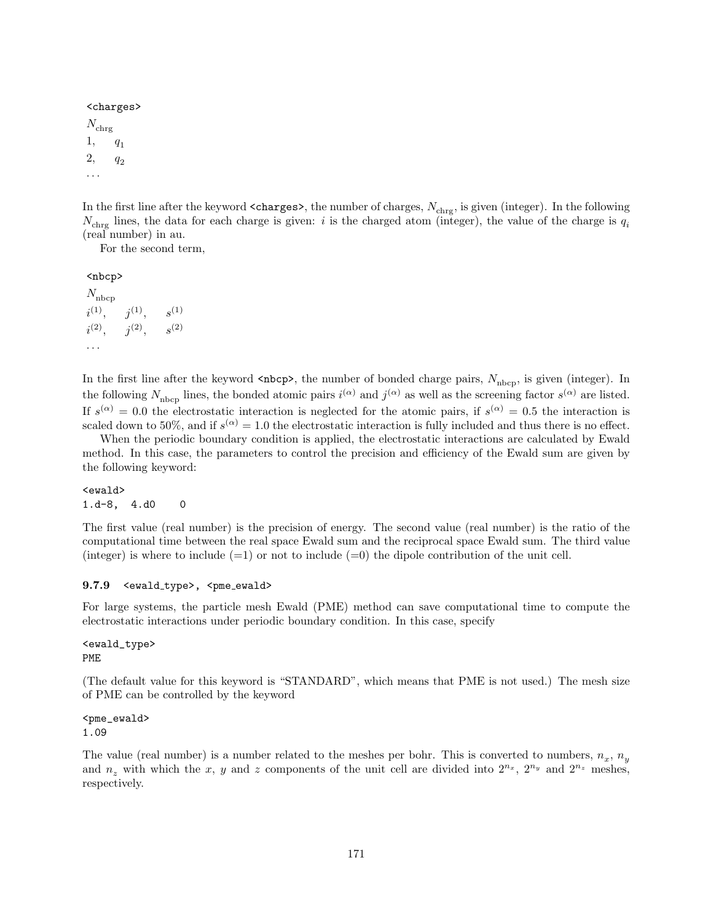<charges>  $N_{\rm chrg}$ 1, *q*<sup>1</sup> 2, *q*<sup>2</sup>

*· · ·*

In the first line after the keyword **<charges>**, the number of charges,  $N_{\text{chrg}}$ , is given (integer). In the following  $N_{\text{chrg}}$  lines, the data for each charge is given: *i* is the charged atom (integer), the value of the charge is  $q_i$ (real number) in au.

For the second term,

<nbcp>

*N*nbcp  $i^{(1)}$ , *j* (1) , *s* (1)  $i^{(2)}$ , *j* (2) , *s* (2) *· · ·*

In the first line after the keyword  $\langle \text{nbcp}\rangle$ , the number of bonded charge pairs,  $N_{\text{nbcp}}$ , is given (integer). In the following  $N_{\text{nbcp}}$  lines, the bonded atomic pairs  $i^{(\alpha)}$  and  $j^{(\alpha)}$  as well as the screening factor  $s^{(\alpha)}$  are listed. If  $s^{(\alpha)} = 0.0$  the electrostatic interaction is neglected for the atomic pairs, if  $s^{(\alpha)} = 0.5$  the interaction is scaled down to 50%, and if  $s^{(\alpha)} = 1.0$  the electrostatic interaction is fully included and thus there is no effect.

When the periodic boundary condition is applied, the electrostatic interactions are calculated by Ewald method. In this case, the parameters to control the precision and efficiency of the Ewald sum are given by the following keyword:

# <ewald>

1.d-8, 4.d0 0

The first value (real number) is the precision of energy. The second value (real number) is the ratio of the computational time between the real space Ewald sum and the reciprocal space Ewald sum. The third value (integer) is where to include  $(=1)$  or not to include  $(=0)$  the dipole contribution of the unit cell.

# 9.7.9 < ewald\_type>, <pme\_ewald>

For large systems, the particle mesh Ewald (PME) method can save computational time to compute the electrostatic interactions under periodic boundary condition. In this case, specify

# <ewald\_type> PME

(The default value for this keyword is "STANDARD", which means that PME is not used.) The mesh size of PME can be controlled by the keyword

<pme\_ewald> 1.09

The value (real number) is a number related to the meshes per bohr. This is converted to numbers,  $n_x$ ,  $n_y$ and  $n_z$  with which the *x*, *y* and *z* components of the unit cell are divided into  $2^{n_x}$ ,  $2^{n_y}$  and  $2^{n_z}$  meshes, respectively.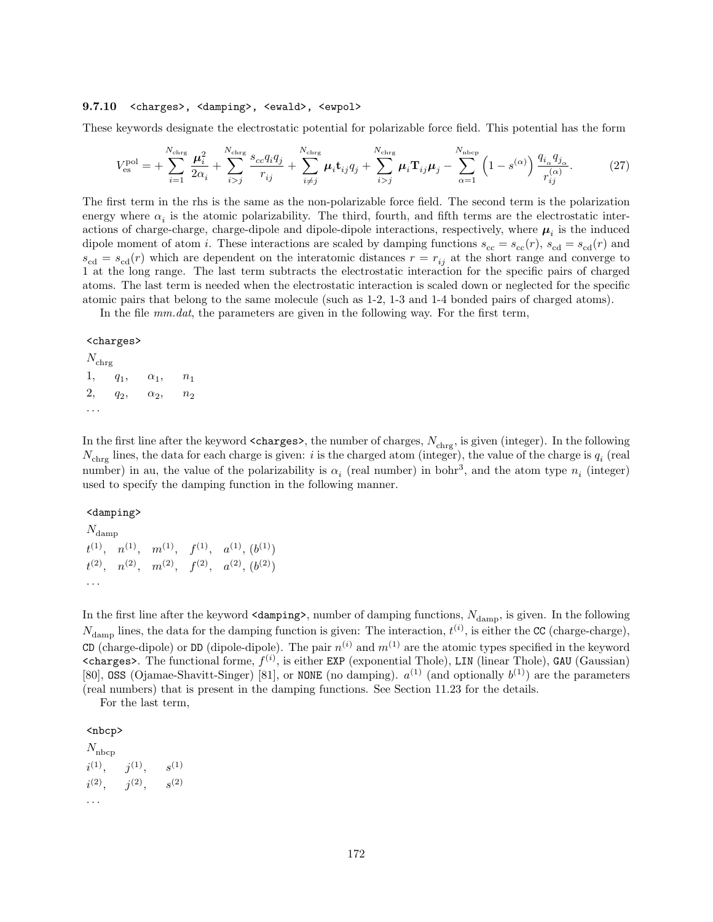# **9.7.10** <charges>, <damping>, <ewald>, <ewpol>

These keywords designate the electrostatic potential for polarizable force field. This potential has the form

$$
V_{\rm es}^{\rm pol} = +\sum_{i=1}^{N_{\rm chrg}} \frac{\mu_i^2}{2\alpha_i} + \sum_{i>j}^{N_{\rm chrg}} \frac{s_{cc}q_iq_j}{r_{ij}} + \sum_{i\neq j}^{N_{\rm chrg}} \mu_i \mathbf{t}_{ij} q_j + \sum_{i>j}^{N_{\rm chrg}} \mu_i \mathbf{T}_{ij} \mu_j - \sum_{\alpha=1}^{N_{\rm hdep}} \left(1 - s^{(\alpha)}\right) \frac{q_{i_\alpha}q_{j_\alpha}}{r_{ij}^{(\alpha)}}.
$$
 (27)

The first term in the rhs is the same as the non-polarizable force field. The second term is the polarization energy where  $\alpha_i$  is the atomic polarizability. The third, fourth, and fifth terms are the electrostatic interactions of charge-charge, charge-dipole and dipole-dipole interactions, respectively, where  $\mu_i$  is the induced dipole moment of atom *i*. These interactions are scaled by damping functions  $s_{\rm cc} = s_{\rm cc}(r)$ ,  $s_{\rm cd} = s_{\rm cd}(r)$  and  $s_{\text{cd}} = s_{\text{cd}}(r)$  which are dependent on the interatomic distances  $r = r_{ij}$  at the short range and converge to 1 at the long range. The last term subtracts the electrostatic interaction for the specific pairs of charged atoms. The last term is needed when the electrostatic interaction is scaled down or neglected for the specific atomic pairs that belong to the same molecule (such as 1-2, 1-3 and 1-4 bonded pairs of charged atoms).

In the file *mm.dat*, the parameters are given in the following way. For the first term,

#### <charges>

 $N_{\text{chr}g}$ 1,  $q_1$ ,  $\alpha_1$ ,  $\,n_1$ 2,  $q_2$ ,  $\alpha_2$ ,  $n<sub>2</sub>$ *· · ·*

In the first line after the keyword <charges>, the number of charges,  $N_{\text{chrg}}$ , is given (integer). In the following  $N_{\text{chrg}}$  lines, the data for each charge is given: *i* is the charged atom (integer), the value of the charge is  $q_i$  (real number) in au, the value of the polarizability is  $\alpha_i$  (real number) in bohr<sup>3</sup>, and the atom type  $n_i$  (integer) used to specify the damping function in the following manner.

#### <damping>

 $N_{\text{damp}}$  $t^{(1)}, \quad n^{(1)}, \quad m^{(1)}, \quad f^{(1)}, \quad a^{(1)}, \ (b^{(1)})$  $t^{(2)}, n^{(2)}, m^{(2)}, f^{(2)}, a^{(2)}, (b^{(2)})$ *· · ·*

In the first line after the keyword  $\langle$  damping>, number of damping functions,  $N_{\text{damp}}$ , is given. In the following  $N_{\text{damp}}$  lines, the data for the damping function is given: The interaction,  $t^{(i)}$ , is either the CC (charge-charge), CD (charge-dipole) or DD (dipole-dipole). The pair  $n^{(i)}$  and  $m^{(1)}$  are the atomic types specified in the keyword  $\epsilon$ charges>. The functional forme,  $f^{(i)}$ , is either EXP (exponential Thole), LIN (linear Thole), GAU (Gaussian) [80], **OSS** (Ojamae-Shavitt-Singer) [81], or NONE (no damping).  $a^{(1)}$  (and optionally  $b^{(1)}$ ) are the parameters (real numbers) that is present in the damping functions. See Section 11.23 for the details.

For the last term,

# <nbcp>

*N*nbcp  $i^{(1)}, \quad j$  $i^{(1)}$ . , *s* (1)  $i^{(2)}$ , *j* (2) , *s* (2) *· · ·*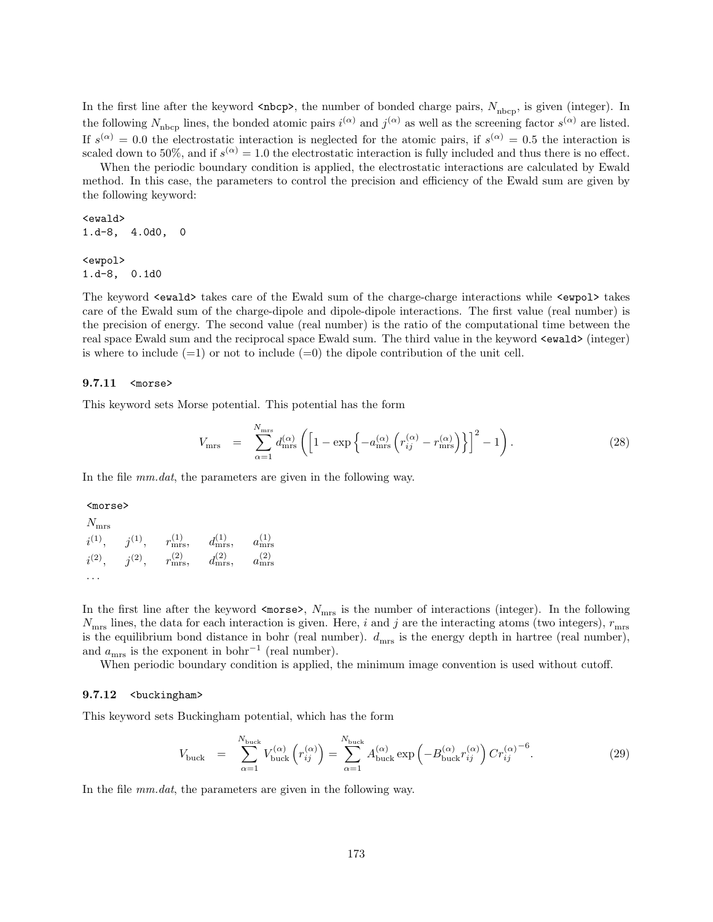In the first line after the keyword  $\langle \text{nbcp}\rangle$ , the number of bonded charge pairs,  $N_{\text{nbcp}}$ , is given (integer). In the following  $N_{\text{nbcp}}$  lines, the bonded atomic pairs  $i^{(\alpha)}$  and  $j^{(\alpha)}$  as well as the screening factor  $s^{(\alpha)}$  are listed. If  $s^{(\alpha)} = 0.0$  the electrostatic interaction is neglected for the atomic pairs, if  $s^{(\alpha)} = 0.5$  the interaction is scaled down to 50%, and if  $s^{(\alpha)} = 1.0$  the electrostatic interaction is fully included and thus there is no effect.

When the periodic boundary condition is applied, the electrostatic interactions are calculated by Ewald method. In this case, the parameters to control the precision and efficiency of the Ewald sum are given by the following keyword:

<ewald> 1.d-8, 4.0d0, 0

# <ewpol>

1.d-8, 0.1d0

The keyword  $\leq$  takes care of the Ewald sum of the charge-charge interactions while  $\leq$  when  $\geq$  takes care of the Ewald sum of the charge-dipole and dipole-dipole interactions. The first value (real number) is the precision of energy. The second value (real number) is the ratio of the computational time between the real space Ewald sum and the reciprocal space Ewald sum. The third value in the keyword <ewald> (integer) is where to include  $(=1)$  or not to include  $(=0)$  the dipole contribution of the unit cell.

# **9.7.11** <morse>

This keyword sets Morse potential. This potential has the form

$$
V_{\text{mrs}} = \sum_{\alpha=1}^{N_{\text{mrs}}} d_{\text{mrs}}^{(\alpha)} \left( \left[ 1 - \exp\left\{-a_{\text{mrs}}^{(\alpha)} \left( r_{ij}^{(\alpha)} - r_{\text{mrs}}^{(\alpha)} \right) \right\} \right]^2 - 1 \right). \tag{28}
$$

In the file *mm.dat*, the parameters are given in the following way.

#### <morse>

| $N_{\rm mrs}$ |             |                         |                         |                     |
|---------------|-------------|-------------------------|-------------------------|---------------------|
| $i^{(1)}$ .   | $i^{(1)}$   | $r_{\text{mrs}}^{(1)},$ | $d_{\text{mrs}}^{(1)},$ | $a_{\rm mrs}^{(1)}$ |
| $i^{(2)}$ .   | $i^{(2)}$ . | $r_{\text{mrs}}^{(2)},$ | $d_{\text{mrs}}^{(2)},$ | $a_{\rm mrs}^{(2)}$ |
|               |             |                         |                         |                     |

In the first line after the keyword  $\langle \text{morse} \rangle$ ,  $N_{\text{mrs}}$  is the number of interactions (integer). In the following  $N_{\rm mrs}$  lines, the data for each interaction is given. Here, *i* and *j* are the interacting atoms (two integers),  $r_{\rm mrs}$ is the equilibrium bond distance in bohr (real number).  $d_{\text{mrs}}$  is the energy depth in hartree (real number), and *a*mrs is the exponent in bohr*−*<sup>1</sup> (real number).

When periodic boundary condition is applied, the minimum image convention is used without cutoff.

# **9.7.12** <buckingham>

This keyword sets Buckingham potential, which has the form

$$
V_{\text{buck}} = \sum_{\alpha=1}^{N_{\text{buck}}} V_{\text{buck}}^{(\alpha)} \left( r_{ij}^{(\alpha)} \right) = \sum_{\alpha=1}^{N_{\text{buck}}} A_{\text{buck}}^{(\alpha)} \exp \left( -B_{\text{buck}}^{(\alpha)} r_{ij}^{(\alpha)} \right) C r_{ij}^{(\alpha)^{-6}}.
$$
 (29)

In the file *mm.dat*, the parameters are given in the following way.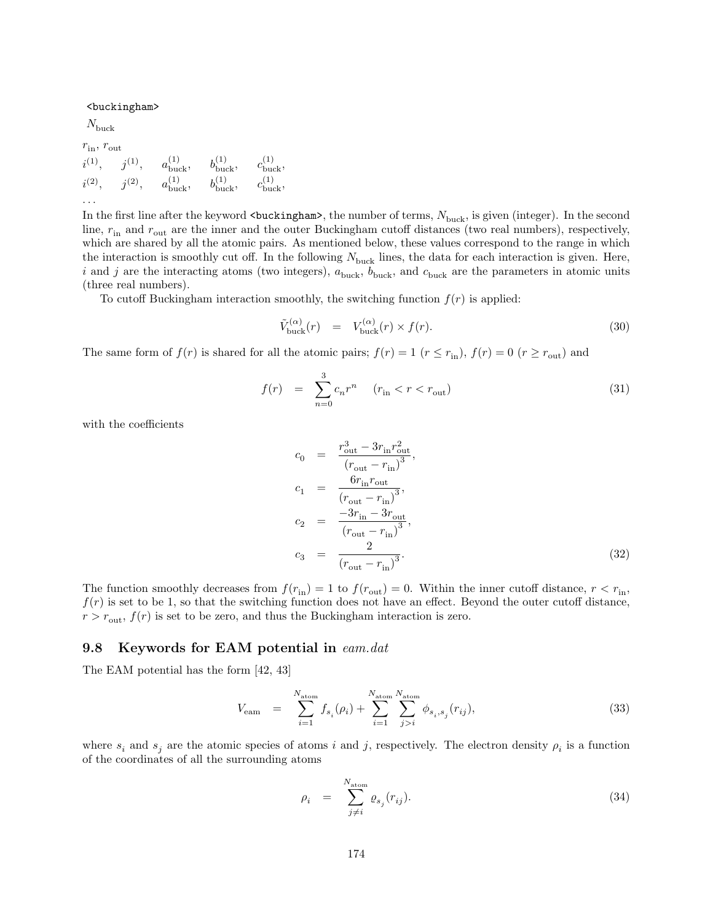<buckingham>

*N*buck

 $r_{\rm in}$ ,  $r_{\rm out}$  $i^{(1)}$  $j^{(1)}, \quad a_{\text{buck}}^{(1)}, \quad b_{\text{buck}}^{(1)}, \quad c_{\text{buck}}^{(1)},$  $i^{(2)}$  $j^{(2)}, \quad a_{\text{buck}}^{(1)}, \quad b_{\text{buck}}^{(1)}, \quad c_{\text{buck}}^{(1)},$ *· · ·*

In the first line after the keyword **<br/>buckingham>**, the number of terms,  $N_{\text{buck}}$ , is given (integer). In the second line,  $r_{\text{in}}$  and  $r_{\text{out}}$  are the inner and the outer Buckingham cutoff distances (two real numbers), respectively, which are shared by all the atomic pairs. As mentioned below, these values correspond to the range in which the interaction is smoothly cut off. In the following  $N_{\text{buck}}$  lines, the data for each interaction is given. Here, *i* and *j* are the interacting atoms (two integers),  $a_{\text{buck}}$ ,  $b_{\text{buck}}$ , and  $c_{\text{buck}}$  are the parameters in atomic units (three real numbers).

To cutoff Buckingham interaction smoothly, the switching function  $f(r)$  is applied:

$$
\tilde{V}_{\text{buck}}^{(\alpha)}(r) = V_{\text{buck}}^{(\alpha)}(r) \times f(r). \tag{30}
$$

The same form of  $f(r)$  is shared for all the atomic pairs;  $f(r) = 1$  ( $r \le r_{\rm in}$ ),  $f(r) = 0$  ( $r \ge r_{\rm out}$ ) and

$$
f(r) = \sum_{n=0}^{3} c_n r^n \quad (r_{\text{in}} < r < r_{\text{out}})
$$
 (31)

with the coefficients

$$
c_0 = \frac{r_{\text{out}}^3 - 3r_{\text{in}}r_{\text{out}}^2}{(r_{\text{out}} - r_{\text{in}})^3},
$$
  
\n
$$
c_1 = \frac{6r_{\text{in}}r_{\text{out}}}{(r_{\text{out}} - r_{\text{in}})^3},
$$
  
\n
$$
c_2 = \frac{-3r_{\text{in}} - 3r_{\text{out}}}{(r_{\text{out}} - r_{\text{in}})^3},
$$
  
\n
$$
c_3 = \frac{2}{(r_{\text{out}} - r_{\text{in}})^3}.
$$
\n(32)

The function smoothly decreases from  $f(r_{\text{in}}) = 1$  to  $f(r_{\text{out}}) = 0$ . Within the inner cutoff distance,  $r < r_{\text{in}}$ ,  $f(r)$  is set to be 1, so that the switching function does not have an effect. Beyond the outer cutoff distance,  $r > r_{\text{out}}$ ,  $f(r)$  is set to be zero, and thus the Buckingham interaction is zero.

# **9.8 Keywords for EAM potential in** *eam.dat*

The EAM potential has the form [42, 43]

$$
V_{\text{eam}} = \sum_{i=1}^{N_{\text{atom}}} f_{s_i}(\rho_i) + \sum_{i=1}^{N_{\text{atom}}} \sum_{j>i}^{N_{\text{atom}}} \phi_{s_i, s_j}(r_{ij}), \qquad (33)
$$

where  $s_i$  and  $s_j$  are the atomic species of atoms *i* and *j*, respectively. The electron density  $\rho_i$  is a function of the coordinates of all the surrounding atoms

$$
\rho_i = \sum_{j \neq i}^{N_{\text{atom}}} \varrho_{s_j}(r_{ij}). \tag{34}
$$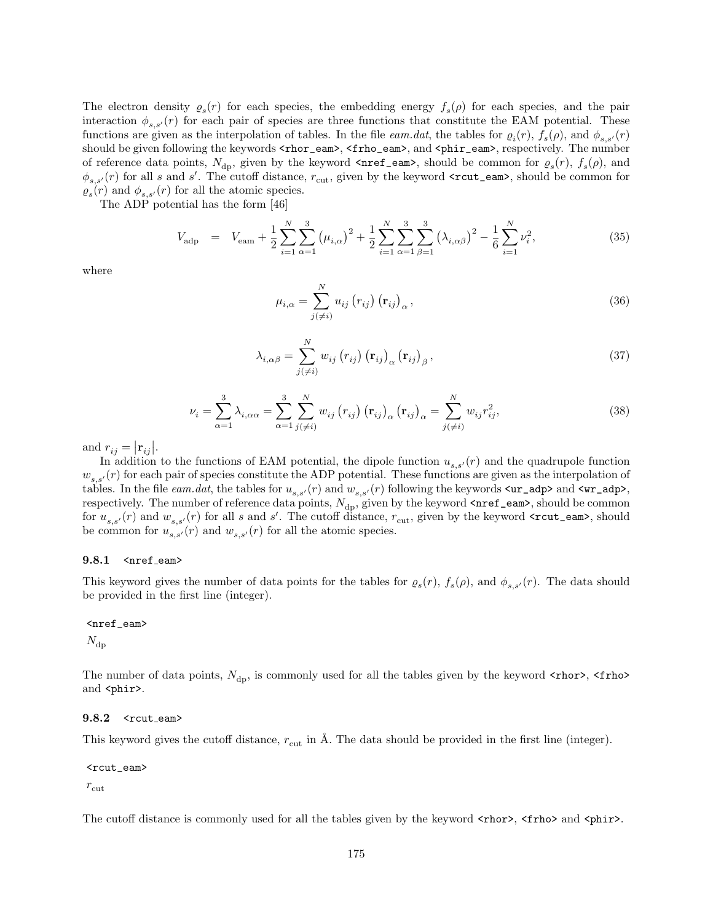The electron density  $\varrho_s(r)$  for each species, the embedding energy  $f_s(\rho)$  for each species, and the pair interaction  $\phi_{s,s'}(r)$  for each pair of species are three functions that constitute the EAM potential. These functions are given as the interpolation of tables. In the file *eam.dat*, the tables for  $\varrho_i(r)$ ,  $f_s(\rho)$ , and  $\varphi_{s,s'}(r)$ should be given following the keywords <rhor\_eam>, <frho\_eam>, and <phir\_eam>, respectively. The number of reference data points,  $N_{\text{dp}}$ , given by the keyword **<nref\_eam>**, should be common for  $\varrho_s(r)$ ,  $f_s(\rho)$ , and  $\phi_{s,s'}(r)$  for all *s* and *s'*. The cutoff distance,  $r_{\text{cut}}$ , given by the keyword  $\text{2}\text{cut\_eam}\text{,}$  should be common for  $\varrho_s(r)$  and  $\phi_{s,s'}(r)$  for all the atomic species.

The ADP potential has the form [46]

$$
V_{\rm adp} = V_{\rm cam} + \frac{1}{2} \sum_{i=1}^{N} \sum_{\alpha=1}^{3} (\mu_{i,\alpha})^2 + \frac{1}{2} \sum_{i=1}^{N} \sum_{\alpha=1}^{3} \sum_{\beta=1}^{3} (\lambda_{i,\alpha\beta})^2 - \frac{1}{6} \sum_{i=1}^{N} \nu_i^2,
$$
\n(35)

where

$$
\mu_{i,\alpha} = \sum_{j(\neq i)}^{N} u_{ij} (r_{ij}) (\mathbf{r}_{ij})_{\alpha}, \qquad (36)
$$

$$
\lambda_{i,\alpha\beta} = \sum_{j(\neq i)}^{N} w_{ij} (r_{ij}) (r_{ij})_{\alpha} (r_{ij})_{\beta}, \qquad (37)
$$

$$
\nu_{i} = \sum_{\alpha=1}^{3} \lambda_{i,\alpha\alpha} = \sum_{\alpha=1}^{3} \sum_{j(\neq i)}^{N} w_{ij} (r_{ij}) (\mathbf{r}_{ij})_{\alpha} (\mathbf{r}_{ij})_{\alpha} = \sum_{j(\neq i)}^{N} w_{ij} r_{ij}^{2},
$$
\n(38)

and  $r_{ij} = |\mathbf{r}_{ij}|$ .

In addition to the functions of EAM potential, the dipole function  $u_{s,s'}(r)$  and the quadrupole function  $w_{s,s'}(r)$  for each pair of species constitute the ADP potential. These functions are given as the interpolation of tables. In the file *eam.dat*, the tables for  $u_{s,s'}(r)$  and  $w_{s,s'}(r)$  following the keywords  $\langle \text{ur\_adp>}\rangle$  and  $\langle \text{wr\_adp>}$ , respectively. The number of reference data points,  $N_{dp}$ , given by the keyword  $\texttt{~(}n\texttt{~6}$   $\texttt{~6}$ , should be common for  $u_{s,s'}(r)$  and  $w_{s,s'}(r)$  for all *s* and *s'*. The cutoff distance,  $r_{\text{cut}}$ , given by the keyword  $\text{scut\_eam>}$ , should be common for  $u_{s,s'}(r)$  and  $w_{s,s'}(r)$  for all the atomic species.

#### 9.8.1 <nref\_eam>

This keyword gives the number of data points for the tables for  $\varrho_s(r)$ ,  $f_s(\rho)$ , and  $\phi_{s,s'}(r)$ . The data should be provided in the first line (integer).

#### <nref\_eam>

 $N_{\rm dp}$ 

The number of data points,  $N_{\rm{dp}}$ , is commonly used for all the tables given by the keyword  $\langle \text{rhor} \rangle$ ,  $\langle \text{frho} \rangle$ and <phir>.

#### 9.8.2 <rcut\_eam>

This keyword gives the cutoff distance,  $r_{\text{cut}}$  in Å. The data should be provided in the first line (integer).

#### <rcut\_eam>

 $r_{\rm cut}$ 

The cutoff distance is commonly used for all the tables given by the keyword  $\langle \text{char} \rangle$ ,  $\langle \text{frho} \rangle$  and  $\langle \text{phir} \rangle$ .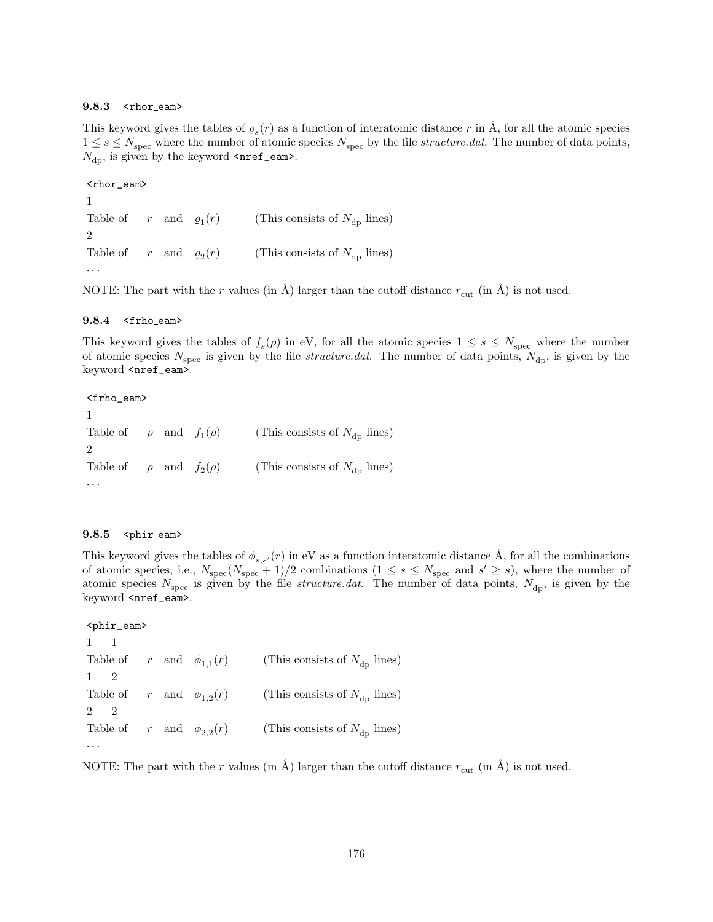# 9.8.3 < rhor\_eam>

This keyword gives the tables of  $\varrho_s(r)$  as a function of interatomic distance r in Å, for all the atomic species  $1 \leq s \leq N_{\rm spec}$  where the number of atomic species  $N_{\rm spec}$  by the file *structure.dat*. The number of data points,  $N_{\rm{dp}}$ , is given by the keyword **<nref\_eam>**.

```
<rhor_eam>
1
Table of r and \rho_1(r) (This consists of N_{dp} lines)
2
Table of r and \varrho_2(r)(This consists of N_{dp} lines)
· · ·
```
NOTE: The part with the *r* values (in  $\AA$ ) larger than the cutoff distance  $r_{\text{cut}}$  (in  $\AA$ ) is not used.

### **9.8.4** <frho eam>

This keyword gives the tables of  $f_s(\rho)$  in eV, for all the atomic species  $1 \leq s \leq N_{\rm spec}$  where the number of atomic species  $N_{\rm spec}$  is given by the file *structure.dat*. The number of data points,  $N_{\rm dp}$ , is given by the keyword <nref\_eam>.

```
<frho_eam>
1
Table of \rho and f_1(\rho) (This consists of N_{dp} lines)
2
Table of \rho and f_2(\rho) (This consists of N_{dp} lines)
· · ·
```
#### 9.8.5 <phir\_eam>

This keyword gives the tables of  $\phi_{s,s'}(r)$  in eV as a function interatomic distance  $\AA$ , for all the combinations of atomic species, i.e.,  $N_{\text{spec}}(N_{\text{spec}}+1)/2$  combinations  $(1 \leq s \leq N_{\text{spec}}$  and  $s' \geq s)$ , where the number of atomic species  $N_{\text{spec}}$  is given by the file *structure.dat*. The number of data points,  $N_{\text{dp}}$ , is given by the keyword <nref\_eam>.

```
<phir_eam>
1 1
Table of r and \phi_{1,1}(r) (This consists of N_{dp} lines)
1 2
Table of r and \phi_{1,2}(r)(This consists of N_{dp} lines)
2 2
Table of r and \phi_{2,2}(r)(This consists of N_{\rm dp} lines)
· · ·
```
NOTE: The part with the *r* values (in  $\AA$ ) larger than the cutoff distance  $r_{\text{cut}}$  (in  $\AA$ ) is not used.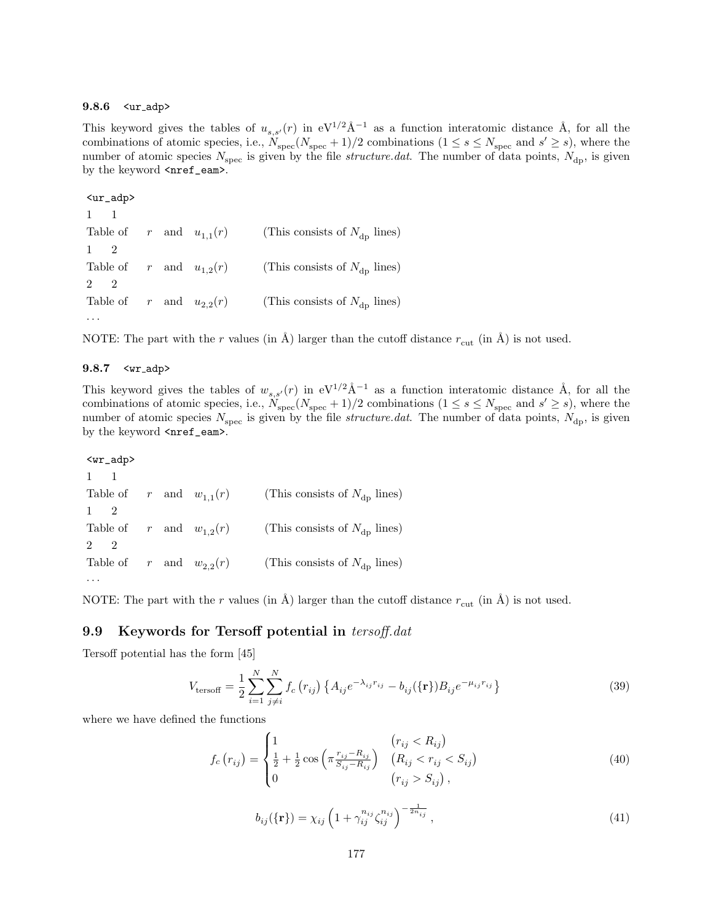# **9.8.6** <ur adp>

This keyword gives the tables of  $u_{s,s'}(r)$  in eV<sup>1/2</sup>Å<sup>-1</sup> as a function interatomic distance Å, for all the combinations of atomic species, i.e.,  $N_{\text{spec}}(N_{\text{spec}}+1)/2$  combinations  $(1 \leq s \leq N_{\text{spec}}$  and  $s' \geq s)$ , where the number of atomic species  $N_{\text{spec}}$  is given by the file *structure.dat*. The number of data points,  $N_{\text{dp}}$ , is given by the keyword <nref\_eam>.

<ur\_adp> 1 1 Table of  $r$  and  $u_{1,1}(r)$  (This consists of  $N_{dp}$  lines) 1 2 Table of  $r$  and  $u_{1,2}(r)$ (This consists of  $N_{dp}$  lines) 2 2 Table of  $r$  and  $u_{2,2}(r)$ (This consists of  $N_{\rm dp}$  lines) *· · ·*

NOTE: The part with the *r* values (in  $\AA$ ) larger than the cutoff distance  $r_{\text{cut}}$  (in  $\AA$ ) is not used.

#### 9.8.7  $\langle \text{wr\_adp} \rangle$

This keyword gives the tables of  $w_{s,s'}(r)$  in eV<sup>1/2</sup>Å<sup>-1</sup> as a function interatomic distance Å, for all the combinations of atomic species, i.e.,  $N_{\text{spec}}(N_{\text{spec}}+1)/2$  combinations  $(1 \leq s \leq N_{\text{spec}}$  and  $s' \geq s)$ , where the number of atomic species  $N_{\text{spec}}$  is given by the file *structure.dat*. The number of data points,  $N_{\text{dp}}$ , is given by the keyword <nref\_eam>.

<wr\_adp> 1 1 Table of  $r$  and  $w_{1,1}(r)$  (This consists of  $N_{dp}$  lines) 1 2 Table of  $r$  and  $w_{1,2}(r)$ (This consists of  $N_{\text{dp}}$  lines) 2 2 Table of  $r$  and  $w_{2,2}(r)$ (This consists of  $N_{\rm dp}$  lines) *· · ·*

NOTE: The part with the *r* values (in  $\AA$ ) larger than the cutoff distance  $r_{\text{cut}}$  (in  $\AA$ ) is not used.

# **9.9 Keywords for Tersoff potential in** *tersoff.dat*

Tersoff potential has the form [45]

$$
V_{\text{tersoff}} = \frac{1}{2} \sum_{i=1}^{N} \sum_{j \neq i}^{N} f_c(r_{ij}) \left\{ A_{ij} e^{-\lambda_{ij} r_{ij}} - b_{ij} (\{\mathbf{r}\}) B_{ij} e^{-\mu_{ij} r_{ij}} \right\} \tag{39}
$$

where we have defined the functions

$$
f_c(r_{ij}) = \begin{cases} 1 & (r_{ij} < R_{ij}) \\ \frac{1}{2} + \frac{1}{2} \cos\left(\pi \frac{r_{ij} - R_{ij}}{S_{ij} - R_{ij}}\right) & (R_{ij} < r_{ij} < S_{ij}) \\ 0 & (r_{ij} > S_{ij}), \end{cases}
$$
(40)

$$
b_{ij}(\{\mathbf{r}\}) = \chi_{ij} \left(1 + \gamma_{ij}^{n_{ij}} \zeta_{ij}^{n_{ij}}\right)^{-\frac{1}{2n_{ij}}},\tag{41}
$$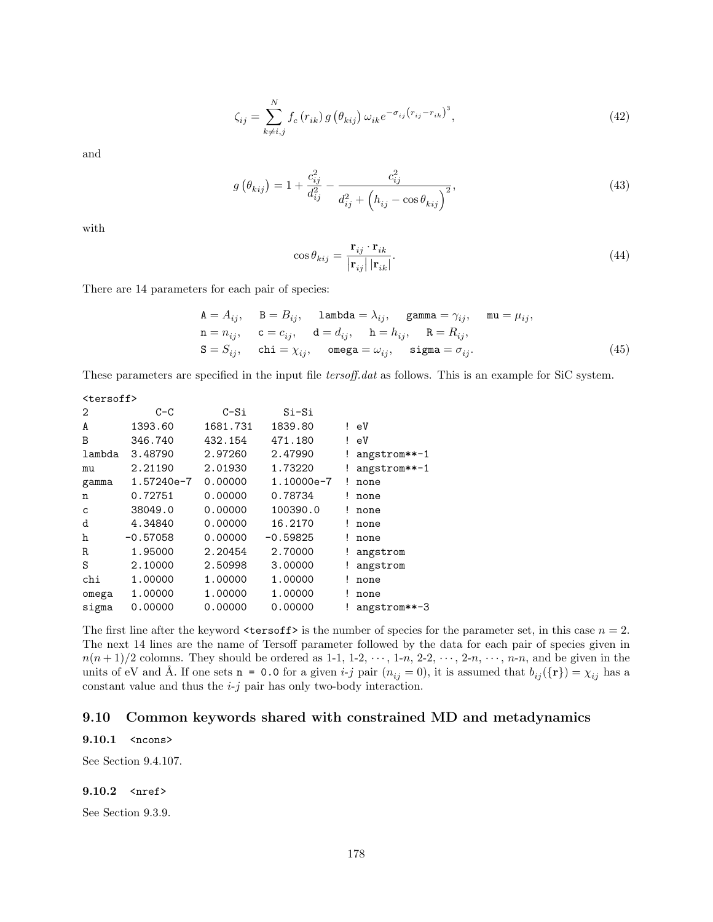$$
\zeta_{ij} = \sum_{k \neq i,j}^{N} f_c(r_{ik}) g\left(\theta_{kij}\right) \omega_{ik} e^{-\sigma_{ij}(r_{ij} - r_{ik})^3},\tag{42}
$$

and

$$
g\left(\theta_{kij}\right) = 1 + \frac{c_{ij}^2}{d_{ij}^2} - \frac{c_{ij}^2}{d_{ij}^2 + \left(h_{ij} - \cos\theta_{kij}\right)^2},\tag{43}
$$

with

$$
\cos \theta_{kij} = \frac{\mathbf{r}_{ij} \cdot \mathbf{r}_{ik}}{|\mathbf{r}_{ij}| \, |\mathbf{r}_{ik}|}.
$$
\n(44)

There are 14 parameters for each pair of species:

$$
A = A_{ij}, \t B = B_{ij}, \t lambda = \lambda_{ij}, \t gamma = \gamma_{ij}, \t mu = \mu_{ij},
$$
  
\n
$$
n = n_{ij}, \t c = c_{ij}, \t d = d_{ij}, \t h = h_{ij}, \t R = R_{ij},
$$
  
\n
$$
S = S_{ij}, \t chi = \chi_{ij}, \t omega = \omega_{ij}, \t signa = \sigma_{ij}.
$$
\n(45)

These parameters are specified in the input file *tersoff.dat* as follows. This is an example for SiC system.

| <tersoff></tersoff> |            |          |            |   |              |
|---------------------|------------|----------|------------|---|--------------|
| 2                   | $C-C$      | C-Si     | $Si-Si$    |   |              |
| A                   | 1393.60    | 1681.731 | 1839.80    |   | eV           |
| B                   | 346.740    | 432.154  | 471.180    | Ţ | eV           |
| lambda              | 3.48790    | 2.97260  | 2.47990    |   | angstrom**-1 |
| mu                  | 2.21190    | 2.01930  | 1.73220    |   | angstrom**-1 |
| gamma               | 1.57240e-7 | 0.00000  | 1.10000e-7 | ш | none         |
| n                   | 0.72751    | 0.00000  | 0.78734    |   | none         |
| C                   | 38049.0    | 0.00000  | 100390.0   |   | none         |
| d                   | 4.34840    | 0.00000  | 16.2170    |   | none         |
| h                   | $-0.57058$ | 0.00000  | $-0.59825$ |   | none         |
| R                   | 1.95000    | 2.20454  | 2.70000    |   | angstrom     |
| S                   | 2.10000    | 2.50998  | 3.00000    |   | angstrom     |
| chi                 | 1.00000    | 1.00000  | 1.00000    |   | none         |
| omega               | 1.00000    | 1.00000  | 1.00000    |   | none         |
| sigma               | 0.00000    | 0.00000  | 0.00000    |   | angstrom**-3 |

The first line after the keyword  $\langle$ **tersoff>** is the number of species for the parameter set, in this case  $n = 2$ . The next 14 lines are the name of Tersoff parameter followed by the data for each pair of species given in  $n(n+1)/2$  colomns. They should be ordered as 1-1, 1-2,  $\cdots$ , 1-*n*, 2-2,  $\cdots$ , 2-*n*,  $\cdots$ , *n*-*n*, and be given in the units of eV and Å. If one sets  $\mathbf{n} = 0.0$  for a given *i-j* pair  $(n_{ij} = 0)$ , it is assumed that  $b_{ij}(\{\mathbf{r}\}) = \chi_{ij}$  has a constant value and thus the *i*-*j* pair has only two-body interaction.

# **9.10 Common keywords shared with constrained MD and metadynamics**

**9.10.1** <ncons>

See Section 9.4.107.

#### **9.10.2** <nref>

See Section 9.3.9.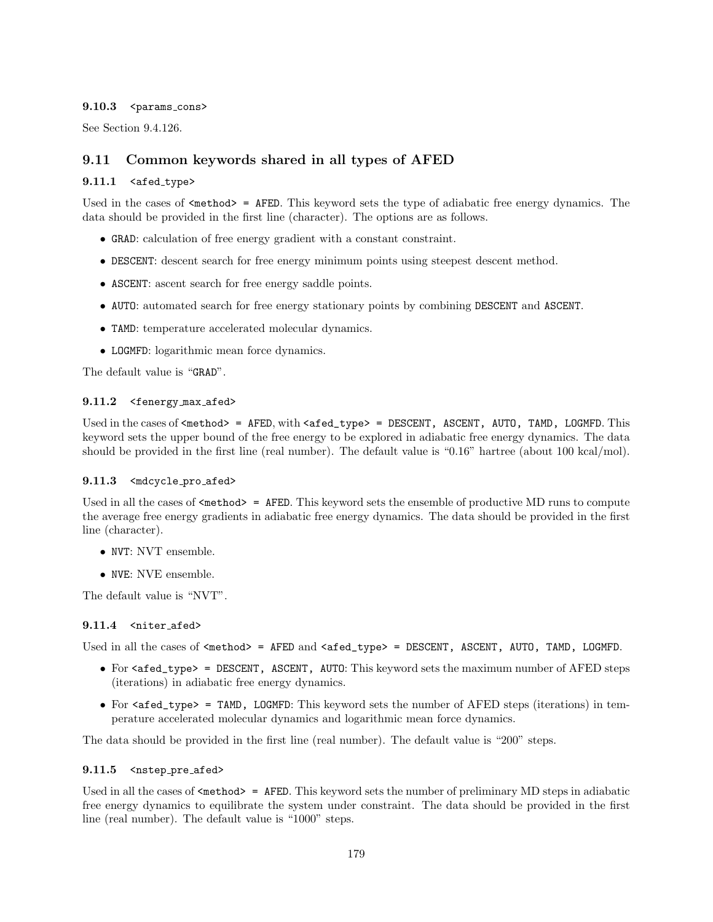# 9.10.3 <params\_cons>

See Section 9.4.126.

# **9.11 Common keywords shared in all types of AFED**

# **9.11.1** <afed type>

Used in the cases of  $\epsilon$ method> = AFED. This keyword sets the type of adiabatic free energy dynamics. The data should be provided in the first line (character). The options are as follows.

- *•* GRAD: calculation of free energy gradient with a constant constraint.
- DESCENT: descent search for free energy minimum points using steepest descent method.
- *•* ASCENT: ascent search for free energy saddle points.
- *•* AUTO: automated search for free energy stationary points by combining DESCENT and ASCENT.
- *•* TAMD: temperature accelerated molecular dynamics.
- *•* LOGMFD: logarithmic mean force dynamics.

The default value is "GRAD".

# **9.11.2** <fenergy max afed>

Used in the cases of  $\zeta$ method> = AFED, with  $\zeta$ afed\_type> = DESCENT, ASCENT, AUTO, TAMD, LOGMFD. This keyword sets the upper bound of the free energy to be explored in adiabatic free energy dynamics. The data should be provided in the first line (real number). The default value is "0.16" hartree (about 100 kcal/mol).

# 9.11.3 <mdcycle\_pro\_afed>

Used in all the cases of  $\epsilon$ method $\epsilon$  = AFED. This keyword sets the ensemble of productive MD runs to compute the average free energy gradients in adiabatic free energy dynamics. The data should be provided in the first line (character).

- *•* NVT: NVT ensemble.
- NVE: NVE ensemble.

The default value is "NVT".

### 9.11.4 < niter\_afed>

Used in all the cases of <method> = AFED and <afed\_type> = DESCENT, ASCENT, AUTO, TAMD, LOGMFD.

- For  $\langle \text{afed_type} \rangle$  = DESCENT, ASCENT, AUTO: This keyword sets the maximum number of AFED steps (iterations) in adiabatic free energy dynamics.
- For  $\leq$  **f**afed\_type> = TAMD, LOGMFD: This keyword sets the number of AFED steps (iterations) in temperature accelerated molecular dynamics and logarithmic mean force dynamics.

The data should be provided in the first line (real number). The default value is "200" steps.

### 9.11.5 < nstep\_pre\_afed>

Used in all the cases of  $\epsilon$  method = AFED. This keyword sets the number of preliminary MD steps in adiabatic free energy dynamics to equilibrate the system under constraint. The data should be provided in the first line (real number). The default value is "1000" steps.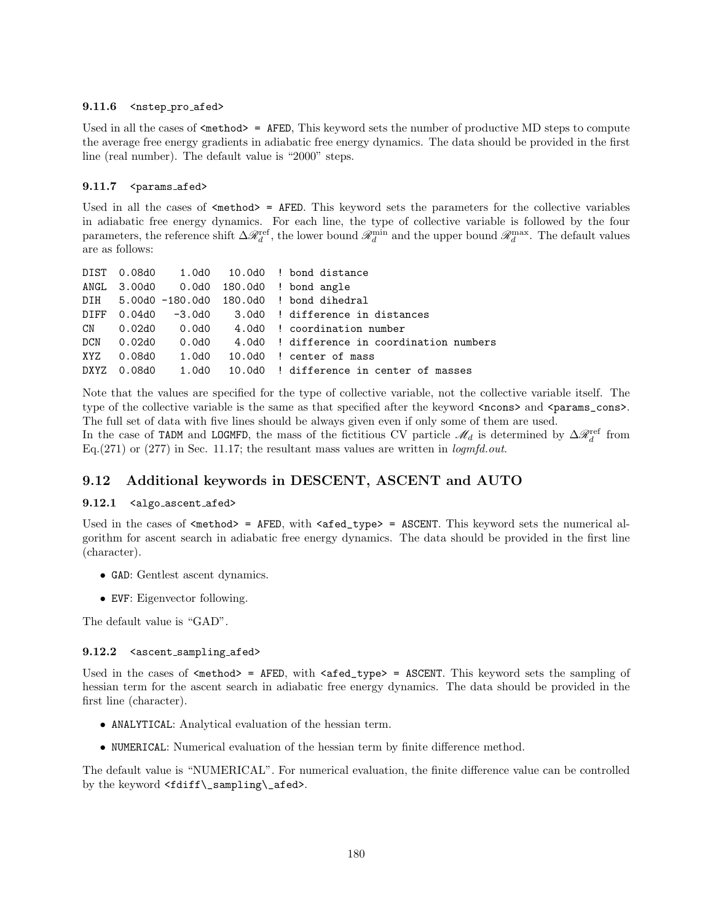## 9.11.6 < nstep\_pro\_afed>

Used in all the cases of  $\epsilon$ method $>$  = AFED, This keyword sets the number of productive MD steps to compute the average free energy gradients in adiabatic free energy dynamics. The data should be provided in the first line (real number). The default value is "2000" steps.

## 9.11.7 <params\_afed>

Used in all the cases of  $\epsilon$ method = AFED. This keyword sets the parameters for the collective variables in adiabatic free energy dynamics. For each line, the type of collective variable is followed by the four parameters, the reference shift  $\Delta \mathcal{R}_d^{\text{ref}}$ , the lower bound  $\mathcal{R}_d^{\text{min}}$  and the upper bound  $\mathcal{R}_d^{\text{max}}$ . The default values are as follows:

|     |        |       |  | DIST 0.08d0 1.0d0 10.0d0 ! bond distance                    |
|-----|--------|-------|--|-------------------------------------------------------------|
|     |        |       |  | ANGL 3.00d0 0.0d0 180.0d0 ! bond angle                      |
|     |        |       |  | DIH 5.00d0 -180.0d0 180.0d0 ! bond dihedral                 |
|     |        |       |  | DIFF 0.04d0 -3.0d0 3.0d0 ! difference in distances          |
|     |        |       |  | $CN$ 0.02d0 0.0d0 4.0d0 ! coordination number               |
|     |        |       |  | DCN 0.02d0 0.0d0 4.0d0 ! difference in coordination numbers |
| XYZ | 0.08d0 | 1.0d0 |  | 10.0d0 ! center of mass                                     |
|     |        |       |  | DXYZ 0.08d0 1.0d0 10.0d0 ! difference in center of masses   |

Note that the values are specified for the type of collective variable, not the collective variable itself. The type of the collective variable is the same as that specified after the keyword  $\langle$ ncons> and  $\langle$ params\_cons>. The full set of data with five lines should be always given even if only some of them are used. In the case of TADM and LOGMFD, the mass of the fictitious CV particle  $\mathcal{M}_d$  is determined by  $\Delta \mathcal{R}_d^{\text{ref}}$  from

Eq.(271) or (277) in Sec. 11.17; the resultant mass values are written in *logmfd.out*.

# **9.12 Additional keywords in DESCENT, ASCENT and AUTO**

### 9.12.1 <algo\_ascent\_afed>

Used in the cases of  $\epsilon$ method> = AFED, with  $\epsilon$ afed\_type> = ASCENT. This keyword sets the numerical algorithm for ascent search in adiabatic free energy dynamics. The data should be provided in the first line (character).

- *•* GAD: Gentlest ascent dynamics.
- EVF: Eigenvector following.

The default value is "GAD".

### 9.12.2 <ascent\_sampling\_afed>

Used in the cases of  $\langle \text{method}\rangle = \text{AFED}$ , with  $\langle \text{afed_type}\rangle = \text{ASCII}$ . This keyword sets the sampling of hessian term for the ascent search in adiabatic free energy dynamics. The data should be provided in the first line (character).

- *•* ANALYTICAL: Analytical evaluation of the hessian term.
- NUMERICAL: Numerical evaluation of the hessian term by finite difference method.

The default value is "NUMERICAL". For numerical evaluation, the finite difference value can be controlled by the keyword <fdiff\\_sampling\\_afed>.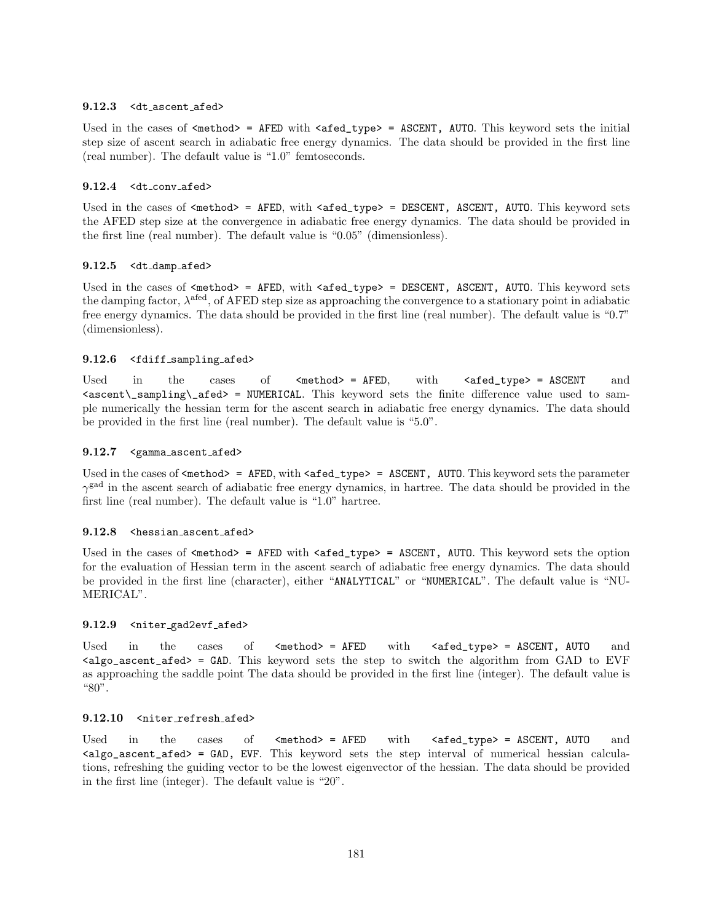### 9.12.3 <dt\_ascent\_afed>

Used in the cases of  $\zeta$ method> = AFED with  $\zeta$ afed\_type> = ASCENT, AUTO. This keyword sets the initial step size of ascent search in adiabatic free energy dynamics. The data should be provided in the first line (real number). The default value is "1.0" femtoseconds.

### 9.12.4 <dt\_conv\_afed>

Used in the cases of <method> = AFED, with <afed\_type> = DESCENT, ASCENT, AUTO. This keyword sets the AFED step size at the convergence in adiabatic free energy dynamics. The data should be provided in the first line (real number). The default value is "0.05" (dimensionless).

### **9.12.5** <dt damp afed>

Used in the cases of  $\epsilon$ method> = AFED, with  $\epsilon$ afed\_type> = DESCENT, ASCENT, AUTO. This keyword sets the damping factor,  $\lambda^{\text{afed}}$ , of AFED step size as approaching the convergence to a stationary point in adiabatic free energy dynamics. The data should be provided in the first line (real number). The default value is "0.7" (dimensionless).

### 9.12.6 <fdiff\_sampling\_afed>

Used in the cases of  $\leq$  method> = AFED, with  $\leq$  afed\_type> = ASCENT and  $\{\text{assert}\_\text{sampling}\_\text{afed}$  = NUMERICAL. This keyword sets the finite difference value used to sample numerically the hessian term for the ascent search in adiabatic free energy dynamics. The data should be provided in the first line (real number). The default value is "5.0".

### 9.12.7 <gamma\_ascent\_afed>

Used in the cases of  $\langle \text{method} \rangle = \text{AFED}$ , with  $\langle \text{afed_type} \rangle = \text{ASCENT}$ , AUTO. This keyword sets the parameter *γ* gad in the ascent search of adiabatic free energy dynamics, in hartree. The data should be provided in the first line (real number). The default value is "1.0" hartree.

### 9.12.8 <hessian\_ascent\_afed>

Used in the cases of  $\zeta$  method > = AFED with  $\zeta$  and  $\zeta$  = ASCENT, AUTO. This keyword sets the option for the evaluation of Hessian term in the ascent search of adiabatic free energy dynamics. The data should be provided in the first line (character), either "ANALYTICAL" or "NUMERICAL". The default value is "NU-MERICAL".

### 9.12.9 < niter\_gad2evf\_afed>

Used in the cases of <method> = AFED with <afed\_type> = ASCENT, AUTO and  $\langle \text{algo\_ascent\_afed} \rangle$  = GAD. This keyword sets the step to switch the algorithm from GAD to EVF as approaching the saddle point The data should be provided in the first line (integer). The default value is "80".

# 9.12.10 < niter\_refresh\_afed>

Used in the cases of  $\leq m \leq b$  = AFED with  $\leq a \leq b$  = ASCENT, AUTO and  $\langle$ algo\_ascent\_afed> = GAD, EVF. This keyword sets the step interval of numerical hessian calculations, refreshing the guiding vector to be the lowest eigenvector of the hessian. The data should be provided in the first line (integer). The default value is "20".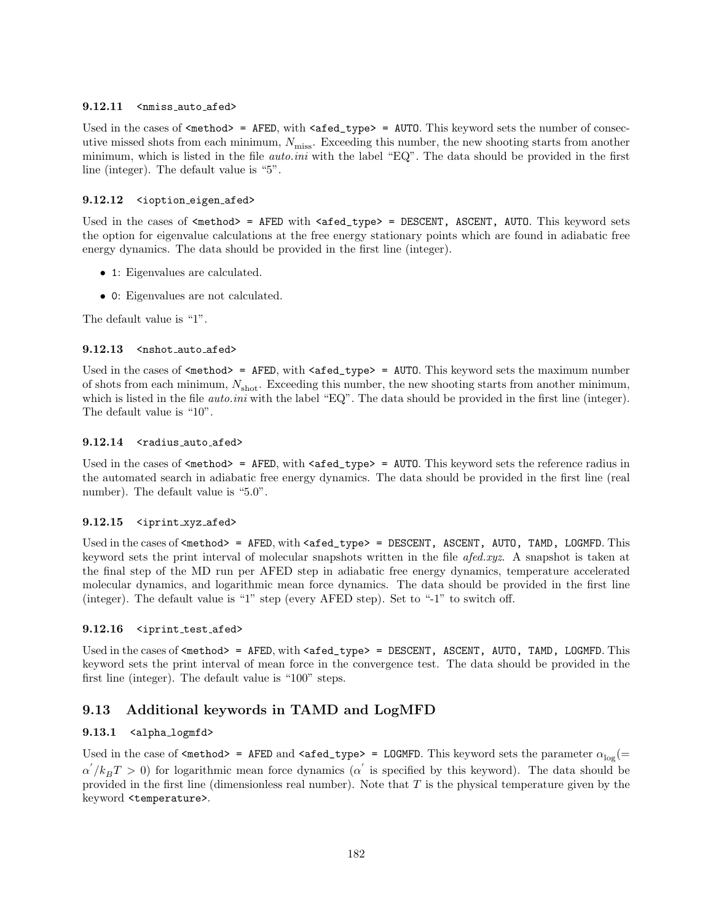### 9.12.11 <nmiss\_auto\_afed>

Used in the cases of  $\epsilon$ method> = AFED, with  $\epsilon$ afed\_type> = AUTO. This keyword sets the number of consecutive missed shots from each minimum,  $N_{\text{miss}}$ . Exceeding this number, the new shooting starts from another minimum, which is listed in the file *auto.ini* with the label "EQ". The data should be provided in the first line (integer). The default value is "5".

### 9.12.12 <ioption\_eigen\_afed>

Used in the cases of  $\epsilon$ method> = AFED with  $\epsilon$ afed\_type> = DESCENT, ASCENT, AUTO. This keyword sets the option for eigenvalue calculations at the free energy stationary points which are found in adiabatic free energy dynamics. The data should be provided in the first line (integer).

- 1: Eigenvalues are calculated.
- *•* 0: Eigenvalues are not calculated.

The default value is "1".

### 9.12.13 <nshot\_auto\_afed>

Used in the cases of  $\zeta$  =  $\triangle$   $\zeta$  =  $\triangle$   $\zeta$  =  $\zeta$  =  $\zeta$  =  $\zeta$  =  $\zeta$  =  $\zeta$  =  $\zeta$  =  $\zeta$  =  $\zeta$  =  $\zeta$  =  $\zeta$  =  $\zeta$  =  $\zeta$  =  $\zeta$  =  $\zeta$  =  $\zeta$  =  $\zeta$  =  $\zeta$  =  $\zeta$  =  $\zeta$  =  $\zeta$  =  $\zeta$  of shots from each minimum, *N*shot. Exceeding this number, the new shooting starts from another minimum, which is listed in the file *auto.ini* with the label "EQ". The data should be provided in the first line (integer). The default value is "10".

### 9.12.14 <radius\_auto\_afed>

Used in the cases of  $\zeta$  =  $\triangle$   $\zeta$  =  $\triangle$   $\zeta$  =  $\zeta$  =  $\zeta$  =  $\zeta$  =  $\zeta$  =  $\zeta$  =  $\zeta$  =  $\zeta$  =  $\zeta$  =  $\zeta$  =  $\zeta$  =  $\zeta$  =  $\zeta$  =  $\zeta$  =  $\zeta$  =  $\zeta$  =  $\zeta$  =  $\zeta$  =  $\zeta$  =  $\zeta$  =  $\zeta$  =  $\zeta$  the automated search in adiabatic free energy dynamics. The data should be provided in the first line (real number). The default value is "5.0".

### **9.12.15** <iprint xyz afed>

Used in the cases of  $\langle \text{method} \rangle = AFED$ , with  $\langle \text{afed_type} \rangle = DESCENT$ , ASCENT, AUTO, TAMD, LOGMFD. This keyword sets the print interval of molecular snapshots written in the file *afed.xyz*. A snapshot is taken at the final step of the MD run per AFED step in adiabatic free energy dynamics, temperature accelerated molecular dynamics, and logarithmic mean force dynamics. The data should be provided in the first line (integer). The default value is "1" step (every AFED step). Set to "-1" to switch off.

### 9.12.16 <iprint\_test\_afed>

Used in the cases of  $\langle \text{method} \rangle = AFED$ , with  $\langle \text{afed_type} \rangle = DESCENT$ , ASCENT, AUTO, TAMD, LOGMFD. This keyword sets the print interval of mean force in the convergence test. The data should be provided in the first line (integer). The default value is "100" steps.

# **9.13 Additional keywords in TAMD and LogMFD**

# **9.13.1** <alpha logmfd>

Used in the case of  $\zeta$  = thod> = AFED and  $\zeta$ afed\_type> = LOGMFD. This keyword sets the parameter  $\alpha_{\text{loc}}($  $\alpha'/k_B T > 0$ ) for logarithmic mean force dynamics ( $\alpha'$  is specified by this keyword). The data should be provided in the first line (dimensionless real number). Note that *T* is the physical temperature given by the keyword <temperature>.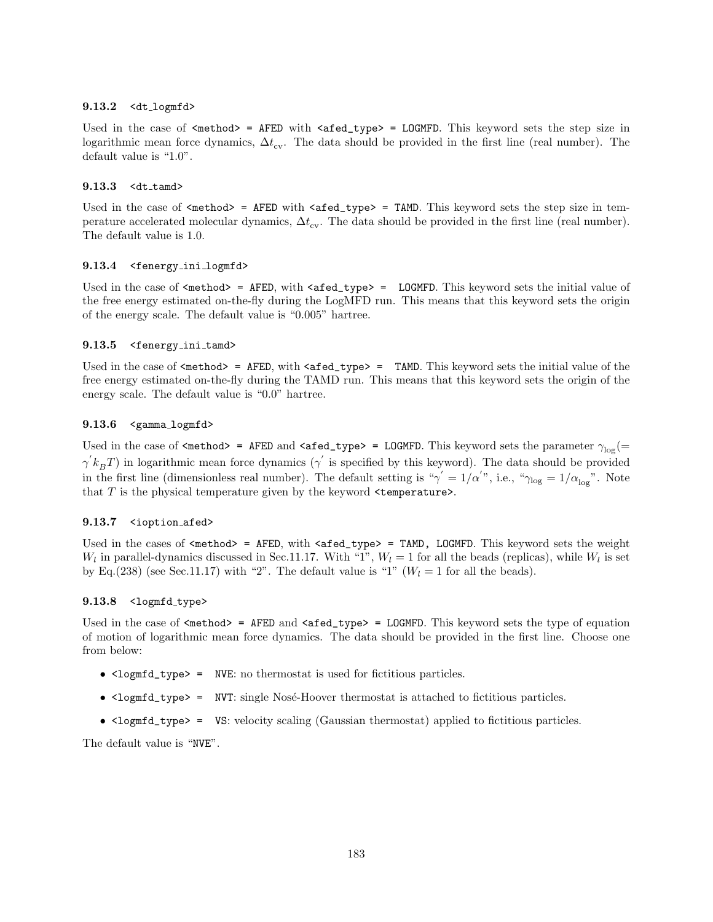### **9.13.2** <dt logmfd>

Used in the case of  $\epsilon$ method> = AFED with  $\epsilon$ afed\_type> = LOGMFD. This keyword sets the step size in logarithmic mean force dynamics,  $\Delta t_{cv}$ . The data should be provided in the first line (real number). The default value is "1.0".

### 9.13.3 <dt\_tamd>

Used in the case of  $\epsilon$ method> = AFED with  $\epsilon$ afed\_type> = TAMD. This keyword sets the step size in temperature accelerated molecular dynamics,  $\Delta t_{cv}$ . The data should be provided in the first line (real number). The default value is 1.0.

### **9.13.4** <fenergy ini logmfd>

Used in the case of  $\langle \text{method} \rangle = \text{AFED}$ , with  $\langle \text{afed_type} \rangle = \text{LOGMFD}$ . This keyword sets the initial value of the free energy estimated on-the-fly during the LogMFD run. This means that this keyword sets the origin of the energy scale. The default value is "0.005" hartree.

### **9.13.5** <fenergy ini tamd>

Used in the case of  $\zeta$  method = AFED, with  $\zeta$  afed\_type = TAMD. This keyword sets the initial value of the free energy estimated on-the-fly during the TAMD run. This means that this keyword sets the origin of the energy scale. The default value is "0.0" hartree.

### **9.13.6** <gamma logmfd>

Used in the case of  $\epsilon$ method> = AFED and  $\epsilon$ afed\_type> = LOGMFD. This keyword sets the parameter  $\gamma_{\text{log}}($  $\gamma' k_B T$ ) in logarithmic mean force dynamics ( $\gamma'$  is specified by this keyword). The data should be provided in the first line (dimensionless real number). The default setting is " $\gamma' = 1/\alpha'$ ", i.e., " $\gamma_{\text{log}} = 1/\alpha_{\text{log}}$ ". Note that  $T$  is the physical temperature given by the keyword  $\leq$ temperature>.

# 9.13.7 <ioption\_afed>

Used in the cases of  $\epsilon$ method> = AFED, with  $\epsilon$ afed\_type> = TAMD, LOGMFD. This keyword sets the weight  $W_l$  in parallel-dynamics discussed in Sec.11.17. With "1",  $W_l = 1$  for all the beads (replicas), while  $W_l$  is set by Eq.(238) (see Sec.11.17) with "2". The default value is "1" ( $W_l = 1$  for all the beads).

### 9.13.8 <logmfd\_type>

Used in the case of  $\epsilon$ method = AFED and  $\epsilon$  and  $\epsilon$  is the Lype in Eugmennian Eugenomean Sets the type of equation of motion of logarithmic mean force dynamics. The data should be provided in the first line. Choose one from below:

- *•* <logmfd\_type> = NVE: no thermostat is used for fictitious particles.
- <logmfd\_type> = NVT: single Nosé-Hoover thermostat is attached to fictitious particles.
- $\triangleleft$   $\triangleleft$   $\triangleleft$   $\triangleleft$   $\triangleleft$   $\triangleleft$   $\triangleleft$   $\triangleleft$   $\triangleleft$   $\triangleleft$   $\triangleleft$   $\triangleleft$   $\triangleleft$   $\triangleleft$   $\triangleleft$   $\triangleleft$   $\triangleleft$   $\triangleleft$   $\triangleleft$   $\triangleleft$   $\triangleleft$   $\triangleleft$   $\triangleleft$   $\triangleleft$   $\triangleleft$   $\triangleleft$   $\triangleleft$   $\triangleleft$   $\triangleleft$   $\triangleleft$   $\triangleleft$   $\triangleleft$   $\triangleleft$   $\triangleleft$   $\triangleleft$   $\triangleleft$   $\triangleleft$

The default value is "NVE".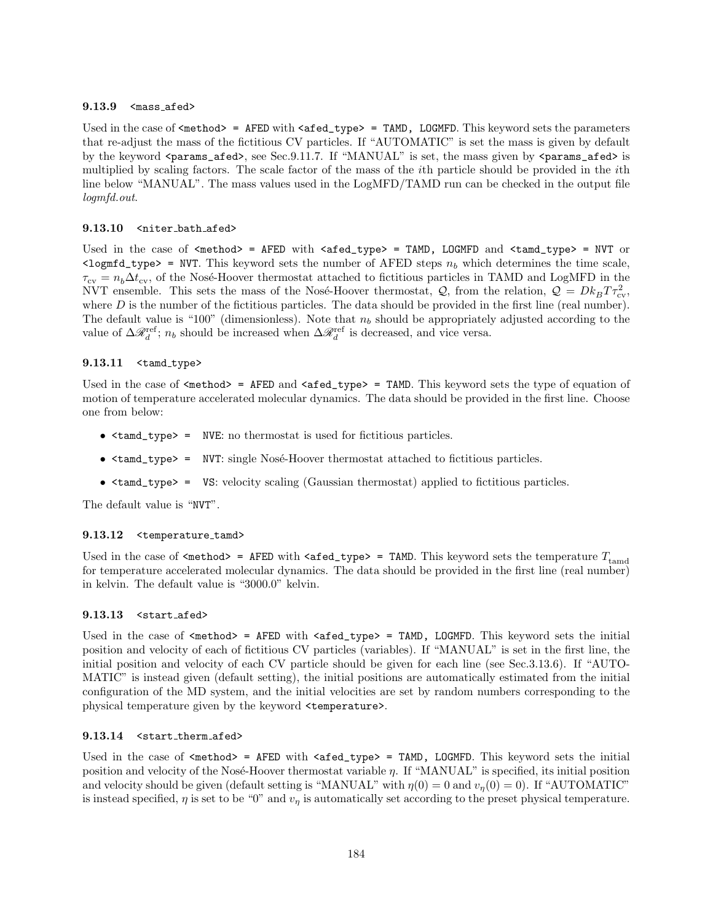### **9.13.9** <mass afed>

Used in the case of  $\zeta$  method > = AFED with  $\zeta$  afed\_type > = TAMD, LOGMFD. This keyword sets the parameters that re-adjust the mass of the fictitious CV particles. If "AUTOMATIC" is set the mass is given by default by the keyword  $\epsilon$  params\_afed>, see Sec.9.11.7. If "MANUAL" is set, the mass given by  $\epsilon$  params\_afed> is multiplied by scaling factors. The scale factor of the mass of the *i*th particle should be provided in the *i*th line below "MANUAL". The mass values used in the LogMFD/TAMD run can be checked in the output file *logmfd.out*.

#### 9.13.10 < niter\_bath\_afed>

Used in the case of  $\text{Kmethod} >$  = AFED with  $\text{Gd-d-type} >$  = TAMD, LOGMFD and  $\text{Kam-d-type} >$  = NVT or  $\langle$ logmfd\_type $\rangle$  = NVT. This keyword sets the number of AFED steps  $n_b$  which determines the time scale,  $\tau_{\rm cv} = n_b \Delta t_{\rm cv}$ , of the Nosé-Hoover thermostat attached to fictitious particles in TAMD and LogMFD in the NVT ensemble. This sets the mass of the Nosé-Hoover thermostat,  $Q$ , from the relation,  $Q = Dk_B T \tau_{\text{cv}}^2$ , where *D* is the number of the fictitious particles. The data should be provided in the first line (real number). The default value is "100" (dimensionless). Note that *n<sup>b</sup>* should be appropriately adjusted according to the value of  $\Delta \mathcal{R}_d^{\text{ref}}$ ;  $n_b$  should be increased when  $\Delta \mathcal{R}_d^{\text{ref}}$  is decreased, and vice versa.

### 9.13.11 <tamd\_type>

Used in the case of  $\epsilon$ method> = AFED and  $\epsilon$ afed\_type> = TAMD. This keyword sets the type of equation of motion of temperature accelerated molecular dynamics. The data should be provided in the first line. Choose one from below:

- *•* <tamd\_type> = NVE: no thermostat is used for fictitious particles.
- $\tt stand_type> = NVT$ : single Nosé-Hoover the most at tached to fictitious particles.
- $\tanh$   $\tan \theta$   $\tan \theta$   $\tan \theta$  **vs**: velocity scaling (Gaussian thermostat) applied to fictitious particles.

The default value is "NVT".

#### 9.13.12 <temperature\_tamd>

Used in the case of  $\zeta$  method = AFED with  $\zeta$ afed\_type = TAMD. This keyword sets the temperature  $T_{t, \text{and}}$ for temperature accelerated molecular dynamics. The data should be provided in the first line (real number) in kelvin. The default value is "3000.0" kelvin.

### **9.13.13** <start afed>

Used in the case of  $\epsilon$ method> = AFED with  $\epsilon$ afed\_type> = TAMD, LOGMFD. This keyword sets the initial position and velocity of each of fictitious CV particles (variables). If "MANUAL" is set in the first line, the initial position and velocity of each CV particle should be given for each line (see Sec.3.13.6). If "AUTO-MATIC" is instead given (default setting), the initial positions are automatically estimated from the initial configuration of the MD system, and the initial velocities are set by random numbers corresponding to the physical temperature given by the keyword <temperature>.

#### **9.13.14** <start therm afed>

Used in the case of  $\epsilon$ method> = AFED with  $\epsilon$ afed\_type> = TAMD, LOGMFD. This keyword sets the initial position and velocity of the Nos´e-Hoover thermostat variable *η*. If "MANUAL" is specified, its initial position and velocity should be given (default setting is "MANUAL" with  $\eta(0) = 0$  and  $v_\eta(0) = 0$ ). If "AUTOMATIC" is instead specified,  $\eta$  is set to be "0" and  $v_{\eta}$  is automatically set according to the preset physical temperature.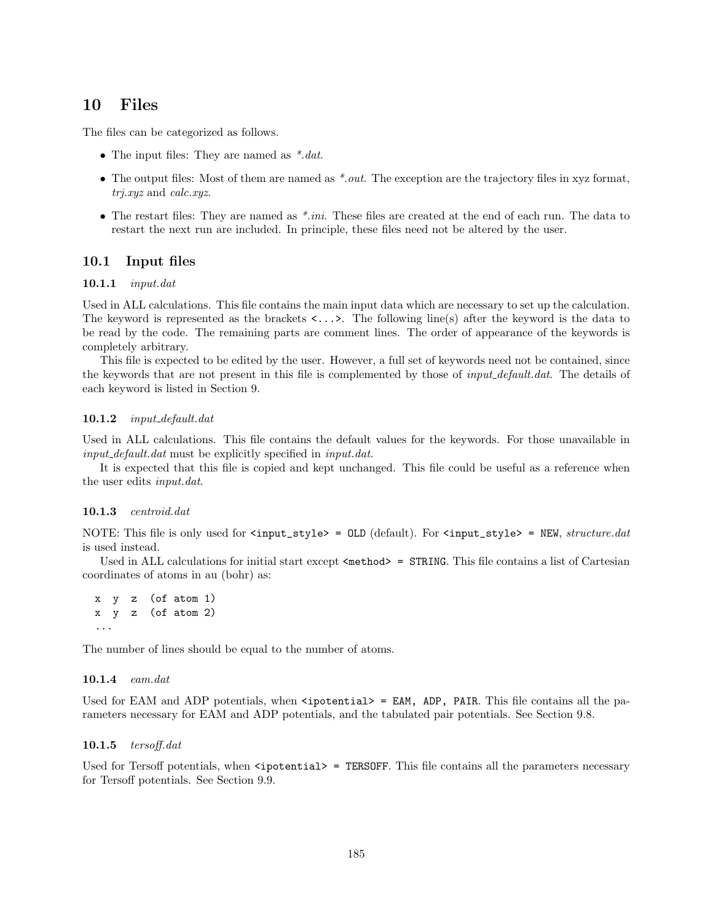# **10 Files**

The files can be categorized as follows.

- *•* The input files: They are named as *\*.dat*.
- *•* The output files: Most of them are named as *\*.out*. The exception are the trajectory files in xyz format, *trj.xyz* and *calc.xyz*.
- *•* The restart files: They are named as *\*.ini*. These files are created at the end of each run. The data to restart the next run are included. In principle, these files need not be altered by the user.

# **10.1 Input files**

### **10.1.1** *input.dat*

Used in ALL calculations. This file contains the main input data which are necessary to set up the calculation. The keyword is represented as the brackets  $\langle \ldots \rangle$ . The following line(s) after the keyword is the data to be read by the code. The remaining parts are comment lines. The order of appearance of the keywords is completely arbitrary.

This file is expected to be edited by the user. However, a full set of keywords need not be contained, since the keywords that are not present in this file is complemented by those of *input default.dat*. The details of each keyword is listed in Section 9.

### **10.1.2** *input default.dat*

Used in ALL calculations. This file contains the default values for the keywords. For those unavailable in *input default.dat* must be explicitly specified in *input.dat*.

It is expected that this file is copied and kept unchanged. This file could be useful as a reference when the user edits *input.dat*.

#### **10.1.3** *centroid.dat*

NOTE: This file is only used for <input\_style> = OLD (default). For <input\_style> = NEW, *structure.dat* is used instead.

Used in ALL calculations for initial start except  $\langle \text{method} \rangle = \text{STRING}$ . This file contains a list of Cartesian coordinates of atoms in au (bohr) as:

x y z (of atom 1) x y z (of atom 2) ...

The number of lines should be equal to the number of atoms.

### **10.1.4** *eam.dat*

Used for EAM and ADP potentials, when  $\langle$ ipotential> = EAM, ADP, PAIR. This file contains all the parameters necessary for EAM and ADP potentials, and the tabulated pair potentials. See Section 9.8.

### **10.1.5** *tersoff.dat*

Used for Tersoff potentials, when  $\langle$ ipotential> = TERSOFF. This file contains all the parameters necessary for Tersoff potentials. See Section 9.9.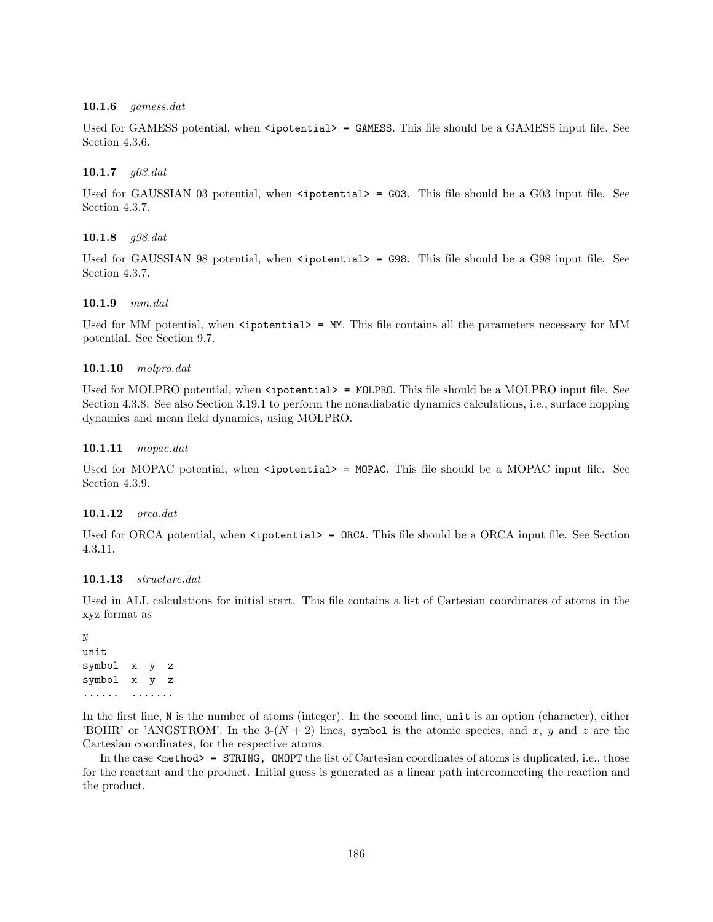### **10.1.6** *gamess.dat*

Used for GAMESS potential, when  $\langle$ ipotential> = GAMESS. This file should be a GAMESS input file. See Section 4.3.6.

### **10.1.7** *g03.dat*

Used for GAUSSIAN 03 potential, when  $\epsilon$ ipotential> = G03. This file should be a G03 input file. See Section 4.3.7.

# **10.1.8** *g98.dat*

Used for GAUSSIAN 98 potential, when  $\epsilon$ ipotential> = G98. This file should be a G98 input file. See Section 4.3.7.

### **10.1.9** *mm.dat*

Used for MM potential, when  $\langle$ ipotential> = MM. This file contains all the parameters necessary for MM potential. See Section 9.7.

### **10.1.10** *molpro.dat*

Used for MOLPRO potential, when  $\langle$ ipotential> = MOLPRO. This file should be a MOLPRO input file. See Section 4.3.8. See also Section 3.19.1 to perform the nonadiabatic dynamics calculations, i.e., surface hopping dynamics and mean field dynamics, using MOLPRO.

### **10.1.11** *mopac.dat*

Used for MOPAC potential, when  $\langle$ ipotential> = MOPAC. This file should be a MOPAC input file. See Section 4.3.9.

### **10.1.12** *orca.dat*

Used for ORCA potential, when  $\epsilon$ ipotential> = ORCA. This file should be a ORCA input file. See Section 4.3.11.

# **10.1.13** *structure.dat*

Used in ALL calculations for initial start. This file contains a list of Cartesian coordinates of atoms in the xyz format as

```
N
unit
symbol x y z
symbol x y z
...... .......
```
In the first line, N is the number of atoms (integer). In the second line, unit is an option (character), either 'BOHR' or 'ANGSTROM'. In the  $3-(N+2)$  lines, symbol is the atomic species, and x, y and z are the Cartesian coordinates, for the respective atoms.

In the case  $\epsilon$  method = STRING, OMOPT the list of Cartesian coordinates of atoms is duplicated, i.e., those for the reactant and the product. Initial guess is generated as a linear path interconnecting the reaction and the product.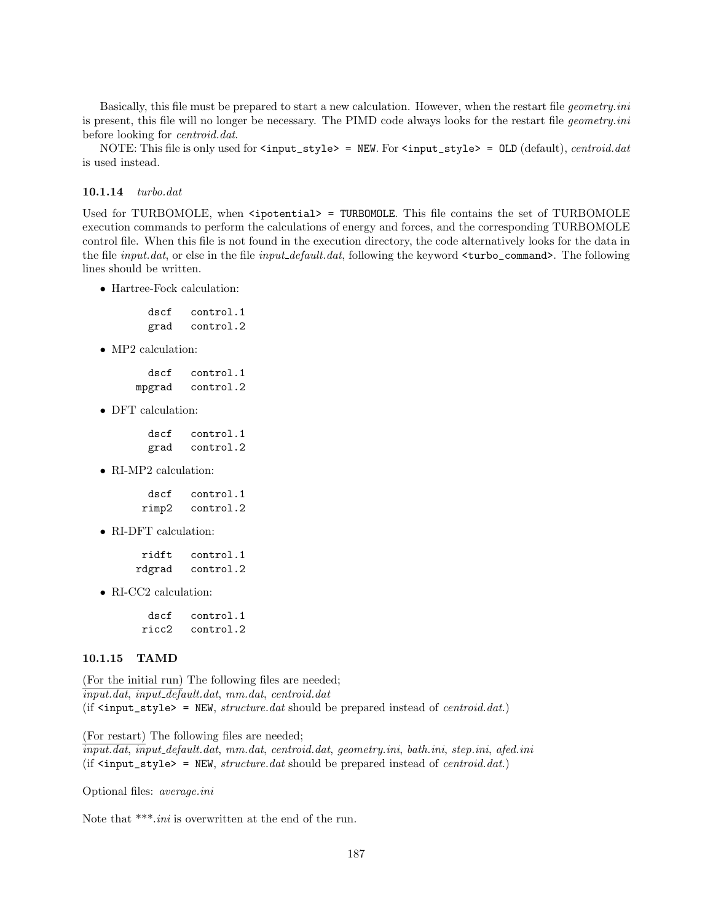Basically, this file must be prepared to start a new calculation. However, when the restart file *geometry.ini* is present, this file will no longer be necessary. The PIMD code always looks for the restart file *geometry.ini* before looking for *centroid.dat*.

NOTE: This file is only used for <input\_style> = NEW. For <input\_style> = OLD (default), *centroid.dat* is used instead.

### **10.1.14** *turbo.dat*

Used for TURBOMOLE, when  $\epsilon$ ipotential> = TURBOMOLE. This file contains the set of TURBOMOLE execution commands to perform the calculations of energy and forces, and the corresponding TURBOMOLE control file. When this file is not found in the execution directory, the code alternatively looks for the data in the file *input.dat*, or else in the file *input default.dat*, following the keyword <turbo\_command>. The following lines should be written.

*•* Hartree-Fock calculation:

dscf control.1 grad control.2

*•* MP2 calculation:

dscf control.1 mpgrad control.2

*•* DFT calculation:

dscf control.1 grad control.2

*•* RI-MP2 calculation:

dscf control.1 rimp2 control.2

*•* RI-DFT calculation:

ridft control.1 rdgrad control.2

*•* RI-CC2 calculation:

dscf control.1 ricc2 control.2

# **10.1.15 TAMD**

(For the initial run) The following files are needed; *input.dat*, *input default.dat*, *mm.dat*, *centroid.dat* (if <input\_style> = NEW, *structure.dat* should be prepared instead of *centroid.dat*.)

(For restart) The following files are needed;

*input.dat*, *input default.dat*, *mm.dat*, *centroid.dat*, *geometry.ini*, *bath.ini*, *step.ini*, *afed.ini* (if <input\_style> = NEW, *structure.dat* should be prepared instead of *centroid.dat*.)

Optional files: *average.ini*

Note that \*\*\*.*ini* is overwritten at the end of the run.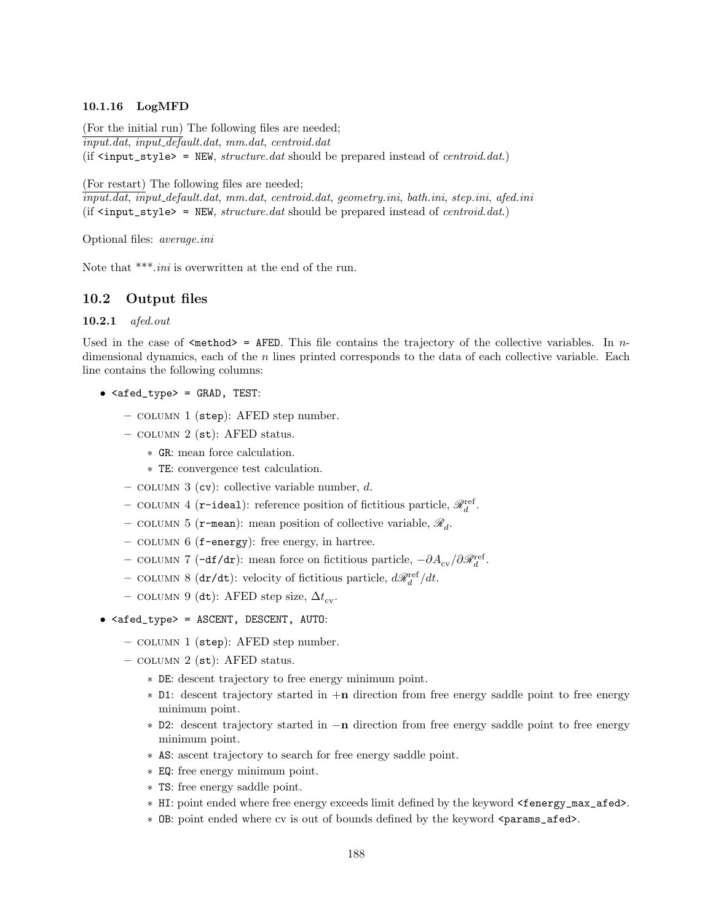### **10.1.16 LogMFD**

(For the initial run) The following files are needed; *input.dat*, *input default.dat*, *mm.dat*, *centroid.dat* (if <input\_style> = NEW, *structure.dat* should be prepared instead of *centroid.dat*.)

(For restart) The following files are needed;

*input.dat*, *input default.dat*, *mm.dat*, *centroid.dat*, *geometry.ini*, *bath.ini*, *step.ini*, *afed.ini* (if <input\_style> = NEW, *structure.dat* should be prepared instead of *centroid.dat*.)

Optional files: *average.ini*

Note that \*\*\*.*ini* is overwritten at the end of the run.

# **10.2 Output files**

# **10.2.1** *afed.out*

Used in the case of  $\epsilon$ method> = AFED. This file contains the trajectory of the collective variables. In *n*dimensional dynamics, each of the *n* lines printed corresponds to the data of each collective variable. Each line contains the following columns:

- *•* <afed\_type> = GRAD, TEST:
	- **–** column 1 (step): AFED step number.
	- **–** column 2 (st): AFED status.
		- *∗* GR: mean force calculation.
		- *∗* TE: convergence test calculation.
	- **–** column 3 (cv): collective variable number, *d*.
	- COLUMN 4 (**r**-ideal): reference position of fictitious particle,  $\mathscr{R}_d^{\text{ref}}$ .
	- **–** column 5 (r-mean): mean position of collective variable, *<sup>R</sup><sup>d</sup>* .
	- **–** column 6 (f-energy): free energy, in hartree.
	- **–** column 7 (-df/dr): mean force on fictitious particle, *−∂A*cv*/∂R*ref *d* .
	- **–** column 8 (dr/dt): velocity of fictitious particle, *dR*ref *d /dt*.
	- $-$  cOLUMN 9 (dt): AFED step size,  $\Delta t$ <sub>cv</sub>.
- *•* <afed\_type> = ASCENT, DESCENT, AUTO:
	- **–** column 1 (step): AFED step number.
	- **–** column 2 (st): AFED status.
		- *∗* DE: descent trajectory to free energy minimum point.
		- *∗* D1: descent trajectory started in +**n** direction from free energy saddle point to free energy minimum point.
		- *∗* D2: descent trajectory started in *−***n** direction from free energy saddle point to free energy minimum point.
		- *∗* AS: ascent trajectory to search for free energy saddle point.
		- *∗* EQ: free energy minimum point.
		- *∗* TS: free energy saddle point.
		- *∗* HI: point ended where free energy exceeds limit defined by the keyword <fenergy\_max\_afed>.
		- *∗* OB: point ended where cv is out of bounds defined by the keyword <params\_afed>.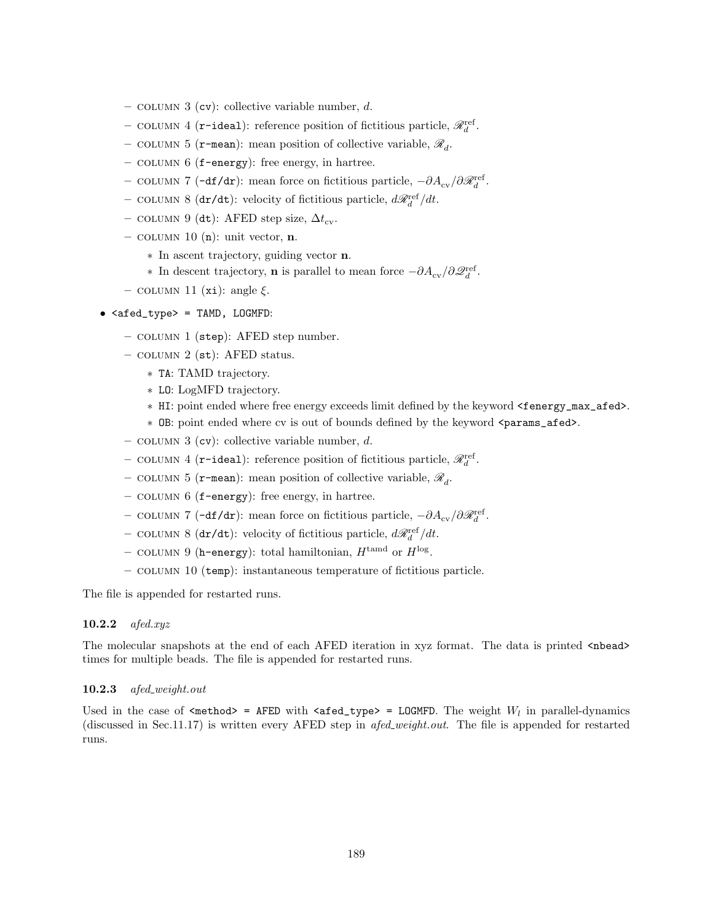- **–** column 3 (cv): collective variable number, *d*.
- COLUMN 4 (**r**-ideal): reference position of fictitious particle,  $\mathscr{R}_d^{\text{ref}}$ .
- **–** column 5 (r-mean): mean position of collective variable, *<sup>R</sup><sup>d</sup>* .
- **–** column 6 (f-energy): free energy, in hartree.
- **–** column 7 (-df/dr): mean force on fictitious particle, *−∂A*cv*/∂R*ref *d* .
- **–** column 8 (dr/dt): velocity of fictitious particle, *dR*ref *d /dt*.
- $-$  cOLUMN 9 (dt): AFED step size,  $\Delta t_{cv}$ .
- **–** column 10 (n): unit vector, **n**.
	- *∗* In ascent trajectory, guiding vector **n**.
	- *∗* In descent trajectory, **n** is parallel to mean force *−∂A*cv*/∂Q*ref *d* .
- **–** column 11 (xi): angle *ξ*.
- *•* <afed\_type> = TAMD, LOGMFD:
	- **–** column 1 (step): AFED step number.
	- **–** column 2 (st): AFED status.
		- *∗* TA: TAMD trajectory.
		- *∗* LO: LogMFD trajectory.
		- *∗* HI: point ended where free energy exceeds limit defined by the keyword <fenergy\_max\_afed>.
		- *∗* OB: point ended where cv is out of bounds defined by the keyword <params\_afed>.
	- **–** column 3 (cv): collective variable number, *d*.
	- COLUMN 4 (**r**-ideal): reference position of fictitious particle,  $\mathscr{R}_d^{\text{ref}}$ .
	- **–** column 5 (r-mean): mean position of collective variable, *<sup>R</sup><sup>d</sup>* .
	- **–** column 6 (f-energy): free energy, in hartree.
	- **–** column 7 (-df/dr): mean force on fictitious particle, *−∂A*cv*/∂R*ref *d* .
	- **–** column 8 (dr/dt): velocity of fictitious particle, *dR*ref *d /dt*.
	- **–** column 9 (h-energy): total hamiltonian, *H*tamd or *H*log .
	- **–** column 10 (temp): instantaneous temperature of fictitious particle.

The file is appended for restarted runs.

### **10.2.2** *afed.xyz*

The molecular snapshots at the end of each AFED iteration in xyz format. The data is printed <nbr/>bead> times for multiple beads. The file is appended for restarted runs.

### **10.2.3** *afed weight.out*

Used in the case of  $\epsilon$ method> = AFED with  $\epsilon$ afed\_type> = LOGMFD. The weight  $W_l$  in parallel-dynamics (discussed in Sec.11.17) is written every AFED step in *afed weight.out*. The file is appended for restarted runs.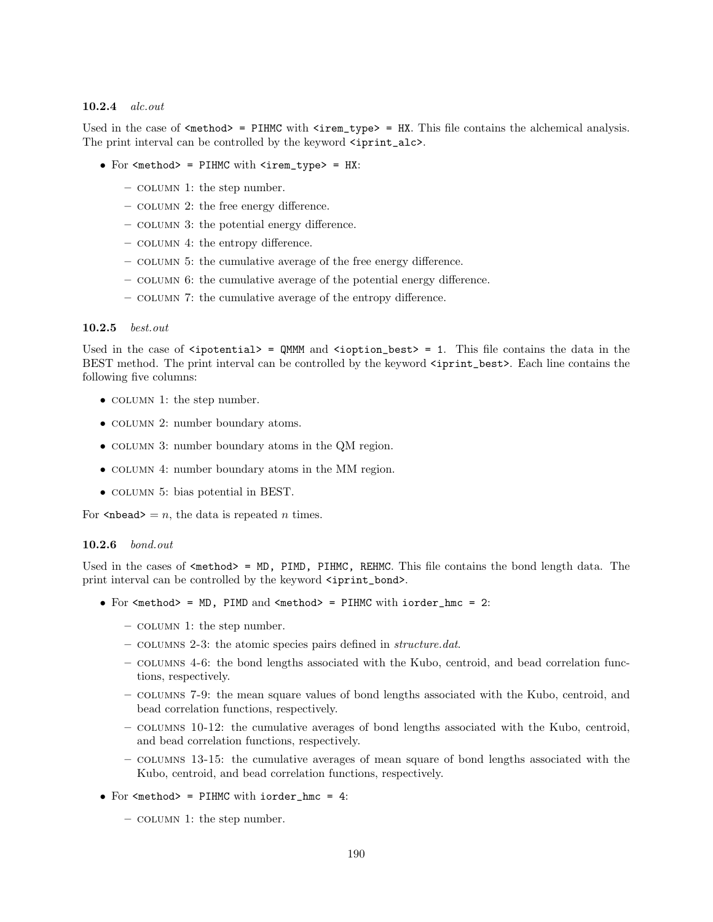### **10.2.4** *alc.out*

Used in the case of  $\zeta$  = PIHMC with  $\zeta$  irem\_type> = HX. This file contains the alchemical analysis. The print interval can be controlled by the keyword  $\epsilon$ iprint\_alc>.

- For <method> = PIHMC with <irem\_type> = HX:
	- **–** column 1: the step number.
	- **–** column 2: the free energy difference.
	- **–** column 3: the potential energy difference.
	- **–** column 4: the entropy difference.
	- **–** column 5: the cumulative average of the free energy difference.
	- **–** column 6: the cumulative average of the potential energy difference.
	- **–** column 7: the cumulative average of the entropy difference.

### **10.2.5** *best.out*

Used in the case of  $\epsilon$  ipotential = QMMM and  $\epsilon$  ioption\_best = 1. This file contains the data in the BEST method. The print interval can be controlled by the keyword  $\le$ iprint\_best>. Each line contains the following five columns:

- COLUMN 1: the step number.
- COLUMN 2: number boundary atoms.
- COLUMN 3: number boundary atoms in the QM region.
- COLUMN 4: number boundary atoms in the MM region.
- *•* column 5: bias potential in BEST.

For  $\langle \text{nbead}\rangle = n$ , the data is repeated *n* times.

### **10.2.6** *bond.out*

Used in the cases of  $\zeta$ method> = MD, PIMD, PIHMC, REHMC. This file contains the bond length data. The print interval can be controlled by the keyword  $\le$ iprint\_bond>.

- For <method> = MD, PIMD and <method> = PIHMC with iorder\_hmc = 2:
	- **–** column 1: the step number.
	- **–** columns 2-3: the atomic species pairs defined in *structure.dat*.
	- **–** columns 4-6: the bond lengths associated with the Kubo, centroid, and bead correlation functions, respectively.
	- **–** columns 7-9: the mean square values of bond lengths associated with the Kubo, centroid, and bead correlation functions, respectively.
	- **–** columns 10-12: the cumulative averages of bond lengths associated with the Kubo, centroid, and bead correlation functions, respectively.
	- **–** columns 13-15: the cumulative averages of mean square of bond lengths associated with the Kubo, centroid, and bead correlation functions, respectively.
- For <method> = PIHMC with iorder\_hmc = 4:
	- **–** column 1: the step number.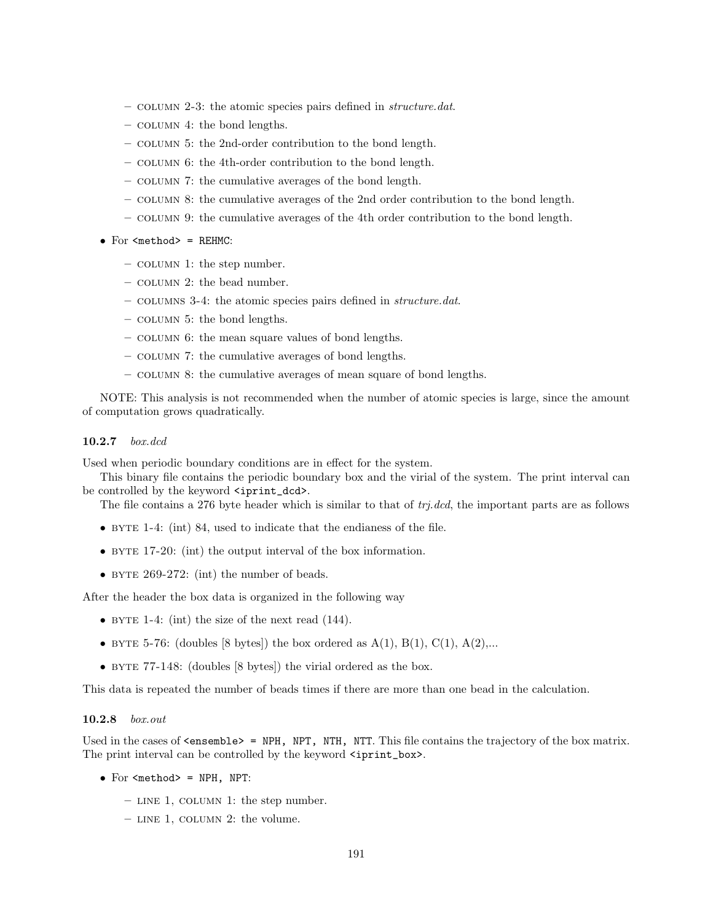- **–** column 2-3: the atomic species pairs defined in *structure.dat*.
- **–** column 4: the bond lengths.
- **–** column 5: the 2nd-order contribution to the bond length.
- **–** column 6: the 4th-order contribution to the bond length.
- **–** column 7: the cumulative averages of the bond length.
- **–** column 8: the cumulative averages of the 2nd order contribution to the bond length.
- **–** column 9: the cumulative averages of the 4th order contribution to the bond length.
- For <method> = REHMC:
	- **–** column 1: the step number.
	- **–** column 2: the bead number.
	- **–** columns 3-4: the atomic species pairs defined in *structure.dat*.
	- **–** column 5: the bond lengths.
	- **–** column 6: the mean square values of bond lengths.
	- **–** column 7: the cumulative averages of bond lengths.
	- **–** column 8: the cumulative averages of mean square of bond lengths.

NOTE: This analysis is not recommended when the number of atomic species is large, since the amount of computation grows quadratically.

### **10.2.7** *box.dcd*

Used when periodic boundary conditions are in effect for the system.

This binary file contains the periodic boundary box and the virial of the system. The print interval can be controlled by the keyword  $\epsilon$ iprint\_dcd>.

The file contains a 276 byte header which is similar to that of *trj.dcd*, the important parts are as follows

- BYTE 1-4: (int) 84, used to indicate that the endianess of the file.
- BYTE 17-20: (int) the output interval of the box information.
- BYTE 269-272: (int) the number of beads.

After the header the box data is organized in the following way

- BYTE 1-4: (int) the size of the next read (144).
- BYTE 5-76: (doubles [8 bytes]) the box ordered as  $A(1)$ ,  $B(1)$ ,  $C(1)$ ,  $A(2)$ ,...
- BYTE 77-148: (doubles [8 bytes]) the virial ordered as the box.

This data is repeated the number of beads times if there are more than one bead in the calculation.

#### **10.2.8** *box.out*

Used in the cases of  $\epsilon$ nsemble $>$  = NPH, NPT, NTH, NTT. This file contains the trajectory of the box matrix. The print interval can be controlled by the keyword  $\le$ iprint\_box>.

- *•* For <method> = NPH, NPT:
	- **–** line 1, column 1: the step number.
	- **–** line 1, column 2: the volume.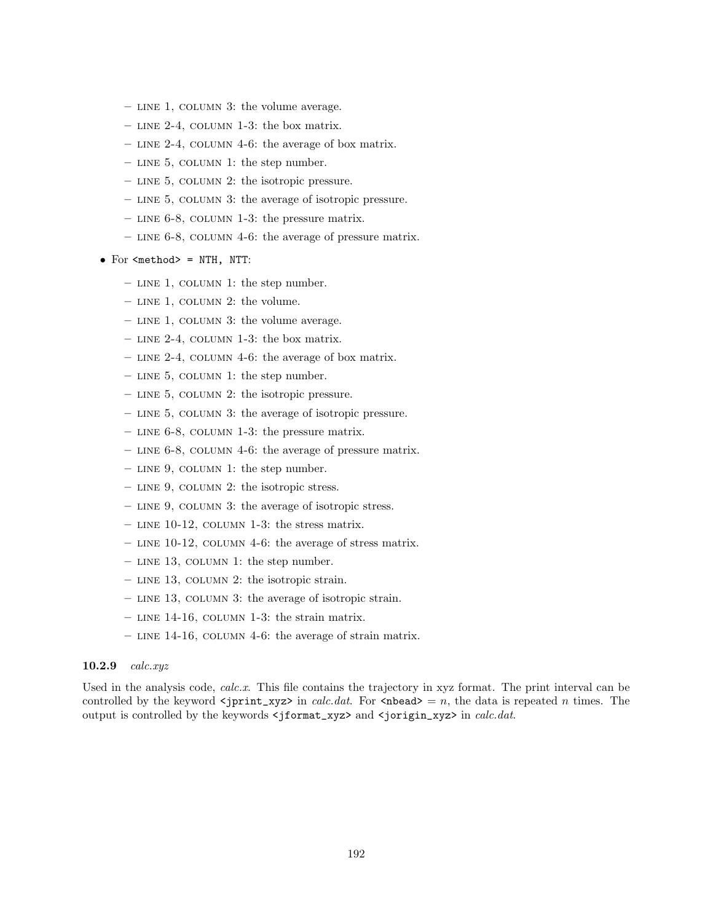- **–** line 1, column 3: the volume average.
- **–** line 2-4, column 1-3: the box matrix.
- **–** line 2-4, column 4-6: the average of box matrix.
- **–** line 5, column 1: the step number.
- **–** line 5, column 2: the isotropic pressure.
- **–** line 5, column 3: the average of isotropic pressure.
- **–** line 6-8, column 1-3: the pressure matrix.
- **–** line 6-8, column 4-6: the average of pressure matrix.
- For <method> = NTH, NTT:
	- **–** line 1, column 1: the step number.
	- **–** line 1, column 2: the volume.
	- **–** line 1, column 3: the volume average.
	- **–** line 2-4, column 1-3: the box matrix.
	- **–** line 2-4, column 4-6: the average of box matrix.
	- **–** line 5, column 1: the step number.
	- **–** line 5, column 2: the isotropic pressure.
	- **–** line 5, column 3: the average of isotropic pressure.
	- **–** line 6-8, column 1-3: the pressure matrix.
	- **–** line 6-8, column 4-6: the average of pressure matrix.
	- **–** line 9, column 1: the step number.
	- **–** line 9, column 2: the isotropic stress.
	- **–** line 9, column 3: the average of isotropic stress.
	- **–** line 10-12, column 1-3: the stress matrix.
	- **–** line 10-12, column 4-6: the average of stress matrix.
	- **–** line 13, column 1: the step number.
	- **–** line 13, column 2: the isotropic strain.
	- **–** line 13, column 3: the average of isotropic strain.
	- **–** line 14-16, column 1-3: the strain matrix.
	- **–** line 14-16, column 4-6: the average of strain matrix.

### **10.2.9** *calc.xyz*

Used in the analysis code, *calc.x*. This file contains the trajectory in xyz format. The print interval can be controlled by the keyword  $\langle$ iprint\_xyz> in *calc.dat*. For  $\langle$ nbead> = *n*, the data is repeated *n* times. The output is controlled by the keywords <jformat\_xyz> and <jorigin\_xyz> in *calc.dat*.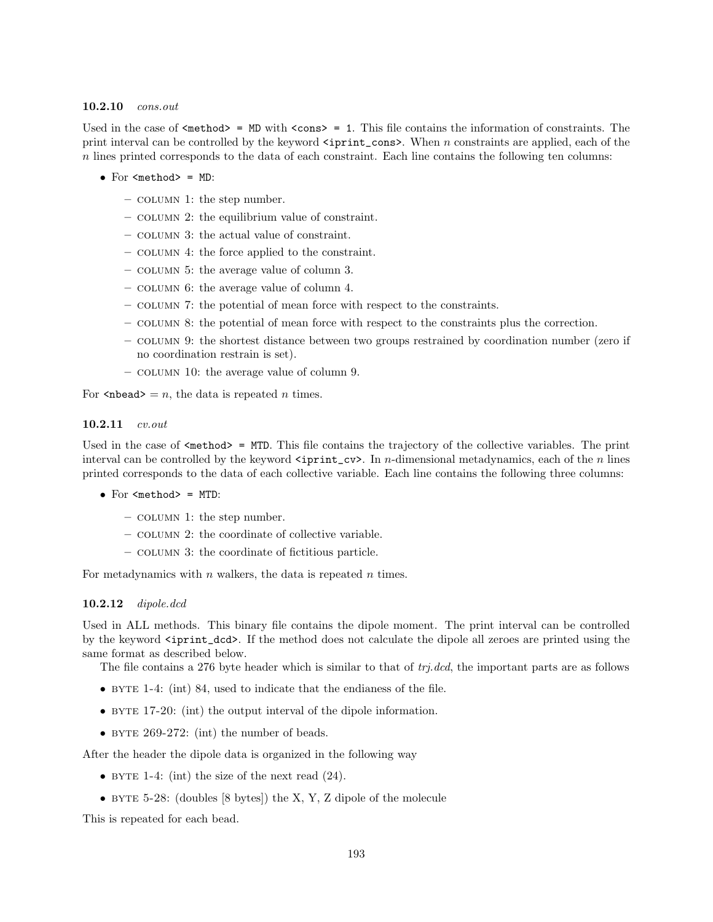### **10.2.10** *cons.out*

Used in the case of  $\langle \text{method} \rangle = \text{MD with } \langle \text{cons} \rangle = 1$ . This file contains the information of constraints. The print interval can be controlled by the keyword  $\langle$ **iprint\_cons>**. When *n* constraints are applied, each of the *n* lines printed corresponds to the data of each constraint. Each line contains the following ten columns:

- For <method> = MD:
	- **–** column 1: the step number.
	- **–** column 2: the equilibrium value of constraint.
	- **–** column 3: the actual value of constraint.
	- **–** column 4: the force applied to the constraint.
	- **–** column 5: the average value of column 3.
	- **–** column 6: the average value of column 4.
	- **–** column 7: the potential of mean force with respect to the constraints.
	- **–** column 8: the potential of mean force with respect to the constraints plus the correction.
	- **–** column 9: the shortest distance between two groups restrained by coordination number (zero if no coordination restrain is set).
	- **–** column 10: the average value of column 9.

For  $\langle \text{nbead}\rangle = n$ , the data is repeated *n* times.

#### **10.2.11** *cv.out*

Used in the case of  $\zeta$  = MTD. This file contains the trajectory of the collective variables. The print interval can be controlled by the keyword  $\langle$ **iprint\_cv>**. In *n*-dimensional metadynamics, each of the *n* lines printed corresponds to the data of each collective variable. Each line contains the following three columns:

- For <method> = MTD:
	- **–** column 1: the step number.
	- **–** column 2: the coordinate of collective variable.
	- **–** column 3: the coordinate of fictitious particle.

For metadynamics with *n* walkers, the data is repeated *n* times.

# **10.2.12** *dipole.dcd*

Used in ALL methods. This binary file contains the dipole moment. The print interval can be controlled by the keyword  $\langle$ iprint\_dcd>. If the method does not calculate the dipole all zeroes are printed using the same format as described below.

The file contains a 276 byte header which is similar to that of *trj.dcd*, the important parts are as follows

- BYTE 1-4: (int) 84, used to indicate that the endianess of the file.
- BYTE 17-20: (int) the output interval of the dipole information.
- BYTE 269-272: (int) the number of beads.

After the header the dipole data is organized in the following way

- BYTE 1-4: (int) the size of the next read (24).
- BYTE 5-28: (doubles [8 bytes]) the X, Y, Z dipole of the molecule

This is repeated for each bead.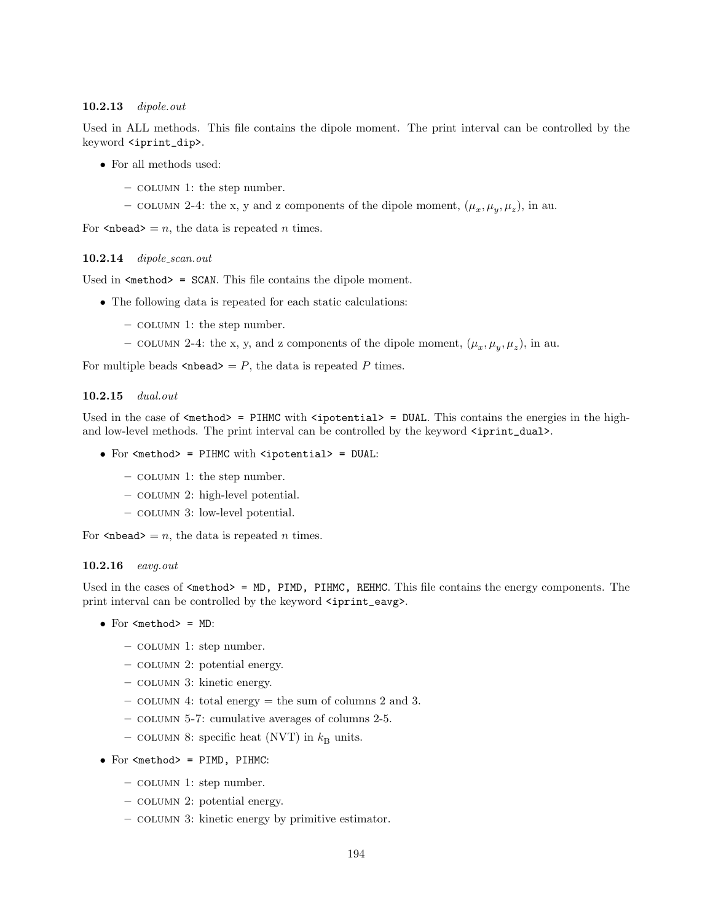### **10.2.13** *dipole.out*

Used in ALL methods. This file contains the dipole moment. The print interval can be controlled by the keyword <iprint\_dip>.

- *•* For all methods used:
	- **–** column 1: the step number.
	- $-$  column 2-4: the x, y and z components of the dipole moment,  $(\mu_x, \mu_y, \mu_z)$ , in au.

For  $\langle \text{nbead}\rangle = n$ , the data is repeated *n* times.

#### **10.2.14** *dipole scan.out*

Used in  $\epsilon$  method> = SCAN. This file contains the dipole moment.

- *•* The following data is repeated for each static calculations:
	- **–** column 1: the step number.
	- $-$  column 2-4: the x, y, and z components of the dipole moment,  $(\mu_x, \mu_y, \mu_z)$ , in au.

For multiple beads  $\langle \text{nbead} \rangle = P$ , the data is repeated P times.

#### **10.2.15** *dual.out*

Used in the case of  $\langle \text{method} \rangle$  = PIHMC with  $\langle \text{ipotential} \rangle$  = DUAL. This contains the energies in the highand low-level methods. The print interval can be controlled by the keyword  $\le$ iprint\_dual>.

- For <method> = PIHMC with <ipotential> = DUAL:
	- **–** column 1: the step number.
	- **–** column 2: high-level potential.
	- **–** column 3: low-level potential.

For  $\langle \text{nbead}\rangle = n$ , the data is repeated *n* times.

### **10.2.16** *eavg.out*

Used in the cases of  $\epsilon$ method> = MD, PIMD, PIHMC, REHMC. This file contains the energy components. The print interval can be controlled by the keyword  $\langle$ iprint\_eavg>.

- For <method> = MD:
	- **–** column 1: step number.
	- **–** column 2: potential energy.
	- **–** column 3: kinetic energy.
	- **–** column 4: total energy = the sum of columns 2 and 3.
	- **–** column 5-7: cumulative averages of columns 2-5.
	- $-$  column 8: specific heat (NVT) in  $k_{\text{B}}$  units.
- *•* For <method> = PIMD, PIHMC:
	- **–** column 1: step number.
	- **–** column 2: potential energy.
	- **–** column 3: kinetic energy by primitive estimator.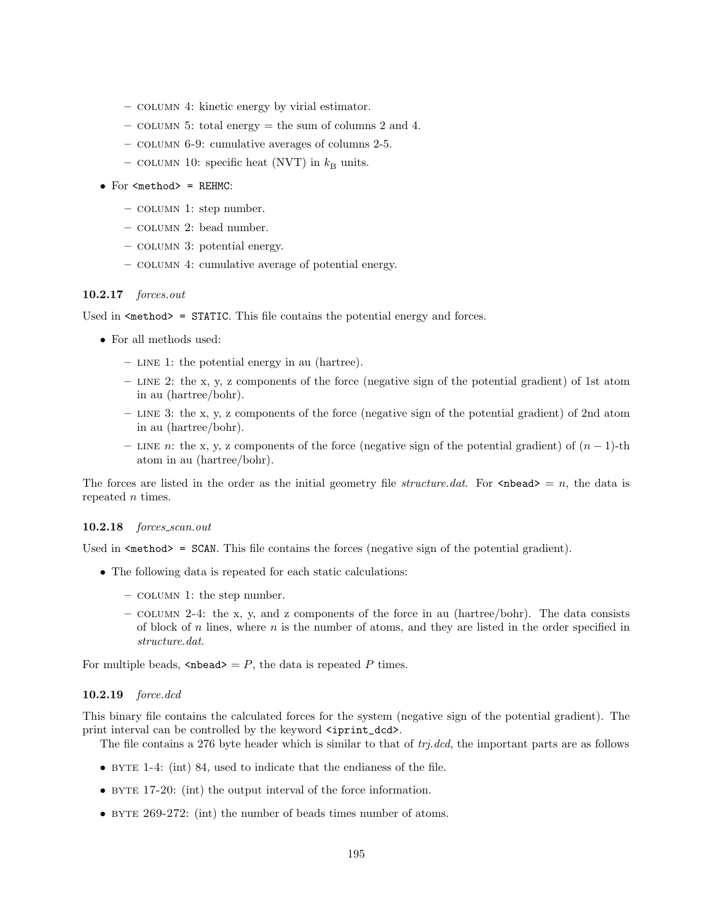- **–** column 4: kinetic energy by virial estimator.
- **–** column 5: total energy = the sum of columns 2 and 4.
- **–** column 6-9: cumulative averages of columns 2-5.
- $-$  column 10: specific heat (NVT) in  $k_B$  units.
- For <method> = REHMC:
	- **–** column 1: step number.
	- **–** column 2: bead number.
	- **–** column 3: potential energy.
	- **–** column 4: cumulative average of potential energy.

### **10.2.17** *forces.out*

Used in  $\langle \text{method} \rangle$  = STATIC. This file contains the potential energy and forces.

- *•* For all methods used:
	- **–** line 1: the potential energy in au (hartree).
	- **–** line 2: the x, y, z components of the force (negative sign of the potential gradient) of 1st atom in au (hartree/bohr).
	- **–** line 3: the x, y, z components of the force (negative sign of the potential gradient) of 2nd atom in au (hartree/bohr).
	- **–** line *n*: the x, y, z components of the force (negative sign of the potential gradient) of (*n −* 1)-th atom in au (hartree/bohr).

The forces are listed in the order as the initial geometry file *structure.dat*. For  $\langle$ nbead $\rangle = n$ , the data is repeated *n* times.

### **10.2.18** *forces scan.out*

Used in  $\epsilon$  = SCAN. This file contains the forces (negative sign of the potential gradient).

- The following data is repeated for each static calculations:
	- **–** column 1: the step number.
	- **–** column 2-4: the x, y, and z components of the force in au (hartree/bohr). The data consists of block of *n* lines, where *n* is the number of atoms, and they are listed in the order specified in *structure.dat*.

For multiple beads,  $\langle \text{nbead} \rangle = P$ , the data is repeated P times.

### **10.2.19** *force.dcd*

This binary file contains the calculated forces for the system (negative sign of the potential gradient). The print interval can be controlled by the keyword  $\le$ iprint\_dcd>.

The file contains a 276 byte header which is similar to that of *trj.dcd*, the important parts are as follows

- BYTE 1-4: (int) 84, used to indicate that the endianess of the file.
- BYTE 17-20: (int) the output interval of the force information.
- BYTE 269-272: (int) the number of beads times number of atoms.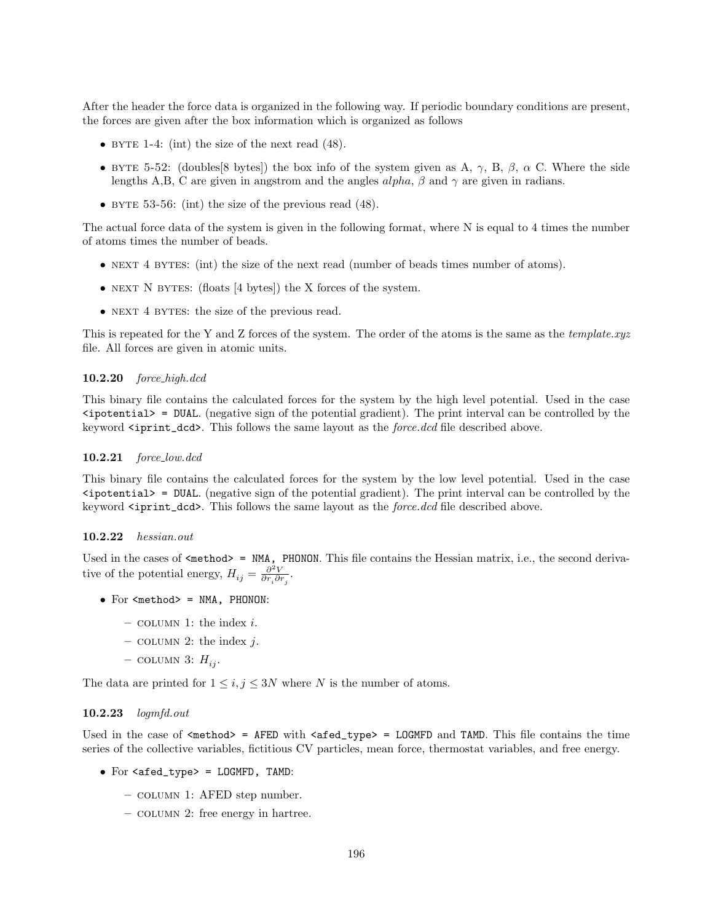After the header the force data is organized in the following way. If periodic boundary conditions are present, the forces are given after the box information which is organized as follows

- BYTE 1-4: (int) the size of the next read (48).
- BYTE 5-52: (doubles[8 bytes]) the box info of the system given as A,  $\gamma$ , B,  $\beta$ ,  $\alpha$  C. Where the side lengths A,B, C are given in angstrom and the angles  $alpha$ ,  $\beta$  and  $\gamma$  are given in radians.
- BYTE 53-56: (int) the size of the previous read (48).

The actual force data of the system is given in the following format, where N is equal to 4 times the number of atoms times the number of beads.

- NEXT 4 BYTES: (int) the size of the next read (number of beads times number of atoms).
- NEXT N BYTES: (floats [4 bytes]) the X forces of the system.
- NEXT 4 BYTES: the size of the previous read.

This is repeated for the Y and Z forces of the system. The order of the atoms is the same as the *template.xyz* file. All forces are given in atomic units.

### **10.2.20** *force high.dcd*

This binary file contains the calculated forces for the system by the high level potential. Used in the case  $\epsilon$ ipotential> = DUAL. (negative sign of the potential gradient). The print interval can be controlled by the keyword <iprint\_dcd>. This follows the same layout as the *force.dcd* file described above.

#### **10.2.21** *force low.dcd*

This binary file contains the calculated forces for the system by the low level potential. Used in the case  $\epsilon$ ipotential> = DUAL. (negative sign of the potential gradient). The print interval can be controlled by the keyword  $\zeta$ **iprint\_dcd>**. This follows the same layout as the *force.dcd* file described above.

### **10.2.22** *hessian.out*

Used in the cases of  $\epsilon$ method> = NMA, PHONON. This file contains the Hessian matrix, i.e., the second derivative of the potential energy,  $H_{ij} = \frac{\partial^2 V}{\partial r_i \partial i}$  $\frac{\partial^2 V}{\partial r_i \partial r_j}$ .

- For <method> = NMA, PHONON:
	- **–** column 1: the index *i*.
	- **–** column 2: the index *j*.
	- $-$  column 3:  $H_{ii}$ .

The data are printed for  $1 \leq i, j \leq 3N$  where *N* is the number of atoms.

#### **10.2.23** *logmfd.out*

Used in the case of <method> = AFED with <afed\_type> = LOGMFD and TAMD. This file contains the time series of the collective variables, fictitious CV particles, mean force, thermostat variables, and free energy.

- *•* For <afed\_type> = LOGMFD, TAMD:
	- **–** column 1: AFED step number.
	- **–** column 2: free energy in hartree.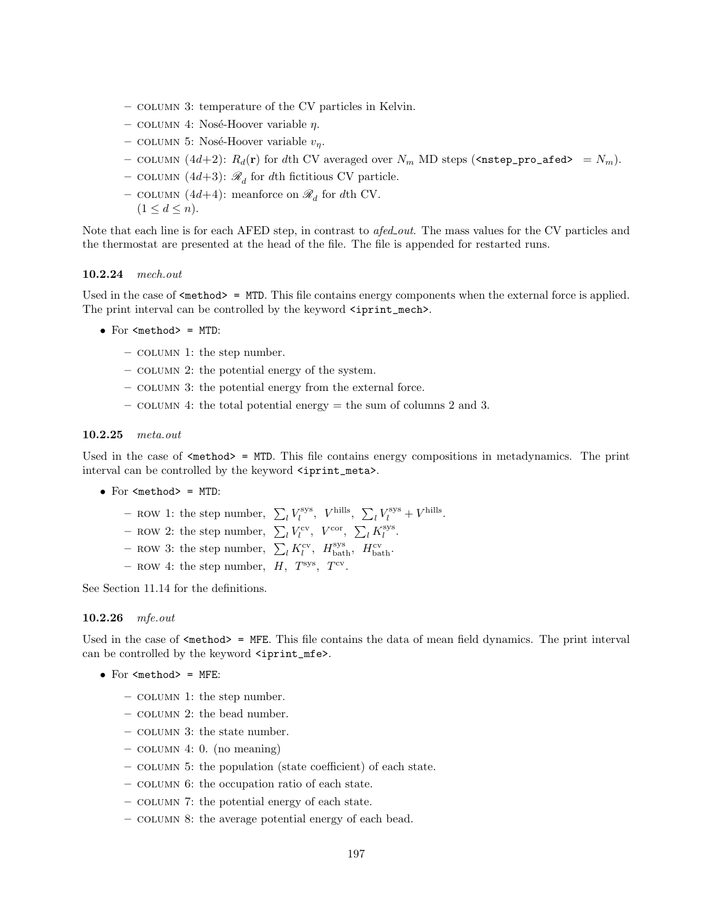- **–** column 3: temperature of the CV particles in Kelvin.
- **–** column 4: Nos´e-Hoover variable *η*.
- **–** column 5: Nos´e-Hoover variable *vη*.
- $-$  column (4*d*+2):  $R_d(\mathbf{r})$  for *d*th CV averaged over  $N_m$  MD steps (<nstep\_pro\_afed> =  $N_m$ ).
- $-$  COLUMN (4*d*+3):  $\mathcal{R}_d$  for *d*th fictitious CV particle.
- $-$  column (4*d*+4): meanforce on  $\mathcal{R}_d$  for *d*th CV.  $(1 \leq d \leq n).$

Note that each line is for each AFED step, in contrast to *afed out*. The mass values for the CV particles and the thermostat are presented at the head of the file. The file is appended for restarted runs.

### **10.2.24** *mech.out*

Used in the case of  $\zeta$  method = MTD. This file contains energy components when the external force is applied. The print interval can be controlled by the keyword  $\le$ iprint\_mech>.

- For <method> = MTD:
	- **–** column 1: the step number.
	- **–** column 2: the potential energy of the system.
	- **–** column 3: the potential energy from the external force.
	- **–** column 4: the total potential energy = the sum of columns 2 and 3.

### **10.2.25** *meta.out*

Used in the case of <method> = MTD. This file contains energy compositions in metadynamics. The print interval can be controlled by the keyword <iprint\_meta>.

- For <method> = MTD:
	- − ROW 1: the step number,  $\sum_l V_l^{\text{sys}}$ ,  $V^{\text{hills}}$ ,  $\sum_l V_l^{\text{sys}} + V^{\text{hills}}$ .
	- **−** ROW 2: the step number,  $\sum_l V_l^{\text{cv}}$ ,  $V^{\text{cor}}$ ,  $\sum_l K_l^{\text{sys}}$ .
	- − ROW 3: the step number,  $\sum_l K_l^{\text{cv}}$ ,  $H_{\text{bath}}^{\text{sys}}$ ,  $H_{\text{bath}}^{\text{cv}}$ .
	- $-$  ROW 4: the step number,  $H$ ,  $T<sup>sys</sup>$ ,  $T<sup>cv</sup>$ .

See Section 11.14 for the definitions.

### **10.2.26** *mfe.out*

Used in the case of  $\langle$ method $\rangle$  = MFE. This file contains the data of mean field dynamics. The print interval can be controlled by the keyword  $\leq$ iprint\_mfe>.

- *•* For <method> = MFE:
	- **–** column 1: the step number.
	- **–** column 2: the bead number.
	- **–** column 3: the state number.
	- **–** column 4: 0. (no meaning)
	- **–** column 5: the population (state coefficient) of each state.
	- **–** column 6: the occupation ratio of each state.
	- **–** column 7: the potential energy of each state.
	- **–** column 8: the average potential energy of each bead.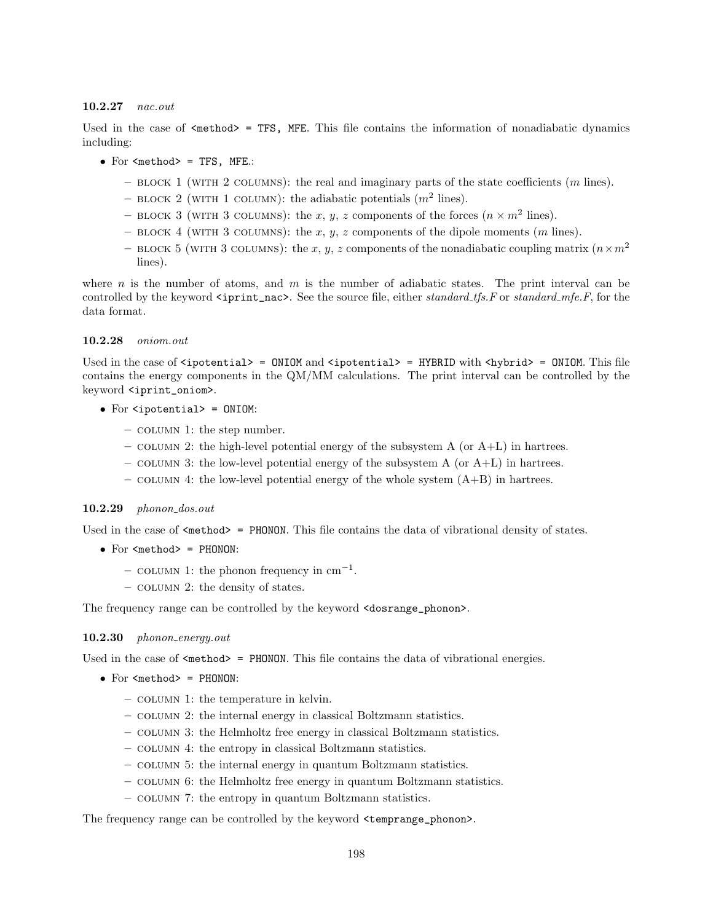### **10.2.27** *nac.out*

Used in the case of  $\epsilon$ method> = TFS, MFE. This file contains the information of nonadiabatic dynamics including:

- For <method> = TFS, MFE.:
	- **–** block 1 (with 2 columns): the real and imaginary parts of the state coefficients (*m* lines).
	- **–** block 2 (with 1 column): the adiabatic potentials (*m*<sup>2</sup> lines).
	- $-$  BLOCK 3 (WITH 3 COLUMNS): the *x*, *y*, *z* components of the forces  $(n \times m^2 \text{ lines})$ .
	- **–** block 4 (with 3 columns): the *x*, *y*, *z* components of the dipole moments (*m* lines).
	- $-$  block 5 (with 3 columns): the *x*, *y*, *z* components of the nonadiabatic coupling matrix  $(n \times m^2)$ lines).

where *n* is the number of atoms, and  $m$  is the number of adiabatic states. The print interval can be controlled by the keyword  $\leq$ **print\_nac>**. See the source file, either *standard\_tfs.F* or *standard\_mfe.F*, for the data format.

## **10.2.28** *oniom.out*

Used in the case of  $\langle$ ipotential> = ONIOM and  $\langle$ ipotential> = HYBRID with  $\langle$ hybrid> = ONIOM. This file contains the energy components in the QM/MM calculations. The print interval can be controlled by the keyword <iprint\_oniom>.

- For <ipotential> = ONIOM:
	- **–** column 1: the step number.
	- **–** column 2: the high-level potential energy of the subsystem A (or A+L) in hartrees.
	- **–** column 3: the low-level potential energy of the subsystem A (or A+L) in hartrees.
	- **–** column 4: the low-level potential energy of the whole system (A+B) in hartrees.

# **10.2.29** *phonon dos.out*

Used in the case of  $\zeta$  = PHONON. This file contains the data of vibrational density of states.

- For <method> = PHONON:
	- **–** column 1: the phonon frequency in cm*−*<sup>1</sup> .
	- **–** column 2: the density of states.

The frequency range can be controlled by the keyword <dosrange\_phonon>.

### **10.2.30** *phonon energy.out*

Used in the case of  $\langle \text{method} \rangle$  = PHONON. This file contains the data of vibrational energies.

- For <method> = PHONON:
	- **–** column 1: the temperature in kelvin.
	- **–** column 2: the internal energy in classical Boltzmann statistics.
	- **–** column 3: the Helmholtz free energy in classical Boltzmann statistics.
	- **–** column 4: the entropy in classical Boltzmann statistics.
	- **–** column 5: the internal energy in quantum Boltzmann statistics.
	- **–** column 6: the Helmholtz free energy in quantum Boltzmann statistics.
	- **–** column 7: the entropy in quantum Boltzmann statistics.

The frequency range can be controlled by the keyword <temprange\_phonon>.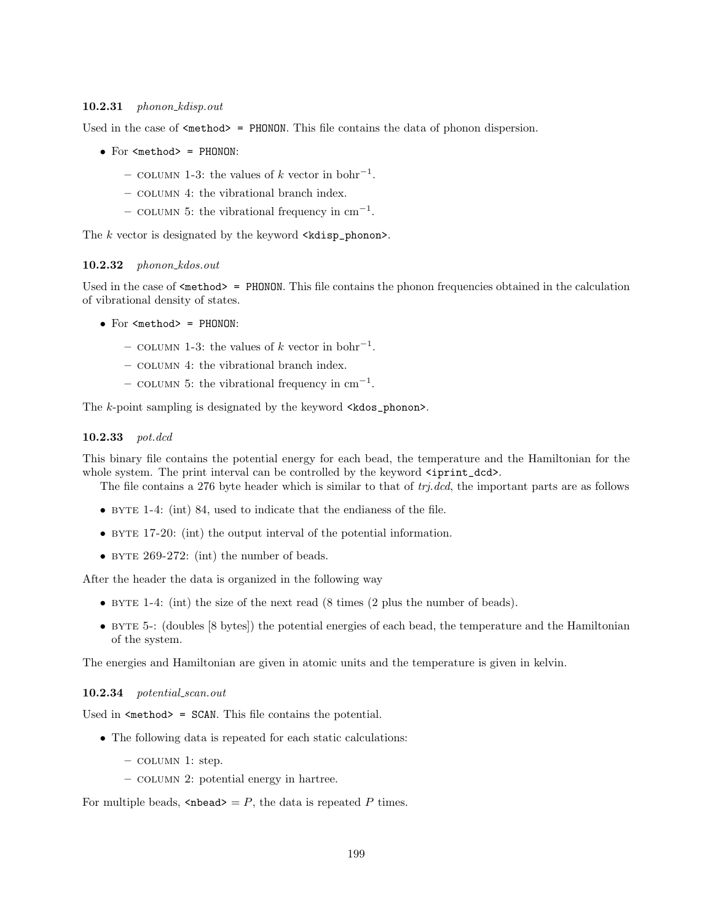### **10.2.31** *phonon kdisp.out*

Used in the case of  $\epsilon$ method> = PHONON. This file contains the data of phonon dispersion.

- For <method> = PHONON:
	- **–** column 1-3: the values of *k* vector in bohr*−*<sup>1</sup> .
	- **–** column 4: the vibrational branch index.
	- **–** column 5: the vibrational frequency in cm*−*<sup>1</sup> .

The  $k$  vector is designated by the keyword  $\leq k$  disp\_phonon>.

### **10.2.32** *phonon kdos.out*

Used in the case of  $\zeta$  method  $>$  = PHONON. This file contains the phonon frequencies obtained in the calculation of vibrational density of states.

- For <method> = PHONON:
	- **–** column 1-3: the values of *k* vector in bohr*−*<sup>1</sup> .
	- **–** column 4: the vibrational branch index.
	- **–** column 5: the vibrational frequency in cm*−*<sup>1</sup> .

The  $k$ -point sampling is designated by the keyword  $\triangleleft$  kdos\_phonon $\triangleright$ .

### **10.2.33** *pot.dcd*

This binary file contains the potential energy for each bead, the temperature and the Hamiltonian for the whole system. The print interval can be controlled by the keyword  $\langle$ iprint\_dcd>.

The file contains a 276 byte header which is similar to that of *trj.dcd*, the important parts are as follows

- BYTE 1-4: (int) 84, used to indicate that the endianess of the file.
- BYTE 17-20: (int) the output interval of the potential information.
- BYTE 269-272: (int) the number of beads.

After the header the data is organized in the following way

- BYTE 1-4: (int) the size of the next read (8 times (2 plus the number of beads).
- BYTE 5-: (doubles [8 bytes]) the potential energies of each bead, the temperature and the Hamiltonian of the system.

The energies and Hamiltonian are given in atomic units and the temperature is given in kelvin.

#### **10.2.34** *potential scan.out*

Used in  $\text{Kmethod}$  = SCAN. This file contains the potential.

- The following data is repeated for each static calculations:
	- **–** column 1: step.
	- **–** column 2: potential energy in hartree.

For multiple beads,  $\langle \text{nbead} \rangle = P$ , the data is repeated P times.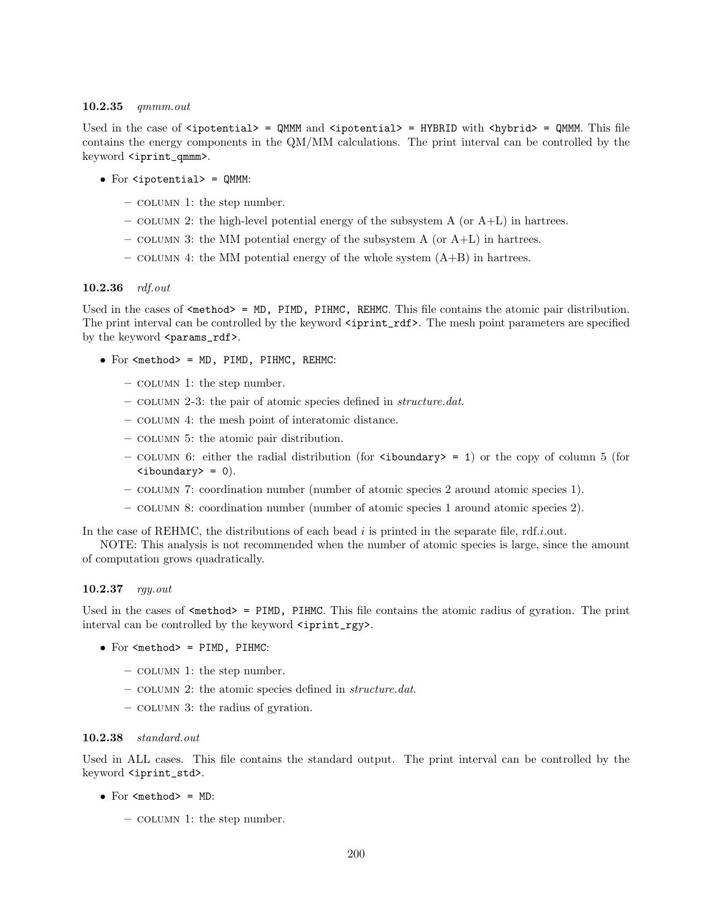### **10.2.35** *qmmm.out*

Used in the case of  $\langle$ ipotential> = QMMM and  $\langle$ ipotential> = HYBRID with  $\langle$ hybrid> = QMMM. This file contains the energy components in the QM/MM calculations. The print interval can be controlled by the keyword <iprint\_qmmm>.

- *•* For <ipotential> = QMMM:
	- **–** column 1: the step number.
	- **–** column 2: the high-level potential energy of the subsystem A (or A+L) in hartrees.
	- **–** column 3: the MM potential energy of the subsystem A (or A+L) in hartrees.
	- **–** column 4: the MM potential energy of the whole system (A+B) in hartrees.

### **10.2.36** *rdf.out*

Used in the cases of  $\epsilon$ method> = MD, PIMD, PIHMC, REHMC. This file contains the atomic pair distribution. The print interval can be controlled by the keyword  $\langle$ **iprint\_rdf>**. The mesh point parameters are specified by the keyword <params\_rdf>.

- *•* For <method> = MD, PIMD, PIHMC, REHMC:
	- **–** column 1: the step number.
	- **–** column 2-3: the pair of atomic species defined in *structure.dat*.
	- **–** column 4: the mesh point of interatomic distance.
	- **–** column 5: the atomic pair distribution.
	- **–** column 6: either the radial distribution (for <iboundary> = 1) or the copy of column 5 (for  $\langle$ iboundary> = 0).
	- **–** column 7: coordination number (number of atomic species 2 around atomic species 1).
	- **–** column 8: coordination number (number of atomic species 1 around atomic species 2).

In the case of REHMC, the distributions of each bead *i* is printed in the separate file, rdf.*i*.out.

NOTE: This analysis is not recommended when the number of atomic species is large, since the amount of computation grows quadratically.

#### **10.2.37** *rgy.out*

Used in the cases of  $\epsilon$ method> = PIMD, PIHMC. This file contains the atomic radius of gyration. The print interval can be controlled by the keyword  $\langle$ iprint\_rgy>.

- *•* For <method> = PIMD, PIHMC:
	- **–** column 1: the step number.
	- **–** column 2: the atomic species defined in *structure.dat*.
	- **–** column 3: the radius of gyration.

### **10.2.38** *standard.out*

Used in ALL cases. This file contains the standard output. The print interval can be controlled by the keyword <iprint\_std>.

- For <method> = MD:
	- **–** column 1: the step number.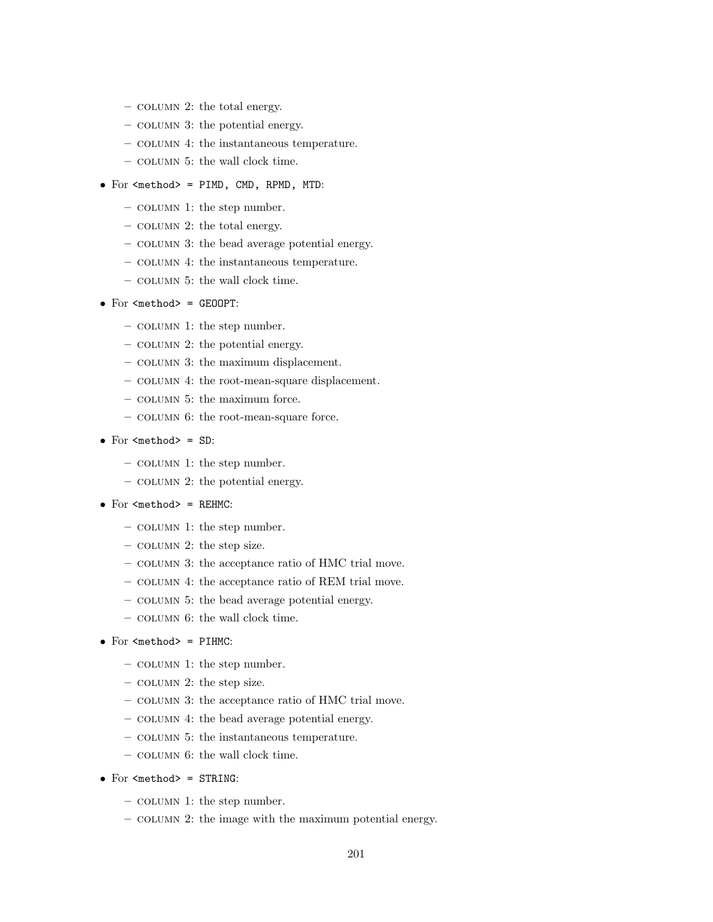- **–** column 2: the total energy.
- **–** column 3: the potential energy.
- **–** column 4: the instantaneous temperature.
- **–** column 5: the wall clock time.
- *•* For <method> = PIMD, CMD, RPMD, MTD:
	- **–** column 1: the step number.
	- **–** column 2: the total energy.
	- **–** column 3: the bead average potential energy.
	- **–** column 4: the instantaneous temperature.
	- **–** column 5: the wall clock time.
- For <method> = GEOOPT:
	- **–** column 1: the step number.
	- **–** column 2: the potential energy.
	- **–** column 3: the maximum displacement.
	- **–** column 4: the root-mean-square displacement.
	- **–** column 5: the maximum force.
	- **–** column 6: the root-mean-square force.
- For  $\langle \text{method} \rangle = \text{SD}$ :
	- **–** column 1: the step number.
	- **–** column 2: the potential energy.
- For <method> = REHMC:
	- **–** column 1: the step number.
	- **–** column 2: the step size.
	- **–** column 3: the acceptance ratio of HMC trial move.
	- **–** column 4: the acceptance ratio of REM trial move.
	- **–** column 5: the bead average potential energy.
	- **–** column 6: the wall clock time.
- For <method> = PIHMC:
	- **–** column 1: the step number.
	- **–** column 2: the step size.
	- **–** column 3: the acceptance ratio of HMC trial move.
	- **–** column 4: the bead average potential energy.
	- **–** column 5: the instantaneous temperature.
	- **–** column 6: the wall clock time.
- For <method> = STRING:
	- **–** column 1: the step number.
	- **–** column 2: the image with the maximum potential energy.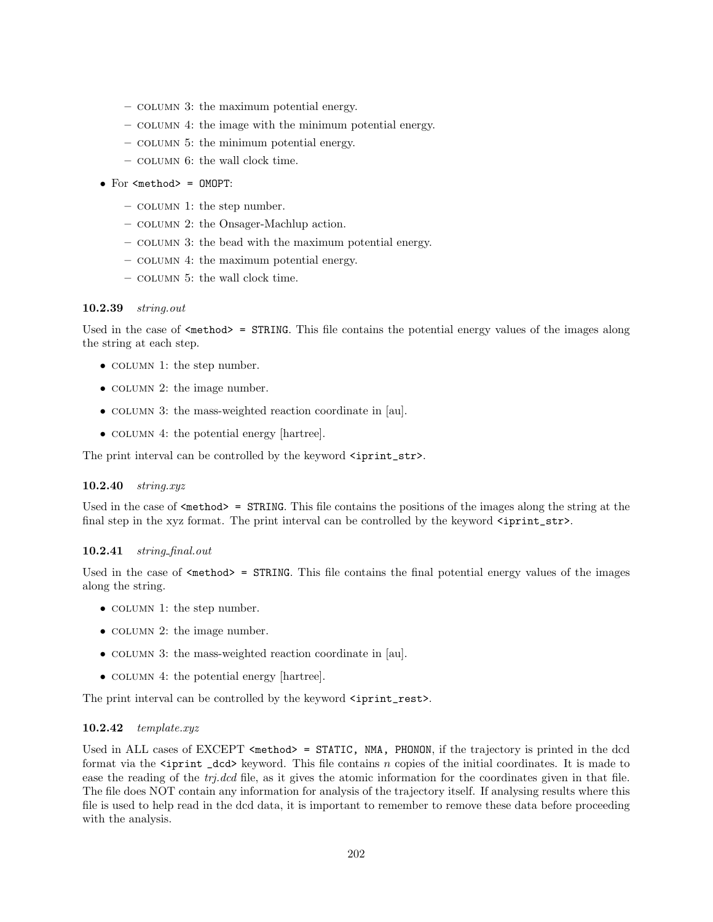- **–** column 3: the maximum potential energy.
- **–** column 4: the image with the minimum potential energy.
- **–** column 5: the minimum potential energy.
- **–** column 6: the wall clock time.
- For <method> = OMOPT:
	- **–** column 1: the step number.
	- **–** column 2: the Onsager-Machlup action.
	- **–** column 3: the bead with the maximum potential energy.
	- **–** column 4: the maximum potential energy.
	- **–** column 5: the wall clock time.

### **10.2.39** *string.out*

Used in the case of  $\epsilon$ method> = STRING. This file contains the potential energy values of the images along the string at each step.

- COLUMN 1: the step number.
- COLUMN 2: the image number.
- COLUMN 3: the mass-weighted reaction coordinate in [au].
- COLUMN 4: the potential energy [hartree].

The print interval can be controlled by the keyword  $\langle$ iprint\_str>.

### **10.2.40** *string.xyz*

Used in the case of  $\zeta$  method =  $\zeta$  =  $\zeta$  =  $\zeta$  TRING. This file contains the positions of the images along the string at the final step in the xyz format. The print interval can be controlled by the keyword  $\langle$ iprint\_str>.

### **10.2.41** *string final.out*

Used in the case of  $\epsilon$ method> = STRING. This file contains the final potential energy values of the images along the string.

- COLUMN 1: the step number.
- COLUMN 2: the image number.
- COLUMN 3: the mass-weighted reaction coordinate in [au].
- COLUMN 4: the potential energy [hartree].

The print interval can be controlled by the keyword  $\le$ iprint\_rest>.

### **10.2.42** *template.xyz*

Used in ALL cases of EXCEPT  $\epsilon$ method> = STATIC, NMA, PHONON, if the trajectory is printed in the dcd format via the  $\epsilon$ **iprint \_dcd>** keyword. This file contains *n* copies of the initial coordinates. It is made to ease the reading of the *trj.dcd* file, as it gives the atomic information for the coordinates given in that file. The file does NOT contain any information for analysis of the trajectory itself. If analysing results where this file is used to help read in the dcd data, it is important to remember to remove these data before proceeding with the analysis.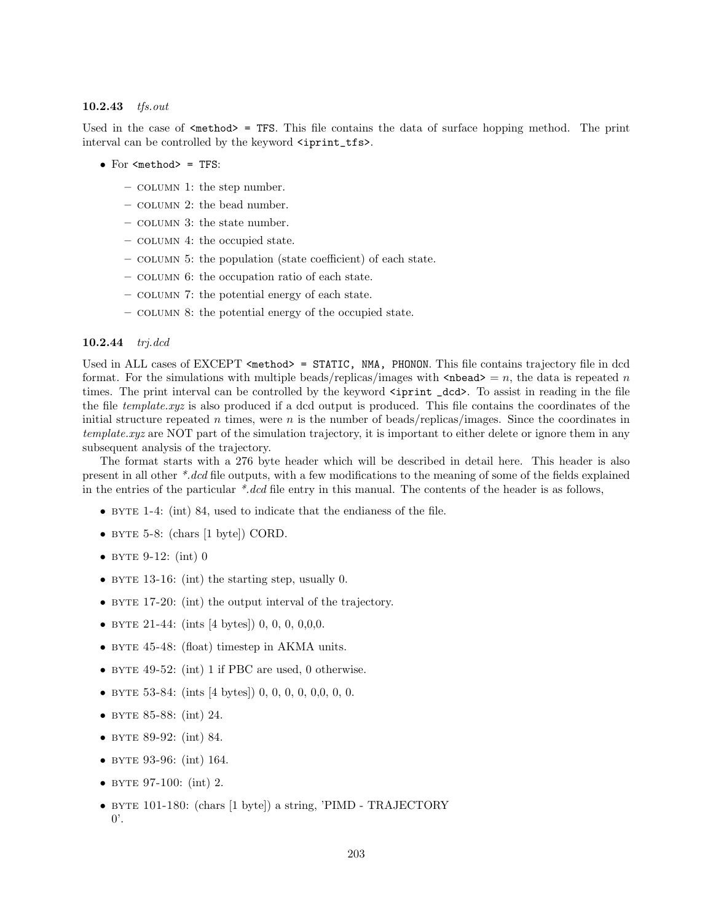### **10.2.43** *tfs.out*

Used in the case of  $\epsilon$ method = TFS. This file contains the data of surface hopping method. The print interval can be controlled by the keyword  $\epsilon$ iprint\_tfs>.

- For <method> = TFS:
	- **–** column 1: the step number.
	- **–** column 2: the bead number.
	- **–** column 3: the state number.
	- **–** column 4: the occupied state.
	- **–** column 5: the population (state coefficient) of each state.
	- **–** column 6: the occupation ratio of each state.
	- **–** column 7: the potential energy of each state.
	- **–** column 8: the potential energy of the occupied state.

### **10.2.44** *trj.dcd*

Used in ALL cases of EXCEPT <method> = STATIC, NMA, PHONON. This file contains trajectory file in dcd format. For the simulations with multiple beads/replicas/images with  $\langle \text{nbead}\rangle = n$ , the data is repeated *n* times. The print interval can be controlled by the keyword  $\epsilon$ iprint  $\epsilon$ dcd>. To assist in reading in the file the file *template.xyz* is also produced if a dcd output is produced. This file contains the coordinates of the initial structure repeated *n* times, were *n* is the number of beads/replicas/images. Since the coordinates in *template.xyz* are NOT part of the simulation trajectory, it is important to either delete or ignore them in any subsequent analysis of the trajectory.

The format starts with a 276 byte header which will be described in detail here. This header is also present in all other *\*.dcd* file outputs, with a few modifications to the meaning of some of the fields explained in the entries of the particular *\*.dcd* file entry in this manual. The contents of the header is as follows,

- BYTE 1-4: (int) 84, used to indicate that the endianess of the file.
- BYTE 5-8: (chars [1 byte]) CORD.
- BYTE 9-12: (int) 0
- BYTE 13-16: (int) the starting step, usually 0.
- BYTE 17-20: (int) the output interval of the trajectory.
- BYTE 21-44: (ints [4 bytes]) 0, 0, 0, 0, 0, 0, 0
- BYTE 45-48: (float) timestep in AKMA units.
- BYTE 49-52: (int) 1 if PBC are used, 0 otherwise.
- BYTE 53-84: (ints [4 bytes]) 0, 0, 0, 0, 0, 0, 0, 0.
- BYTE 85-88: (int) 24.
- *•* byte 89-92: (int) 84.
- *•* byte 93-96: (int) 164.
- BYTE 97-100: (int) 2.
- BYTE 101-180: (chars [1 byte]) a string, 'PIMD TRAJECTORY  $0^{\prime}$ .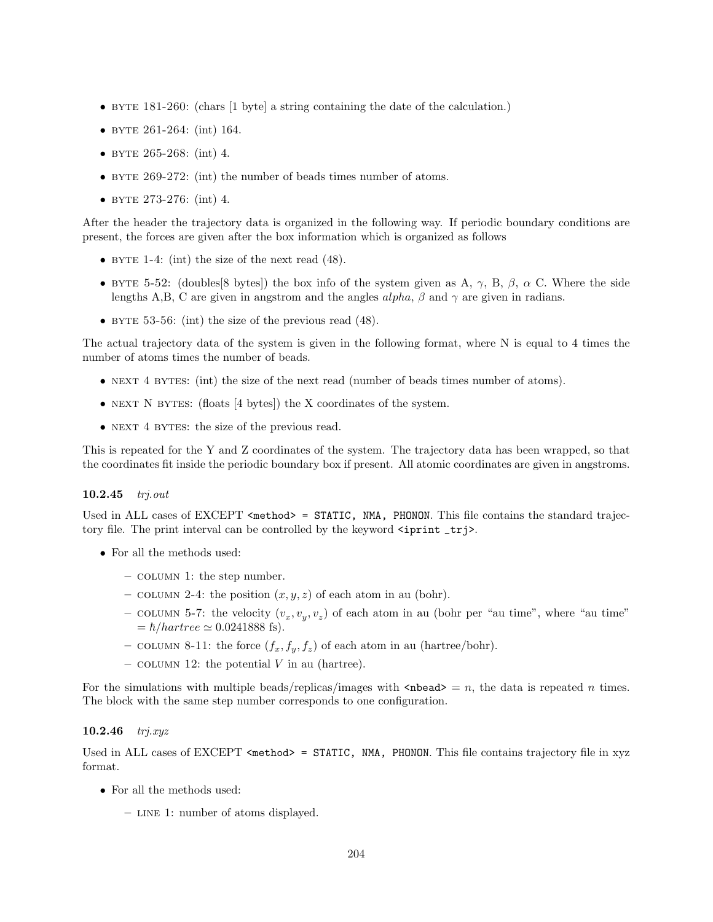- BYTE 181-260: (chars [1 byte] a string containing the date of the calculation.)
- *•* byte 261-264: (int) 164.
- *•* byte 265-268: (int) 4.
- BYTE 269-272: (int) the number of beads times number of atoms.
- *•* byte 273-276: (int) 4.

After the header the trajectory data is organized in the following way. If periodic boundary conditions are present, the forces are given after the box information which is organized as follows

- BYTE 1-4: (int) the size of the next read (48).
- BYTE 5-52: (doubles[8 bytes]) the box info of the system given as A,  $\gamma$ , B,  $\beta$ ,  $\alpha$  C. Where the side lengths A,B, C are given in angstrom and the angles *alpha*, *β* and *γ* are given in radians.
- BYTE 53-56: (int) the size of the previous read (48).

The actual trajectory data of the system is given in the following format, where N is equal to 4 times the number of atoms times the number of beads.

- NEXT 4 BYTES: (int) the size of the next read (number of beads times number of atoms).
- NEXT N BYTES: (floats [4 bytes]) the X coordinates of the system.
- NEXT 4 BYTES: the size of the previous read.

This is repeated for the Y and Z coordinates of the system. The trajectory data has been wrapped, so that the coordinates fit inside the periodic boundary box if present. All atomic coordinates are given in angstroms.

#### **10.2.45** *trj.out*

Used in ALL cases of EXCEPT  $\langle \text{method} \rangle$  = STATIC, NMA, PHONON. This file contains the standard trajectory file. The print interval can be controlled by the keyword  $\langle$ iprint \_trj>.

- *•* For all the methods used:
	- **–** column 1: the step number.
	- $-$  COLUMN 2-4: the position  $(x, y, z)$  of each atom in au (bohr).
	- $-$  column 5-7: the velocity  $(v_x, v_y, v_z)$  of each atom in au (bohr per "au time", where "au time"  $=$  $\hbar/hartree \simeq 0.0241888$  fs).
	- $-$  COLUMN 8-11: the force  $(f_x, f_y, f_z)$  of each atom in au (hartree/bohr).
	- **–** column 12: the potential *V* in au (hartree).

For the simulations with multiple beads/replicas/images with  $\zeta$  the data is repeated *n* times. The block with the same step number corresponds to one configuration.

#### **10.2.46** *trj.xyz*

Used in ALL cases of EXCEPT  $\epsilon$ method> = STATIC, NMA, PHONON. This file contains trajectory file in xyz format.

- For all the methods used:
	- **–** line 1: number of atoms displayed.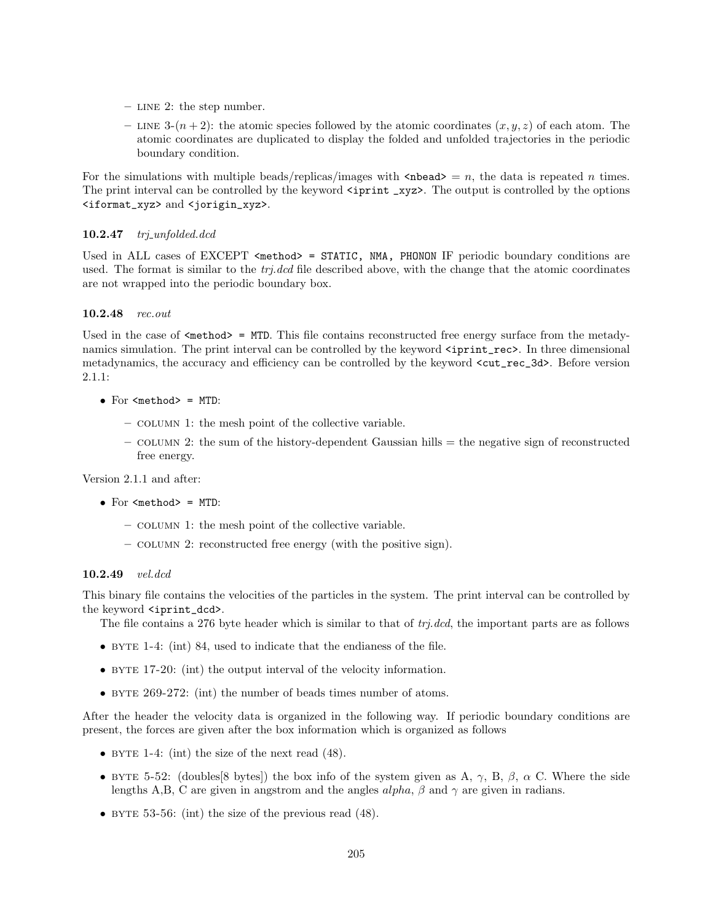- **–** line 2: the step number.
- **–** line 3-(*n* + 2): the atomic species followed by the atomic coordinates (*x, y, z*) of each atom. The atomic coordinates are duplicated to display the folded and unfolded trajectories in the periodic boundary condition.

For the simulations with multiple beads/replicas/images with  $\langle$ nbead $\rangle = n$ , the data is repeated *n* times. The print interval can be controlled by the keyword  $\langle$ iprint \_xyz $\rangle$ . The output is controlled by the options <iformat\_xyz> and <jorigin\_xyz>.

### **10.2.47** *trj unfolded.dcd*

Used in ALL cases of EXCEPT  $\zeta$ method> = STATIC, NMA, PHONON IF periodic boundary conditions are used. The format is similar to the *trj.dcd* file described above, with the change that the atomic coordinates are not wrapped into the periodic boundary box.

### **10.2.48** *rec.out*

Used in the case of  $\langle \text{method}\rangle$  = MTD. This file contains reconstructed free energy surface from the metadynamics simulation. The print interval can be controlled by the keyword  $\langle$ iprint\_rec>. In three dimensional metadynamics, the accuracy and efficiency can be controlled by the keyword  $\langle cut\_rec\_3d \rangle$ . Before version 2.1.1:

- For <method> = MTD:
	- **–** column 1: the mesh point of the collective variable.
	- **–** column 2: the sum of the history-dependent Gaussian hills = the negative sign of reconstructed free energy.

Version 2.1.1 and after:

- For <method> = MTD:
	- **–** column 1: the mesh point of the collective variable.
	- **–** column 2: reconstructed free energy (with the positive sign).

### **10.2.49** *vel.dcd*

This binary file contains the velocities of the particles in the system. The print interval can be controlled by the keyword <iprint\_dcd>.

The file contains a 276 byte header which is similar to that of *trj.dcd*, the important parts are as follows

- BYTE 1-4: (int) 84, used to indicate that the endianess of the file.
- BYTE 17-20: (int) the output interval of the velocity information.
- BYTE 269-272: (int) the number of beads times number of atoms.

After the header the velocity data is organized in the following way. If periodic boundary conditions are present, the forces are given after the box information which is organized as follows

- BYTE 1-4: (int) the size of the next read (48).
- BYTE 5-52: (doubles[8 bytes]) the box info of the system given as A,  $\gamma$ , B,  $\beta$ ,  $\alpha$  C. Where the side lengths A,B, C are given in angstrom and the angles  $alpha$ ,  $\beta$  and  $\gamma$  are given in radians.
- BYTE 53-56: (int) the size of the previous read (48).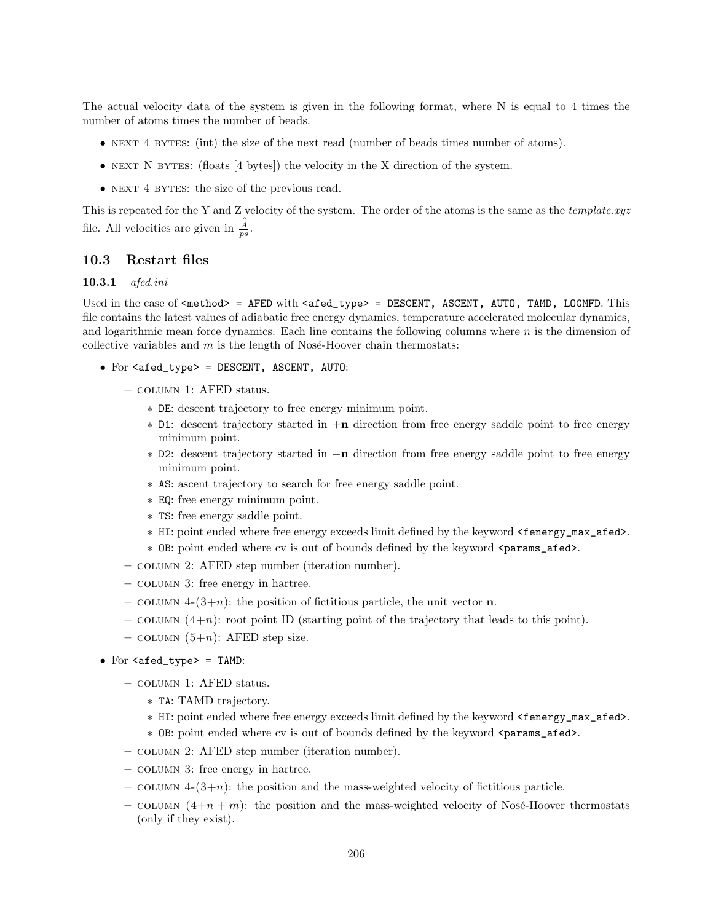The actual velocity data of the system is given in the following format, where N is equal to 4 times the number of atoms times the number of beads.

- NEXT 4 BYTES: (int) the size of the next read (number of beads times number of atoms).
- NEXT N BYTES: (floats [4 bytes]) the velocity in the X direction of the system.
- NEXT 4 BYTES: the size of the previous read.

This is repeated for the Y and Z velocity of the system. The order of the atoms is the same as the *template.xyz* file. All velocities are given in  $\frac{\overset{\circ}{A}}{ps}$ .

## **10.3 Restart files**

### **10.3.1** *afed.ini*

Used in the case of  $\langle \text{method} \rangle$  = AFED with  $\langle \text{afed_type} \rangle$  = DESCENT, ASCENT, AUTO, TAMD, LOGMFD. This file contains the latest values of adiabatic free energy dynamics, temperature accelerated molecular dynamics, and logarithmic mean force dynamics. Each line contains the following columns where *n* is the dimension of collective variables and  $m$  is the length of Nosé-Hoover chain thermostats:

- *•* For <afed\_type> = DESCENT, ASCENT, AUTO:
	- **–** column 1: AFED status.
		- *∗* DE: descent trajectory to free energy minimum point.
		- *∗* D1: descent trajectory started in +**n** direction from free energy saddle point to free energy minimum point.
		- *∗* D2: descent trajectory started in *−***n** direction from free energy saddle point to free energy minimum point.
		- *∗* AS: ascent trajectory to search for free energy saddle point.
		- *∗* EQ: free energy minimum point.
		- *∗* TS: free energy saddle point.
		- *∗* HI: point ended where free energy exceeds limit defined by the keyword <fenergy\_max\_afed>.
		- *∗* OB: point ended where cv is out of bounds defined by the keyword <params\_afed>.
	- **–** column 2: AFED step number (iteration number).
	- **–** column 3: free energy in hartree.
	- **–** column 4-(3+*n*): the position of fictitious particle, the unit vector **n**.
	- **–** column (4+*n*): root point ID (starting point of the trajectory that leads to this point).
	- **–** column (5+*n*): AFED step size.
- For  $\leq$ afed\_type> = TAMD:
	- **–** column 1: AFED status.
		- *∗* TA: TAMD trajectory.
		- *∗* HI: point ended where free energy exceeds limit defined by the keyword <fenergy\_max\_afed>.
		- *∗* OB: point ended where cv is out of bounds defined by the keyword <params\_afed>.
	- **–** column 2: AFED step number (iteration number).
	- **–** column 3: free energy in hartree.
	- **–** column 4-(3+*n*): the position and the mass-weighted velocity of fictitious particle.
	- COLUMN  $(4+n+m)$ : the position and the mass-weighted velocity of Nosé-Hoover thermostats (only if they exist).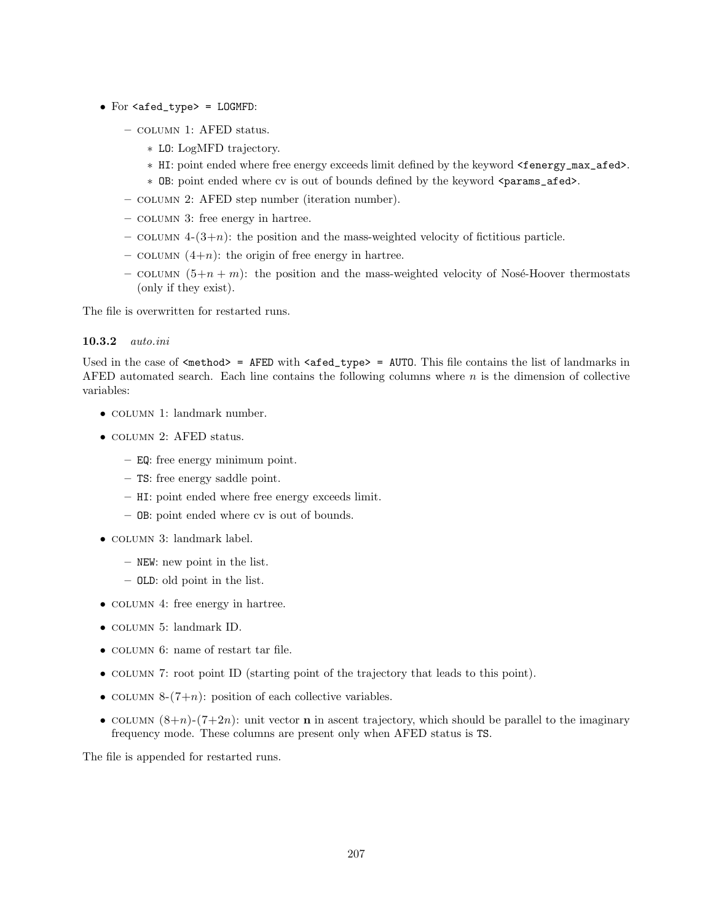- *•* For <afed\_type> = LOGMFD:
	- **–** column 1: AFED status.
		- *∗* LO: LogMFD trajectory.
		- *∗* HI: point ended where free energy exceeds limit defined by the keyword <fenergy\_max\_afed>.
		- *∗* OB: point ended where cv is out of bounds defined by the keyword <params\_afed>.
	- **–** column 2: AFED step number (iteration number).
	- **–** column 3: free energy in hartree.
	- **–** column 4-(3+*n*): the position and the mass-weighted velocity of fictitious particle.
	- **–** column (4+*n*): the origin of free energy in hartree.
	- $-$  COLUMN  $(5+n+m)$ : the position and the mass-weighted velocity of Nosé-Hoover thermostats (only if they exist).

The file is overwritten for restarted runs.

### **10.3.2** *auto.ini*

Used in the case of  $\langle \text{method} \rangle$  = AFED with  $\langle \text{afed_type} \rangle$  = AUTO. This file contains the list of landmarks in AFED automated search. Each line contains the following columns where *n* is the dimension of collective variables:

- COLUMN 1: landmark number.
- *•* column 2: AFED status.
	- **–** EQ: free energy minimum point.
	- **–** TS: free energy saddle point.
	- **–** HI: point ended where free energy exceeds limit.
	- **–** OB: point ended where cv is out of bounds.
- COLUMN 3: landmark label.
	- **–** NEW: new point in the list.
	- **–** OLD: old point in the list.
- COLUMN 4: free energy in hartree.
- *•* column 5: landmark ID.
- COLUMN 6: name of restart tar file.
- *•* column 7: root point ID (starting point of the trajectory that leads to this point).
- COLUMN 8- $(7+n)$ : position of each collective variables.
- COLUMN  $(8+n)-(7+2n)$ : unit vector **n** in ascent trajectory, which should be parallel to the imaginary frequency mode. These columns are present only when AFED status is TS.

The file is appended for restarted runs.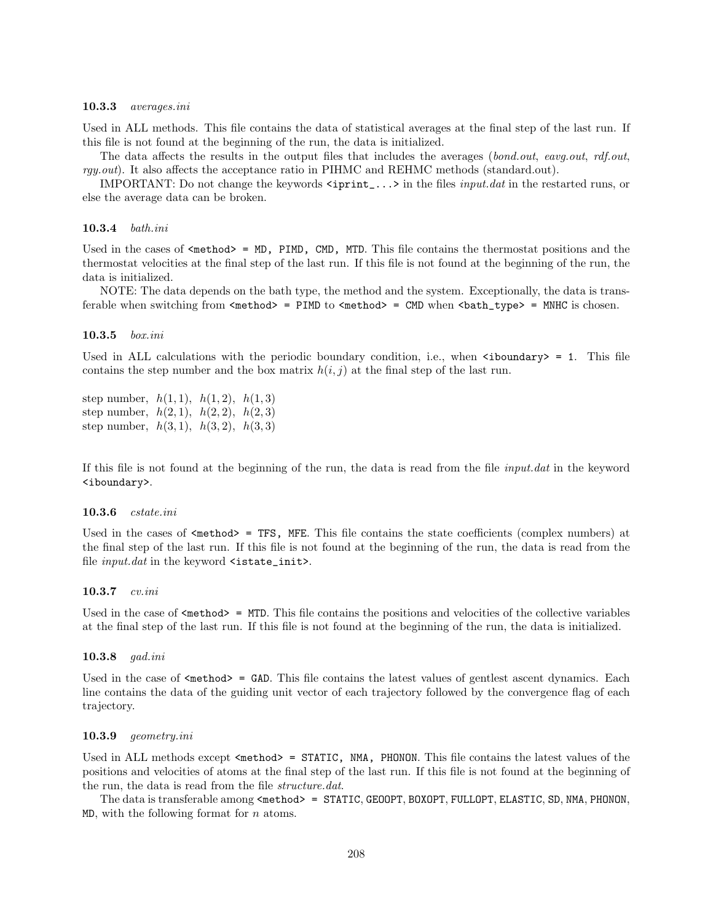### **10.3.3** *averages.ini*

Used in ALL methods. This file contains the data of statistical averages at the final step of the last run. If this file is not found at the beginning of the run, the data is initialized.

The data affects the results in the output files that includes the averages (*bond.out*, *eavg.out*, *rdf.out*, *rgy.out*). It also affects the acceptance ratio in PIHMC and REHMC methods (standard.out).

IMPORTANT: Do not change the keywords  $\langle$ **iprint**\_...> in the files *input.dat* in the restarted runs, or else the average data can be broken.

#### **10.3.4** *bath.ini*

Used in the cases of  $\epsilon$ method> = MD, PIMD, CMD, MTD. This file contains the thermostat positions and the thermostat velocities at the final step of the last run. If this file is not found at the beginning of the run, the data is initialized.

NOTE: The data depends on the bath type, the method and the system. Exceptionally, the data is transferable when switching from  $\langle \text{method} \rangle = \text{PIMD}$  to  $\langle \text{method} \rangle = \text{CMD}$  when  $\langle \text{bath_type} \rangle = \text{MMIC}$  is chosen.

#### **10.3.5** *box.ini*

Used in ALL calculations with the periodic boundary condition, i.e., when  $\lt$ iboundary  $>$  = 1. This file contains the step number and the box matrix  $h(i, j)$  at the final step of the last run.

step number,  $h(1,1)$ ,  $h(1,2)$ ,  $h(1,3)$ step number,  $h(2, 1)$ ,  $h(2, 2)$ ,  $h(2, 3)$ step number,  $h(3,1)$ ,  $h(3,2)$ ,  $h(3,3)$ 

If this file is not found at the beginning of the run, the data is read from the file *input.dat* in the keyword <iboundary>.

#### **10.3.6** *cstate.ini*

Used in the cases of  $\zeta$  method = TFS, MFE. This file contains the state coefficients (complex numbers) at the final step of the last run. If this file is not found at the beginning of the run, the data is read from the file *input.dat* in the keyword **<istate\_init>**.

#### **10.3.7** *cv.ini*

Used in the case of  $\langle \text{method} \rangle = MTD$ . This file contains the positions and velocities of the collective variables at the final step of the last run. If this file is not found at the beginning of the run, the data is initialized.

#### **10.3.8** *gad.ini*

Used in the case of  $\zeta$  = GAD. This file contains the latest values of gentlest ascent dynamics. Each line contains the data of the guiding unit vector of each trajectory followed by the convergence flag of each trajectory.

#### **10.3.9** *geometry.ini*

Used in ALL methods except  $\langle \text{method} \rangle$  = STATIC, NMA, PHONON. This file contains the latest values of the positions and velocities of atoms at the final step of the last run. If this file is not found at the beginning of the run, the data is read from the file *structure.dat*.

The data is transferable among <method> = STATIC, GEOOPT, BOXOPT, FULLOPT, ELASTIC, SD, NMA, PHONON, MD, with the following format for *n* atoms.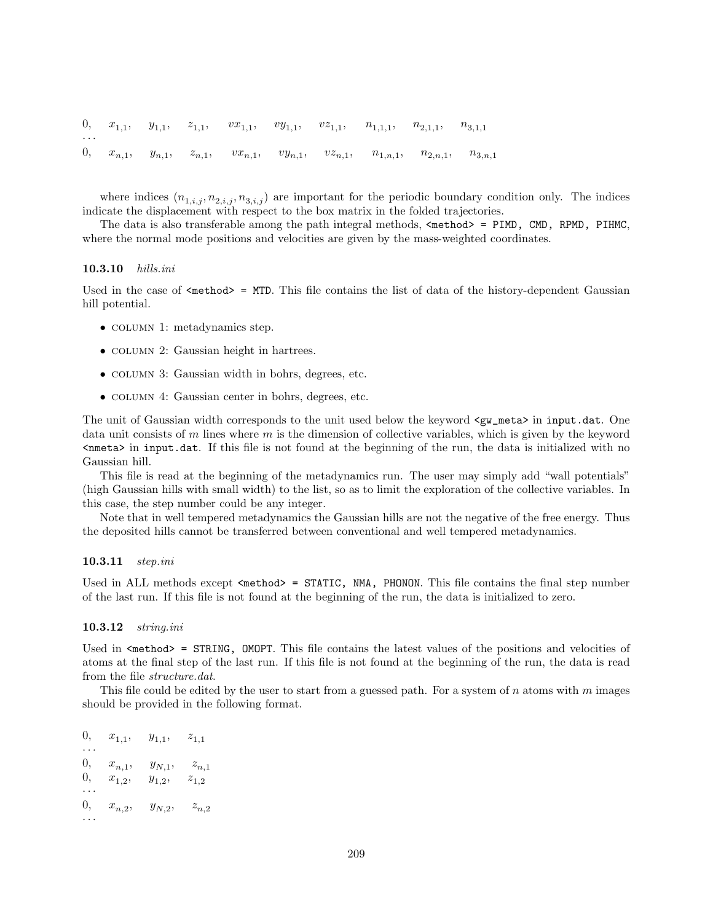$0, \quad x_{1,1},$  $y_{1,1}$ ,  $z_{1,1}$  $vx_{1,1}$ ,  $vy_{1,1},$  $v_{z_{1,1}}$  $n_{1,1,1}$  $n_{2,1,1}$  $n_{3,1,1}$ *· · ·*  $0, \, x_{n,1}, \,$  $y_{n,1}$ ,  $z_{n,1}$  $v x_{n,1}$ ,  $v y_{n,1}$ ,  $v z_{n,1}$ ,  $n_{1,n,1}$ ,  $n_{2,n,1}$ ,  $n_{3,n,1}$ 

where indices  $(n_{1,i,j}, n_{2,i,j}, n_{3,i,j})$  are important for the periodic boundary condition only. The indices indicate the displacement with respect to the box matrix in the folded trajectories.

The data is also transferable among the path integral methods,  $\zeta$  method = PIMD, CMD, RPMD, PIHMC, where the normal mode positions and velocities are given by the mass-weighted coordinates.

### **10.3.10** *hills.ini*

Used in the case of  $\epsilon$ method> = MTD. This file contains the list of data of the history-dependent Gaussian hill potential.

- COLUMN 1: metadynamics step.
- COLUMN 2: Gaussian height in hartrees.
- COLUMN 3: Gaussian width in bohrs, degrees, etc.
- COLUMN 4: Gaussian center in bohrs, degrees, etc.

The unit of Gaussian width corresponds to the unit used below the keyword  $\langle g_{w}\rangle$  meta in input.dat. One data unit consists of *m* lines where *m* is the dimension of collective variables, which is given by the keyword  $\zeta$ meta> in input.dat. If this file is not found at the beginning of the run, the data is initialized with no Gaussian hill.

This file is read at the beginning of the metadynamics run. The user may simply add "wall potentials" (high Gaussian hills with small width) to the list, so as to limit the exploration of the collective variables. In this case, the step number could be any integer.

Note that in well tempered metadynamics the Gaussian hills are not the negative of the free energy. Thus the deposited hills cannot be transferred between conventional and well tempered metadynamics.

#### **10.3.11** *step.ini*

Used in ALL methods except  $\epsilon$ method $>$  = STATIC, NMA, PHONON. This file contains the final step number of the last run. If this file is not found at the beginning of the run, the data is initialized to zero.

#### **10.3.12** *string.ini*

Used in <method> = STRING, OMOPT. This file contains the latest values of the positions and velocities of atoms at the final step of the last run. If this file is not found at the beginning of the run, the data is read from the file *structure.dat*.

This file could be edited by the user to start from a guessed path. For a system of *n* atoms with *m* images should be provided in the following format.

0,  $x_{1,1}$ ,  $y_{1,1}$ ,  $z_{1,1}$ *· · ·* 0,  $x_{n,1}$ , *,*  $y_{N,1}$ *,*  $z_{n,1}$ 0,  $x_{1,2}$ ,  $y_{1,2}$ ,  $z_{1,2}$ *· · ·* 0,  $x_{n,2}$ ,  $y_{N,2}$ ,  $z_{n,2}$ *· · ·*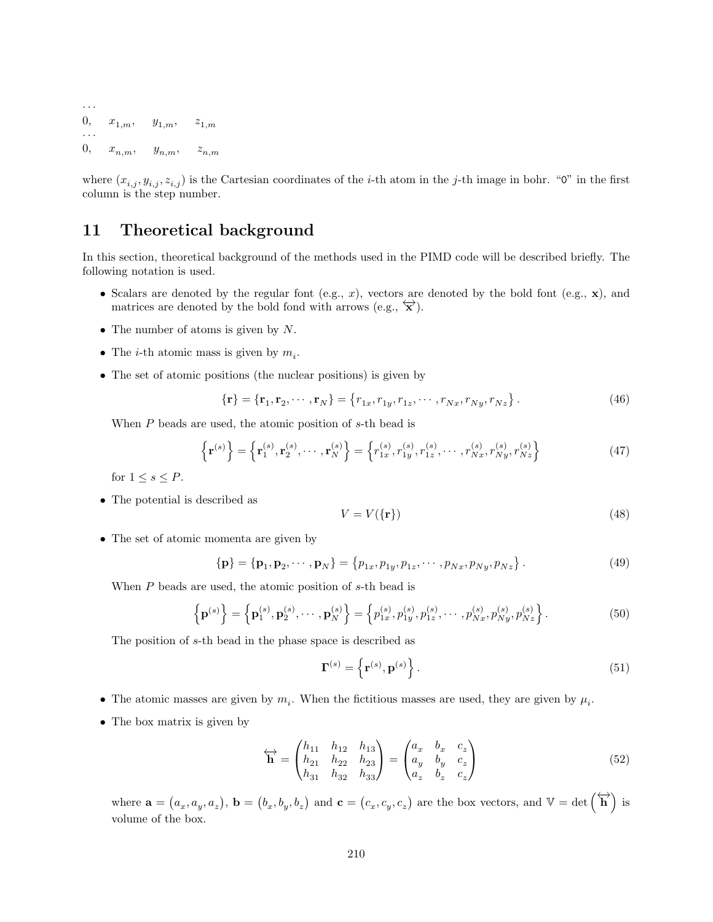*· · ·* 0,  $x_{1,m}$ ,  $y_{1,m}$ ,  $z_{1,m}$ *· · ·* 0,  $x_{n,m}$ ,  $y_{n,m}$ ,  $z_{n,m}$ 

where  $(x_{i,j}, y_{i,j}, z_{i,j})$  is the Cartesian coordinates of the *i*-th atom in the *j*-th image in bohr. "0" in the first column is the step number.

# **11 Theoretical background**

In this section, theoretical background of the methods used in the PIMD code will be described briefly. The following notation is used.

- *•* Scalars are denoted by the regular font (e.g., *x*), vectors are denoted by the bold font (e.g., **x**), and matrices are denoted by the bold fond with arrows (e.g.,  $\overleftrightarrow{\mathbf{x}}$ ).
- *•* The number of atoms is given by *N*.
- *•* The *i*-th atomic mass is given by *m<sup>i</sup>* .
- The set of atomic positions (the nuclear positions) is given by

$$
\{\mathbf{r}\} = \{\mathbf{r}_1, \mathbf{r}_2, \cdots, \mathbf{r}_N\} = \{r_{1x}, r_{1y}, r_{1z}, \cdots, r_{Nx}, r_{Ny}, r_{Nz}\}.
$$
 (46)

When *P* beads are used, the atomic position of *s*-th bead is

$$
\left\{ \mathbf{r}^{(s)} \right\} = \left\{ \mathbf{r}_1^{(s)}, \mathbf{r}_2^{(s)}, \cdots, \mathbf{r}_N^{(s)} \right\} = \left\{ r_{1x}^{(s)}, r_{1y}^{(s)}, r_{1z}^{(s)}, \cdots, r_{Nx}^{(s)}, r_{Ny}^{(s)}, r_{Nz}^{(s)} \right\}
$$
(47)

for  $1 \leq s \leq P$ .

*•* The potential is described as

$$
V = V(\{\mathbf{r}\})\tag{48}
$$

*•* The set of atomic momenta are given by

$$
\{ \mathbf{p} \} = \{ \mathbf{p}_1, \mathbf{p}_2, \cdots, \mathbf{p}_N \} = \{ p_{1x}, p_{1y}, p_{1z}, \cdots, p_{Nx}, p_{Ny}, p_{Nz} \}.
$$
 (49)

When *P* beads are used, the atomic position of *s*-th bead is

$$
\left\{ \mathbf{p}^{(s)} \right\} = \left\{ \mathbf{p}_1^{(s)}, \mathbf{p}_2^{(s)}, \cdots, \mathbf{p}_N^{(s)} \right\} = \left\{ p_{1x}^{(s)}, p_{1y}^{(s)}, p_{1z}^{(s)}, \cdots, p_{Nx}^{(s)}, p_{Ny}^{(s)}, p_{Nz}^{(s)} \right\}.
$$
 (50)

The position of *s*-th bead in the phase space is described as

$$
\mathbf{\Gamma}^{(s)} = \left\{ \mathbf{r}^{(s)}, \mathbf{p}^{(s)} \right\}.
$$
\n(51)

- The atomic masses are given by  $m_i$ . When the fictitious masses are used, they are given by  $\mu_i$ .
- The box matrix is given by

$$
\overleftrightarrow{\mathbf{h}} = \begin{pmatrix} h_{11} & h_{12} & h_{13} \\ h_{21} & h_{22} & h_{23} \\ h_{31} & h_{32} & h_{33} \end{pmatrix} = \begin{pmatrix} a_x & b_x & c_z \\ a_y & b_y & c_z \\ a_z & b_z & c_z \end{pmatrix}
$$
(52)

where  $\mathbf{a} = (a_x, a_y, a_z)$ ,  $\mathbf{b} = (b_x, b_y, b_z)$  and  $\mathbf{c} = (c_x, c_y, c_z)$  are the box vectors, and  $\mathbb{V} = \det\left(\overleftrightarrow{\mathbf{h}}\right)$  is volume of the box.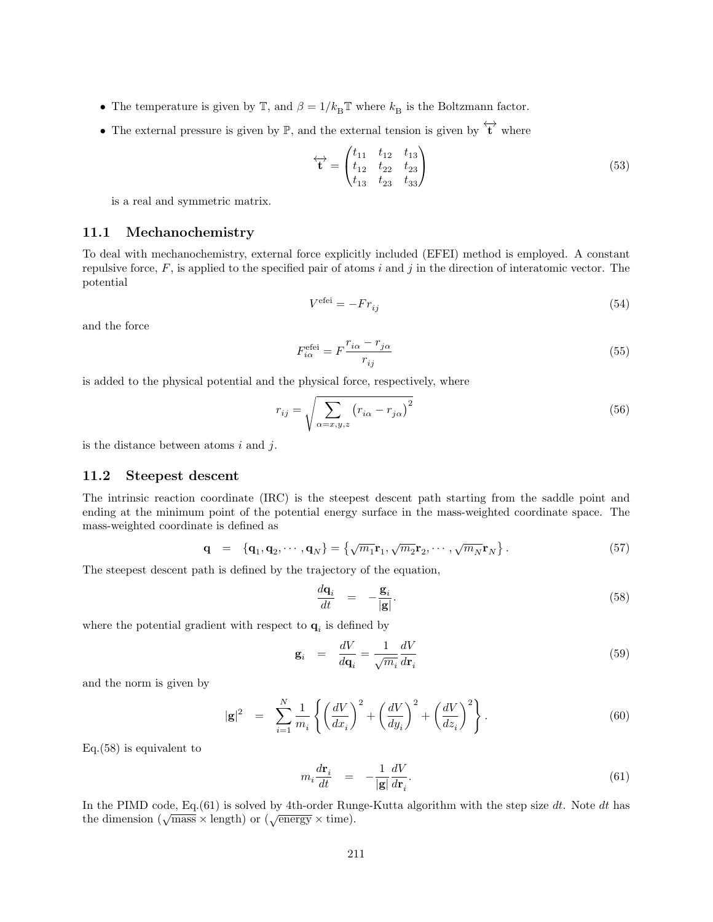- The temperature is given by  $\mathbb{T}$ , and  $\beta = 1/k_B \mathbb{T}$  where  $k_B$  is the Boltzmann factor.
- *•* The external pressure is given by <sup>P</sup>, and the external tension is given by *←→***<sup>t</sup>** where

$$
\overleftrightarrow{\mathbf{t}} = \begin{pmatrix} t_{11} & t_{12} & t_{13} \\ t_{12} & t_{22} & t_{23} \\ t_{13} & t_{23} & t_{33} \end{pmatrix}
$$
 (53)

is a real and symmetric matrix.

# **11.1 Mechanochemistry**

To deal with mechanochemistry, external force explicitly included (EFEI) method is employed. A constant repulsive force, *F*, is applied to the specified pair of atoms *i* and *j* in the direction of interatomic vector. The potential

$$
V^{\text{efei}} = -Fr_{ij} \tag{54}
$$

and the force

$$
F_{i\alpha}^{\text{efei}} = F \frac{r_{i\alpha} - r_{j\alpha}}{r_{ij}} \tag{55}
$$

is added to the physical potential and the physical force, respectively, where

$$
r_{ij} = \sqrt{\sum_{\alpha=x,y,z} (r_{i\alpha} - r_{j\alpha})^2}
$$
 (56)

is the distance between atoms *i* and *j*.

### **11.2 Steepest descent**

The intrinsic reaction coordinate (IRC) is the steepest descent path starting from the saddle point and ending at the minimum point of the potential energy surface in the mass-weighted coordinate space. The mass-weighted coordinate is defined as

$$
\mathbf{q} = \left\{ \mathbf{q}_1, \mathbf{q}_2, \cdots, \mathbf{q}_N \right\} = \left\{ \sqrt{m_1} \mathbf{r}_1, \sqrt{m_2} \mathbf{r}_2, \cdots, \sqrt{m_N} \mathbf{r}_N \right\}.
$$
 (57)

The steepest descent path is defined by the trajectory of the equation,

$$
\frac{d\mathbf{q}_i}{dt} = -\frac{\mathbf{g}_i}{|\mathbf{g}|}.
$$
\n(58)

where the potential gradient with respect to  $q_i$  is defined by

$$
\mathbf{g}_i = \frac{dV}{d\mathbf{q}_i} = \frac{1}{\sqrt{m_i}} \frac{dV}{d\mathbf{r}_i} \tag{59}
$$

and the norm is given by

$$
|\mathbf{g}|^2 = \sum_{i=1}^N \frac{1}{m_i} \left\{ \left(\frac{dV}{dx_i}\right)^2 + \left(\frac{dV}{dy_i}\right)^2 + \left(\frac{dV}{dz_i}\right)^2 \right\}.
$$
 (60)

Eq.(58) is equivalent to

$$
m_i \frac{d\mathbf{r}_i}{dt} = -\frac{1}{|\mathbf{g}|} \frac{dV}{d\mathbf{r}_i}.
$$
\n(61)

In the PIMD code, Eq.(61) is solved by 4th-order Runge-Kutta algorithm with the step size *dt*. Note *dt* has the dimension ( $\sqrt{\text{mass}} \times \text{length}$ ) or ( $\sqrt{\text{energy}} \times \text{time}$ ).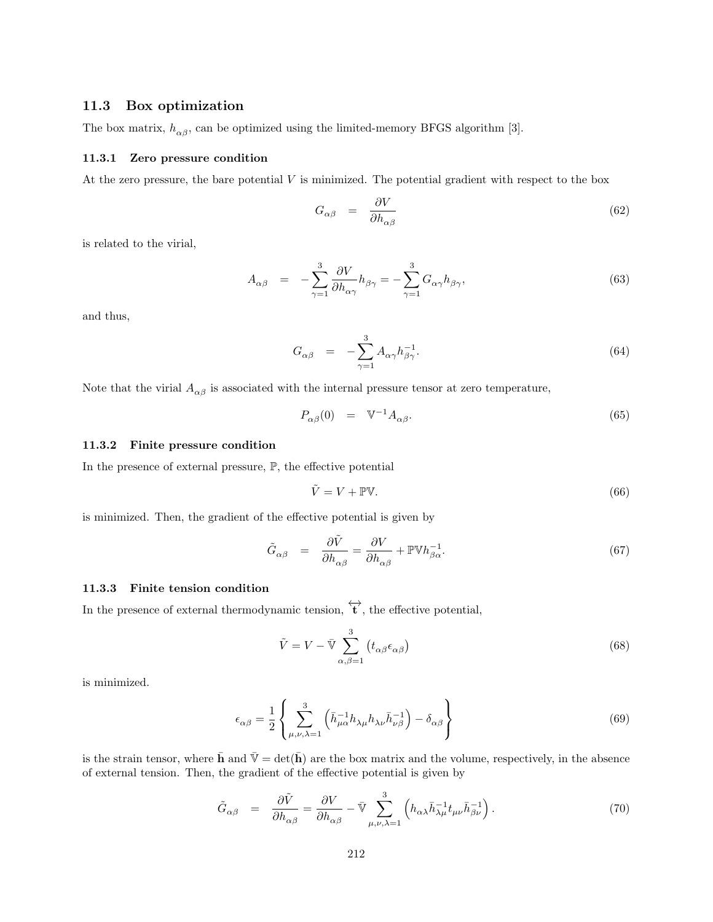# **11.3 Box optimization**

The box matrix,  $h_{\alpha\beta}$ , can be optimized using the limited-memory BFGS algorithm [3].

### **11.3.1 Zero pressure condition**

At the zero pressure, the bare potential *V* is minimized. The potential gradient with respect to the box

$$
G_{\alpha\beta} = \frac{\partial V}{\partial h_{\alpha\beta}} \tag{62}
$$

is related to the virial,

$$
A_{\alpha\beta} = -\sum_{\gamma=1}^{3} \frac{\partial V}{\partial h_{\alpha\gamma}} h_{\beta\gamma} = -\sum_{\gamma=1}^{3} G_{\alpha\gamma} h_{\beta\gamma}, \tag{63}
$$

and thus,

$$
G_{\alpha\beta} = -\sum_{\gamma=1}^{3} A_{\alpha\gamma} h_{\beta\gamma}^{-1}.
$$
\n(64)

Note that the virial  $A_{\alpha\beta}$  is associated with the internal pressure tensor at zero temperature,

$$
P_{\alpha\beta}(0) = \mathbb{V}^{-1} A_{\alpha\beta}.
$$
\n(65)

### **11.3.2 Finite pressure condition**

In the presence of external pressure, P, the effective potential

$$
\tilde{V} = V + \mathbb{PV}.\tag{66}
$$

is minimized. Then, the gradient of the effective potential is given by

$$
\tilde{G}_{\alpha\beta} = \frac{\partial \tilde{V}}{\partial h_{\alpha\beta}} = \frac{\partial V}{\partial h_{\alpha\beta}} + \mathbb{P} \mathbb{V} h_{\beta\alpha}^{-1}.
$$
\n(67)

### **11.3.3 Finite tension condition**

In the presence of external thermodynamic tension,  $\overleftrightarrow{\mathbf{t}}$ , the effective potential,

$$
\tilde{V} = V - \bar{\nabla} \sum_{\alpha,\beta=1}^{3} \left( t_{\alpha\beta} \epsilon_{\alpha\beta} \right)
$$
\n(68)

is minimized.

$$
\epsilon_{\alpha\beta} = \frac{1}{2} \left\{ \sum_{\mu,\nu,\lambda=1}^{3} \left( \bar{h}_{\mu\alpha}^{-1} h_{\lambda\mu} h_{\lambda\nu} \bar{h}_{\nu\beta}^{-1} \right) - \delta_{\alpha\beta} \right\}
$$
(69)

is the strain tensor, where  $\bar{\mathbf{h}}$  and  $\bar{\mathbf{V}} = \det(\bar{\mathbf{h}})$  are the box matrix and the volume, respectively, in the absence of external tension. Then, the gradient of the effective potential is given by

$$
\tilde{G}_{\alpha\beta} = \frac{\partial \tilde{V}}{\partial h_{\alpha\beta}} = \frac{\partial V}{\partial h_{\alpha\beta}} - \bar{\mathbb{V}} \sum_{\mu,\nu,\lambda=1}^{3} \left( h_{\alpha\lambda} \bar{h}_{\lambda\mu}^{-1} t_{\mu\nu} \bar{h}_{\beta\nu}^{-1} \right). \tag{70}
$$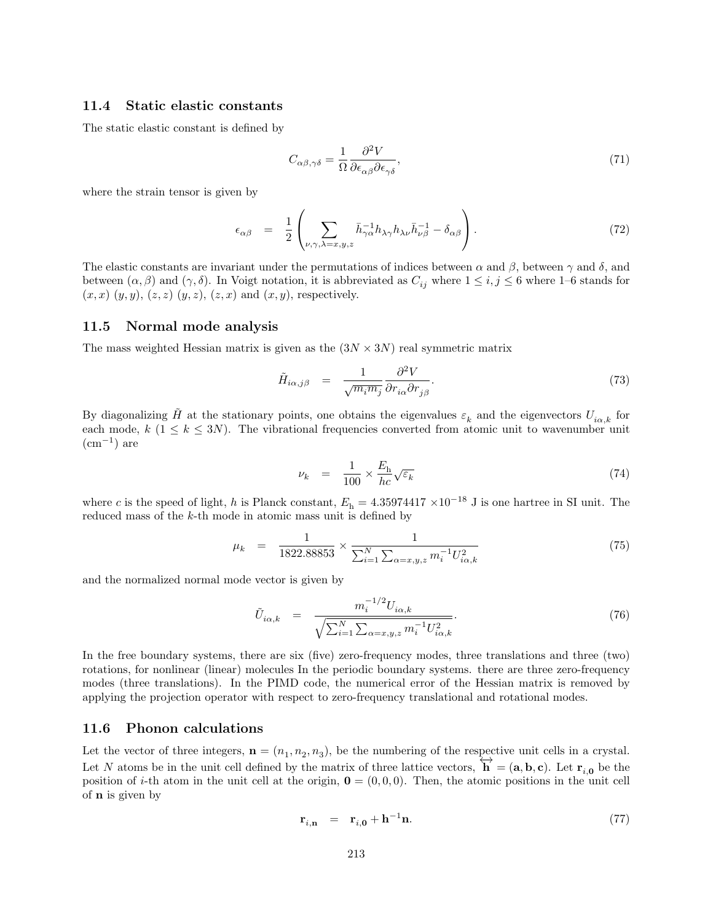# **11.4 Static elastic constants**

The static elastic constant is defined by

$$
C_{\alpha\beta,\gamma\delta} = \frac{1}{\Omega} \frac{\partial^2 V}{\partial \epsilon_{\alpha\beta} \partial \epsilon_{\gamma\delta}},\tag{71}
$$

where the strain tensor is given by

$$
\epsilon_{\alpha\beta} = \frac{1}{2} \left( \sum_{\nu,\gamma,\lambda=x,y,z} \bar{h}_{\gamma\alpha}^{-1} h_{\lambda\gamma} h_{\lambda\nu} \bar{h}_{\nu\beta}^{-1} - \delta_{\alpha\beta} \right). \tag{72}
$$

The elastic constants are invariant under the permutations of indices between  $\alpha$  and  $\beta$ , between  $\gamma$  and  $\delta$ , and between  $(\alpha, \beta)$  and  $(\gamma, \delta)$ . In Voigt notation, it is abbreviated as  $C_{ij}$  where  $1 \le i, j \le 6$  where 1–6 stands for  $(x, x)$   $(y, y)$ ,  $(z, z)$   $(y, z)$ ,  $(z, x)$  and  $(x, y)$ , respectively.

# **11.5 Normal mode analysis**

The mass weighted Hessian matrix is given as the  $(3N \times 3N)$  real symmetric matrix

$$
\tilde{H}_{i\alpha,j\beta} = \frac{1}{\sqrt{m_i m_j}} \frac{\partial^2 V}{\partial r_{i\alpha} \partial r_{j\beta}}.
$$
\n(73)

By diagonalizing  $\tilde{H}$  at the stationary points, one obtains the eigenvalues  $\varepsilon_k$  and the eigenvectors  $U_{i\alpha,k}$  for each mode,  $k$  ( $1 \leq k \leq 3N$ ). The vibrational frequencies converted from atomic unit to wavenumber unit (cm*−*<sup>1</sup> ) are

$$
\nu_k = \frac{1}{100} \times \frac{E_{\rm h}}{hc} \sqrt{\varepsilon_k} \tag{74}
$$

where *c* is the speed of light, *h* is Planck constant,  $E_h = 4.35974417 \times 10^{-18}$  J is one hartree in SI unit. The reduced mass of the *k*-th mode in atomic mass unit is defined by

$$
\mu_k = \frac{1}{1822.88853} \times \frac{1}{\sum_{i=1}^N \sum_{\alpha=x,y,z} m_i^{-1} U_{i\alpha,k}^2}
$$
(75)

and the normalized normal mode vector is given by

$$
\tilde{U}_{i\alpha,k} = \frac{m_i^{-1/2} U_{i\alpha,k}}{\sqrt{\sum_{i=1}^N \sum_{\alpha=x,y,z} m_i^{-1} U_{i\alpha,k}^2}}.
$$
\n(76)

In the free boundary systems, there are six (five) zero-frequency modes, three translations and three (two) rotations, for nonlinear (linear) molecules In the periodic boundary systems. there are three zero-frequency modes (three translations). In the PIMD code, the numerical error of the Hessian matrix is removed by applying the projection operator with respect to zero-frequency translational and rotational modes.

# **11.6 Phonon calculations**

Let the vector of three integers,  $\mathbf{n} = (n_1, n_2, n_3)$ , be the numbering of the respective unit cells in a crystal. Let *N* atoms be in the unit cell defined by the matrix of three lattice vectors,  $\mathbf{h}' = (\mathbf{a}, \mathbf{b}, \mathbf{c})$ . Let  $\mathbf{r}_{i,0}$  be the position of *i*-th atom in the unit cell at the origin,  $\mathbf{0} = (0,0,0)$ . Then, the atomic positions in the unit cell of **n** is given by

$$
\mathbf{r}_{i,\mathbf{n}} = \mathbf{r}_{i,\mathbf{0}} + \mathbf{h}^{-1}\mathbf{n}.\tag{77}
$$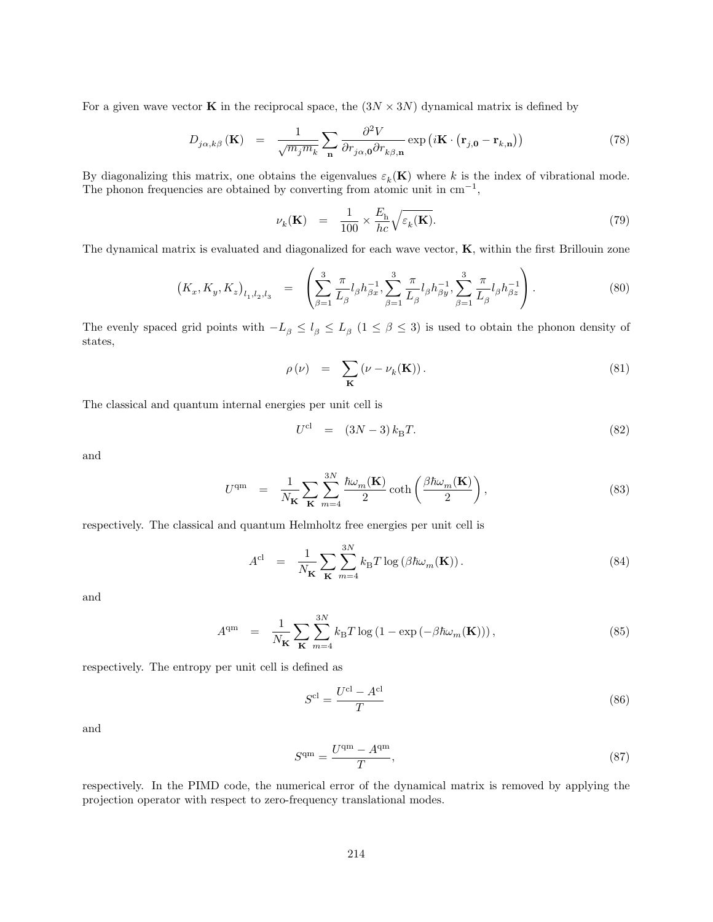For a given wave vector **K** in the reciprocal space, the  $(3N \times 3N)$  dynamical matrix is defined by

$$
D_{j\alpha,k\beta}(\mathbf{K}) = \frac{1}{\sqrt{m_j m_k}} \sum_{\mathbf{n}} \frac{\partial^2 V}{\partial r_{j\alpha,\mathbf{0}} \partial r_{k\beta,\mathbf{n}}} \exp\left(i\mathbf{K} \cdot (\mathbf{r}_{j,\mathbf{0}} - \mathbf{r}_{k,\mathbf{n}})\right)
$$
(78)

By diagonalizing this matrix, one obtains the eigenvalues  $\varepsilon_k(\mathbf{K})$  where *k* is the index of vibrational mode. The phonon frequencies are obtained by converting from atomic unit in cm*−*<sup>1</sup> ,

$$
\nu_k(\mathbf{K}) = \frac{1}{100} \times \frac{E_\mathrm{h}}{hc} \sqrt{\varepsilon_k(\mathbf{K})}.
$$
\n(79)

The dynamical matrix is evaluated and diagonalized for each wave vector, **K**, within the first Brillouin zone

$$
(K_x, K_y, K_z)_{l_1, l_2, l_3} = \left( \sum_{\beta=1}^3 \frac{\pi}{L_\beta} l_\beta h_{\beta x}^{-1}, \sum_{\beta=1}^3 \frac{\pi}{L_\beta} l_\beta h_{\beta y}^{-1}, \sum_{\beta=1}^3 \frac{\pi}{L_\beta} l_\beta h_{\beta z}^{-1} \right). \tag{80}
$$

The evenly spaced grid points with  $-L_\beta \leq l_\beta \leq L_\beta$  (1 ≤  $\beta \leq 3$ ) is used to obtain the phonon density of states,

$$
\rho(\nu) = \sum_{\mathbf{K}} (\nu - \nu_k(\mathbf{K})). \tag{81}
$$

The classical and quantum internal energies per unit cell is

$$
U^{\text{cl}} = (3N - 3) k_{\text{B}} T. \tag{82}
$$

and

$$
U^{\rm qm} = \frac{1}{N_{\mathbf{K}}} \sum_{\mathbf{K}} \sum_{m=4}^{3N} \frac{\hbar \omega_m(\mathbf{K})}{2} \coth\left(\frac{\beta \hbar \omega_m(\mathbf{K})}{2}\right),\tag{83}
$$

respectively. The classical and quantum Helmholtz free energies per unit cell is

$$
A^{\text{cl}} = \frac{1}{N_{\mathbf{K}}} \sum_{\mathbf{K}} \sum_{m=4}^{3N} k_{\text{B}} T \log \left( \beta \hbar \omega_{m}(\mathbf{K}) \right).
$$
 (84)

and

$$
A^{\rm qm} = \frac{1}{N_{\mathbf{K}}} \sum_{\mathbf{K}} \sum_{m=4}^{3N} k_{\rm B} T \log \left( 1 - \exp \left( -\beta \hbar \omega_m(\mathbf{K}) \right) \right), \tag{85}
$$

respectively. The entropy per unit cell is defined as

$$
S^{\rm cl} = \frac{U^{\rm cl} - A^{\rm cl}}{T} \tag{86}
$$

and

$$
S^{\rm qm} = \frac{U^{\rm qm} - A^{\rm qm}}{T},\tag{87}
$$

respectively. In the PIMD code, the numerical error of the dynamical matrix is removed by applying the projection operator with respect to zero-frequency translational modes.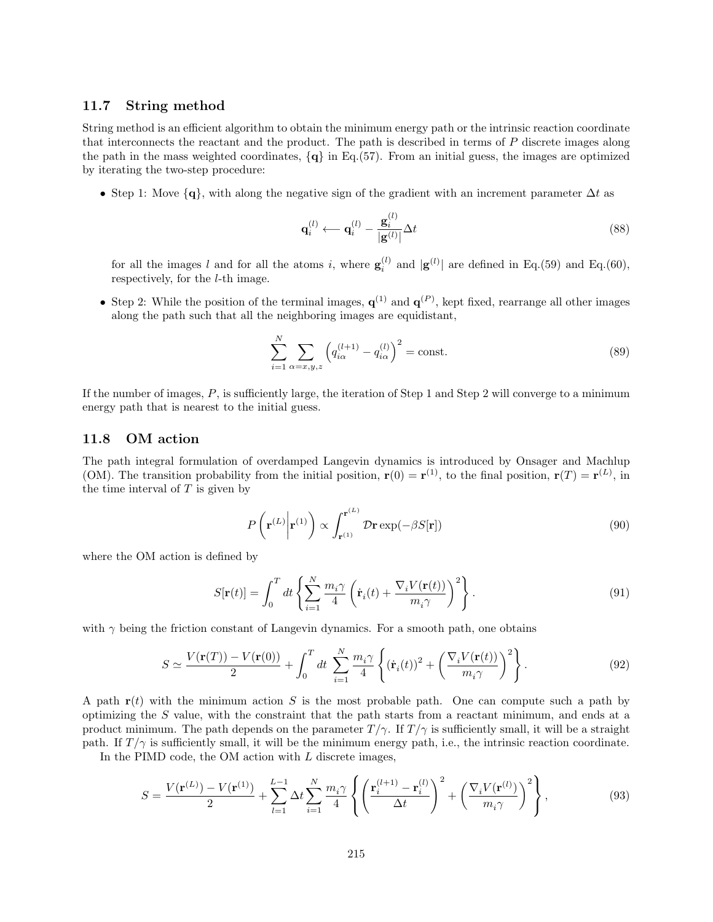### **11.7 String method**

String method is an efficient algorithm to obtain the minimum energy path or the intrinsic reaction coordinate that interconnects the reactant and the product. The path is described in terms of *P* discrete images along the path in the mass weighted coordinates,  $\{q\}$  in Eq.(57). From an initial guess, the images are optimized by iterating the two-step procedure:

*•* Step 1: Move *{***q***}*, with along the negative sign of the gradient with an increment parameter ∆*t* as

$$
\mathbf{q}_i^{(l)} \longleftarrow \mathbf{q}_i^{(l)} - \frac{\mathbf{g}_i^{(l)}}{|\mathbf{g}^{(l)}|} \Delta t
$$
\n(88)

for all the images *l* and for all the atoms *i*, where  $\mathbf{g}_i^{(l)}$  and  $|\mathbf{g}^{(l)}|$  are defined in Eq.(59) and Eq.(60), respectively, for the *l*-th image.

• Step 2: While the position of the terminal images,  $\mathbf{q}^{(1)}$  and  $\mathbf{q}^{(P)}$ , kept fixed, rearrange all other images along the path such that all the neighboring images are equidistant,

$$
\sum_{i=1}^{N} \sum_{\alpha=x,y,z} \left( q_{i\alpha}^{(l+1)} - q_{i\alpha}^{(l)} \right)^2 = \text{const.}
$$
 (89)

If the number of images, *P*, is sufficiently large, the iteration of Step 1 and Step 2 will converge to a minimum energy path that is nearest to the initial guess.

# **11.8 OM action**

The path integral formulation of overdamped Langevin dynamics is introduced by Onsager and Machlup (OM). The transition probability from the initial position,  $\mathbf{r}(0) = \mathbf{r}^{(1)}$ , to the final position,  $\mathbf{r}(T) = \mathbf{r}^{(L)}$ , in the time interval of *T* is given by

$$
P\left(\mathbf{r}^{(L)}\middle|\mathbf{r}^{(1)}\right) \propto \int_{\mathbf{r}^{(1)}}^{\mathbf{r}^{(L)}} \mathcal{D}\mathbf{r} \exp(-\beta S[\mathbf{r}])\tag{90}
$$

where the OM action is defined by

$$
S[\mathbf{r}(t)] = \int_0^T dt \left\{ \sum_{i=1}^N \frac{m_i \gamma}{4} \left( \dot{\mathbf{r}}_i(t) + \frac{\nabla_i V(\mathbf{r}(t))}{m_i \gamma} \right)^2 \right\}.
$$
 (91)

with  $\gamma$  being the friction constant of Langevin dynamics. For a smooth path, one obtains

$$
S \simeq \frac{V(\mathbf{r}(T)) - V(\mathbf{r}(0))}{2} + \int_0^T dt \sum_{i=1}^N \frac{m_i \gamma}{4} \left\{ (\dot{\mathbf{r}}_i(t))^2 + \left(\frac{\nabla_i V(\mathbf{r}(t))}{m_i \gamma}\right)^2 \right\}.
$$
 (92)

A path **r**(*t*) with the minimum action *S* is the most probable path. One can compute such a path by optimizing the *S* value, with the constraint that the path starts from a reactant minimum, and ends at a product minimum. The path depends on the parameter  $T/\gamma$ . If  $T/\gamma$  is sufficiently small, it will be a straight path. If  $T/\gamma$  is sufficiently small, it will be the minimum energy path, i.e., the intrinsic reaction coordinate.

In the PIMD code, the OM action with *L* discrete images,

$$
S = \frac{V(\mathbf{r}^{(L)}) - V(\mathbf{r}^{(1)})}{2} + \sum_{l=1}^{L-1} \Delta t \sum_{i=1}^{N} \frac{m_i \gamma}{4} \left\{ \left( \frac{\mathbf{r}_i^{(l+1)} - \mathbf{r}_i^{(l)}}{\Delta t} \right)^2 + \left( \frac{\nabla_i V(\mathbf{r}^{(l)})}{m_i \gamma} \right)^2 \right\},\tag{93}
$$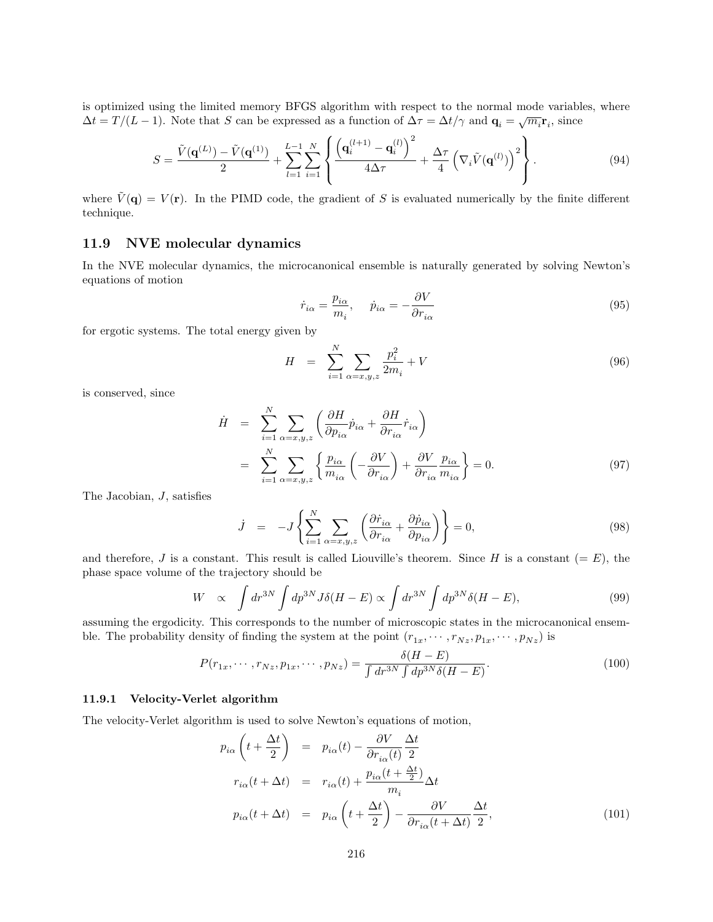is optimized using the limited memory BFGS algorithm with respect to the normal mode variables, where  $\Delta t = T/(L-1)$ . Note that *S* can be expressed as a function of  $\Delta \tau = \Delta t/\gamma$  and  $\mathbf{q}_i = \sqrt{m_i} \mathbf{r}_i$ , since

$$
S = \frac{\tilde{V}(\mathbf{q}^{(L)}) - \tilde{V}(\mathbf{q}^{(1)})}{2} + \sum_{l=1}^{L-1} \sum_{i=1}^{N} \left\{ \frac{\left(\mathbf{q}_i^{(l+1)} - \mathbf{q}_i^{(l)}\right)^2}{4\Delta\tau} + \frac{\Delta\tau}{4} \left(\nabla_i \tilde{V}(\mathbf{q}^{(l)})\right)^2 \right\}.
$$
\n(94)

where  $\tilde{V}(\mathbf{q}) = V(\mathbf{r})$ . In the PIMD code, the gradient of *S* is evaluated numerically by the finite different technique.

# **11.9 NVE molecular dynamics**

In the NVE molecular dynamics, the microcanonical ensemble is naturally generated by solving Newton's equations of motion

$$
\dot{r}_{i\alpha} = \frac{p_{i\alpha}}{m_i}, \quad \dot{p}_{i\alpha} = -\frac{\partial V}{\partial r_{i\alpha}}
$$
\n(95)

for ergotic systems. The total energy given by

$$
H = \sum_{i=1}^{N} \sum_{\alpha = x, y, z} \frac{p_i^2}{2m_i} + V \tag{96}
$$

is conserved, since

$$
\dot{H} = \sum_{i=1}^{N} \sum_{\alpha=x,y,z} \left( \frac{\partial H}{\partial p_{i\alpha}} \dot{p}_{i\alpha} + \frac{\partial H}{\partial r_{i\alpha}} \dot{r}_{i\alpha} \right)
$$
\n
$$
= \sum_{i=1}^{N} \sum_{\alpha=x,y,z} \left\{ \frac{p_{i\alpha}}{m_{i\alpha}} \left( -\frac{\partial V}{\partial r_{i\alpha}} \right) + \frac{\partial V}{\partial r_{i\alpha}} \frac{p_{i\alpha}}{m_{i\alpha}} \right\} = 0. \tag{97}
$$

The Jacobian, *J*, satisfies

$$
\dot{J} = -J \left\{ \sum_{i=1}^{N} \sum_{\alpha = x, y, z} \left( \frac{\partial \dot{r}_{i\alpha}}{\partial r_{i\alpha}} + \frac{\partial \dot{p}_{i\alpha}}{\partial p_{i\alpha}} \right) \right\} = 0, \tag{98}
$$

and therefore, *J* is a constant. This result is called Liouville's theorem. Since *H* is a constant  $(= E)$ , the phase space volume of the trajectory should be

$$
W \propto \int dr^{3N} \int dp^{3N} J \delta(H - E) \propto \int dr^{3N} \int dp^{3N} \delta(H - E), \tag{99}
$$

assuming the ergodicity. This corresponds to the number of microscopic states in the microcanonical ensemble. The probability density of finding the system at the point  $(r_{1x}, \dots, r_{Nz}, p_{1x}, \dots, p_{Nz})$  is

$$
P(r_{1x},\cdots,r_{Nz},p_{1x},\cdots,p_{Nz}) = \frac{\delta(H-E)}{\int dr^{3N} \int dp^{3N} \delta(H-E)}.
$$
\n(100)

# **11.9.1 Velocity-Verlet algorithm**

The velocity-Verlet algorithm is used to solve Newton's equations of motion,

$$
p_{i\alpha} \left( t + \frac{\Delta t}{2} \right) = p_{i\alpha}(t) - \frac{\partial V}{\partial r_{i\alpha}(t)} \frac{\Delta t}{2}
$$
  
\n
$$
r_{i\alpha}(t + \Delta t) = r_{i\alpha}(t) + \frac{p_{i\alpha}(t + \frac{\Delta t}{2})}{m_i} \Delta t
$$
  
\n
$$
p_{i\alpha}(t + \Delta t) = p_{i\alpha} \left( t + \frac{\Delta t}{2} \right) - \frac{\partial V}{\partial r_{i\alpha}(t + \Delta t)} \frac{\Delta t}{2},
$$
\n(101)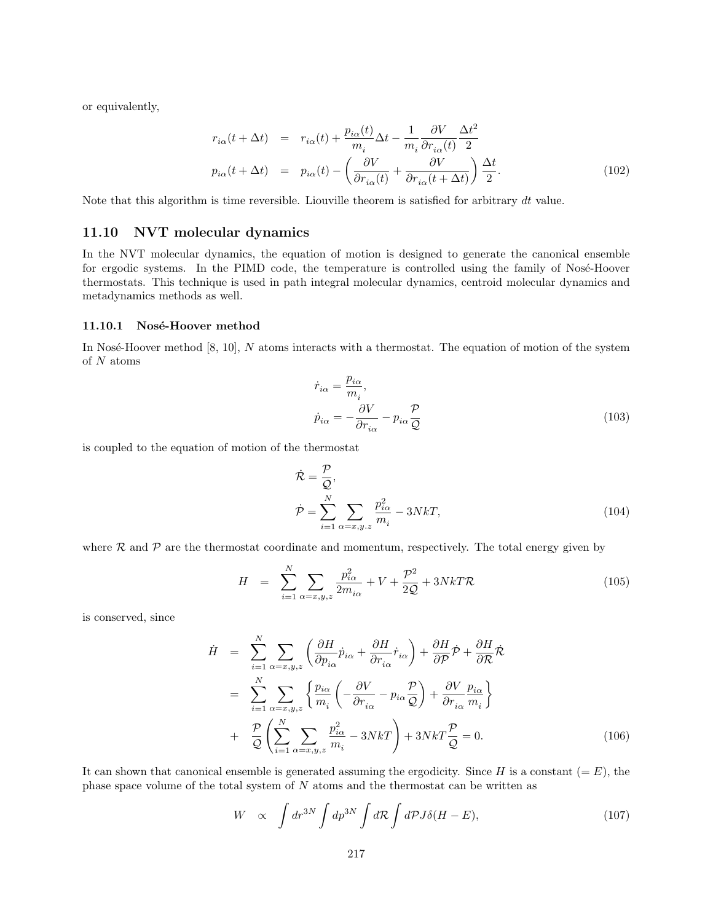or equivalently,

$$
r_{i\alpha}(t + \Delta t) = r_{i\alpha}(t) + \frac{p_{i\alpha}(t)}{m_i} \Delta t - \frac{1}{m_i} \frac{\partial V}{\partial r_{i\alpha}(t)} \frac{\Delta t^2}{2}
$$
  

$$
p_{i\alpha}(t + \Delta t) = p_{i\alpha}(t) - \left(\frac{\partial V}{\partial r_{i\alpha}(t)} + \frac{\partial V}{\partial r_{i\alpha}(t + \Delta t)}\right) \frac{\Delta t}{2}.
$$
 (102)

Note that this algorithm is time reversible. Liouville theorem is satisfied for arbitrary *dt* value.

# **11.10 NVT molecular dynamics**

In the NVT molecular dynamics, the equation of motion is designed to generate the canonical ensemble for ergodic systems. In the PIMD code, the temperature is controlled using the family of Nosé-Hoover thermostats. This technique is used in path integral molecular dynamics, centroid molecular dynamics and metadynamics methods as well.

## 11.10.1 Nosé-Hoover method

In Nosé-Hoover method [8, 10], N atoms interacts with a thermostat. The equation of motion of the system of *N* atoms

$$
\dot{r}_{i\alpha} = \frac{p_{i\alpha}}{m_i},
$$
\n
$$
\dot{p}_{i\alpha} = -\frac{\partial V}{\partial r_{i\alpha}} - p_{i\alpha} \frac{\mathcal{P}}{\mathcal{Q}}
$$
\n(103)

is coupled to the equation of motion of the thermostat

$$
\dot{\mathcal{R}} = \frac{\mathcal{P}}{\mathcal{Q}},
$$
\n
$$
\dot{\mathcal{P}} = \sum_{i=1}^{N} \sum_{\alpha=x,y,z} \frac{p_{i\alpha}^2}{m_i} - 3NkT,
$$
\n(104)

where  $R$  and  $P$  are the thermostat coordinate and momentum, respectively. The total energy given by

$$
H = \sum_{i=1}^{N} \sum_{\alpha = x, y, z} \frac{p_{i\alpha}^2}{2m_{i\alpha}} + V + \frac{\mathcal{P}^2}{2\mathcal{Q}} + 3NkT\mathcal{R}
$$
 (105)

is conserved, since

$$
\dot{H} = \sum_{i=1}^{N} \sum_{\alpha=x,y,z} \left( \frac{\partial H}{\partial p_{i\alpha}} \dot{p}_{i\alpha} + \frac{\partial H}{\partial r_{i\alpha}} \dot{r}_{i\alpha} \right) + \frac{\partial H}{\partial \mathcal{P}} \dot{\mathcal{P}} + \frac{\partial H}{\partial \mathcal{R}} \dot{\mathcal{R}}
$$
\n
$$
= \sum_{i=1}^{N} \sum_{\alpha=x,y,z} \left\{ \frac{p_{i\alpha}}{m_i} \left( -\frac{\partial V}{\partial r_{i\alpha}} - p_{i\alpha} \frac{\mathcal{P}}{\mathcal{Q}} \right) + \frac{\partial V}{\partial r_{i\alpha}} \frac{p_{i\alpha}}{m_i} \right\}
$$
\n
$$
+ \frac{\mathcal{P}}{\mathcal{Q}} \left( \sum_{i=1}^{N} \sum_{\alpha=x,y,z} \frac{p_{i\alpha}^2}{m_i} - 3NkT \right) + 3NkT \frac{\mathcal{P}}{\mathcal{Q}} = 0. \tag{106}
$$

It can shown that canonical ensemble is generated assuming the ergodicity. Since  $H$  is a constant ( $= E$ ), the phase space volume of the total system of *N* atoms and the thermostat can be written as

$$
W \propto \int dr^{3N} \int dp^{3N} \int d\mathcal{R} \int d\mathcal{P} J \delta(H - E), \tag{107}
$$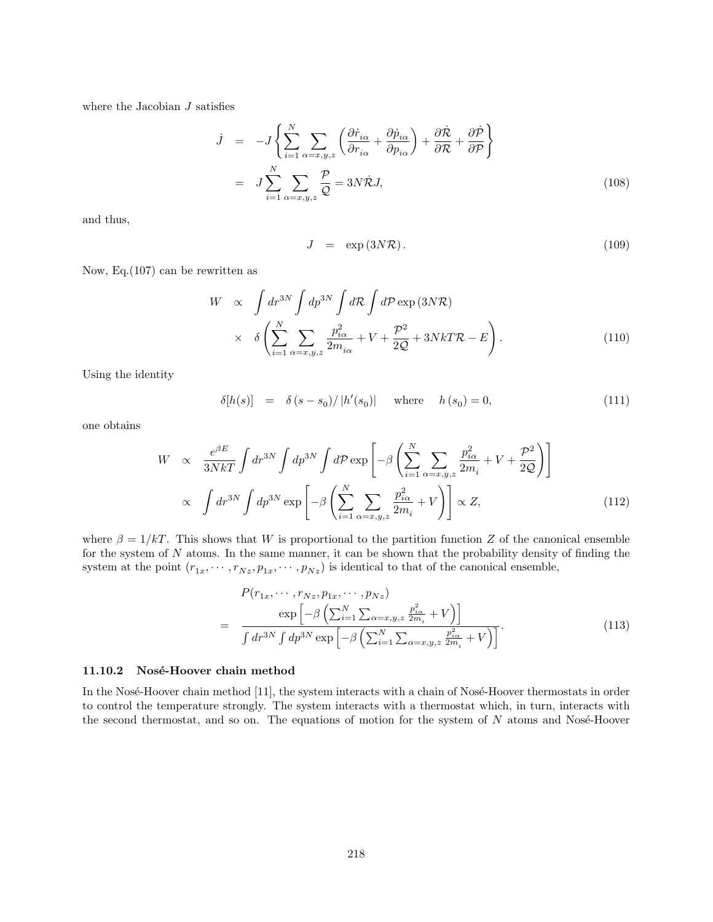where the Jacobian *J* satisfies

$$
\dot{J} = -J \left\{ \sum_{i=1}^{N} \sum_{\alpha=x,y,z} \left( \frac{\partial \dot{r}_{i\alpha}}{\partial r_{i\alpha}} + \frac{\partial \dot{p}_{i\alpha}}{\partial p_{i\alpha}} \right) + \frac{\partial \dot{\mathcal{R}}}{\partial \mathcal{R}} + \frac{\partial \dot{\mathcal{P}}}{\partial \mathcal{P}} \right\}
$$
\n
$$
= J \sum_{i=1}^{N} \sum_{\alpha=x,y,z} \frac{\mathcal{P}}{\mathcal{Q}} = 3N \dot{\mathcal{R}} J, \tag{108}
$$

and thus,

$$
J = \exp(3N\mathcal{R}). \tag{109}
$$

Now, Eq.(107) can be rewritten as

$$
W \propto \int dr^{3N} \int dp^{3N} \int d\mathcal{R} \int d\mathcal{P} \exp(3N\mathcal{R})
$$
  
 
$$
\times \delta \left( \sum_{i=1}^{N} \sum_{\alpha=x,y,z} \frac{p_{i\alpha}^2}{2m_{i\alpha}} + V + \frac{\mathcal{P}^2}{2\mathcal{Q}} + 3NkT\mathcal{R} - E \right).
$$
 (110)

Using the identity

$$
\delta[h(s)] = \delta(s - s_0) / |h'(s_0)| \quad \text{where} \quad h(s_0) = 0,
$$
\n(111)

one obtains

$$
W \propto \frac{e^{\beta E}}{3NkT} \int dr^{3N} \int dp^{3N} \int d\mathcal{P} \exp\left[-\beta \left(\sum_{i=1}^{N} \sum_{\alpha=x,y,z} \frac{p_{i\alpha}^2}{2m_i} + V + \frac{\mathcal{P}^2}{2\mathcal{Q}}\right)\right]
$$

$$
\propto \int dr^{3N} \int dp^{3N} \exp\left[-\beta \left(\sum_{i=1}^{N} \sum_{\alpha=x,y,z} \frac{p_{i\alpha}^2}{2m_i} + V\right)\right] \propto Z,
$$
(112)

where  $\beta = 1/kT$ . This shows that *W* is proportional to the partition function *Z* of the canonical ensemble for the system of *N* atoms. In the same manner, it can be shown that the probability density of finding the system at the point  $(r_{1x}, \dots, r_{Nz}, p_{1x}, \dots, p_{Nz})$  is identical to that of the canonical ensemble,

$$
P(r_{1x}, \dots, r_{Nz}, p_{1x}, \dots, p_{Nz}) = \frac{\exp\left[-\beta \left(\sum_{i=1}^{N} \sum_{\alpha=x,y,z} \frac{p_{i\alpha}^2}{2m_i} + V\right)\right]}{\int dr^{3N} \int dp^{3N} \exp\left[-\beta \left(\sum_{i=1}^{N} \sum_{\alpha=x,y,z} \frac{p_{i\alpha}^2}{2m_i} + V\right)\right]}.
$$
(113)

## **11.10.2** Nosé-Hoover chain method

In the Nosé-Hoover chain method [11], the system interacts with a chain of Nosé-Hoover thermostats in order to control the temperature strongly. The system interacts with a thermostat which, in turn, interacts with the second thermostat, and so on. The equations of motion for the system of *N* atoms and Nosé-Hoover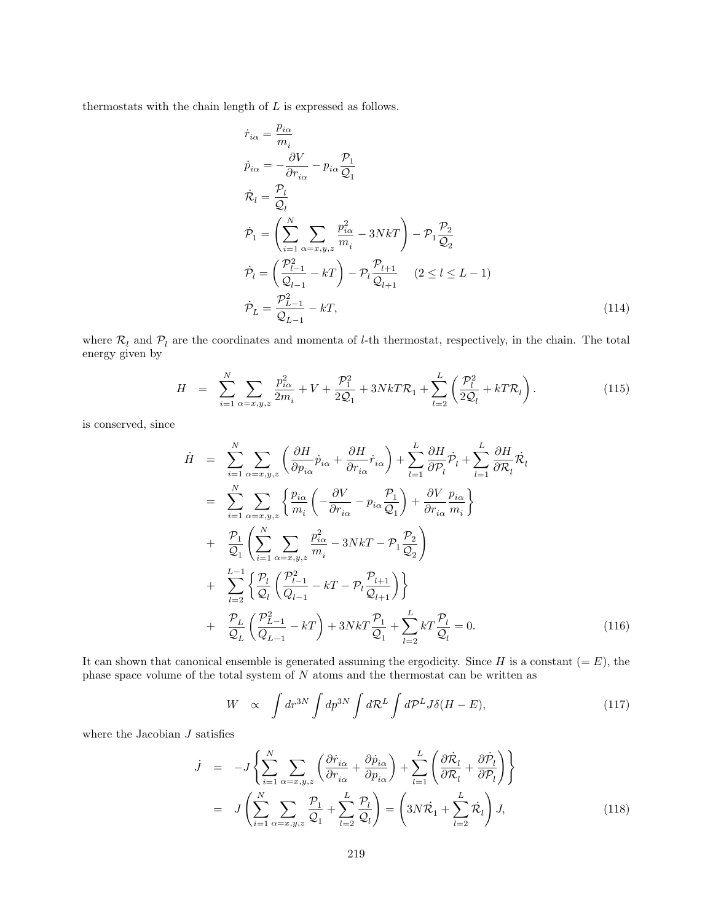thermostats with the chain length of *L* is expressed as follows.

$$
\dot{r}_{i\alpha} = \frac{p_{i\alpha}}{m_i} \n\dot{p}_{i\alpha} = -\frac{\partial V}{\partial r_{i\alpha}} - p_{i\alpha} \frac{\mathcal{P}_1}{\mathcal{Q}_1} \n\dot{\mathcal{R}}_l = \frac{\mathcal{P}_l}{\mathcal{Q}_l} \n\dot{\mathcal{P}}_1 = \left(\sum_{i=1}^N \sum_{\alpha=x,y,z} \frac{p_{i\alpha}^2}{m_i} - 3NkT\right) - \mathcal{P}_1 \frac{\mathcal{P}_2}{\mathcal{Q}_2} \n\dot{\mathcal{P}}_l = \left(\frac{\mathcal{P}_{l-1}^2}{\mathcal{Q}_{l-1}} - kT\right) - \mathcal{P}_l \frac{\mathcal{P}_{l+1}}{\mathcal{Q}_{l+1}} \quad (2 \le l \le L - 1) \n\dot{\mathcal{P}}_L = \frac{\mathcal{P}_{L-1}^2}{\mathcal{Q}_{L-1}} - kT,
$$
\n(114)

where  $\mathcal{R}_l$  and  $\mathcal{P}_l$  are the coordinates and momenta of *l*-th thermostat, respectively, in the chain. The total energy given by

$$
H = \sum_{i=1}^{N} \sum_{\alpha=x,y,z} \frac{p_{i\alpha}^2}{2m_i} + V + \frac{\mathcal{P}_1^2}{2\mathcal{Q}_1} + 3NkT\mathcal{R}_1 + \sum_{l=2}^{L} \left(\frac{\mathcal{P}_l^2}{2\mathcal{Q}_l} + kT\mathcal{R}_l\right).
$$
 (115)

is conserved, since

$$
\dot{H} = \sum_{i=1}^{N} \sum_{\alpha=x,y,z} \left( \frac{\partial H}{\partial p_{i\alpha}} \dot{p}_{i\alpha} + \frac{\partial H}{\partial r_{i\alpha}} \dot{r}_{i\alpha} \right) + \sum_{l=1}^{L} \frac{\partial H}{\partial P_l} \dot{P}_l + \sum_{l=1}^{L} \frac{\partial H}{\partial R_l} \dot{R}_l
$$
\n
$$
= \sum_{i=1}^{N} \sum_{\alpha=x,y,z} \left\{ \frac{p_{i\alpha}}{m_i} \left( -\frac{\partial V}{\partial r_{i\alpha}} - p_{i\alpha} \frac{P_1}{Q_1} \right) + \frac{\partial V}{\partial r_{i\alpha}} \frac{p_{i\alpha}}{m_i} \right\}
$$
\n
$$
+ \frac{P_1}{Q_1} \left( \sum_{i=1}^{N} \sum_{\alpha=x,y,z} \frac{p_{i\alpha}^2}{m_i} - 3NkT - P_1 \frac{P_2}{Q_2} \right)
$$
\n
$$
+ \sum_{l=2}^{L-1} \left\{ \frac{P_l}{Q_l} \left( \frac{P_{l-1}^2}{Q_{l-1}} - kT - P_l \frac{P_{l+1}}{Q_{l+1}} \right) \right\}
$$
\n
$$
+ \frac{P_L}{Q_L} \left( \frac{P_{L-1}^2}{Q_{L-1}} - kT \right) + 3NkT \frac{P_1}{Q_1} + \sum_{l=2}^{L} kT \frac{P_l}{Q_l} = 0.
$$
\n(116)

It can shown that canonical ensemble is generated assuming the ergodicity. Since  $H$  is a constant  $(= E)$ , the phase space volume of the total system of *N* atoms and the thermostat can be written as

$$
W \propto \int dr^{3N} \int dp^{3N} \int d\mathcal{R}^L \int d\mathcal{P}^L J \delta(H - E), \tag{117}
$$

where the Jacobian *J* satisfies

$$
\dot{J} = -J \left\{ \sum_{i=1}^{N} \sum_{\alpha=x,y,z} \left( \frac{\partial \dot{r}_{i\alpha}}{\partial r_{i\alpha}} + \frac{\partial \dot{p}_{i\alpha}}{\partial p_{i\alpha}} \right) + \sum_{l=1}^{L} \left( \frac{\partial \dot{\mathcal{R}}_{l}}{\partial \mathcal{R}_{l}} + \frac{\partial \dot{\mathcal{P}}_{l}}{\partial \mathcal{P}_{l}} \right) \right\}
$$
\n
$$
= J \left( \sum_{i=1}^{N} \sum_{\alpha=x,y,z} \frac{\mathcal{P}_{1}}{\mathcal{Q}_{1}} + \sum_{l=2}^{L} \frac{\mathcal{P}_{l}}{\mathcal{Q}_{l}} \right) = \left( 3N\dot{\mathcal{R}}_{1} + \sum_{l=2}^{L} \dot{\mathcal{R}}_{l} \right) J, \tag{118}
$$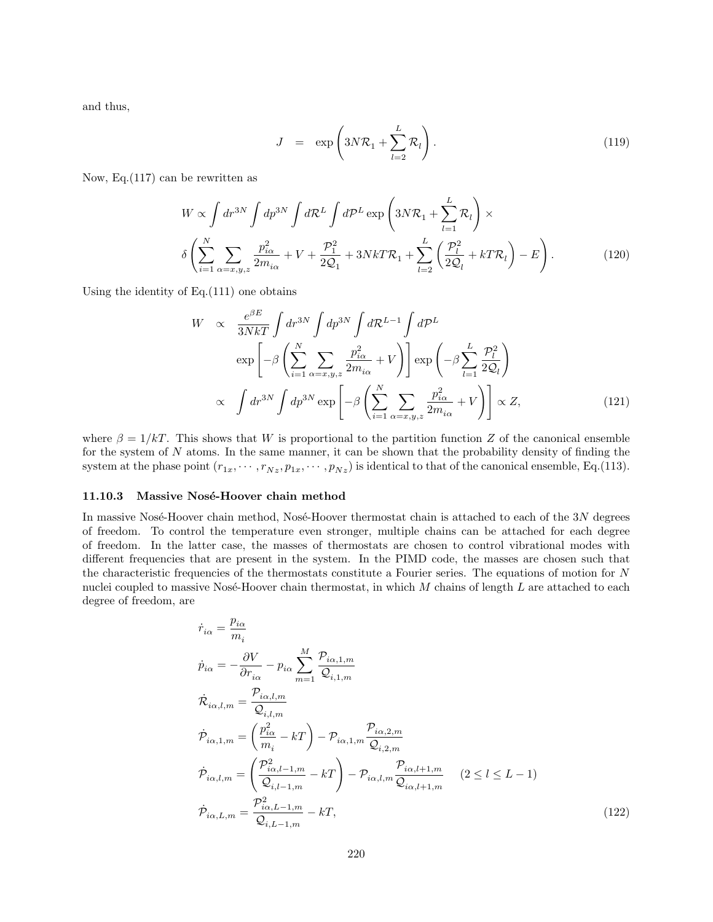and thus,

$$
J = \exp\left(3N\mathcal{R}_1 + \sum_{l=2}^{L} \mathcal{R}_l\right). \tag{119}
$$

Now, Eq.(117) can be rewritten as

$$
W \propto \int dr^{3N} \int dp^{3N} \int d\mathcal{R}^{L} \int d\mathcal{P}^{L} \exp\left(3N\mathcal{R}_{1} + \sum_{l=1}^{L} \mathcal{R}_{l}\right) \times
$$
  

$$
\delta \left(\sum_{i=1}^{N} \sum_{\alpha=x,y,z} \frac{p_{i\alpha}^{2}}{2m_{i\alpha}} + V + \frac{\mathcal{P}_{1}^{2}}{2\mathcal{Q}_{1}} + 3NkT\mathcal{R}_{1} + \sum_{l=2}^{L} \left(\frac{\mathcal{P}_{l}^{2}}{2\mathcal{Q}_{l}} + kT\mathcal{R}_{l}\right) - E\right).
$$
 (120)

Using the identity of Eq.(111) one obtains

$$
W \propto \frac{e^{\beta E}}{3NkT} \int dr^{3N} \int dp^{3N} \int d\mathcal{R}^{L-1} \int d\mathcal{P}^{L}
$$
  
\n
$$
\exp\left[-\beta \left(\sum_{i=1}^{N} \sum_{\alpha=x,y,z} \frac{p_{i\alpha}^{2}}{2m_{i\alpha}} + V\right)\right] \exp\left(-\beta \sum_{l=1}^{L} \frac{\mathcal{P}_{l}^{2}}{2\mathcal{Q}_{l}}\right)
$$
  
\n
$$
\propto \int dr^{3N} \int dp^{3N} \exp\left[-\beta \left(\sum_{i=1}^{N} \sum_{\alpha=x,y,z} \frac{p_{i\alpha}^{2}}{2m_{i\alpha}} + V\right)\right] \propto Z,
$$
\n(121)

where  $\beta = 1/kT$ . This shows that *W* is proportional to the partition function *Z* of the canonical ensemble for the system of *N* atoms. In the same manner, it can be shown that the probability density of finding the system at the phase point  $(r_{1x}, \dots, r_{Nz}, p_{1x}, \dots, p_{Nz})$  is identical to that of the canonical ensemble, Eq.(113).

#### **11.10.3** Massive Nosé-Hoover chain method

In massive Nosé-Hoover chain method, Nosé-Hoover thermostat chain is attached to each of the 3*N* degrees of freedom. To control the temperature even stronger, multiple chains can be attached for each degree of freedom. In the latter case, the masses of thermostats are chosen to control vibrational modes with different frequencies that are present in the system. In the PIMD code, the masses are chosen such that the characteristic frequencies of the thermostats constitute a Fourier series. The equations of motion for *N* nuclei coupled to massive Nosé-Hoover chain thermostat, in which *M* chains of length *L* are attached to each degree of freedom, are

$$
\dot{r}_{i\alpha} = \frac{p_{i\alpha}}{m_i}
$$
\n
$$
\dot{p}_{i\alpha} = -\frac{\partial V}{\partial r_{i\alpha}} - p_{i\alpha} \sum_{m=1}^{M} \frac{P_{i\alpha,1,m}}{Q_{i,1,m}}
$$
\n
$$
\dot{\mathcal{R}}_{i\alpha,l,m} = \frac{P_{i\alpha,l,m}}{Q_{i,l,m}}
$$
\n
$$
\dot{p}_{i\alpha,1,m} = \left(\frac{p_{i\alpha}^2}{m_i} - kT\right) - p_{i\alpha,1,m} \frac{P_{i\alpha,2,m}}{Q_{i,2,m}}
$$
\n
$$
\dot{p}_{i\alpha,l,m} = \left(\frac{P_{i\alpha,l-1,m}}{Q_{i,l-1,m}} - kT\right) - p_{i\alpha,l,m} \frac{P_{i\alpha,l+1,m}}{Q_{i\alpha,l+1,m}} \quad (2 \le l \le L - 1)
$$
\n
$$
\dot{p}_{i\alpha,L,m} = \frac{P_{i\alpha,L-1,m}}{Q_{i,L-1,m}} - kT,
$$
\n(122)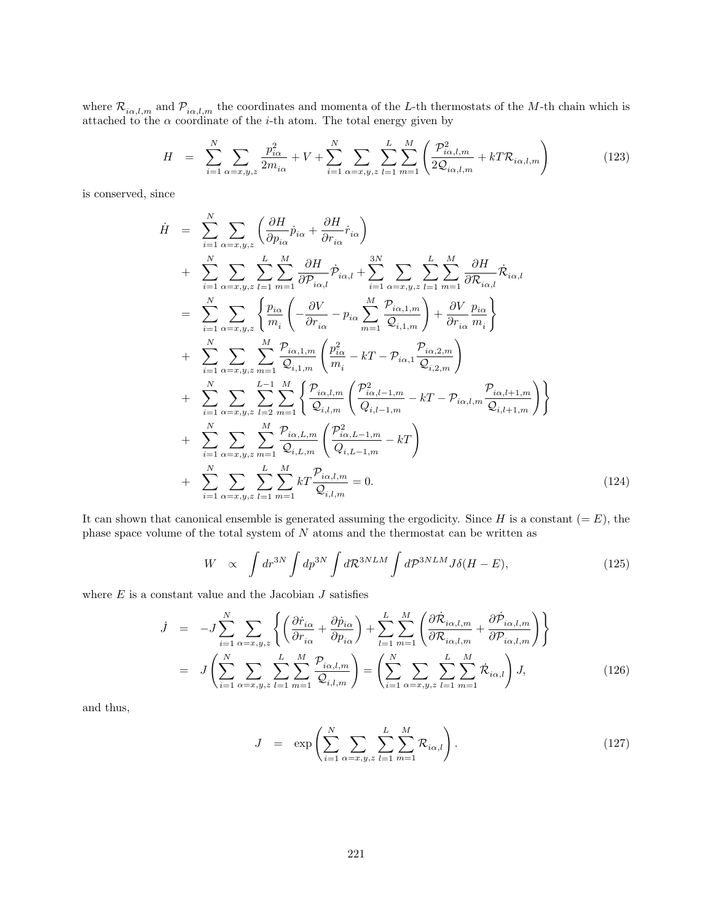where  $\mathcal{R}_{i\alpha,l,m}$  and  $\mathcal{P}_{i\alpha,l,m}$  the coordinates and momenta of the *L*-th thermostats of the *M*-th chain which is attached to the  $\alpha$  coordinate of the *i*-th atom. The total energy given by

$$
H = \sum_{i=1}^{N} \sum_{\alpha=x,y,z} \frac{p_{i\alpha}^2}{2m_{i\alpha}} + V + \sum_{i=1}^{N} \sum_{\alpha=x,y,z} \sum_{l=1}^{L} \sum_{m=1}^{M} \left( \frac{\mathcal{P}_{i\alpha,l,m}^2}{2\mathcal{Q}_{i\alpha,l,m}} + kT\mathcal{R}_{i\alpha,l,m} \right)
$$
(123)

is conserved, since

$$
\dot{H} = \sum_{i=1}^{N} \sum_{\alpha=x,y,z} \left( \frac{\partial H}{\partial p_{i\alpha}} \dot{p}_{i\alpha} + \frac{\partial H}{\partial r_{i\alpha}} \dot{r}_{i\alpha} \right) \n+ \sum_{i=1}^{N} \sum_{\alpha=x,y,z} \sum_{l=1}^{L} \sum_{m=1}^{M} \frac{\partial H}{\partial \mathcal{P}_{i\alpha,l}} \dot{\mathcal{P}}_{i\alpha,l} + \sum_{i=1}^{3N} \sum_{\alpha=x,y,z} \sum_{l=1}^{L} \sum_{m=1}^{M} \frac{\partial H}{\partial \mathcal{R}_{i\alpha,l}} \dot{\mathcal{R}}_{i\alpha,l} \n= \sum_{i=1}^{N} \sum_{\alpha=x,y,z} \left\{ \frac{p_{i\alpha}}{m_i} \left( -\frac{\partial V}{\partial r_{i\alpha}} - p_{i\alpha} \sum_{m=1}^{M} \frac{\mathcal{P}_{i\alpha,1,m}}{\mathcal{Q}_{i,1,m}} \right) + \frac{\partial V}{\partial r_{i\alpha}} \frac{p_{i\alpha}}{m_i} \right\} \n+ \sum_{i=1}^{N} \sum_{\alpha=x,y,z} \sum_{m=1}^{M} \frac{\mathcal{P}_{i\alpha,1,m}}{\mathcal{Q}_{i,1,m}} \left( \frac{p_{i\alpha}^2}{m_i} - kT - \mathcal{P}_{i\alpha,1} \frac{\mathcal{P}_{i\alpha,2,m}}{\mathcal{Q}_{i,2,m}} \right) \n+ \sum_{i=1}^{N} \sum_{\alpha=x,y,z} \sum_{l=2}^{L-1} \sum_{m=1}^{M} \left\{ \frac{\mathcal{P}_{i\alpha,l,m}}{\mathcal{Q}_{i,l,m}} \left( \frac{\mathcal{P}_{i\alpha,l-1,m}}{\mathcal{Q}_{i,l-1,m}} - kT - \mathcal{P}_{i\alpha,l,m} \frac{\mathcal{P}_{i\alpha,l+1,m}}{\mathcal{Q}_{i,l+1,m}} \right) \right\} \n+ \sum_{i=1}^{N} \sum_{\alpha=x,y,z} \sum_{m=1}^{M} \frac{\mathcal{P}_{i\alpha,L,m}}{\mathcal{Q}_{i,L,m}} \left( \frac{\mathcal{P}_{i\alpha,L-1,m}}{\mathcal{Q}_{i,L-1,m}} - kT \right) \n+ \sum_{i=1}^{N} \sum_{\alpha
$$

It can shown that canonical ensemble is generated assuming the ergodicity. Since  $H$  is a constant  $(= E)$ , the phase space volume of the total system of *N* atoms and the thermostat can be written as

$$
W \propto \int dr^{3N} \int dp^{3N} \int d\mathcal{R}^{3NLM} \int d\mathcal{P}^{3NLM} J\delta(H - E), \tag{125}
$$

where  $E$  is a constant value and the Jacobian  $J$  satisfies

$$
\dot{J} = -J \sum_{i=1}^{N} \sum_{\alpha=x,y,z} \left\{ \left( \frac{\partial \dot{r}_{i\alpha}}{\partial r_{i\alpha}} + \frac{\partial \dot{p}_{i\alpha}}{\partial p_{i\alpha}} \right) + \sum_{l=1}^{L} \sum_{m=1}^{M} \left( \frac{\partial \dot{\mathcal{R}}_{i\alpha,l,m}}{\partial \mathcal{R}_{i\alpha,l,m}} + \frac{\partial \dot{\mathcal{P}}_{i\alpha,l,m}}{\partial \mathcal{P}_{i\alpha,l,m}} \right) \right\}
$$
\n
$$
= J \left( \sum_{i=1}^{N} \sum_{\alpha=x,y,z} \sum_{l=1}^{L} \sum_{m=1}^{M} \frac{\mathcal{P}_{i\alpha,l,m}}{\mathcal{Q}_{i,l,m}} \right) = \left( \sum_{i=1}^{N} \sum_{\alpha=x,y,z} \sum_{l=1}^{L} \sum_{m=1}^{M} \dot{\mathcal{R}}_{i\alpha,l} \right) J, \tag{126}
$$

and thus,

$$
J = \exp\left(\sum_{i=1}^{N} \sum_{\alpha=x,y,z} \sum_{l=1}^{L} \sum_{m=1}^{M} \mathcal{R}_{i\alpha,l}\right).
$$
 (127)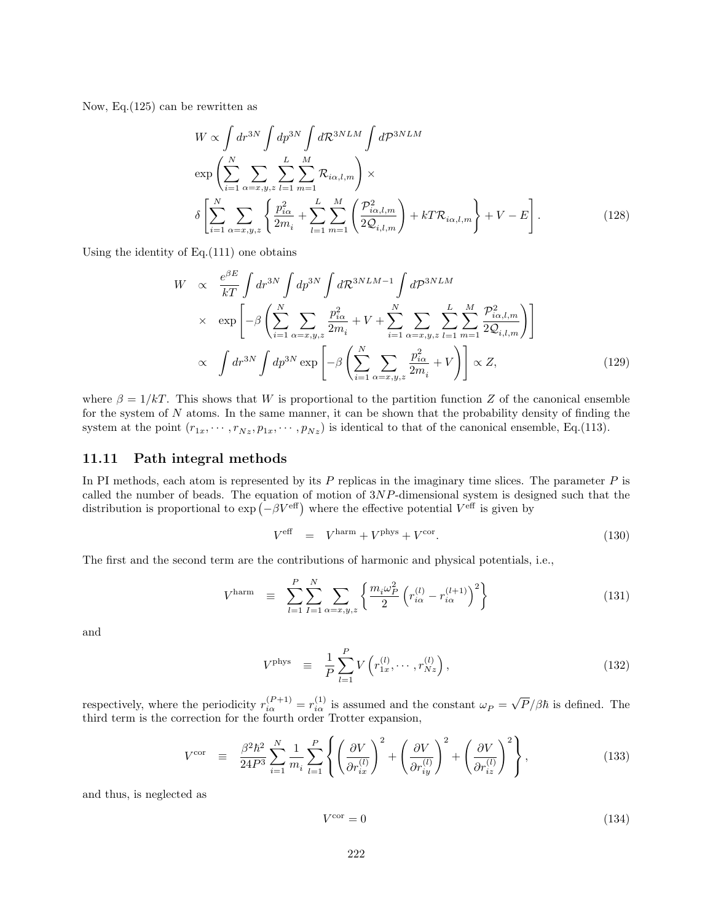Now, Eq.(125) can be rewritten as

$$
W \propto \int dr^{3N} \int dp^{3N} \int d\mathcal{R}^{3NLM} \int d\mathcal{P}^{3NLM}
$$
  
\n
$$
\exp\left(\sum_{i=1}^{N} \sum_{\alpha=x,y,z} \sum_{l=1}^{L} \sum_{m=1}^{M} \mathcal{R}_{i\alpha,l,m}\right) \times
$$
  
\n
$$
\delta \left[\sum_{i=1}^{N} \sum_{\alpha=x,y,z} \left\{\frac{p_{i\alpha}^{2}}{2m_{i}} + \sum_{l=1}^{L} \sum_{m=1}^{M} \left(\frac{p_{i\alpha,l,m}^{2}}{2\mathcal{Q}_{i,l,m}}\right) + kT\mathcal{R}_{i\alpha,l,m}\right\} + V - E\right].
$$
\n(128)

Using the identity of Eq.(111) one obtains

$$
W \propto \frac{e^{\beta E}}{kT} \int dr^{3N} \int dp^{3N} \int d\mathcal{R}^{3NLM-1} \int d\mathcal{P}^{3NLM}
$$
  
 
$$
\times \exp \left[ -\beta \left( \sum_{i=1}^{N} \sum_{\alpha=x,y,z} \frac{p_{i\alpha}^2}{2m_i} + V + \sum_{i=1}^{N} \sum_{\alpha=x,y,z} \sum_{l=1}^{L} \sum_{m=1}^{M} \frac{p_{i\alpha,l,m}^2}{2Q_{i,l,m}} \right) \right]
$$
  
 
$$
\times \int dr^{3N} \int dp^{3N} \exp \left[ -\beta \left( \sum_{i=1}^{N} \sum_{\alpha=x,y,z} \frac{p_{i\alpha}^2}{2m_i} + V \right) \right] \propto Z,
$$
 (129)

where  $\beta = 1/kT$ . This shows that *W* is proportional to the partition function *Z* of the canonical ensemble for the system of *N* atoms. In the same manner, it can be shown that the probability density of finding the system at the point  $(r_{1x}, \dots, r_{Nz}, p_{1x}, \dots, p_{Nz})$  is identical to that of the canonical ensemble, Eq.(113).

## **11.11 Path integral methods**

In PI methods, each atom is represented by its *P* replicas in the imaginary time slices. The parameter *P* is called the number of beads. The equation of motion of 3*NP*-dimensional system is designed such that the distribution is proportional to  $\exp(-\beta V^{\text{eff}})$  where the effective potential  $V^{\text{eff}}$  is given by

$$
V^{\text{eff}} = V^{\text{harm}} + V^{\text{phys}} + V^{\text{cor}}.\tag{130}
$$

The first and the second term are the contributions of harmonic and physical potentials, i.e.,

$$
V^{\text{harm}} \equiv \sum_{l=1}^{P} \sum_{I=1}^{N} \sum_{\alpha=x,y,z} \left\{ \frac{m_i \omega_P^2}{2} \left( r_{i\alpha}^{(l)} - r_{i\alpha}^{(l+1)} \right)^2 \right\} \tag{131}
$$

and

$$
V^{\text{phys}} \equiv \frac{1}{P} \sum_{l=1}^{P} V\left(r_{1x}^{(l)}, \cdots, r_{Nz}^{(l)}\right), \tag{132}
$$

respectively, where the periodicity  $r_{i\alpha}^{(P+1)} = r_{i\alpha}^{(1)}$  is assumed and the constant  $\omega_P$ *√ P /β*ℏ is defined. The third term is the correction for the fourth order Trotter expansion,

$$
V^{\text{cor}} \equiv \frac{\beta^2 \hbar^2}{24P^3} \sum_{i=1}^N \frac{1}{m_i} \sum_{l=1}^P \left\{ \left( \frac{\partial V}{\partial r_{ix}^{(l)}} \right)^2 + \left( \frac{\partial V}{\partial r_{iy}^{(l)}} \right)^2 + \left( \frac{\partial V}{\partial r_{iz}^{(l)}} \right)^2 \right\},
$$
(133)

and thus, is neglected as

$$
V^{\text{cor}} = 0\tag{134}
$$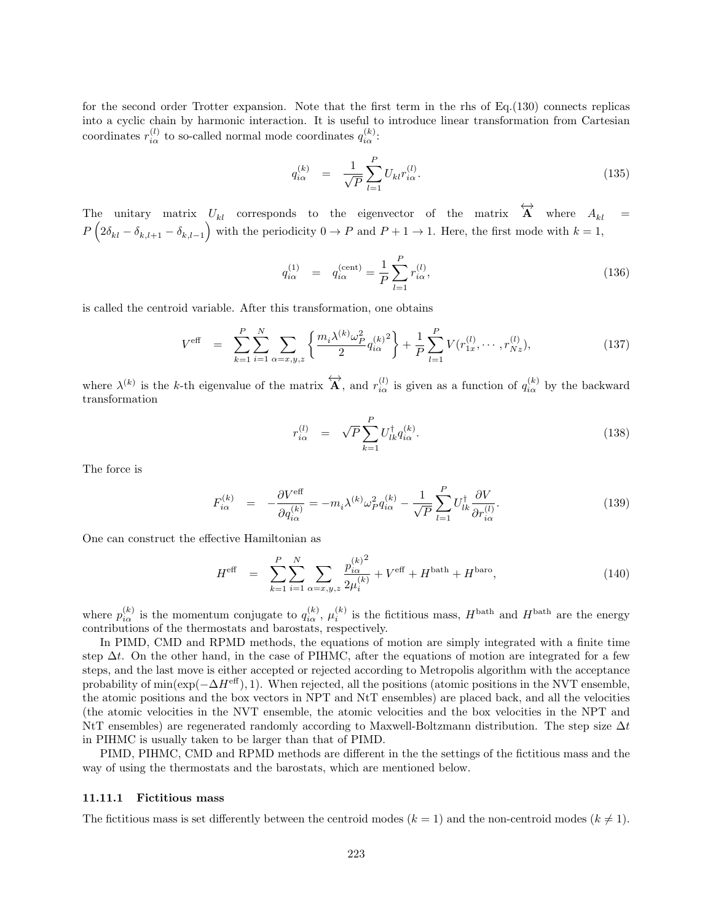for the second order Trotter expansion. Note that the first term in the rhs of Eq.(130) connects replicas into a cyclic chain by harmonic interaction. It is useful to introduce linear transformation from Cartesian coordinates  $r_{i\alpha}^{(l)}$  to so-called normal mode coordinates  $q_{i\alpha}^{(k)}$ :

$$
q_{i\alpha}^{(k)} = \frac{1}{\sqrt{P}} \sum_{l=1}^{P} U_{kl} r_{i\alpha}^{(l)}.
$$
\n(135)

The unitary matrix  $U_{kl}$  corresponds to the eigenvector of the matrix  $\overleftrightarrow{A}$  where  $A_{kl}$  $P\left(2\delta_{kl} - \delta_{k,l+1} - \delta_{k,l-1}\right)$  with the periodicity  $0 \to P$  and  $P + 1 \to 1$ . Here, the first mode with  $k = 1$ ,

$$
q_{i\alpha}^{(1)} = q_{i\alpha}^{(\text{cent})} = \frac{1}{P} \sum_{l=1}^{P} r_{i\alpha}^{(l)},
$$
\n(136)

is called the centroid variable. After this transformation, one obtains

$$
V^{\text{eff}} = \sum_{k=1}^{P} \sum_{i=1}^{N} \sum_{\alpha=x,y,z} \left\{ \frac{m_i \lambda^{(k)} \omega_P^2}{2} q_{i\alpha}^{(k)^2} \right\} + \frac{1}{P} \sum_{l=1}^{P} V(r_{1x}^{(l)}, \dots, r_{Nz}^{(l)}), \tag{137}
$$

where  $\lambda^{(k)}$  is the *k*-th eigenvalue of the matrix  $\overleftrightarrow{A}$ , and  $r_{i\alpha}^{(l)}$  is given as a function of  $q_{i\alpha}^{(k)}$  by the backward transformation

$$
r_{i\alpha}^{(l)} = \sqrt{P} \sum_{k=1}^{P} U_{lk}^{\dagger} q_{i\alpha}^{(k)}.
$$
\n(138)

The force is

$$
F_{i\alpha}^{(k)} = -\frac{\partial V^{\text{eff}}}{\partial q_{i\alpha}^{(k)}} = -m_i \lambda^{(k)} \omega_P^2 q_{i\alpha}^{(k)} - \frac{1}{\sqrt{P}} \sum_{l=1}^P U_{lk}^\dagger \frac{\partial V}{\partial r_{i\alpha}^{(l)}}.
$$
\n(139)

One can construct the effective Hamiltonian as

$$
H^{\text{eff}} = \sum_{k=1}^{P} \sum_{i=1}^{N} \sum_{\alpha = x, y, z} \frac{p_{i\alpha}^{(k)}^{2}}{2\mu_{i}^{(k)}} + V^{\text{eff}} + H^{\text{bath}} + H^{\text{baro}}, \qquad (140)
$$

where  $p_{i\alpha}^{(k)}$  is the momentum conjugate to  $q_{i\alpha}^{(k)}$ ,  $\mu_i^{(k)}$  is the fictitious mass,  $H^{\text{bath}}$  and  $H^{\text{bath}}$  are the energy contributions of the thermostats and barostats, respectively.

In PIMD, CMD and RPMD methods, the equations of motion are simply integrated with a finite time step ∆*t*. On the other hand, in the case of PIHMC, after the equations of motion are integrated for a few steps, and the last move is either accepted or rejected according to Metropolis algorithm with the acceptance probability of min(exp(*−*∆*H*eff)*,* 1). When rejected, all the positions (atomic positions in the NVT ensemble, the atomic positions and the box vectors in NPT and NtT ensembles) are placed back, and all the velocities (the atomic velocities in the NVT ensemble, the atomic velocities and the box velocities in the NPT and NtT ensembles) are regenerated randomly according to Maxwell-Boltzmann distribution. The step size ∆*t* in PIHMC is usually taken to be larger than that of PIMD.

PIMD, PIHMC, CMD and RPMD methods are different in the the settings of the fictitious mass and the way of using the thermostats and the barostats, which are mentioned below.

#### **11.11.1 Fictitious mass**

The fictitious mass is set differently between the centroid modes  $(k = 1)$  and the non-centroid modes  $(k \neq 1)$ .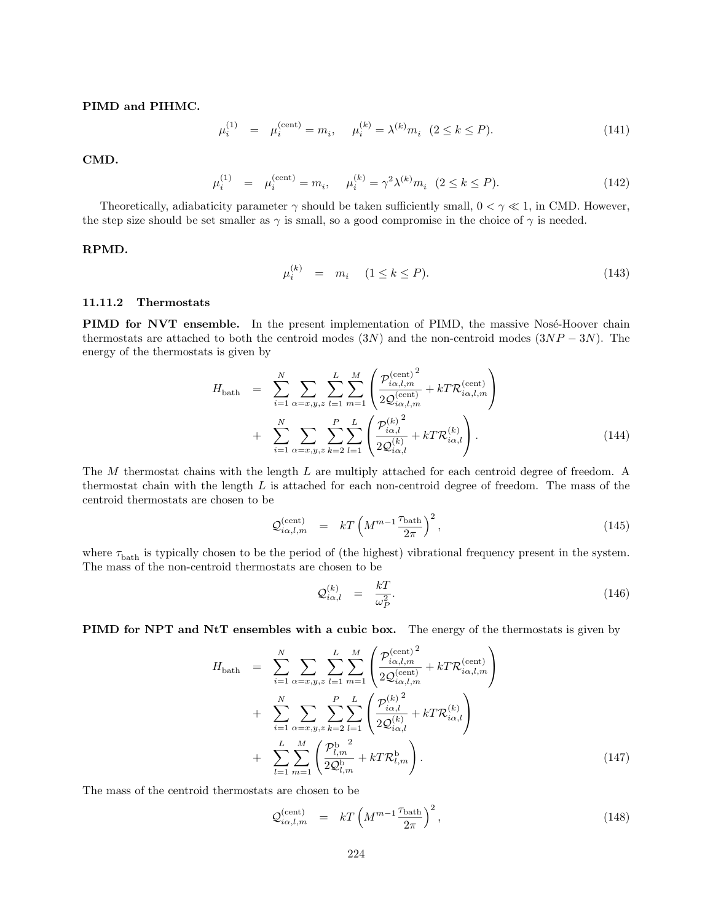#### **PIMD and PIHMC.**

$$
\mu_i^{(1)} = \mu_i^{(cent)} = m_i, \quad \mu_i^{(k)} = \lambda^{(k)} m_i \quad (2 \le k \le P). \tag{141}
$$

**CMD.**

$$
\mu_i^{(1)} = \mu_i^{(\text{cent})} = m_i, \quad \mu_i^{(k)} = \gamma^2 \lambda^{(k)} m_i \quad (2 \le k \le P). \tag{142}
$$

Theoretically, adiabaticity parameter *γ* should be taken sufficiently small, 0 *< γ ≪* 1, in CMD. However, the step size should be set smaller as  $\gamma$  is small, so a good compromise in the choice of  $\gamma$  is needed.

## **RPMD.**

$$
\mu_i^{(k)} = m_i \quad (1 \le k \le P). \tag{143}
$$

## **11.11.2 Thermostats**

**PIMD for NVT ensemble.** In the present implementation of PIMD, the massive Nosé-Hoover chain thermostats are attached to both the centroid modes (3*N*) and the non-centroid modes (3*NP −* 3*N*). The energy of the thermostats is given by

$$
H_{\text{bath}} = \sum_{i=1}^{N} \sum_{\alpha=x,y,z} \sum_{l=1}^{L} \sum_{m=1}^{M} \left( \frac{\mathcal{P}_{i\alpha,l,m}^{(\text{cent})^{2}}}{2\mathcal{Q}_{i\alpha,l,m}^{(\text{cent})}} + kT\mathcal{R}_{i\alpha,l,m}^{(\text{cent})} \right) + \sum_{i=1}^{N} \sum_{\alpha=x,y,z} \sum_{k=2}^{P} \sum_{l=1}^{L} \left( \frac{\mathcal{P}_{i\alpha,l}^{(k)^{2}}}{2\mathcal{Q}_{i\alpha,l}^{(k)}} + kT\mathcal{R}_{i\alpha,l}^{(k)} \right).
$$
(144)

The *M* thermostat chains with the length *L* are multiply attached for each centroid degree of freedom. A thermostat chain with the length *L* is attached for each non-centroid degree of freedom. The mass of the centroid thermostats are chosen to be

$$
\mathcal{Q}_{i\alpha,l,m}^{(\text{cent})} = kT \left( M^{m-1} \frac{\tau_{\text{bath}}}{2\pi} \right)^2, \tag{145}
$$

where  $τ_{\text{bath}}$  is typically chosen to be the period of (the highest) vibrational frequency present in the system. The mass of the non-centroid thermostats are chosen to be

$$
\mathcal{Q}_{i\alpha,l}^{(k)} = \frac{kT}{\omega_P^2}.\tag{146}
$$

**PIMD for NPT and NtT ensembles with a cubic box.** The energy of the thermostats is given by

$$
H_{\text{bath}} = \sum_{i=1}^{N} \sum_{\alpha=x,y,z} \sum_{l=1}^{L} \sum_{m=1}^{M} \left( \frac{\mathcal{P}_{i\alpha,l,m}^{(\text{cent})^{2}}}{2\mathcal{Q}_{i\alpha,l,m}^{(\text{cent})}} + kT\mathcal{R}_{i\alpha,l,m}^{(\text{cent})} \right) + \sum_{i=1}^{N} \sum_{\alpha=x,y,z} \sum_{k=2}^{P} \sum_{l=1}^{L} \left( \frac{\mathcal{P}_{i\alpha,l}^{(k)^{2}}}{2\mathcal{Q}_{i\alpha,l}^{(k)}} + kT\mathcal{R}_{i\alpha,l}^{(k)} \right) + \sum_{l=1}^{L} \sum_{m=1}^{M} \left( \frac{\mathcal{P}_{l,m}^{b^{2}}}{2\mathcal{Q}_{l,m}^{b}} + kT\mathcal{R}_{l,m}^{b} \right).
$$
(147)

The mass of the centroid thermostats are chosen to be

$$
\mathcal{Q}_{i\alpha,l,m}^{(\text{cent})} = kT \left( M^{m-1} \frac{\tau_{\text{bath}}}{2\pi} \right)^2, \tag{148}
$$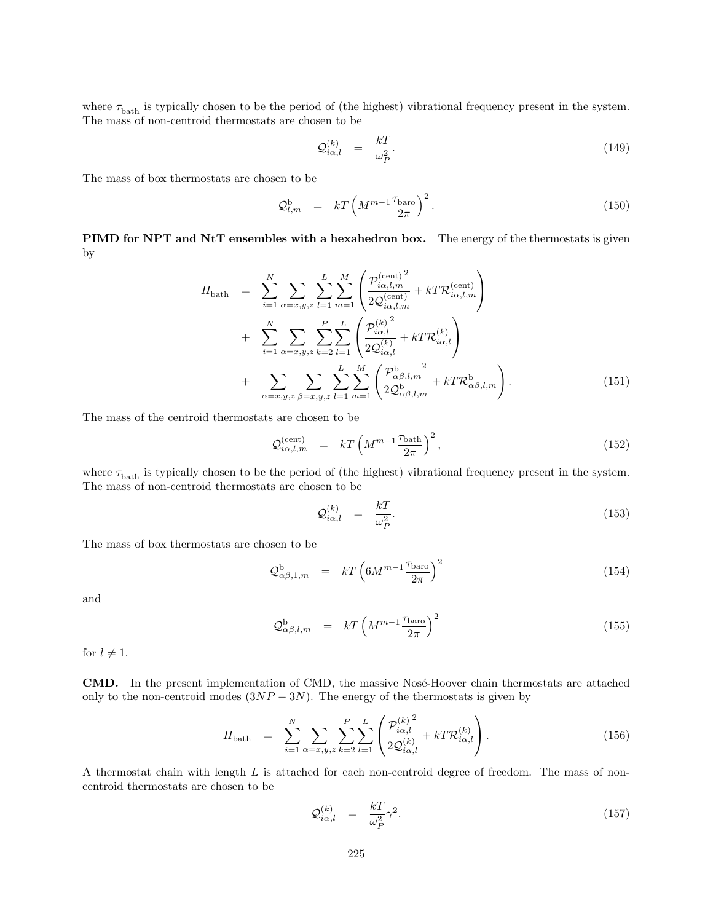where  $\tau_{\text{bath}}$  is typically chosen to be the period of (the highest) vibrational frequency present in the system. The mass of non-centroid thermostats are chosen to be

$$
\mathcal{Q}_{i\alpha,l}^{(k)} = \frac{kT}{\omega_P^2}.
$$
\n(149)

The mass of box thermostats are chosen to be

$$
\mathcal{Q}_{l,m}^{\mathrm{b}} = kT \left( M^{m-1} \frac{\tau_{\mathrm{baro}}}{2\pi} \right)^2.
$$
\n(150)

**PIMD for NPT and NtT ensembles with a hexahedron box.** The energy of the thermostats is given by

$$
H_{\text{bath}} = \sum_{i=1}^{N} \sum_{\alpha=x,y,z} \sum_{l=1}^{L} \sum_{m=1}^{M} \left( \frac{\mathcal{P}_{i\alpha,l,m}^{(\text{cent})^{2}}}{2\mathcal{Q}_{i\alpha,l,m}^{(\text{cent})}} + kT\mathcal{R}_{i\alpha,l,m}^{(\text{cent})} \right) + \sum_{i=1}^{N} \sum_{\alpha=x,y,z} \sum_{k=2}^{P} \sum_{l=1}^{L} \left( \frac{\mathcal{P}_{i\alpha,l}^{(k)}}{2\mathcal{Q}_{i\alpha,l}^{(k)}} + kT\mathcal{R}_{i\alpha,l}^{(k)} \right) + \sum_{\alpha=x,y,z} \sum_{\beta=x,y,z} \sum_{l=1}^{L} \sum_{m=1}^{M} \left( \frac{\mathcal{P}_{\alpha\beta,l,m}^{b}}{2\mathcal{Q}_{\alpha\beta,l,m}^{b}} + kT\mathcal{R}_{\alpha\beta,l,m}^{b} \right).
$$
(151)

The mass of the centroid thermostats are chosen to be

$$
\mathcal{Q}_{i\alpha,l,m}^{(\text{cent})} = kT \left( M^{m-1} \frac{\tau_{\text{bath}}}{2\pi} \right)^2, \tag{152}
$$

where  $\tau_{\rm bath}$  is typically chosen to be the period of (the highest) vibrational frequency present in the system. The mass of non-centroid thermostats are chosen to be

$$
\mathcal{Q}_{i\alpha,l}^{(k)} = \frac{kT}{\omega_P^2}.\tag{153}
$$

The mass of box thermostats are chosen to be

$$
\mathcal{Q}^{\mathbf{b}}_{\alpha\beta,1,m} = kT \left(6M^{m-1} \frac{\tau_{\text{baro}}}{2\pi}\right)^2 \tag{154}
$$

and

$$
\mathcal{Q}^{\mathrm{b}}_{\alpha\beta,l,m} = kT \left( M^{m-1} \frac{\tau_{\mathrm{baro}}}{2\pi} \right)^2 \tag{155}
$$

for  $l \neq 1$ .

**CMD.** In the present implementation of CMD, the massive Nosé-Hoover chain thermostats are attached only to the non-centroid modes  $(3NP – 3N)$ . The energy of the thermostats is given by

$$
H_{\text{bath}} = \sum_{i=1}^{N} \sum_{\alpha=x,y,z} \sum_{k=2}^{P} \sum_{l=1}^{L} \left( \frac{\mathcal{P}_{i\alpha,l}^{(k)}}{2 \mathcal{Q}_{i\alpha,l}^{(k)}} + kT \mathcal{R}_{i\alpha,l}^{(k)} \right).
$$
(156)

A thermostat chain with length *L* is attached for each non-centroid degree of freedom. The mass of noncentroid thermostats are chosen to be

$$
\mathcal{Q}_{i\alpha,l}^{(k)} = \frac{kT}{\omega_P^2} \gamma^2. \tag{157}
$$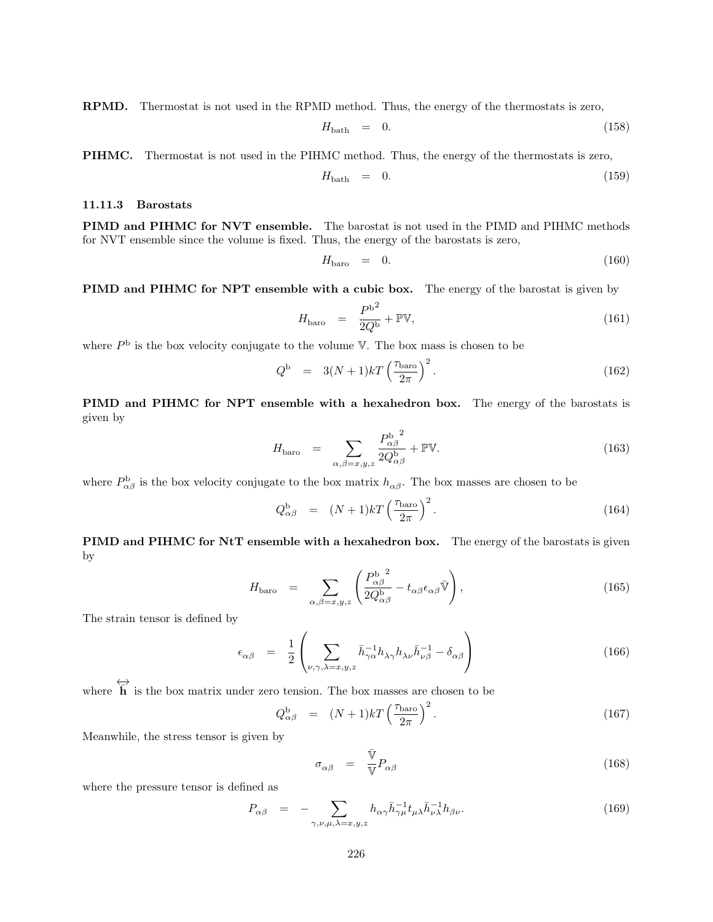**RPMD.** Thermostat is not used in the RPMD method. Thus, the energy of the thermostats is zero,

$$
H_{\text{bath}} = 0. \tag{158}
$$

**PIHMC.** Thermostat is not used in the PIHMC method. Thus, the energy of the thermostats is zero,

$$
H_{\text{bath}} = 0. \tag{159}
$$

#### **11.11.3 Barostats**

**PIMD and PIHMC for NVT ensemble.** The barostat is not used in the PIMD and PIHMC methods for NVT ensemble since the volume is fixed. Thus, the energy of the barostats is zero,

$$
H_{\text{baro}} = 0. \tag{160}
$$

**PIMD and PIHMC for NPT ensemble with a cubic box.** The energy of the barostat is given by

$$
H_{\text{baro}} = \frac{P^{\text{b}^2}}{2Q^{\text{b}}} + \mathbb{PV},\tag{161}
$$

where  $P<sup>b</sup>$  is the box velocity conjugate to the volume  $V$ . The box mass is chosen to be

$$
Q^{\rm b} = 3(N+1)kT\left(\frac{\tau_{\rm baro}}{2\pi}\right)^2.
$$
 (162)

**PIMD and PIHMC for NPT ensemble with a hexahedron box.** The energy of the barostats is given by

$$
H_{\text{baro}} = \sum_{\alpha,\beta=x,y,z} \frac{P_{\alpha\beta}^{b^2}}{2Q_{\alpha\beta}^b} + \mathbb{PV}.
$$
 (163)

where  $P^{\rm b}_{\alpha\beta}$  is the box velocity conjugate to the box matrix  $h_{\alpha\beta}$ . The box masses are chosen to be

$$
Q_{\alpha\beta}^{\mathrm{b}} = (N+1)kT\left(\frac{\tau_{\mathrm{baro}}}{2\pi}\right)^2.
$$
 (164)

**PIMD and PIHMC for NtT ensemble with a hexahedron box.** The energy of the barostats is given by

$$
H_{\text{baro}} = \sum_{\alpha,\beta=x,y,z} \left( \frac{P_{\alpha\beta}^{\text{b}^2}}{2Q_{\alpha\beta}^{\text{b}}} - t_{\alpha\beta} \epsilon_{\alpha\beta} \bar{\mathbb{V}} \right), \tag{165}
$$

The strain tensor is defined by

$$
\epsilon_{\alpha\beta} = \frac{1}{2} \left( \sum_{\nu,\gamma,\lambda=x,y,z} \bar{h}_{\gamma\alpha}^{-1} h_{\lambda\gamma} h_{\lambda\nu} \bar{h}_{\nu\beta}^{-1} - \delta_{\alpha\beta} \right)
$$
(166)

where *←→* **h**¯ is the box matrix under zero tension. The box masses are chosen to be

$$
Q_{\alpha\beta}^{\mathrm{b}} = (N+1)kT\left(\frac{\tau_{\mathrm{baro}}}{2\pi}\right)^2.
$$
 (167)

Meanwhile, the stress tensor is given by

$$
\sigma_{\alpha\beta} = \frac{\bar{\mathbb{V}}}{\mathbb{V}} P_{\alpha\beta} \tag{168}
$$

where the pressure tensor is defined as

$$
P_{\alpha\beta} = - \sum_{\gamma,\nu,\mu,\lambda=x,y,z} h_{\alpha\gamma} \bar{h}_{\gamma\mu}^{-1} t_{\mu\lambda} \bar{h}_{\nu\lambda}^{-1} h_{\beta\nu}.
$$
 (169)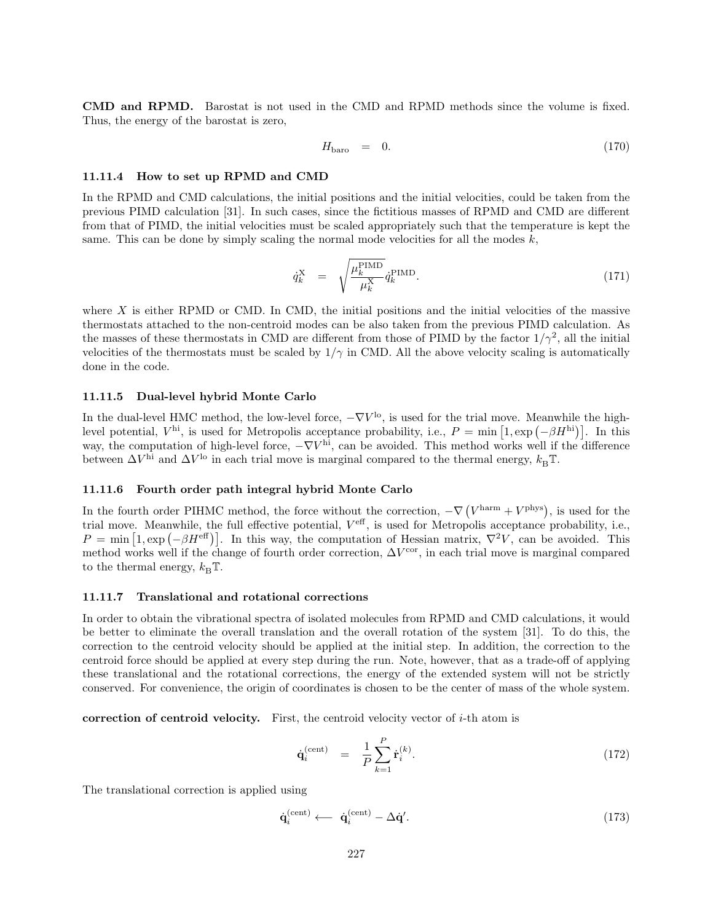**CMD and RPMD.** Barostat is not used in the CMD and RPMD methods since the volume is fixed. Thus, the energy of the barostat is zero,

$$
H_{\text{baro}} = 0. \tag{170}
$$

#### **11.11.4 How to set up RPMD and CMD**

In the RPMD and CMD calculations, the initial positions and the initial velocities, could be taken from the previous PIMD calculation [31]. In such cases, since the fictitious masses of RPMD and CMD are different from that of PIMD, the initial velocities must be scaled appropriately such that the temperature is kept the same. This can be done by simply scaling the normal mode velocities for all the modes *k*,

$$
\dot{q}_k^{\mathbf{X}} = \sqrt{\frac{\mu_k^{\text{PIMD}}}{\mu_k^{\mathbf{X}}}} \dot{q}_k^{\text{PIMD}}.
$$
\n(171)

where  $X$  is either RPMD or CMD. In CMD, the initial positions and the initial velocities of the massive thermostats attached to the non-centroid modes can be also taken from the previous PIMD calculation. As the masses of these thermostats in CMD are different from those of PIMD by the factor  $1/\gamma^2$ , all the initial velocities of the thermostats must be scaled by  $1/\gamma$  in CMD. All the above velocity scaling is automatically done in the code.

#### **11.11.5 Dual-level hybrid Monte Carlo**

In the dual-level HMC method, the low-level force,  $-\nabla V^{\text{lo}}$ , is used for the trial move. Meanwhile the highlevel potential,  $V^{\text{hi}}$ , is used for Metropolis acceptance probability, i.e.,  $P = \min[1, \exp(-\beta H^{\text{hi}})].$  In this way, the computation of high-level force,  $-\nabla V^{\text{hi}}$ , can be avoided. This method works well if the difference between  $\Delta V^{\text{hi}}$  and  $\Delta V^{\text{lo}}$  in each trial move is marginal compared to the thermal energy,  $k_{\text{B}}\mathbb{T}$ .

# **11.11.6 Fourth order path integral hybrid Monte Carlo**

In the fourth order PIHMC method, the force without the correction,  $-\nabla (V^{\text{harm}} + V^{\text{phys}})$ , is used for the trial move. Meanwhile, the full effective potential,  $V^{\text{eff}}$ , is used for Metropolis acceptance probability, i.e.,  $P = \min[1, \exp(-\beta H^{\text{eff}})].$  In this way, the computation of Hessian matrix,  $\nabla^2 V$ , can be avoided. This method works well if the change of fourth order correction,  $\Delta V^{\text{cor}}$ , in each trial move is marginal compared to the thermal energy,  $k_{\text{B}}\mathbb{T}$ .

## **11.11.7 Translational and rotational corrections**

In order to obtain the vibrational spectra of isolated molecules from RPMD and CMD calculations, it would be better to eliminate the overall translation and the overall rotation of the system [31]. To do this, the correction to the centroid velocity should be applied at the initial step. In addition, the correction to the centroid force should be applied at every step during the run. Note, however, that as a trade-off of applying these translational and the rotational corrections, the energy of the extended system will not be strictly conserved. For convenience, the origin of coordinates is chosen to be the center of mass of the whole system.

**correction of centroid velocity.** First, the centroid velocity vector of *i*-th atom is

$$
\dot{\mathbf{q}}_i^{\text{(cent)}} = \frac{1}{P} \sum_{k=1}^P \dot{\mathbf{r}}_i^{(k)}.
$$
\n(172)

The translational correction is applied using

$$
\dot{\mathbf{q}}_i^{\text{(cent)}} \leftarrow \dot{\mathbf{q}}_i^{\text{(cent)}} - \Delta \dot{\mathbf{q}}'. \tag{173}
$$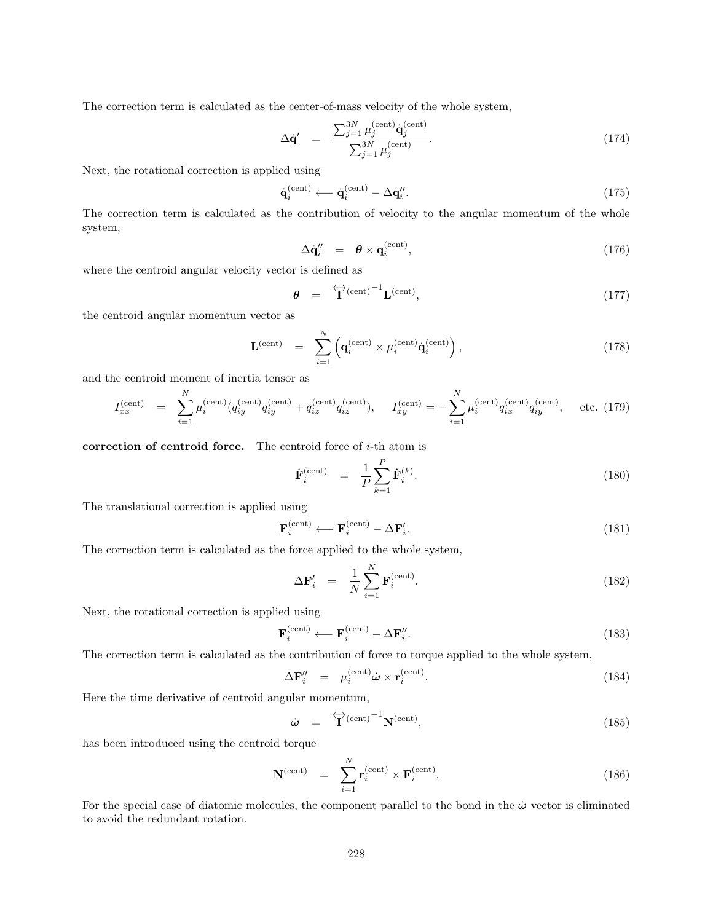The correction term is calculated as the center-of-mass velocity of the whole system,

$$
\Delta \dot{\mathbf{q}}' = \frac{\sum_{j=1}^{3N} \mu_j^{(\text{cent})} \dot{\mathbf{q}}_j^{(\text{cent})}}{\sum_{j=1}^{3N} \mu_j^{(\text{cent})}}.
$$
\n(174)

Next, the rotational correction is applied using

$$
\dot{\mathbf{q}}_i^{(\text{cent})} \longleftarrow \dot{\mathbf{q}}_i^{(\text{cent})} - \Delta \dot{\mathbf{q}}_i''.
$$
\n(175)

The correction term is calculated as the contribution of velocity to the angular momentum of the whole system,

$$
\Delta \dot{\mathbf{q}}_i'' = \boldsymbol{\theta} \times \mathbf{q}_i^{(\text{cent})}, \tag{176}
$$

where the centroid angular velocity vector is defined as

$$
\boldsymbol{\theta} = \mathbf{\hat{I}}^{\text{(cent)}}^{-1} \mathbf{L}^{\text{(cent)}}, \tag{177}
$$

the centroid angular momentum vector as

$$
\mathbf{L}^{\text{(cent)}} = \sum_{i=1}^{N} \left( \mathbf{q}_i^{\text{(cent)}} \times \mu_i^{\text{(cent)}} \dot{\mathbf{q}}_i^{\text{(cent)}} \right), \tag{178}
$$

and the centroid moment of inertia tensor as

$$
I_{xx}^{\text{(cent)}} = \sum_{i=1}^{N} \mu_i^{\text{(cent)}} (q_{iy}^{\text{(cent)}} q_{iy}^{\text{(cent)}} + q_{iz}^{\text{(cent)}} q_{iz}^{\text{(cent)}}), \quad I_{xy}^{\text{(cent)}} = -\sum_{i=1}^{N} \mu_i^{\text{(cent)}} q_{ix}^{\text{(cent)}} q_{iy}^{\text{(cent)}}, \quad \text{etc. (179)}
$$

**correction of centroid force.** The centroid force of *i*-th atom is

$$
\dot{\mathbf{F}}_i^{\text{(cent)}} = \frac{1}{P} \sum_{k=1}^P \dot{\mathbf{F}}_i^{(k)}.
$$
\n(180)

The translational correction is applied using

$$
\mathbf{F}_i^{(\text{cent})} \leftarrow \mathbf{F}_i^{(\text{cent})} - \Delta \mathbf{F}_i'. \tag{181}
$$

The correction term is calculated as the force applied to the whole system,

$$
\Delta \mathbf{F}'_i = \frac{1}{N} \sum_{i=1}^N \mathbf{F}_i^{\text{(cent)}}.
$$
\n(182)

Next, the rotational correction is applied using

$$
\mathbf{F}_i^{\text{(cent)}} \leftarrow \mathbf{F}_i^{\text{(cent)}} - \Delta \mathbf{F}_i^{\prime\prime}.\tag{183}
$$

The correction term is calculated as the contribution of force to torque applied to the whole system,

$$
\Delta \mathbf{F}_i'' = \mu_i^{(\text{cent})} \dot{\boldsymbol{\omega}} \times \mathbf{r}_i^{(\text{cent})}.
$$
 (184)

Here the time derivative of centroid angular momentum,

$$
\dot{\boldsymbol{\omega}} = \overleftrightarrow{\mathbf{I}}^{\text{(cent)}}^{-1} \mathbf{N}^{\text{(cent)}}, \tag{185}
$$

has been introduced using the centroid torque

$$
\mathbf{N}^{\text{(cent)}} = \sum_{i=1}^{N} \mathbf{r}_i^{\text{(cent)}} \times \mathbf{F}_i^{\text{(cent)}}.
$$
 (186)

For the special case of diatomic molecules, the component parallel to the bond in the *ω*˙ vector is eliminated to avoid the redundant rotation.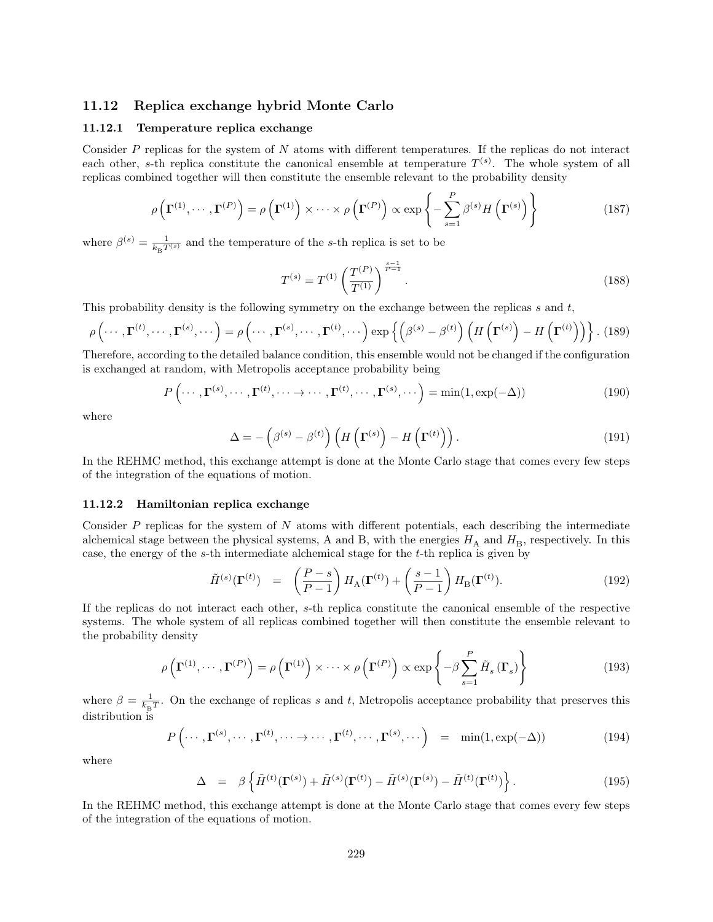## **11.12 Replica exchange hybrid Monte Carlo**

## **11.12.1 Temperature replica exchange**

Consider *P* replicas for the system of *N* atoms with different temperatures. If the replicas do not interact each other, *s*-th replica constitute the canonical ensemble at temperature  $T^{(s)}$ . The whole system of all replicas combined together will then constitute the ensemble relevant to the probability density

$$
\rho\left(\mathbf{\Gamma}^{(1)},\cdots,\mathbf{\Gamma}^{(P)}\right) = \rho\left(\mathbf{\Gamma}^{(1)}\right) \times \cdots \times \rho\left(\mathbf{\Gamma}^{(P)}\right) \propto \exp\left\{-\sum_{s=1}^{P} \beta^{(s)} H\left(\mathbf{\Gamma}^{(s)}\right)\right\} \tag{187}
$$

where  $\beta^{(s)} = \frac{1}{k_B T^{(s)}}$  and the temperature of the *s*-th replica is set to be

$$
T^{(s)} = T^{(1)} \left(\frac{T^{(P)}}{T^{(1)}}\right)^{\frac{s-1}{P-1}}.\tag{188}
$$

This probability density is the following symmetry on the exchange between the replicas *s* and *t*,

$$
\rho\left(\cdots,\mathbf{\Gamma}^{(t)},\cdots,\mathbf{\Gamma}^{(s)},\cdots\right)=\rho\left(\cdots,\mathbf{\Gamma}^{(s)},\cdots,\mathbf{\Gamma}^{(t)},\cdots\right)\exp\left\{\left(\beta^{(s)}-\beta^{(t)}\right)\left(H\left(\mathbf{\Gamma}^{(s)}\right)-H\left(\mathbf{\Gamma}^{(t)}\right)\right)\right\}.\tag{189}
$$

Therefore, according to the detailed balance condition, this ensemble would not be changed if the configuration is exchanged at random, with Metropolis acceptance probability being

$$
P\left(\cdots,\Gamma^{(s)},\cdots,\Gamma^{(t)},\cdots\to\cdots,\Gamma^{(t)},\cdots,\Gamma^{(s)},\cdots\right)=\min(1,\exp(-\Delta))\tag{190}
$$

where

$$
\Delta = -\left(\beta^{(s)} - \beta^{(t)}\right) \left(H\left(\mathbf{\Gamma}^{(s)}\right) - H\left(\mathbf{\Gamma}^{(t)}\right)\right). \tag{191}
$$

In the REHMC method, this exchange attempt is done at the Monte Carlo stage that comes every few steps of the integration of the equations of motion.

## **11.12.2 Hamiltonian replica exchange**

Consider *P* replicas for the system of *N* atoms with different potentials, each describing the intermediate alchemical stage between the physical systems, A and B, with the energies  $H_A$  and  $H_B$ , respectively. In this case, the energy of the *s*-th intermediate alchemical stage for the *t*-th replica is given by

$$
\tilde{H}^{(s)}(\mathbf{\Gamma}^{(t)}) = \left(\frac{P-s}{P-1}\right) H_{\mathbf{A}}(\mathbf{\Gamma}^{(t)}) + \left(\frac{s-1}{P-1}\right) H_{\mathbf{B}}(\mathbf{\Gamma}^{(t)}).
$$
\n(192)

If the replicas do not interact each other, *s*-th replica constitute the canonical ensemble of the respective systems. The whole system of all replicas combined together will then constitute the ensemble relevant to the probability density

$$
\rho\left(\mathbf{\Gamma}^{(1)},\cdots,\mathbf{\Gamma}^{(P)}\right) = \rho\left(\mathbf{\Gamma}^{(1)}\right) \times \cdots \times \rho\left(\mathbf{\Gamma}^{(P)}\right) \propto \exp\left\{-\beta \sum_{s=1}^{P} \tilde{H}_s\left(\mathbf{\Gamma}_s\right)\right\} \tag{193}
$$

where  $\beta = \frac{1}{k_B T}$ . On the exchange of replicas *s* and *t*, Metropolis acceptance probability that preserves this distribution is

$$
P\left(\cdots,\mathbf{\Gamma}^{(s)},\cdots,\mathbf{\Gamma}^{(t)},\cdots\to\cdots,\mathbf{\Gamma}^{(t)},\cdots,\mathbf{\Gamma}^{(s)},\cdots\right) = \min(1,\exp(-\Delta))
$$
 (194)

where

$$
\Delta = \beta \left\{ \tilde{H}^{(t)}(\mathbf{\Gamma}^{(s)}) + \tilde{H}^{(s)}(\mathbf{\Gamma}^{(t)}) - \tilde{H}^{(s)}(\mathbf{\Gamma}^{(s)}) - \tilde{H}^{(t)}(\mathbf{\Gamma}^{(t)}) \right\}.
$$
\n(195)

In the REHMC method, this exchange attempt is done at the Monte Carlo stage that comes every few steps of the integration of the equations of motion.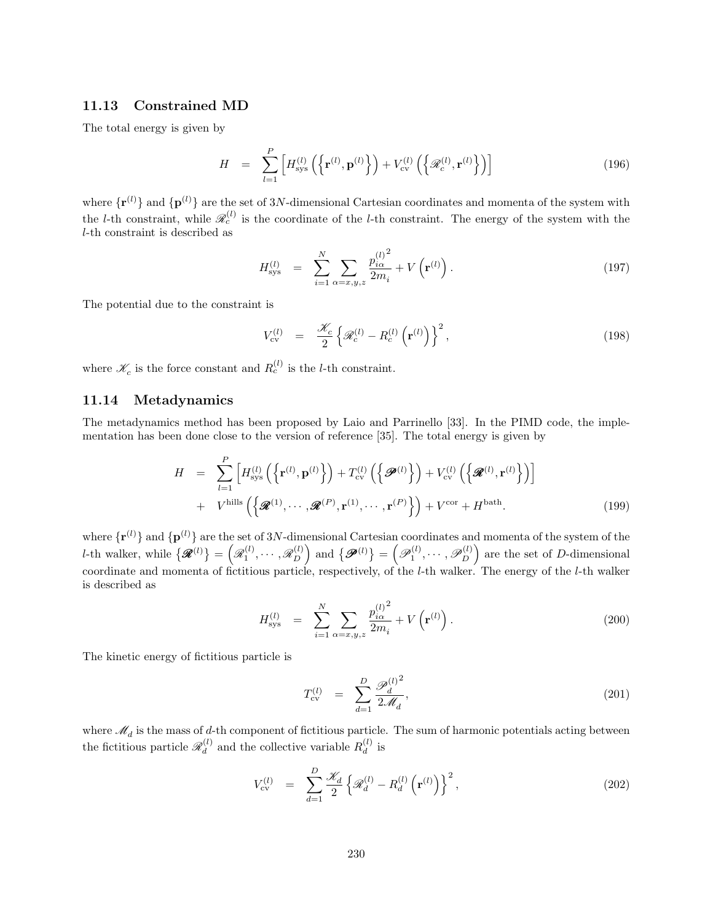# **11.13 Constrained MD**

The total energy is given by

$$
H = \sum_{l=1}^{P} \left[ H_{\text{sys}}^{(l)} \left( \left\{ \mathbf{r}^{(l)}, \mathbf{p}^{(l)} \right\} \right) + V_{\text{cv}}^{(l)} \left( \left\{ \mathcal{R}_c^{(l)}, \mathbf{r}^{(l)} \right\} \right) \right]
$$
(196)

where  ${\{\mathbf{r}^{(l)}\}}$  and  ${\{\mathbf{p}^{(l)}\}}$  are the set of 3*N*-dimensional Cartesian coordinates and momenta of the system with the *l*-th constraint, while  $\mathcal{R}_c^{(l)}$  is the coordinate of the *l*-th constraint. The energy of the system with the *l*-th constraint is described as

$$
H_{\text{sys}}^{(l)} = \sum_{i=1}^{N} \sum_{\alpha=x,y,z} \frac{p_{i\alpha}^{(l)^2}}{2m_i} + V\left(\mathbf{r}^{(l)}\right). \tag{197}
$$

The potential due to the constraint is

$$
V_{\text{cv}}^{(l)} = \frac{\mathscr{K}_c}{2} \left\{ \mathscr{R}_c^{(l)} - R_c^{(l)} \left( \mathbf{r}^{(l)} \right) \right\}^2, \tag{198}
$$

where  $\mathscr{K}_c$  is the force constant and  $R_c^{(l)}$  is the *l*-th constraint.

# **11.14 Metadynamics**

The metadynamics method has been proposed by Laio and Parrinello [33]. In the PIMD code, the implementation has been done close to the version of reference [35]. The total energy is given by

$$
H = \sum_{l=1}^{P} \left[ H_{\text{sys}}^{(l)} \left( \left\{ \mathbf{r}^{(l)}, \mathbf{p}^{(l)} \right\} \right) + T_{\text{cv}}^{(l)} \left( \left\{ \boldsymbol{\mathcal{P}}^{(l)} \right\} \right) + V_{\text{cv}}^{(l)} \left( \left\{ \boldsymbol{\mathcal{R}}^{(l)}, \mathbf{r}^{(l)} \right\} \right) \right] + V_{\text{hills}}^{hills} \left( \left\{ \boldsymbol{\mathcal{R}}^{(1)}, \cdots, \boldsymbol{\mathcal{R}}^{(P)}, \mathbf{r}^{(1)}, \cdots, \mathbf{r}^{(P)} \right\} \right) + V_{\text{cor}} + H_{\text{bath}}.
$$
\n(199)

where  $\{\mathbf{r}^{(l)}\}$  and  $\{\mathbf{p}^{(l)}\}$  are the set of 3*N*-dimensional Cartesian coordinates and momenta of the system of the *l*-th walker, while  $\{\mathscr{R}^{(l)}\} = \left(\mathscr{R}^{(l)}_{1}, \cdots, \mathscr{R}^{(l)}_{D}\right)$  $\left\{\mathcal{P}^{(l)}\right\} = \left(\mathcal{P}^{(l)}_1, \cdots, \mathcal{P}^{(l)}_D\right)$  $\binom{D}{D}$  are the set of *D*-dimensional coordinate and momenta of fictitious particle, respectively, of the *l*-th walker. The energy of the *l*-th walker is described as

$$
H_{\text{sys}}^{(l)} = \sum_{i=1}^{N} \sum_{\alpha=x,y,z} \frac{p_{i\alpha}^{(l)^2}}{2m_i} + V\left(\mathbf{r}^{(l)}\right). \tag{200}
$$

The kinetic energy of fictitious particle is

$$
T_{\rm cv}^{(l)} = \sum_{d=1}^{D} \frac{\mathcal{P}_d^{(l)^2}}{2\mathcal{M}_d},\tag{201}
$$

where  $\mathcal{M}_d$  is the mass of *d*-th component of fictitious particle. The sum of harmonic potentials acting between the fictitious particle  $\mathscr{R}_d^{(l)}$  $a_d^{(l)}$  and the collective variable  $R_d^{(l)}$  $\frac{u}{d}$  is

$$
V_{\text{cv}}^{(l)} = \sum_{d=1}^{D} \frac{\mathcal{K}_d}{2} \left\{ \mathcal{R}_d^{(l)} - R_d^{(l)} \left( \mathbf{r}^{(l)} \right) \right\}^2, \tag{202}
$$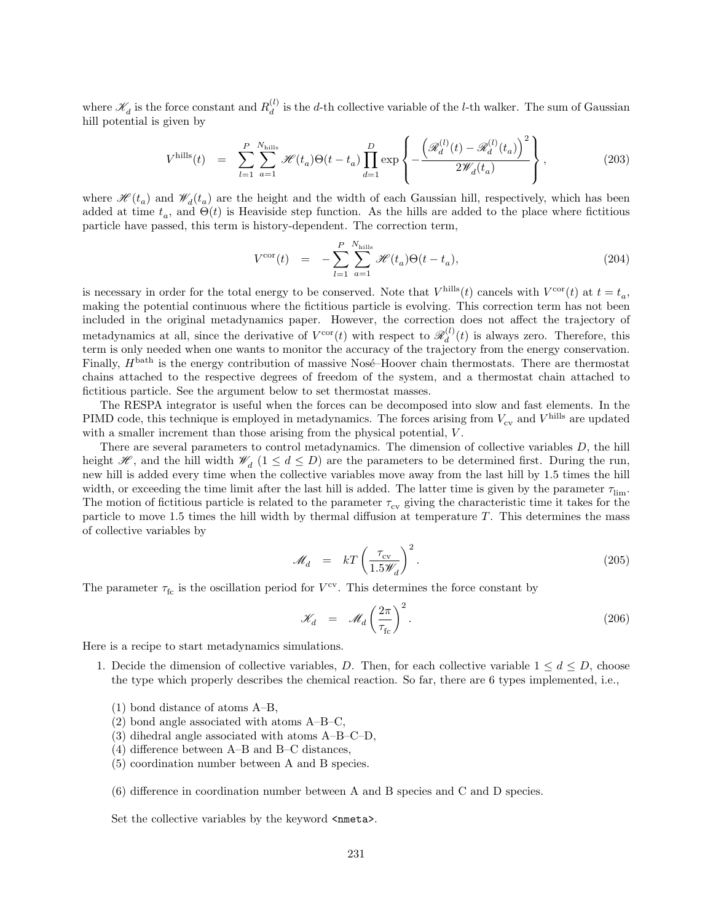where  $\mathscr{K}_d$  is the force constant and  $R_d^{(l)}$  $\frac{d}{d}$  is the *d*-th collective variable of the *l*-th walker. The sum of Gaussian hill potential is given by

$$
V^{\text{hills}}(t) = \sum_{l=1}^{P} \sum_{a=1}^{N_{\text{hills}}} \mathcal{H}(t_a) \Theta(t - t_a) \prod_{d=1}^{D} \exp\left\{-\frac{\left(\mathcal{R}_d^{(l)}(t) - \mathcal{R}_d^{(l)}(t_a)\right)^2}{2\mathcal{W}_d(t_a)}\right\},\tag{203}
$$

where  $\mathscr{H}(t_a)$  and  $\mathscr{W}_d(t_a)$  are the height and the width of each Gaussian hill, respectively, which has been added at time  $t_a$ , and  $\Theta(t)$  is Heaviside step function. As the hills are added to the place where fictitious particle have passed, this term is history-dependent. The correction term,

$$
V^{\text{cor}}(t) = -\sum_{l=1}^{P} \sum_{a=1}^{N_{\text{hills}}} \mathcal{H}(t_a) \Theta(t - t_a), \qquad (204)
$$

is necessary in order for the total energy to be conserved. Note that  $V^{\text{hills}}(t)$  cancels with  $V^{\text{cor}}(t)$  at  $t = t_a$ , making the potential continuous where the fictitious particle is evolving. This correction term has not been included in the original metadynamics paper. However, the correction does not affect the trajectory of metadynamics at all, since the derivative of  $V^{\text{cor}}(t)$  with respect to  $\mathscr{R}_d^{(l)}$  $d_d^{(t)}(t)$  is always zero. Therefore, this term is only needed when one wants to monitor the accuracy of the trajectory from the energy conservation. Finally,  $H^{\text{bath}}$  is the energy contribution of massive Nosé–Hoover chain thermostats. There are thermostat chains attached to the respective degrees of freedom of the system, and a thermostat chain attached to fictitious particle. See the argument below to set thermostat masses.

The RESPA integrator is useful when the forces can be decomposed into slow and fast elements. In the PIMD code, this technique is employed in metadynamics. The forces arising from  $V_{\text{cv}}$  and  $V^{\text{hills}}$  are updated with a smaller increment than those arising from the physical potential,  $V$ .

There are several parameters to control metadynamics. The dimension of collective variables *D*, the hill height  $\mathscr{H}$ , and the hill width  $\mathscr{W}_d$  ( $1 \leq d \leq D$ ) are the parameters to be determined first. During the run, new hill is added every time when the collective variables move away from the last hill by 1.5 times the hill width, or exceeding the time limit after the last hill is added. The latter time is given by the parameter  $\tau_{\text{lim}}$ . The motion of fictitious particle is related to the parameter  $\tau_{cv}$  giving the characteristic time it takes for the particle to move 1.5 times the hill width by thermal diffusion at temperature *T*. This determines the mass of collective variables by

$$
\mathcal{M}_d = kT \left( \frac{\tau_{\text{cv}}}{1.5 \mathcal{W}_d} \right)^2.
$$
\n(205)

The parameter  $\tau_{\text{fc}}$  is the oscillation period for  $V^{\text{cv}}$ . This determines the force constant by

$$
\mathcal{K}_d = \mathcal{M}_d \left(\frac{2\pi}{\tau_{\text{fc}}}\right)^2.
$$
\n(206)

Here is a recipe to start metadynamics simulations.

- 1. Decide the dimension of collective variables, *D*. Then, for each collective variable  $1 \leq d \leq D$ , choose the type which properly describes the chemical reaction. So far, there are 6 types implemented, i.e.,
	- (1) bond distance of atoms A–B,
	- (2) bond angle associated with atoms A–B–C,
	- (3) dihedral angle associated with atoms A–B–C–D,
	- (4) difference between A–B and B–C distances,
	- (5) coordination number between A and B species.

(6) difference in coordination number between A and B species and C and D species.

Set the collective variables by the keyword  $\epsilon$ nmeta>.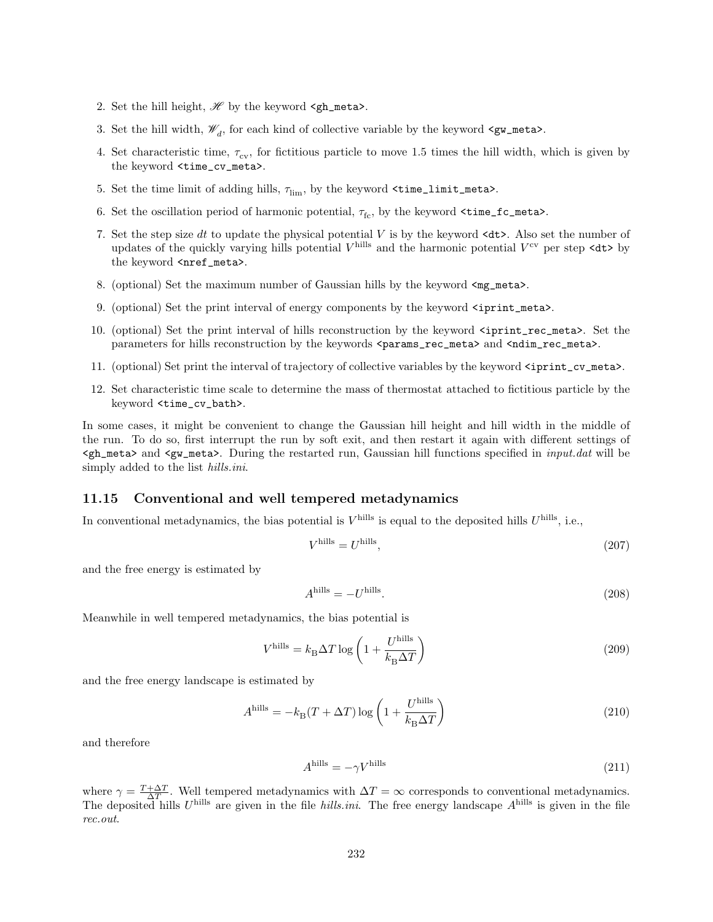- 2. Set the hill height,  $\mathcal H$  by the keyword  $\leq$ gh\_meta>.
- 3. Set the hill width,  $\mathscr{W}_d$ , for each kind of collective variable by the keyword  $\langle g \mathbf{w}_{\perp} \mathbf{m} \mathbf{e} \mathbf{t} \mathbf{a} \rangle$ .
- 4. Set characteristic time,  $\tau_{\rm cv}$ , for fictitious particle to move 1.5 times the hill width, which is given by the keyword <time\_cv\_meta>.
- 5. Set the time limit of adding hills,  $\tau_{\text{lim}}$ , by the keyword  $\text{time\_limit\_meta>}$ .
- 6. Set the oscillation period of harmonic potential,  $\tau_{\text{fc}}$ , by the keyword  $\texttt{time\_fc\_meta>}$ .
- 7. Set the step size *dt* to update the physical potential *V* is by the keyword <dt>. Also set the number of updates of the quickly varying hills potential  $V^{\text{hills}}$  and the harmonic potential  $V^{\text{cv}}$  per step  $\text{tdt}$  by the keyword <nref\_meta>.
- 8. (optional) Set the maximum number of Gaussian hills by the keyword  $\langle mg\_meta \rangle$ .
- 9. (optional) Set the print interval of energy components by the keyword  $\langle$ iprint\_meta>.
- 10. (optional) Set the print interval of hills reconstruction by the keyword <iprint\_rec\_meta>. Set the parameters for hills reconstruction by the keywords <params\_rec\_meta> and <ndim\_rec\_meta>.
- 11. (optional) Set print the interval of trajectory of collective variables by the keyword  $\epsilon$ iprint\_cv\_meta>.
- 12. Set characteristic time scale to determine the mass of thermostat attached to fictitious particle by the keyword <time\_cv\_bath>.

In some cases, it might be convenient to change the Gaussian hill height and hill width in the middle of the run. To do so, first interrupt the run by soft exit, and then restart it again with different settings of <gh\_meta> and <gw\_meta>. During the restarted run, Gaussian hill functions specified in *input.dat* will be simply added to the list *hills.ini*.

# **11.15 Conventional and well tempered metadynamics**

In conventional metadynamics, the bias potential is  $V^{\text{hills}}$  is equal to the deposited hills  $U^{\text{hills}}$ , i.e.,

$$
V^{\text{hills}} = U^{\text{hills}},\tag{207}
$$

and the free energy is estimated by

$$
Ahills = -Uhills.
$$
\n(208)

Meanwhile in well tempered metadynamics, the bias potential is

$$
V^{\text{hills}} = k_{\text{B}} \Delta T \log \left( 1 + \frac{U^{\text{hills}}}{k_{\text{B}} \Delta T} \right) \tag{209}
$$

and the free energy landscape is estimated by

$$
Ahills = -kB(T + \Delta T) \log \left( 1 + \frac{Uhills}{kB\Delta T} \right)
$$
 (210)

and therefore

$$
Ahills = -\gamma Vhills
$$
\n(211)

where  $\gamma = \frac{T + \Delta T}{\Delta T}$ . Well tempered metadynamics with  $\Delta T = \infty$  corresponds to conventional metadynamics. The deposited hills U<sup>hills</sup> are given in the file *hills.ini*. The free energy landscape A<sup>hills</sup> is given in the file *rec.out*.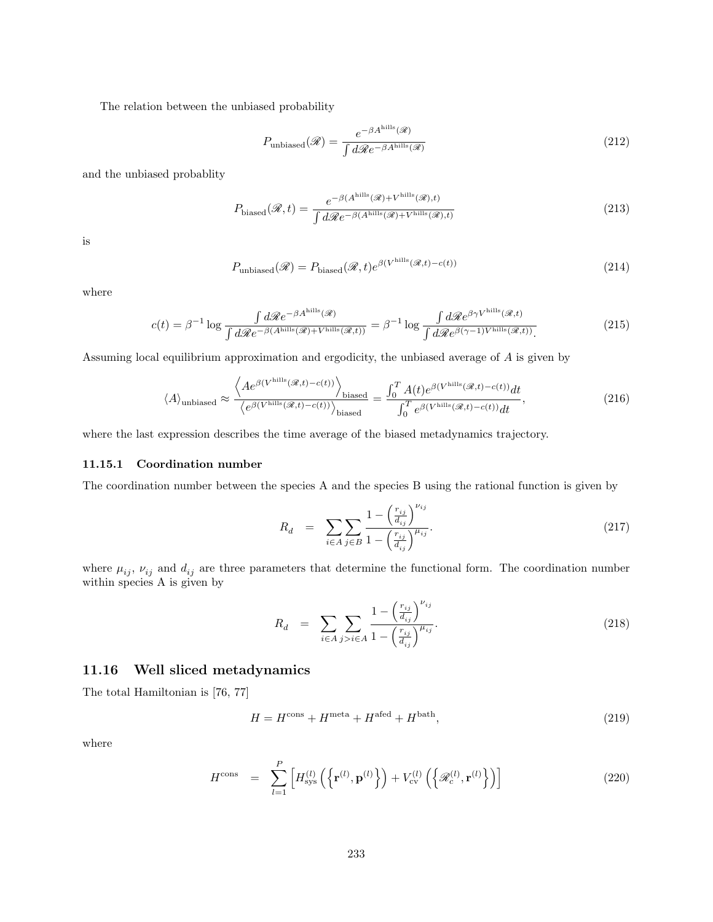The relation between the unbiased probability

$$
P_{\text{unbiased}}(\mathcal{R}) = \frac{e^{-\beta A^{\text{hills}}(\mathcal{R})}}{\int d\mathcal{R}e^{-\beta A^{\text{hills}}(\mathcal{R})}}
$$
(212)

and the unbiased probablity

$$
P_{\text{biased}}(\mathcal{R},t) = \frac{e^{-\beta(A^{\text{hills}}(\mathcal{R}) + V^{\text{hills}}(\mathcal{R}),t)}}{\int d\mathcal{R}e^{-\beta(A^{\text{hills}}(\mathcal{R}) + V^{\text{hills}}(\mathcal{R}),t)}}
$$
(213)

is

$$
P_{\text{unbiased}}(\mathcal{R}) = P_{\text{biased}}(\mathcal{R}, t) e^{\beta(V^{\text{hills}}(\mathcal{R}, t) - c(t))}
$$
\n(214)

where

$$
c(t) = \beta^{-1} \log \frac{\int d\mathcal{R}e^{-\beta A^{\text{hills}}(\mathcal{R})}}{\int d\mathcal{R}e^{-\beta (A^{\text{hills}}(\mathcal{R}) + V^{\text{hills}}(\mathcal{R}, t))}} = \beta^{-1} \log \frac{\int d\mathcal{R}e^{\beta \gamma V^{\text{hills}}(\mathcal{R}, t)}}{\int d\mathcal{R}e^{\beta (\gamma - 1) V^{\text{hills}}(\mathcal{R}, t))}}.
$$
(215)

Assuming local equilibrium approximation and ergodicity, the unbiased average of *A* is given by

$$
\langle A \rangle_{\text{unbiased}} \approx \frac{\left\langle Ae^{\beta(V^{\text{hills}}(\mathcal{R},t) - c(t))}\right\rangle_{\text{biased}}}{\left\langle e^{\beta(V^{\text{hills}}(\mathcal{R},t) - c(t))}\right\rangle_{\text{biased}}} = \frac{\int_0^T A(t)e^{\beta(V^{\text{hills}}(\mathcal{R},t) - c(t))}dt}{\int_0^T e^{\beta(V^{\text{hills}}(\mathcal{R},t) - c(t))}dt},\tag{216}
$$

where the last expression describes the time average of the biased metadynamics trajectory.

#### **11.15.1 Coordination number**

The coordination number between the species A and the species B using the rational function is given by

$$
R_d = \sum_{i \in A} \sum_{j \in B} \frac{1 - \left(\frac{r_{ij}}{d_{ij}}\right)^{\nu_{ij}}}{1 - \left(\frac{r_{ij}}{d_{ij}}\right)^{\mu_{ij}}}.
$$
\n(217)

where  $\mu_{ij}$ ,  $\nu_{ij}$  and  $d_{ij}$  are three parameters that determine the functional form. The coordination number within species A is given by

$$
R_d = \sum_{i \in A} \sum_{j>i \in A} \frac{1 - \left(\frac{r_{ij}}{d_{ij}}\right)^{\nu_{ij}}}{1 - \left(\frac{r_{ij}}{d_{ij}}\right)^{\mu_{ij}}}.
$$
\n(218)

# **11.16 Well sliced metadynamics**

The total Hamiltonian is [76, 77]

$$
H = H^{\text{cons}} + H^{\text{meta}} + H^{\text{afed}} + H^{\text{bath}},\tag{219}
$$

where

$$
H^{\text{cons}} = \sum_{l=1}^{P} \left[ H_{\text{sys}}^{(l)} \left( \left\{ \mathbf{r}^{(l)}, \mathbf{p}^{(l)} \right\} \right) + V_{\text{cv}}^{(l)} \left( \left\{ \mathcal{R}_c^{(l)}, \mathbf{r}^{(l)} \right\} \right) \right]
$$
(220)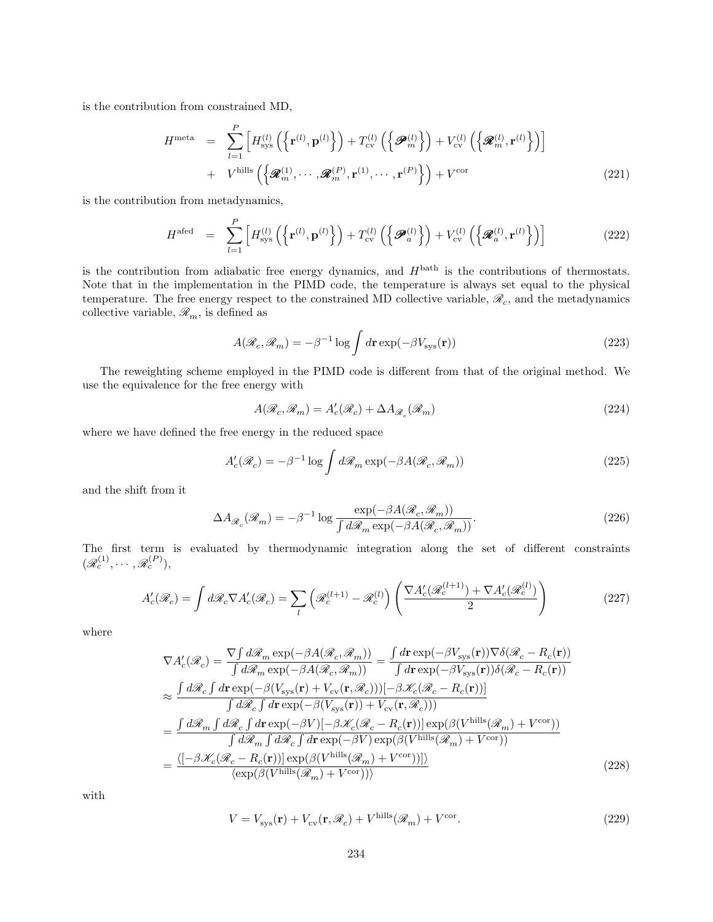is the contribution from constrained MD,

$$
H^{\text{meta}} = \sum_{l=1}^{P} \left[ H_{\text{sys}}^{(l)} \left( \left\{ \mathbf{r}^{(l)}, \mathbf{p}^{(l)} \right\} \right) + T_{\text{cv}}^{(l)} \left( \left\{ \boldsymbol{\mathcal{P}}_{m}^{(l)} \right\} \right) + V_{\text{cv}}^{(l)} \left( \left\{ \boldsymbol{\mathcal{R}}_{m}^{(l)}, \mathbf{r}^{(l)} \right\} \right) \right] + V_{\text{bills}}^{h}
$$
  
+  $V_{\text{hills}} \left( \left\{ \boldsymbol{\mathcal{R}}_{m}^{(1)}, \cdots, \boldsymbol{\mathcal{R}}_{m}^{(P)}, \mathbf{r}^{(1)}, \cdots, \mathbf{r}^{(P)} \right\} \right) + V_{\text{cor}}$  (221)

is the contribution from metadynamics,

$$
H^{\text{afed}} = \sum_{l=1}^{P} \left[ H_{\text{sys}}^{(l)} \left( \left\{ \mathbf{r}^{(l)}, \mathbf{p}^{(l)} \right\} \right) + T_{\text{cv}}^{(l)} \left( \left\{ \boldsymbol{\mathcal{P}}_{a}^{(l)} \right\} \right) + V_{\text{cv}}^{(l)} \left( \left\{ \boldsymbol{\mathcal{R}}_{a}^{(l)}, \mathbf{r}^{(l)} \right\} \right) \right]
$$
(222)

is the contribution from adiabatic free energy dynamics, and  $H<sup>bath</sup>$  is the contributions of thermostats. Note that in the implementation in the PIMD code, the temperature is always set equal to the physical temperature. The free energy respect to the constrained MD collective variable, *R<sup>c</sup>* , and the metadynamics collective variable,  $\mathcal{R}_m$ , is defined as

$$
A(\mathcal{R}_c, \mathcal{R}_m) = -\beta^{-1} \log \int d\mathbf{r} \exp(-\beta V_{\rm sys}(\mathbf{r})) \tag{223}
$$

The reweighting scheme employed in the PIMD code is different from that of the original method. We use the equivalence for the free energy with

$$
A(\mathcal{R}_c, \mathcal{R}_m) = A_c'(\mathcal{R}_c) + \Delta A_{\mathcal{R}_c}(\mathcal{R}_m)
$$
\n(224)

where we have defined the free energy in the reduced space

$$
A_c'(\mathcal{R}_c) = -\beta^{-1} \log \int d\mathcal{R}_m \exp(-\beta A(\mathcal{R}_c, \mathcal{R}_m))
$$
\n(225)

and the shift from it

$$
\Delta A_{\mathcal{R}_c}(\mathcal{R}_m) = -\beta^{-1} \log \frac{\exp(-\beta A(\mathcal{R}_c, \mathcal{R}_m))}{\int d\mathcal{R}_m \exp(-\beta A(\mathcal{R}_c, \mathcal{R}_m))}.
$$
\n(226)

The first term is evaluated by thermodynamic integration along the set of different constraints  $(\mathscr{R}_c^{(1)}, \cdots, \mathscr{R}_c^{(P)}),$ 

$$
A_c'(\mathcal{R}_c) = \int d\mathcal{R}_c \nabla A_c'(\mathcal{R}_c) = \sum_l \left( \mathcal{R}_c^{(l+1)} - \mathcal{R}_c^{(l)} \right) \left( \frac{\nabla A_c'(\mathcal{R}_c^{(l+1)}) + \nabla A_c'(\mathcal{R}_c^{(l)})}{2} \right)
$$
(227)

where

$$
\nabla A_c'(\mathcal{R}_c) = \frac{\nabla \int d\mathcal{R}_m \exp(-\beta A(\mathcal{R}_c, \mathcal{R}_m))}{\int d\mathcal{R}_m \exp(-\beta A(\mathcal{R}_c, \mathcal{R}_m))} = \frac{\int d\mathbf{r} \exp(-\beta V_{\rm sys}(\mathbf{r})) \nabla \delta(\mathcal{R}_c - R_c(\mathbf{r}))}{\int d\mathbf{r} \exp(-\beta V_{\rm sys}(\mathbf{r})) \delta(\mathcal{R}_c - R_c(\mathbf{r}))}
$$
  
\n
$$
\approx \frac{\int d\mathcal{R}_c \int d\mathbf{r} \exp(-\beta (V_{\rm sys}(\mathbf{r}) + V_{\rm cv}(\mathbf{r}, \mathcal{R}_c)))[-\beta \mathcal{K}_c(\mathcal{R}_c - R_c(\mathbf{r}))]}{\int d\mathcal{R}_c \int d\mathbf{r} \exp(-\beta (V_{\rm sys}(\mathbf{r})) + V_{\rm cv}(\mathbf{r}, \mathcal{R}_c)))}
$$
  
\n
$$
= \frac{\int d\mathcal{R}_m \int d\mathcal{R}_c \int d\mathbf{r} \exp(-\beta V)[-\beta \mathcal{K}_c(\mathcal{R}_c - R_c(\mathbf{r}))] \exp(\beta (V^{\rm {hills}}(\mathcal{R}_m) + V^{\rm cor}))}{\int d\mathcal{R}_m \int d\mathcal{R}_c \int d\mathbf{r} \exp(-\beta V) \exp(\beta (V^{\rm {hills}}(\mathcal{R}_m) + V^{\rm cor}))}
$$
  
\n
$$
= \frac{\langle [-\beta \mathcal{K}_c(\mathcal{R}_c - R_c(\mathbf{r}))] \exp(\beta (V^{\rm {hills}}(\mathcal{R}_m) + V^{\rm cor}))]}{\langle \exp(\beta (V^{\rm {hills}}(\mathcal{R}_m) + V^{\rm cor})) \rangle}
$$
(228)

with

$$
V = V_{\rm sys}(\mathbf{r}) + V_{\rm cv}(\mathbf{r}, \mathcal{R}_c) + V^{\rm hills}(\mathcal{R}_m) + V^{\rm cor}.\tag{229}
$$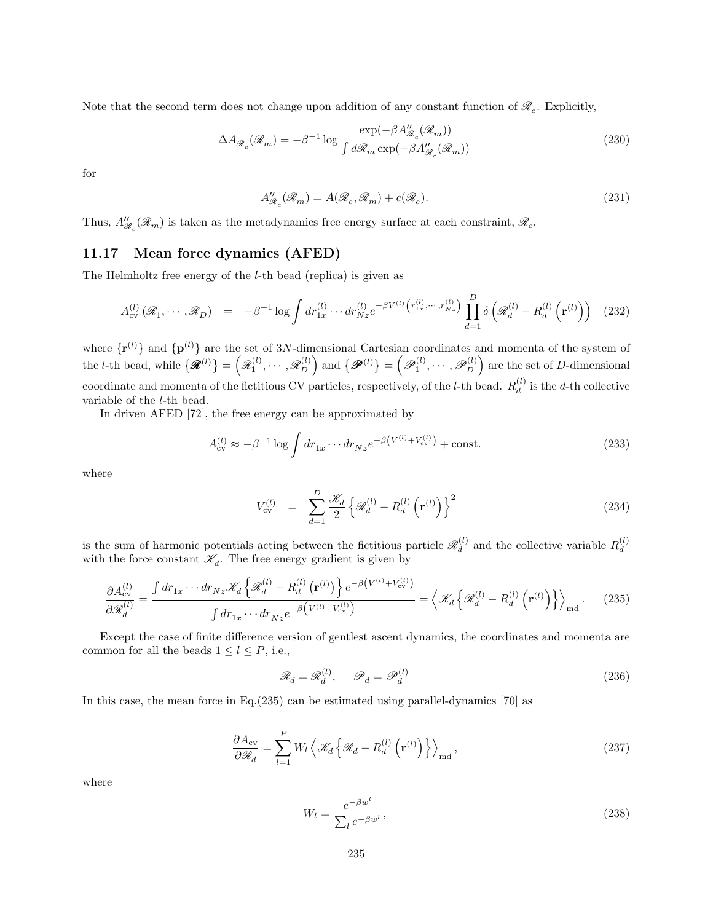Note that the second term does not change upon addition of any constant function of *R<sup>c</sup>* . Explicitly,

$$
\Delta A_{\mathcal{R}_c}(\mathcal{R}_m) = -\beta^{-1} \log \frac{\exp(-\beta A_{\mathcal{R}_c}''(\mathcal{R}_m))}{\int d\mathcal{R}_m \exp(-\beta A_{\mathcal{R}_c}''(\mathcal{R}_m))}
$$
(230)

for

$$
A''_{\mathcal{R}_c}(\mathcal{R}_m) = A(\mathcal{R}_c, \mathcal{R}_m) + c(\mathcal{R}_c).
$$
\n(231)

Thus,  $A''_{\mathcal{R}_c}(\mathcal{R}_m)$  is taken as the metadynamics free energy surface at each constraint,  $\mathcal{R}_c$ .

# **11.17 Mean force dynamics (AFED)**

The Helmholtz free energy of the *l*-th bead (replica) is given as

$$
A_{\text{cv}}^{(l)}(\mathscr{R}_1, \cdots, \mathscr{R}_D) = -\beta^{-1} \log \int dr_{1x}^{(l)} \cdots dr_{Nz}^{(l)} e^{-\beta V^{(l)}} (r_{1x}^{(l)}, \cdots, r_{Nz}^{(l)}) \prod_{d=1}^D \delta \left( \mathscr{R}_d^{(l)} - R_d^{(l)} \left( \mathbf{r}^{(l)} \right) \right) (232)
$$

where  ${\{\bf r}^{(l)}\}$  and  ${\{\bf p}^{(l)}\}$  are the set of 3*N*-dimensional Cartesian coordinates and momenta of the system of the *l*-th bead, while  $\{\mathscr{R}^{(l)}\} = (\mathscr{R}_1^{(l)}, \cdots, \mathscr{R}_D^{(l)})$  $\left\{\mathbf{\mathcal{P}}^{(l)}\right\} = \left(\mathbf{\mathcal{P}}^{(l)}_1, \cdots, \mathbf{\mathcal{P}}^{(l)}_D\right)$  $\binom{D}{D}$  are the set of *D*-dimensional coordinate and momenta of the fictitious CV particles, respectively, of the *l*-th bead.  $R_d^{(l)}$  $\frac{d}{d}$  is the *d*-th collective variable of the *l*-th bead.

In driven AFED [72], the free energy can be approximated by

$$
A_{\rm cv}^{(l)} \approx -\beta^{-1} \log \int dr_{1x} \cdots dr_{Nz} e^{-\beta (V^{(l)} + V_{\rm cv}^{(l)})} + \text{const.}
$$
 (233)

where

$$
V_{\text{cv}}^{(l)} = \sum_{d=1}^{D} \frac{\mathcal{K}_d}{2} \left\{ \mathcal{R}_d^{(l)} - R_d^{(l)} \left( \mathbf{r}^{(l)} \right) \right\}^2 \tag{234}
$$

is the sum of harmonic potentials acting between the fictitious particle  $\mathscr{R}_d^{(l)}$  $a_d^{(l)}$  and the collective variable  $R_d^{(l)}$ *d* with the force constant  $\mathscr{K}_d$ . The free energy gradient is given by

$$
\frac{\partial A_{\rm cv}^{(l)}}{\partial \mathcal{R}_d^{(l)}} = \frac{\int dr_{1x} \cdots dr_{Nz} \mathcal{K}_d \left\{ \mathcal{R}_d^{(l)} - R_d^{(l)} \left( \mathbf{r}^{(l)} \right) \right\} e^{-\beta \left( V^{(l)} + V_{\rm cv}^{(l)} \right)}}{\int dr_{1x} \cdots dr_{Nz} e^{-\beta \left( V^{(l)} + V_{\rm cv}^{(l)} \right)}} = \left\langle \mathcal{K}_d \left\{ \mathcal{R}_d^{(l)} - R_d^{(l)} \left( \mathbf{r}^{(l)} \right) \right\} \right\rangle_{\rm md}.
$$
 (235)

Except the case of finite difference version of gentlest ascent dynamics, the coordinates and momenta are common for all the beads  $1 \leq l \leq P$ , i.e.,

$$
\mathcal{R}_d = \mathcal{R}_d^{(l)}, \qquad \mathcal{P}_d = \mathcal{P}_d^{(l)} \tag{236}
$$

In this case, the mean force in Eq.(235) can be estimated using parallel-dynamics [70] as

$$
\frac{\partial A_{\rm cv}}{\partial \mathcal{R}_d} = \sum_{l=1}^{P} W_l \left\langle \mathcal{K}_d \left\{ \mathcal{R}_d - R_d^{(l)} \left( \mathbf{r}^{(l)} \right) \right\} \right\rangle_{\rm md},\tag{237}
$$

where

$$
W_l = \frac{e^{-\beta w^l}}{\sum_l e^{-\beta w^l}},\tag{238}
$$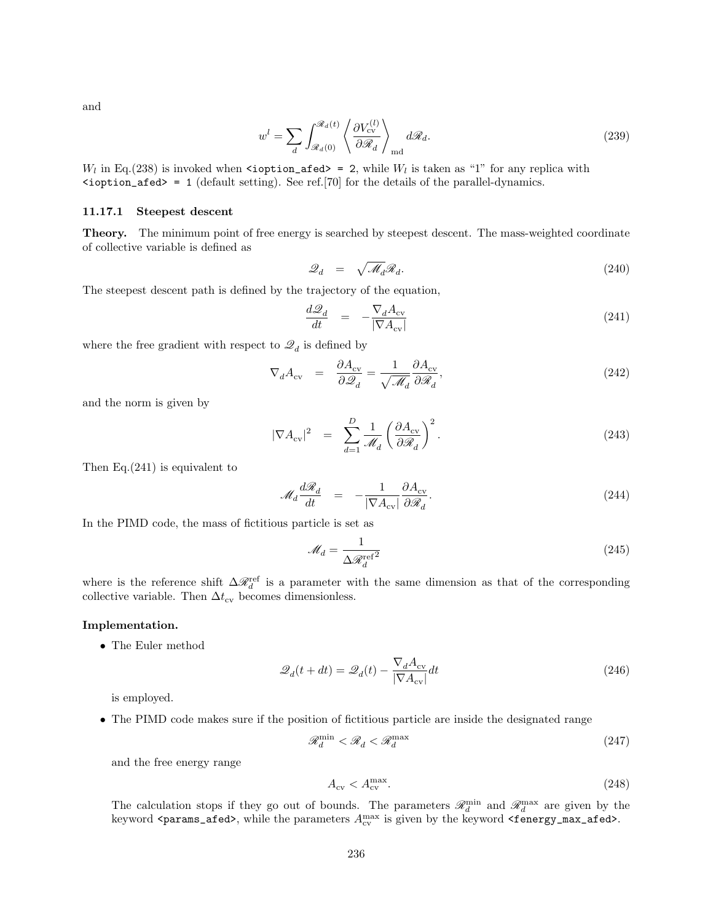and

$$
w^{l} = \sum_{d} \int_{\mathcal{R}_{d}(0)}^{\mathcal{R}_{d}(t)} \left\langle \frac{\partial V_{\text{cv}}^{(l)}}{\partial \mathcal{R}_{d}} \right\rangle_{\text{md}} d\mathcal{R}_{d}.
$$
\n(239)

 $W_l$  in Eq.(238) is invoked when  $\text{Siption}_\text{a}$  ( $\text{Sip}_\text{a}$ ) = 2, while  $W_l$  is taken as "1" for any replica with  $\epsilon$ ioption\_afed> = 1 (default setting). See ref.[70] for the details of the parallel-dynamics.

#### **11.17.1 Steepest descent**

**Theory.** The minimum point of free energy is searched by steepest descent. The mass-weighted coordinate of collective variable is defined as

$$
\mathcal{Q}_d = \sqrt{\mathcal{M}_d} \mathcal{R}_d. \tag{240}
$$

The steepest descent path is defined by the trajectory of the equation,

$$
\frac{d\mathcal{Q}_d}{dt} = -\frac{\nabla_d A_{\rm cv}}{|\nabla A_{\rm cv}|}\tag{241}
$$

where the free gradient with respect to  $\mathcal{Q}_d$  is defined by

$$
\nabla_d A_{\rm cv} = \frac{\partial A_{\rm cv}}{\partial \mathcal{Q}_d} = \frac{1}{\sqrt{\mathcal{M}_d}} \frac{\partial A_{\rm cv}}{\partial \mathcal{R}_d},\tag{242}
$$

and the norm is given by

$$
|\nabla A_{\rm cv}|^2 = \sum_{d=1}^D \frac{1}{\mathcal{M}_d} \left(\frac{\partial A_{\rm cv}}{\partial \mathcal{R}_d}\right)^2.
$$
 (243)

Then Eq.(241) is equivalent to

$$
\mathcal{M}_d \frac{d\mathcal{R}_d}{dt} = -\frac{1}{|\nabla A_{\rm cv}|} \frac{\partial A_{\rm cv}}{\partial \mathcal{R}_d}.
$$
\n(244)

In the PIMD code, the mass of fictitious particle is set as

$$
\mathcal{M}_d = \frac{1}{\Delta \mathcal{R}_d^{\text{ref}^2}}\tag{245}
$$

where is the reference shift  $\Delta \mathcal{R}_d^{\text{ref}}$  is a parameter with the same dimension as that of the corresponding collective variable. Then  $\Delta t_{\rm cv}$  becomes dimensionless.

#### **Implementation.**

*•* The Euler method

$$
\mathcal{Q}_d(t+dt) = \mathcal{Q}_d(t) - \frac{\nabla_d A_{\text{cv}}}{|\nabla A_{\text{cv}}|} dt
$$
\n(246)

is employed.

• The PIMD code makes sure if the position of fictitious particle are inside the designated range

$$
\mathcal{R}_d^{\min} < \mathcal{R}_d < \mathcal{R}_d^{\max} \tag{247}
$$

and the free energy range

$$
A_{\rm cv} < A_{\rm cv}^{\rm max}.\tag{248}
$$

The calculation stops if they go out of bounds. The parameters  $\mathscr{R}^{\min}_{d}$  and  $\mathscr{R}^{\max}_{d}$  are given by the keyword **<params\_afed>**, while the parameters  $A_{\text{cv}}^{\text{max}}$  is given by the keyword **<fenergy\_max\_afed>**.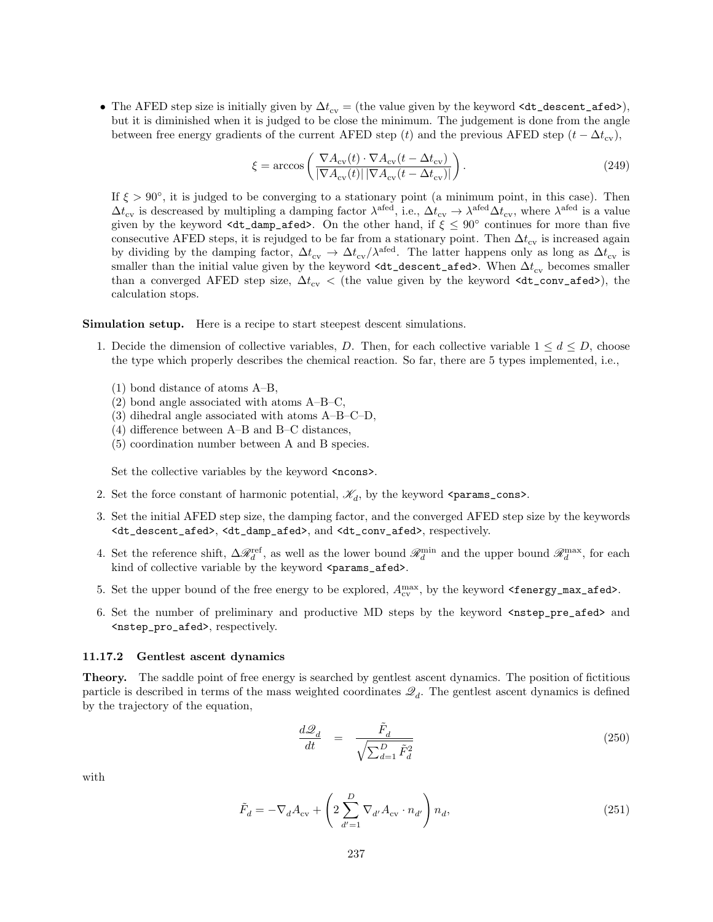• The AFED step size is initially given by  $\Delta t_{\rm cv}$  = (the value given by the keyword  $\langle dt$  descent\_afed>), but it is diminished when it is judged to be close the minimum. The judgement is done from the angle between free energy gradients of the current AFED step (*t*) and the previous AFED step  $(t - \Delta t_{cv})$ ,

$$
\xi = \arccos\left(\frac{\nabla A_{\text{cv}}(t) \cdot \nabla A_{\text{cv}}(t - \Delta t_{\text{cv}})}{|\nabla A_{\text{cv}}(t)| \, |\nabla A_{\text{cv}}(t - \Delta t_{\text{cv}})|}\right). \tag{249}
$$

If  $\xi > 90^\circ$ , it is judged to be converging to a stationary point (a minimum point, in this case). Then  $\Delta t_{\rm cv}$  is descreased by multipling a damping factor  $\lambda^{\rm afed}$ , i.e.,  $\Delta t_{\rm cv} \to \lambda^{\rm afed} \Delta t_{\rm cv}$ , where  $\lambda^{\rm afed}$  is a value given by the keyword <dt\_damp\_afed>. On the other hand, if *ξ ≤* 90*◦* continues for more than five consecutive AFED steps, it is rejudged to be far from a stationary point. Then  $\Delta t_{\rm cv}$  is increased again by dividing by the damping factor,  $\Delta t_{\rm cv} \to \Delta t_{\rm cv}/\lambda^{\rm afed}$ . The latter happens only as long as  $\Delta t_{\rm cv}$  is smaller than the initial value given by the keyword **<dt\_descent\_afed>**. When  $\Delta t_{\rm cv}$  becomes smaller than a converged AFED step size,  $\Delta t_{\rm cv}$  < (the value given by the keyword  $\texttt{}$ ), the calculation stops.

**Simulation setup.** Here is a recipe to start steepest descent simulations.

- 1. Decide the dimension of collective variables, *D*. Then, for each collective variable  $1 \leq d \leq D$ , choose the type which properly describes the chemical reaction. So far, there are 5 types implemented, i.e.,
	- (1) bond distance of atoms A–B,
	- (2) bond angle associated with atoms A–B–C,
	- (3) dihedral angle associated with atoms A–B–C–D,
	- (4) difference between A–B and B–C distances,
	- (5) coordination number between A and B species.

Set the collective variables by the keyword  $<$ ncons>.

- 2. Set the force constant of harmonic potential,  $\mathscr{K}_d$ , by the keyword  $\epsilon$ **params\_cons>**.
- 3. Set the initial AFED step size, the damping factor, and the converged AFED step size by the keywords <dt\_descent\_afed>, <dt\_damp\_afed>, and <dt\_conv\_afed>, respectively.
- 4. Set the reference shift,  $\Delta \mathcal{R}_d^{\text{ref}}$ , as well as the lower bound  $\mathcal{R}_d^{\text{min}}$  and the upper bound  $\mathcal{R}_d^{\text{max}}$ , for each kind of collective variable by the keyword <params\_afed>.
- 5. Set the upper bound of the free energy to be explored,  $A_{\text{cv}}^{\text{max}}$ , by the keyword  $\texttt{\vcenter{\textbf{v}}}$   $\texttt{v}$   $\texttt{v}$   $\texttt{v}$   $\texttt{v}$   $\texttt{v}$   $\texttt{v}$   $\texttt{v}$   $\texttt{v}$   $\texttt{v}$   $\texttt{v}$   $\texttt{v}$   $\texttt{v}$   $\texttt{v}$
- 6. Set the number of preliminary and productive MD steps by the keyword  $\langle$ nstep\_pre\_afed> and <nstep\_pro\_afed>, respectively.

#### **11.17.2 Gentlest ascent dynamics**

**Theory.** The saddle point of free energy is searched by gentlest ascent dynamics. The position of fictitious particle is described in terms of the mass weighted coordinates  $\mathcal{Q}_d$ . The gentlest ascent dynamics is defined by the trajectory of the equation,

$$
\frac{d\mathcal{Q}_d}{dt} = \frac{\tilde{F}_d}{\sqrt{\sum_{d=1}^D \tilde{F}_d^2}}\tag{250}
$$

with

$$
\tilde{F}_d = -\nabla_d A_{\text{cv}} + \left(2\sum_{d'=1}^D \nabla_{d'} A_{\text{cv}} \cdot n_{d'}\right) n_d,\tag{251}
$$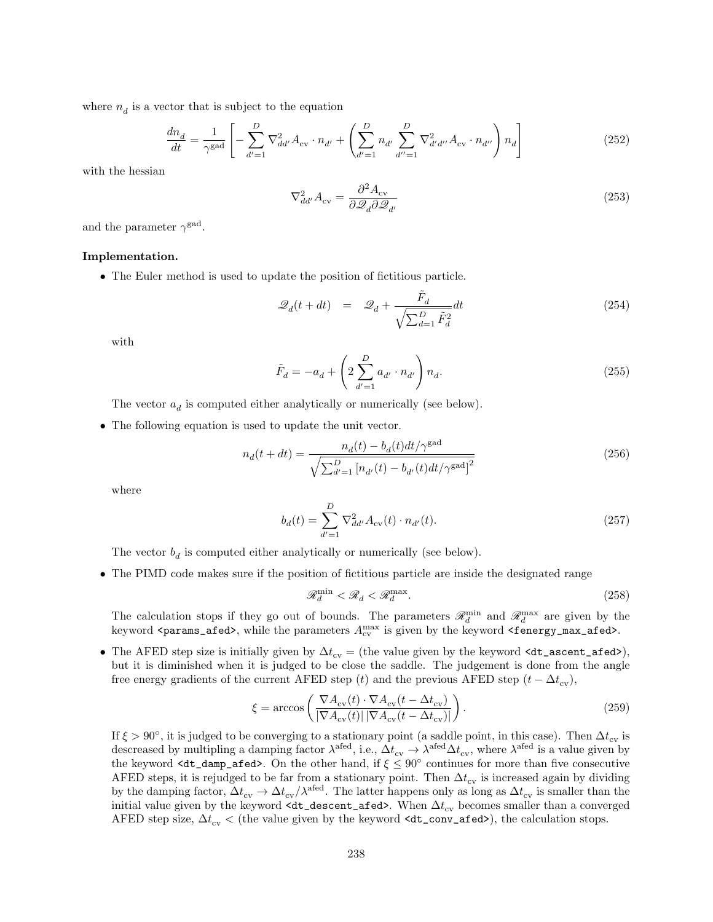where  $n_d$  is a vector that is subject to the equation

$$
\frac{dn_d}{dt} = \frac{1}{\gamma^{\text{gad}}} \left[ -\sum_{d'=1}^{D} \nabla_{dd'}^2 A_{\text{cv}} \cdot n_{d'} + \left( \sum_{d'=1}^{D} n_{d'} \sum_{d''=1}^{D} \nabla_{d'd''}^2 A_{\text{cv}} \cdot n_{d''} \right) n_d \right]
$$
(252)

with the hessian

$$
\nabla_{dd'}^2 A_{\rm cv} = \frac{\partial^2 A_{\rm cv}}{\partial \mathcal{Q}_d \partial \mathcal{Q}_{d'}}
$$
\n(253)

and the parameter  $\gamma^{\text{gad}}$ .

## **Implementation.**

• The Euler method is used to update the position of fictitious particle.

$$
\mathcal{Q}_d(t+dt) = \mathcal{Q}_d + \frac{\tilde{F}_d}{\sqrt{\sum_{d=1}^D \tilde{F}_d^2}} dt
$$
\n(254)

with

$$
\tilde{F}_d = -a_d + \left(2\sum_{d'=1}^D a_{d'} \cdot n_{d'}\right) n_d.
$$
\n(255)

The vector  $a_d$  is computed either analytically or numerically (see below).

*•* The following equation is used to update the unit vector.

$$
n_d(t + dt) = \frac{n_d(t) - b_d(t)dt/\gamma^{\text{sad}}}{\sqrt{\sum_{d'=1}^{D} [n_{d'}(t) - b_{d'}(t)dt/\gamma^{\text{sad}}]^2}}
$$
(256)

where

$$
b_d(t) = \sum_{d'=1}^{D} \nabla_{dd'}^2 A_{\text{cv}}(t) \cdot n_{d'}(t).
$$
 (257)

The vector  $b_d$  is computed either analytically or numerically (see below).

• The PIMD code makes sure if the position of fictitious particle are inside the designated range

$$
\mathcal{R}_d^{\min} < \mathcal{R}_d < \mathcal{R}_d^{\max}.\tag{258}
$$

The calculation stops if they go out of bounds. The parameters  $\mathscr{R}^{\min}_{d}$  and  $\mathscr{R}^{\max}_{d}$  are given by the keyword **<params\_afed>**, while the parameters  $A_{\text{cv}}^{\text{max}}$  is given by the keyword **<fenergy\_max\_afed>**.

• The AFED step size is initially given by  $\Delta t_{\rm cv}$  = (the value given by the keyword  $\langle dt\_assert\_afed \rangle$ ), but it is diminished when it is judged to be close the saddle. The judgement is done from the angle free energy gradients of the current AFED step (*t*) and the previous AFED step  $(t - \Delta t_{cv})$ ,

$$
\xi = \arccos\left(\frac{\nabla A_{\text{cv}}(t) \cdot \nabla A_{\text{cv}}(t - \Delta t_{\text{cv}})}{|\nabla A_{\text{cv}}(t)| \, |\nabla A_{\text{cv}}(t - \Delta t_{\text{cv}})|}\right). \tag{259}
$$

If  $\xi > 90^\circ$ , it is judged to be converging to a stationary point (a saddle point, in this case). Then  $\Delta t_{\rm cv}$  is descreased by multipling a damping factor  $\lambda^{\text{afed}}$ , i.e.,  $\Delta t_{\text{cv}} \to \lambda^{\text{afed}} \Delta t_{\text{cv}}$ , where  $\lambda^{\text{afed}}$  is a value given by the keyword <dt\_damp\_afed>. On the other hand, if *ξ ≤* 90*◦* continues for more than five consecutive AFED steps, it is rejudged to be far from a stationary point. Then  $\Delta t_{\rm cv}$  is increased again by dividing by the damping factor,  $\Delta t_{\rm cv} \rightarrow \Delta t_{\rm cv}/\lambda^{\rm afed}$ . The latter happens only as long as  $\Delta t_{\rm cv}$  is smaller than the initial value given by the keyword  $\texttt{}$ . When  $\Delta t_{cv}$  becomes smaller than a converged AFED step size,  $\Delta t_{\rm cv}$  < (the value given by the keyword <dt\_conv\_afed>), the calculation stops.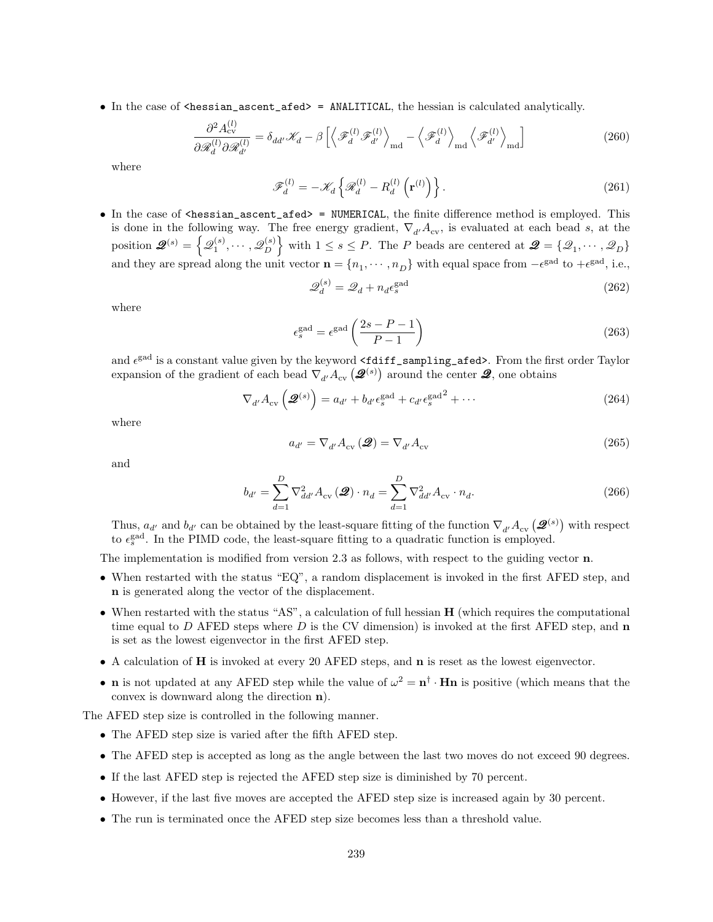• In the case of <hessian\_ascent\_afed> = ANALITICAL, the hessian is calculated analytically.

$$
\frac{\partial^2 A_{\text{cv}}^{(l)}}{\partial \mathcal{R}_d^{(l)} \partial \mathcal{R}_{d'}^{(l)}} = \delta_{dd'} \mathcal{K}_d - \beta \left[ \left\langle \mathcal{F}_d^{(l)} \mathcal{F}_{d'}^{(l)} \right\rangle_{\text{md}} - \left\langle \mathcal{F}_d^{(l)} \right\rangle_{\text{md}} \left\langle \mathcal{F}_{d'}^{(l)} \right\rangle_{\text{md}} \right]
$$
(260)

where

$$
\mathscr{F}_d^{(l)} = -\mathscr{K}_d \left\{ \mathscr{R}_d^{(l)} - R_d^{(l)} \left( \mathbf{r}^{(l)} \right) \right\}.
$$
\n(261)

• In the case of  $\epsilon$ hessian\_ascent\_afed> = NUMERICAL, the finite difference method is employed. This is done in the following way. The free energy gradient,  $\nabla_{d'}A_{\text{cv}}$ , is evaluated at each bead *s*, at the position  $\mathcal{Q}^{(s)} = \left\{ \mathcal{Q}_1^{(s)}, \cdots, \mathcal{Q}_D^{(s)} \right\}$  $\{S^{(s)}\}$  with  $1 \leq s \leq P$ . The *P* beads are centered at  $\mathcal{Q} = \{Q_1, \dots, Q_D\}$ and they are spread along the unit vector  $\mathbf{n} = \{n_1, \dots, n_D\}$  with equal space from  $-\epsilon^{\text{gad}}$  to  $+\epsilon^{\text{gad}}$ , i.e.,

$$
\mathcal{Q}_d^{(s)} = \mathcal{Q}_d + n_d \epsilon_s^{\text{gad}} \tag{262}
$$

where

$$
\epsilon_s^{\text{gad}} = \epsilon^{\text{gad}} \left( \frac{2s - P - 1}{P - 1} \right)
$$
\n(263)

and  $\epsilon^{\rm gad}$  is a constant value given by the keyword **<fdiff\_sampling\_afed>**. From the first order Taylor expansion of the gradient of each bead  $\nabla_{d'} A_{\text{cv}} (\mathcal{Q}^{(s)})$  around the center  $\mathcal{Q}$ , one obtains

$$
\nabla_{d'} A_{\rm cv} \left( \mathcal{Q}^{(s)} \right) = a_{d'} + b_{d'} \epsilon_s^{\rm gad} + c_{d'} \epsilon_s^{\rm gad^2} + \cdots \tag{264}
$$

where

$$
a_{d'} = \nabla_{d'} A_{\text{cv}} \left( \mathcal{Q} \right) = \nabla_{d'} A_{\text{cv}} \tag{265}
$$

and

$$
b_{d'} = \sum_{d=1}^{D} \nabla_{dd'}^2 A_{\text{cv}} (\mathbf{\mathcal{Q}}) \cdot n_d = \sum_{d=1}^{D} \nabla_{dd'}^2 A_{\text{cv}} \cdot n_d.
$$
 (266)

Thus,  $a_{d'}$  and  $b_{d'}$  can be obtained by the least-square fitting of the function  $\nabla_{d'}A_{\text{cv}}(\mathscr{Q}^{(s)})$  with respect to  $\epsilon_s^{\text{gad}}$ . In the PIMD code, the least-square fitting to a quadratic function is employed.

The implementation is modified from version 2.3 as follows, with respect to the guiding vector **n**.

- When restarted with the status "EQ", a random displacement is invoked in the first AFED step, and **n** is generated along the vector of the displacement.
- When restarted with the status "AS", a calculation of full hessian **H** (which requires the computational time equal to *D* AFED steps where *D* is the CV dimension) is invoked at the first AFED step, and **n** is set as the lowest eigenvector in the first AFED step.
- *•* A calculation of **H** is invoked at every 20 AFED steps, and **n** is reset as the lowest eigenvector.
- **n** is not updated at any AFED step while the value of  $\omega^2 = \mathbf{n}^{\dagger} \cdot \mathbf{H} \mathbf{n}$  is positive (which means that the convex is downward along the direction **n**).

The AFED step size is controlled in the following manner.

- *•* The AFED step size is varied after the fifth AFED step.
- The AFED step is accepted as long as the angle between the last two moves do not exceed 90 degrees.
- If the last AFED step is rejected the AFED step size is diminished by 70 percent.
- However, if the last five moves are accepted the AFED step size is increased again by 30 percent.
- The run is terminated once the AFED step size becomes less than a threshold value.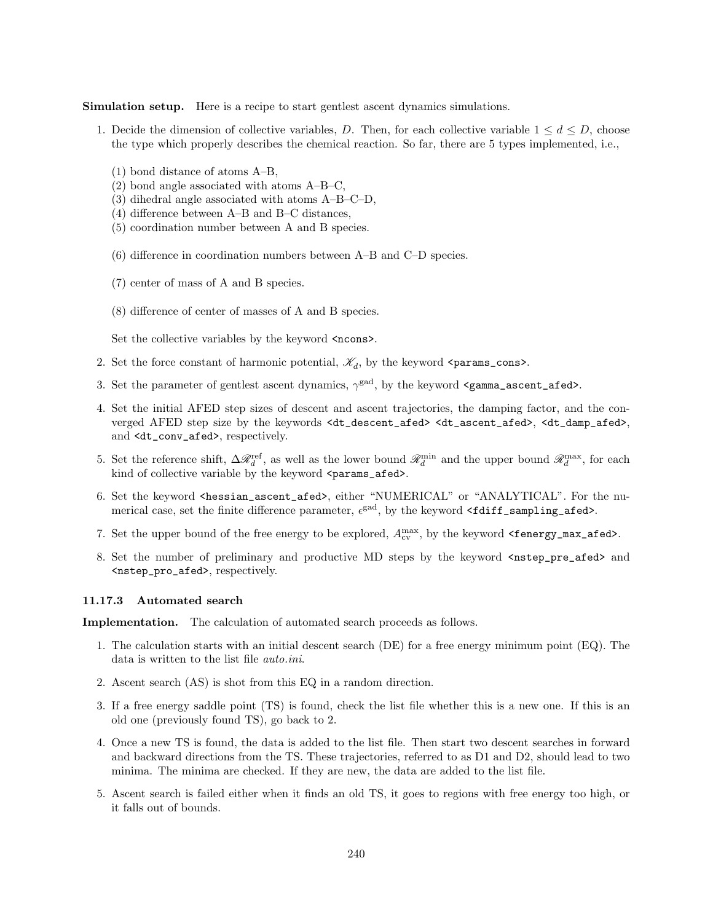**Simulation setup.** Here is a recipe to start gentlest ascent dynamics simulations.

- 1. Decide the dimension of collective variables, *D*. Then, for each collective variable  $1 \leq d \leq D$ , choose the type which properly describes the chemical reaction. So far, there are 5 types implemented, i.e.,
	- (1) bond distance of atoms A–B,
	- (2) bond angle associated with atoms A–B–C,
	- (3) dihedral angle associated with atoms A–B–C–D,
	- (4) difference between A–B and B–C distances,
	- (5) coordination number between A and B species.
	- (6) difference in coordination numbers between A–B and C–D species.
	- (7) center of mass of A and B species.
	- (8) difference of center of masses of A and B species.

Set the collective variables by the keyword <ncons>.

- 2. Set the force constant of harmonic potential,  $\mathscr{K}_d$ , by the keyword  $\epsilon$ **params\_cons>**.
- 3. Set the parameter of gentlest ascent dynamics,  $\gamma^{\text{gad}}$ , by the keyword **<gamma\_ascent\_afed>**.
- 4. Set the initial AFED step sizes of descent and ascent trajectories, the damping factor, and the converged AFED step size by the keywords <dt\_descent\_afed> <dt\_ascent\_afed>, <dt\_damp\_afed>, and <dt\_conv\_afed>, respectively.
- 5. Set the reference shift,  $\Delta \mathcal{R}_d^{\text{ref}}$ , as well as the lower bound  $\mathcal{R}_d^{\text{min}}$  and the upper bound  $\mathcal{R}_d^{\text{max}}$ , for each kind of collective variable by the keyword <params\_afed>.
- 6. Set the keyword <hessian\_ascent\_afed>, either "NUMERICAL" or "ANALYTICAL". For the numerical case, set the finite difference parameter,  $\epsilon^{\rm{gad}}$ , by the keyword **<fdiff\_sampling\_afed>**.
- 7. Set the upper bound of the free energy to be explored,  $A_{\text{cv}}^{\text{max}}$ , by the keyword  $\texttt{\vcenter{\textbf{v}}}$   $\texttt{v}$   $\texttt{v}$   $\texttt{v}$   $\texttt{v}$   $\texttt{v}$   $\texttt{v}$   $\texttt{v}$   $\texttt{v}$   $\texttt{v}$   $\texttt{v}$   $\texttt{v}$   $\texttt{v}$   $\texttt{v}$
- 8. Set the number of preliminary and productive MD steps by the keyword  $\langle$ nstep\_pre\_afed> and <nstep\_pro\_afed>, respectively.

#### **11.17.3 Automated search**

**Implementation.** The calculation of automated search proceeds as follows.

- 1. The calculation starts with an initial descent search (DE) for a free energy minimum point (EQ). The data is written to the list file *auto.ini*.
- 2. Ascent search (AS) is shot from this EQ in a random direction.
- 3. If a free energy saddle point (TS) is found, check the list file whether this is a new one. If this is an old one (previously found TS), go back to 2.
- 4. Once a new TS is found, the data is added to the list file. Then start two descent searches in forward and backward directions from the TS. These trajectories, referred to as D1 and D2, should lead to two minima. The minima are checked. If they are new, the data are added to the list file.
- 5. Ascent search is failed either when it finds an old TS, it goes to regions with free energy too high, or it falls out of bounds.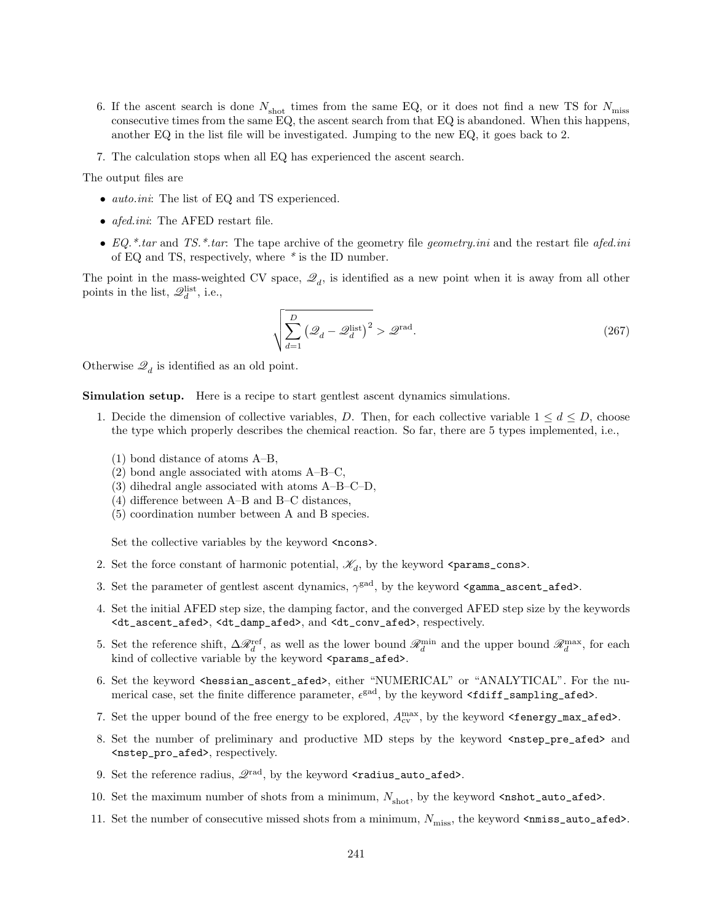- 6. If the ascent search is done  $N_{\text{shot}}$  times from the same EQ, or it does not find a new TS for  $N_{\text{miss}}$ consecutive times from the same EQ, the ascent search from that EQ is abandoned. When this happens, another EQ in the list file will be investigated. Jumping to the new EQ, it goes back to 2.
- 7. The calculation stops when all EQ has experienced the ascent search.

The output files are

- *• auto.ini*: The list of EQ and TS experienced.
- *• afed.ini*: The AFED restart file.
- *• EQ.\*.tar* and *TS.\*.tar*: The tape archive of the geometry file *geometry.ini* and the restart file *afed.ini* of EQ and TS, respectively, where *\** is the ID number.

The point in the mass-weighted CV space,  $\mathcal{Q}_d$ , is identified as a new point when it is away from all other points in the list,  $\mathcal{Q}_d^{\text{list}}$ , i.e.,

$$
\sqrt{\sum_{d=1}^{D} (\mathcal{Q}_d - \mathcal{Q}_d^{\text{list}})^2} > \mathcal{Q}^{\text{rad}}.
$$
\n(267)

Otherwise  $\mathcal{Q}_d$  is identified as an old point.

**Simulation setup.** Here is a recipe to start gentlest ascent dynamics simulations.

- 1. Decide the dimension of collective variables, *D*. Then, for each collective variable  $1 \leq d \leq D$ , choose the type which properly describes the chemical reaction. So far, there are 5 types implemented, i.e.,
	- (1) bond distance of atoms A–B,
	- (2) bond angle associated with atoms A–B–C,
	- (3) dihedral angle associated with atoms A–B–C–D,
	- (4) difference between A–B and B–C distances,
	- (5) coordination number between A and B species.

Set the collective variables by the keyword  $<$ ncons>.

- 2. Set the force constant of harmonic potential,  $\mathscr{K}_d$ , by the keyword  $\epsilon$ **params\_cons>**.
- 3. Set the parameter of gentlest ascent dynamics,  $\gamma^{\text{gad}}$ , by the keyword **<gamma\_ascent\_afed>**.
- 4. Set the initial AFED step size, the damping factor, and the converged AFED step size by the keywords <dt\_ascent\_afed>, <dt\_damp\_afed>, and <dt\_conv\_afed>, respectively.
- 5. Set the reference shift,  $\Delta \mathcal{R}_d^{\text{ref}}$ , as well as the lower bound  $\mathcal{R}_d^{\text{min}}$  and the upper bound  $\mathcal{R}_d^{\text{max}}$ , for each kind of collective variable by the keyword <params\_afed>.
- 6. Set the keyword <hessian\_ascent\_afed>, either "NUMERICAL" or "ANALYTICAL". For the numerical case, set the finite difference parameter,  $\epsilon^{\rm{gad}}$ , by the keyword **<fdiff\_sampling\_afed>**.
- 7. Set the upper bound of the free energy to be explored,  $A_{\text{cv}}^{\text{max}}$ , by the keyword  $\texttt{\vspace{1em} ergy_max\_afed>}$ .
- 8. Set the number of preliminary and productive MD steps by the keyword  $\langle$ nstep\_pre\_afed> and <nstep\_pro\_afed>, respectively.
- 9. Set the reference radius,  $\mathscr{Q}^{\text{rad}}$ , by the keyword  $\langle \texttt{radius\_auto\_afed}\rangle$ .
- 10. Set the maximum number of shots from a minimum,  $N_{\text{shot}}$ , by the keyword  $\epsilon$ nshot\_auto\_afed>.
- 11. Set the number of consecutive missed shots from a minimum,  $N_{\text{miss}}$ , the keyword <nmiss\_auto\_afed>.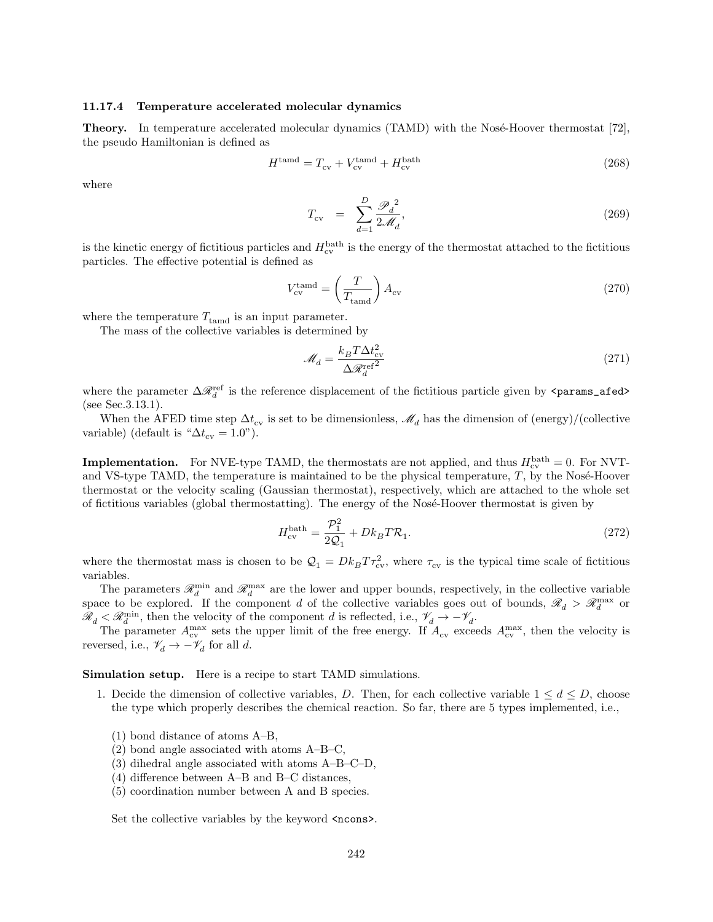#### **11.17.4 Temperature accelerated molecular dynamics**

**Theory.** In temperature accelerated molecular dynamics (TAMD) with the Nosé-Hoover thermostat [72], the pseudo Hamiltonian is defined as

$$
H^{\text{tamd}} = T_{\text{cv}} + V_{\text{cv}}^{\text{tamd}} + H_{\text{cv}}^{\text{bath}} \tag{268}
$$

where

$$
T_{\rm cv} = \sum_{d=1}^{D} \frac{\mathcal{P}_d^2}{2\mathcal{M}_d},\tag{269}
$$

is the kinetic energy of fictitious particles and  $H_{\text{cv}}^{\text{bath}}$  is the energy of the thermostat attached to the fictitious particles. The effective potential is defined as

$$
V_{\rm cv}^{\rm tamd} = \left(\frac{T}{T_{\rm tamd}}\right) A_{\rm cv}
$$
\n(270)

where the temperature  $T_{tamd}$  is an input parameter.

The mass of the collective variables is determined by

$$
\mathcal{M}_d = \frac{k_B T \Delta t_{\rm cv}^2}{\Delta \mathcal{R}_d^{\rm ref}} \tag{271}
$$

where the parameter  $\Delta \mathcal{R}_d^{\text{ref}}$  is the reference displacement of the fictitious particle given by **<params\_afed>** (see Sec.3.13.1).

When the AFED time step  $\Delta t_{cv}$  is set to be dimensionless,  $\mathcal{M}_d$  has the dimension of (energy)/(collective variable) (default is " $\Delta t_{\rm cv} = 1.0$ ").

**Implementation.** For NVE-type TAMD, the thermostats are not applied, and thus  $H_{\text{cv}}^{\text{bath}} = 0$ . For NVTand VS-type TAMD, the temperature is maintained to be the physical temperature,  $T$ , by the Nosé-Hoover thermostat or the velocity scaling (Gaussian thermostat), respectively, which are attached to the whole set of fictitious variables (global thermostatting). The energy of the Nosé-Hoover thermostat is given by

$$
H_{\text{cv}}^{\text{bath}} = \frac{\mathcal{P}_1^2}{2\mathcal{Q}_1} + Dk_B T \mathcal{R}_1. \tag{272}
$$

where the thermostat mass is chosen to be  $\mathcal{Q}_1 = Dk_B T \tau_{\text{cv}}^2$ , where  $\tau_{\text{cv}}$  is the typical time scale of fictitious variables.

The parameters  $\mathscr{R}_d^{\min}$  and  $\mathscr{R}_d^{\max}$  are the lower and upper bounds, respectively, in the collective variable space to be explored. If the component *d* of the collective variables goes out of bounds,  $\mathscr{R}_d > \mathscr{R}_d^{\max}$  or  $\mathscr{R}_d < \mathscr{R}_d^{\min}$ , then the velocity of the component *d* is reflected, i.e.,  $\mathscr{V}_d \to -\mathscr{V}_d$ .

The parameter  $A_{\rm cv}^{\rm max}$  sets the upper limit of the free energy. If  $A_{\rm cv}$  exceeds  $A_{\rm cv}^{\rm max}$ , then the velocity is reversed, i.e.,  $\mathscr{V}_d \to -\mathscr{V}_d$  for all *d*.

**Simulation setup.** Here is a recipe to start TAMD simulations.

- 1. Decide the dimension of collective variables, *D*. Then, for each collective variable  $1 \leq d \leq D$ , choose the type which properly describes the chemical reaction. So far, there are 5 types implemented, i.e.,
	- (1) bond distance of atoms A–B,
	- (2) bond angle associated with atoms A–B–C,
	- (3) dihedral angle associated with atoms A–B–C–D,
	- (4) difference between A–B and B–C distances,
	- (5) coordination number between A and B species.

Set the collective variables by the keyword  $<$ ncons>.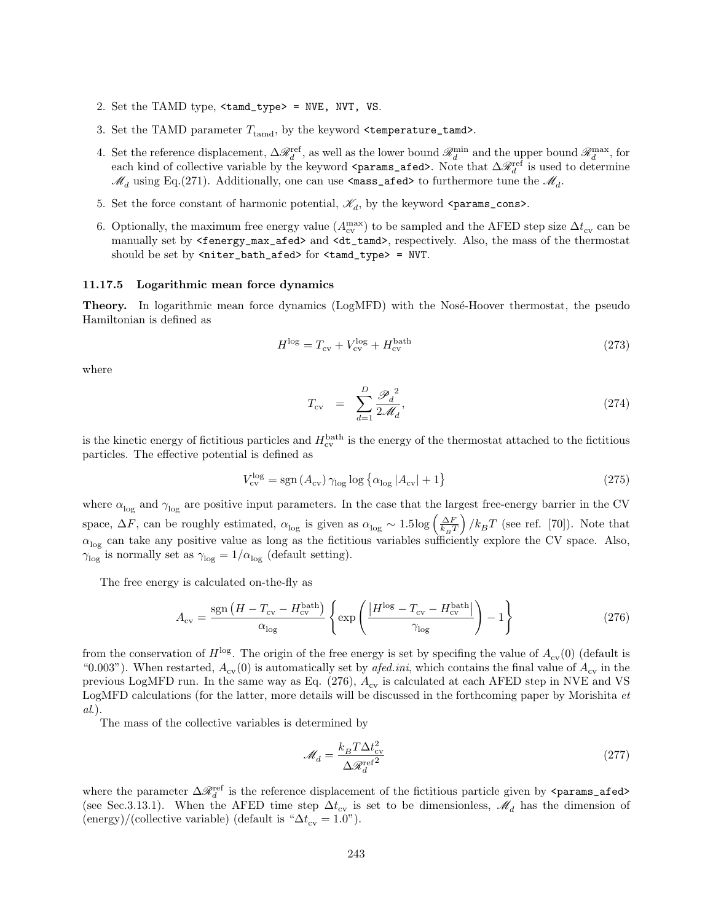- 2. Set the TAMD type, <tamd\_type> = NVE, NVT, VS.
- 3. Set the TAMD parameter  $T_{t, \text{and}}$ , by the keyword  $\leq$ temperature\_tamd>.
- 4. Set the reference displacement,  $\Delta \mathcal{R}_d^{\text{ref}}$ , as well as the lower bound  $\mathcal{R}_d^{\text{min}}$  and the upper bound  $\mathcal{R}_d^{\text{max}}$ , for each kind of collective variable by the keyword **<params\_afed>**. Note that  $\Delta \mathscr{R}^{\text{ref}}_d$  is used to determine  $\mathscr{M}_d$  using Eq.(271). Additionally, one can use <code><mass\_afed></code> to furthermore tune the  $\mathscr{M}_d$ .
- 5. Set the force constant of harmonic potential,  $\mathscr{K}_d$ , by the keyword  $\epsilon$ **params\_cons>**.
- 6. Optionally, the maximum free energy value  $(A_{\text{cv}}^{\text{max}})$  to be sampled and the AFED step size  $\Delta t_{\text{cv}}$  can be manually set by <fenergy\_max\_afed> and <dt\_tamd>, respectively. Also, the mass of the thermostat should be set by <niter\_bath\_afed> for <tamd\_type> = NVT.

#### **11.17.5 Logarithmic mean force dynamics**

**Theory.** In logarithmic mean force dynamics (LogMFD) with the Nosé-Hoover thermostat, the pseudo Hamiltonian is defined as

$$
H^{\text{log}} = T_{\text{cv}} + V_{\text{cv}}^{\text{log}} + H_{\text{cv}}^{\text{bath}} \tag{273}
$$

where

$$
T_{\rm cv} = \sum_{d=1}^{D} \frac{\mathcal{P}_d^2}{2\mathcal{M}_d},\tag{274}
$$

is the kinetic energy of fictitious particles and  $H_{\text{cv}}^{\text{bath}}$  is the energy of the thermostat attached to the fictitious particles. The effective potential is defined as

$$
V_{\rm cv}^{\rm \log} = \text{sgn}\left(A_{\rm cv}\right)\gamma_{\rm \log}\log\left\{\alpha_{\rm \log}|A_{\rm cv}|+1\right\} \tag{275}
$$

where  $\alpha_{\log}$  and  $\gamma_{\log}$  are positive input parameters. In the case that the largest free-energy barrier in the CV space,  $\Delta F$ , can be roughly estimated,  $\alpha_{\text{log}}$  is given as  $\alpha_{\text{log}} \sim 1.5 \log \left( \frac{\Delta F}{k_B T} \right)$  $\left(\frac{1}{B}T\right)$  (see ref. [70]). Note that  $a<sub>log</sub>$  can take any positive value as long as the fictitious variables sufficiently explore the CV space. Also, *γ*<sub>log</sub> is normally set as  $\gamma_{\text{log}} = 1/\alpha_{\text{log}}$  (default setting).

The free energy is calculated on-the-fly as

$$
A_{\rm cv} = \frac{\text{sgn}\left(H - T_{\rm cv} - H_{\rm cv}^{\rm bath}\right)}{\alpha_{\rm log}} \left\{ \exp\left(\frac{|H^{\rm log} - T_{\rm cv} - H_{\rm cv}^{\rm bath}|}{\gamma_{\rm log}}\right) - 1 \right\} \tag{276}
$$

from the conservation of  $H^{\log}$ . The origin of the free energy is set by specifing the value of  $A_{\text{cv}}(0)$  (default is "0.003"). When restarted,  $A_{cv}(0)$  is automatically set by *afed.ini*, which contains the final value of  $A_{cv}$  in the previous LogMFD run. In the same way as Eq. (276),  $A_{\rm cv}$  is calculated at each AFED step in NVE and VS LogMFD calculations (for the latter, more details will be discussed in the forthcoming paper by Morishita *et al*.).

The mass of the collective variables is determined by

$$
\mathcal{M}_d = \frac{k_B T \Delta t_{\rm cv}^2}{\Delta \mathcal{R}_d^{\rm ref^2}} \tag{277}
$$

where the parameter  $\Delta \mathcal{R}_d^{\text{ref}}$  is the reference displacement of the fictitious particle given by **<params\_afed>** (see Sec.3.13.1). When the AFED time step  $\Delta t_{cv}$  is set to be dimensionless,  $\mathcal{M}_d$  has the dimension of  $(\text{energy})/(\text{collective variable})$  (default is " $\Delta t_{\text{cv}} = 1.0$ ").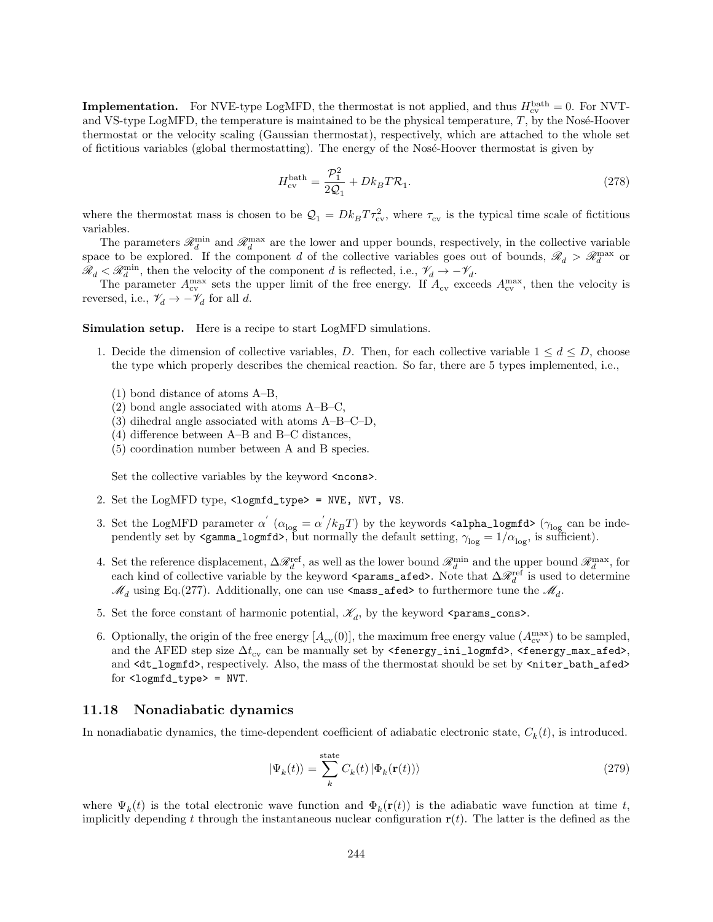**Implementation.** For NVE-type LogMFD, the thermostat is not applied, and thus  $H_{\text{cv}}^{\text{bath}} = 0$ . For NVTand VS-type LogMFD, the temperature is maintained to be the physical temperature,  $T$ , by the Nosé-Hoover thermostat or the velocity scaling (Gaussian thermostat), respectively, which are attached to the whole set of fictitious variables (global thermostatting). The energy of the Nosé-Hoover thermostat is given by

$$
H_{\text{cv}}^{\text{bath}} = \frac{\mathcal{P}_1^2}{2\mathcal{Q}_1} + Dk_B T \mathcal{R}_1. \tag{278}
$$

where the thermostat mass is chosen to be  $\mathcal{Q}_1 = Dk_B T \tau_{\text{cv}}^2$ , where  $\tau_{\text{cv}}$  is the typical time scale of fictitious variables.

The parameters  $\mathscr{R}_d^{\min}$  and  $\mathscr{R}_d^{\max}$  are the lower and upper bounds, respectively, in the collective variable space to be explored. If the component *d* of the collective variables goes out of bounds,  $\mathscr{R}_d > \mathscr{R}_d^{\max}$  or  $\mathscr{R}_d < \mathscr{R}_d^{\min}$ , then the velocity of the component *d* is reflected, i.e.,  $\mathscr{V}_d \to -\mathscr{V}_d$ .

The parameter  $A_{\rm cv}^{\rm max}$  sets the upper limit of the free energy. If  $A_{\rm cv}$  exceeds  $A_{\rm cv}^{\rm max}$ , then the velocity is reversed, i.e.,  $\mathscr{V}_d \to -\mathscr{V}_d$  for all *d*.

**Simulation setup.** Here is a recipe to start LogMFD simulations.

- 1. Decide the dimension of collective variables, *D*. Then, for each collective variable  $1 \leq d \leq D$ , choose the type which properly describes the chemical reaction. So far, there are 5 types implemented, i.e.,
	- (1) bond distance of atoms A–B,
	- (2) bond angle associated with atoms A–B–C,
	- (3) dihedral angle associated with atoms A–B–C–D,
	- (4) difference between A–B and B–C distances,
	- (5) coordination number between A and B species.

Set the collective variables by the keyword  $<$ ncons>.

- 2. Set the LogMFD type, <logmfd\_type> = NVE, NVT, VS.
- 3. Set the LogMFD parameter  $\alpha'$  ( $\alpha_{\text{log}} = \alpha'/k_B T$ ) by the keywords  $\text{calpha\_logmfd>}$  ( $\gamma_{\text{log}}$  can be independently set by  $\zeta$ gamma\_logmfd>, but normally the default setting,  $\gamma_{\text{log}} = 1/\alpha_{\text{log}}$ , is sufficient).
- 4. Set the reference displacement,  $\Delta \mathcal{R}_d^{\text{ref}}$ , as well as the lower bound  $\mathcal{R}_d^{\text{min}}$  and the upper bound  $\mathcal{R}_d^{\text{max}}$ , for each kind of collective variable by the keyword **<params\_afed>**. Note that  $\Delta \mathscr{R}^{\textup{ref}}_d$  is used to determine  $\mathscr{M}_d$  using Eq.(277). Additionally, one can use <code><mass\_afed></code> to furthermore tune the  $\mathscr{M}_d$ .
- 5. Set the force constant of harmonic potential,  $\mathscr{K}_d$ , by the keyword  $\epsilon$ **params\_cons>**.
- 6. Optionally, the origin of the free energy  $[A_{cv}(0)]$ , the maximum free energy value  $(A_{cv}^{max})$  to be sampled, and the AFED step size  $\Delta t_{cv}$  can be manually set by <fenergy\_ini\_logmfd>, <fenergy\_max\_afed>, and <dt\_logmfd>, respectively. Also, the mass of the thermostat should be set by <niter\_bath\_afed> for <logmfd\_type> = NVT.

## **11.18 Nonadiabatic dynamics**

In nonadiabatic dynamics, the time-dependent coefficient of adiabatic electronic state, *C<sup>k</sup>* (*t*), is introduced.

$$
|\Psi_k(t)\rangle = \sum_{k}^{\text{state}} C_k(t) |\Phi_k(\mathbf{r}(t))\rangle
$$
\n(279)

where  $\Psi_k(t)$  is the total electronic wave function and  $\Phi_k(\mathbf{r}(t))$  is the adiabatic wave function at time *t*, implicitly depending t through the instantaneous nuclear configuration  $\mathbf{r}(t)$ . The latter is the defined as the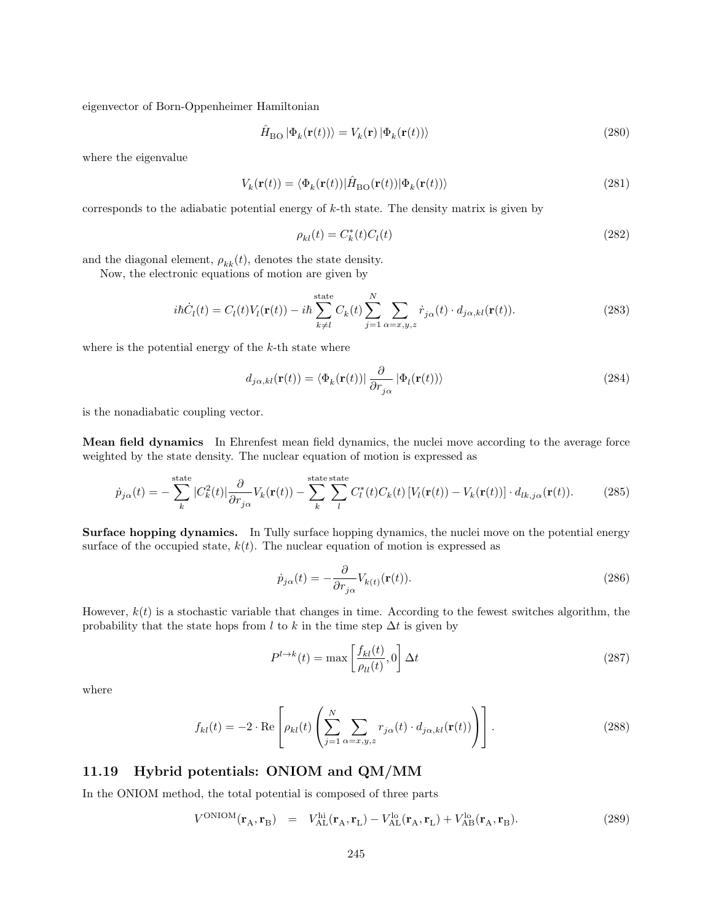eigenvector of Born-Oppenheimer Hamiltonian

$$
\hat{H}_{\rm BO} |\Phi_k(\mathbf{r}(t))\rangle = V_k(\mathbf{r}) |\Phi_k(\mathbf{r}(t))\rangle \tag{280}
$$

where the eigenvalue

$$
V_k(\mathbf{r}(t)) = \langle \Phi_k(\mathbf{r}(t)) | \hat{H}_{\text{BO}}(\mathbf{r}(t)) | \Phi_k(\mathbf{r}(t)) \rangle \tag{281}
$$

corresponds to the adiabatic potential energy of *k*-th state. The density matrix is given by

$$
\rho_{kl}(t) = C_k^*(t)C_l(t) \tag{282}
$$

and the diagonal element,  $\rho_{kk}(t)$ , denotes the state density.

Now, the electronic equations of motion are given by

$$
i\hbar \dot{C}_l(t) = C_l(t)V_l(\mathbf{r}(t)) - i\hbar \sum_{k \neq l}^{\text{state}} C_k(t) \sum_{j=1}^N \sum_{\alpha = x, y, z} \dot{r}_{j\alpha}(t) \cdot d_{j\alpha, kl}(\mathbf{r}(t)).
$$
\n(283)

where is the potential energy of the *k*-th state where

$$
d_{j\alpha,kl}(\mathbf{r}(t)) = \langle \Phi_k(\mathbf{r}(t)) | \frac{\partial}{\partial r_{j\alpha}} | \Phi_l(\mathbf{r}(t)) \rangle \tag{284}
$$

is the nonadiabatic coupling vector.

**Mean field dynamics** In Ehrenfest mean field dynamics, the nuclei move according to the average force weighted by the state density. The nuclear equation of motion is expressed as

$$
\dot{p}_{j\alpha}(t) = -\sum_{k}^{\text{state}} |C_k^2(t)| \frac{\partial}{\partial r_{j\alpha}} V_k(\mathbf{r}(t)) - \sum_{k}^{\text{state state}} \sum_{l}^{\text{state state}} C_l^*(t) C_k(t) \left[ V_l(\mathbf{r}(t)) - V_k(\mathbf{r}(t)) \right] \cdot d_{lk,j\alpha}(\mathbf{r}(t)). \tag{285}
$$

**Surface hopping dynamics.** In Tully surface hopping dynamics, the nuclei move on the potential energy surface of the occupied state,  $k(t)$ . The nuclear equation of motion is expressed as

$$
\dot{p}_{j\alpha}(t) = -\frac{\partial}{\partial r_{j\alpha}} V_{k(t)}(\mathbf{r}(t)).
$$
\n(286)

However,  $k(t)$  is a stochastic variable that changes in time. According to the fewest switches algorithm, the probability that the state hops from *l* to *k* in the time step  $\Delta t$  is given by

$$
P^{l \to k}(t) = \max\left[\frac{f_{kl}(t)}{\rho_{ll}(t)}, 0\right] \Delta t \tag{287}
$$

where

$$
f_{kl}(t) = -2 \cdot \text{Re}\left[\rho_{kl}(t) \left(\sum_{j=1}^{N} \sum_{\alpha=x,y,z} r_{j\alpha}(t) \cdot d_{j\alpha,kl}(\mathbf{r}(t))\right)\right].
$$
 (288)

# **11.19 Hybrid potentials: ONIOM and QM/MM**

In the ONIOM method, the total potential is composed of three parts

$$
V^{\rm ONIOM}(\mathbf{r}_A, \mathbf{r}_B) = V_{\rm AL}^{\rm hi}(\mathbf{r}_A, \mathbf{r}_L) - V_{\rm AL}^{\rm lo}(\mathbf{r}_A, \mathbf{r}_L) + V_{\rm AB}^{\rm lo}(\mathbf{r}_A, \mathbf{r}_B). \tag{289}
$$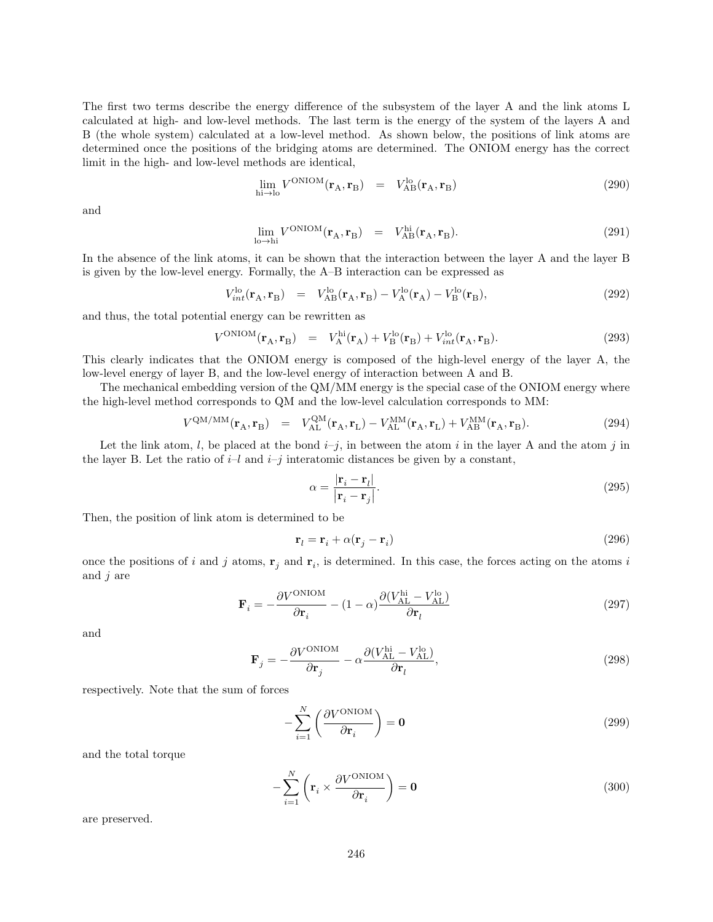The first two terms describe the energy difference of the subsystem of the layer A and the link atoms L calculated at high- and low-level methods. The last term is the energy of the system of the layers A and B (the whole system) calculated at a low-level method. As shown below, the positions of link atoms are determined once the positions of the bridging atoms are determined. The ONIOM energy has the correct limit in the high- and low-level methods are identical,

$$
\lim_{\text{hi}\to\text{lo}} V^{\text{ONIOM}}(\mathbf{r}_{A}, \mathbf{r}_{B}) = V_{\text{AB}}^{\text{lo}}(\mathbf{r}_{A}, \mathbf{r}_{B}) \tag{290}
$$

and

$$
\lim_{\text{lo}\to\text{hi}} V^{\text{ONIOM}}(\mathbf{r}_{A}, \mathbf{r}_{B}) = V^{\text{hi}}_{AB}(\mathbf{r}_{A}, \mathbf{r}_{B}). \tag{291}
$$

In the absence of the link atoms, it can be shown that the interaction between the layer A and the layer B is given by the low-level energy. Formally, the A–B interaction can be expressed as

$$
V_{int}^{\text{lo}}(\mathbf{r}_{A}, \mathbf{r}_{B}) = V_{AB}^{\text{lo}}(\mathbf{r}_{A}, \mathbf{r}_{B}) - V_{A}^{\text{lo}}(\mathbf{r}_{A}) - V_{B}^{\text{lo}}(\mathbf{r}_{B}), \qquad (292)
$$

and thus, the total potential energy can be rewritten as

$$
V^{\rm ONIOM}(\mathbf{r}_A, \mathbf{r}_B) = V^{\rm hi}_A(\mathbf{r}_A) + V^{\rm lo}_B(\mathbf{r}_B) + V^{\rm lo}_{int}(\mathbf{r}_A, \mathbf{r}_B). \tag{293}
$$

This clearly indicates that the ONIOM energy is composed of the high-level energy of the layer A, the low-level energy of layer B, and the low-level energy of interaction between A and B.

The mechanical embedding version of the QM/MM energy is the special case of the ONIOM energy where the high-level method corresponds to QM and the low-level calculation corresponds to MM:

$$
V^{\text{QM}/\text{MM}}(\mathbf{r}_{A}, \mathbf{r}_{B}) = V_{\text{AL}}^{\text{QM}}(\mathbf{r}_{A}, \mathbf{r}_{L}) - V_{\text{AL}}^{\text{MM}}(\mathbf{r}_{A}, \mathbf{r}_{L}) + V_{\text{AB}}^{\text{MM}}(\mathbf{r}_{A}, \mathbf{r}_{B}).
$$
\n(294)

Let the link atom,  $l$ , be placed at the bond  $i-j$ , in between the atom  $i$  in the layer A and the atom  $j$  in the layer B. Let the ratio of  $i-l$  and  $i-j$  interatomic distances be given by a constant,

$$
\alpha = \frac{|\mathbf{r}_i - \mathbf{r}_l|}{|\mathbf{r}_i - \mathbf{r}_j|}.
$$
\n(295)

Then, the position of link atom is determined to be

$$
\mathbf{r}_l = \mathbf{r}_i + \alpha(\mathbf{r}_j - \mathbf{r}_i) \tag{296}
$$

once the positions of *i* and *j* atoms,  $\mathbf{r}_j$  and  $\mathbf{r}_i$ , is determined. In this case, the forces acting on the atoms *i* and *j* are

$$
\mathbf{F}_{i} = -\frac{\partial V^{\text{ONIOM}}}{\partial \mathbf{r}_{i}} - (1 - \alpha) \frac{\partial (V^{\text{hi}}_{\text{AL}} - V^{\text{lo}}_{\text{AL}})}{\partial \mathbf{r}_{l}}
$$
(297)

and

$$
\mathbf{F}_{j} = -\frac{\partial V^{\text{ONIOM}}}{\partial \mathbf{r}_{j}} - \alpha \frac{\partial (V_{\text{AL}}^{\text{hi}} - V_{\text{AL}}^{\text{lo}})}{\partial \mathbf{r}_{l}},
$$
(298)

respectively. Note that the sum of forces

$$
-\sum_{i=1}^{N} \left( \frac{\partial V^{\text{ONIOM}}}{\partial \mathbf{r}_i} \right) = \mathbf{0}
$$
 (299)

and the total torque

$$
-\sum_{i=1}^{N} \left(\mathbf{r}_{i} \times \frac{\partial V^{\text{ONIOM}}}{\partial \mathbf{r}_{i}}\right) = \mathbf{0}
$$
\n(300)

are preserved.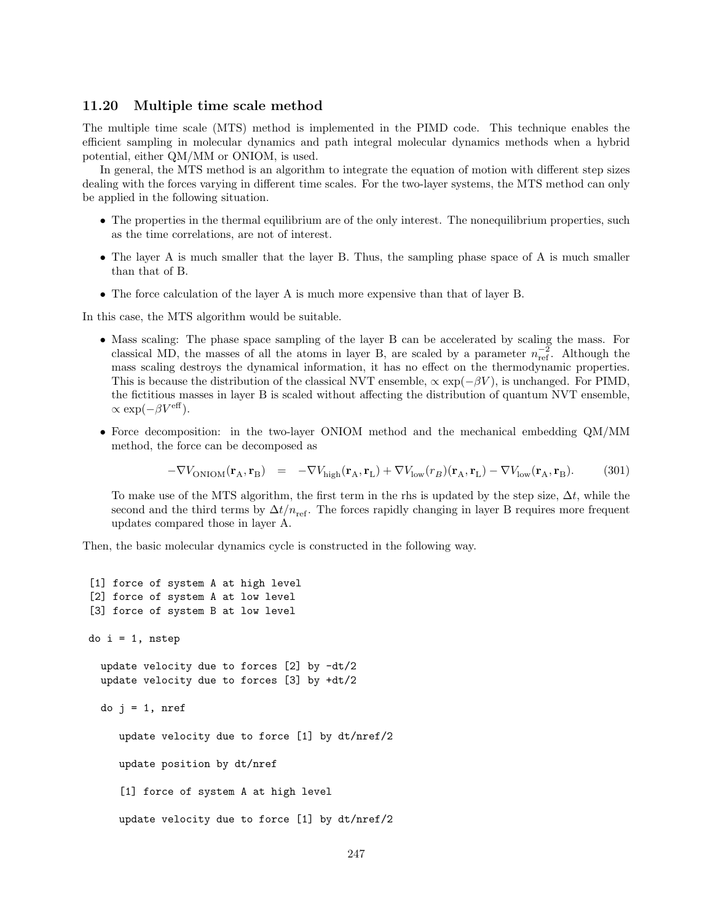## **11.20 Multiple time scale method**

The multiple time scale (MTS) method is implemented in the PIMD code. This technique enables the efficient sampling in molecular dynamics and path integral molecular dynamics methods when a hybrid potential, either QM/MM or ONIOM, is used.

In general, the MTS method is an algorithm to integrate the equation of motion with different step sizes dealing with the forces varying in different time scales. For the two-layer systems, the MTS method can only be applied in the following situation.

- The properties in the thermal equilibrium are of the only interest. The nonequilibrium properties, such as the time correlations, are not of interest.
- The layer A is much smaller that the layer B. Thus, the sampling phase space of A is much smaller than that of B.
- The force calculation of the layer A is much more expensive than that of layer B.

In this case, the MTS algorithm would be suitable.

- *•* Mass scaling: The phase space sampling of the layer B can be accelerated by scaling the mass. For classical MD, the masses of all the atoms in layer B, are scaled by a parameter  $n_{\text{ref}}^{-2}$ . Although the mass scaling destroys the dynamical information, it has no effect on the thermodynamic properties. This is because the distribution of the classical NVT ensemble,  $\propto \exp(-\beta V)$ , is unchanged. For PIMD, the fictitious masses in layer B is scaled without affecting the distribution of quantum NVT ensemble,  $\propto \exp(-\beta V^{\text{eff}})$ .
- Force decomposition: in the two-layer ONIOM method and the mechanical embedding  $QM/MM$ method, the force can be decomposed as

$$
-\nabla V_{\text{ONIOM}}(\mathbf{r}_A, \mathbf{r}_B) = -\nabla V_{\text{high}}(\mathbf{r}_A, \mathbf{r}_L) + \nabla V_{\text{low}}(r_B)(\mathbf{r}_A, \mathbf{r}_L) - \nabla V_{\text{low}}(\mathbf{r}_A, \mathbf{r}_B). \tag{301}
$$

To make use of the MTS algorithm, the first term in the rhs is updated by the step size, ∆*t*, while the second and the third terms by  $\Delta t/n_{\text{ref}}$ . The forces rapidly changing in layer B requires more frequent updates compared those in layer A.

Then, the basic molecular dynamics cycle is constructed in the following way.

```
[1] force of system A at high level
[2] force of system A at low level
[3] force of system B at low level
do i = 1, nstep
  update velocity due to forces [2] by -dt/2
  update velocity due to forces [3] by +dt/2
  do j = 1, nref
     update velocity due to force [1] by dt/nref/2
     update position by dt/nref
     [1] force of system A at high level
     update velocity due to force [1] by dt/nref/2
```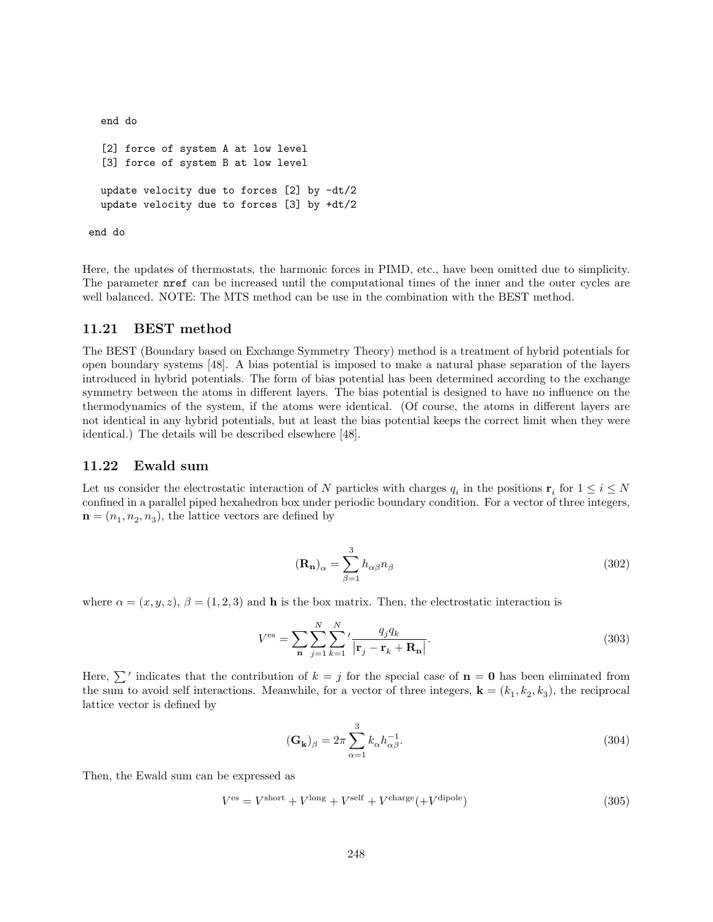```
end do
  [2] force of system A at low level
  [3] force of system B at low level
  update velocity due to forces [2] by -dt/2
  update velocity due to forces [3] by +dt/2
end do
```
Here, the updates of thermostats, the harmonic forces in PIMD, etc., have been omitted due to simplicity. The parameter nref can be increased until the computational times of the inner and the outer cycles are well balanced. NOTE: The MTS method can be use in the combination with the BEST method.

## **11.21 BEST method**

The BEST (Boundary based on Exchange Symmetry Theory) method is a treatment of hybrid potentials for open boundary systems [48]. A bias potential is imposed to make a natural phase separation of the layers introduced in hybrid potentials. The form of bias potential has been determined according to the exchange symmetry between the atoms in different layers. The bias potential is designed to have no influence on the thermodynamics of the system, if the atoms were identical. (Of course, the atoms in different layers are not identical in any hybrid potentials, but at least the bias potential keeps the correct limit when they were identical.) The details will be described elsewhere [48].

## **11.22 Ewald sum**

Let us consider the electrostatic interaction of *N* particles with charges  $q_i$  in the positions  $\mathbf{r}_i$  for  $1 \leq i \leq N$ confined in a parallel piped hexahedron box under periodic boundary condition. For a vector of three integers,  $\mathbf{n} = (n_1, n_2, n_3)$ , the lattice vectors are defined by

$$
(\mathbf{R}_{\mathbf{n}})_{\alpha} = \sum_{\beta=1}^{3} h_{\alpha\beta} n_{\beta} \tag{302}
$$

where  $\alpha = (x, y, z), \beta = (1, 2, 3)$  and **h** is the box matrix. Then, the electrostatic interaction is

$$
V^{\text{es}} = \sum_{\mathbf{n}} \sum_{j=1}^{N} \sum_{k=1}^{N} \frac{q_j q_k}{|\mathbf{r}_j - \mathbf{r}_k + \mathbf{R}_{\mathbf{n}}|}.
$$
\n(303)

Here,  $\sum'$  indicates that the contribution of  $k = j$  for the special case of  $\mathbf{n} = \mathbf{0}$  has been eliminated from the sum to avoid self interactions. Meanwhile, for a vector of three integers,  $\mathbf{k} = (k_1, k_2, k_3)$ , the reciprocal lattice vector is defined by

$$
(\mathbf{G}_{\mathbf{k}})_{\beta} = 2\pi \sum_{\alpha=1}^{3} k_{\alpha} h_{\alpha\beta}^{-1}.
$$
 (304)

Then, the Ewald sum can be expressed as

$$
V^{\text{es}} = V^{\text{short}} + V^{\text{long}} + V^{\text{self}} + V^{\text{charge}}(+V^{\text{dipole}})
$$
\n(305)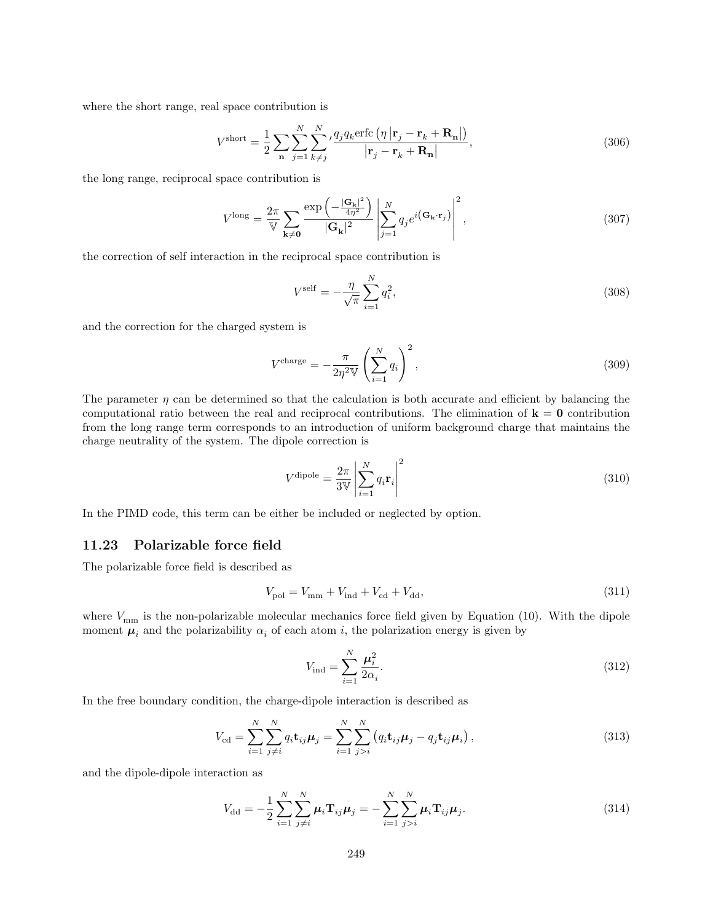where the short range, real space contribution is

$$
V^{\text{short}} = \frac{1}{2} \sum_{\mathbf{n}} \sum_{j=1}^{N} \sum_{k \neq j}^{N} \frac{q_j q_k \text{erfc}\left(\eta \left|\mathbf{r}_j - \mathbf{r}_k + \mathbf{R}_{\mathbf{n}}\right|\right)}{\left|\mathbf{r}_j - \mathbf{r}_k + \mathbf{R}_{\mathbf{n}}\right|},\tag{306}
$$

the long range, reciprocal space contribution is

$$
V^{\text{long}} = \frac{2\pi}{\mathbb{V}} \sum_{\mathbf{k}\neq\mathbf{0}} \frac{\exp\left(-\frac{|\mathbf{G}_{\mathbf{k}}|^2}{4\eta^2}\right)}{|\mathbf{G}_{\mathbf{k}}|^2} \left|\sum_{j=1}^N q_j e^{i(\mathbf{G}_{\mathbf{k}} \cdot \mathbf{r}_j)}\right|^2, \tag{307}
$$

the correction of self interaction in the reciprocal space contribution is

$$
V^{\text{self}} = -\frac{\eta}{\sqrt{\pi}} \sum_{i=1}^{N} q_i^2,\tag{308}
$$

and the correction for the charged system is

$$
V^{\text{charge}} = -\frac{\pi}{2\eta^2 \mathbb{V}} \left(\sum_{i=1}^N q_i\right)^2,\tag{309}
$$

The parameter  $\eta$  can be determined so that the calculation is both accurate and efficient by balancing the computational ratio between the real and reciprocal contributions. The elimination of  $\mathbf{k} = \mathbf{0}$  contribution from the long range term corresponds to an introduction of uniform background charge that maintains the charge neutrality of the system. The dipole correction is

$$
V^{\text{dipole}} = \frac{2\pi}{3V} \left| \sum_{i=1}^{N} q_i \mathbf{r}_i \right|^2 \tag{310}
$$

In the PIMD code, this term can be either be included or neglected by option.

# **11.23 Polarizable force field**

The polarizable force field is described as

$$
V_{\text{pol}} = V_{\text{mm}} + V_{\text{ind}} + V_{\text{cd}} + V_{\text{dd}},\tag{311}
$$

where  $V_{\text{mm}}$  is the non-polarizable molecular mechanics force field given by Equation (10). With the dipole moment  $\mu_i$  and the polarizability  $\alpha_i$  of each atom *i*, the polarization energy is given by

$$
V_{\text{ind}} = \sum_{i=1}^{N} \frac{\mu_i^2}{2\alpha_i}.
$$
\n(312)

In the free boundary condition, the charge-dipole interaction is described as

$$
V_{\rm cd} = \sum_{i=1}^{N} \sum_{j \neq i}^{N} q_i \mathbf{t}_{ij} \boldsymbol{\mu}_j = \sum_{i=1}^{N} \sum_{j > i}^{N} (q_i \mathbf{t}_{ij} \boldsymbol{\mu}_j - q_j \mathbf{t}_{ij} \boldsymbol{\mu}_i),
$$
(313)

and the dipole-dipole interaction as

$$
V_{\rm dd} = -\frac{1}{2} \sum_{i=1}^{N} \sum_{j \neq i}^{N} \mu_i \mathbf{T}_{ij} \mu_j = -\sum_{i=1}^{N} \sum_{j>i}^{N} \mu_i \mathbf{T}_{ij} \mu_j.
$$
 (314)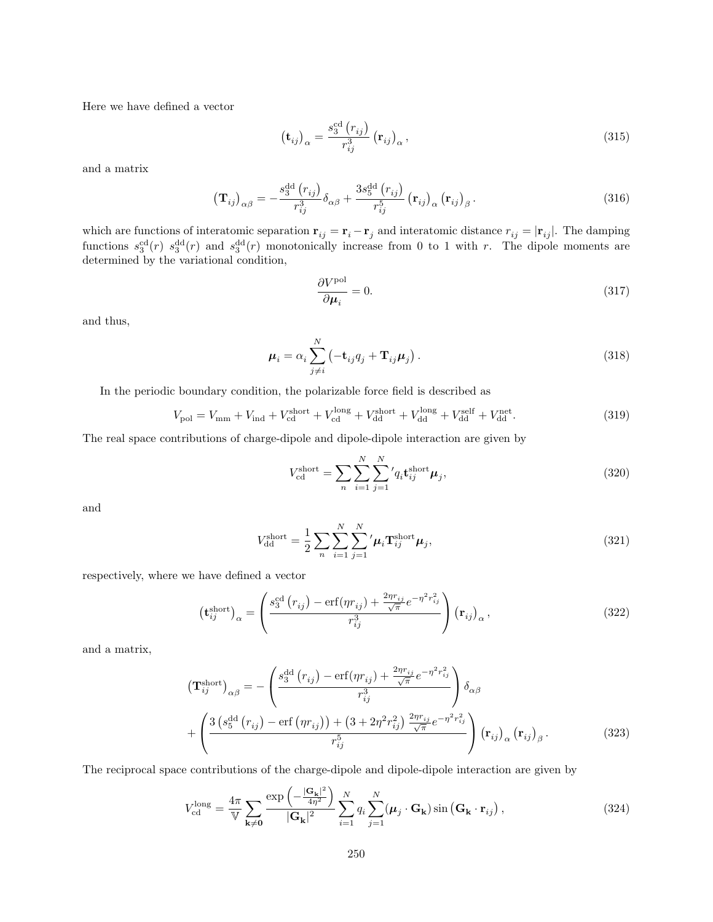Here we have defined a vector

$$
\left(\mathbf{t}_{ij}\right)_{\alpha} = \frac{s_3^{\text{cd}}\left(r_{ij}\right)}{r_{ij}^3}\left(\mathbf{r}_{ij}\right)_{\alpha},\tag{315}
$$

and a matrix

$$
\left(\mathbf{T}_{ij}\right)_{\alpha\beta} = -\frac{s_3^{\text{dd}}\left(r_{ij}\right)}{r_{ij}^3}\delta_{\alpha\beta} + \frac{3s_5^{\text{dd}}\left(r_{ij}\right)}{r_{ij}^5}\left(\mathbf{r}_{ij}\right)_{\alpha}\left(\mathbf{r}_{ij}\right)_{\beta}.
$$
\n(316)

which are functions of interatomic separation  $\mathbf{r}_{ij} = \mathbf{r}_i - \mathbf{r}_j$  and interatomic distance  $r_{ij} = |\mathbf{r}_{ij}|$ . The damping functions  $s_3^{\text{cd}}(r)$   $s_3^{\text{dd}}(r)$  and  $s_3^{\text{dd}}(r)$  monotonically increase from 0 to 1 with *r*. The dipole moments are determined by the variational condition,

$$
\frac{\partial V^{\text{pol}}}{\partial \mu_i} = 0. \tag{317}
$$

and thus,

$$
\mu_i = \alpha_i \sum_{j \neq i}^{N} \left( -\mathbf{t}_{ij} q_j + \mathbf{T}_{ij} \mu_j \right). \tag{318}
$$

In the periodic boundary condition, the polarizable force field is described as

$$
V_{\text{pol}} = V_{\text{mm}} + V_{\text{ind}} + V_{\text{cd}}^{\text{short}} + V_{\text{cd}}^{\text{long}} + V_{\text{dd}}^{\text{short}} + V_{\text{dd}}^{\text{long}} + V_{\text{dd}}^{\text{self}} + V_{\text{dd}}^{\text{net}}.
$$
\n(319)

The real space contributions of charge-dipole and dipole-dipole interaction are given by

$$
V_{\rm cd}^{\rm short} = \sum_{n} \sum_{i=1}^{N} \sum_{j=1}^{N} 'q_i \mathbf{t}_{ij}^{\rm short} \boldsymbol{\mu}_j,
$$
 (320)

and

$$
V_{\rm dd}^{\rm short} = \frac{1}{2} \sum_{n} \sum_{i=1}^{N} \sum_{j=1}^{N} ' \mu_i \mathbf{T}_{ij}^{\rm short} \mu_j,
$$
 (321)

respectively, where we have defined a vector

$$
\left(\mathbf{t}_{ij}^{\text{short}}\right)_{\alpha} = \left(\frac{s_3^{\text{cd}}\left(r_{ij}\right) - \text{erf}(\eta r_{ij}) + \frac{2\eta r_{ij}}{\sqrt{\pi}}e^{-\eta^2 r_{ij}^2}}{r_{ij}^3}\right)\left(\mathbf{r}_{ij}\right)_{\alpha},\tag{322}
$$

and a matrix,

$$
\left(\mathbf{T}_{ij}^{\text{short}}\right)_{\alpha\beta} = -\left(\frac{s_3^{\text{dd}}\left(r_{ij}\right) - \text{erf}\left(\eta r_{ij}\right) + \frac{2\eta r_{ij}}{\sqrt{\pi}}e^{-\eta^2 r_{ij}^2}}{r_{ij}^3}\right)\delta_{\alpha\beta} + \left(\frac{3\left(s_5^{\text{dd}}\left(r_{ij}\right) - \text{erf}\left(\eta r_{ij}\right)\right) + \left(3 + 2\eta^2 r_{ij}^2\right)\frac{2\eta r_{ij}}{\sqrt{\pi}}e^{-\eta^2 r_{ij}^2}}{r_{ij}^5}\right)\left(\mathbf{r}_{ij}\right)_{\alpha}\left(\mathbf{r}_{ij}\right)_{\beta}.
$$
\n(323)

The reciprocal space contributions of the charge-dipole and dipole-dipole interaction are given by

$$
V_{\rm cd}^{\rm long} = \frac{4\pi}{V} \sum_{\mathbf{k}\neq\mathbf{0}} \frac{\exp\left(-\frac{|\mathbf{G}_{\mathbf{k}}|^2}{4\eta^2}\right)}{|\mathbf{G}_{\mathbf{k}}|^2} \sum_{i=1}^N q_i \sum_{j=1}^N (\boldsymbol{\mu}_j \cdot \mathbf{G}_{\mathbf{k}}) \sin\left(\mathbf{G}_{\mathbf{k}} \cdot \mathbf{r}_{ij}\right),\tag{324}
$$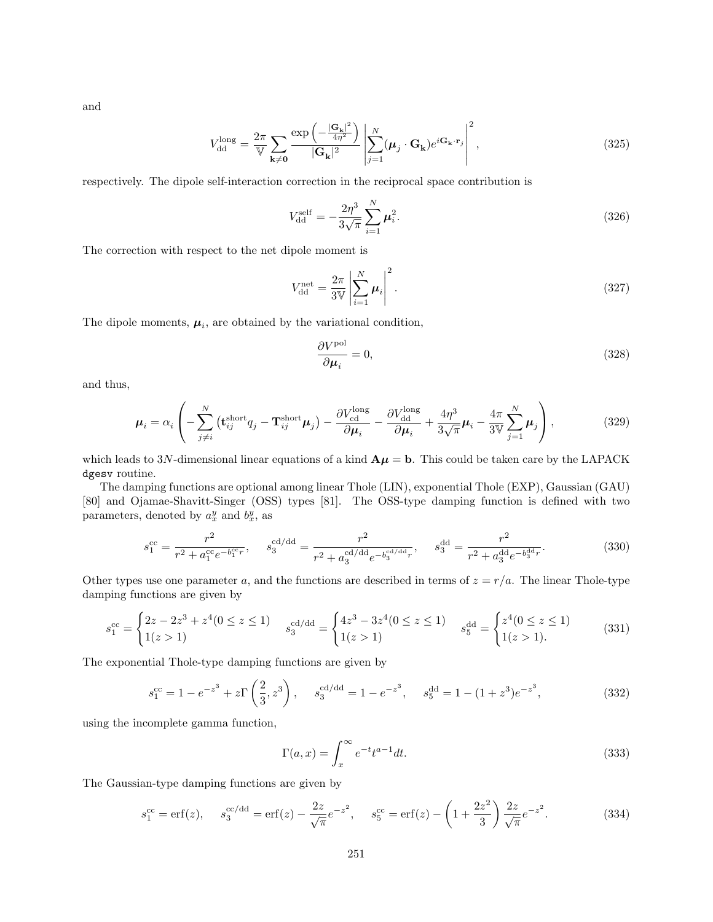and

$$
V_{\rm dd}^{\rm long} = \frac{2\pi}{V} \sum_{\mathbf{k}\neq\mathbf{0}} \frac{\exp\left(-\frac{|\mathbf{G}_{\mathbf{k}}|^2}{4\eta^2}\right)}{|\mathbf{G}_{\mathbf{k}}|^2} \left| \sum_{j=1}^N (\boldsymbol{\mu}_j \cdot \mathbf{G}_{\mathbf{k}}) e^{i\mathbf{G}_{\mathbf{k}} \cdot \mathbf{r}_j} \right|^2, \tag{325}
$$

respectively. The dipole self-interaction correction in the reciprocal space contribution is

$$
V_{\rm dd}^{\rm self} = -\frac{2\eta^3}{3\sqrt{\pi}} \sum_{i=1}^{N} \mu_i^2.
$$
 (326)

The correction with respect to the net dipole moment is

$$
V_{\rm dd}^{\rm net} = \frac{2\pi}{3V} \left| \sum_{i=1}^{N} \mu_i \right|^2.
$$
 (327)

The dipole moments,  $\mu_i$ , are obtained by the variational condition,

$$
\frac{\partial V^{\text{pol}}}{\partial \mu_i} = 0,\tag{328}
$$

and thus,

$$
\boldsymbol{\mu}_{i} = \alpha_{i} \left( -\sum_{j \neq i}^{N} \left( \mathbf{t}_{ij}^{\text{short}} q_{j} - \mathbf{T}_{ij}^{\text{short}} \boldsymbol{\mu}_{j} \right) - \frac{\partial V_{\text{cd}}^{\text{long}}}{\partial \boldsymbol{\mu}_{i}} - \frac{\partial V_{\text{dd}}^{\text{long}}}{\partial \boldsymbol{\mu}_{i}} + \frac{4\eta^{3}}{3\sqrt{\pi}} \boldsymbol{\mu}_{i} - \frac{4\pi}{3V} \sum_{j=1}^{N} \boldsymbol{\mu}_{j} \right), \tag{329}
$$

which leads to 3*N*-dimensional linear equations of a kind  $A\mu = b$ . This could be taken care by the LAPACK dgesv routine.

The damping functions are optional among linear Thole (LIN), exponential Thole (EXP), Gaussian (GAU) [80] and Ojamae-Shavitt-Singer (OSS) types [81]. The OSS-type damping function is defined with two parameters, denoted by  $a_x^y$  and  $b_x^y$ , as

$$
s_1^{\rm cc} = \frac{r^2}{r^2 + a_1^{\rm cc}e^{-b_1^{\rm cc}r}}, \quad s_3^{\rm cd/dd} = \frac{r^2}{r^2 + a_3^{\rm cd/dd}e^{-b_3^{\rm cd/dd}r}}, \quad s_3^{\rm dd} = \frac{r^2}{r^2 + a_3^{\rm dd}e^{-b_3^{\rm dd}r}}.\tag{330}
$$

Other types use one parameter *a*, and the functions are described in terms of  $z = r/a$ . The linear Thole-type damping functions are given by

$$
s_1^{\text{cc}} = \begin{cases} 2z - 2z^3 + z^4 (0 \le z \le 1) & s_3^{\text{cd}/\text{dd}} = \begin{cases} 4z^3 - 3z^4 (0 \le z \le 1) & s_5^{\text{dd}} = \begin{cases} z^4 (0 \le z \le 1) \\ 1 (z > 1) \end{cases} \\ 1 (z > 1). \end{cases} \tag{331}
$$

The exponential Thole-type damping functions are given by

$$
s_1^{\text{cc}} = 1 - e^{-z^3} + z \Gamma\left(\frac{2}{3}, z^3\right), \quad s_3^{\text{cd/dd}} = 1 - e^{-z^3}, \quad s_5^{\text{dd}} = 1 - (1 + z^3)e^{-z^3}, \tag{332}
$$

using the incomplete gamma function,

$$
\Gamma(a,x) = \int_{x}^{\infty} e^{-t} t^{a-1} dt.
$$
\n(333)

The Gaussian-type damping functions are given by

$$
s_1^{\text{cc}} = \text{erf}(z), \quad s_3^{\text{cc}/\text{dd}} = \text{erf}(z) - \frac{2z}{\sqrt{\pi}} e^{-z^2}, \quad s_5^{\text{cc}} = \text{erf}(z) - \left(1 + \frac{2z^2}{3}\right) \frac{2z}{\sqrt{\pi}} e^{-z^2}.
$$
 (334)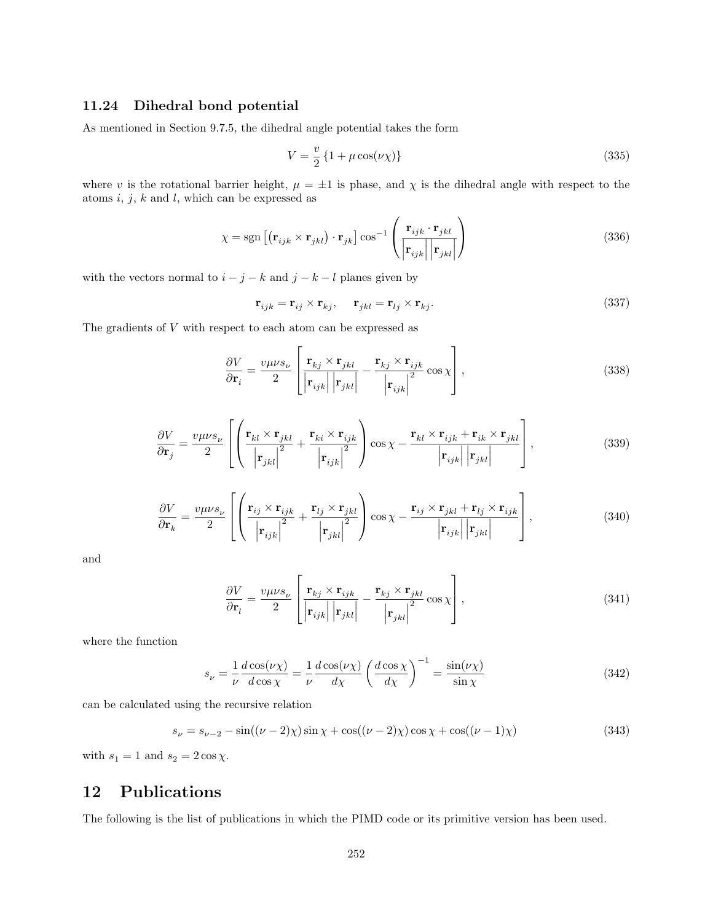# **11.24 Dihedral bond potential**

As mentioned in Section 9.7.5, the dihedral angle potential takes the form

$$
V = \frac{v}{2} \left\{ 1 + \mu \cos(\nu \chi) \right\} \tag{335}
$$

where *v* is the rotational barrier height,  $\mu = \pm 1$  is phase, and  $\chi$  is the dihedral angle with respect to the atoms *i*, *j*, *k* and *l*, which can be expressed as

$$
\chi = \text{sgn}\left[ \left( \mathbf{r}_{ijk} \times \mathbf{r}_{jkl} \right) \cdot \mathbf{r}_{jk} \right] \text{cos}^{-1} \left( \frac{\mathbf{r}_{ijk} \cdot \mathbf{r}_{jkl}}{\left| \mathbf{r}_{ijk} \right| \left| \mathbf{r}_{jkl} \right|} \right)
$$
(336)

with the vectors normal to  $i - j - k$  and  $j - k - l$  planes given by

$$
\mathbf{r}_{ijk} = \mathbf{r}_{ij} \times \mathbf{r}_{kj}, \quad \mathbf{r}_{jkl} = \mathbf{r}_{lj} \times \mathbf{r}_{kj}.
$$
 (337)

The gradients of *V* with respect to each atom can be expressed as

$$
\frac{\partial V}{\partial \mathbf{r}_{i}} = \frac{v\mu \nu s_{\nu}}{2} \left[ \frac{\mathbf{r}_{kj} \times \mathbf{r}_{jkl}}{\left| \mathbf{r}_{ijk} \right| \left| \mathbf{r}_{jkl} \right|} - \frac{\mathbf{r}_{kj} \times \mathbf{r}_{ijk}}{\left| \mathbf{r}_{ijk} \right|^{2}} \cos \chi \right],
$$
\n(338)

$$
\frac{\partial V}{\partial \mathbf{r}_j} = \frac{v \mu v_{s_\nu}}{2} \left[ \left( \frac{\mathbf{r}_{kl} \times \mathbf{r}_{jkl}}{\left| \mathbf{r}_{jkl} \right|^2} + \frac{\mathbf{r}_{ki} \times \mathbf{r}_{ijk}}{\left| \mathbf{r}_{ijk} \right|^2} \right) \cos \chi - \frac{\mathbf{r}_{kl} \times \mathbf{r}_{ijk} + \mathbf{r}_{ik} \times \mathbf{r}_{jkl}}{\left| \mathbf{r}_{ijk} \right| \left| \mathbf{r}_{jkl} \right|} \right],
$$
(339)

$$
\frac{\partial V}{\partial \mathbf{r}_k} = \frac{v\mu \nu s_\nu}{2} \left[ \left( \frac{\mathbf{r}_{ij} \times \mathbf{r}_{ijk}}{\left| \mathbf{r}_{ijk} \right|^2} + \frac{\mathbf{r}_{lj} \times \mathbf{r}_{jkl}}{\left| \mathbf{r}_{jkl} \right|^2} \right) \cos \chi - \frac{\mathbf{r}_{ij} \times \mathbf{r}_{jkl} + \mathbf{r}_{lj} \times \mathbf{r}_{ijk}}{\left| \mathbf{r}_{jkl} \right| \left| \mathbf{r}_{jkl} \right|} \right],
$$
(340)

and

$$
\frac{\partial V}{\partial \mathbf{r}_l} = \frac{v \mu \nu s_{\nu}}{2} \left[ \frac{\mathbf{r}_{kj} \times \mathbf{r}_{ijk}}{\left| \mathbf{r}_{ijk} \right| \left| \mathbf{r}_{jkl} \right|} - \frac{\mathbf{r}_{kj} \times \mathbf{r}_{jkl}}{\left| \mathbf{r}_{jkl} \right|^2} \cos \chi \right],
$$
\n(341)

where the function

$$
s_{\nu} = \frac{1}{\nu} \frac{d \cos(\nu \chi)}{d \cos \chi} = \frac{1}{\nu} \frac{d \cos(\nu \chi)}{d \chi} \left(\frac{d \cos \chi}{d \chi}\right)^{-1} = \frac{\sin(\nu \chi)}{\sin \chi}
$$
(342)

can be calculated using the recursive relation

$$
s_{\nu} = s_{\nu - 2} - \sin((\nu - 2)\chi)\sin\chi + \cos((\nu - 2)\chi)\cos\chi + \cos((\nu - 1)\chi)
$$
 (343)

with  $s_1 = 1$  and  $s_2 = 2 \cos \chi$ .

# **12 Publications**

The following is the list of publications in which the PIMD code or its primitive version has been used.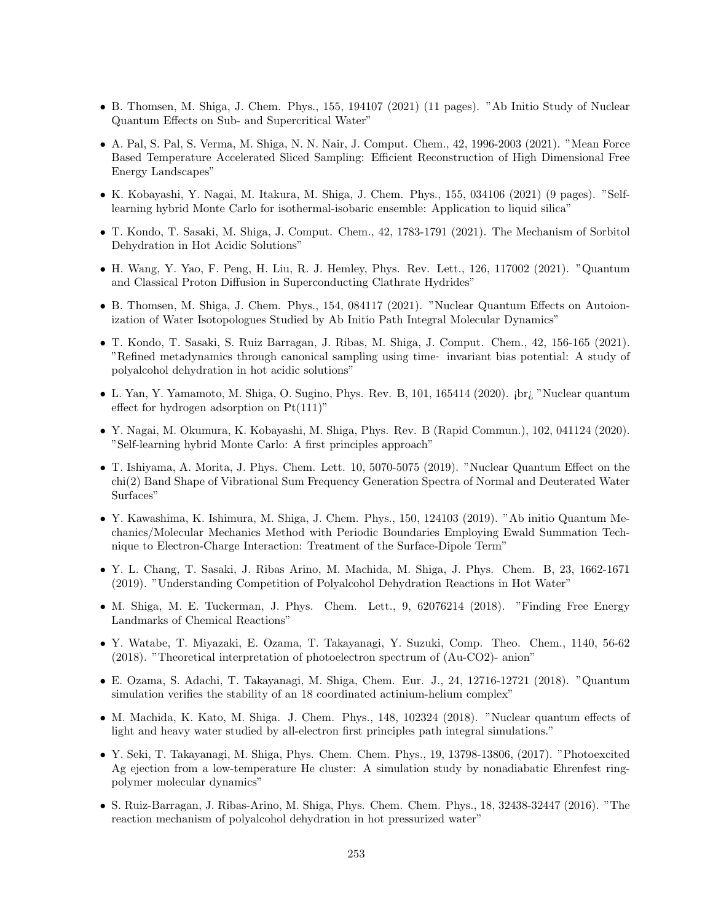- B. Thomsen, M. Shiga, J. Chem. Phys., 155, 194107 (2021) (11 pages). "Ab Initio Study of Nuclear Quantum Effects on Sub- and Supercritical Water"
- *•* A. Pal, S. Pal, S. Verma, M. Shiga, N. N. Nair, J. Comput. Chem., 42, 1996-2003 (2021). "Mean Force Based Temperature Accelerated Sliced Sampling: Efficient Reconstruction of High Dimensional Free Energy Landscapes"
- *•* K. Kobayashi, Y. Nagai, M. Itakura, M. Shiga, J. Chem. Phys., 155, 034106 (2021) (9 pages). "Selflearning hybrid Monte Carlo for isothermal-isobaric ensemble: Application to liquid silica"
- *•* T. Kondo, T. Sasaki, M. Shiga, J. Comput. Chem., 42, 1783-1791 (2021). The Mechanism of Sorbitol Dehydration in Hot Acidic Solutions"
- H. Wang, Y. Yao, F. Peng, H. Liu, R. J. Hemley, Phys. Rev. Lett., 126, 117002 (2021). "Quantum and Classical Proton Diffusion in Superconducting Clathrate Hydrides"
- B. Thomsen, M. Shiga, J. Chem. Phys., 154, 084117 (2021). "Nuclear Quantum Effects on Autoionization of Water Isotopologues Studied by Ab Initio Path Integral Molecular Dynamics"
- *•* T. Kondo, T. Sasaki, S. Ruiz Barragan, J. Ribas, M. Shiga, J. Comput. Chem., 42, 156-165 (2021). "Refined metadynamics through canonical sampling using time‐ invariant bias potential: A study of polyalcohol dehydration in hot acidic solutions"
- *•* L. Yan, Y. Yamamoto, M. Shiga, O. Sugino, Phys. Rev. B, 101, 165414 (2020). ¡br¿ "Nuclear quantum effect for hydrogen adsorption on Pt(111)"
- *•* Y. Nagai, M. Okumura, K. Kobayashi, M. Shiga, Phys. Rev. B (Rapid Commun.), 102, 041124 (2020). "Self-learning hybrid Monte Carlo: A first principles approach"
- *•* T. Ishiyama, A. Morita, J. Phys. Chem. Lett. 10, 5070-5075 (2019). "Nuclear Quantum Effect on the chi(2) Band Shape of Vibrational Sum Frequency Generation Spectra of Normal and Deuterated Water Surfaces"
- *•* Y. Kawashima, K. Ishimura, M. Shiga, J. Chem. Phys., 150, 124103 (2019). "Ab initio Quantum Mechanics/Molecular Mechanics Method with Periodic Boundaries Employing Ewald Summation Technique to Electron-Charge Interaction: Treatment of the Surface-Dipole Term"
- *•* Y. L. Chang, T. Sasaki, J. Ribas Arino, M. Machida, M. Shiga, J. Phys. Chem. B, 23, 1662-1671 (2019). "Understanding Competition of Polyalcohol Dehydration Reactions in Hot Water"
- M. Shiga, M. E. Tuckerman, J. Phys. Chem. Lett., 9, 62076214 (2018). "Finding Free Energy Landmarks of Chemical Reactions"
- *•* Y. Watabe, T. Miyazaki, E. Ozama, T. Takayanagi, Y. Suzuki, Comp. Theo. Chem., 1140, 56-62 (2018). "Theoretical interpretation of photoelectron spectrum of (Au-CO2)- anion"
- *•* E. Ozama, S. Adachi, T. Takayanagi, M. Shiga, Chem. Eur. J., 24, 12716-12721 (2018). "Quantum simulation verifies the stability of an 18 coordinated actinium-helium complex"
- M. Machida, K. Kato, M. Shiga. J. Chem. Phys., 148, 102324 (2018). "Nuclear quantum effects of light and heavy water studied by all-electron first principles path integral simulations."
- *•* Y. Seki, T. Takayanagi, M. Shiga, Phys. Chem. Chem. Phys., 19, 13798-13806, (2017). "Photoexcited Ag ejection from a low-temperature He cluster: A simulation study by nonadiabatic Ehrenfest ringpolymer molecular dynamics"
- *•* S. Ruiz-Barragan, J. Ribas-Arino, M. Shiga, Phys. Chem. Chem. Phys., 18, 32438-32447 (2016). "The reaction mechanism of polyalcohol dehydration in hot pressurized water"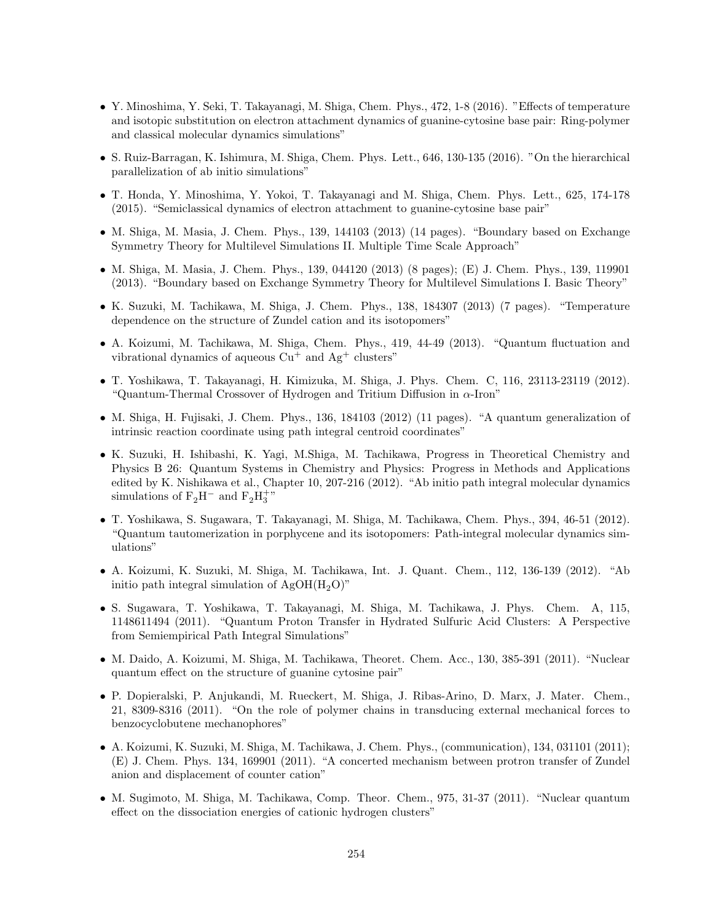- *•* Y. Minoshima, Y. Seki, T. Takayanagi, M. Shiga, Chem. Phys., 472, 1-8 (2016). "Effects of temperature and isotopic substitution on electron attachment dynamics of guanine-cytosine base pair: Ring-polymer and classical molecular dynamics simulations"
- *•* S. Ruiz-Barragan, K. Ishimura, M. Shiga, Chem. Phys. Lett., 646, 130-135 (2016). "On the hierarchical parallelization of ab initio simulations"
- *•* T. Honda, Y. Minoshima, Y. Yokoi, T. Takayanagi and M. Shiga, Chem. Phys. Lett., 625, 174-178 (2015). "Semiclassical dynamics of electron attachment to guanine-cytosine base pair"
- M. Shiga, M. Masia, J. Chem. Phys., 139, 144103 (2013) (14 pages). "Boundary based on Exchange Symmetry Theory for Multilevel Simulations II. Multiple Time Scale Approach"
- *•* M. Shiga, M. Masia, J. Chem. Phys., 139, 044120 (2013) (8 pages); (E) J. Chem. Phys., 139, 119901 (2013). "Boundary based on Exchange Symmetry Theory for Multilevel Simulations I. Basic Theory"
- *•* K. Suzuki, M. Tachikawa, M. Shiga, J. Chem. Phys., 138, 184307 (2013) (7 pages). "Temperature dependence on the structure of Zundel cation and its isotopomers"
- *•* A. Koizumi, M. Tachikawa, M. Shiga, Chem. Phys., 419, 44-49 (2013). "Quantum fluctuation and vibrational dynamics of aqueous  $Cu<sup>+</sup>$  and  $Ag<sup>+</sup>$  clusters"
- *•* T. Yoshikawa, T. Takayanagi, H. Kimizuka, M. Shiga, J. Phys. Chem. C, 116, 23113-23119 (2012). "Quantum-Thermal Crossover of Hydrogen and Tritium Diffusion in *α*-Iron"
- *•* M. Shiga, H. Fujisaki, J. Chem. Phys., 136, 184103 (2012) (11 pages). "A quantum generalization of intrinsic reaction coordinate using path integral centroid coordinates"
- *•* K. Suzuki, H. Ishibashi, K. Yagi, M.Shiga, M. Tachikawa, Progress in Theoretical Chemistry and Physics B 26: Quantum Systems in Chemistry and Physics: Progress in Methods and Applications edited by K. Nishikawa et al., Chapter 10, 207-216 (2012). "Ab initio path integral molecular dynamics simulations of  $\rm F_2H^−$  and  $\rm F_2H_3^{+}$ "
- *•* T. Yoshikawa, S. Sugawara, T. Takayanagi, M. Shiga, M. Tachikawa, Chem. Phys., 394, 46-51 (2012). "Quantum tautomerization in porphycene and its isotopomers: Path-integral molecular dynamics simulations"
- *•* A. Koizumi, K. Suzuki, M. Shiga, M. Tachikawa, Int. J. Quant. Chem., 112, 136-139 (2012). "Ab initio path integral simulation of  $AgOH(H<sub>2</sub>O)$ "
- *•* S. Sugawara, T. Yoshikawa, T. Takayanagi, M. Shiga, M. Tachikawa, J. Phys. Chem. A, 115, 1148611494 (2011). "Quantum Proton Transfer in Hydrated Sulfuric Acid Clusters: A Perspective from Semiempirical Path Integral Simulations"
- *•* M. Daido, A. Koizumi, M. Shiga, M. Tachikawa, Theoret. Chem. Acc., 130, 385-391 (2011). "Nuclear quantum effect on the structure of guanine cytosine pair"
- *•* P. Dopieralski, P. Anjukandi, M. Rueckert, M. Shiga, J. Ribas-Arino, D. Marx, J. Mater. Chem., 21, 8309-8316 (2011). "On the role of polymer chains in transducing external mechanical forces to benzocyclobutene mechanophores"
- *•* A. Koizumi, K. Suzuki, M. Shiga, M. Tachikawa, J. Chem. Phys., (communication), 134, 031101 (2011); (E) J. Chem. Phys. 134, 169901 (2011). "A concerted mechanism between protron transfer of Zundel anion and displacement of counter cation"
- M. Sugimoto, M. Shiga, M. Tachikawa, Comp. Theor. Chem., 975, 31-37 (2011). "Nuclear quantum effect on the dissociation energies of cationic hydrogen clusters"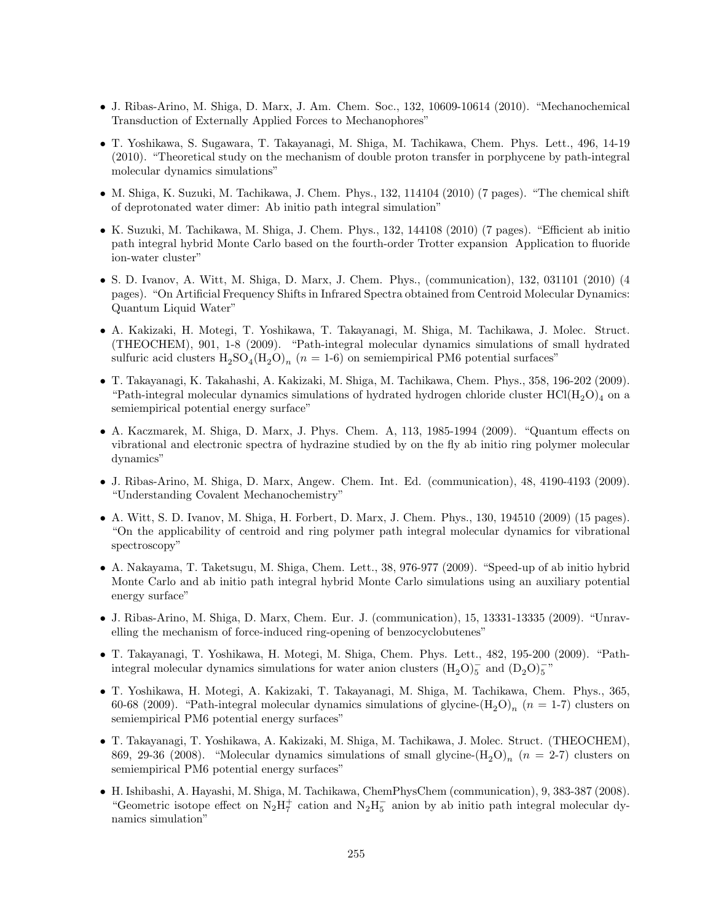- *•* J. Ribas-Arino, M. Shiga, D. Marx, J. Am. Chem. Soc., 132, 10609-10614 (2010). "Mechanochemical Transduction of Externally Applied Forces to Mechanophores"
- *•* T. Yoshikawa, S. Sugawara, T. Takayanagi, M. Shiga, M. Tachikawa, Chem. Phys. Lett., 496, 14-19 (2010). "Theoretical study on the mechanism of double proton transfer in porphycene by path-integral molecular dynamics simulations"
- M. Shiga, K. Suzuki, M. Tachikawa, J. Chem. Phys., 132, 114104 (2010) (7 pages). "The chemical shift of deprotonated water dimer: Ab initio path integral simulation"
- *•* K. Suzuki, M. Tachikawa, M. Shiga, J. Chem. Phys., 132, 144108 (2010) (7 pages). "Efficient ab initio path integral hybrid Monte Carlo based on the fourth-order Trotter expansion Application to fluoride ion-water cluster"
- S. D. Ivanov, A. Witt, M. Shiga, D. Marx, J. Chem. Phys., (communication), 132, 031101 (2010) (4 pages). "On Artificial Frequency Shifts in Infrared Spectra obtained from Centroid Molecular Dynamics: Quantum Liquid Water"
- *•* A. Kakizaki, H. Motegi, T. Yoshikawa, T. Takayanagi, M. Shiga, M. Tachikawa, J. Molec. Struct. (THEOCHEM), 901, 1-8 (2009). "Path-integral molecular dynamics simulations of small hydrated sulfuric acid clusters  $H_2SO_4(H_2O)_n$  ( $n=1-6$ ) on semiempirical PM6 potential surfaces"
- *•* T. Takayanagi, K. Takahashi, A. Kakizaki, M. Shiga, M. Tachikawa, Chem. Phys., 358, 196-202 (2009). "Path-integral molecular dynamics simulations of hydrated hydrogen chloride cluster  $HCl(H_2O)_4$  on a semiempirical potential energy surface"
- A. Kaczmarek, M. Shiga, D. Marx, J. Phys. Chem. A, 113, 1985-1994 (2009). "Quantum effects on vibrational and electronic spectra of hydrazine studied by on the fly ab initio ring polymer molecular dynamics"
- *•* J. Ribas-Arino, M. Shiga, D. Marx, Angew. Chem. Int. Ed. (communication), 48, 4190-4193 (2009). "Understanding Covalent Mechanochemistry"
- *•* A. Witt, S. D. Ivanov, M. Shiga, H. Forbert, D. Marx, J. Chem. Phys., 130, 194510 (2009) (15 pages). "On the applicability of centroid and ring polymer path integral molecular dynamics for vibrational spectroscopy"
- *•* A. Nakayama, T. Taketsugu, M. Shiga, Chem. Lett., 38, 976-977 (2009). "Speed-up of ab initio hybrid Monte Carlo and ab initio path integral hybrid Monte Carlo simulations using an auxiliary potential energy surface"
- *•* J. Ribas-Arino, M. Shiga, D. Marx, Chem. Eur. J. (communication), 15, 13331-13335 (2009). "Unravelling the mechanism of force-induced ring-opening of benzocyclobutenes"
- *•* T. Takayanagi, T. Yoshikawa, H. Motegi, M. Shiga, Chem. Phys. Lett., 482, 195-200 (2009). "Pathintegral molecular dynamics simulations for water anion clusters  $(H_2O)_5^-$  and  $(D_2O)_5^-$ "
- *•* T. Yoshikawa, H. Motegi, A. Kakizaki, T. Takayanagi, M. Shiga, M. Tachikawa, Chem. Phys., 365, 60-68 (2009). "Path-integral molecular dynamics simulations of glycine- $(H_2O)_n$  ( $n=1-7$ ) clusters on semiempirical PM6 potential energy surfaces"
- *•* T. Takayanagi, T. Yoshikawa, A. Kakizaki, M. Shiga, M. Tachikawa, J. Molec. Struct. (THEOCHEM), 869, 29-36 (2008). "Molecular dynamics simulations of small glycine- $(H_2O)_n$   $(n = 2-7)$  clusters on semiempirical PM6 potential energy surfaces"
- *•* H. Ishibashi, A. Hayashi, M. Shiga, M. Tachikawa, ChemPhysChem (communication), 9, 383-387 (2008). "Geometric isotope effect on  $N_2H_7^+$  cation and  $N_2H_5^-$  anion by ab initio path integral molecular dynamics simulation"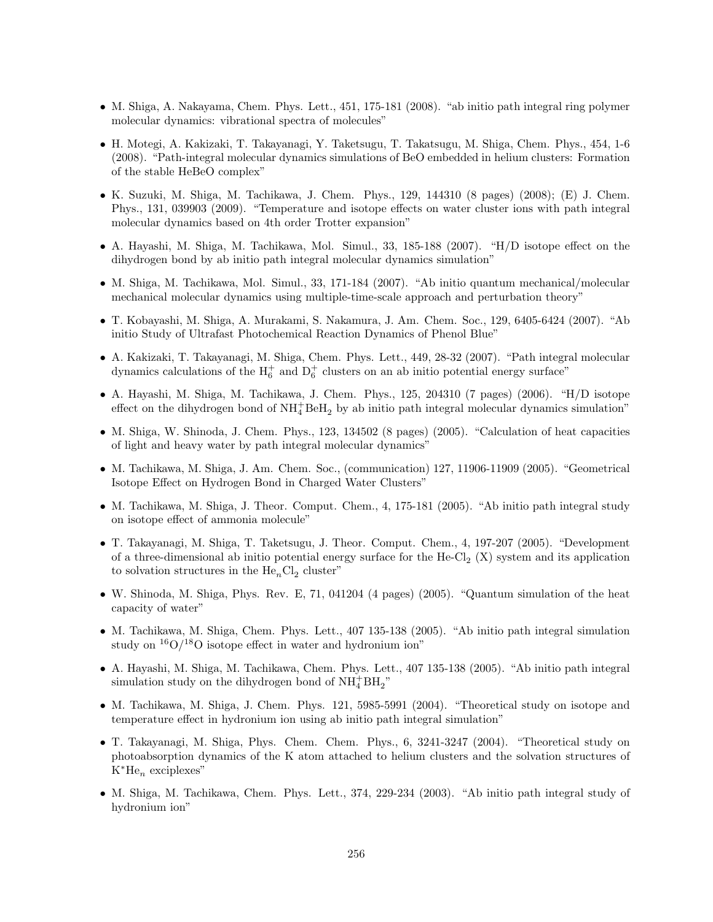- *•* M. Shiga, A. Nakayama, Chem. Phys. Lett., 451, 175-181 (2008). "ab initio path integral ring polymer molecular dynamics: vibrational spectra of molecules"
- *•* H. Motegi, A. Kakizaki, T. Takayanagi, Y. Taketsugu, T. Takatsugu, M. Shiga, Chem. Phys., 454, 1-6 (2008). "Path-integral molecular dynamics simulations of BeO embedded in helium clusters: Formation of the stable HeBeO complex"
- *•* K. Suzuki, M. Shiga, M. Tachikawa, J. Chem. Phys., 129, 144310 (8 pages) (2008); (E) J. Chem. Phys., 131, 039903 (2009). "Temperature and isotope effects on water cluster ions with path integral molecular dynamics based on 4th order Trotter expansion"
- *•* A. Hayashi, M. Shiga, M. Tachikawa, Mol. Simul., 33, 185-188 (2007). "H/D isotope effect on the dihydrogen bond by ab initio path integral molecular dynamics simulation"
- M. Shiga, M. Tachikawa, Mol. Simul., 33, 171-184 (2007). "Ab initio quantum mechanical/molecular mechanical molecular dynamics using multiple-time-scale approach and perturbation theory"
- *•* T. Kobayashi, M. Shiga, A. Murakami, S. Nakamura, J. Am. Chem. Soc., 129, 6405-6424 (2007). "Ab initio Study of Ultrafast Photochemical Reaction Dynamics of Phenol Blue"
- *•* A. Kakizaki, T. Takayanagi, M. Shiga, Chem. Phys. Lett., 449, 28-32 (2007). "Path integral molecular dynamics calculations of the  $H_6^+$  and  $D_6^+$  clusters on an ab initio potential energy surface"
- *•* A. Hayashi, M. Shiga, M. Tachikawa, J. Chem. Phys., 125, 204310 (7 pages) (2006). "H/D isotope effect on the dihydrogen bond of  $NH_4^+BeH_2$  by ab initio path integral molecular dynamics simulation"
- M. Shiga, W. Shinoda, J. Chem. Phys., 123, 134502 (8 pages) (2005). "Calculation of heat capacities of light and heavy water by path integral molecular dynamics"
- *•* M. Tachikawa, M. Shiga, J. Am. Chem. Soc., (communication) 127, 11906-11909 (2005). "Geometrical Isotope Effect on Hydrogen Bond in Charged Water Clusters"
- M. Tachikawa, M. Shiga, J. Theor. Comput. Chem., 4, 175-181 (2005). "Ab initio path integral study on isotope effect of ammonia molecule"
- *•* T. Takayanagi, M. Shiga, T. Taketsugu, J. Theor. Comput. Chem., 4, 197-207 (2005). "Development of a three-dimensional ab initio potential energy surface for the He-Cl<sub>2</sub>  $(X)$  system and its application to solvation structures in the  $\text{He}_n\text{Cl}_2$  cluster"
- W. Shinoda, M. Shiga, Phys. Rev. E, 71, 041204 (4 pages) (2005). "Quantum simulation of the heat capacity of water"
- M. Tachikawa, M. Shiga, Chem. Phys. Lett., 407 135-138 (2005). "Ab initio path integral simulation study on  $16O/18O$  isotope effect in water and hydronium ion"
- *•* A. Hayashi, M. Shiga, M. Tachikawa, Chem. Phys. Lett., 407 135-138 (2005). "Ab initio path integral simulation study on the dihydrogen bond of  $\mathrm{NH}_4^+ \mathrm{BH}_2$  "
- M. Tachikawa, M. Shiga, J. Chem. Phys. 121, 5985-5991 (2004). "Theoretical study on isotope and temperature effect in hydronium ion using ab initio path integral simulation"
- *•* T. Takayanagi, M. Shiga, Phys. Chem. Chem. Phys., 6, 3241-3247 (2004). "Theoretical study on photoabsorption dynamics of the K atom attached to helium clusters and the solvation structures of K*∗*He*<sup>n</sup>* exciplexes"
- M. Shiga, M. Tachikawa, Chem. Phys. Lett., 374, 229-234 (2003). "Ab initio path integral study of hydronium ion"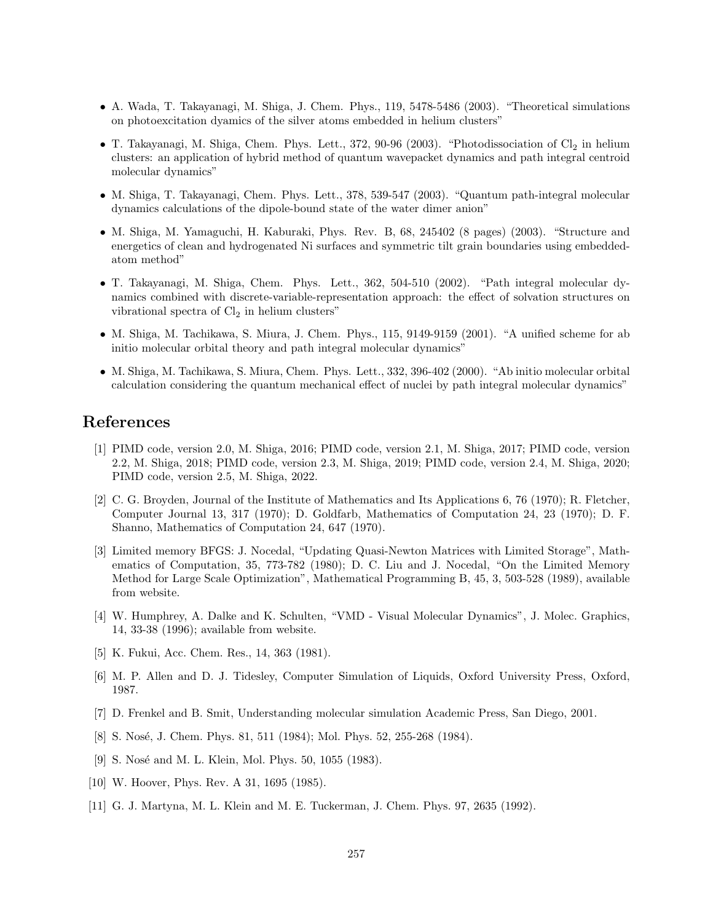- *•* A. Wada, T. Takayanagi, M. Shiga, J. Chem. Phys., 119, 5478-5486 (2003). "Theoretical simulations on photoexcitation dyamics of the silver atoms embedded in helium clusters"
- T. Takayanagi, M. Shiga, Chem. Phys. Lett., 372, 90-96 (2003). "Photodissociation of Cl<sub>2</sub> in helium clusters: an application of hybrid method of quantum wavepacket dynamics and path integral centroid molecular dynamics"
- M. Shiga, T. Takayanagi, Chem. Phys. Lett., 378, 539-547 (2003). "Quantum path-integral molecular dynamics calculations of the dipole-bound state of the water dimer anion"
- *•* M. Shiga, M. Yamaguchi, H. Kaburaki, Phys. Rev. B, 68, 245402 (8 pages) (2003). "Structure and energetics of clean and hydrogenated Ni surfaces and symmetric tilt grain boundaries using embeddedatom method"
- *•* T. Takayanagi, M. Shiga, Chem. Phys. Lett., 362, 504-510 (2002). "Path integral molecular dynamics combined with discrete-variable-representation approach: the effect of solvation structures on vibrational spectra of  $Cl_2$  in helium clusters"
- *•* M. Shiga, M. Tachikawa, S. Miura, J. Chem. Phys., 115, 9149-9159 (2001). "A unified scheme for ab initio molecular orbital theory and path integral molecular dynamics"
- *•* M. Shiga, M. Tachikawa, S. Miura, Chem. Phys. Lett., 332, 396-402 (2000). "Ab initio molecular orbital calculation considering the quantum mechanical effect of nuclei by path integral molecular dynamics"

## **References**

- [1] PIMD code, version 2.0, M. Shiga, 2016; PIMD code, version 2.1, M. Shiga, 2017; PIMD code, version 2.2, M. Shiga, 2018; PIMD code, version 2.3, M. Shiga, 2019; PIMD code, version 2.4, M. Shiga, 2020; PIMD code, version 2.5, M. Shiga, 2022.
- [2] C. G. Broyden, Journal of the Institute of Mathematics and Its Applications 6, 76 (1970); R. Fletcher, Computer Journal 13, 317 (1970); D. Goldfarb, Mathematics of Computation 24, 23 (1970); D. F. Shanno, Mathematics of Computation 24, 647 (1970).
- [3] Limited memory BFGS: J. Nocedal, "Updating Quasi-Newton Matrices with Limited Storage", Mathematics of Computation, 35, 773-782 (1980); D. C. Liu and J. Nocedal, "On the Limited Memory Method for Large Scale Optimization", Mathematical Programming B, 45, 3, 503-528 (1989), available from website.
- [4] W. Humphrey, A. Dalke and K. Schulten, "VMD Visual Molecular Dynamics", J. Molec. Graphics, 14, 33-38 (1996); available from website.
- [5] K. Fukui, Acc. Chem. Res., 14, 363 (1981).
- [6] M. P. Allen and D. J. Tidesley, Computer Simulation of Liquids, Oxford University Press, Oxford, 1987.
- [7] D. Frenkel and B. Smit, Understanding molecular simulation Academic Press, San Diego, 2001.
- [8] S. Nosé, J. Chem. Phys. 81, 511 (1984); Mol. Phys. 52, 255-268 (1984).
- [9] S. Nosé and M. L. Klein, Mol. Phys. 50, 1055 (1983).
- [10] W. Hoover, Phys. Rev. A 31, 1695 (1985).
- [11] G. J. Martyna, M. L. Klein and M. E. Tuckerman, J. Chem. Phys. 97, 2635 (1992).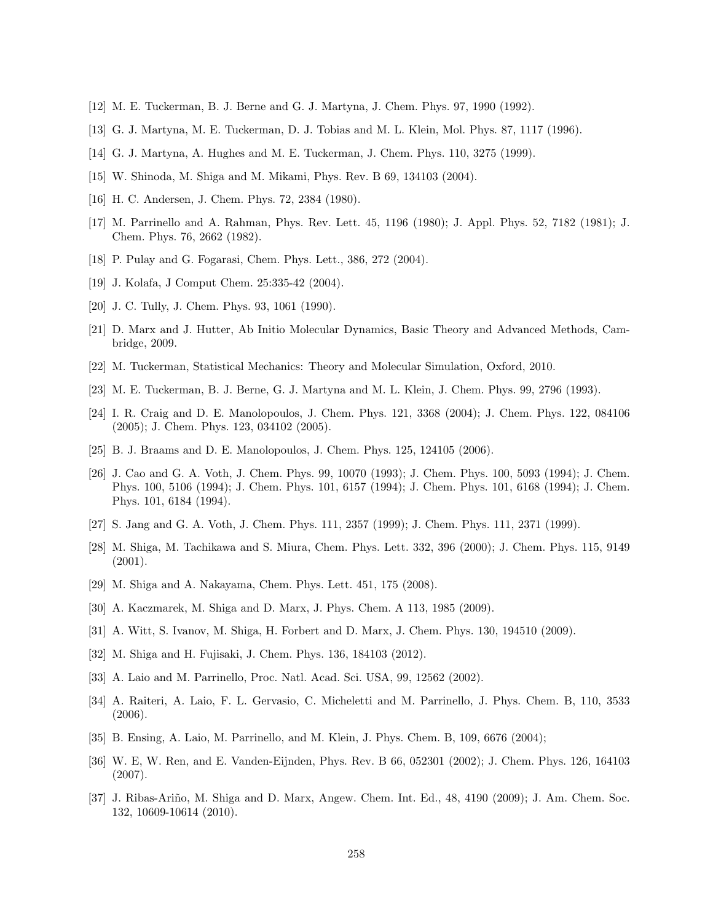- [12] M. E. Tuckerman, B. J. Berne and G. J. Martyna, J. Chem. Phys. 97, 1990 (1992).
- [13] G. J. Martyna, M. E. Tuckerman, D. J. Tobias and M. L. Klein, Mol. Phys. 87, 1117 (1996).
- [14] G. J. Martyna, A. Hughes and M. E. Tuckerman, J. Chem. Phys. 110, 3275 (1999).
- [15] W. Shinoda, M. Shiga and M. Mikami, Phys. Rev. B 69, 134103 (2004).
- [16] H. C. Andersen, J. Chem. Phys. 72, 2384 (1980).
- [17] M. Parrinello and A. Rahman, Phys. Rev. Lett. 45, 1196 (1980); J. Appl. Phys. 52, 7182 (1981); J. Chem. Phys. 76, 2662 (1982).
- [18] P. Pulay and G. Fogarasi, Chem. Phys. Lett., 386, 272 (2004).
- [19] J. Kolafa, J Comput Chem. 25:335-42 (2004).
- [20] J. C. Tully, J. Chem. Phys. 93, 1061 (1990).
- [21] D. Marx and J. Hutter, Ab Initio Molecular Dynamics, Basic Theory and Advanced Methods, Cambridge, 2009.
- [22] M. Tuckerman, Statistical Mechanics: Theory and Molecular Simulation, Oxford, 2010.
- [23] M. E. Tuckerman, B. J. Berne, G. J. Martyna and M. L. Klein, J. Chem. Phys. 99, 2796 (1993).
- [24] I. R. Craig and D. E. Manolopoulos, J. Chem. Phys. 121, 3368 (2004); J. Chem. Phys. 122, 084106 (2005); J. Chem. Phys. 123, 034102 (2005).
- [25] B. J. Braams and D. E. Manolopoulos, J. Chem. Phys. 125, 124105 (2006).
- [26] J. Cao and G. A. Voth, J. Chem. Phys. 99, 10070 (1993); J. Chem. Phys. 100, 5093 (1994); J. Chem. Phys. 100, 5106 (1994); J. Chem. Phys. 101, 6157 (1994); J. Chem. Phys. 101, 6168 (1994); J. Chem. Phys. 101, 6184 (1994).
- [27] S. Jang and G. A. Voth, J. Chem. Phys. 111, 2357 (1999); J. Chem. Phys. 111, 2371 (1999).
- [28] M. Shiga, M. Tachikawa and S. Miura, Chem. Phys. Lett. 332, 396 (2000); J. Chem. Phys. 115, 9149 (2001).
- [29] M. Shiga and A. Nakayama, Chem. Phys. Lett. 451, 175 (2008).
- [30] A. Kaczmarek, M. Shiga and D. Marx, J. Phys. Chem. A 113, 1985 (2009).
- [31] A. Witt, S. Ivanov, M. Shiga, H. Forbert and D. Marx, J. Chem. Phys. 130, 194510 (2009).
- [32] M. Shiga and H. Fujisaki, J. Chem. Phys. 136, 184103 (2012).
- [33] A. Laio and M. Parrinello, Proc. Natl. Acad. Sci. USA, 99, 12562 (2002).
- [34] A. Raiteri, A. Laio, F. L. Gervasio, C. Micheletti and M. Parrinello, J. Phys. Chem. B, 110, 3533 (2006).
- [35] B. Ensing, A. Laio, M. Parrinello, and M. Klein, J. Phys. Chem. B, 109, 6676 (2004);
- [36] W. E, W. Ren, and E. Vanden-Eijnden, Phys. Rev. B 66, 052301 (2002); J. Chem. Phys. 126, 164103 (2007).
- [37] J. Ribas-Ariño, M. Shiga and D. Marx, Angew. Chem. Int. Ed., 48, 4190 (2009); J. Am. Chem. Soc. 132, 10609-10614 (2010).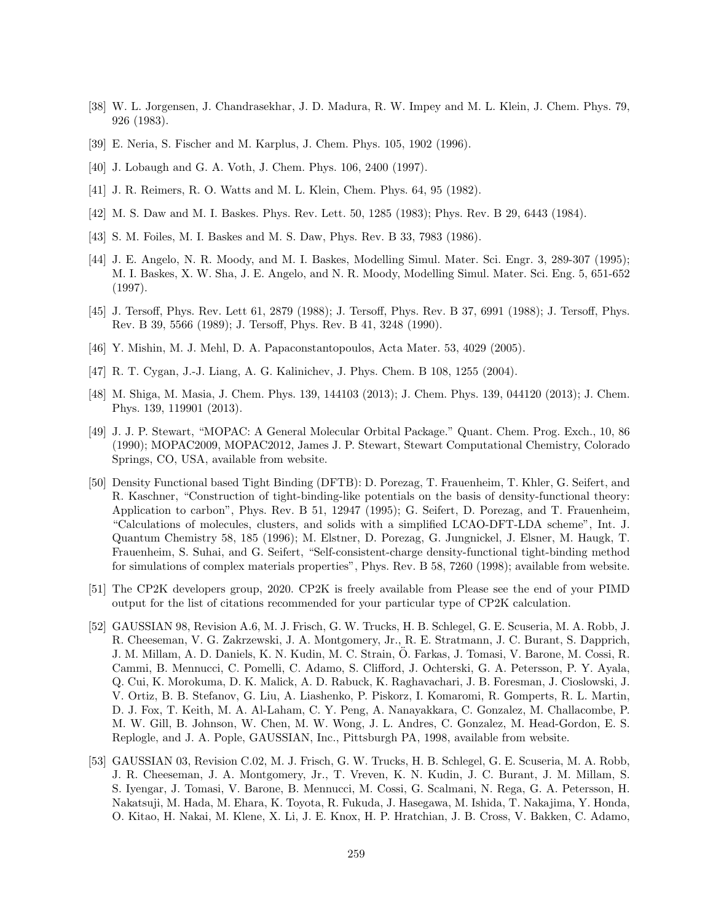- [38] W. L. Jorgensen, J. Chandrasekhar, J. D. Madura, R. W. Impey and M. L. Klein, J. Chem. Phys. 79, 926 (1983).
- [39] E. Neria, S. Fischer and M. Karplus, J. Chem. Phys. 105, 1902 (1996).
- [40] J. Lobaugh and G. A. Voth, J. Chem. Phys. 106, 2400 (1997).
- [41] J. R. Reimers, R. O. Watts and M. L. Klein, Chem. Phys. 64, 95 (1982).
- [42] M. S. Daw and M. I. Baskes. Phys. Rev. Lett. 50, 1285 (1983); Phys. Rev. B 29, 6443 (1984).
- [43] S. M. Foiles, M. I. Baskes and M. S. Daw, Phys. Rev. B 33, 7983 (1986).
- [44] J. E. Angelo, N. R. Moody, and M. I. Baskes, Modelling Simul. Mater. Sci. Engr. 3, 289-307 (1995); M. I. Baskes, X. W. Sha, J. E. Angelo, and N. R. Moody, Modelling Simul. Mater. Sci. Eng. 5, 651-652 (1997).
- [45] J. Tersoff, Phys. Rev. Lett 61, 2879 (1988); J. Tersoff, Phys. Rev. B 37, 6991 (1988); J. Tersoff, Phys. Rev. B 39, 5566 (1989); J. Tersoff, Phys. Rev. B 41, 3248 (1990).
- [46] Y. Mishin, M. J. Mehl, D. A. Papaconstantopoulos, Acta Mater. 53, 4029 (2005).
- [47] R. T. Cygan, J.-J. Liang, A. G. Kalinichev, J. Phys. Chem. B 108, 1255 (2004).
- [48] M. Shiga, M. Masia, J. Chem. Phys. 139, 144103 (2013); J. Chem. Phys. 139, 044120 (2013); J. Chem. Phys. 139, 119901 (2013).
- [49] J. J. P. Stewart, "MOPAC: A General Molecular Orbital Package." Quant. Chem. Prog. Exch., 10, 86 (1990); MOPAC2009, MOPAC2012, James J. P. Stewart, Stewart Computational Chemistry, Colorado Springs, CO, USA, available from website.
- [50] Density Functional based Tight Binding (DFTB): D. Porezag, T. Frauenheim, T. Khler, G. Seifert, and R. Kaschner, "Construction of tight-binding-like potentials on the basis of density-functional theory: Application to carbon", Phys. Rev. B 51, 12947 (1995); G. Seifert, D. Porezag, and T. Frauenheim, "Calculations of molecules, clusters, and solids with a simplified LCAO-DFT-LDA scheme", Int. J. Quantum Chemistry 58, 185 (1996); M. Elstner, D. Porezag, G. Jungnickel, J. Elsner, M. Haugk, T. Frauenheim, S. Suhai, and G. Seifert, "Self-consistent-charge density-functional tight-binding method for simulations of complex materials properties", Phys. Rev. B 58, 7260 (1998); available from website.
- [51] The CP2K developers group, 2020. CP2K is freely available from Please see the end of your PIMD output for the list of citations recommended for your particular type of CP2K calculation.
- [52] GAUSSIAN 98, Revision A.6, M. J. Frisch, G. W. Trucks, H. B. Schlegel, G. E. Scuseria, M. A. Robb, J. R. Cheeseman, V. G. Zakrzewski, J. A. Montgomery, Jr., R. E. Stratmann, J. C. Burant, S. Dapprich, J. M. Millam, A. D. Daniels, K. N. Kudin, M. C. Strain, O. Farkas, J. Tomasi, V. Barone, M. Cossi, R. ¨ Cammi, B. Mennucci, C. Pomelli, C. Adamo, S. Clifford, J. Ochterski, G. A. Petersson, P. Y. Ayala, Q. Cui, K. Morokuma, D. K. Malick, A. D. Rabuck, K. Raghavachari, J. B. Foresman, J. Cioslowski, J. V. Ortiz, B. B. Stefanov, G. Liu, A. Liashenko, P. Piskorz, I. Komaromi, R. Gomperts, R. L. Martin, D. J. Fox, T. Keith, M. A. Al-Laham, C. Y. Peng, A. Nanayakkara, C. Gonzalez, M. Challacombe, P. M. W. Gill, B. Johnson, W. Chen, M. W. Wong, J. L. Andres, C. Gonzalez, M. Head-Gordon, E. S. Replogle, and J. A. Pople, GAUSSIAN, Inc., Pittsburgh PA, 1998, available from website.
- [53] GAUSSIAN 03, Revision C.02, M. J. Frisch, G. W. Trucks, H. B. Schlegel, G. E. Scuseria, M. A. Robb, J. R. Cheeseman, J. A. Montgomery, Jr., T. Vreven, K. N. Kudin, J. C. Burant, J. M. Millam, S. S. Iyengar, J. Tomasi, V. Barone, B. Mennucci, M. Cossi, G. Scalmani, N. Rega, G. A. Petersson, H. Nakatsuji, M. Hada, M. Ehara, K. Toyota, R. Fukuda, J. Hasegawa, M. Ishida, T. Nakajima, Y. Honda, O. Kitao, H. Nakai, M. Klene, X. Li, J. E. Knox, H. P. Hratchian, J. B. Cross, V. Bakken, C. Adamo,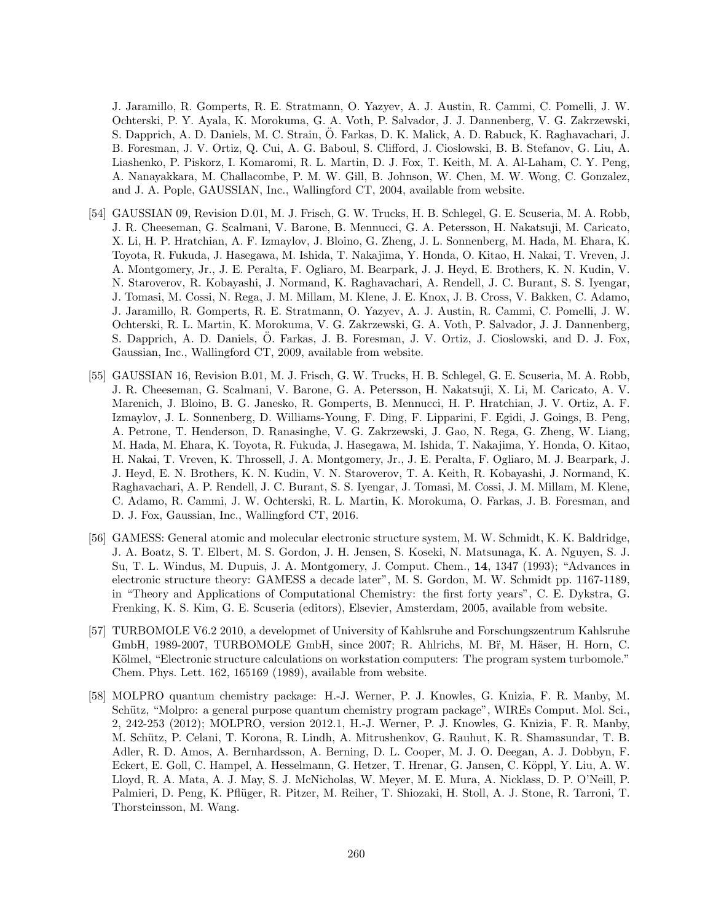J. Jaramillo, R. Gomperts, R. E. Stratmann, O. Yazyev, A. J. Austin, R. Cammi, C. Pomelli, J. W. Ochterski, P. Y. Ayala, K. Morokuma, G. A. Voth, P. Salvador, J. J. Dannenberg, V. G. Zakrzewski, S. Dapprich, A. D. Daniels, M. C. Strain, O. Farkas, D. K. Malick, A. D. Rabuck, K. Raghavachari, J. ¨ B. Foresman, J. V. Ortiz, Q. Cui, A. G. Baboul, S. Clifford, J. Cioslowski, B. B. Stefanov, G. Liu, A. Liashenko, P. Piskorz, I. Komaromi, R. L. Martin, D. J. Fox, T. Keith, M. A. Al-Laham, C. Y. Peng, A. Nanayakkara, M. Challacombe, P. M. W. Gill, B. Johnson, W. Chen, M. W. Wong, C. Gonzalez, and J. A. Pople, GAUSSIAN, Inc., Wallingford CT, 2004, available from website.

- [54] GAUSSIAN 09, Revision D.01, M. J. Frisch, G. W. Trucks, H. B. Schlegel, G. E. Scuseria, M. A. Robb, J. R. Cheeseman, G. Scalmani, V. Barone, B. Mennucci, G. A. Petersson, H. Nakatsuji, M. Caricato, X. Li, H. P. Hratchian, A. F. Izmaylov, J. Bloino, G. Zheng, J. L. Sonnenberg, M. Hada, M. Ehara, K. Toyota, R. Fukuda, J. Hasegawa, M. Ishida, T. Nakajima, Y. Honda, O. Kitao, H. Nakai, T. Vreven, J. A. Montgomery, Jr., J. E. Peralta, F. Ogliaro, M. Bearpark, J. J. Heyd, E. Brothers, K. N. Kudin, V. N. Staroverov, R. Kobayashi, J. Normand, K. Raghavachari, A. Rendell, J. C. Burant, S. S. Iyengar, J. Tomasi, M. Cossi, N. Rega, J. M. Millam, M. Klene, J. E. Knox, J. B. Cross, V. Bakken, C. Adamo, J. Jaramillo, R. Gomperts, R. E. Stratmann, O. Yazyev, A. J. Austin, R. Cammi, C. Pomelli, J. W. Ochterski, R. L. Martin, K. Morokuma, V. G. Zakrzewski, G. A. Voth, P. Salvador, J. J. Dannenberg, S. Dapprich, A. D. Daniels, O. Farkas, J. B. Foresman, J. V. Ortiz, J. Cioslowski, and D. J. Fox, ¨ Gaussian, Inc., Wallingford CT, 2009, available from website.
- [55] GAUSSIAN 16, Revision B.01, M. J. Frisch, G. W. Trucks, H. B. Schlegel, G. E. Scuseria, M. A. Robb, J. R. Cheeseman, G. Scalmani, V. Barone, G. A. Petersson, H. Nakatsuji, X. Li, M. Caricato, A. V. Marenich, J. Bloino, B. G. Janesko, R. Gomperts, B. Mennucci, H. P. Hratchian, J. V. Ortiz, A. F. Izmaylov, J. L. Sonnenberg, D. Williams-Young, F. Ding, F. Lipparini, F. Egidi, J. Goings, B. Peng, A. Petrone, T. Henderson, D. Ranasinghe, V. G. Zakrzewski, J. Gao, N. Rega, G. Zheng, W. Liang, M. Hada, M. Ehara, K. Toyota, R. Fukuda, J. Hasegawa, M. Ishida, T. Nakajima, Y. Honda, O. Kitao, H. Nakai, T. Vreven, K. Throssell, J. A. Montgomery, Jr., J. E. Peralta, F. Ogliaro, M. J. Bearpark, J. J. Heyd, E. N. Brothers, K. N. Kudin, V. N. Staroverov, T. A. Keith, R. Kobayashi, J. Normand, K. Raghavachari, A. P. Rendell, J. C. Burant, S. S. Iyengar, J. Tomasi, M. Cossi, J. M. Millam, M. Klene, C. Adamo, R. Cammi, J. W. Ochterski, R. L. Martin, K. Morokuma, O. Farkas, J. B. Foresman, and D. J. Fox, Gaussian, Inc., Wallingford CT, 2016.
- [56] GAMESS: General atomic and molecular electronic structure system, M. W. Schmidt, K. K. Baldridge, J. A. Boatz, S. T. Elbert, M. S. Gordon, J. H. Jensen, S. Koseki, N. Matsunaga, K. A. Nguyen, S. J. Su, T. L. Windus, M. Dupuis, J. A. Montgomery, J. Comput. Chem., **14**, 1347 (1993); "Advances in electronic structure theory: GAMESS a decade later", M. S. Gordon, M. W. Schmidt pp. 1167-1189, in "Theory and Applications of Computational Chemistry: the first forty years", C. E. Dykstra, G. Frenking, K. S. Kim, G. E. Scuseria (editors), Elsevier, Amsterdam, 2005, available from website.
- [57] TURBOMOLE V6.2 2010, a developmet of University of Kahlsruhe and Forschungszentrum Kahlsruhe GmbH, 1989-2007, TURBOMOLE GmbH, since 2007; R. Ahlrichs, M. Bi, M. Häser, H. Horn, C. Kölmel, "Electronic structure calculations on workstation computers: The program system turbomole." Chem. Phys. Lett. 162, 165169 (1989), available from website.
- [58] MOLPRO quantum chemistry package: H.-J. Werner, P. J. Knowles, G. Knizia, F. R. Manby, M. Schütz, "Molpro: a general purpose quantum chemistry program package", WIREs Comput. Mol. Sci., 2, 242-253 (2012); MOLPRO, version 2012.1, H.-J. Werner, P. J. Knowles, G. Knizia, F. R. Manby, M. Schütz, P. Celani, T. Korona, R. Lindh, A. Mitrushenkov, G. Rauhut, K. R. Shamasundar, T. B. Adler, R. D. Amos, A. Bernhardsson, A. Berning, D. L. Cooper, M. J. O. Deegan, A. J. Dobbyn, F. Eckert, E. Goll, C. Hampel, A. Hesselmann, G. Hetzer, T. Hrenar, G. Jansen, C. Köppl, Y. Liu, A. W. Lloyd, R. A. Mata, A. J. May, S. J. McNicholas, W. Meyer, M. E. Mura, A. Nicklass, D. P. O'Neill, P. Palmieri, D. Peng, K. Pflüger, R. Pitzer, M. Reiher, T. Shiozaki, H. Stoll, A. J. Stone, R. Tarroni, T. Thorsteinsson, M. Wang.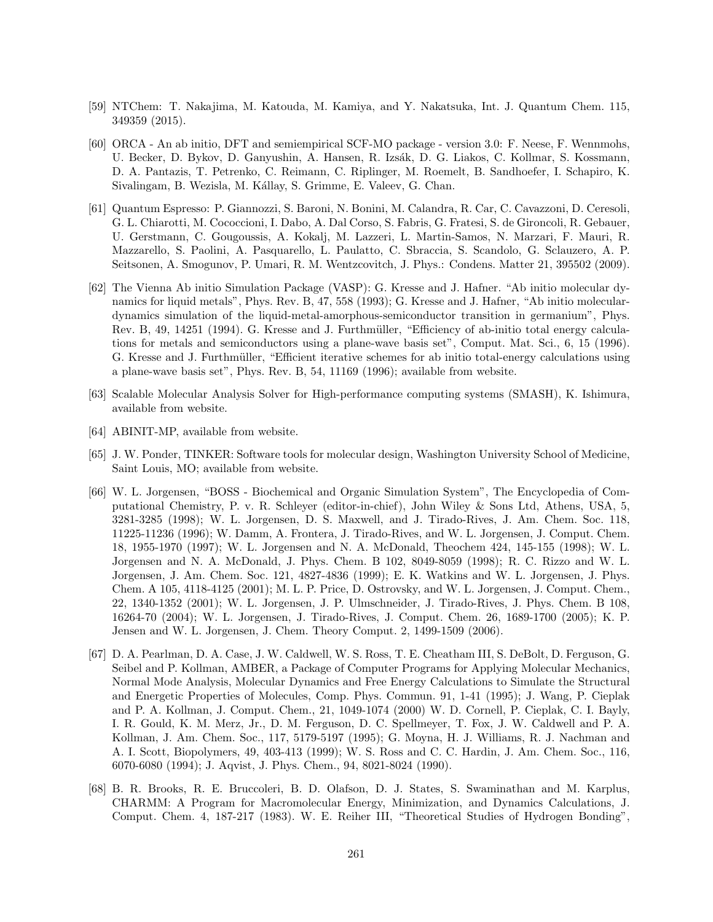- [59] NTChem: T. Nakajima, M. Katouda, M. Kamiya, and Y. Nakatsuka, Int. J. Quantum Chem. 115, 349359 (2015).
- [60] ORCA An ab initio, DFT and semiempirical SCF-MO package version 3.0: F. Neese, F. Wennmohs, U. Becker, D. Bykov, D. Ganyushin, A. Hansen, R. Izsák, D. G. Liakos, C. Kollmar, S. Kossmann, D. A. Pantazis, T. Petrenko, C. Reimann, C. Riplinger, M. Roemelt, B. Sandhoefer, I. Schapiro, K. Sivalingam, B. Wezisla, M. Kállay, S. Grimme, E. Valeev, G. Chan.
- [61] Quantum Espresso: P. Giannozzi, S. Baroni, N. Bonini, M. Calandra, R. Car, C. Cavazzoni, D. Ceresoli, G. L. Chiarotti, M. Cococcioni, I. Dabo, A. Dal Corso, S. Fabris, G. Fratesi, S. de Gironcoli, R. Gebauer, U. Gerstmann, C. Gougoussis, A. Kokalj, M. Lazzeri, L. Martin-Samos, N. Marzari, F. Mauri, R. Mazzarello, S. Paolini, A. Pasquarello, L. Paulatto, C. Sbraccia, S. Scandolo, G. Sclauzero, A. P. Seitsonen, A. Smogunov, P. Umari, R. M. Wentzcovitch, J. Phys.: Condens. Matter 21, 395502 (2009).
- [62] The Vienna Ab initio Simulation Package (VASP): G. Kresse and J. Hafner. "Ab initio molecular dynamics for liquid metals", Phys. Rev. B, 47, 558 (1993); G. Kresse and J. Hafner, "Ab initio moleculardynamics simulation of the liquid-metal-amorphous-semiconductor transition in germanium", Phys. Rev. B, 49, 14251 (1994). G. Kresse and J. Furthmüller, "Efficiency of ab-initio total energy calculations for metals and semiconductors using a plane-wave basis set", Comput. Mat. Sci., 6, 15 (1996). G. Kresse and J. Furthmüller, "Efficient iterative schemes for ab initio total-energy calculations using a plane-wave basis set", Phys. Rev. B, 54, 11169 (1996); available from website.
- [63] Scalable Molecular Analysis Solver for High-performance computing systems (SMASH), K. Ishimura, available from website.
- [64] ABINIT-MP, available from website.
- [65] J. W. Ponder, TINKER: Software tools for molecular design, Washington University School of Medicine, Saint Louis, MO; available from website.
- [66] W. L. Jorgensen, "BOSS Biochemical and Organic Simulation System", The Encyclopedia of Computational Chemistry, P. v. R. Schleyer (editor-in-chief), John Wiley & Sons Ltd, Athens, USA, 5, 3281-3285 (1998); W. L. Jorgensen, D. S. Maxwell, and J. Tirado-Rives, J. Am. Chem. Soc. 118, 11225-11236 (1996); W. Damm, A. Frontera, J. Tirado-Rives, and W. L. Jorgensen, J. Comput. Chem. 18, 1955-1970 (1997); W. L. Jorgensen and N. A. McDonald, Theochem 424, 145-155 (1998); W. L. Jorgensen and N. A. McDonald, J. Phys. Chem. B 102, 8049-8059 (1998); R. C. Rizzo and W. L. Jorgensen, J. Am. Chem. Soc. 121, 4827-4836 (1999); E. K. Watkins and W. L. Jorgensen, J. Phys. Chem. A 105, 4118-4125 (2001); M. L. P. Price, D. Ostrovsky, and W. L. Jorgensen, J. Comput. Chem., 22, 1340-1352 (2001); W. L. Jorgensen, J. P. Ulmschneider, J. Tirado-Rives, J. Phys. Chem. B 108, 16264-70 (2004); W. L. Jorgensen, J. Tirado-Rives, J. Comput. Chem. 26, 1689-1700 (2005); K. P. Jensen and W. L. Jorgensen, J. Chem. Theory Comput. 2, 1499-1509 (2006).
- [67] D. A. Pearlman, D. A. Case, J. W. Caldwell, W. S. Ross, T. E. Cheatham III, S. DeBolt, D. Ferguson, G. Seibel and P. Kollman, AMBER, a Package of Computer Programs for Applying Molecular Mechanics, Normal Mode Analysis, Molecular Dynamics and Free Energy Calculations to Simulate the Structural and Energetic Properties of Molecules, Comp. Phys. Commun. 91, 1-41 (1995); J. Wang, P. Cieplak and P. A. Kollman, J. Comput. Chem., 21, 1049-1074 (2000) W. D. Cornell, P. Cieplak, C. I. Bayly, I. R. Gould, K. M. Merz, Jr., D. M. Ferguson, D. C. Spellmeyer, T. Fox, J. W. Caldwell and P. A. Kollman, J. Am. Chem. Soc., 117, 5179-5197 (1995); G. Moyna, H. J. Williams, R. J. Nachman and A. I. Scott, Biopolymers, 49, 403-413 (1999); W. S. Ross and C. C. Hardin, J. Am. Chem. Soc., 116, 6070-6080 (1994); J. Aqvist, J. Phys. Chem., 94, 8021-8024 (1990).
- [68] B. R. Brooks, R. E. Bruccoleri, B. D. Olafson, D. J. States, S. Swaminathan and M. Karplus, CHARMM: A Program for Macromolecular Energy, Minimization, and Dynamics Calculations, J. Comput. Chem. 4, 187-217 (1983). W. E. Reiher III, "Theoretical Studies of Hydrogen Bonding",